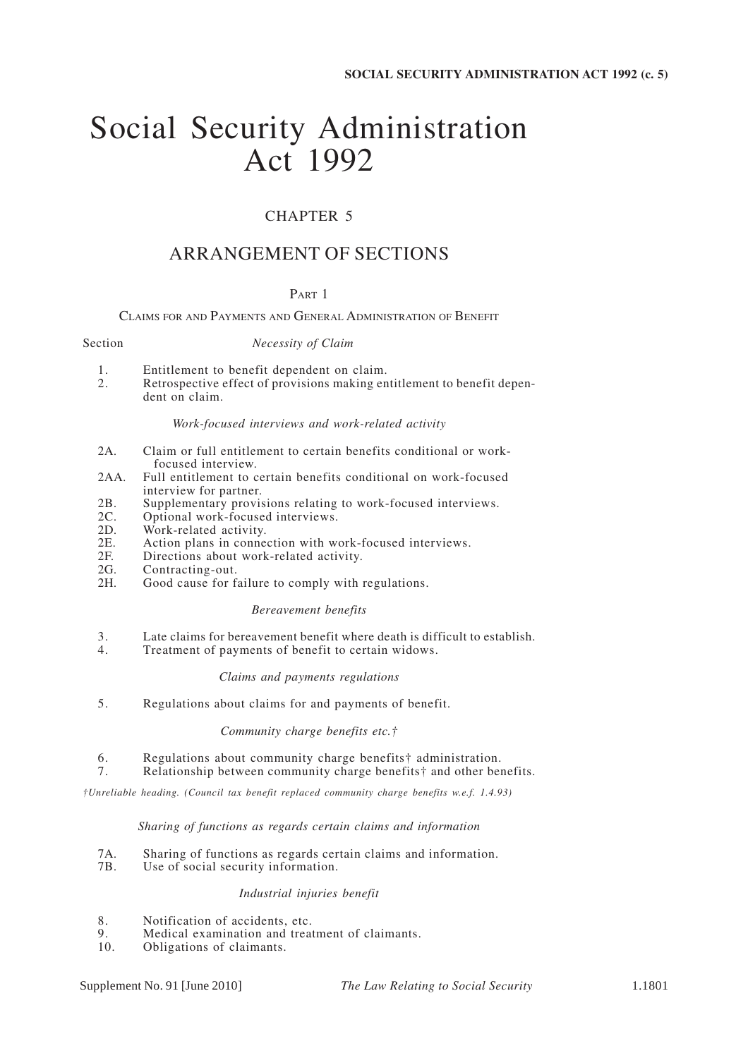# Social Security Administration Act 1992

# CHAPTER 5

# ARRANGEMENT OF SECTIONS

## PART 1

CLAIMS FOR AND PAYMENTS AND GENERAL ADMINISTRATION OF BENEFIT

## Section *Necessity of Claim*

- 1. Entitlement to benefit dependent on claim.
- 2. Retrospective effect of provisions making entitlement to benefit dependent on claim.

## *Work-focused interviews and work-related activity*

- 2A. Claim or full entitlement to certain benefits conditional or workfocused interview.
- 2AA. Full entitlement to certain benefits conditional on work-focused interview for partner.
- 2B. Supplementary provisions relating to work-focused interviews.<br>2C. Ontional work-focused interviews.
- 2C. Optional work-focused interviews.<br>2D. Work-related activity.
- 2D. Work-related activity.<br>2E. Action plans in connect
- 2E. Action plans in connection with work-focused interviews.<br>2F. Directions about work-related activity.
- 2F. Directions about work-related activity.<br>2G. Contracting-out.
- 2G. Contracting-out.<br>2H. Good cause for fa
- Good cause for failure to comply with regulations.

## *Bereavement benefits*

- 3. Late claims for bereavement benefit where death is difficult to establish.
- Treatment of payments of benefit to certain widows.

## *Claims and payments regulations*

5. Regulations about claims for and payments of benefit.

## *Community charge benefits etc.†*

- 6. Regulations about community charge benefits† administration.
- 7. Relationship between community charge benefits† and other benefits.

*†Unreliable heading. (Council tax benefit replaced community charge benefits w.e.f. 1.4.93)*

## *Sharing of functions as regards certain claims and information*

- 7A. Sharing of functions as regards certain claims and information.
- Use of social security information.

## *Industrial injuries benefit*

- 8. Notification of accidents, etc.
- 9. Medical examination and treatment of claimants.<br>10. Obligations of claimants.
- Obligations of claimants.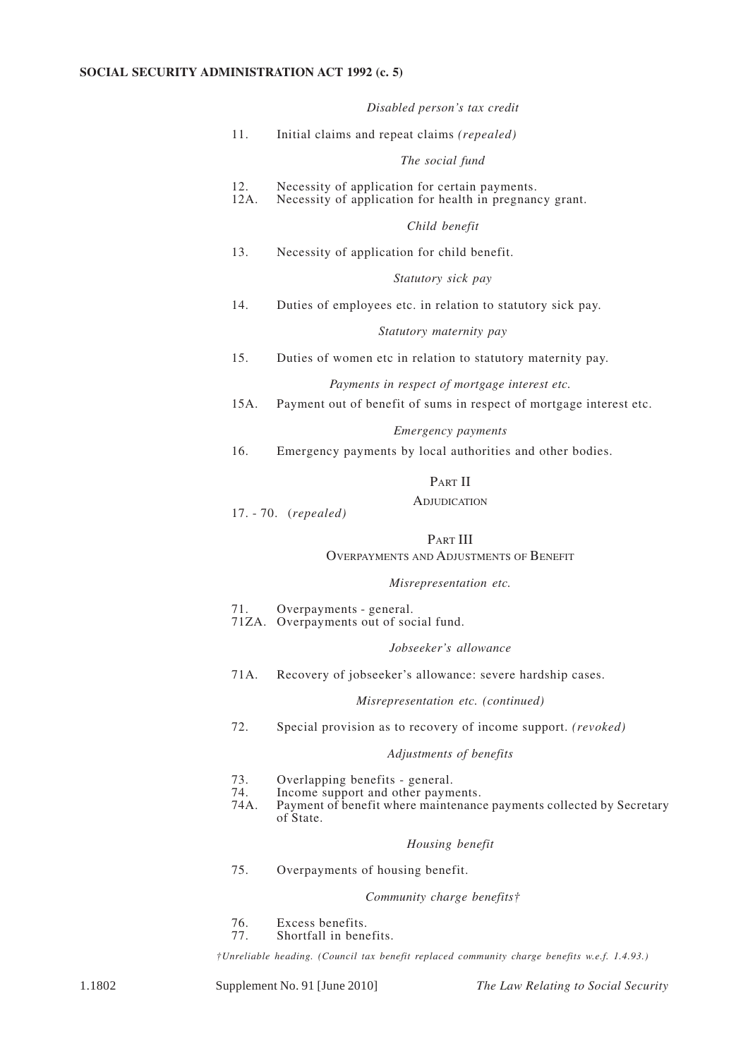## *Disabled person's tax credit*

11. Initial claims and repeat claims *(repealed)*

## *The social fund*

- 12. Necessity of application for certain payments.<br>12A. Necessity of application for health in pregnance
- Necessity of application for health in pregnancy grant.

## *Child benefit*

13. Necessity of application for child benefit.

#### *Statutory sick pay*

14. Duties of employees etc. in relation to statutory sick pay.

## *Statutory maternity pay*

15. Duties of women etc in relation to statutory maternity pay.

## *Payments in respect of mortgage interest etc.*

15A. Payment out of benefit of sums in respect of mortgage interest etc.

#### *Emergency payments*

16. Emergency payments by local authorities and other bodies.

## PART II

## **ADJUDICATION**

17. - 70. (*repealed)*

## PART III

## OVERPAYMENTS AND ADJUSTMENTS OF BENEFIT

## *Misrepresentation etc.*

- 71. Overpayments general.
- 71ZA. Overpayments out of social fund.

#### *Jobseeker's allowance*

71A. Recovery of jobseeker's allowance: severe hardship cases.

#### *Misrepresentation etc. (continued)*

72. Special provision as to recovery of income support. *(revoked)*

#### *Adjustments of benefits*

- 73. Overlapping benefits general.<br>74. Income support and other paym
- 74. Income support and other payments.<br>74A. Payment of benefit where maintenanc
- Payment of benefit where maintenance payments collected by Secretary of State.

## *Housing benefit*

75. Overpayments of housing benefit.

## *Community charge benefits†*

- 76. Excess benefits.<br>77. Shortfall in bene
- Shortfall in benefits.

*†Unreliable heading. (Council tax benefit replaced community charge benefits w.e.f. 1.4.93.)*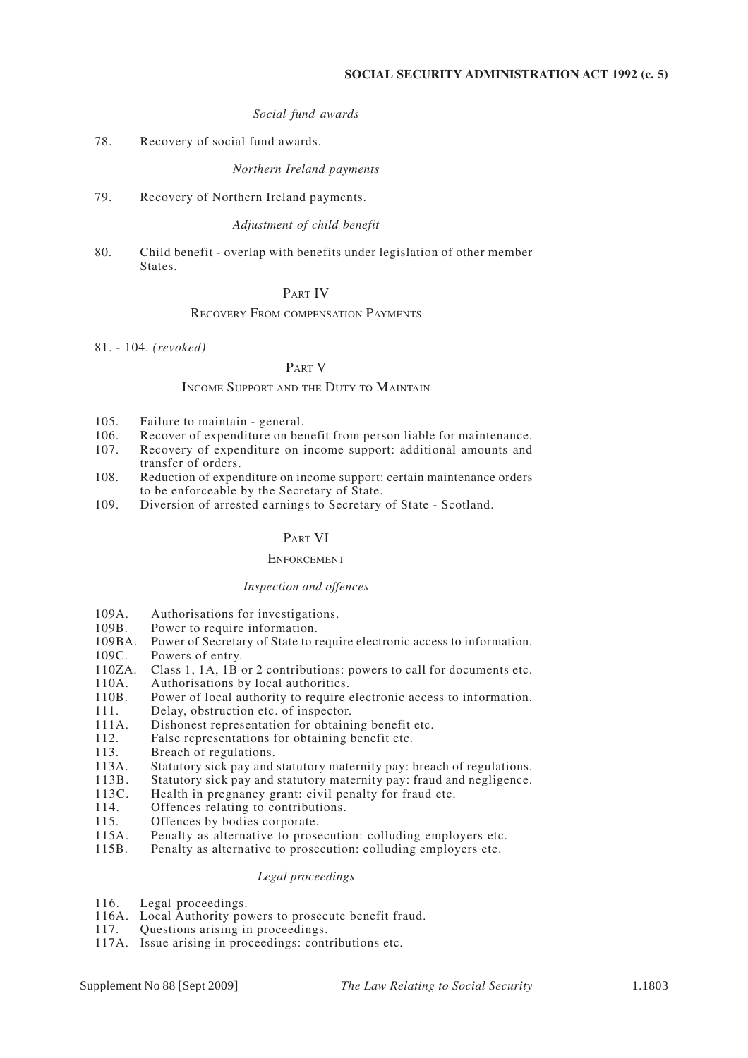#### *Social fund awards*

78. Recovery of social fund awards.

#### *Northern Ireland payments*

79. Recovery of Northern Ireland payments.

#### *Adjustment of child benefit*

80. Child benefit - overlap with benefits under legislation of other member States.

## PART IV

## RECOVERY FROM COMPENSATION PAYMENTS

81. - 104. *(revoked)*

## PART V

## INCOME SUPPORT AND THE DUTY TO MAINTAIN

- 105. Failure to maintain general.<br>106. Recover of expenditure on bear-
- 106. Recover of expenditure on benefit from person liable for maintenance.<br>107. Recovery of expenditure on income support: additional amounts and
- Recovery of expenditure on income support: additional amounts and transfer of orders.
- 108. Reduction of expenditure on income support: certain maintenance orders to be enforceable by the Secretary of State.
- 109. Diversion of arrested earnings to Secretary of State Scotland.

## PART VI

## **ENFORCEMENT**

## *Inspection and offences*

- 109A. Authorisations for investigations.<br>109B. Power to require information.
- 109B. Power to require information.<br>109BA. Power of Secretary of State to r.
- 109BA. Power of Secretary of State to require electronic access to information.<br>109C Powers of entry.
- 109C. Powers of entry.<br>110ZA Class 1 1A 1B
- 110ZA. Class 1, 1A, 1B or 2 contributions: powers to call for documents etc.<br>110A. Authorisations by local authorities.
- 110A. Authorisations by local authorities.<br>110B. Power of local authority to require
- 110B. Power of local authority to require electronic access to information.<br>111 Delay obstruction etc of inspector
- 111. Delay, obstruction etc. of inspector.<br>111A. Dishonest representation for obtaini
- 111A. Dishonest representation for obtaining benefit etc.<br>112 Ealse representations for obtaining benefit etc.
- 112. False representations for obtaining benefit etc.<br>113 Breach of regulations
- 113. Breach of regulations.<br>113A. Statutory sick pay and
- 113A. Statutory sick pay and statutory maternity pay: breach of regulations.<br>113B. Statutory sick pay and statutory maternity pay: fraud and negligence.
- 113B. Statutory sick pay and statutory maternity pay: fraud and negligence.<br>113C. Health in pregnancy grant: civil penalty for fraud etc.
- 113C. Health in pregnancy grant: civil penalty for fraud etc.<br>114. Offences relating to contributions.
- Offences relating to contributions.
- 115. Offences by bodies corporate.
- 115A. Penalty as alternative to prosecution: colluding employers etc.
- 115B. Penalty as alternative to prosecution: colluding employers etc.

## *Legal proceedings*

- 116. Legal proceedings.
- 116A. Local Authority powers to prosecute benefit fraud.<br>117 Ouestions arising in proceedings
- Ouestions arising in proceedings.
- 117A. Issue arising in proceedings: contributions etc.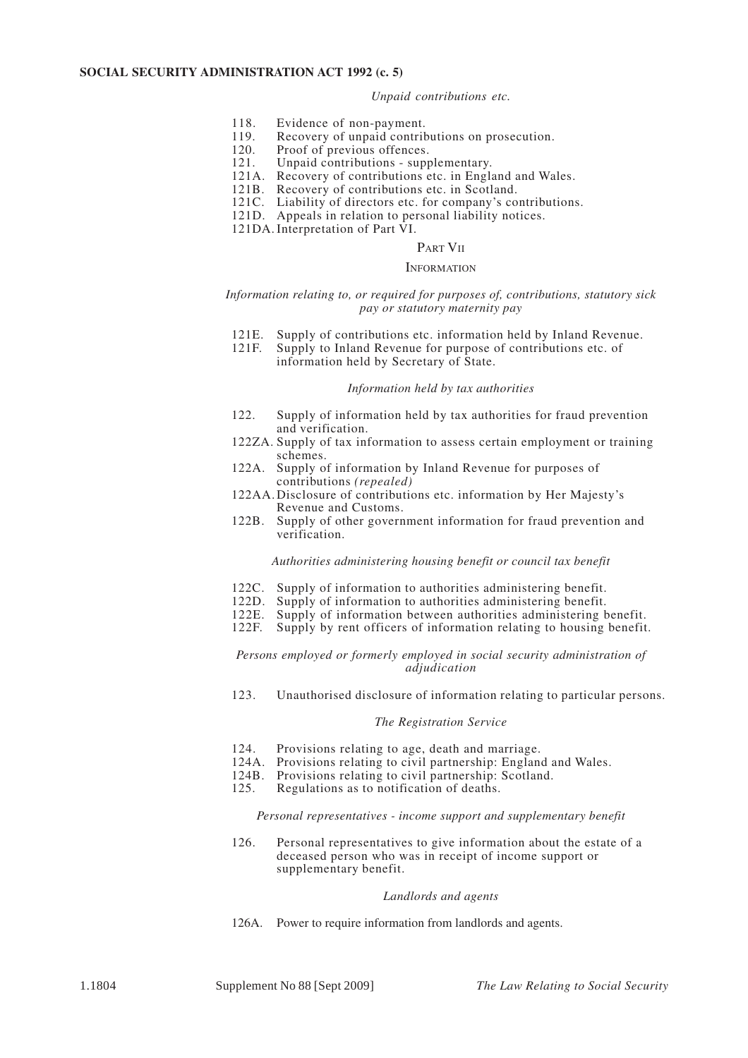#### *Unpaid contributions etc.*

- 118. Evidence of non-payment.<br>119. Recovery of unnaid contril
- 119. Recovery of unpaid contributions on prosecution.<br>120 Proof of previous offences
- 120. Proof of previous offences.<br>121. Unnaid contributions supr
- 121. Unpaid contributions supplementary.<br>121A. Recovery of contributions etc. in Engla
- 121A. Recovery of contributions etc. in England and Wales.<br>121B. Recovery of contributions etc. in Scotland.
- Recovery of contributions etc. in Scotland.
- 121C. Liability of directors etc. for company's contributions.
- 121D. Appeals in relation to personal liability notices.
- 121DA. Interpretation of Part VI.

#### PART VII

## **INFORMATION**

#### *Information relating to, or required for purposes of, contributions, statutory sick pay or statutory maternity pay*

- 121E. Supply of contributions etc. information held by Inland Revenue.<br>121F. Supply to Inland Revenue for purpose of contributions etc. of
	- Supply to Inland Revenue for purpose of contributions etc. of
	- information held by Secretary of State.

#### *Information held by tax authorities*

- 122. Supply of information held by tax authorities for fraud prevention and verification.
- 122ZA. Supply of tax information to assess certain employment or training schemes.
- 122A. Supply of information by Inland Revenue for purposes of contributions *(repealed)*
- 122AA. Disclosure of contributions etc. information by Her Majesty's Revenue and Customs.
- 122B. Supply of other government information for fraud prevention and verification.

## *Authorities administering housing benefit or council tax benefit*

- 122C. Supply of information to authorities administering benefit.
- 122D. Supply of information to authorities administering benefit.
- 122E. Supply of information between authorities administering benefit.<br>122F. Supply by rent officers of information relating to housing benefit
- Supply by rent officers of information relating to housing benefit.

#### *Persons employed or formerly employed in social security administration of adjudication*

123. Unauthorised disclosure of information relating to particular persons.

#### *The Registration Service*

- 124. Provisions relating to age, death and marriage.
- 124A. Provisions relating to civil partnership: England and Wales.
- 124B. Provisions relating to civil partnership: Scotland.
- 125. Regulations as to notification of deaths.

#### *Personal representatives - income support and supplementary benefit*

126. Personal representatives to give information about the estate of a deceased person who was in receipt of income support or supplementary benefit.

#### *Landlords and agents*

126A. Power to require information from landlords and agents.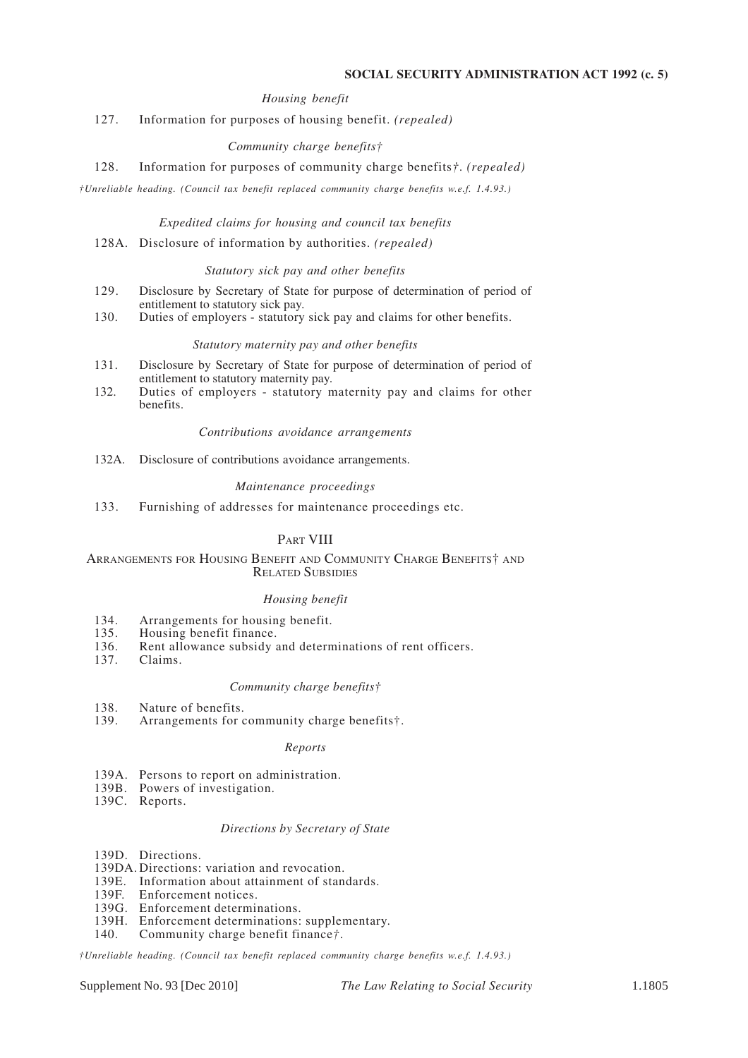#### *Housing benefit*

## 127. Information for purposes of housing benefit. *(repealed)*

#### *Community charge benefits†*

## 128. Information for purposes of community charge benefits*†*. *(repealed)*

*†Unreliable heading. (Council tax benefit replaced community charge benefits w.e.f. 1.4.93.)*

## *Expedited claims for housing and council tax benefits*

## 128A. Disclosure of information by authorities. *(repealed)*

### *Statutory sick pay and other benefits*

- 129. Disclosure by Secretary of State for purpose of determination of period of entitlement to statutory sick pay.
- 130. Duties of employers statutory sick pay and claims for other benefits.

#### *Statutory maternity pay and other benefits*

- 131. Disclosure by Secretary of State for purpose of determination of period of entitlement to statutory maternity pay.
- 132. Duties of employers statutory maternity pay and claims for other benefits.

#### *Contributions avoidance arrangements*

132A. Disclosure of contributions avoidance arrangements.

## *Maintenance proceedings*

133. Furnishing of addresses for maintenance proceedings etc.

## PART VIII

ARRANGEMENTS FOR HOUSING BENEFIT AND COMMUNITY CHARGE BENEFITS<sup>†</sup> AND RELATED SUBSIDIES

#### *Housing benefit*

- 134. Arrangements for housing benefit.<br>135. Housing benefit finance.
- 135. Housing benefit finance.<br>136. Rent allowance subsidy
- 136. Rent allowance subsidy and determinations of rent officers.<br>137. Claims.
- Claims.

## *Community charge benefits†*

- 138. Nature of benefits.<br>139. Arrangements for
- Arrangements for community charge benefits†.

## *Reports*

- 139A. Persons to report on administration.
- 139B. Powers of investigation.
- 139C. Reports.

#### *Directions by Secretary of State*

- 139D. Directions.
- 139DA. Directions: variation and revocation.
- 139E. Information about attainment of standards.<br>139F. Enforcement notices.
- Enforcement notices.
- 139G. Enforcement determinations.
- 139H. Enforcement determinations: supplementary.<br>140. Community charge benefit finance  $\dot{r}$ .
- 140. Community charge benefit finance*†*.

*†Unreliable heading. (Council tax benefit replaced community charge benefits w.e.f. 1.4.93.)*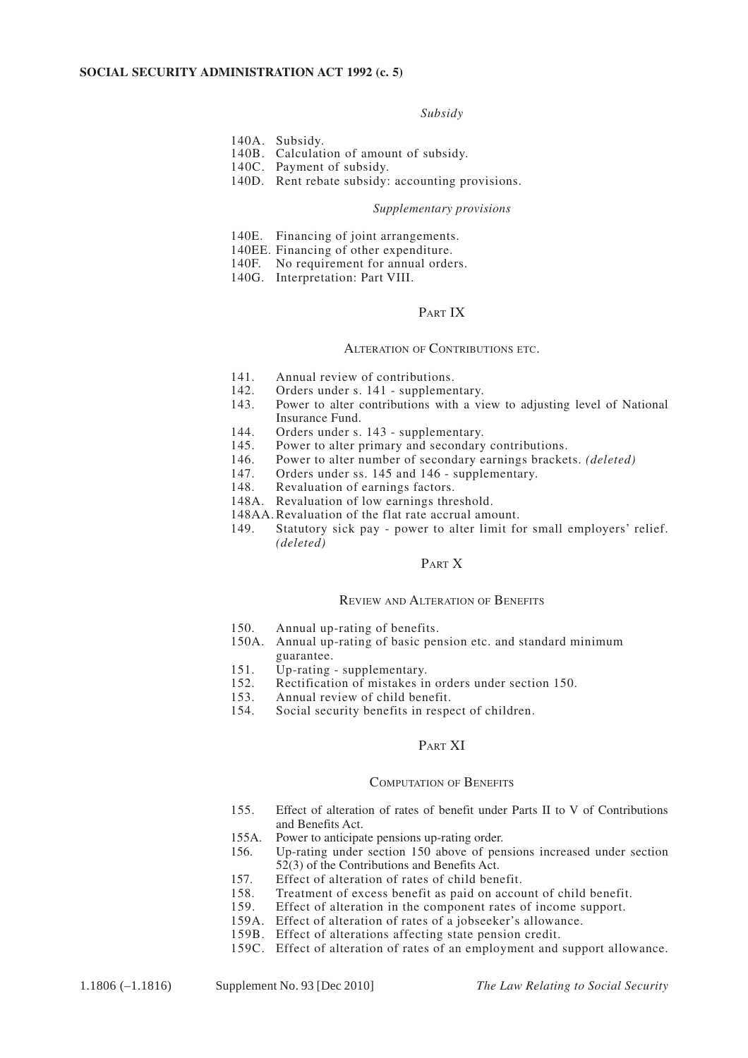#### *Subsidy*

- 140A. Subsidy.
- 140B. Calculation of amount of subsidy.
- 140C. Payment of subsidy.
- 140D. Rent rebate subsidy: accounting provisions.

#### *Supplementary provisions*

- 140E. Financing of joint arrangements.
- 140EE. Financing of other expenditure.
- 140F. No requirement for annual orders.
- 140G. Interpretation: Part VIII.

## PART IX

#### ALTERATION OF CONTRIBUTIONS ETC.

- 141. Annual review of contributions.<br>142. Orders under s. 141 supplemer
- 142. Orders under s. 141 supplementary.<br>143. Power to alter contributions with a vi
- Power to alter contributions with a view to adjusting level of National Insurance Fund.
- 
- 144. Orders under s. 143 supplementary.<br>145. Power to alter primary and secondary
- 145. Power to alter primary and secondary contributions.<br>146. Power to alter number of secondary earnings bracke 146. Power to alter number of secondary earnings brackets. *(deleted)* 147. Orders under ss. 145 and 146 - supplementary.
- 147. Orders under ss. 145 and 146 supplementary.<br>148. Revaluation of earnings factors.
- Revaluation of earnings factors.
- 148A. Revaluation of low earnings threshold.
- 148AA. Revaluation of the flat rate accrual amount.<br>149. Statutory sick pay power to alter limit for
- Statutory sick pay power to alter limit for small employers' relief. *(deleted)*

## PART X

#### REVIEW AND ALTERATION OF BENEFITS

- 150. Annual up-rating of benefits.<br>150A. Annual up-rating of basic per
- Annual up-rating of basic pension etc. and standard minimum guarantee.
- 151. Up-rating supplementary.<br>152. Rectification of mistakes in
- 152. Rectification of mistakes in orders under section 150.<br>153. Annual review of child benefit
- 153. Annual review of child benefit.<br>154. Social security benefits in respe
- Social security benefits in respect of children.

## PART XI

#### COMPUTATION OF BENEFITS

- 155. Effect of alteration of rates of benefit under Parts II to V of Contributions and Benefits Act.
- 155A. Power to anticipate pensions up-rating order.
- Up-rating under section  $150$  above of pensions increased under section  $52(3)$  of the Contributions and Benefits Act.
- 157. Effect of alteration of rates of child benefit.
- 158. Treatment of excess benefit as paid on account of child benefit.
- 159. Effect of alteration in the component rates of income support.
- 159A. Effect of alteration of rates of a jobseeker's allowance.
- 159B. Effect of alterations affecting state pension credit.
- 159C. Effect of alteration of rates of an employment and support allowance.

1.1806 (–1.1816) Supplement No. 93 [Dec 2010]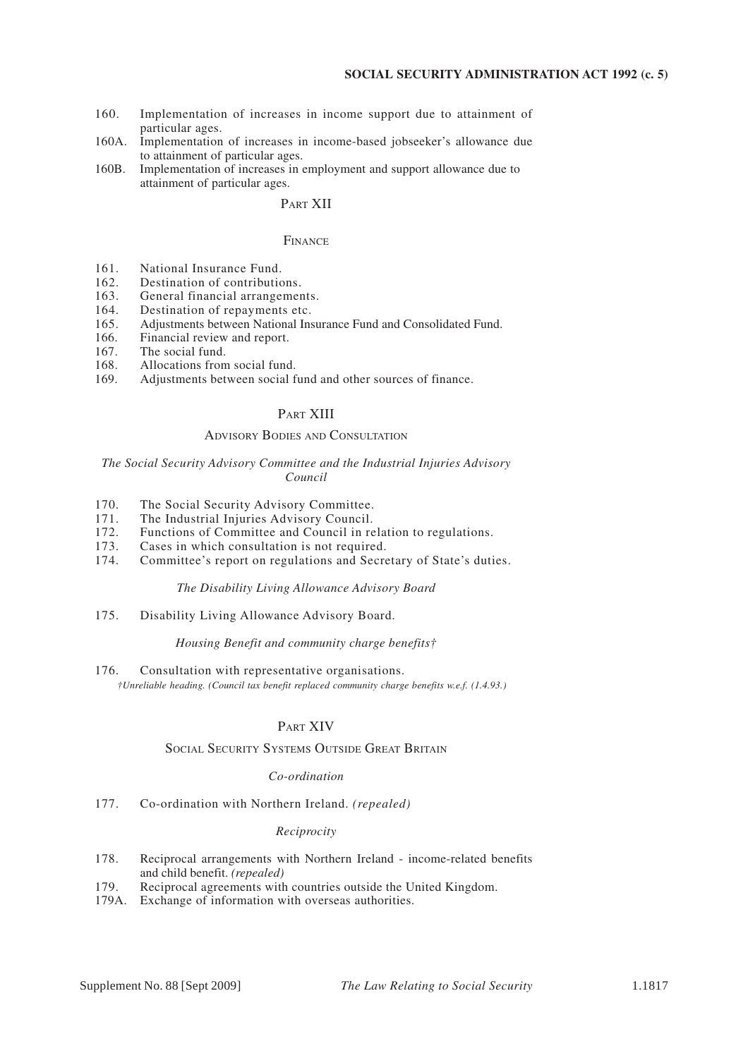- 160. Implementation of increases in income support due to attainment of particular ages.
- 160A. Implementation of increases in income-based jobseeker's allowance due to attainment of particular ages.
- 160B. Implementation of increases in employment and support allowance due to attainment of particular ages.

## PART XII

## **FINANCE**

- 161. National Insurance Fund.<br>162. Destination of contribution
- 162. Destination of contributions.<br>163. General financial arrangement
- 163. General financial arrangements.<br>164. Destination of repayments etc.
- Destination of repayments etc.
- 165. Adjustments between National Insurance Fund and Consolidated Fund.
- 166. Financial review and report.<br>167. The social fund.
- 167. The social fund.<br>168. Allocations from
- 168. Allocations from social fund.<br>169. Adjustments between social f
- Adjustments between social fund and other sources of finance.

## PART XIII

## ADVISORY BODIES AND CONSULTATION

#### *The Social Security Advisory Committee and the Industrial Injuries Advisory Council*

- 170. The Social Security Advisory Committee.<br>171. The Industrial Iniuries Advisory Council.
- 171. The Industrial Injuries Advisory Council.<br>172. Functions of Committee and Council in re
- Functions of Committee and Council in relation to regulations.
- 173. Cases in which consultation is not required.
- 174. Committee's report on regulations and Secretary of State's duties.

## *The Disability Living Allowance Advisory Board*

175. Disability Living Allowance Advisory Board.

## *Housing Benefit and community charge benefits†*

176. Consultation with representative organisations. *†Unreliable heading. (Council tax benefit replaced community charge benefits w.e.f. (1.4.93.)*

## PART XIV

## SOCIAL SECURITY SYSTEMS OUTSIDE GREAT BRITAIN

## *Co-ordination*

177. Co-ordination with Northern Ireland. *(repealed)*

## *Reciprocity*

- 178. Reciprocal arrangements with Northern Ireland income-related benefits and child benefit. *(repealed)*
- 179. Reciprocal agreements with countries outside the United Kingdom.
- 179A. Exchange of information with overseas authorities.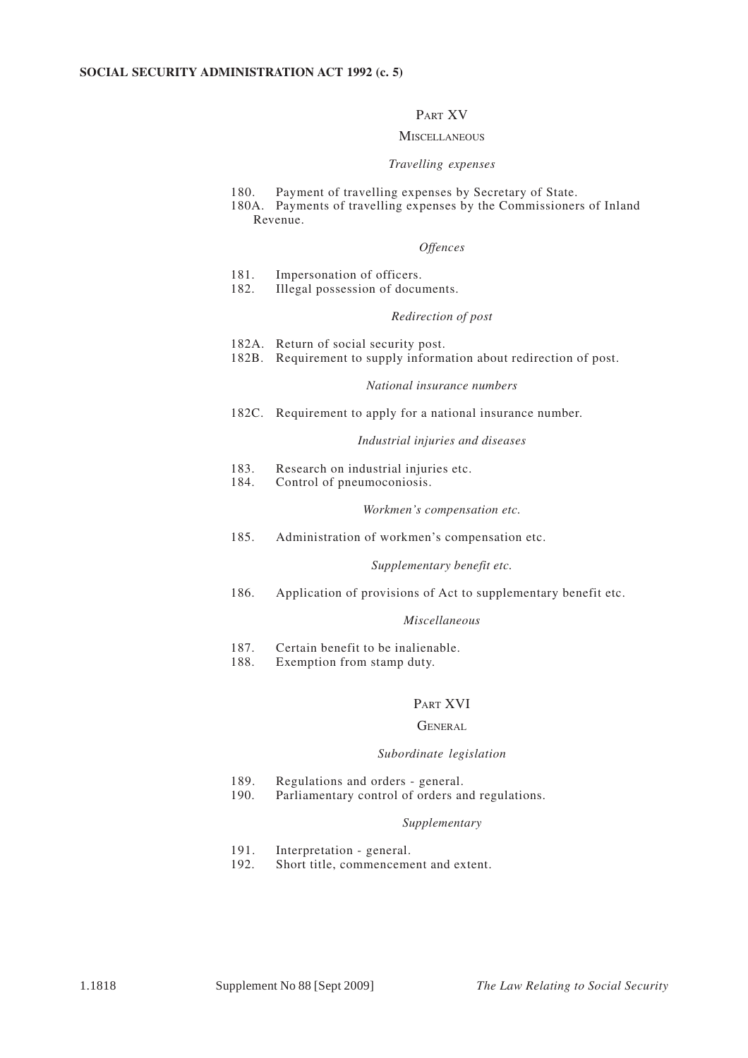## PART XV

## **MISCELLANEOUS**

#### *Travelling expenses*

- 180. Payment of travelling expenses by Secretary of State.
- 180A. Payments of travelling expenses by the Commissioners of Inland Revenue.

## *Offences*

- 181. Impersonation of officers.
- 182. Illegal possession of documents.

#### *Redirection of post*

- 182A. Return of social security post.
- 182B. Requirement to supply information about redirection of post.

## *National insurance numbers*

182C. Requirement to apply for a national insurance number.

## *Industrial injuries and diseases*

- 183. Research on industrial injuries etc.
- 184. Control of pneumoconiosis.

#### *Workmen's compensation etc.*

185. Administration of workmen's compensation etc.

## *Supplementary benefit etc.*

186. Application of provisions of Act to supplementary benefit etc.

#### *Miscellaneous*

- 187. Certain benefit to be inalienable.
- 188. Exemption from stamp duty.

## PART XVI

## GENERAL

#### *Subordinate legislation*

- 189. Regulations and orders general.<br>190. Parliamentary control of orders and
- Parliamentary control of orders and regulations.

## *Supplementary*

- 191. Interpretation general.<br>192. Short title, commencement
- Short title, commencement and extent.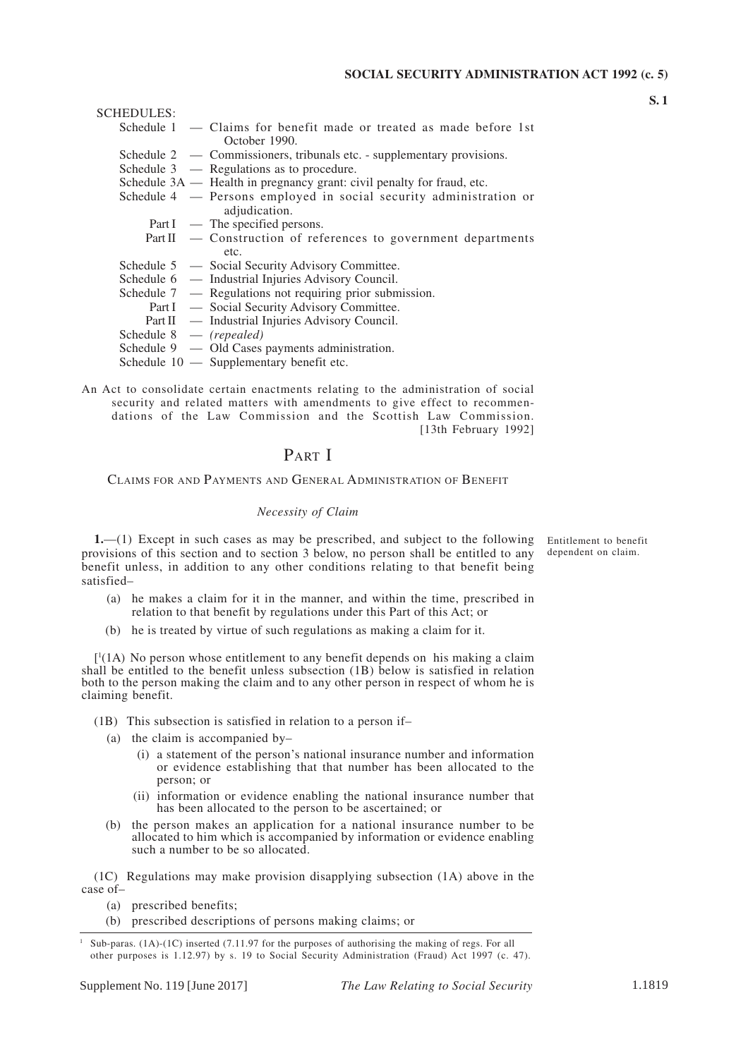**S. 1**

| <b>SCHEDULES:</b>         |                                                                          |
|---------------------------|--------------------------------------------------------------------------|
|                           | Schedule $1 -$ Claims for benefit made or treated as made before 1st     |
|                           | October 1990.                                                            |
|                           | Schedule $2$ — Commissioners, tribunals etc. - supplementary provisions. |
|                           | Schedule $3$ — Regulations as to procedure.                              |
|                           | Schedule 3A — Health in pregnancy grant: civil penalty for fraud, etc.   |
|                           | Schedule 4 - Persons employed in social security administration or       |
|                           | adjudication.                                                            |
|                           | Part $I$ — The specified persons.                                        |
|                           | Part $II$ - Construction of references to government departments         |
|                           | etc.                                                                     |
|                           | Schedule 5 — Social Security Advisory Committee.                         |
|                           | Schedule 6 — Industrial Injuries Advisory Council.                       |
|                           | Schedule $7 -$ Regulations not requiring prior submission.               |
|                           | Part I — Social Security Advisory Committee.                             |
|                           | Part II — Industrial Injuries Advisory Council.                          |
| Schedule $8 - (repeated)$ |                                                                          |
|                           | Schedule $9 -$ Old Cases payments administration.                        |
|                           | Schedule $10$ — Supplementary benefit etc.                               |
|                           |                                                                          |

An Act to consolidate certain enactments relating to the administration of social security and related matters with amendments to give effect to recommendations of the Law Commission and the Scottish Law Commission. [13th February 1992]

# PART I

## CLAIMS FOR AND PAYMENTS AND GENERAL ADMINISTRATION OF BENEFIT

### *Necessity of Claim*

**1.**—(1) Except in such cases as may be prescribed, and subject to the following Entitlement to benefit provisions of this section and to section 3 below, no person shall be entitled to any benefit unless, in addition to any other conditions relating to that benefit being satisfied–

- (a) he makes a claim for it in the manner, and within the time, prescribed in relation to that benefit by regulations under this Part of this Act; or
- (b) he is treated by virtue of such regulations as making a claim for it.

[ 1 (1A) No person whose entitlement to any benefit depends on his making a claim shall be entitled to the benefit unless subsection (1B) below is satisfied in relation both to the person making the claim and to any other person in respect of whom he is claiming benefit.

- (1B) This subsection is satisfied in relation to a person if–
	- (a) the claim is accompanied by–
		- (i) a statement of the person's national insurance number and information or evidence establishing that that number has been allocated to the person; or
		- (ii) information or evidence enabling the national insurance number that has been allocated to the person to be ascertained; or
	- (b) the person makes an application for a national insurance number to be allocated to him which is accompanied by information or evidence enabling such a number to be so allocated.

(1C) Regulations may make provision disapplying subsection (1A) above in the case of–

- (a) prescribed benefits;
- (b) prescribed descriptions of persons making claims; or

dependent on claim.

Sub-paras.  $(1A)$ - $(1C)$  inserted  $(7.11.97$  for the purposes of authorising the making of regs. For all other purposes is 1.12.97) by s. 19 to Social Security Administration (Fraud) Act 1997 (c. 47).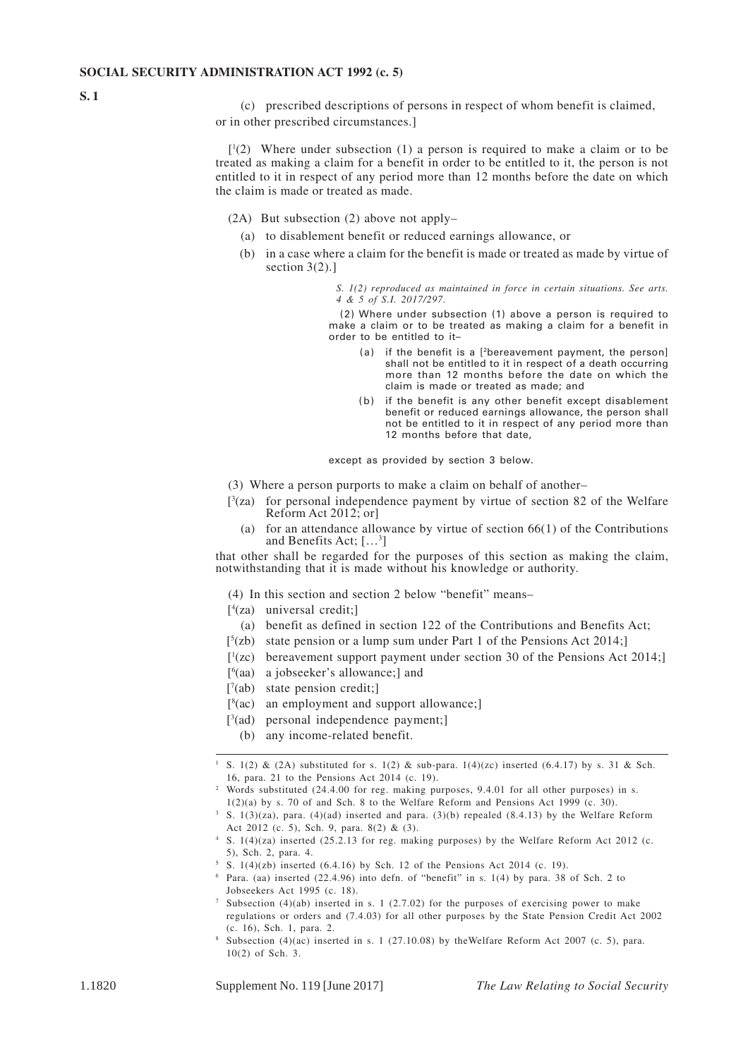**S. 1**

(c) prescribed descriptions of persons in respect of whom benefit is claimed, or in other prescribed circumstances.]

 $[1(2)$  Where under subsection (1) a person is required to make a claim or to be treated as making a claim for a benefit in order to be entitled to it, the person is not entitled to it in respect of any period more than 12 months before the date on which the claim is made or treated as made.

- (2A) But subsection (2) above not apply–
	- (a) to disablement benefit or reduced earnings allowance, or
	- (b) in a case where a claim for the benefit is made or treated as made by virtue of section 3(2).]

*S. 1(2) reproduced as maintained in force in certain situations. See arts. 4 & 5 of S.I. 2017/297.*

(2) Where under subsection (1) above a person is required to make a claim or to be treated as making a claim for a benefit in order to be entitled to it–

- (a) if the benefit is a [2bereavement payment, the person] shall not be entitled to it in respect of a death occurring more than 12 months before the date on which the claim is made or treated as made; and
- (b) if the benefit is any other benefit except disablement benefit or reduced earnings allowance, the person shall not be entitled to it in respect of any period more than 12 months before that date,

except as provided by section 3 below.

(3) Where a person purports to make a claim on behalf of another–

- [3 (za) for personal independence payment by virtue of section 82 of the Welfare Reform Act 2012; or]
	- (a) for an attendance allowance by virtue of section  $66(1)$  of the Contributions and Benefits Act; […3 ]

that other shall be regarded for the purposes of this section as making the claim, notwithstanding that it is made without his knowledge or authority.

(4) In this section and section 2 below "benefit" means–

[4 (za) universal credit;]

- (a) benefit as defined in section 122 of the Contributions and Benefits Act;
- $[5(zb)$  state pension or a lump sum under Part 1 of the Pensions Act 2014;
- [ 1 (zc) bereavement support payment under section 30 of the Pensions Act 2014;]
- [<sup>6</sup>(aa) a jobseeker's allowance;] and
- [7(ab) state pension credit;]
- [ 8 (ac) an employment and support allowance;]
- [<sup>3</sup>(ad) personal independence payment;]
	- (b) any income-related benefit.

<sup>&</sup>lt;sup>1</sup> S. 1(2) & (2A) substituted for s. 1(2) & sub-para. 1(4)(zc) inserted (6.4.17) by s. 31 & Sch. 16, para. 21 to the Pensions Act 2014 (c. 19).

<sup>2</sup> Words substituted (24.4.00 for reg. making purposes, 9.4.01 for all other purposes) in s.

<sup>1(2)(</sup>a) by s. 70 of and Sch. 8 to the Welfare Reform and Pensions Act 1999 (c. 30). <sup>3</sup> S. 1(3)(za), para. (4)(ad) inserted and para. (3)(b) repealed (8.4.13) by the Welfare Reform

Act 2012 (c. 5), Sch. 9, para. 8(2) & (3).

<sup>4</sup> S. 1(4)(za) inserted (25.2.13 for reg. making purposes) by the Welfare Reform Act 2012 (c. 5), Sch. 2, para. 4.

<sup>&</sup>lt;sup>5</sup> S.  $1(4)(zb)$  inserted (6.4.16) by Sch. 12 of the Pensions Act 2014 (c. 19).

 $6$  Para. (aa) inserted (22.4.96) into defn. of "benefit" in s. 1(4) by para. 38 of Sch. 2 to Jobseekers Act 1995 (c. 18).

Subsection (4)(ab) inserted in s. 1 (2.7.02) for the purposes of exercising power to make regulations or orders and (7.4.03) for all other purposes by the State Pension Credit Act 2002 (c. 16), Sch. 1, para. 2.

<sup>&</sup>lt;sup>8</sup> Subsection (4)(ac) inserted in s. 1 (27.10.08) by the Welfare Reform Act 2007 (c. 5), para. 10(2) of Sch. 3.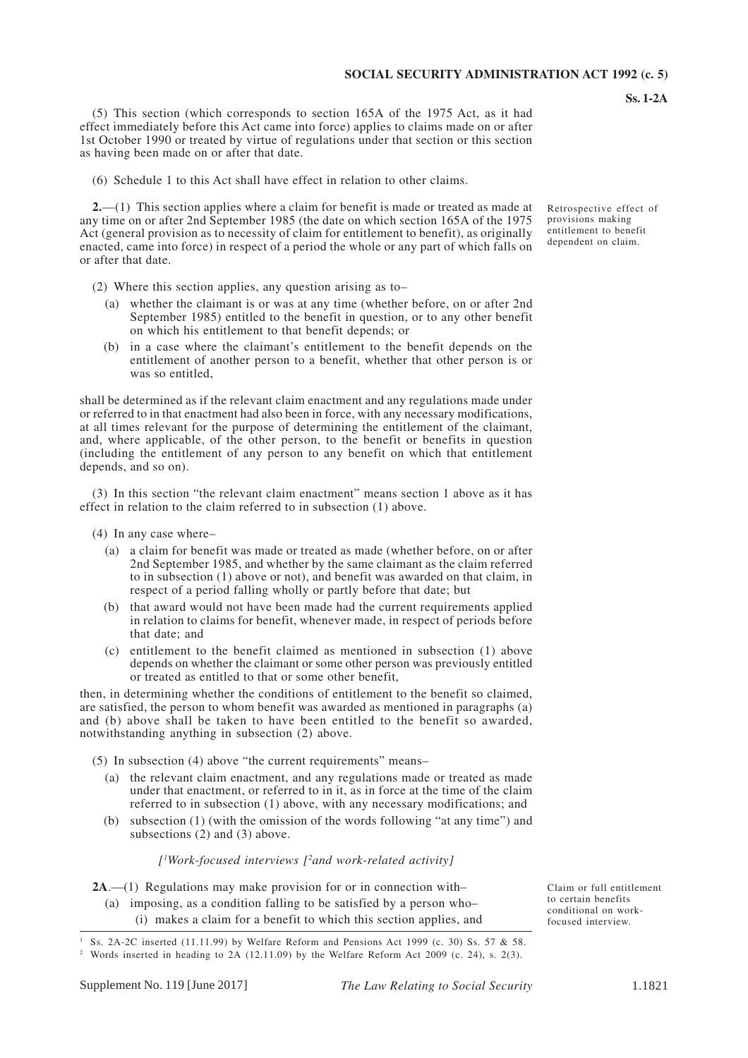(5) This section (which corresponds to section 165A of the 1975 Act, as it had effect immediately before this Act came into force) applies to claims made on or after 1st October 1990 or treated by virtue of regulations under that section or this section as having been made on or after that date.

(6) Schedule 1 to this Act shall have effect in relation to other claims.

**2.**—(1) This section applies where a claim for benefit is made or treated as made at any time on or after 2nd September 1985 (the date on which section 165A of the 1975 Act (general provision as to necessity of claim for entitlement to benefit), as originally enacted, came into force) in respect of a period the whole or any part of which falls on or after that date.

(2) Where this section applies, any question arising as to–

- (a) whether the claimant is or was at any time (whether before, on or after 2nd September 1985) entitled to the benefit in question, or to any other benefit on which his entitlement to that benefit depends; or
- (b) in a case where the claimant's entitlement to the benefit depends on the entitlement of another person to a benefit, whether that other person is or was so entitled.

shall be determined as if the relevant claim enactment and any regulations made under or referred to in that enactment had also been in force, with any necessary modifications, at all times relevant for the purpose of determining the entitlement of the claimant, and, where applicable, of the other person, to the benefit or benefits in question (including the entitlement of any person to any benefit on which that entitlement depends, and so on).

(3) In this section "the relevant claim enactment" means section 1 above as it has effect in relation to the claim referred to in subsection (1) above.

- (4) In any case where–
	- (a) a claim for benefit was made or treated as made (whether before, on or after 2nd September 1985, and whether by the same claimant as the claim referred to in subsection (1) above or not), and benefit was awarded on that claim, in respect of a period falling wholly or partly before that date; but
	- (b) that award would not have been made had the current requirements applied in relation to claims for benefit, whenever made, in respect of periods before that date; and
	- (c) entitlement to the benefit claimed as mentioned in subsection (1) above depends on whether the claimant or some other person was previously entitled or treated as entitled to that or some other benefit,

then, in determining whether the conditions of entitlement to the benefit so claimed, are satisfied, the person to whom benefit was awarded as mentioned in paragraphs (a) and (b) above shall be taken to have been entitled to the benefit so awarded, notwithstanding anything in subsection (2) above.

(5) In subsection (4) above "the current requirements" means–

- (a) the relevant claim enactment, and any regulations made or treated as made under that enactment, or referred to in it, as in force at the time of the claim referred to in subsection (1) above, with any necessary modifications; and
- (b) subsection (1) (with the omission of the words following "at any time") and subsections (2) and (3) above.

## *[1 Work-focused interviews [2 and work-related activity]*

**2A**.—(1) Regulations may make provision for or in connection with–

(a) imposing, as a condition falling to be satisfied by a person who– (i) makes a claim for a benefit to which this section applies, and Claim or full entitlement to certain benefits conditional on workfocused interview.

Retrospective effect of provisions making entitlement to benefit dependent on claim.

<sup>1</sup> Ss. 2A-2C inserted (11.11.99) by Welfare Reform and Pensions Act 1999 (c. 30) Ss. 57 & 58.

Words inserted in heading to  $2A$  (12.11.09) by the Welfare Reform Act 2009 (c. 24), s. 2(3).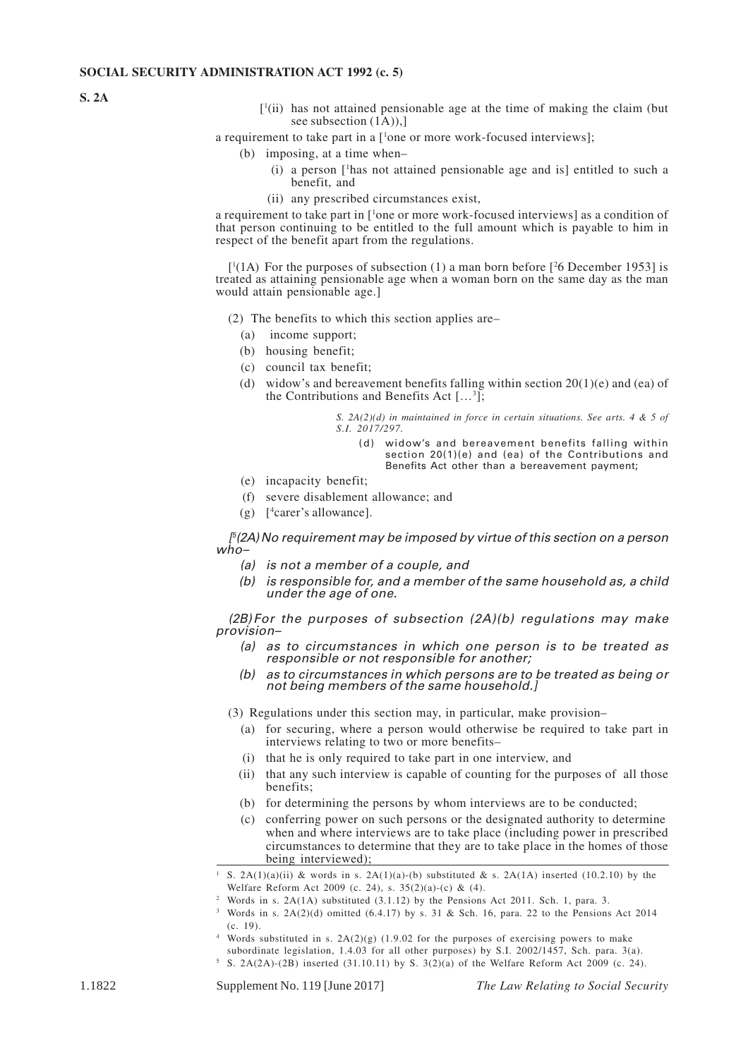**S. 2A**

[1 (ii) has not attained pensionable age at the time of making the claim (but see subsection  $(1A)$ ),

a requirement to take part in a [<sup>1</sup>one or more work-focused interviews];

- (b) imposing, at a time when–
	- (i) a person [1 has not attained pensionable age and is] entitled to such a benefit, and
	- (ii) any prescribed circumstances exist,

a requirement to take part in [<sup>1</sup>one or more work-focused interviews] as a condition of that person continuing to be entitled to the full amount which is payable to him in respect of the benefit apart from the regulations.

 $[1(1A)$  For the purposes of subsection (1) a man born before  $[26$  December 1953] is treated as attaining pensionable age when a woman born on the same day as the man would attain pensionable age.]

- (2) The benefits to which this section applies are–
	- (a) income support;
	- (b) housing benefit;
	- (c) council tax benefit;
	- (d) widow's and bereavement benefits falling within section  $20(1)(e)$  and (ea) of the Contributions and Benefits Act  $[\dots^3]$ ;

*S. 2A(2)(d) in maintained in force in certain situations. See arts. 4 & 5 of S.I. 2017/297.*

- (d) widow's and bereavement benefits falling within section 20(1)(e) and (ea) of the Contributions and Benefits Act other than a bereavement payment;
- (e) incapacity benefit;
- (f) severe disablement allowance; and
- (g) [4 carer's allowance].

[ <sup>5</sup>(2A)No requirement may be imposed by virtue of this section on a person who–

- (a) is not a member of a couple, and
- (b) is responsible for, and a member of the same household as, a child under the age of one.

(2B)For the purposes of subsection (2A)(b) regulations may make provision–

- (a) as to circumstances in which one person is to be treated as responsible or not responsible for another;
- (b) as to circumstances in which persons are to be treated as being or not being members of the same household.]

(3) Regulations under this section may, in particular, make provision–

- (a) for securing, where a person would otherwise be required to take part in interviews relating to two or more benefits–
- (i) that he is only required to take part in one interview, and
- (ii) that any such interview is capable of counting for the purposes of all those benefits;
- (b) for determining the persons by whom interviews are to be conducted;
- (c) conferring power on such persons or the designated authority to determine when and where interviews are to take place (including power in prescribed circumstances to determine that they are to take place in the homes of those being interviewed);

<sup>5</sup> S. 2A(2A)-(2B) inserted (31.10.11) by S. 3(2)(a) of the Welfare Reform Act 2009 (c. 24).

S. 2A(1)(a)(ii) & words in s. 2A(1)(a)-(b) substituted & s. 2A(1A) inserted (10.2.10) by the Welfare Reform Act 2009 (c. 24), s. 35(2)(a)-(c) & (4).

<sup>2</sup> Words in s. 2A(1A) substituted (3.1.12) by the Pensions Act 2011. Sch. 1, para. 3.

<sup>&</sup>lt;sup>3</sup> Words in s.  $2A(2)(d)$  omitted (6.4.17) by s. 31 & Sch. 16, para. 22 to the Pensions Act 2014 (c. 19).

<sup>&</sup>lt;sup>4</sup> Words substituted in s.  $2A(2)(g)$  (1.9.02 for the purposes of exercising powers to make subordinate legislation, 1.4.03 for all other purposes) by S.I. 2002/1457, Sch. para. 3(a).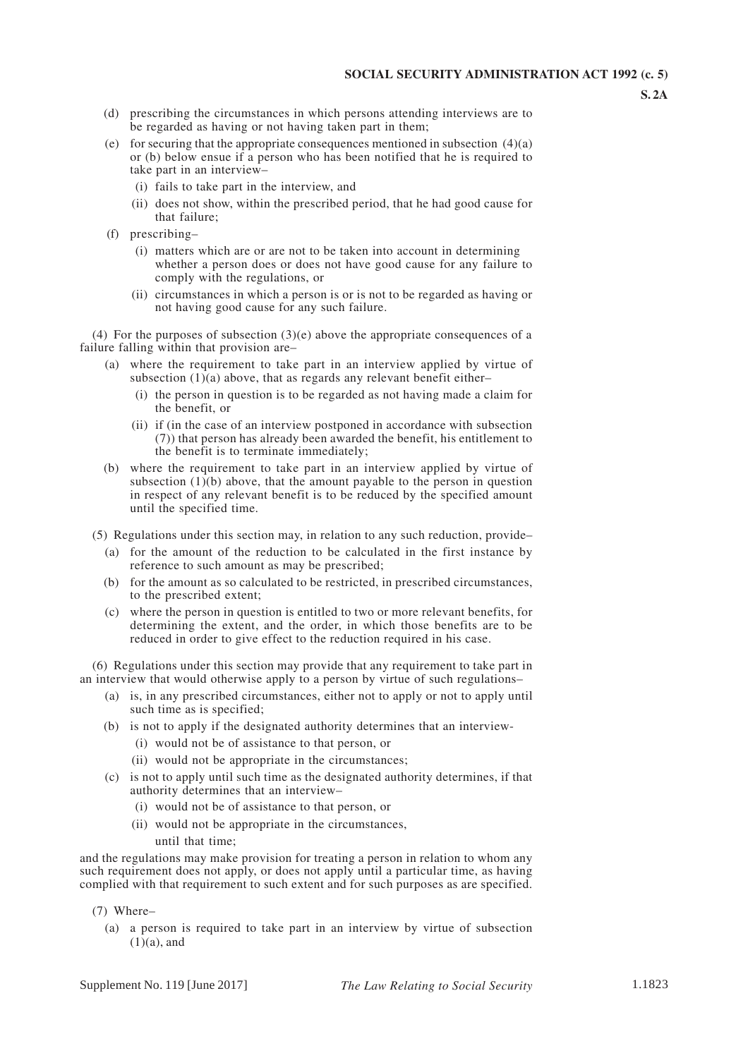- (d) prescribing the circumstances in which persons attending interviews are to be regarded as having or not having taken part in them;
- (e) for securing that the appropriate consequences mentioned in subsection (4)(a) or (b) below ensue if a person who has been notified that he is required to take part in an interview–
	- (i) fails to take part in the interview, and
	- (ii) does not show, within the prescribed period, that he had good cause for that failure;
- (f) prescribing–
	- (i) matters which are or are not to be taken into account in determining whether a person does or does not have good cause for any failure to comply with the regulations, or
	- (ii) circumstances in which a person is or is not to be regarded as having or not having good cause for any such failure.

(4) For the purposes of subsection  $(3)(e)$  above the appropriate consequences of a failure falling within that provision are–

- (a) where the requirement to take part in an interview applied by virtue of subsection  $(1)(a)$  above, that as regards any relevant benefit either–
	- (i) the person in question is to be regarded as not having made a claim for the benefit, or
	- (ii) if (in the case of an interview postponed in accordance with subsection (7)) that person has already been awarded the benefit, his entitlement to the benefit is to terminate immediately;
- (b) where the requirement to take part in an interview applied by virtue of subsection  $(1)(b)$  above, that the amount payable to the person in question in respect of any relevant benefit is to be reduced by the specified amount until the specified time.
- (5) Regulations under this section may, in relation to any such reduction, provide–
	- (a) for the amount of the reduction to be calculated in the first instance by reference to such amount as may be prescribed;
	- (b) for the amount as so calculated to be restricted, in prescribed circumstances, to the prescribed extent;
	- (c) where the person in question is entitled to two or more relevant benefits, for determining the extent, and the order, in which those benefits are to be reduced in order to give effect to the reduction required in his case.

(6) Regulations under this section may provide that any requirement to take part in an interview that would otherwise apply to a person by virtue of such regulations–

- (a) is, in any prescribed circumstances, either not to apply or not to apply until such time as is specified;
- (b) is not to apply if the designated authority determines that an interview-
	- (i) would not be of assistance to that person, or
	- (ii) would not be appropriate in the circumstances;
- (c) is not to apply until such time as the designated authority determines, if that authority determines that an interview–
	- (i) would not be of assistance to that person, or
	- (ii) would not be appropriate in the circumstances,
		- until that time;

and the regulations may make provision for treating a person in relation to whom any such requirement does not apply, or does not apply until a particular time, as having complied with that requirement to such extent and for such purposes as are specified.

- (7) Where–
	- (a) a person is required to take part in an interview by virtue of subsection  $(1)(a)$ , and

**S. 2A**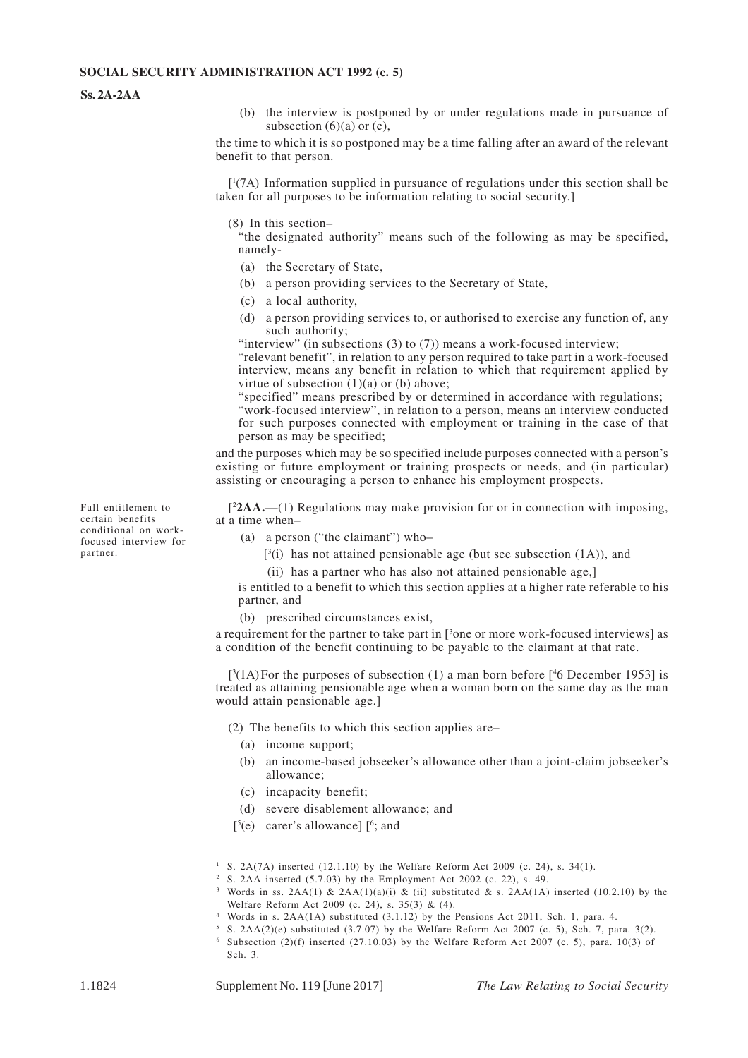**Ss. 2A-2AA**

(b) the interview is postponed by or under regulations made in pursuance of subsection  $(6)(a)$  or  $(c)$ ,

the time to which it is so postponed may be a time falling after an award of the relevant benefit to that person.

[ 1 (7A) Information supplied in pursuance of regulations under this section shall be taken for all purposes to be information relating to social security.]

(8) In this section–

"the designated authority" means such of the following as may be specified, namely-

- (a) the Secretary of State,
- (b) a person providing services to the Secretary of State,
- (c) a local authority,
- (d) a person providing services to, or authorised to exercise any function of, any such authority;

"interview" (in subsections  $(3)$  to  $(7)$ ) means a work-focused interview;

"relevant benefit", in relation to any person required to take part in a work-focused interview, means any benefit in relation to which that requirement applied by virtue of subsection  $(1)(a)$  or  $(b)$  above;

"specified" means prescribed by or determined in accordance with regulations;

"work-focused interview", in relation to a person, means an interview conducted for such purposes connected with employment or training in the case of that person as may be specified;

and the purposes which may be so specified include purposes connected with a person's existing or future employment or training prospects or needs, and (in particular) assisting or encouraging a person to enhance his employment prospects.

[2 **2AA.**—(1) Regulations may make provision for or in connection with imposing, at a time when–

(a) a person ("the claimant") who–

- $[3(i)$  has not attained pensionable age (but see subsection (1A)), and
- (ii) has a partner who has also not attained pensionable age,]

is entitled to a benefit to which this section applies at a higher rate referable to his partner, and

(b) prescribed circumstances exist,

a requirement for the partner to take part in [<sup>3</sup>one or more work-focused interviews] as a condition of the benefit continuing to be payable to the claimant at that rate.

 $[3(1A)$  For the purposes of subsection (1) a man born before  $[46$  December 1953] is treated as attaining pensionable age when a woman born on the same day as the man would attain pensionable age.]

(2) The benefits to which this section applies are–

- (a) income support;
- (b) an income-based jobseeker's allowance other than a joint-claim jobseeker's allowance;
- (c) incapacity benefit;
- (d) severe disablement allowance; and
- $[5(e)$  carer's allowance]  $[6]$ ; and

Full entitlement to certain benefits conditional on workfocused interview for partner.

<sup>1</sup> S. 2A(7A) inserted (12.1.10) by the Welfare Reform Act 2009 (c. 24), s. 34(1).

<sup>&</sup>lt;sup>2</sup> S. 2AA inserted  $(5.7.03)$  by the Employment Act 2002 (c. 22), s. 49.

<sup>&</sup>lt;sup>3</sup> Words in ss. 2AA(1) & 2AA(1)(a)(i) & (ii) substituted & s. 2AA(1A) inserted (10.2.10) by the Welfare Reform Act 2009 (c. 24), s. 35(3) & (4).

<sup>4</sup> Words in s. 2AA(1A) substituted (3.1.12) by the Pensions Act 2011, Sch. 1, para. 4.

<sup>&</sup>lt;sup>5</sup> S. 2AA(2)(e) substituted (3.7.07) by the Welfare Reform Act 2007 (c. 5), Sch. 7, para. 3(2).

<sup>&</sup>lt;sup>6</sup> Subsection (2)(f) inserted (27.10.03) by the Welfare Reform Act 2007 (c. 5), para. 10(3) of Sch. 3.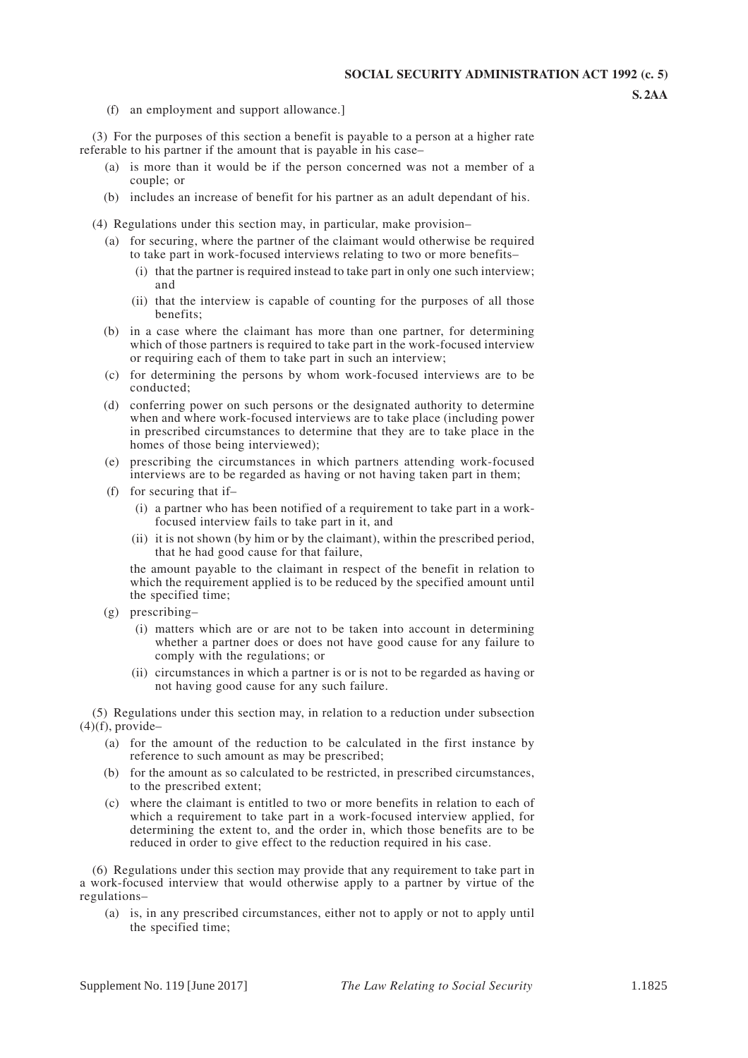(f) an employment and support allowance.]

(3) For the purposes of this section a benefit is payable to a person at a higher rate referable to his partner if the amount that is payable in his case–

- (a) is more than it would be if the person concerned was not a member of a couple; or
- (b) includes an increase of benefit for his partner as an adult dependant of his.

(4) Regulations under this section may, in particular, make provision–

- (a) for securing, where the partner of the claimant would otherwise be required to take part in work-focused interviews relating to two or more benefits–
	- (i) that the partner is required instead to take part in only one such interview; and
	- (ii) that the interview is capable of counting for the purposes of all those benefits;
- (b) in a case where the claimant has more than one partner, for determining which of those partners is required to take part in the work-focused interview or requiring each of them to take part in such an interview;
- (c) for determining the persons by whom work-focused interviews are to be conducted;
- (d) conferring power on such persons or the designated authority to determine when and where work-focused interviews are to take place (including power in prescribed circumstances to determine that they are to take place in the homes of those being interviewed);
- (e) prescribing the circumstances in which partners attending work-focused interviews are to be regarded as having or not having taken part in them;
- (f) for securing that if–
	- (i) a partner who has been notified of a requirement to take part in a workfocused interview fails to take part in it, and
	- (ii) it is not shown (by him or by the claimant), within the prescribed period, that he had good cause for that failure,

the amount payable to the claimant in respect of the benefit in relation to which the requirement applied is to be reduced by the specified amount until the specified time;

- (g) prescribing–
	- (i) matters which are or are not to be taken into account in determining whether a partner does or does not have good cause for any failure to comply with the regulations; or
	- (ii) circumstances in which a partner is or is not to be regarded as having or not having good cause for any such failure.

(5) Regulations under this section may, in relation to a reduction under subsection  $(4)(f)$ , provide-

- (a) for the amount of the reduction to be calculated in the first instance by reference to such amount as may be prescribed;
- (b) for the amount as so calculated to be restricted, in prescribed circumstances, to the prescribed extent;
- (c) where the claimant is entitled to two or more benefits in relation to each of which a requirement to take part in a work-focused interview applied, for determining the extent to, and the order in, which those benefits are to be reduced in order to give effect to the reduction required in his case.

(6) Regulations under this section may provide that any requirement to take part in a work-focused interview that would otherwise apply to a partner by virtue of the regulations–

(a) is, in any prescribed circumstances, either not to apply or not to apply until the specified time;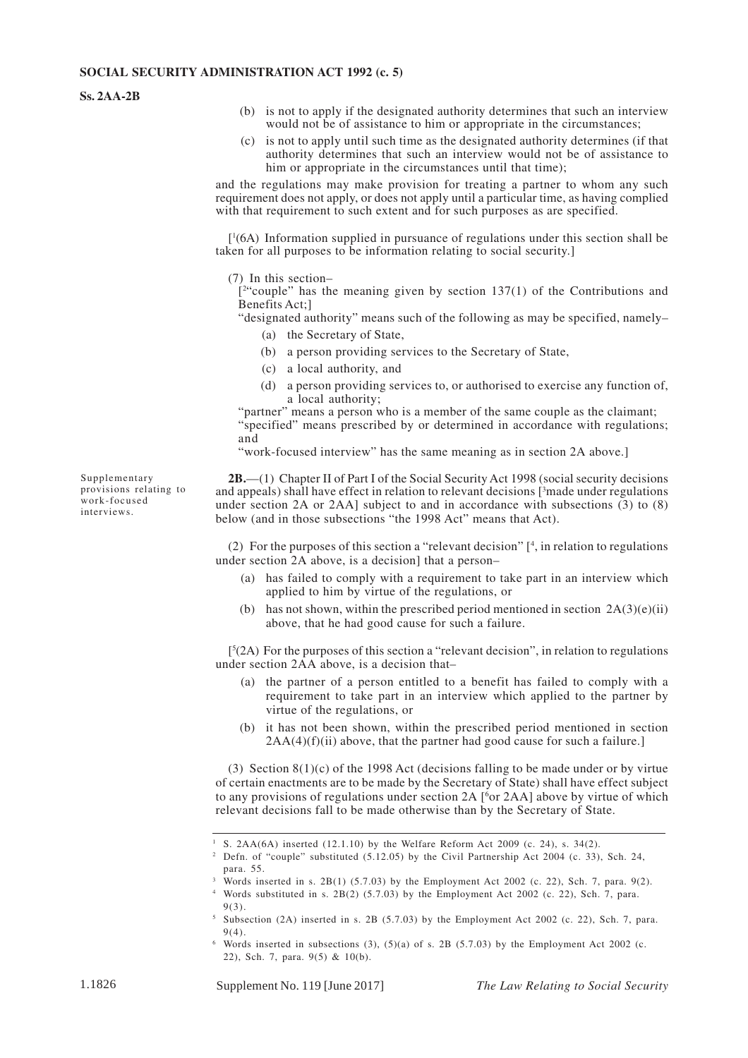**Ss. 2AA-2B**

- (b) is not to apply if the designated authority determines that such an interview would not be of assistance to him or appropriate in the circumstances;
- (c) is not to apply until such time as the designated authority determines (if that authority determines that such an interview would not be of assistance to him or appropriate in the circumstances until that time);

and the regulations may make provision for treating a partner to whom any such requirement does not apply, or does not apply until a particular time, as having complied with that requirement to such extent and for such purposes as are specified.

[ 1 (6A) Information supplied in pursuance of regulations under this section shall be taken for all purposes to be information relating to social security.]

(7) In this section–

 $[2^{\alpha}$ couple" has the meaning given by section 137(1) of the Contributions and Benefits Act;]

"designated authority" means such of the following as may be specified, namely–

- (a) the Secretary of State,
- (b) a person providing services to the Secretary of State,
- (c) a local authority, and
- (d) a person providing services to, or authorised to exercise any function of, a local authority;

"partner" means a person who is a member of the same couple as the claimant; "specified" means prescribed by or determined in accordance with regulations; and

"work-focused interview" has the same meaning as in section 2A above.]

Supplementary provisions relating to work-focused interviews.

**2B.**—(1) Chapter II of Part I of the Social Security Act 1998 (social security decisions and appeals) shall have effect in relation to relevant decisions [3 made under regulations under section 2A or 2AA] subject to and in accordance with subsections  $(3)$  to  $(8)$ below (and in those subsections "the 1998 Act" means that Act).

(2) For the purposes of this section a "relevant decision" [4 , in relation to regulations under section 2A above, is a decision] that a person–

- (a) has failed to comply with a requirement to take part in an interview which applied to him by virtue of the regulations, or
- (b) has not shown, within the prescribed period mentioned in section  $2A(3)(e)(ii)$ above, that he had good cause for such a failure.

[<sup>5</sup>(2A) For the purposes of this section a "relevant decision", in relation to regulations under section 2AA above, is a decision that–

- (a) the partner of a person entitled to a benefit has failed to comply with a requirement to take part in an interview which applied to the partner by virtue of the regulations, or
- (b) it has not been shown, within the prescribed period mentioned in section  $2AA(4)(f)(ii)$  above, that the partner had good cause for such a failure.

(3) Section 8(1)(c) of the 1998 Act (decisions falling to be made under or by virtue of certain enactments are to be made by the Secretary of State) shall have effect subject to any provisions of regulations under section 2A [<sup>6</sup>or 2AA] above by virtue of which relevant decisions fall to be made otherwise than by the Secretary of State.

Words inserted in s.  $2B(1)$  (5.7.03) by the Employment Act 2002 (c. 22), Sch. 7, para. 9(2).

<sup>1</sup> S. 2AA(6A) inserted (12.1.10) by the Welfare Reform Act 2009 (c. 24), s. 34(2).

<sup>2</sup> Defn. of "couple" substituted (5.12.05) by the Civil Partnership Act 2004 (c. 33), Sch. 24, para. 55.

<sup>4</sup> Words substituted in s. 2B(2) (5.7.03) by the Employment Act 2002 (c. 22), Sch. 7, para.  $9(3)$ .

<sup>5</sup> Subsection (2A) inserted in s. 2B (5.7.03) by the Employment Act 2002 (c. 22), Sch. 7, para.  $9(4)$ .

<sup>&</sup>lt;sup>6</sup> Words inserted in subsections (3), (5)(a) of s. 2B (5.7.03) by the Employment Act 2002 (c. 22), Sch. 7, para. 9(5) & 10(b).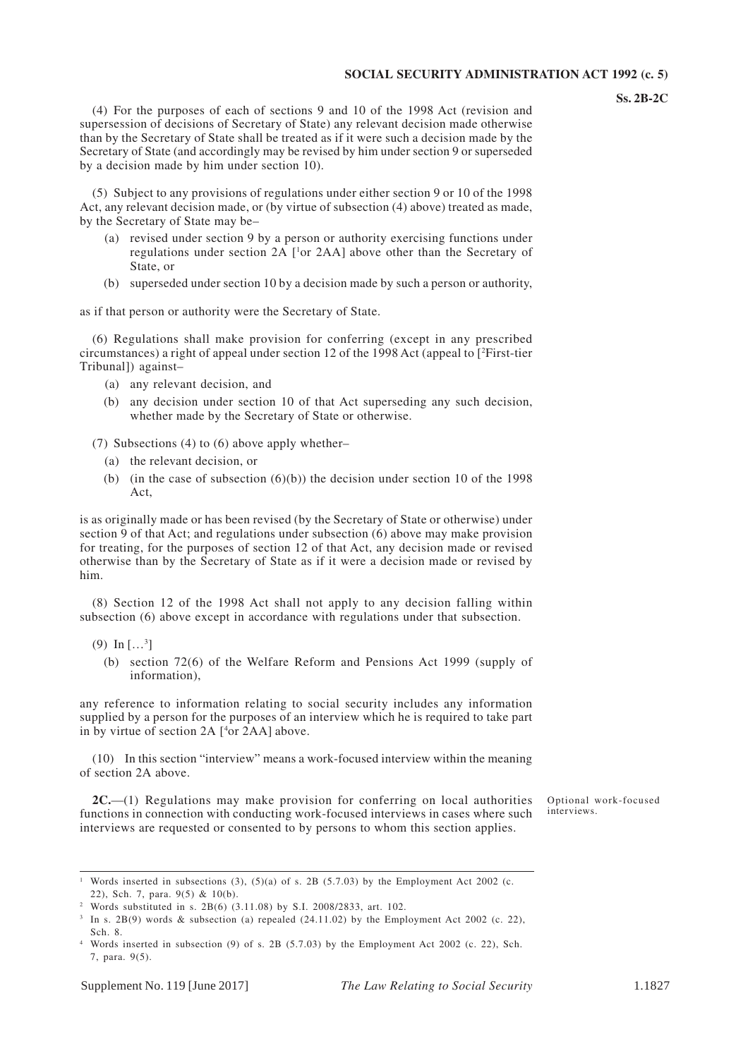**Ss. 2B-2C**

(4) For the purposes of each of sections 9 and 10 of the 1998 Act (revision and supersession of decisions of Secretary of State) any relevant decision made otherwise than by the Secretary of State shall be treated as if it were such a decision made by the Secretary of State (and accordingly may be revised by him under section 9 or superseded by a decision made by him under section 10).

(5) Subject to any provisions of regulations under either section 9 or 10 of the 1998 Act, any relevant decision made, or (by virtue of subsection (4) above) treated as made, by the Secretary of State may be–

- (a) revised under section 9 by a person or authority exercising functions under regulations under section 2A [<sup>1</sup>or 2AA] above other than the Secretary of State, or
- (b) superseded under section 10 by a decision made by such a person or authority,

as if that person or authority were the Secretary of State.

(6) Regulations shall make provision for conferring (except in any prescribed circumstances) a right of appeal under section 12 of the 1998 Act (appeal to [2 First-tier Tribunal]) against–

- (a) any relevant decision, and
- (b) any decision under section 10 of that Act superseding any such decision, whether made by the Secretary of State or otherwise.

(7) Subsections (4) to (6) above apply whether–

- (a) the relevant decision, or
- (b) (in the case of subsection  $(6)(b)$ ) the decision under section 10 of the 1998 Act,

is as originally made or has been revised (by the Secretary of State or otherwise) under section 9 of that Act; and regulations under subsection (6) above may make provision for treating, for the purposes of section 12 of that Act, any decision made or revised otherwise than by the Secretary of State as if it were a decision made or revised by him.

(8) Section 12 of the 1998 Act shall not apply to any decision falling within subsection (6) above except in accordance with regulations under that subsection.

- $(9)$  In  $[...^3]$ 
	- (b) section 72(6) of the Welfare Reform and Pensions Act 1999 (supply of information),

any reference to information relating to social security includes any information supplied by a person for the purposes of an interview which he is required to take part in by virtue of section 2A [4 or 2AA] above.

(10) In this section "interview" means a work-focused interview within the meaning of section 2A above.

**2C.**—(1) Regulations may make provision for conferring on local authorities functions in connection with conducting work-focused interviews in cases where such interviews are requested or consented to by persons to whom this section applies.

Optional work-focused interviews.

Words inserted in subsections (3),  $(5)(a)$  of s. 2B (5.7.03) by the Employment Act 2002 (c. 22), Sch. 7, para. 9(5) & 10(b).

<sup>2</sup> Words substituted in s. 2B(6) (3.11.08) by S.I. 2008/2833, art. 102.

<sup>&</sup>lt;sup>3</sup> In s. 2B(9) words & subsection (a) repealed  $(24.11.02)$  by the Employment Act 2002 (c. 22), Sch. 8.

Words inserted in subsection (9) of s. 2B (5.7.03) by the Employment Act 2002 (c. 22), Sch. 7, para. 9(5).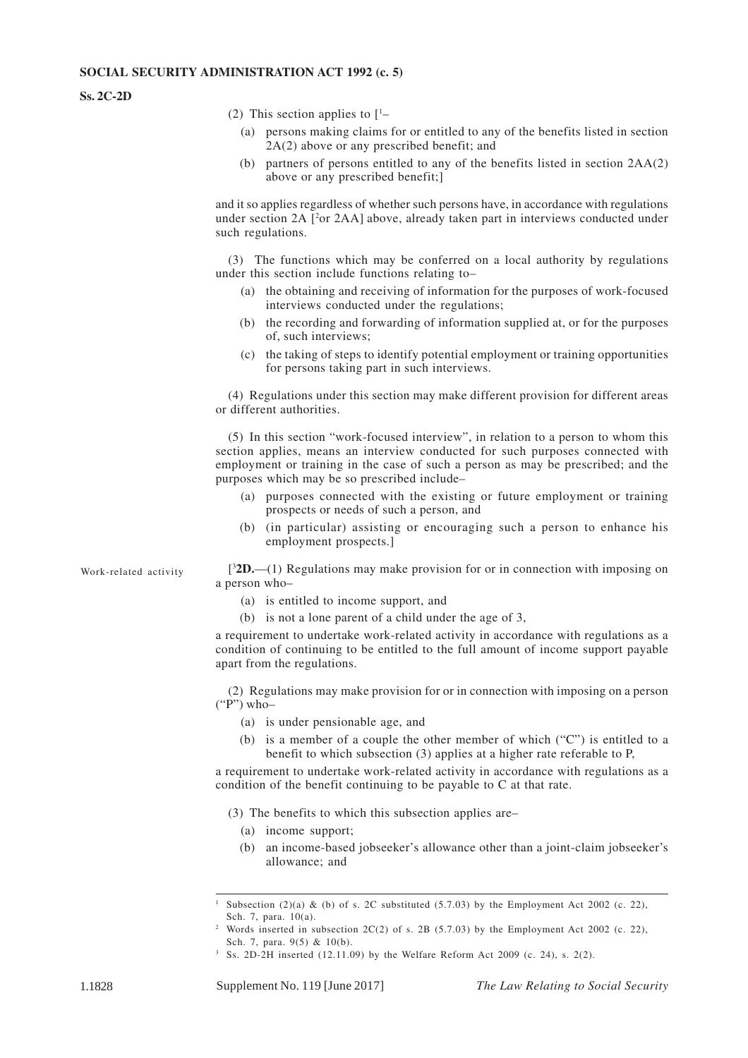#### **Ss. 2C-2D**

- (2) This section applies to  $[1]$ 
	- (a) persons making claims for or entitled to any of the benefits listed in section 2A(2) above or any prescribed benefit; and
	- (b) partners of persons entitled to any of the benefits listed in section 2AA(2) above or any prescribed benefit;]

and it so applies regardless of whether such persons have, in accordance with regulations under section 2A [<sup>2</sup>or 2AA] above, already taken part in interviews conducted under such regulations.

(3) The functions which may be conferred on a local authority by regulations under this section include functions relating to–

- (a) the obtaining and receiving of information for the purposes of work-focused interviews conducted under the regulations;
- (b) the recording and forwarding of information supplied at, or for the purposes of, such interviews;
- (c) the taking of steps to identify potential employment or training opportunities for persons taking part in such interviews.

(4) Regulations under this section may make different provision for different areas or different authorities.

(5) In this section "work-focused interview", in relation to a person to whom this section applies, means an interview conducted for such purposes connected with employment or training in the case of such a person as may be prescribed; and the purposes which may be so prescribed include–

- (a) purposes connected with the existing or future employment or training prospects or needs of such a person, and
- (b) (in particular) assisting or encouraging such a person to enhance his employment prospects.]

[3 **2D.**—(1) Regulations may make provision for or in connection with imposing on a person who–

- (a) is entitled to income support, and
- (b) is not a lone parent of a child under the age of 3,

a requirement to undertake work-related activity in accordance with regulations as a condition of continuing to be entitled to the full amount of income support payable apart from the regulations.

(2) Regulations may make provision for or in connection with imposing on a person  $("P")$  who–

- (a) is under pensionable age, and
- (b) is a member of a couple the other member of which ("C") is entitled to a benefit to which subsection (3) applies at a higher rate referable to P,

a requirement to undertake work-related activity in accordance with regulations as a condition of the benefit continuing to be payable to C at that rate.

- (3) The benefits to which this subsection applies are–
	- (a) income support;
	- (b) an income-based jobseeker's allowance other than a joint-claim jobseeker's allowance; and

Work-related activity

Subsection (2)(a) & (b) of s. 2C substituted (5.7.03) by the Employment Act 2002 (c. 22), Sch. 7, para. 10(a).

<sup>&</sup>lt;sup>2</sup> Words inserted in subsection  $2C(2)$  of s. 2B (5.7.03) by the Employment Act 2002 (c. 22), Sch. 7, para. 9(5) & 10(b).

<sup>&</sup>lt;sup>3</sup> Ss. 2D-2H inserted (12.11.09) by the Welfare Reform Act 2009 (c. 24), s. 2(2).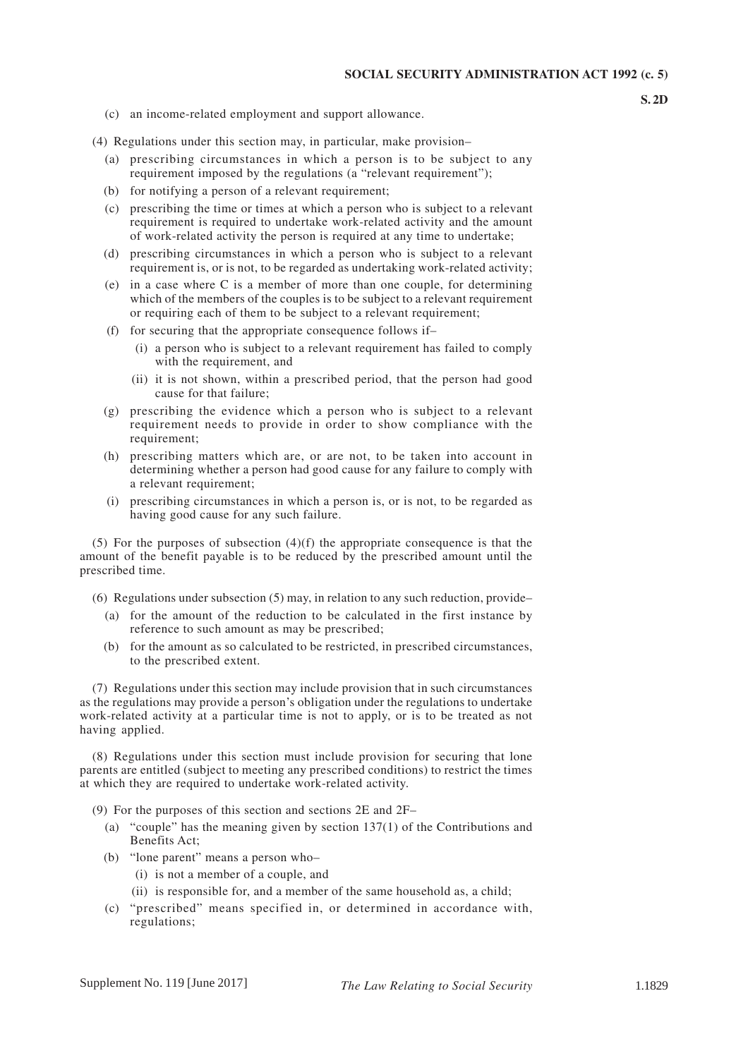(c) an income-related employment and support allowance.

(4) Regulations under this section may, in particular, make provision–

- (a) prescribing circumstances in which a person is to be subject to any requirement imposed by the regulations (a "relevant requirement");
- (b) for notifying a person of a relevant requirement;
- (c) prescribing the time or times at which a person who is subject to a relevant requirement is required to undertake work-related activity and the amount of work-related activity the person is required at any time to undertake;
- (d) prescribing circumstances in which a person who is subject to a relevant requirement is, or is not, to be regarded as undertaking work-related activity;
- (e) in a case where C is a member of more than one couple, for determining which of the members of the couples is to be subject to a relevant requirement or requiring each of them to be subject to a relevant requirement;
- (f) for securing that the appropriate consequence follows if–
	- (i) a person who is subject to a relevant requirement has failed to comply with the requirement, and
	- (ii) it is not shown, within a prescribed period, that the person had good cause for that failure;
- (g) prescribing the evidence which a person who is subject to a relevant requirement needs to provide in order to show compliance with the requirement;
- (h) prescribing matters which are, or are not, to be taken into account in determining whether a person had good cause for any failure to comply with a relevant requirement;
- (i) prescribing circumstances in which a person is, or is not, to be regarded as having good cause for any such failure.

(5) For the purposes of subsection (4)(f) the appropriate consequence is that the amount of the benefit payable is to be reduced by the prescribed amount until the prescribed time.

- (6) Regulations under subsection (5) may, in relation to any such reduction, provide–
	- (a) for the amount of the reduction to be calculated in the first instance by reference to such amount as may be prescribed;
	- (b) for the amount as so calculated to be restricted, in prescribed circumstances, to the prescribed extent.

(7) Regulations under this section may include provision that in such circumstances as the regulations may provide a person's obligation under the regulations to undertake work-related activity at a particular time is not to apply, or is to be treated as not having applied.

(8) Regulations under this section must include provision for securing that lone parents are entitled (subject to meeting any prescribed conditions) to restrict the times at which they are required to undertake work-related activity.

- (9) For the purposes of this section and sections 2E and 2F–
	- (a) "couple" has the meaning given by section 137(1) of the Contributions and Benefits Act;
	- (b) "lone parent" means a person who–
		- (i) is not a member of a couple, and
		- (ii) is responsible for, and a member of the same household as, a child;
	- (c) "prescribed" means specified in, or determined in accordance with, regulations;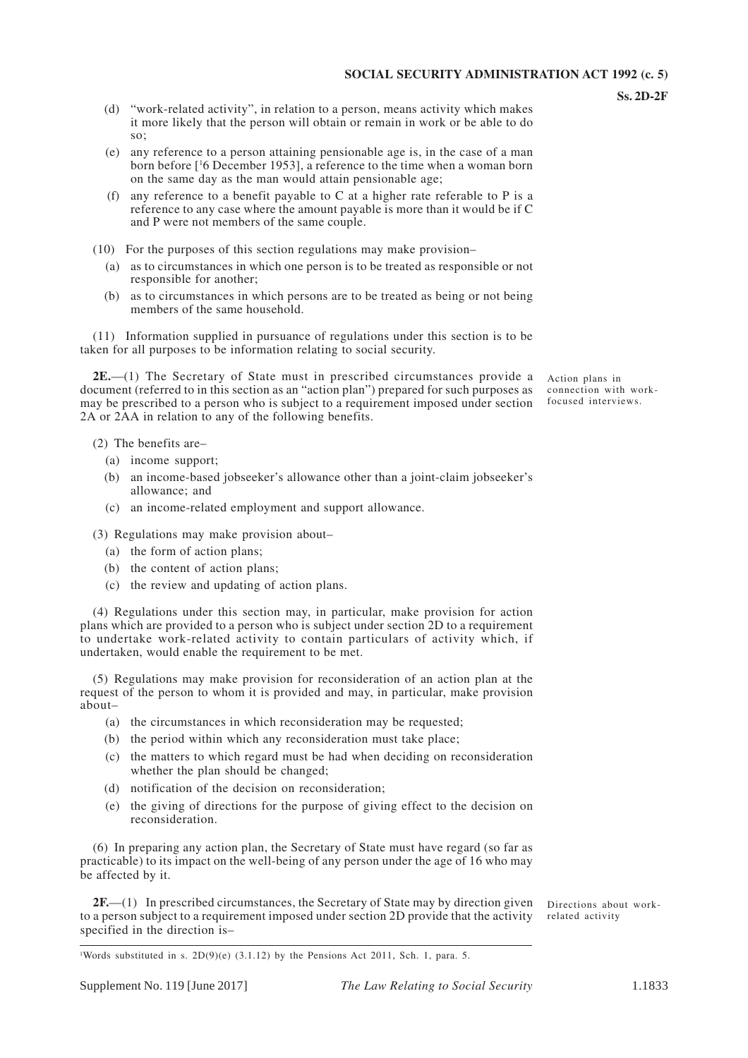- (d) "work-related activity", in relation to a person, means activity which makes it more likely that the person will obtain or remain in work or be able to do so;
- (e) any reference to a person attaining pensionable age is, in the case of a man born before [1 6 December 1953], a reference to the time when a woman born on the same day as the man would attain pensionable age;
- (f) any reference to a benefit payable to C at a higher rate referable to P is a reference to any case where the amount payable is more than it would be if C and P were not members of the same couple.

(10) For the purposes of this section regulations may make provision–

- (a) as to circumstances in which one person is to be treated as responsible or not responsible for another;
- (b) as to circumstances in which persons are to be treated as being or not being members of the same household.

(11) Information supplied in pursuance of regulations under this section is to be taken for all purposes to be information relating to social security.

**2E.**—(1) The Secretary of State must in prescribed circumstances provide a document (referred to in this section as an "action plan") prepared for such purposes as may be prescribed to a person who is subject to a requirement imposed under section 2A or 2AA in relation to any of the following benefits.

(2) The benefits are–

- (a) income support;
- (b) an income-based jobseeker's allowance other than a joint-claim jobseeker's allowance; and
- (c) an income-related employment and support allowance.

(3) Regulations may make provision about–

- (a) the form of action plans;
- (b) the content of action plans;
- (c) the review and updating of action plans.

(4) Regulations under this section may, in particular, make provision for action plans which are provided to a person who is subject under section 2D to a requirement to undertake work-related activity to contain particulars of activity which, if undertaken, would enable the requirement to be met.

(5) Regulations may make provision for reconsideration of an action plan at the request of the person to whom it is provided and may, in particular, make provision about–

- (a) the circumstances in which reconsideration may be requested;
- (b) the period within which any reconsideration must take place;
- (c) the matters to which regard must be had when deciding on reconsideration whether the plan should be changed;
- (d) notification of the decision on reconsideration;
- (e) the giving of directions for the purpose of giving effect to the decision on reconsideration.

(6) In preparing any action plan, the Secretary of State must have regard (so far as practicable) to its impact on the well-being of any person under the age of 16 who may be affected by it.

**2F.**—(1) In prescribed circumstances, the Secretary of State may by direction given to a person subject to a requirement imposed under section 2D provide that the activity specified in the direction is–

<sup>1</sup>Words substituted in s.  $2D(9)(e)$  (3.1.12) by the Pensions Act 2011, Sch. 1, para. 5.

Directions about workrelated activity

Action plans in connection with workfocused interviews.

**Ss. 2D-2F**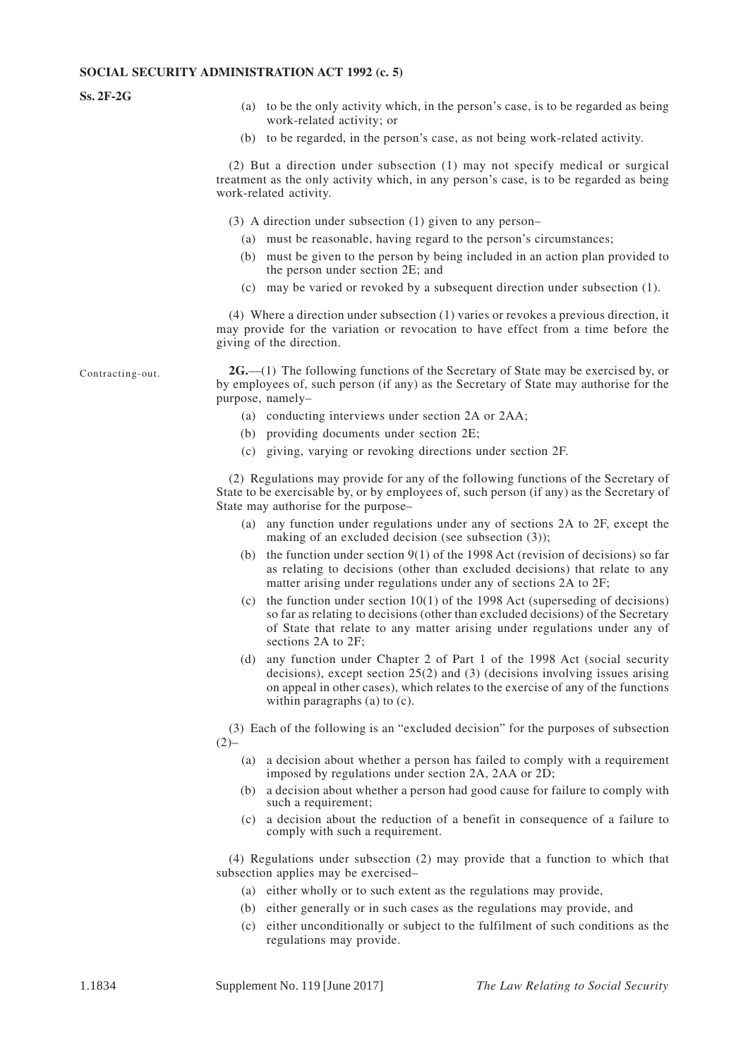**Ss. 2F-2G**

Contracting-out.

- (a) to be the only activity which, in the person's case, is to be regarded as being work-related activity; or
- (b) to be regarded, in the person's case, as not being work-related activity.

(2) But a direction under subsection (1) may not specify medical or surgical treatment as the only activity which, in any person's case, is to be regarded as being work-related activity.

- (3) A direction under subsection (1) given to any person–
	- (a) must be reasonable, having regard to the person's circumstances;
	- (b) must be given to the person by being included in an action plan provided to the person under section 2E; and
	- (c) may be varied or revoked by a subsequent direction under subsection (1).

(4) Where a direction under subsection (1) varies or revokes a previous direction, it may provide for the variation or revocation to have effect from a time before the giving of the direction.

**2G.**—(1) The following functions of the Secretary of State may be exercised by, or by employees of, such person (if any) as the Secretary of State may authorise for the purpose, namely–

- (a) conducting interviews under section 2A or 2AA;
- (b) providing documents under section 2E;
- (c) giving, varying or revoking directions under section 2F.

(2) Regulations may provide for any of the following functions of the Secretary of State to be exercisable by, or by employees of, such person (if any) as the Secretary of State may authorise for the purpose–

- (a) any function under regulations under any of sections 2A to 2F, except the making of an excluded decision (see subsection (3));
- (b) the function under section  $9(1)$  of the 1998 Act (revision of decisions) so far as relating to decisions (other than excluded decisions) that relate to any matter arising under regulations under any of sections 2A to 2F;
- (c) the function under section 10(1) of the 1998 Act (superseding of decisions) so far as relating to decisions (other than excluded decisions) of the Secretary of State that relate to any matter arising under regulations under any of sections 2A to 2F;
- (d) any function under Chapter 2 of Part 1 of the 1998 Act (social security decisions), except section 25(2) and (3) (decisions involving issues arising on appeal in other cases), which relates to the exercise of any of the functions within paragraphs (a) to (c).

(3) Each of the following is an "excluded decision" for the purposes of subsection  $(2)$ –

- (a) a decision about whether a person has failed to comply with a requirement imposed by regulations under section 2A, 2AA or 2D;
- (b) a decision about whether a person had good cause for failure to comply with such a requirement;
- (c) a decision about the reduction of a benefit in consequence of a failure to comply with such a requirement.

(4) Regulations under subsection (2) may provide that a function to which that subsection applies may be exercised–

- (a) either wholly or to such extent as the regulations may provide,
- (b) either generally or in such cases as the regulations may provide, and
- (c) either unconditionally or subject to the fulfilment of such conditions as the regulations may provide.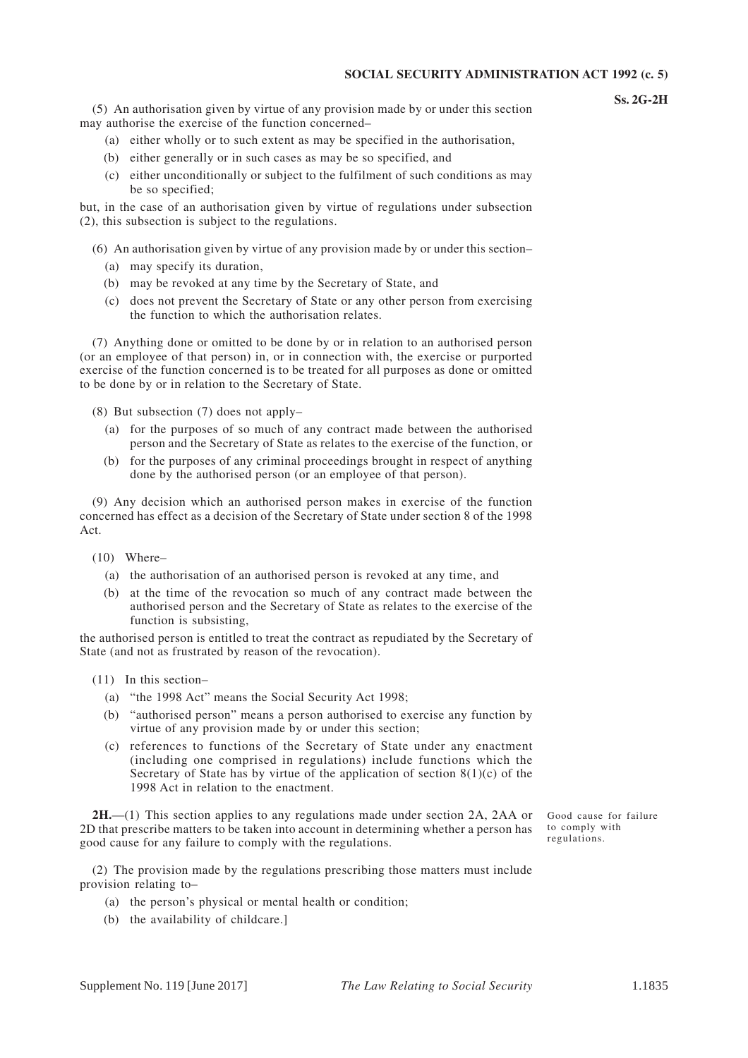**Ss. 2G-2H**

(5) An authorisation given by virtue of any provision made by or under this section may authorise the exercise of the function concerned–

- (a) either wholly or to such extent as may be specified in the authorisation,
- (b) either generally or in such cases as may be so specified, and
- (c) either unconditionally or subject to the fulfilment of such conditions as may be so specified;

but, in the case of an authorisation given by virtue of regulations under subsection (2), this subsection is subject to the regulations.

(6) An authorisation given by virtue of any provision made by or under this section–

- (a) may specify its duration,
- (b) may be revoked at any time by the Secretary of State, and
- (c) does not prevent the Secretary of State or any other person from exercising the function to which the authorisation relates.

(7) Anything done or omitted to be done by or in relation to an authorised person (or an employee of that person) in, or in connection with, the exercise or purported exercise of the function concerned is to be treated for all purposes as done or omitted to be done by or in relation to the Secretary of State.

(8) But subsection (7) does not apply–

- (a) for the purposes of so much of any contract made between the authorised person and the Secretary of State as relates to the exercise of the function, or
- (b) for the purposes of any criminal proceedings brought in respect of anything done by the authorised person (or an employee of that person).

(9) Any decision which an authorised person makes in exercise of the function concerned has effect as a decision of the Secretary of State under section 8 of the 1998 Act.

(10) Where–

- (a) the authorisation of an authorised person is revoked at any time, and
- (b) at the time of the revocation so much of any contract made between the authorised person and the Secretary of State as relates to the exercise of the function is subsisting,

the authorised person is entitled to treat the contract as repudiated by the Secretary of State (and not as frustrated by reason of the revocation).

- (11) In this section–
	- (a) "the 1998 Act" means the Social Security Act 1998;
	- (b) "authorised person" means a person authorised to exercise any function by virtue of any provision made by or under this section;
	- (c) references to functions of the Secretary of State under any enactment (including one comprised in regulations) include functions which the Secretary of State has by virtue of the application of section  $8(1)(c)$  of the 1998 Act in relation to the enactment.

**2H.**—(1) This section applies to any regulations made under section 2A, 2AA or 2D that prescribe matters to be taken into account in determining whether a person has good cause for any failure to comply with the regulations.

(2) The provision made by the regulations prescribing those matters must include provision relating to–

- (a) the person's physical or mental health or condition;
- (b) the availability of childcare.]

Good cause for failure to comply with regulations.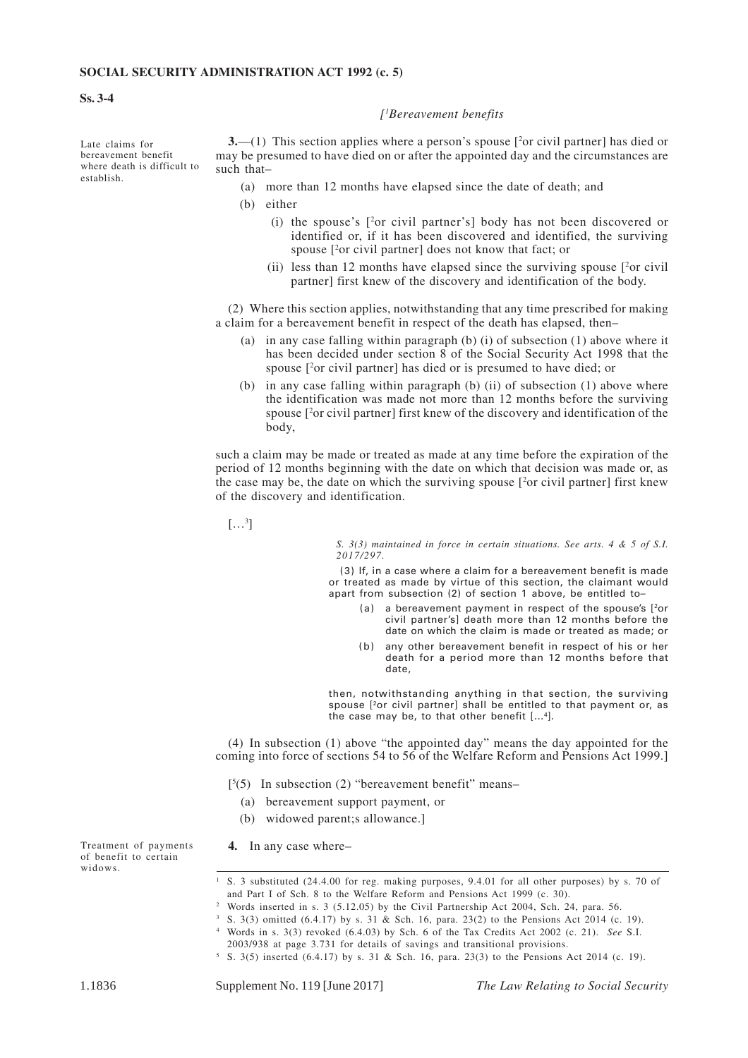#### **Ss. 3-4**

Late claims for bereavement benefit where death is difficult to establish.

#### *[1 Bereavement benefits*

**3.**—(1) This section applies where a person's spouse [<sup>2</sup>or civil partner] has died or may be presumed to have died on or after the appointed day and the circumstances are such that–

(a) more than 12 months have elapsed since the date of death; and

- (i) the spouse's [2 or civil partner's] body has not been discovered or identified or, if it has been discovered and identified, the surviving spouse [<sup>2</sup>or civil partner] does not know that fact; or
- $(i)$  less than 12 months have elapsed since the surviving spouse  $[2\text{ or civil}]$ partner] first knew of the discovery and identification of the body.

(2) Where this section applies, notwithstanding that any time prescribed for making a claim for a bereavement benefit in respect of the death has elapsed, then–

- (a) in any case falling within paragraph (b) (i) of subsection (1) above where it has been decided under section 8 of the Social Security Act 1998 that the spouse [<sup>2</sup>or civil partner] has died or is presumed to have died; or
- (b) in any case falling within paragraph (b) (ii) of subsection (1) above where the identification was made not more than 12 months before the surviving spouse [<sup>2</sup>or civil partner] first knew of the discovery and identification of the body,

such a claim may be made or treated as made at any time before the expiration of the period of 12 months beginning with the date on which that decision was made or, as the case may be, the date on which the surviving spouse  $[2$  or civil partner] first knew of the discovery and identification.

 $\left[ ...\right. ^{3}]$ 

*S. 3(3) maintained in force in certain situations. See arts. 4 & 5 of S.I. 2017/297.*

(3) If, in a case where a claim for a bereavement benefit is made or treated as made by virtue of this section, the claimant would apart from subsection (2) of section 1 above, be entitled to–

- (a) a bereavement payment in respect of the spouse's [<sup>2</sup>or civil partner's] death more than 12 months before the date on which the claim is made or treated as made; or
- (b) any other bereavement benefit in respect of his or her death for a period more than 12 months before that date,

then, notwithstanding anything in that section, the surviving spouse [<sup>2</sup>or civil partner] shall be entitled to that payment or, as the case may be, to that other benefit […4].

(4) In subsection (1) above "the appointed day" means the day appointed for the coming into force of sections 54 to 56 of the Welfare Reform and Pensions Act 1999.]

- $[5(5)$  In subsection (2) "bereavement benefit" means-
	- (a) bereavement support payment, or
	- (b) widowed parent;s allowance.]

**4.** In any case where–

Treatment of payments of benefit to certain widows.

<sup>(</sup>b) either

<sup>1</sup> S. 3 substituted (24.4.00 for reg. making purposes, 9.4.01 for all other purposes) by s. 70 of and Part I of Sch. 8 to the Welfare Reform and Pensions Act 1999 (c. 30).

<sup>2</sup> Words inserted in s. 3 (5.12.05) by the Civil Partnership Act 2004, Sch. 24, para. 56.

<sup>&</sup>lt;sup>3</sup> S. 3(3) omitted  $(6.4.17)$  by s. 31 & Sch. 16, para. 23(2) to the Pensions Act 2014 (c. 19).

<sup>4</sup> Words in s. 3(3) revoked (6.4.03) by Sch. 6 of the Tax Credits Act 2002 (c. 21). *See* S.I. 2003/938 at page 3.731 for details of savings and transitional provisions.

<sup>&</sup>lt;sup>5</sup> S. 3(5) inserted (6.4.17) by s. 31 & Sch. 16, para. 23(3) to the Pensions Act 2014 (c. 19).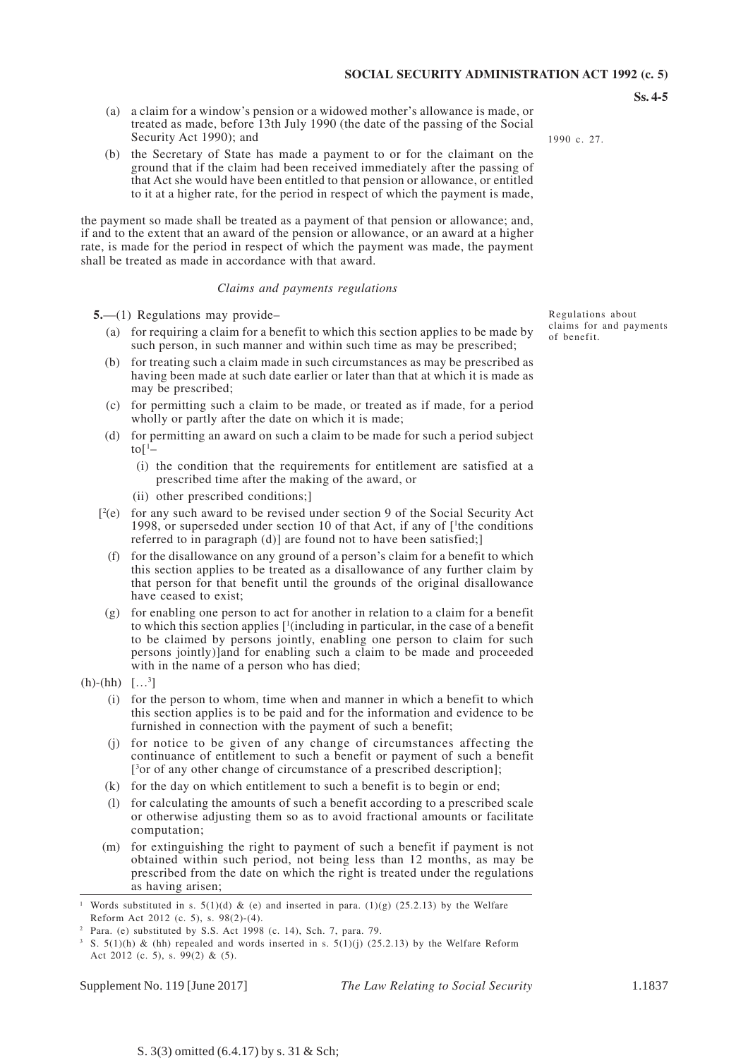- (a) a claim for a window's pension or a widowed mother's allowance is made, or treated as made, before 13th July 1990 (the date of the passing of the Social Security Act 1990); and
- (b) the Secretary of State has made a payment to or for the claimant on the ground that if the claim had been received immediately after the passing of that Act she would have been entitled to that pension or allowance, or entitled to it at a higher rate, for the period in respect of which the payment is made,

the payment so made shall be treated as a payment of that pension or allowance; and, if and to the extent that an award of the pension or allowance, or an award at a higher rate, is made for the period in respect of which the payment was made, the payment shall be treated as made in accordance with that award.

#### *Claims and payments regulations*

**5.**—(1) Regulations may provide–

- (a) for requiring a claim for a benefit to which this section applies to be made by such person, in such manner and within such time as may be prescribed;
- (b) for treating such a claim made in such circumstances as may be prescribed as having been made at such date earlier or later than that at which it is made as may be prescribed;
- (c) for permitting such a claim to be made, or treated as if made, for a period wholly or partly after the date on which it is made;
- (d) for permitting an award on such a claim to be made for such a period subject to $[$ <sup>1</sup> $-$ 
	- (i) the condition that the requirements for entitlement are satisfied at a prescribed time after the making of the award, or
	- (ii) other prescribed conditions;]
- [ 2 (e) for any such award to be revised under section 9 of the Social Security Act 1998, or superseded under section 10 of that Act, if any of  $[{}^1$ the conditions referred to in paragraph (d)] are found not to have been satisfied;
- (f) for the disallowance on any ground of a person's claim for a benefit to which this section applies to be treated as a disallowance of any further claim by that person for that benefit until the grounds of the original disallowance have ceased to exist;
- (g) for enabling one person to act for another in relation to a claim for a benefit to which this section applies ['(including in particular, in the case of a benefit to be claimed by persons jointly, enabling one person to claim for such persons jointly)]and for enabling such a claim to be made and proceeded with in the name of a person who has died;

 $(h)$ - $(hh)$   $[...^3]$ 

- (i) for the person to whom, time when and manner in which a benefit to which this section applies is to be paid and for the information and evidence to be furnished in connection with the payment of such a benefit;
- (j) for notice to be given of any change of circumstances affecting the continuance of entitlement to such a benefit or payment of such a benefit [<sup>3</sup>or of any other change of circumstance of a prescribed description];
- (k) for the day on which entitlement to such a benefit is to begin or end;
- (l) for calculating the amounts of such a benefit according to a prescribed scale or otherwise adjusting them so as to avoid fractional amounts or facilitate computation;
- (m) for extinguishing the right to payment of such a benefit if payment is not obtained within such period, not being less than 12 months, as may be prescribed from the date on which the right is treated under the regulations as having arisen;

1990 c. 27.

**Ss. 4-5**

Regulations about claims for and payments of benefit.

Words substituted in s. 5(1)(d) & (e) and inserted in para. (1)(g) (25.2.13) by the Welfare Reform Act 2012 (c. 5), s. 98(2)-(4).

<sup>&</sup>lt;sup>2</sup> Para. (e) substituted by S.S. Act 1998 (c. 14), Sch. 7, para. 79.

<sup>&</sup>lt;sup>3</sup> S. 5(1)(h) & (hh) repealed and words inserted in s. 5(1)(j) (25.2.13) by the Welfare Reform Act 2012 (c. 5), s. 99(2) & (5).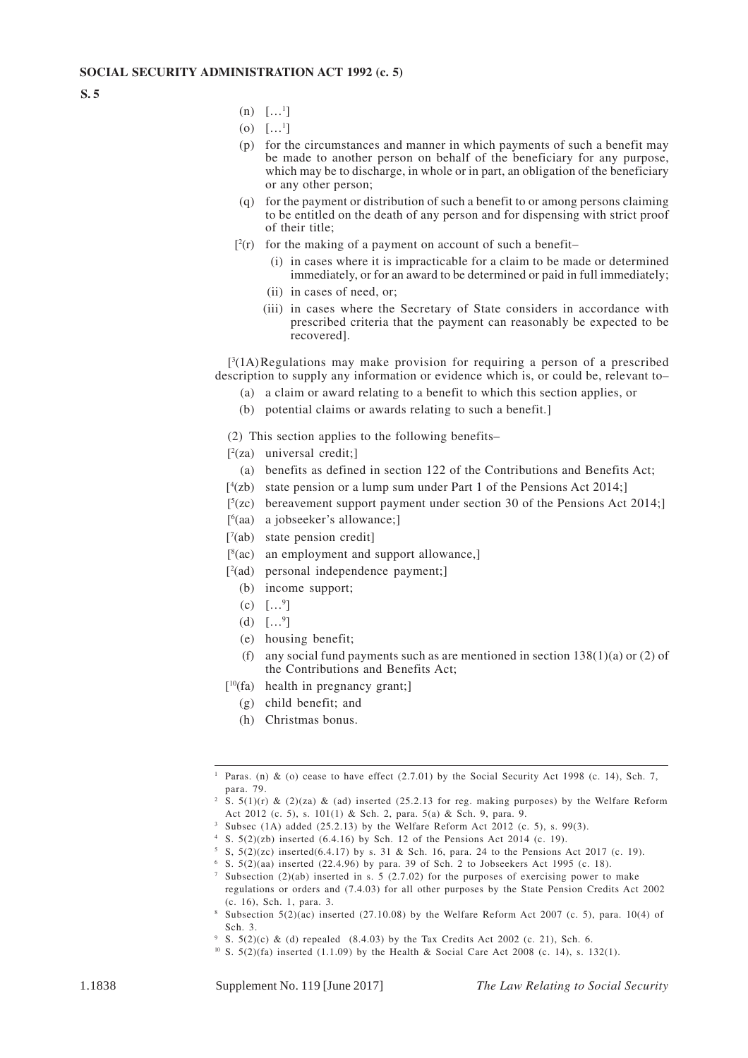**S. 5**

- $(n)$   $[...^1]$
- $(0)$   $[...^1]$
- (p) for the circumstances and manner in which payments of such a benefit may be made to another person on behalf of the beneficiary for any purpose, which may be to discharge, in whole or in part, an obligation of the beneficiary or any other person;
- (q) for the payment or distribution of such a benefit to or among persons claiming to be entitled on the death of any person and for dispensing with strict proof of their title;
- $[2(r)$  for the making of a payment on account of such a benefit-
	- (i) in cases where it is impracticable for a claim to be made or determined immediately, or for an award to be determined or paid in full immediately;
	- (ii) in cases of need, or;
	- (iii) in cases where the Secretary of State considers in accordance with prescribed criteria that the payment can reasonably be expected to be recovered].

[3 (1A)Regulations may make provision for requiring a person of a prescribed description to supply any information or evidence which is, or could be, relevant to–

- (a) a claim or award relating to a benefit to which this section applies, or
- (b) potential claims or awards relating to such a benefit.]

(2) This section applies to the following benefits–

- [ 2 (za) universal credit;]
- (a) benefits as defined in section 122 of the Contributions and Benefits Act;
- [4 (zb) state pension or a lump sum under Part 1 of the Pensions Act 2014;]
- $[5$ (zc) bereavement support payment under section 30 of the Pensions Act 2014;]
- [<sup>6</sup>(aa) a jobseeker's allowance;]
- [7(ab) state pension credit]
- [ 8 (ac) an employment and support allowance,]
- [2 (ad) personal independence payment;]
- (b) income support;
- $(c)$   $[...^9]$
- (d)  $[...^9]$
- (e) housing benefit;
- (f) any social fund payments such as are mentioned in section  $138(1)(a)$  or (2) of the Contributions and Benefits Act;
- [<sup>10</sup>(fa) health in pregnancy grant;]
	- (g) child benefit; and
	- (h) Christmas bonus.

- <sup>5</sup> S,  $5(2)(zc)$  inserted(6.4.17) by s. 31 & Sch. 16, para. 24 to the Pensions Act 2017 (c. 19).
- $6$  S. 5(2)(aa) inserted (22.4.96) by para. 39 of Sch. 2 to Jobseekers Act 1995 (c. 18).

<sup>10</sup> S. 5(2)(fa) inserted (1.1.09) by the Health & Social Care Act 2008 (c. 14), s. 132(1).

<sup>&</sup>lt;sup>1</sup> Paras. (n) & (o) cease to have effect  $(2.7.01)$  by the Social Security Act 1998 (c. 14), Sch. 7, para. 79.

<sup>&</sup>lt;sup>2</sup> S. 5(1)(r) & (2)(za) & (ad) inserted (25.2.13 for reg. making purposes) by the Welfare Reform Act 2012 (c. 5), s. 101(1) & Sch. 2, para. 5(a) & Sch. 9, para. 9.

Subsec (1A) added (25.2.13) by the Welfare Reform Act 2012 (c. 5), s. 99(3).

<sup>4</sup> S.  $5(2)(zb)$  inserted  $(6.4.16)$  by Sch. 12 of the Pensions Act 2014 (c. 19).

<sup>7</sup> Subsection (2)(ab) inserted in s. 5 (2.7.02) for the purposes of exercising power to make regulations or orders and (7.4.03) for all other purposes by the State Pension Credits Act 2002 (c. 16), Sch. 1, para. 3.

<sup>&</sup>lt;sup>8</sup> Subsection 5(2)(ac) inserted (27.10.08) by the Welfare Reform Act 2007 (c. 5), para. 10(4) of Sch. 3.

S.  $5(2)(c)$  & (d) repealed (8.4.03) by the Tax Credits Act 2002 (c. 21), Sch. 6.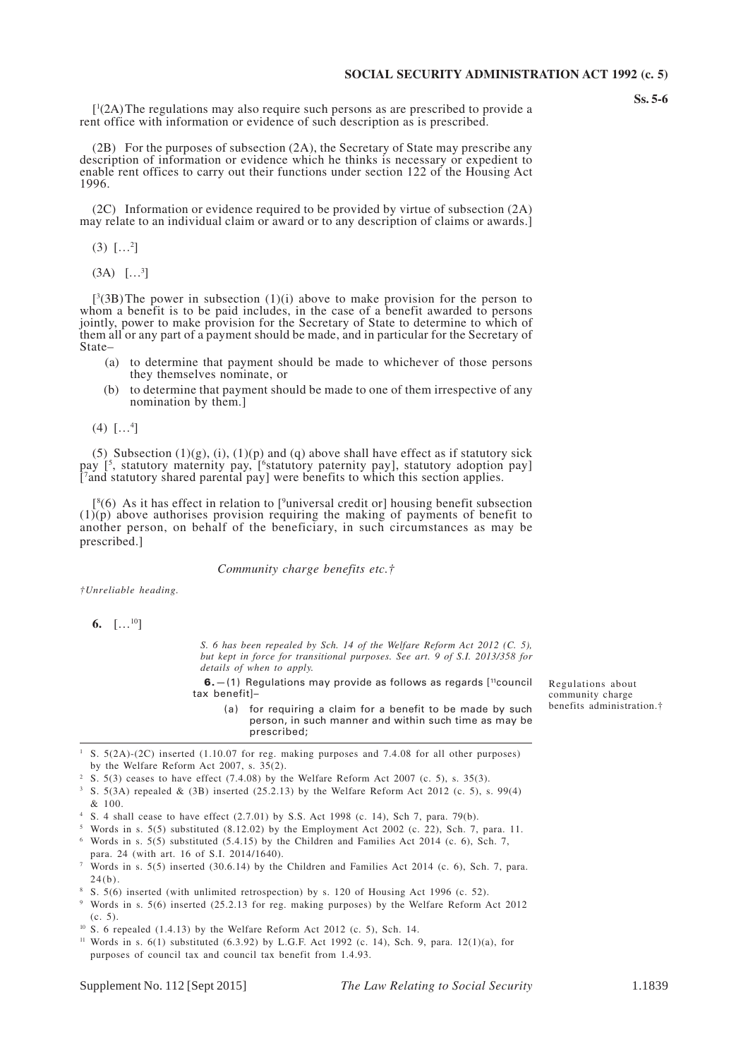**Ss. 5-6**

[ 1 (2A)The regulations may also require such persons as are prescribed to provide a rent office with information or evidence of such description as is prescribed.

(2B) For the purposes of subsection (2A), the Secretary of State may prescribe any description of information or evidence which he thinks is necessary or expedient to enable rent offices to carry out their functions under section 122 of the Housing Act 1996.

(2C) Information or evidence required to be provided by virtue of subsection (2A) may relate to an individual claim or award or to any description of claims or awards.]

 $(3)$   $[...^2]$ 

(3A) […3 ]

 $[3(3B)$ The power in subsection  $(1)(i)$  above to make provision for the person to whom a benefit is to be paid includes, in the case of a benefit awarded to persons jointly, power to make provision for the Secretary of State to determine to which of them all or any part of a payment should be made, and in particular for the Secretary of State–

- (a) to determine that payment should be made to whichever of those persons they themselves nominate, or
- (b) to determine that payment should be made to one of them irrespective of any nomination by them.]

 $(4)$   $[...^4]$ 

(5) Subsection  $(1)(g)$ ,  $(i)$ ,  $(1)(p)$  and  $(q)$  above shall have effect as if statutory sick pay [<sup>5</sup>, statutory maternity pay, [<sup>6</sup>statutory paternity pay], statutory adoption pay] [<sup>7</sup> and statutory shared parental pay] were benefits to which this section applies.

 $[8(6)$  As it has effect in relation to [<sup>9</sup>universal credit or] housing benefit subsection  $(1)(p)$  above authorises provision requiring the making of payments of benefit to another person, on behalf of the beneficiary, in such circumstances as may be prescribed.]

*Community charge benefits etc.†*

*†Unreliable heading.*

**6.** […10]

*S. 6 has been repealed by Sch. 14 of the Welfare Reform Act 2012 (C. 5), but kept in force for transitional purposes. See art. 9 of S.I. 2013/358 for details of when to apply.*

**6.**  $-$ (1) Regulations may provide as follows as regards [<sup>11</sup>council] tax benefit]–

(a) for requiring a claim for a benefit to be made by such person, in such manner and within such time as may be prescribed;

<sup>1</sup> S. 5(2A)-(2C) inserted (1.10.07 for reg. making purposes and 7.4.08 for all other purposes) by the Welfare Reform Act 2007, s. 35(2).

- <sup>3</sup> S. 5(3A) repealed & (3B) inserted (25.2.13) by the Welfare Reform Act 2012 (c. 5), s. 99(4) & 100.
- 4 S. 4 shall cease to have effect  $(2.7.01)$  by S.S. Act 1998 (c. 14), Sch 7, para. 79(b).
- <sup>5</sup> Words in s. 5(5) substituted  $(8.12.02)$  by the Employment Act 2002 (c. 22), Sch. 7, para. 11.  $6$  Words in s. 5(5) substituted (5.4.15) by the Children and Families Act 2014 (c. 6), Sch. 7,
- para. 24 (with art. 16 of S.I. 2014/1640).
- Words in s. 5(5) inserted (30.6.14) by the Children and Families Act 2014 (c. 6), Sch. 7, para.  $24(h)$ .
- <sup>8</sup> S. 5(6) inserted (with unlimited retrospection) by s. 120 of Housing Act 1996 (c. 52).
- <sup>9</sup> Words in s. 5(6) inserted (25.2.13 for reg. making purposes) by the Welfare Reform Act 2012 (c. 5).
- $10\,$  S. 6 repealed (1.4.13) by the Welfare Reform Act 2012 (c. 5), Sch. 14.
- <sup>11</sup> Words in s. 6(1) substituted (6.3.92) by L.G.F. Act 1992 (c. 14), Sch. 9, para. 12(1)(a), for purposes of council tax and council tax benefit from 1.4.93.

Regulations about community charge benefits administration.†

<sup>&</sup>lt;sup>2</sup> S. 5(3) ceases to have effect  $(7.4.08)$  by the Welfare Reform Act 2007 (c. 5), s. 35(3).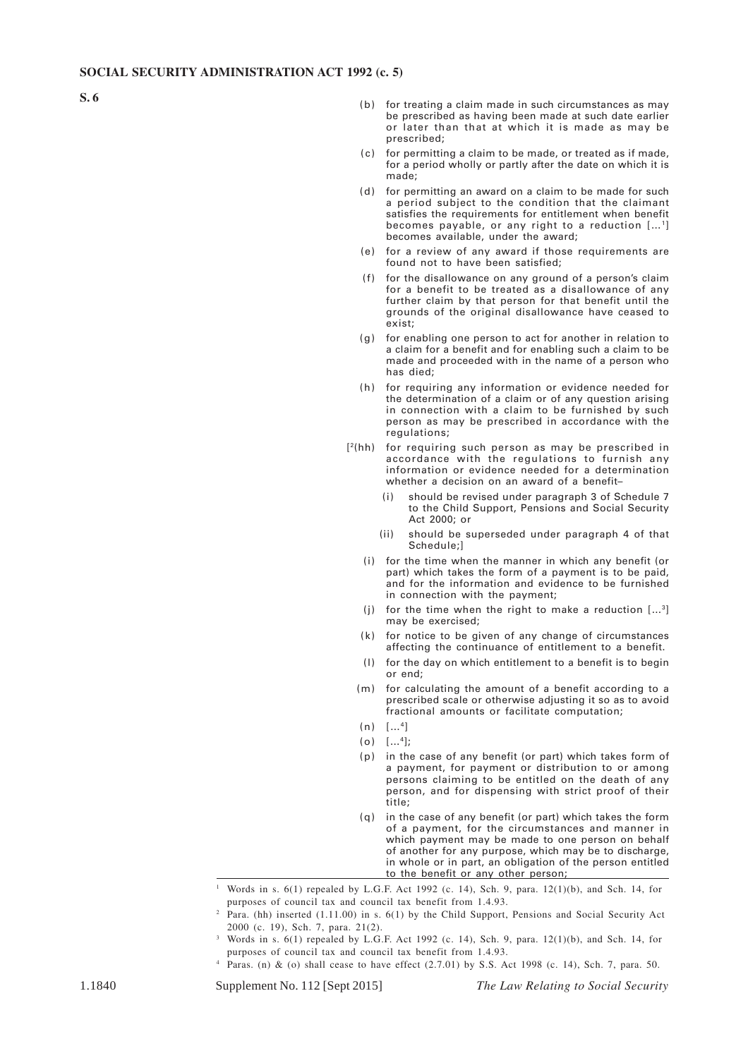**S. 6**

- (b) for treating a claim made in such circumstances as may be prescribed as having been made at such date earlier or later than that at which it is made as may be prescribed;
- (c) for permitting a claim to be made, or treated as if made, for a period wholly or partly after the date on which it is made;
- (d) for permitting an award on a claim to be made for such a period subject to the condition that the claimant satisfies the requirements for entitlement when benefit becomes payable, or any right to a reduction […1] becomes available, under the award;
- (e) for a review of any award if those requirements are found not to have been satisfied;
- (f) for the disallowance on any ground of a person's claim for a benefit to be treated as a disallowance of any further claim by that person for that benefit until the grounds of the original disallowance have ceased to exist;
- (g) for enabling one person to act for another in relation to a claim for a benefit and for enabling such a claim to be made and proceeded with in the name of a person who has died;
- (h) for requiring any information or evidence needed for the determination of a claim or of any question arising in connection with a claim to be furnished by such person as may be prescribed in accordance with the requlations;
- [2(hh) for requiring such person as may be prescribed in accordance with the regulations to furnish any information or evidence needed for a determination whether a decision on an award of a benefit–
	- (i) should be revised under paragraph 3 of Schedule 7 to the Child Support, Pensions and Social Security Act 2000; or
	- (ii) should be superseded under paragraph 4 of that Schedule;]
	- (i) for the time when the manner in which any benefit (or part) which takes the form of a payment is to be paid, and for the information and evidence to be furnished in connection with the payment;
	- (j) for the time when the right to make a reduction  $[...]$ may be exercised;
	- (k) for notice to be given of any change of circumstances affecting the continuance of entitlement to a benefit.
	- (l) for the day on which entitlement to a benefit is to begin or end;
	- (m) for calculating the amount of a benefit according to a prescribed scale or otherwise adjusting it so as to avoid fractional amounts or facilitate computation;
	- $(n)$  [...<sup>4</sup>]
	- (o) […4];
	- (p) in the case of any benefit (or part) which takes form of a payment, for payment or distribution to or among persons claiming to be entitled on the death of any person, and for dispensing with strict proof of their title;
- (q) in the case of any benefit (or part) which takes the form of a payment, for the circumstances and manner in which payment may be made to one person on behalf of another for any purpose, which may be to discharge. in whole or in part, an obligation of the person entitled to the benefit or any other person

Words in s. 6(1) repealed by L.G.F. Act 1992 (c. 14), Sch. 9, para. 12(1)(b), and Sch. 14, for purposes of council tax and council tax benefit from 1.4.93.

 $2 \text{ Para. (hh) inserted } (1.11.00)$  in s. 6(1) by the Child Support, Pensions and Social Security Act 2000 (c. 19), Sch. 7, para. 21(2).

Words in s. 6(1) repealed by L.G.F. Act 1992 (c. 14), Sch. 9, para. 12(1)(b), and Sch. 14, for purposes of council tax and council tax benefit from 1.4.93.

<sup>4</sup> Paras. (n) & (o) shall cease to have effect (2.7.01) by S.S. Act 1998 (c. 14), Sch. 7, para. 50.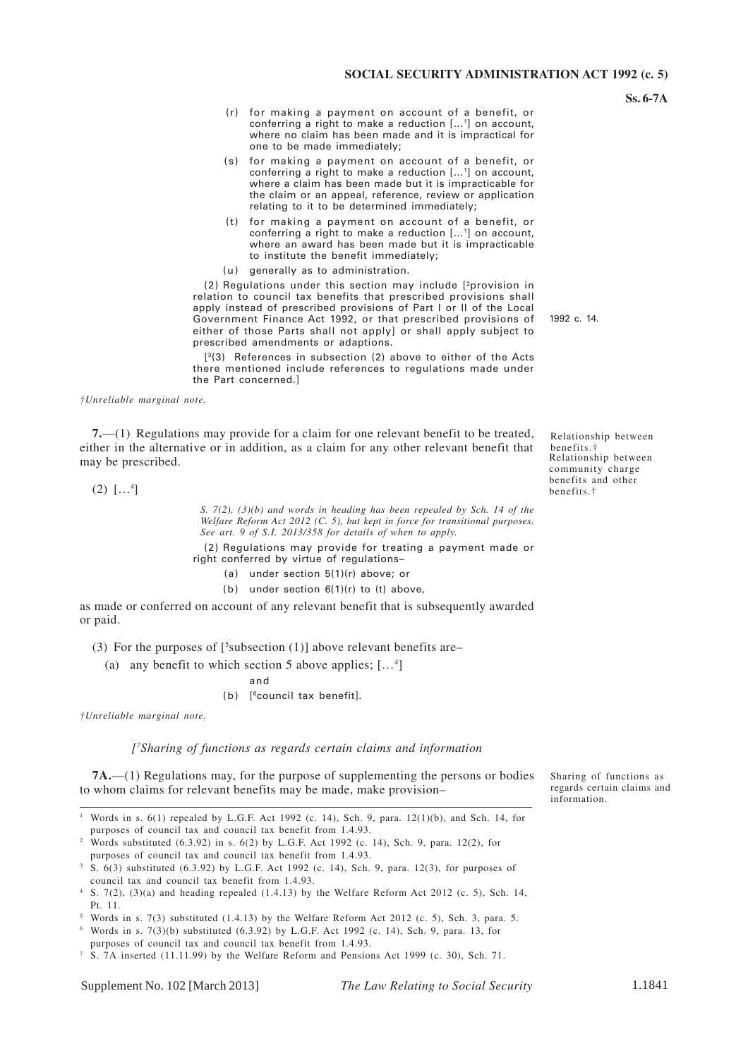- (r) for making a payment on account of a benefit, or conferring a right to make a reduction […1] on account, where no claim has been made and it is impractical for one to be made immediately;
- (s) for making a payment on account of a benefit, or conferring a right to make a reduction [...<sup>1</sup>] on account, where a claim has been made but it is impracticable for the claim or an appeal, reference, review or application relating to it to be determined immediately;
- (t) for making a payment on account of a benefit, or conferring a right to make a reduction […1] on account, where an award has been made but it is impracticable to institute the benefit immediately;
- (u) generally as to administration.

(2) Regulations under this section may include [2provision in relation to council tax benefits that prescribed provisions shall apply instead of prescribed provisions of Part I or II of the Local Government Finance Act 1992, or that prescribed provisions of either of those Parts shall not apply] or shall apply subject to prescribed amendments or adaptions.

 $[3(3)$  References in subsection (2) above to either of the Acts there mentioned include references to regulations made under the Part concerned.]

*†Unreliable marginal note.*

**7.**—(1) Regulations may provide for a claim for one relevant benefit to be treated, either in the alternative or in addition, as a claim for any other relevant benefit that may be prescribed.

 $(2)$   $[...^4]$ 

*S. 7(2), (3)(b) and words in heading has been repealed by Sch. 14 of the Welfare Reform Act 2012 (C. 5), but kept in force for transitional purposes. See art. 9 of S.I. 2013/358 for details of when to apply.*

(2) Regulations may provide for treating a payment made or right conferred by virtue of regulations–

- (a) under section 5(1)(r) above; or
- (b) under section 6(1)(r) to (t) above,

as made or conferred on account of any relevant benefit that is subsequently awarded or paid.

(3) For the purposes of  $[5$ subsection (1)] above relevant benefits are-

(a) any benefit to which section 5 above applies; […4 ]

and

(b) [<sup>6</sup>council tax benefit].

*†Unreliable marginal note.*

*[7 Sharing of functions as regards certain claims and information*

**7A.**—(1) Regulations may, for the purpose of supplementing the persons or bodies to whom claims for relevant benefits may be made, make provision–

Words in s. 6(1) repealed by L.G.F. Act 1992 (c. 14), Sch. 9, para. 12(1)(b), and Sch. 14, for purposes of council tax and council tax benefit from 1.4.93.

- <sup>3</sup> S. 6(3) substituted (6.3.92) by L.G.F. Act 1992 (c. 14), Sch. 9, para. 12(3), for purposes of council tax and council tax benefit from 1.4.93.
- <sup>4</sup> S. 7(2), (3)(a) and heading repealed (1.4.13) by the Welfare Reform Act 2012 (c. 5), Sch. 14, Pt. 11.
- <sup>5</sup> Words in s. 7(3) substituted (1.4.13) by the Welfare Reform Act 2012 (c. 5), Sch. 3, para. 5.

<sup>6</sup> Words in s. 7(3)(b) substituted  $(6.3.92)$  by L.G.F. Act 1992 (c. 14), Sch. 9, para. 13, for purposes of council tax and council tax benefit from 1.4.93.

1992 c. 14.

Relationship between benefits.† Relationship between community charge benefits and other benefits.†

**Ss. 6-7A**

Sharing of functions as regards certain claims and information.

<sup>&</sup>lt;sup>2</sup> Words substituted (6.3.92) in s. 6(2) by L.G.F. Act 1992 (c. 14), Sch. 9, para. 12(2), for purposes of council tax and council tax benefit from 1.4.93.

 $\frac{7}{10}$  S. 7A inserted (11.11.99) by the Welfare Reform and Pensions Act 1999 (c. 30), Sch. 71.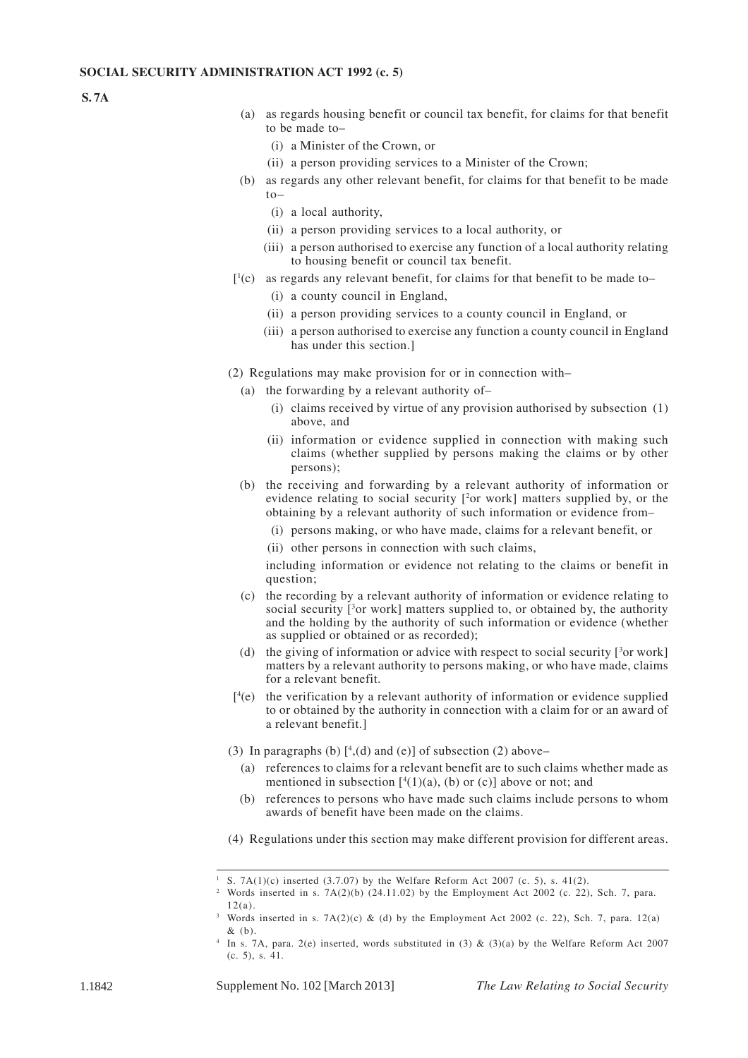**S. 7A**

- (a) as regards housing benefit or council tax benefit, for claims for that benefit to be made to–
	- (i) a Minister of the Crown, or
	- (ii) a person providing services to a Minister of the Crown;
- (b) as regards any other relevant benefit, for claims for that benefit to be made  $t_0$ –
	- (i) a local authority,
	- (ii) a person providing services to a local authority, or
	- (iii) a person authorised to exercise any function of a local authority relating to housing benefit or council tax benefit.
- $[{}^{1}(c)$  as regards any relevant benefit, for claims for that benefit to be made to-
	- (i) a county council in England,
	- (ii) a person providing services to a county council in England, or
	- (iii) a person authorised to exercise any function a county council in England has under this section.]
- (2) Regulations may make provision for or in connection with–
	- (a) the forwarding by a relevant authority of–
		- (i) claims received by virtue of any provision authorised by subsection (1) above, and
		- (ii) information or evidence supplied in connection with making such claims (whether supplied by persons making the claims or by other persons);
	- (b) the receiving and forwarding by a relevant authority of information or evidence relating to social security  $[2$  or work] matters supplied by, or the obtaining by a relevant authority of such information or evidence from–
		- (i) persons making, or who have made, claims for a relevant benefit, or
		- (ii) other persons in connection with such claims,

including information or evidence not relating to the claims or benefit in question;

- (c) the recording by a relevant authority of information or evidence relating to social security [<sup>3</sup>or work] matters supplied to, or obtained by, the authority and the holding by the authority of such information or evidence (whether as supplied or obtained or as recorded);
- (d) the giving of information or advice with respect to social security  $[3\text{or work}]$ matters by a relevant authority to persons making, or who have made, claims for a relevant benefit.
- [4 (e) the verification by a relevant authority of information or evidence supplied to or obtained by the authority in connection with a claim for or an award of a relevant benefit.]
- (3) In paragraphs (b)  $[4,(d)$  and (e)] of subsection (2) above–
	- (a) references to claims for a relevant benefit are to such claims whether made as mentioned in subsection  $[4(1)(a), (b)$  or  $(c)$ ] above or not; and
	- (b) references to persons who have made such claims include persons to whom awards of benefit have been made on the claims.
- (4) Regulations under this section may make different provision for different areas.

<sup>&</sup>lt;sup>1</sup> S. 7A(1)(c) inserted (3.7.07) by the Welfare Reform Act 2007 (c. 5), s. 41(2).

<sup>&</sup>lt;sup>2</sup> Words inserted in s.  $7A(2)(b)$  (24.11.02) by the Employment Act 2002 (c. 22), Sch. 7, para. 12(a).

<sup>&</sup>lt;sup>3</sup> Words inserted in s.  $7A(2)(c)$  & (d) by the Employment Act 2002 (c. 22), Sch. 7, para. 12(a)  $\&$  (b).

<sup>4</sup> In s. 7A, para. 2(e) inserted, words substituted in (3) & (3)(a) by the Welfare Reform Act 2007 (c. 5), s. 41.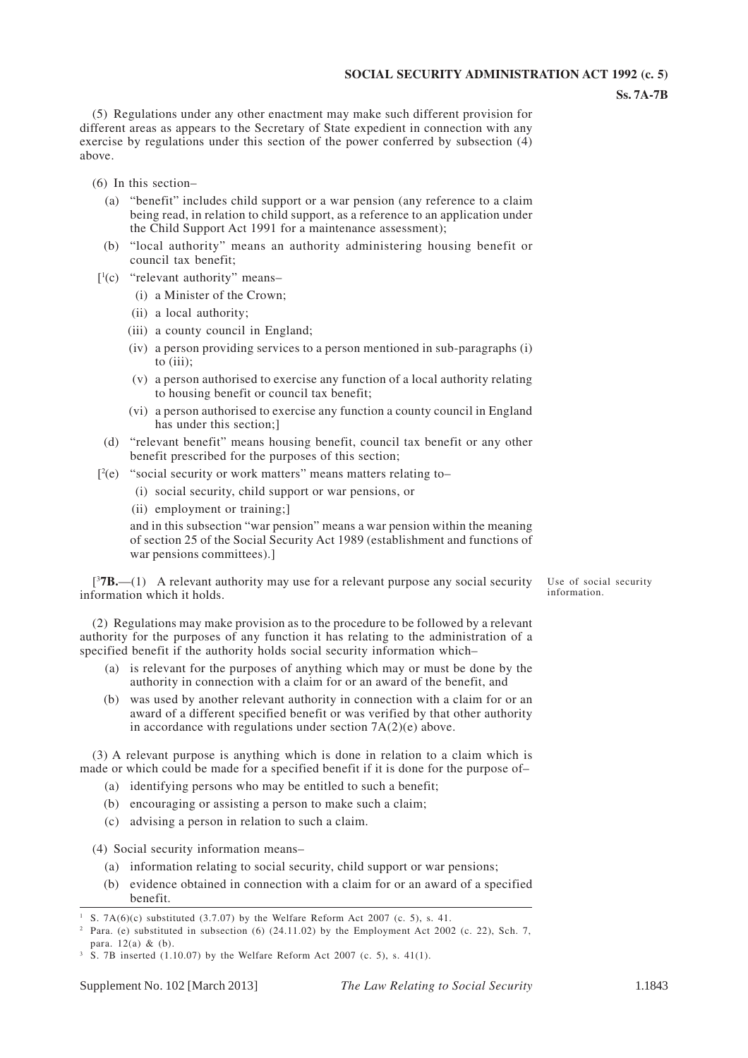**Ss. 7A-7B**

(5) Regulations under any other enactment may make such different provision for different areas as appears to the Secretary of State expedient in connection with any exercise by regulations under this section of the power conferred by subsection (4) above.

(6) In this section–

- (a) "benefit" includes child support or a war pension (any reference to a claim being read, in relation to child support, as a reference to an application under the Child Support Act 1991 for a maintenance assessment);
- (b) "local authority" means an authority administering housing benefit or council tax benefit;
- [1 (c) "relevant authority" means–
	- (i) a Minister of the Crown;
	- (ii) a local authority;
	- (iii) a county council in England;
	- (iv) a person providing services to a person mentioned in sub-paragraphs (i) to (iii);
	- (v) a person authorised to exercise any function of a local authority relating to housing benefit or council tax benefit;
	- (vi) a person authorised to exercise any function a county council in England has under this section;
- (d) "relevant benefit" means housing benefit, council tax benefit or any other benefit prescribed for the purposes of this section;
- $[2(e)$  "social security or work matters" means matters relating to-
	- (i) social security, child support or war pensions, or
	- (ii) employment or training;]

and in this subsection "war pension" means a war pension within the meaning of section 25 of the Social Security Act 1989 (establishment and functions of war pensions committees).]

[ 3 **7B.**—(1) A relevant authority may use for a relevant purpose any social security information which it holds.

Use of social security information.

(2) Regulations may make provision as to the procedure to be followed by a relevant authority for the purposes of any function it has relating to the administration of a specified benefit if the authority holds social security information which–

- (a) is relevant for the purposes of anything which may or must be done by the authority in connection with a claim for or an award of the benefit, and
- (b) was used by another relevant authority in connection with a claim for or an award of a different specified benefit or was verified by that other authority in accordance with regulations under section 7A(2)(e) above.

(3) A relevant purpose is anything which is done in relation to a claim which is made or which could be made for a specified benefit if it is done for the purpose of–

- (a) identifying persons who may be entitled to such a benefit;
- (b) encouraging or assisting a person to make such a claim;
- (c) advising a person in relation to such a claim.

(4) Social security information means–

- (a) information relating to social security, child support or war pensions;
- (b) evidence obtained in connection with a claim for or an award of a specified benefit.

<sup>&</sup>lt;sup>1</sup> S. 7A(6)(c) substituted (3.7.07) by the Welfare Reform Act 2007 (c. 5), s. 41.

<sup>&</sup>lt;sup>2</sup> Para. (e) substituted in subsection (6) (24.11.02) by the Employment Act 2002 (c. 22), Sch. 7, para. 12(a) & (b).

<sup>&</sup>lt;sup>3</sup> S. 7B inserted (1.10.07) by the Welfare Reform Act 2007 (c. 5), s. 41(1).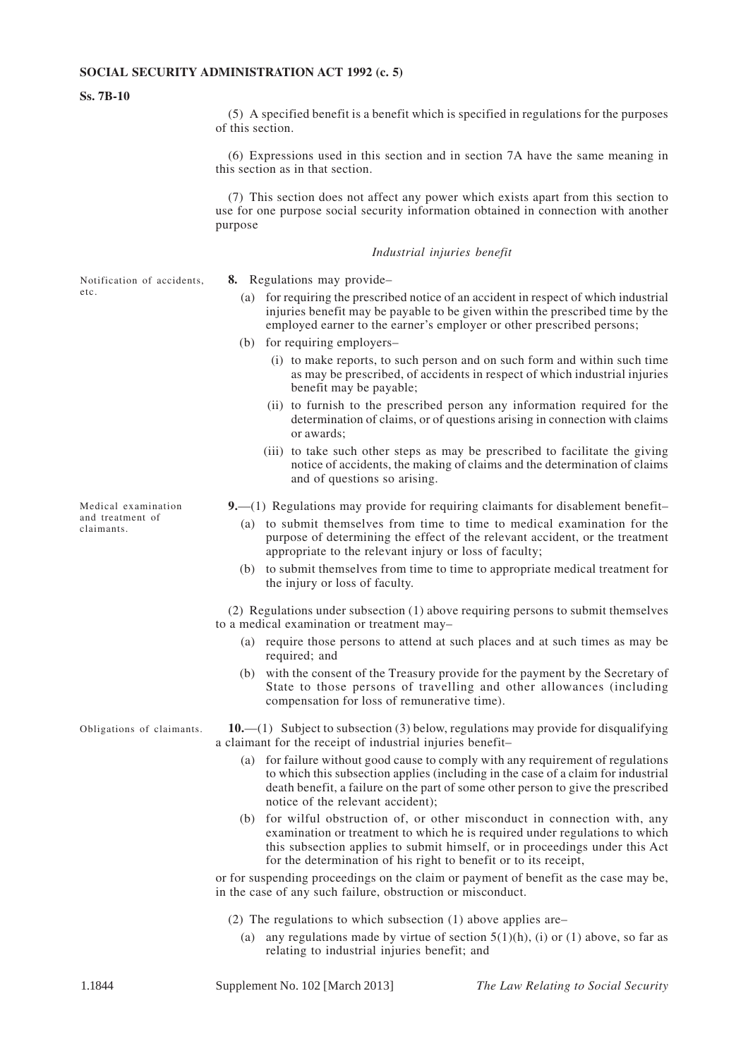#### **Ss. 7B-10**

(5) A specified benefit is a benefit which is specified in regulations for the purposes of this section.

(6) Expressions used in this section and in section 7A have the same meaning in this section as in that section.

(7) This section does not affect any power which exists apart from this section to use for one purpose social security information obtained in connection with another purpose

#### *Industrial injuries benefit*

Notification of accidents, etc.

- **8.** Regulations may provide–
	- (a) for requiring the prescribed notice of an accident in respect of which industrial injuries benefit may be payable to be given within the prescribed time by the employed earner to the earner's employer or other prescribed persons;
	- (b) for requiring employers–
		- (i) to make reports, to such person and on such form and within such time as may be prescribed, of accidents in respect of which industrial injuries benefit may be payable;
		- (ii) to furnish to the prescribed person any information required for the determination of claims, or of questions arising in connection with claims or awards;
		- (iii) to take such other steps as may be prescribed to facilitate the giving notice of accidents, the making of claims and the determination of claims and of questions so arising.

**9.**—(1) Regulations may provide for requiring claimants for disablement benefit–

- (a) to submit themselves from time to time to medical examination for the purpose of determining the effect of the relevant accident, or the treatment appropriate to the relevant injury or loss of faculty;
- (b) to submit themselves from time to time to appropriate medical treatment for the injury or loss of faculty.

(2) Regulations under subsection (1) above requiring persons to submit themselves to a medical examination or treatment may–

- (a) require those persons to attend at such places and at such times as may be required; and
- (b) with the consent of the Treasury provide for the payment by the Secretary of State to those persons of travelling and other allowances (including compensation for loss of remunerative time).

**10.**—(1) Subject to subsection (3) below, regulations may provide for disqualifying a claimant for the receipt of industrial injuries benefit–

- (a) for failure without good cause to comply with any requirement of regulations to which this subsection applies (including in the case of a claim for industrial death benefit, a failure on the part of some other person to give the prescribed notice of the relevant accident);
- (b) for wilful obstruction of, or other misconduct in connection with, any examination or treatment to which he is required under regulations to which this subsection applies to submit himself, or in proceedings under this Act for the determination of his right to benefit or to its receipt,

or for suspending proceedings on the claim or payment of benefit as the case may be, in the case of any such failure, obstruction or misconduct.

(2) The regulations to which subsection (1) above applies are–

(a) any regulations made by virtue of section  $5(1)(h)$ , (i) or (1) above, so far as relating to industrial injuries benefit; and

Medical examination and treatment of claimants.

Obligations of claimants.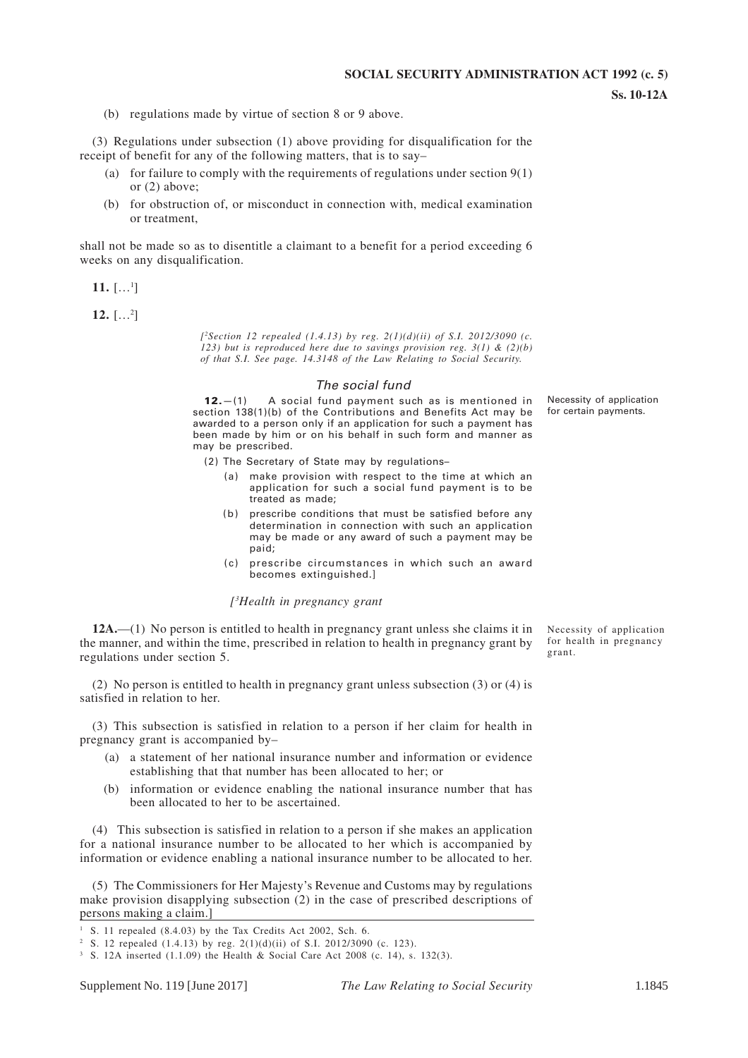#### **Ss. 10-12A**

(b) regulations made by virtue of section 8 or 9 above.

(3) Regulations under subsection (1) above providing for disqualification for the receipt of benefit for any of the following matters, that is to say–

- (a) for failure to comply with the requirements of regulations under section  $9(1)$ or (2) above;
- (b) for obstruction of, or misconduct in connection with, medical examination or treatment,

shall not be made so as to disentitle a claimant to a benefit for a period exceeding 6 weeks on any disqualification.

**11.** […1 ]

**12.**  $[...^2]$ 

*[2Section 12 repealed (1.4.13) by reg. 2(1)(d)(ii) of S.I. 2012/3090 (c. 123) but is reproduced here due to savings provision reg. 3(1) & (2)(b) of that S.I. See page. 14.3148 of the Law Relating to Social Security.*

#### The social fund

**12.**—(1) A social fund payment such as is mentioned in section 138(1)(b) of the Contributions and Benefits Act may be awarded to a person only if an application for such a payment has been made by him or on his behalf in such form and manner as may be prescribed.

- (2) The Secretary of State may by regulations–
	- (a) make provision with respect to the time at which an application for such a social fund payment is to be treated as made;
	- (b) prescribe conditions that must be satisfied before any determination in connection with such an application may be made or any award of such a payment may be paid;
	- (c) prescribe circumstances in which such an award becomes extinguished.]

#### *[3 Health in pregnancy grant*

**12A.**—(1) No person is entitled to health in pregnancy grant unless she claims it in the manner, and within the time, prescribed in relation to health in pregnancy grant by regulations under section 5.

(2) No person is entitled to health in pregnancy grant unless subsection (3) or (4) is satisfied in relation to her.

(3) This subsection is satisfied in relation to a person if her claim for health in pregnancy grant is accompanied by–

- (a) a statement of her national insurance number and information or evidence establishing that that number has been allocated to her; or
- (b) information or evidence enabling the national insurance number that has been allocated to her to be ascertained.

(4) This subsection is satisfied in relation to a person if she makes an application for a national insurance number to be allocated to her which is accompanied by information or evidence enabling a national insurance number to be allocated to her.

(5) The Commissioners for Her Majesty's Revenue and Customs may by regulations make provision disapplying subsection (2) in the case of prescribed descriptions of persons making a claim.]

Necessity of application for certain payments.

Necessity of application for health in pregnancy grant.

<sup>&</sup>lt;sup>1</sup> S. 11 repealed  $(8.4.03)$  by the Tax Credits Act 2002, Sch. 6.

<sup>&</sup>lt;sup>2</sup> S. 12 repealed (1.4.13) by reg. 2(1)(d)(ii) of S.I. 2012/3090 (c. 123).

<sup>&</sup>lt;sup>3</sup> S. 12A inserted  $(1.1.09)$  the Health & Social Care Act 2008 (c. 14), s. 132(3).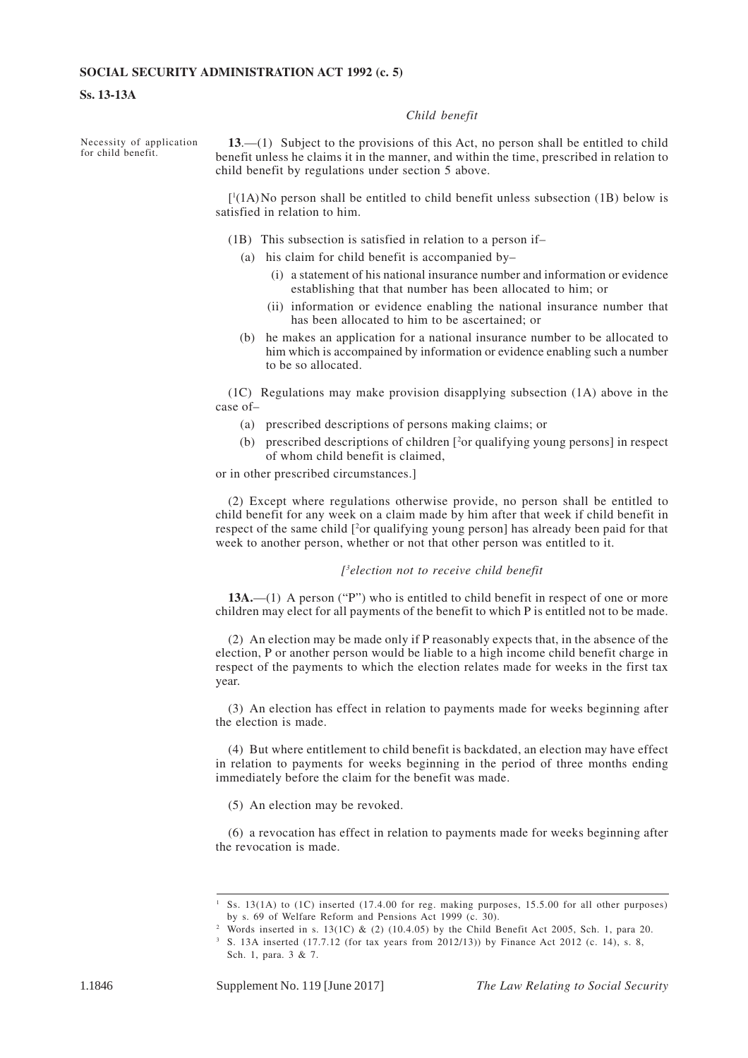## **Ss. 13-13A**

## *Child benefit*

Necessity of application for child benefit.

**13**.—(1) Subject to the provisions of this Act, no person shall be entitled to child benefit unless he claims it in the manner, and within the time, prescribed in relation to child benefit by regulations under section 5 above.

[ 1 (1A) No person shall be entitled to child benefit unless subsection (1B) below is satisfied in relation to him.

- (1B) This subsection is satisfied in relation to a person if–
	- (a) his claim for child benefit is accompanied by–
		- (i) a statement of his national insurance number and information or evidence establishing that that number has been allocated to him; or
		- (ii) information or evidence enabling the national insurance number that has been allocated to him to be ascertained; or
	- (b) he makes an application for a national insurance number to be allocated to him which is accompained by information or evidence enabling such a number to be so allocated.

(1C) Regulations may make provision disapplying subsection (1A) above in the case of–

- (a) prescribed descriptions of persons making claims; or
- (b) prescribed descriptions of children  $[2$  or qualifying young persons] in respect of whom child benefit is claimed,

or in other prescribed circumstances.]

(2) Except where regulations otherwise provide, no person shall be entitled to child benefit for any week on a claim made by him after that week if child benefit in respect of the same child [<sup>2</sup>or qualifying young person] has already been paid for that week to another person, whether or not that other person was entitled to it.

#### *[3 election not to receive child benefit*

13A.—(1) A person ("P") who is entitled to child benefit in respect of one or more children may elect for all payments of the benefit to which P is entitled not to be made.

(2) An election may be made only if P reasonably expects that, in the absence of the election, P or another person would be liable to a high income child benefit charge in respect of the payments to which the election relates made for weeks in the first tax year.

(3) An election has effect in relation to payments made for weeks beginning after the election is made.

(4) But where entitlement to child benefit is backdated, an election may have effect in relation to payments for weeks beginning in the period of three months ending immediately before the claim for the benefit was made.

(5) An election may be revoked.

(6) a revocation has effect in relation to payments made for weeks beginning after the revocation is made.

<sup>&</sup>lt;sup>1</sup> Ss. 13(1A) to (1C) inserted (17.4.00 for reg. making purposes, 15.5.00 for all other purposes) by s. 69 of Welfare Reform and Pensions Act 1999 (c. 30).

<sup>&</sup>lt;sup>2</sup> Words inserted in s. 13(1C) & (2) (10.4.05) by the Child Benefit Act 2005, Sch. 1, para 20.

<sup>3</sup> S. 13A inserted (17.7.12 (for tax years from 2012/13)) by Finance Act 2012 (c. 14), s. 8, Sch. 1, para. 3 & 7.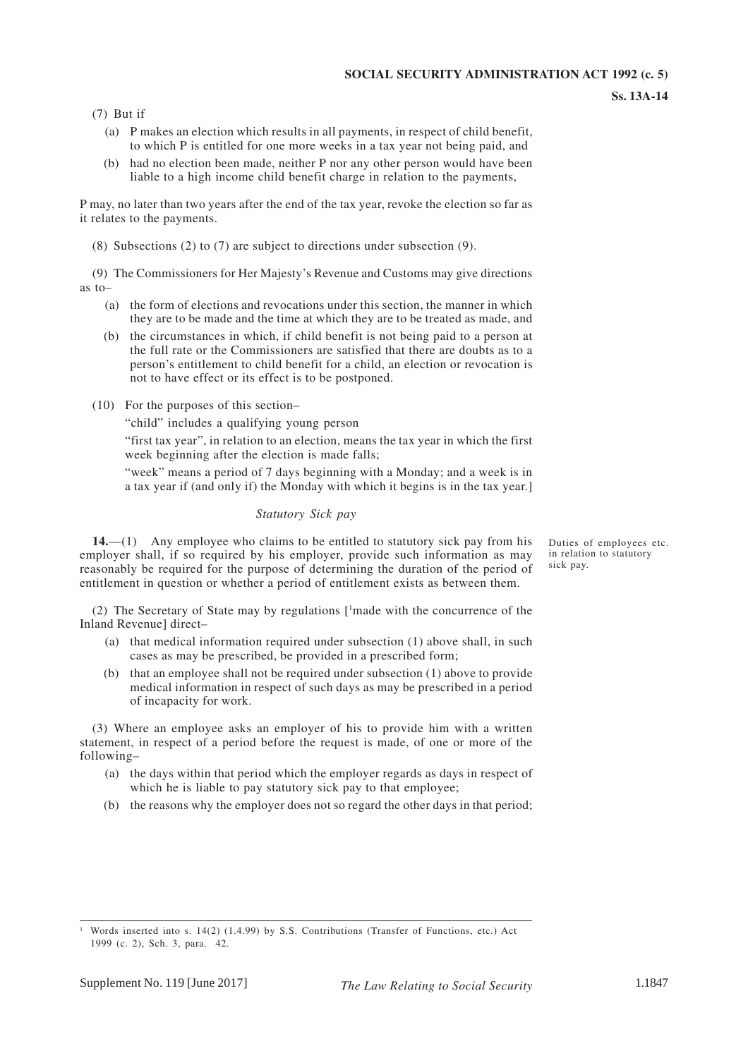(7) But if

- (a) P makes an election which results in all payments, in respect of child benefit, to which P is entitled for one more weeks in a tax year not being paid, and
- (b) had no election been made, neither P nor any other person would have been liable to a high income child benefit charge in relation to the payments,

P may, no later than two years after the end of the tax year, revoke the election so far as it relates to the payments.

(8) Subsections (2) to (7) are subject to directions under subsection (9).

(9) The Commissioners for Her Majesty's Revenue and Customs may give directions as to–

- (a) the form of elections and revocations under this section, the manner in which they are to be made and the time at which they are to be treated as made, and
- (b) the circumstances in which, if child benefit is not being paid to a person at the full rate or the Commissioners are satisfied that there are doubts as to a person's entitlement to child benefit for a child, an election or revocation is not to have effect or its effect is to be postponed.
- (10) For the purposes of this section–

"child" includes a qualifying young person

"first tax year", in relation to an election, means the tax year in which the first week beginning after the election is made falls;

"week" means a period of 7 days beginning with a Monday; and a week is in a tax year if (and only if) the Monday with which it begins is in the tax year.]

## *Statutory Sick pay*

**14.**—(1) Any employee who claims to be entitled to statutory sick pay from his employer shall, if so required by his employer, provide such information as may reasonably be required for the purpose of determining the duration of the period of entitlement in question or whether a period of entitlement exists as between them.

Duties of employees etc. in relation to statutory sick pay.

**Ss. 13A-14**

(2) The Secretary of State may by regulations [1 made with the concurrence of the Inland Revenue] direct–

- (a) that medical information required under subsection (1) above shall, in such cases as may be prescribed, be provided in a prescribed form;
- (b) that an employee shall not be required under subsection (1) above to provide medical information in respect of such days as may be prescribed in a period of incapacity for work.

(3) Where an employee asks an employer of his to provide him with a written statement, in respect of a period before the request is made, of one or more of the following–

- (a) the days within that period which the employer regards as days in respect of which he is liable to pay statutory sick pay to that employee;
- (b) the reasons why the employer does not so regard the other days in that period;

Words inserted into s. 14(2) (1.4.99) by S.S. Contributions (Transfer of Functions, etc.) Act 1999 (c. 2), Sch. 3, para. 42.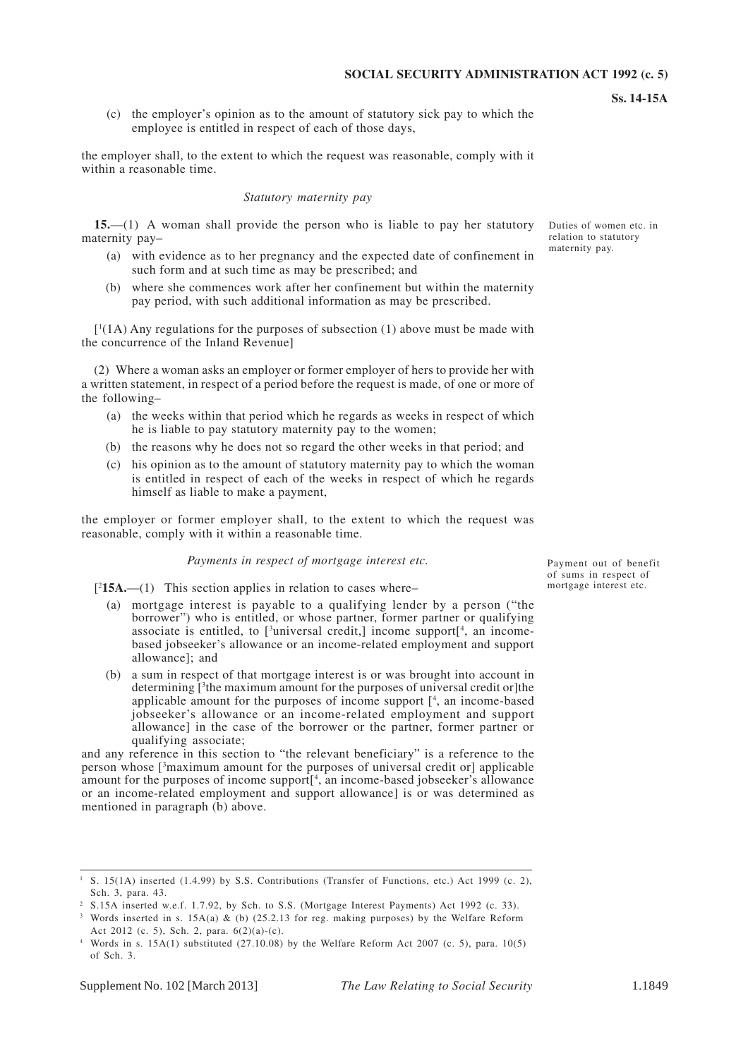(c) the employer's opinion as to the amount of statutory sick pay to which the employee is entitled in respect of each of those days,

the employer shall, to the extent to which the request was reasonable, comply with it within a reasonable time.

### *Statutory maternity pay*

**15.**—(1) A woman shall provide the person who is liable to pay her statutory maternity pay–

- (a) with evidence as to her pregnancy and the expected date of confinement in such form and at such time as may be prescribed; and
- (b) where she commences work after her confinement but within the maternity pay period, with such additional information as may be prescribed.

 $[1(1A)$  Any regulations for the purposes of subsection (1) above must be made with the concurrence of the Inland Revenue]

(2) Where a woman asks an employer or former employer of hers to provide her with a written statement, in respect of a period before the request is made, of one or more of the following–

- (a) the weeks within that period which he regards as weeks in respect of which he is liable to pay statutory maternity pay to the women;
- (b) the reasons why he does not so regard the other weeks in that period; and
- (c) his opinion as to the amount of statutory maternity pay to which the woman is entitled in respect of each of the weeks in respect of which he regards himself as liable to make a payment,

the employer or former employer shall, to the extent to which the request was reasonable, comply with it within a reasonable time.

## *Payments in respect of mortgage interest etc.*

[ 2 **15A.**—(1) This section applies in relation to cases where–

- (a) mortgage interest is payable to a qualifying lender by a person ("the borrower") who is entitled, or whose partner, former partner or qualifying associate is entitled, to  $[3$ universal credit,] income support $[4]$ , an incomebased jobseeker's allowance or an income-related employment and support allowance]; and
- (b) a sum in respect of that mortgage interest is or was brought into account in determining [<sup>3</sup>the maximum amount for the purposes of universal credit or]the applicable amount for the purposes of income support [4 , an income-based jobseeker's allowance or an income-related employment and support allowance] in the case of the borrower or the partner, former partner or qualifying associate;

and any reference in this section to "the relevant beneficiary" is a reference to the person whose [3 maximum amount for the purposes of universal credit or] applicable amount for the purposes of income support[4 , an income-based jobseeker's allowance or an income-related employment and support allowance] is or was determined as mentioned in paragraph (b) above.

Duties of women etc. in relation to statutory maternity pay.

**Ss. 14-15A**

Payment out of benefit of sums in respect of mortgage interest etc.

<sup>&</sup>lt;sup>1</sup> S. 15(1A) inserted (1.4.99) by S.S. Contributions (Transfer of Functions, etc.) Act 1999 (c. 2), Sch. 3, para. 43.

<sup>&</sup>lt;sup>2</sup> S.15A inserted w.e.f. 1.7.92, by Sch. to S.S. (Mortgage Interest Payments) Act 1992 (c. 33).

<sup>&</sup>lt;sup>3</sup> Words inserted in s. 15A(a) & (b) (25.2.13 for reg. making purposes) by the Welfare Reform Act 2012 (c. 5), Sch. 2, para.  $6(2)(a)-(c)$ .

<sup>4</sup> Words in s. 15A(1) substituted (27.10.08) by the Welfare Reform Act 2007 (c. 5), para. 10(5) of Sch. 3.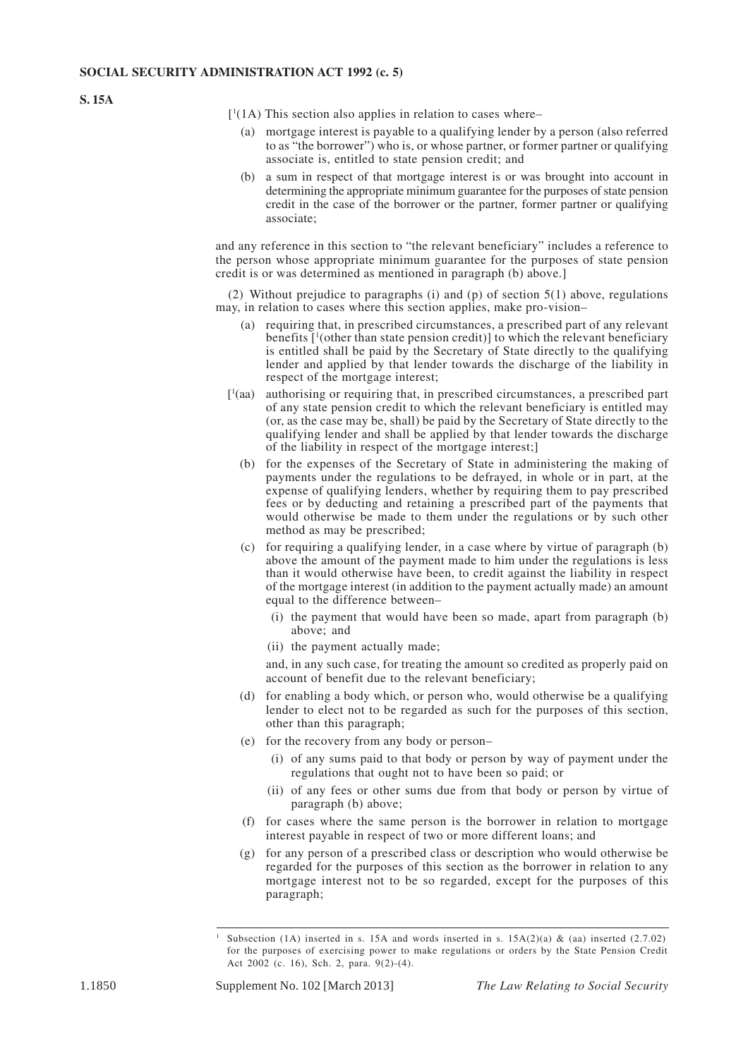**S. 15A**

- $[1(1A)$  This section also applies in relation to cases where–
	- (a) mortgage interest is payable to a qualifying lender by a person (also referred to as "the borrower") who is, or whose partner, or former partner or qualifying associate is, entitled to state pension credit; and
	- (b) a sum in respect of that mortgage interest is or was brought into account in determining the appropriate minimum guarantee for the purposes of state pension credit in the case of the borrower or the partner, former partner or qualifying associate;

and any reference in this section to "the relevant beneficiary" includes a reference to the person whose appropriate minimum guarantee for the purposes of state pension credit is or was determined as mentioned in paragraph (b) above.]

(2) Without prejudice to paragraphs (i) and (p) of section  $5(1)$  above, regulations may, in relation to cases where this section applies, make pro-vision–

- (a) requiring that, in prescribed circumstances, a prescribed part of any relevant benefits [<sup>1</sup>(other than state pension credit)] to which the relevant beneficiary is entitled shall be paid by the Secretary of State directly to the qualifying lender and applied by that lender towards the discharge of the liability in respect of the mortgage interest;
- $[$ authorising or requiring that, in prescribed circumstances, a prescribed part of any state pension credit to which the relevant beneficiary is entitled may (or, as the case may be, shall) be paid by the Secretary of State directly to the qualifying lender and shall be applied by that lender towards the discharge of the liability in respect of the mortgage interest;]
	- (b) for the expenses of the Secretary of State in administering the making of payments under the regulations to be defrayed, in whole or in part, at the expense of qualifying lenders, whether by requiring them to pay prescribed fees or by deducting and retaining a prescribed part of the payments that would otherwise be made to them under the regulations or by such other method as may be prescribed;
	- (c) for requiring a qualifying lender, in a case where by virtue of paragraph (b) above the amount of the payment made to him under the regulations is less than it would otherwise have been, to credit against the liability in respect of the mortgage interest (in addition to the payment actually made) an amount equal to the difference between–
		- (i) the payment that would have been so made, apart from paragraph (b) above; and
		- (ii) the payment actually made;

and, in any such case, for treating the amount so credited as properly paid on account of benefit due to the relevant beneficiary;

- (d) for enabling a body which, or person who, would otherwise be a qualifying lender to elect not to be regarded as such for the purposes of this section, other than this paragraph;
- (e) for the recovery from any body or person–
	- (i) of any sums paid to that body or person by way of payment under the regulations that ought not to have been so paid; or
	- (ii) of any fees or other sums due from that body or person by virtue of paragraph (b) above;
- (f) for cases where the same person is the borrower in relation to mortgage interest payable in respect of two or more different loans; and
- (g) for any person of a prescribed class or description who would otherwise be regarded for the purposes of this section as the borrower in relation to any mortgage interest not to be so regarded, except for the purposes of this paragraph;

Subsection (1A) inserted in s. 15A and words inserted in s.  $15A(2)(a)$  & (aa) inserted (2.7.02) for the purposes of exercising power to make regulations or orders by the State Pension Credit Act 2002 (c. 16), Sch. 2, para. 9(2)-(4).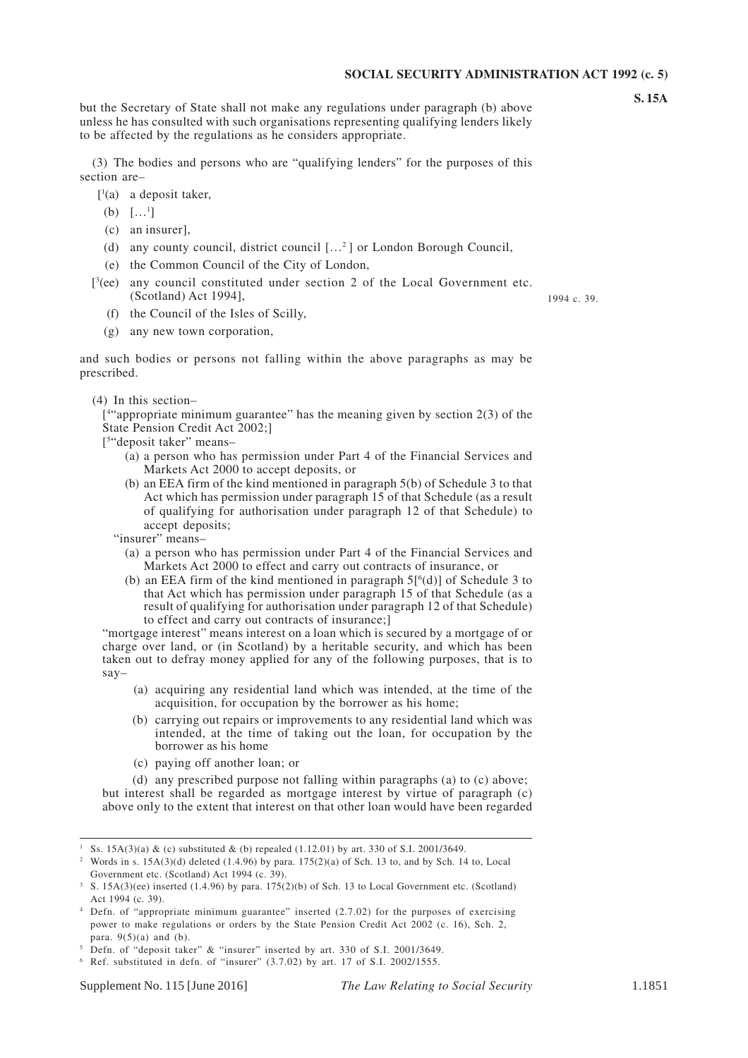but the Secretary of State shall not make any regulations under paragraph (b) above unless he has consulted with such organisations representing qualifying lenders likely to be affected by the regulations as he considers appropriate.

(3) The bodies and persons who are "qualifying lenders" for the purposes of this section are–

[ 1 (a) a deposit taker,

- (b)  $[...]$
- (c) an insurer],
- (d) any county council, district council […2 ] or London Borough Council,
- (e) the Common Council of the City of London,
- [ 3 (ee) any council constituted under section 2 of the Local Government etc. (Scotland) Act 1994],
	- (f) the Council of the Isles of Scilly,
	- (g) any new town corporation,

and such bodies or persons not falling within the above paragraphs as may be prescribed.

(4) In this section–

[4 "appropriate minimum guarantee" has the meaning given by section 2(3) of the State Pension Credit Act 2002;]

[5 "deposit taker" means–

- (a) a person who has permission under Part 4 of the Financial Services and Markets Act 2000 to accept deposits, or
- (b) an EEA firm of the kind mentioned in paragraph 5(b) of Schedule 3 to that Act which has permission under paragraph 15 of that Schedule (as a result of qualifying for authorisation under paragraph 12 of that Schedule) to accept deposits;

"insurer" means–

- (a) a person who has permission under Part 4 of the Financial Services and Markets Act 2000 to effect and carry out contracts of insurance, or
- (b) an EEA firm of the kind mentioned in paragraph  $5[6(d)]$  of Schedule 3 to that Act which has permission under paragraph 15 of that Schedule (as a result of qualifying for authorisation under paragraph 12 of that Schedule) to effect and carry out contracts of insurance;]

"mortgage interest" means interest on a loan which is secured by a mortgage of or charge over land, or (in Scotland) by a heritable security, and which has been taken out to defray money applied for any of the following purposes, that is to say–

- (a) acquiring any residential land which was intended, at the time of the acquisition, for occupation by the borrower as his home;
- (b) carrying out repairs or improvements to any residential land which was intended, at the time of taking out the loan, for occupation by the borrower as his home
- (c) paying off another loan; or

(d) any prescribed purpose not falling within paragraphs (a) to (c) above; but interest shall be regarded as mortgage interest by virtue of paragraph (c) above only to the extent that interest on that other loan would have been regarded

<sup>2</sup> Words in s.  $15A(3)(d)$  deleted  $(1.4.96)$  by para.  $175(2)(a)$  of Sch. 13 to, and by Sch. 14 to, Local Government etc. (Scotland) Act 1994 (c. 39).

1994 c. 39.

**S. 15A**

<sup>&</sup>lt;sup>1</sup> Ss. 15A(3)(a) & (c) substituted & (b) repealed (1.12.01) by art. 330 of S.I. 2001/3649.

<sup>3</sup> S. 15A(3)(ee) inserted (1.4.96) by para. 175(2)(b) of Sch. 13 to Local Government etc. (Scotland) Act 1994 (c. 39).

<sup>4</sup> Defn. of "appropriate minimum guarantee" inserted (2.7.02) for the purposes of exercising power to make regulations or orders by the State Pension Credit Act 2002 (c. 16), Sch. 2, para.  $9(5)(a)$  and (b).

<sup>5</sup> Defn. of "deposit taker" & "insurer" inserted by art. 330 of S.I. 2001/3649.

 $6$  Ref. substituted in defn. of "insurer"  $(3.7.02)$  by art. 17 of S.I. 2002/1555.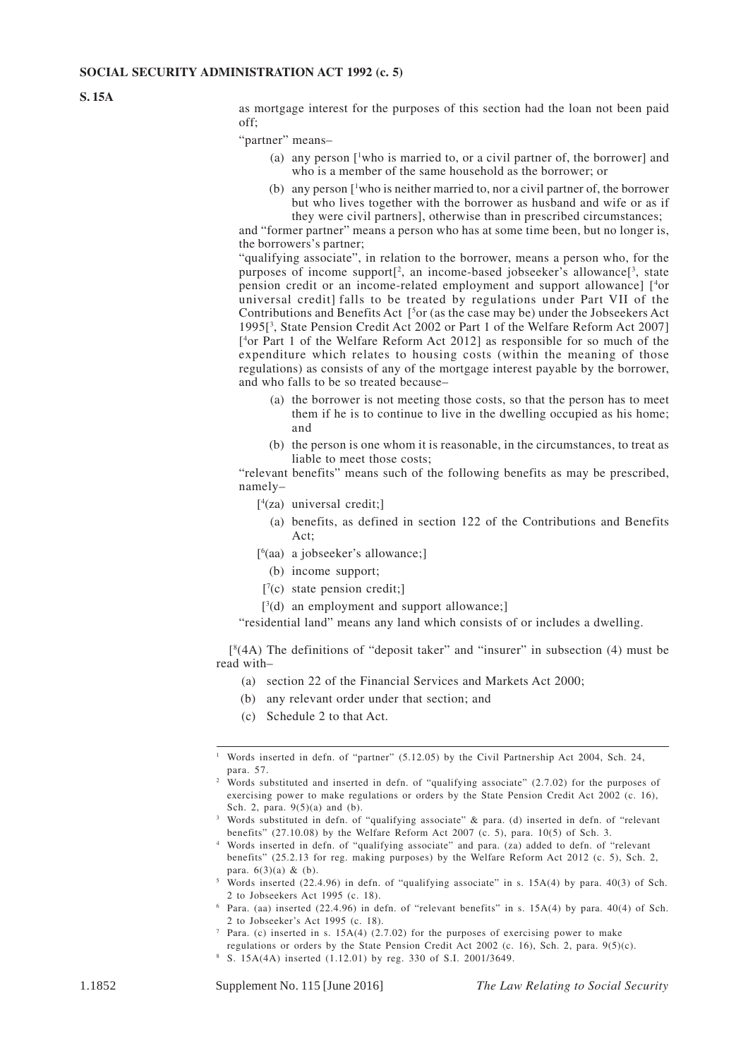**S. 15A**

as mortgage interest for the purposes of this section had the loan not been paid off;

"partner" means–

- (a) any person [<sup>1</sup>who is married to, or a civil partner of, the borrower] and who is a member of the same household as the borrower; or
- (b) any person [lwho is neither married to, nor a civil partner of, the borrower but who lives together with the borrower as husband and wife or as if they were civil partners], otherwise than in prescribed circumstances;

and "former partner" means a person who has at some time been, but no longer is, the borrowers's partner;

"qualifying associate", in relation to the borrower, means a person who, for the purposes of income support<sup>[2</sup>, an income-based jobseeker's allowance<sup>[3</sup>, state pension credit or an income-related employment and support allowance] [4or universal credit] falls to be treated by regulations under Part VII of the Contributions and Benefits Act  $[5$  or (as the case may be) under the Jobseekers Act 1995<sup>[3</sup>, State Pension Credit Act 2002 or Part 1 of the Welfare Reform Act 2007] [4 or Part 1 of the Welfare Reform Act 2012] as responsible for so much of the expenditure which relates to housing costs (within the meaning of those regulations) as consists of any of the mortgage interest payable by the borrower, and who falls to be so treated because–

- (a) the borrower is not meeting those costs, so that the person has to meet them if he is to continue to live in the dwelling occupied as his home; and
- (b) the person is one whom it is reasonable, in the circumstances, to treat as liable to meet those costs;

"relevant benefits" means such of the following benefits as may be prescribed, namely–

- [4 (za) universal credit;]
	- (a) benefits, as defined in section 122 of the Contributions and Benefits Act;
- [<sup>6</sup>(aa) a jobseeker's allowance;]
	- (b) income support;
- [7 (c) state pension credit;]
- [<sup>3</sup>(d) an employment and support allowance;]

"residential land" means any land which consists of or includes a dwelling.

 $[8(4A)$  The definitions of "deposit taker" and "insurer" in subsection (4) must be read with–

- (a) section 22 of the Financial Services and Markets Act 2000;
- (b) any relevant order under that section; and
- (c) Schedule 2 to that Act.

<sup>&</sup>lt;sup>1</sup> Words inserted in defn. of "partner" (5.12.05) by the Civil Partnership Act 2004, Sch. 24, para. 57.

<sup>&</sup>lt;sup>2</sup> Words substituted and inserted in defn. of "qualifying associate" (2.7.02) for the purposes of exercising power to make regulations or orders by the State Pension Credit Act 2002 (c. 16), Sch. 2, para. 9(5)(a) and (b).

<sup>&</sup>lt;sup>3</sup> Words substituted in defn. of "qualifying associate" & para. (d) inserted in defn. of "relevant benefits" (27.10.08) by the Welfare Reform Act 2007 (c. 5), para. 10(5) of Sch. 3.

<sup>4</sup> Words inserted in defn. of "qualifying associate" and para. (za) added to defn. of "relevant benefits" (25.2.13 for reg. making purposes) by the Welfare Reform Act 2012 (c. 5), Sch. 2, para. 6(3)(a) & (b).

<sup>5</sup> Words inserted (22.4.96) in defn. of "qualifying associate" in s. 15A(4) by para. 40(3) of Sch. 2 to Jobseekers Act 1995 (c. 18).

<sup>6</sup> Para. (aa) inserted (22.4.96) in defn. of "relevant benefits" in s. 15A(4) by para. 40(4) of Sch. 2 to Jobseeker's Act 1995 (c. 18).

<sup>&</sup>lt;sup>7</sup> Para. (c) inserted in s.  $15A(4)$  (2.7.02) for the purposes of exercising power to make

regulations or orders by the State Pension Credit Act 2002 (c. 16), Sch. 2, para. 9(5)(c).

<sup>8</sup> S. 15A(4A) inserted (1.12.01) by reg. 330 of S.I. 2001/3649.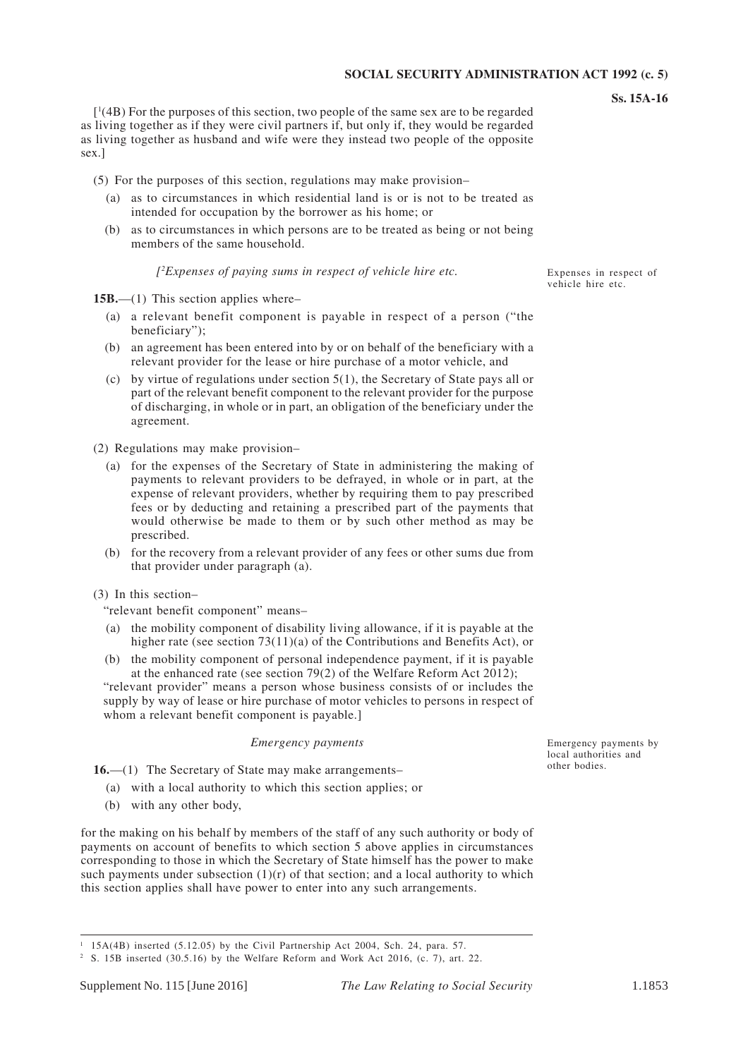[1 (4B) For the purposes of this section, two people of the same sex are to be regarded as living together as if they were civil partners if, but only if, they would be regarded as living together as husband and wife were they instead two people of the opposite sex.]

(5) For the purposes of this section, regulations may make provision–

- (a) as to circumstances in which residential land is or is not to be treated as intended for occupation by the borrower as his home; or
- (b) as to circumstances in which persons are to be treated as being or not being members of the same household.

*[2 Expenses of paying sums in respect of vehicle hire etc.*

**15B.**—(1) This section applies where–

- (a) a relevant benefit component is payable in respect of a person ("the beneficiary");
- (b) an agreement has been entered into by or on behalf of the beneficiary with a relevant provider for the lease or hire purchase of a motor vehicle, and
- (c) by virtue of regulations under section 5(1), the Secretary of State pays all or part of the relevant benefit component to the relevant provider for the purpose of discharging, in whole or in part, an obligation of the beneficiary under the agreement.

(2) Regulations may make provision–

- (a) for the expenses of the Secretary of State in administering the making of payments to relevant providers to be defrayed, in whole or in part, at the expense of relevant providers, whether by requiring them to pay prescribed fees or by deducting and retaining a prescribed part of the payments that would otherwise be made to them or by such other method as may be prescribed.
- (b) for the recovery from a relevant provider of any fees or other sums due from that provider under paragraph (a).

(3) In this section–

"relevant benefit component" means–

- (a) the mobility component of disability living allowance, if it is payable at the higher rate (see section 73(11)(a) of the Contributions and Benefits Act), or
- (b) the mobility component of personal independence payment, if it is payable at the enhanced rate (see section 79(2) of the Welfare Reform Act 2012);

"relevant provider" means a person whose business consists of or includes the supply by way of lease or hire purchase of motor vehicles to persons in respect of whom a relevant benefit component is payable.]

#### *Emergency payments*

16.—(1) The Secretary of State may make arrangements–

(a) with a local authority to which this section applies; or

(b) with any other body,

for the making on his behalf by members of the staff of any such authority or body of payments on account of benefits to which section 5 above applies in circumstances corresponding to those in which the Secretary of State himself has the power to make such payments under subsection  $(1)(r)$  of that section; and a local authority to which this section applies shall have power to enter into any such arrangements.

Expenses in respect of vehicle hire etc.

**Ss. 15A-16**

Emergency payments by local authorities and other bodies.

<sup>1</sup> 15A(4B) inserted (5.12.05) by the Civil Partnership Act 2004, Sch. 24, para. 57.

<sup>2</sup> S. 15B inserted (30.5.16) by the Welfare Reform and Work Act 2016, (c. 7), art. 22.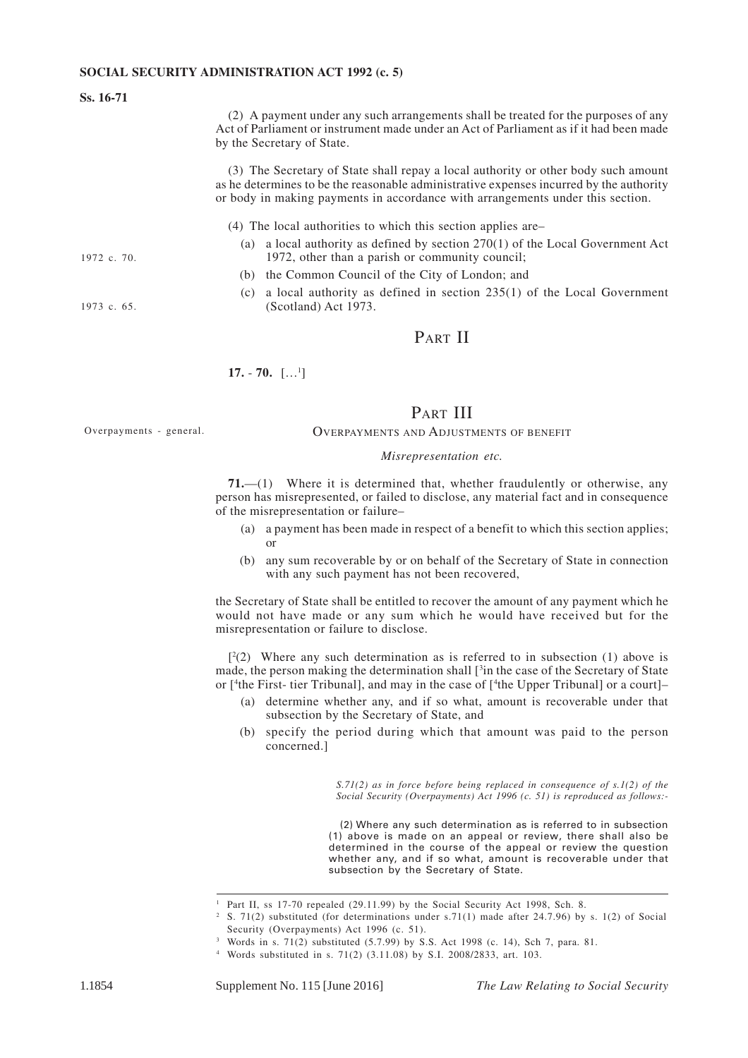**Ss. 16-71**

(2) A payment under any such arrangements shall be treated for the purposes of any Act of Parliament or instrument made under an Act of Parliament as if it had been made by the Secretary of State.

(3) The Secretary of State shall repay a local authority or other body such amount as he determines to be the reasonable administrative expenses incurred by the authority or body in making payments in accordance with arrangements under this section.

- (4) The local authorities to which this section applies are–
	- (a) a local authority as defined by section 270(1) of the Local Government Act 1972, other than a parish or community council;
	- (b) the Common Council of the City of London; and
	- (c) a local authority as defined in section 235(1) of the Local Government (Scotland) Act 1973.

# PART II

**17.** - **70.** […1 ]

# PART III

### OVERPAYMENTS AND ADJUSTMENTS OF BENEFIT

#### *Misrepresentation etc.*

**71.**—(1) Where it is determined that, whether fraudulently or otherwise, any person has misrepresented, or failed to disclose, any material fact and in consequence of the misrepresentation or failure–

- (a) a payment has been made in respect of a benefit to which this section applies; or
- (b) any sum recoverable by or on behalf of the Secretary of State in connection with any such payment has not been recovered,

the Secretary of State shall be entitled to recover the amount of any payment which he would not have made or any sum which he would have received but for the misrepresentation or failure to disclose.

 $[2(2)$  Where any such determination as is referred to in subsection (1) above is made, the person making the determination shall [<sup>3</sup>in the case of the Secretary of State or [<sup>4</sup>the First- tier Tribunal], and may in the case of [<sup>4</sup>the Upper Tribunal] or a court]-

- (a) determine whether any, and if so what, amount is recoverable under that subsection by the Secretary of State, and
- (b) specify the period during which that amount was paid to the person concerned.]

*S.71(2) as in force before being replaced in consequence of s.1(2) of the Social Security (Overpayments) Act 1996 (c. 51) is reproduced as follows:-*

(2) Where any such determination as is referred to in subsection (1) above is made on an appeal or review, there shall also be determined in the course of the appeal or review the question whether any, and if so what, amount is recoverable under that subsection by the Secretary of State.

<sup>3</sup> Words in s. 71(2) substituted  $(5.7.99)$  by S.S. Act 1998 (c. 14), Sch 7, para. 81.

1973 c. 65.

1972 c. 70.

Overpayments - general.

<sup>&</sup>lt;sup>1</sup> Part II, ss 17-70 repealed (29.11.99) by the Social Security Act 1998, Sch. 8.

<sup>2</sup> S. 71(2) substituted (for determinations under s.71(1) made after 24.7.96) by s. 1(2) of Social Security (Overpayments) Act 1996 (c. 51).

<sup>4</sup> Words substituted in s. 71(2) (3.11.08) by S.I. 2008/2833, art. 103.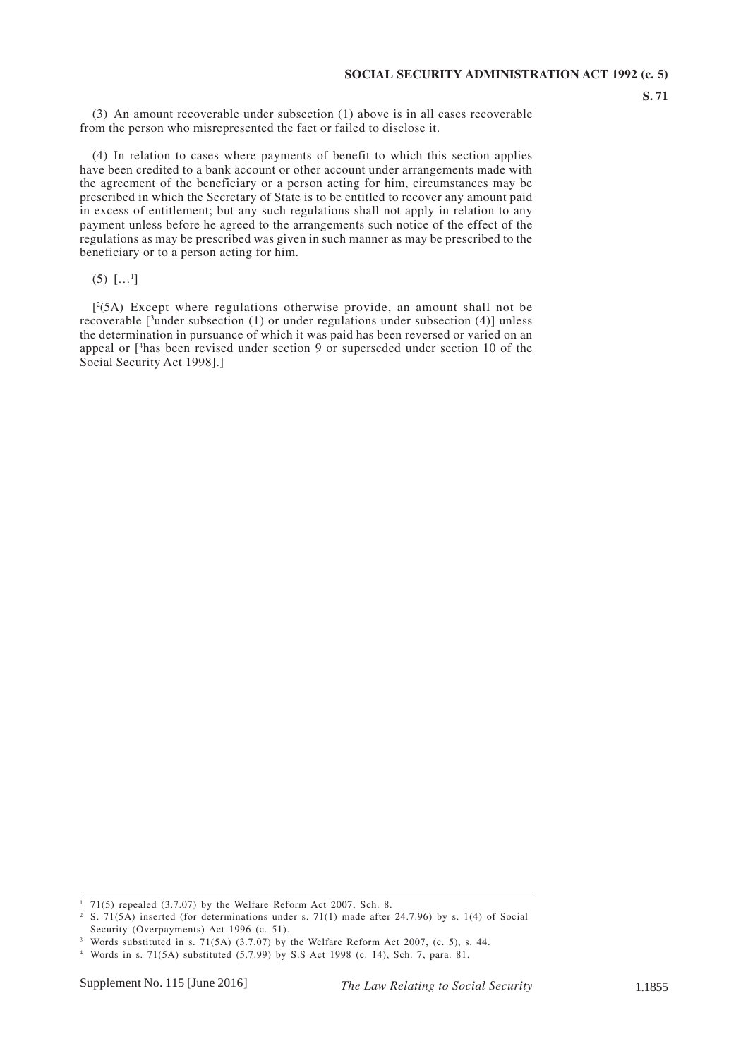**S. 71**

(3) An amount recoverable under subsection (1) above is in all cases recoverable from the person who misrepresented the fact or failed to disclose it.

(4) In relation to cases where payments of benefit to which this section applies have been credited to a bank account or other account under arrangements made with the agreement of the beneficiary or a person acting for him, circumstances may be prescribed in which the Secretary of State is to be entitled to recover any amount paid in excess of entitlement; but any such regulations shall not apply in relation to any payment unless before he agreed to the arrangements such notice of the effect of the regulations as may be prescribed was given in such manner as may be prescribed to the beneficiary or to a person acting for him.

 $(5)$   $[...^1]$ 

[ 2 (5A) Except where regulations otherwise provide, an amount shall not be recoverable [<sup>3</sup>under subsection (1) or under regulations under subsection (4)] unless the determination in pursuance of which it was paid has been reversed or varied on an appeal or [4 has been revised under section 9 or superseded under section 10 of the Social Security Act 1998].]

 $1$  71(5) repealed (3.7.07) by the Welfare Reform Act 2007, Sch. 8.

<sup>&</sup>lt;sup>2</sup> S. 71(5A) inserted (for determinations under s. 71(1) made after 24.7.96) by s. 1(4) of Social Security (Overpayments) Act 1996 (c. 51).

<sup>&</sup>lt;sup>3</sup> Words substituted in s. 71(5A) (3.7.07) by the Welfare Reform Act 2007, (c. 5), s. 44.

<sup>4</sup> Words in s. 71(5A) substituted (5.7.99) by S.S Act 1998 (c. 14), Sch. 7, para. 81.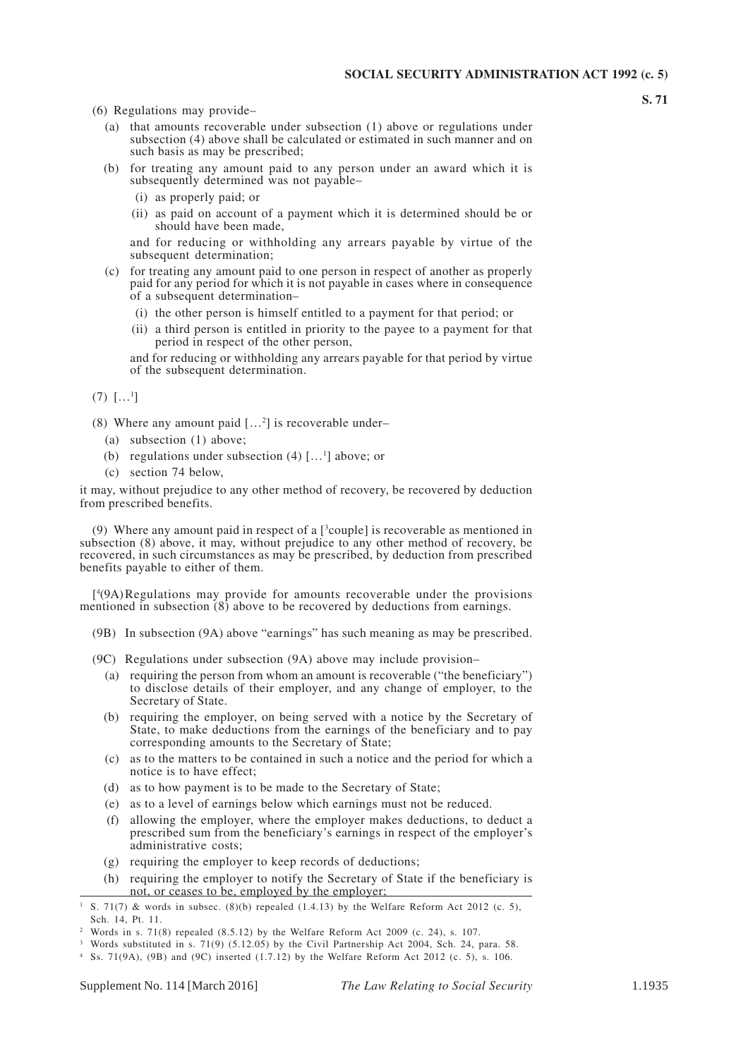(6) Regulations may provide–

- (a) that amounts recoverable under subsection (1) above or regulations under subsection (4) above shall be calculated or estimated in such manner and on such basis as may be prescribed;
- (b) for treating any amount paid to any person under an award which it is subsequently determined was not payable–
	- (i) as properly paid; or
	- (ii) as paid on account of a payment which it is determined should be or should have been made,

and for reducing or withholding any arrears payable by virtue of the subsequent determination;

- (c) for treating any amount paid to one person in respect of another as properly paid for any period for which it is not payable in cases where in consequence of a subsequent determination–
	- (i) the other person is himself entitled to a payment for that period; or
	- (ii) a third person is entitled in priority to the payee to a payment for that period in respect of the other person,

and for reducing or withholding any arrears payable for that period by virtue of the subsequent determination.

#### $(7)$   $[...^1]$

(8) Where any amount paid  $[...]$  is recoverable under-

- (a) subsection (1) above;
- (b) regulations under subsection  $(4)$  [...<sup>1</sup>] above; or
- (c) section 74 below,

it may, without prejudice to any other method of recovery, be recovered by deduction from prescribed benefits.

(9) Where any amount paid in respect of a  $[3$ couple] is recoverable as mentioned in subsection (8) above, it may, without prejudice to any other method of recovery, be recovered, in such circumstances as may be prescribed, by deduction from prescribed benefits payable to either of them.

[ 4 (9A)Regulations may provide for amounts recoverable under the provisions mentioned in subsection  $(8)$  above to be recovered by deductions from earnings.

- (9B) In subsection (9A) above "earnings" has such meaning as may be prescribed.
- (9C) Regulations under subsection (9A) above may include provision–
	- (a) requiring the person from whom an amount is recoverable ("the beneficiary") to disclose details of their employer, and any change of employer, to the Secretary of State.
	- (b) requiring the employer, on being served with a notice by the Secretary of State, to make deductions from the earnings of the beneficiary and to pay corresponding amounts to the Secretary of State;
	- (c) as to the matters to be contained in such a notice and the period for which a notice is to have effect;
	- (d) as to how payment is to be made to the Secretary of State;
	- (e) as to a level of earnings below which earnings must not be reduced.
	- (f) allowing the employer, where the employer makes deductions, to deduct a prescribed sum from the beneficiary's earnings in respect of the employer's administrative costs;
	- (g) requiring the employer to keep records of deductions;
	- (h) requiring the employer to notify the Secretary of State if the beneficiary is not, or ceases to be, employed by the employer;

**S. 71**

<sup>5. 71(7) &</sup>amp; words in subsec. (8)(b) repealed (1.4.13) by the Welfare Reform Act 2012 (c. 5), Sch. 14, Pt. 11.

Words in s. 71(8) repealed  $(8.5.12)$  by the Welfare Reform Act 2009 (c. 24), s. 107.

<sup>&</sup>lt;sup>3</sup> Words substituted in s. 71(9) (5.12.05) by the Civil Partnership Act 2004, Sch. 24, para. 58.

<sup>&</sup>lt;sup>4</sup> Ss. 71(9A), (9B) and (9C) inserted (1.7.12) by the Welfare Reform Act 2012 (c. 5), s. 106.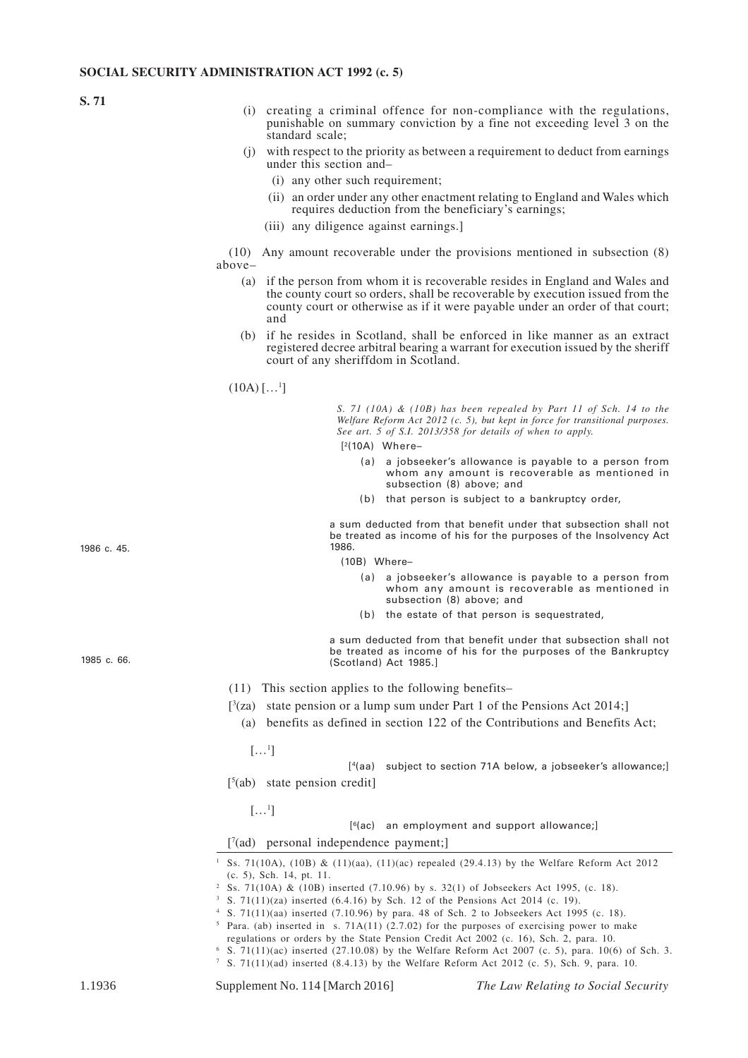**S. 71**

|                          | standard scale;                        | (i) creating a criminal offence for non-compliance with the regulations,<br>punishable on summary conviction by a fine not exceeding level 3 on the                                                                                              |
|--------------------------|----------------------------------------|--------------------------------------------------------------------------------------------------------------------------------------------------------------------------------------------------------------------------------------------------|
|                          | under this section and-                | (j) with respect to the priority as between a requirement to deduct from earnings                                                                                                                                                                |
|                          | (i) any other such requirement;        |                                                                                                                                                                                                                                                  |
|                          |                                        | (ii) an order under any other enactment relating to England and Wales which<br>requires deduction from the beneficiary's earnings;                                                                                                               |
|                          | (iii) any diligence against earnings.] |                                                                                                                                                                                                                                                  |
| $above-$                 |                                        | (10) Any amount recoverable under the provisions mentioned in subsection (8)                                                                                                                                                                     |
|                          | and                                    | (a) if the person from whom it is recoverable resides in England and Wales and<br>the county court so orders, shall be recoverable by execution issued from the<br>county court or otherwise as if it were payable under an order of that court; |
|                          | court of any sheriffdom in Scotland.   | (b) if he resides in Scotland, shall be enforced in like manner as an extract<br>registered decree arbitral bearing a warrant for execution issued by the sheriff                                                                                |
| $(10A)$ [ <sup>1</sup> ] |                                        |                                                                                                                                                                                                                                                  |
|                          |                                        | S. 71 (10A) & (10B) has been repealed by Part 11 of Sch. 14 to the<br>Welfare Reform Act 2012 (c. 5), but kept in force for transitional purposes.<br>See art. 5 of S.I. 2013/358 for details of when to apply.                                  |
|                          |                                        | $[2(10A)$ Where-                                                                                                                                                                                                                                 |
|                          | (a)                                    | a jobseeker's allowance is payable to a person from<br>whom any amount is recoverable as mentioned in<br>subsection (8) above; and                                                                                                               |
|                          |                                        | (b) that person is subject to a bankruptcy order,                                                                                                                                                                                                |
|                          | 1986.                                  | a sum deducted from that benefit under that subsection shall not<br>be treated as income of his for the purposes of the Insolvency Act                                                                                                           |
|                          | (10B) Where-                           |                                                                                                                                                                                                                                                  |
|                          |                                        | (a) a jobseeker's allowance is payable to a person from<br>whom any amount is recoverable as mentioned in<br>subsection (8) above; and                                                                                                           |
|                          |                                        | (b) the estate of that person is sequestrated,                                                                                                                                                                                                   |
|                          |                                        | a sum deducted from that benefit under that subsection shall not<br>be treated as income of his for the purposes of the Bankruptcy<br>(Scotland) Act 1985.]                                                                                      |
| (11)                     |                                        | This section applies to the following benefits-                                                                                                                                                                                                  |
| $\int^3 (z)$             |                                        | state pension or a lump sum under Part 1 of the Pensions Act 2014;                                                                                                                                                                               |
| (a)                      |                                        | benefits as defined in section 122 of the Contributions and Benefits Act;                                                                                                                                                                        |
|                          | $\left[ \ldots \right]$                |                                                                                                                                                                                                                                                  |
|                          | [4(aa)]                                | subject to section 71A below, a jobseeker's allowance;]                                                                                                                                                                                          |
|                          |                                        |                                                                                                                                                                                                                                                  |
| $\int^5(ab)$             | state pension credit]                  |                                                                                                                                                                                                                                                  |
|                          | $\left[ \ldots \right]$                |                                                                                                                                                                                                                                                  |
|                          | [6(a)                                  | an employment and support allowance;]                                                                                                                                                                                                            |

regulations or orders by the State Pension Credit Act 2002 (c. 16), Sch. 2, para. 10.

1986 c. 45.

1985 c. 66.

<sup>2</sup> Ss. 71(10A) & (10B) inserted (7.10.96) by s. 32(1) of Jobseekers Act 1995, (c. 18).

<sup>&</sup>lt;sup>3</sup> S. 71(11)(za) inserted (6.4.16) by Sch. 12 of the Pensions Act 2014 (c. 19).

<sup>4</sup> S. 71(11)(aa) inserted (7.10.96) by para. 48 of Sch. 2 to Jobseekers Act 1995 (c. 18).  $5$  Para. (ab) inserted in s. 71A(11) (2.7.02) for the purposes of exercising power to make

<sup>6</sup> S. 71(11)(ac) inserted (27.10.08) by the Welfare Reform Act 2007 (c. 5), para. 10(6) of Sch. 3. <sup>7</sup> S. 71(11)(ad) inserted  $(8.4.13)$  by the Welfare Reform Act 2012 (c. 5), Sch. 9, para. 10.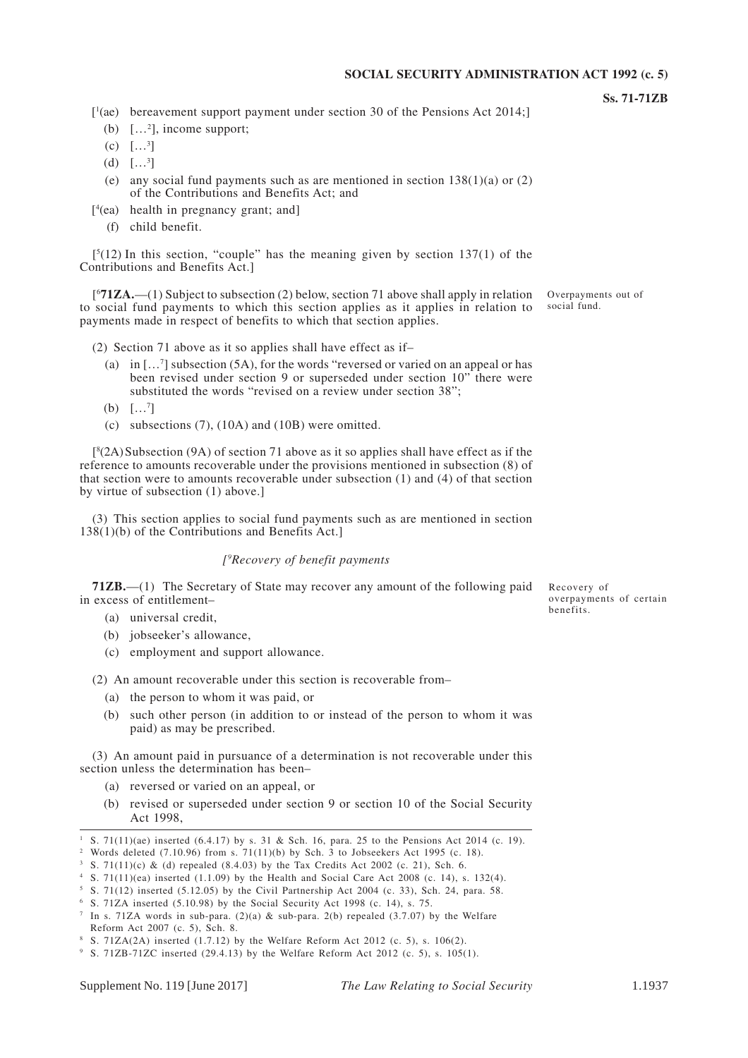- [1 (ae) bereavement support payment under section 30 of the Pensions Act 2014;]
	- (b) […2 ], income support;
	- $(c)$   $[...^3]$
	- (d)  $[...]$
	- (e) any social fund payments such as are mentioned in section  $138(1)(a)$  or (2) of the Contributions and Benefits Act; and
- [ 4 (ea) health in pregnancy grant; and]
	- (f) child benefit.

 $[5(12)$  In this section, "couple" has the meaning given by section 137(1) of the Contributions and Benefits Act.]

[6 **71ZA.**—(1) Subject to subsection (2) below, section 71 above shall apply in relation to social fund payments to which this section applies as it applies in relation to payments made in respect of benefits to which that section applies.

- (2) Section 71 above as it so applies shall have effect as if–
	- (a) in […7 ] subsection (5A), for the words "reversed or varied on an appeal or has been revised under section 9 or superseded under section 10" there were substituted the words "revised on a review under section 38";
	- (b)  $[...]$
	- (c) subsections (7), (10A) and (10B) were omitted.

 $[{}^8(2A)$  Subsection (9A) of section 71 above as it so applies shall have effect as if the reference to amounts recoverable under the provisions mentioned in subsection (8) of that section were to amounts recoverable under subsection (1) and (4) of that section by virtue of subsection (1) above.]

(3) This section applies to social fund payments such as are mentioned in section 138(1)(b) of the Contributions and Benefits Act.]

#### *[9 Recovery of benefit payments*

**71ZB.**—(1) The Secretary of State may recover any amount of the following paid in excess of entitlement–

- (a) universal credit,
- (b) jobseeker's allowance,
- (c) employment and support allowance.

(2) An amount recoverable under this section is recoverable from–

- (a) the person to whom it was paid, or
- (b) such other person (in addition to or instead of the person to whom it was paid) as may be prescribed.

(3) An amount paid in pursuance of a determination is not recoverable under this section unless the determination has been–

- (a) reversed or varied on an appeal, or
- (b) revised or superseded under section 9 or section 10 of the Social Security Act 1998,

Overpayments out of social fund.

**Ss. 71-71ZB**

Recovery of overpayments of certain benefits.

<sup>1</sup> S. 71(11)(ae) inserted (6.4.17) by s. 31 & Sch. 16, para. 25 to the Pensions Act 2014 (c. 19).

<sup>&</sup>lt;sup>2</sup> Words deleted  $(7.10.96)$  from s.  $71(11)(b)$  by Sch. 3 to Jobseekers Act 1995 (c. 18).

<sup>&</sup>lt;sup>3</sup> S. 71(11)(c) & (d) repealed (8.4.03) by the Tax Credits Act 2002 (c. 21), Sch. 6.

<sup>4</sup> S. 71(11)(ea) inserted (1.1.09) by the Health and Social Care Act 2008 (c. 14), s. 132(4).

 $5$  S. 71(12) inserted (5.12.05) by the Civil Partnership Act 2004 (c. 33), Sch. 24, para. 58.

 $6$  S. 71ZA inserted (5.10.98) by the Social Security Act 1998 (c. 14), s. 75.

<sup>&</sup>lt;sup>7</sup> In s. 71ZA words in sub-para. (2)(a) & sub-para. 2(b) repealed (3.7.07) by the Welfare Reform Act 2007 (c. 5), Sch. 8.

<sup>&</sup>lt;sup>8</sup> S. 71ZA(2A) inserted (1.7.12) by the Welfare Reform Act 2012 (c. 5), s. 106(2).

<sup>9</sup> S. 71ZB-71ZC inserted (29.4.13) by the Welfare Reform Act 2012 (c. 5), s. 105(1).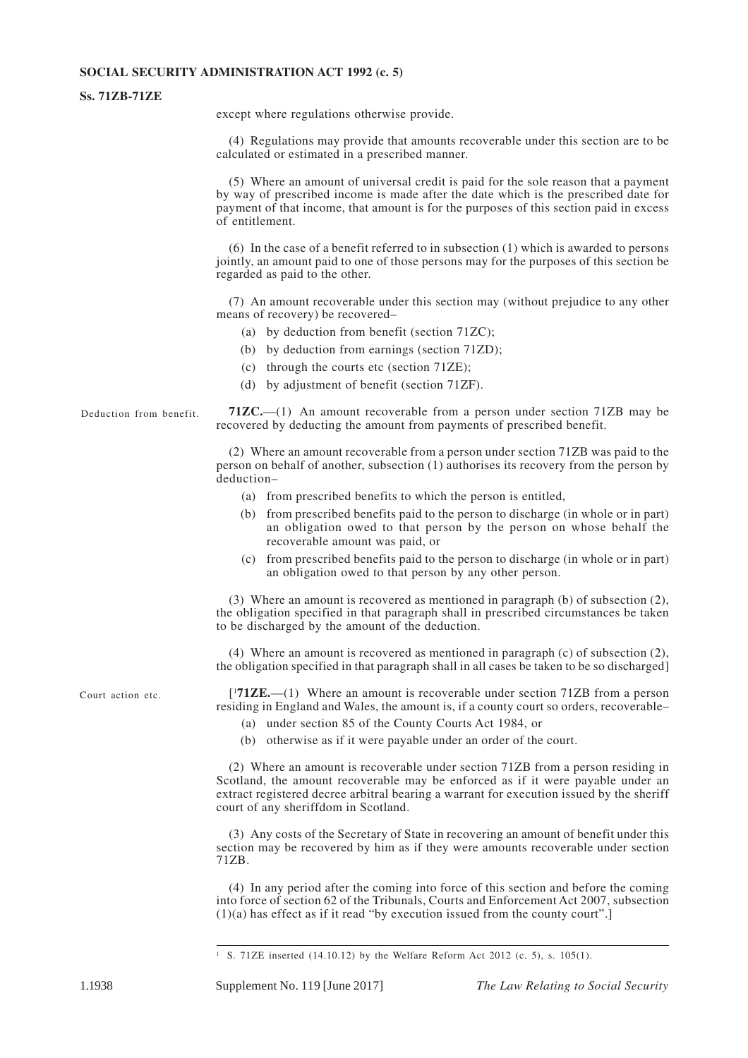#### **Ss. 71ZB-71ZE**

except where regulations otherwise provide.

(4) Regulations may provide that amounts recoverable under this section are to be calculated or estimated in a prescribed manner.

(5) Where an amount of universal credit is paid for the sole reason that a payment by way of prescribed income is made after the date which is the prescribed date for payment of that income, that amount is for the purposes of this section paid in excess of entitlement.

(6) In the case of a benefit referred to in subsection (1) which is awarded to persons jointly, an amount paid to one of those persons may for the purposes of this section be regarded as paid to the other.

(7) An amount recoverable under this section may (without prejudice to any other means of recovery) be recovered–

- (a) by deduction from benefit (section 71ZC);
- (b) by deduction from earnings (section 71ZD);
- (c) through the courts etc (section 71ZE);
- (d) by adjustment of benefit (section 71ZF).

**71ZC.**—(1) An amount recoverable from a person under section 71ZB may be recovered by deducting the amount from payments of prescribed benefit. Deduction from benefit.

> (2) Where an amount recoverable from a person under section 71ZB was paid to the person on behalf of another, subsection (1) authorises its recovery from the person by deduction–

- (a) from prescribed benefits to which the person is entitled,
- (b) from prescribed benefits paid to the person to discharge (in whole or in part) an obligation owed to that person by the person on whose behalf the recoverable amount was paid, or
- (c) from prescribed benefits paid to the person to discharge (in whole or in part) an obligation owed to that person by any other person.

(3) Where an amount is recovered as mentioned in paragraph (b) of subsection (2), the obligation specified in that paragraph shall in prescribed circumstances be taken to be discharged by the amount of the deduction.

(4) Where an amount is recovered as mentioned in paragraph (c) of subsection (2), the obligation specified in that paragraph shall in all cases be taken to be so discharged]

['71ZE.—(1) Where an amount is recoverable under section 71ZB from a person residing in England and Wales, the amount is, if a county court so orders, recoverable–

- (a) under section 85 of the County Courts Act 1984, or
- (b) otherwise as if it were payable under an order of the court.

(2) Where an amount is recoverable under section 71ZB from a person residing in Scotland, the amount recoverable may be enforced as if it were payable under an extract registered decree arbitral bearing a warrant for execution issued by the sheriff court of any sheriffdom in Scotland.

(3) Any costs of the Secretary of State in recovering an amount of benefit under this section may be recovered by him as if they were amounts recoverable under section 71ZB.

(4) In any period after the coming into force of this section and before the coming into force of section 62 of the Tribunals, Courts and Enforcement Act 2007, subsection  $(1)(a)$  has effect as if it read "by execution issued from the county court".

Court action etc.

<sup>&</sup>lt;sup>1</sup> S. 71ZE inserted (14.10.12) by the Welfare Reform Act 2012 (c. 5), s. 105(1).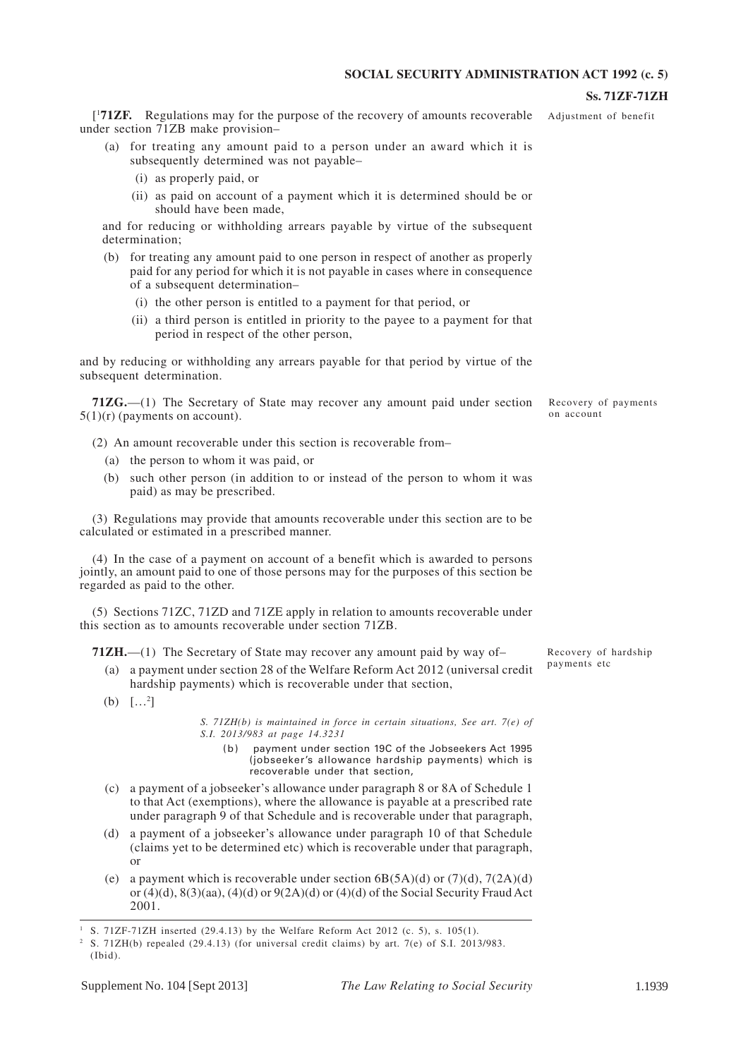# **Ss. 71ZF-71ZH**

Adjustment of benefit

['71ZF. Regulations may for the purpose of the recovery of amounts recoverable under section 71ZB make provision–

- (a) for treating any amount paid to a person under an award which it is subsequently determined was not payable–
	- (i) as properly paid, or
	- (ii) as paid on account of a payment which it is determined should be or should have been made,

and for reducing or withholding arrears payable by virtue of the subsequent determination;

- (b) for treating any amount paid to one person in respect of another as properly paid for any period for which it is not payable in cases where in consequence of a subsequent determination–
	- (i) the other person is entitled to a payment for that period, or
	- (ii) a third person is entitled in priority to the payee to a payment for that period in respect of the other person,

and by reducing or withholding any arrears payable for that period by virtue of the subsequent determination.

**71ZG.**—(1) The Secretary of State may recover any amount paid under section  $5(1)(r)$  (payments on account).

(2) An amount recoverable under this section is recoverable from–

- (a) the person to whom it was paid, or
- (b) such other person (in addition to or instead of the person to whom it was paid) as may be prescribed.

(3) Regulations may provide that amounts recoverable under this section are to be calculated or estimated in a prescribed manner.

(4) In the case of a payment on account of a benefit which is awarded to persons jointly, an amount paid to one of those persons may for the purposes of this section be regarded as paid to the other.

(5) Sections 71ZC, 71ZD and 71ZE apply in relation to amounts recoverable under this section as to amounts recoverable under section 71ZB.

**71ZH.**—(1) The Secretary of State may recover any amount paid by way of–

- (a) a payment under section 28 of the Welfare Reform Act 2012 (universal credit hardship payments) which is recoverable under that section,
- (b)  $[...]$

*S. 71ZH(b) is maintained in force in certain situations, See art. 7(e) of S.I. 2013/983 at page 14.3231*

- (b) payment under section 19C of the Jobseekers Act 1995 (jobseeker's allowance hardship payments) which is recoverable under that section,
- (c) a payment of a jobseeker's allowance under paragraph 8 or 8A of Schedule 1 to that Act (exemptions), where the allowance is payable at a prescribed rate under paragraph 9 of that Schedule and is recoverable under that paragraph,
- (d) a payment of a jobseeker's allowance under paragraph 10 of that Schedule (claims yet to be determined etc) which is recoverable under that paragraph, or
- (e) a payment which is recoverable under section  $6B(5A)(d)$  or  $(7)(d)$ ,  $7(2A)(d)$ or  $(4)(d)$ ,  $8(3)(aa)$ ,  $(4)(d)$  or  $9(2A)(d)$  or  $(4)(d)$  of the Social Security Fraud Act 2001.

Recovery of payments on account

Recovery of hardship payments etc

S. 71ZF-71ZH inserted (29.4.13) by the Welfare Reform Act 2012 (c. 5), s. 105(1).

<sup>&</sup>lt;sup>2</sup> S. 71ZH(b) repealed (29.4.13) (for universal credit claims) by art. 7(e) of S.I. 2013/983. (Ibid).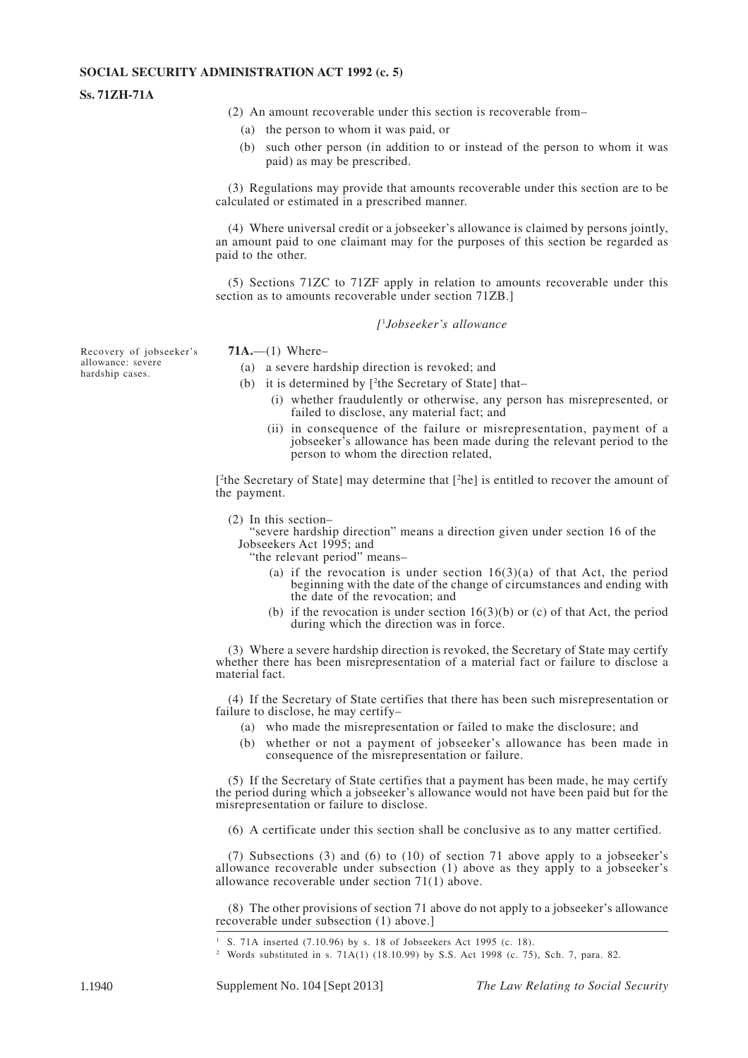#### **Ss. 71ZH-71A**

- (2) An amount recoverable under this section is recoverable from–
	- (a) the person to whom it was paid, or
	- (b) such other person (in addition to or instead of the person to whom it was paid) as may be prescribed.

(3) Regulations may provide that amounts recoverable under this section are to be calculated or estimated in a prescribed manner.

(4) Where universal credit or a jobseeker's allowance is claimed by persons jointly, an amount paid to one claimant may for the purposes of this section be regarded as paid to the other.

(5) Sections 71ZC to 71ZF apply in relation to amounts recoverable under this section as to amounts recoverable under section 71ZB.]

## *[*1 *Jobseeker's allowance*

**71A.**—(1) Where–

- (a) a severe hardship direction is revoked; and
- (b) it is determined by  $[{}^{2}$ the Secretary of State] that-
	- (i) whether fraudulently or otherwise, any person has misrepresented, or failed to disclose, any material fact; and
	- (ii) in consequence of the failure or misrepresentation, payment of a jobseeker's allowance has been made during the relevant period to the person to whom the direction related,

[<sup>2</sup>the Secretary of State] may determine that [<sup>2</sup>he] is entitled to recover the amount of the payment.

- (2) In this section–
	- "severe hardship direction" means a direction given under section 16 of the Jobseekers Act 1995; and

"the relevant period" means–

- (a) if the revocation is under section  $16(3)(a)$  of that Act, the period beginning with the date of the change of circumstances and ending with the date of the revocation; and
- (b) if the revocation is under section  $16(3)(b)$  or (c) of that Act, the period during which the direction was in force.

(3) Where a severe hardship direction is revoked, the Secretary of State may certify whether there has been misrepresentation of a material fact or failure to disclose a material fact.

(4) If the Secretary of State certifies that there has been such misrepresentation or failure to disclose, he may certify–

- (a) who made the misrepresentation or failed to make the disclosure; and
- (b) whether or not a payment of jobseeker's allowance has been made in consequence of the misrepresentation or failure.

(5) If the Secretary of State certifies that a payment has been made, he may certify the period during which a jobseeker's allowance would not have been paid but for the misrepresentation or failure to disclose.

(6) A certificate under this section shall be conclusive as to any matter certified.

(7) Subsections (3) and (6) to (10) of section 71 above apply to a jobseeker's allowance recoverable under subsection (1) above as they apply to a jobseeker's allowance recoverable under section 71(1) above.

(8) The other provisions of section 71 above do not apply to a jobseeker's allowance recoverable under subsection (1) above.]

Recovery of jobseeker's allowance: severe hardship cases.

S. 71A inserted (7.10.96) by s. 18 of Jobseekers Act 1995 (c. 18).

<sup>2</sup> Words substituted in s. 71A(1) (18.10.99) by S.S. Act 1998 (c. 75), Sch. 7, para. 82.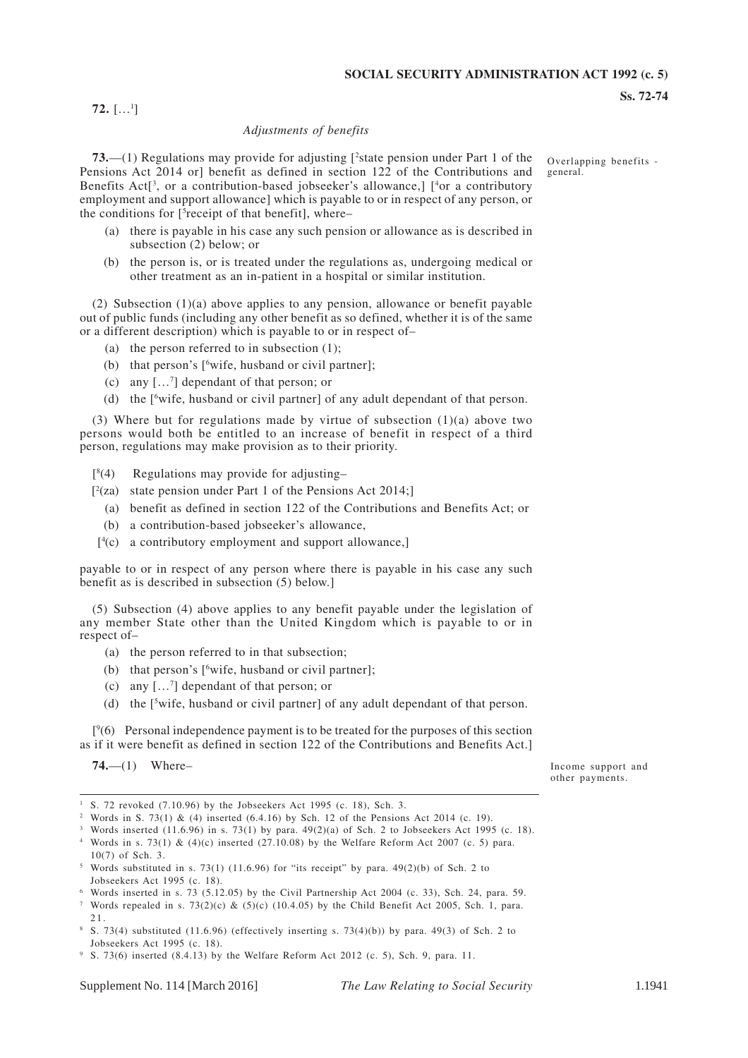**72.** […1 ]

## *Adjustments of benefits*

**73.**—(1) Regulations may provide for adjusting [<sup>2</sup> state pension under Part 1 of the Pensions Act 2014 or] benefit as defined in section 122 of the Contributions and Benefits Act<sup>[3</sup>, or a contribution-based jobseeker's allowance,] [<sup>4</sup>or a contributory employment and support allowance] which is payable to or in respect of any person, or the conditions for [<sup>5</sup>receipt of that benefit], where-

- (a) there is payable in his case any such pension or allowance as is described in subsection (2) below; or
- (b) the person is, or is treated under the regulations as, undergoing medical or other treatment as an in-patient in a hospital or similar institution.

(2) Subsection (1)(a) above applies to any pension, allowance or benefit payable out of public funds (including any other benefit as so defined, whether it is of the same or a different description) which is payable to or in respect of–

- (a) the person referred to in subsection (1);
- (b) that person's [<sup>6</sup>wife, husband or civil partner];
- (c) any […7 ] dependant of that person; or
- (d) the  $[6$ wife, husband or civil partner] of any adult dependant of that person.

(3) Where but for regulations made by virtue of subsection (1)(a) above two persons would both be entitled to an increase of benefit in respect of a third person, regulations may make provision as to their priority.

- $[{}^8(4)$ Regulations may provide for adjusting-
- $[2$ (za) state pension under Part 1 of the Pensions Act 2014;
	- (a) benefit as defined in section 122 of the Contributions and Benefits Act; or
	- (b) a contribution-based jobseeker's allowance,
- [4 (c) a contributory employment and support allowance,]

payable to or in respect of any person where there is payable in his case any such benefit as is described in subsection (5) below.]

(5) Subsection (4) above applies to any benefit payable under the legislation of any member State other than the United Kingdom which is payable to or in respect of–

- (a) the person referred to in that subsection;
- (b) that person's [<sup>6</sup>wife, husband or civil partner];
- (c) any […7 ] dependant of that person; or
- (d) the  $[5$ wife, husband or civil partner] of any adult dependant of that person.

 $[°(6)$  Personal independence payment is to be treated for the purposes of this section as if it were benefit as defined in section 122 of the Contributions and Benefits Act.]

**74.**—(1) Where–

Income support and other payments.

- <sup>4</sup> Words in s. 73(1) & (4)(c) inserted (27.10.08) by the Welfare Reform Act 2007 (c. 5) para. 10(7) of Sch. 3.
- <sup>5</sup> Words substituted in s. 73(1) (11.6.96) for "its receipt" by para. 49(2)(b) of Sch. 2 to Jobseekers Act 1995 (c. 18).
- <sup>6</sup> Words inserted in s. 73 (5.12.05) by the Civil Partnership Act 2004 (c. 33), Sch. 24, para. 59.

<sup>7</sup> Words repealed in s. 73(2)(c) & (5)(c) (10.4.05) by the Child Benefit Act 2005, Sch. 1, para. 21.

Overlapping benefits general.

**Ss. 72-74**

<sup>&</sup>lt;sup>1</sup> S. 72 revoked  $(7.10.96)$  by the Jobseekers Act 1995 (c. 18), Sch. 3.

<sup>&</sup>lt;sup>2</sup> Words in S. 73(1) & (4) inserted (6.4.16) by Sch. 12 of the Pensions Act 2014 (c. 19).

<sup>&</sup>lt;sup>3</sup> Words inserted  $(11.6.96)$  in s. 73(1) by para. 49(2)(a) of Sch. 2 to Jobseekers Act 1995 (c. 18).

<sup>&</sup>lt;sup>8</sup> S. 73(4) substituted (11.6.96) (effectively inserting s. 73(4)(b)) by para. 49(3) of Sch. 2 to Jobseekers Act 1995 (c. 18).

<sup>&</sup>lt;sup>9</sup> S. 73(6) inserted  $(8.4.13)$  by the Welfare Reform Act 2012 (c. 5), Sch. 9, para. 11.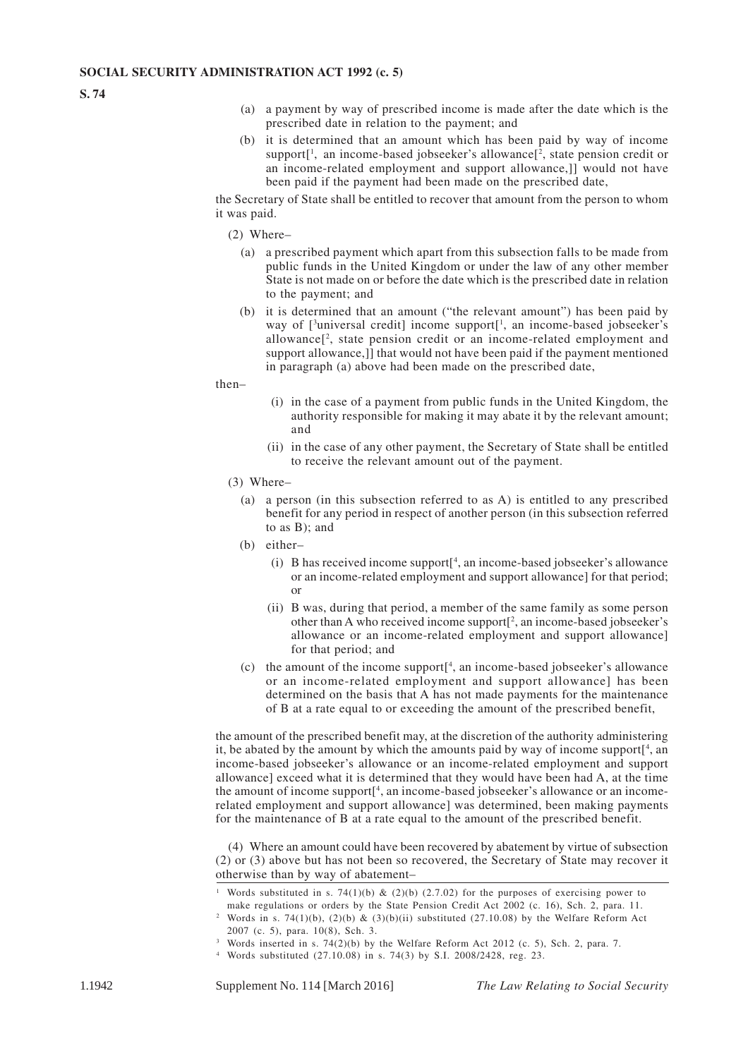**S. 74**

- (a) a payment by way of prescribed income is made after the date which is the prescribed date in relation to the payment; and
- (b) it is determined that an amount which has been paid by way of income support<sup>[1</sup>, an income-based jobseeker's allowance<sup>[2</sup>, state pension credit or an income-related employment and support allowance,]] would not have been paid if the payment had been made on the prescribed date,

the Secretary of State shall be entitled to recover that amount from the person to whom it was paid.

- (2) Where–
	- (a) a prescribed payment which apart from this subsection falls to be made from public funds in the United Kingdom or under the law of any other member State is not made on or before the date which is the prescribed date in relation to the payment; and
	- (b) it is determined that an amount ("the relevant amount") has been paid by way of [3universal credit] income support[1, an income-based jobseeker's allowance[2 , state pension credit or an income-related employment and support allowance,]] that would not have been paid if the payment mentioned in paragraph (a) above had been made on the prescribed date,

#### then–

- (i) in the case of a payment from public funds in the United Kingdom, the authority responsible for making it may abate it by the relevant amount; and
- (ii) in the case of any other payment, the Secretary of State shall be entitled to receive the relevant amount out of the payment.
- (3) Where–
	- (a) a person (in this subsection referred to as A) is entitled to any prescribed benefit for any period in respect of another person (in this subsection referred to as B); and
	- (b) either–
		- (i) B has received income support[4 , an income-based jobseeker's allowance or an income-related employment and support allowance] for that period; or
		- (ii) B was, during that period, a member of the same family as some person other than A who received income support[2 , an income-based jobseeker's allowance or an income-related employment and support allowance] for that period; and
	- $(c)$  the amount of the income support $[4]$ , an income-based jobseeker's allowance or an income-related employment and support allowance] has been determined on the basis that A has not made payments for the maintenance of B at a rate equal to or exceeding the amount of the prescribed benefit,

the amount of the prescribed benefit may, at the discretion of the authority administering it, be abated by the amount by which the amounts paid by way of income support $[4]$ , an income-based jobseeker's allowance or an income-related employment and support allowance] exceed what it is determined that they would have been had A, at the time the amount of income support[4 , an income-based jobseeker's allowance or an incomerelated employment and support allowance] was determined, been making payments for the maintenance of B at a rate equal to the amount of the prescribed benefit.

(4) Where an amount could have been recovered by abatement by virtue of subsection (2) or (3) above but has not been so recovered, the Secretary of State may recover it otherwise than by way of abatement–

Words substituted in s. 74(1)(b) & (2)(b) (2.7.02) for the purposes of exercising power to make regulations or orders by the State Pension Credit Act 2002 (c. 16), Sch. 2, para. 11.

Words in s. 74(1)(b), (2)(b) & (3)(b)(ii) substituted (27.10.08) by the Welfare Reform Act 2007 (c. 5), para. 10(8), Sch. 3.

<sup>&</sup>lt;sup>3</sup> Words inserted in s. 74(2)(b) by the Welfare Reform Act 2012 (c. 5), Sch. 2, para. 7.

<sup>4</sup> Words substituted (27.10.08) in s. 74(3) by S.I. 2008/2428, reg. 23.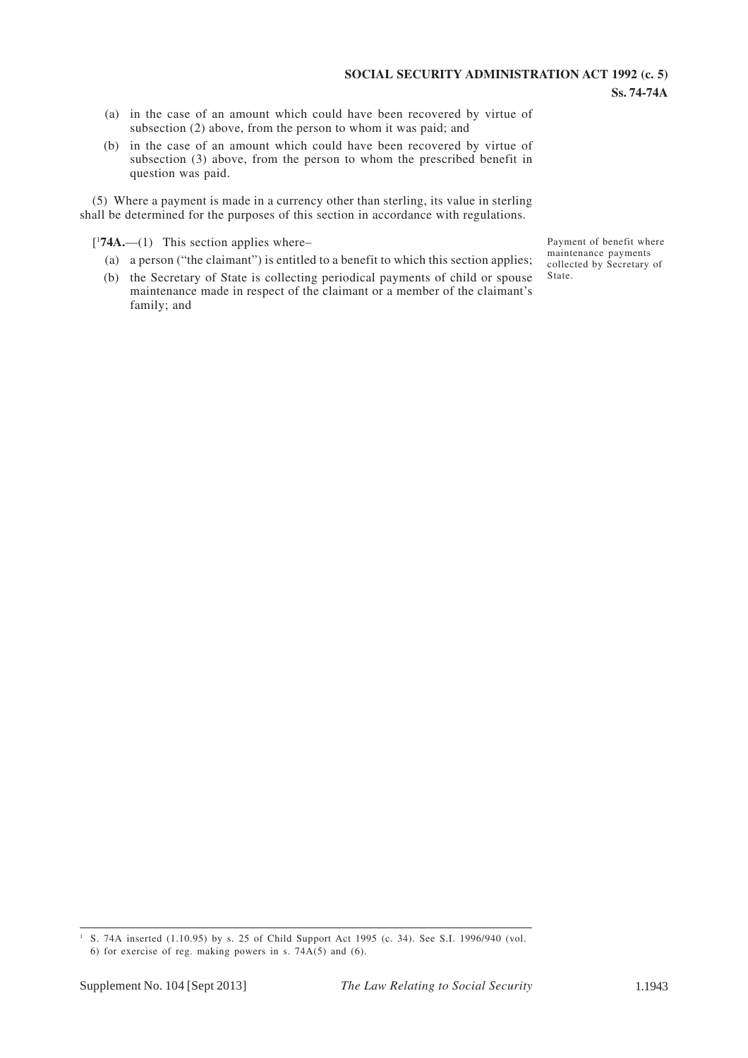- (a) in the case of an amount which could have been recovered by virtue of subsection (2) above, from the person to whom it was paid; and
- (b) in the case of an amount which could have been recovered by virtue of subsection (3) above, from the person to whom the prescribed benefit in question was paid.

(5) Where a payment is made in a currency other than sterling, its value in sterling shall be determined for the purposes of this section in accordance with regulations.

[1 **74A.**—(1) This section applies where–

- (a) a person ("the claimant") is entitled to a benefit to which this section applies;
- (b) the Secretary of State is collecting periodical payments of child or spouse maintenance made in respect of the claimant or a member of the claimant's family; and

Payment of benefit where maintenance payments collected by Secretary of State.

<sup>&</sup>lt;sup>1</sup> S. 74A inserted  $(1.10.95)$  by s. 25 of Child Support Act 1995 (c. 34). See S.I. 1996/940 (vol. 6) for exercise of reg. making powers in s. 74A(5) and (6).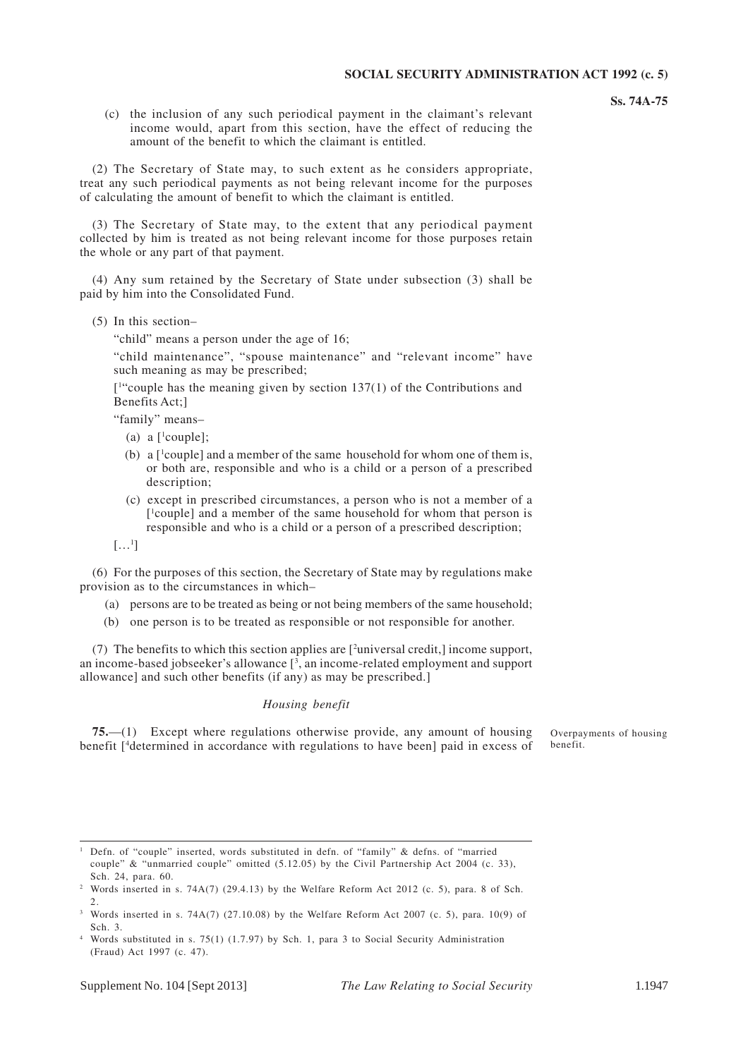(c) the inclusion of any such periodical payment in the claimant's relevant income would, apart from this section, have the effect of reducing the amount of the benefit to which the claimant is entitled.

**Ss. 74A-75**

(2) The Secretary of State may, to such extent as he considers appropriate, treat any such periodical payments as not being relevant income for the purposes of calculating the amount of benefit to which the claimant is entitled.

(3) The Secretary of State may, to the extent that any periodical payment collected by him is treated as not being relevant income for those purposes retain the whole or any part of that payment.

(4) Any sum retained by the Secretary of State under subsection (3) shall be paid by him into the Consolidated Fund.

(5) In this section–

"child" means a person under the age of 16;

"child maintenance", "spouse maintenance" and "relevant income" have such meaning as may be prescribed;

[1 "couple has the meaning given by section 137(1) of the Contributions and Benefits Act;]

"family" means–

- (a) a  $[{}^{1} \text{couple}]$ ;
- (b) a  $[{}^{1}$ couple] and a member of the same household for whom one of them is, or both are, responsible and who is a child or a person of a prescribed description;
- (c) except in prescribed circumstances, a person who is not a member of a [<sup>1</sup>couple] and a member of the same household for whom that person is responsible and who is a child or a person of a prescribed description;

 $[\dots^1]$ 

(6) For the purposes of this section, the Secretary of State may by regulations make provision as to the circumstances in which–

- (a) persons are to be treated as being or not being members of the same household;
- (b) one person is to be treated as responsible or not responsible for another.

(7) The benefits to which this section applies are  $[2$ universal credit, income support, an income-based jobseeker's allowance  $[3]$ , an income-related employment and support allowance] and such other benefits (if any) as may be prescribed.]

#### *Housing benefit*

**75.**—(1) Except where regulations otherwise provide, any amount of housing benefit [<sup>4</sup>determined in accordance with regulations to have been] paid in excess of

Overpayments of housing benefit.

<sup>&</sup>lt;sup>1</sup> Defn. of "couple" inserted, words substituted in defn. of "family" & defns. of "married couple" & "unmarried couple" omitted (5.12.05) by the Civil Partnership Act 2004 (c. 33), Sch. 24, para. 60.

<sup>&</sup>lt;sup>2</sup> Words inserted in s. 74A(7) (29.4.13) by the Welfare Reform Act 2012 (c. 5), para. 8 of Sch.  $\mathcal{L}$ 

<sup>&</sup>lt;sup>3</sup> Words inserted in s. 74A(7) (27.10.08) by the Welfare Reform Act 2007 (c. 5), para. 10(9) of Sch. 3.

Words substituted in s. 75(1) (1.7.97) by Sch. 1, para 3 to Social Security Administration (Fraud) Act 1997 (c. 47).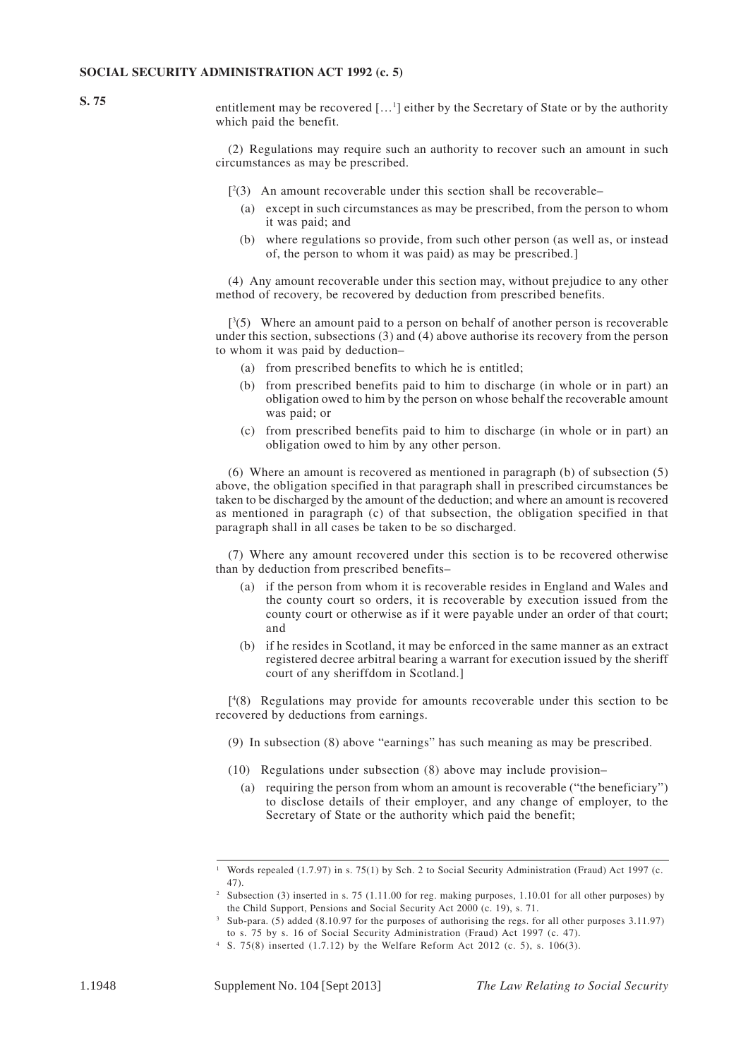**S. 75**

entitlement may be recovered [...<sup>1</sup>] either by the Secretary of State or by the authority which paid the benefit.

(2) Regulations may require such an authority to recover such an amount in such circumstances as may be prescribed.

- $[2(3)$  An amount recoverable under this section shall be recoverable-
	- (a) except in such circumstances as may be prescribed, from the person to whom it was paid; and
	- (b) where regulations so provide, from such other person (as well as, or instead of, the person to whom it was paid) as may be prescribed.]

(4) Any amount recoverable under this section may, without prejudice to any other method of recovery, be recovered by deduction from prescribed benefits.

 $[3(5)$  Where an amount paid to a person on behalf of another person is recoverable under this section, subsections (3) and (4) above authorise its recovery from the person to whom it was paid by deduction–

- (a) from prescribed benefits to which he is entitled;
- (b) from prescribed benefits paid to him to discharge (in whole or in part) an obligation owed to him by the person on whose behalf the recoverable amount was paid; or
- (c) from prescribed benefits paid to him to discharge (in whole or in part) an obligation owed to him by any other person.

(6) Where an amount is recovered as mentioned in paragraph (b) of subsection (5) above, the obligation specified in that paragraph shall in prescribed circumstances be taken to be discharged by the amount of the deduction; and where an amount is recovered as mentioned in paragraph (c) of that subsection, the obligation specified in that paragraph shall in all cases be taken to be so discharged.

(7) Where any amount recovered under this section is to be recovered otherwise than by deduction from prescribed benefits–

- (a) if the person from whom it is recoverable resides in England and Wales and the county court so orders, it is recoverable by execution issued from the county court or otherwise as if it were payable under an order of that court; and
- (b) if he resides in Scotland, it may be enforced in the same manner as an extract registered decree arbitral bearing a warrant for execution issued by the sheriff court of any sheriffdom in Scotland.]

[4 (8) Regulations may provide for amounts recoverable under this section to be recovered by deductions from earnings.

- (9) In subsection (8) above "earnings" has such meaning as may be prescribed.
- (10) Regulations under subsection (8) above may include provision–
	- (a) requiring the person from whom an amount is recoverable ("the beneficiary") to disclose details of their employer, and any change of employer, to the Secretary of State or the authority which paid the benefit;

<sup>&</sup>lt;sup>1</sup> Words repealed (1.7.97) in s. 75(1) by Sch. 2 to Social Security Administration (Fraud) Act 1997 (c. 47).

<sup>2</sup> Subsection (3) inserted in s. 75 (1.11.00 for reg. making purposes, 1.10.01 for all other purposes) by the Child Support, Pensions and Social Security Act 2000 (c. 19), s. 71.

<sup>3</sup> Sub-para. (5) added (8.10.97 for the purposes of authorising the regs. for all other purposes 3.11.97) to s. 75 by s. 16 of Social Security Administration (Fraud) Act 1997 (c. 47).

<sup>4</sup> S. 75(8) inserted (1.7.12) by the Welfare Reform Act 2012 (c. 5), s. 106(3).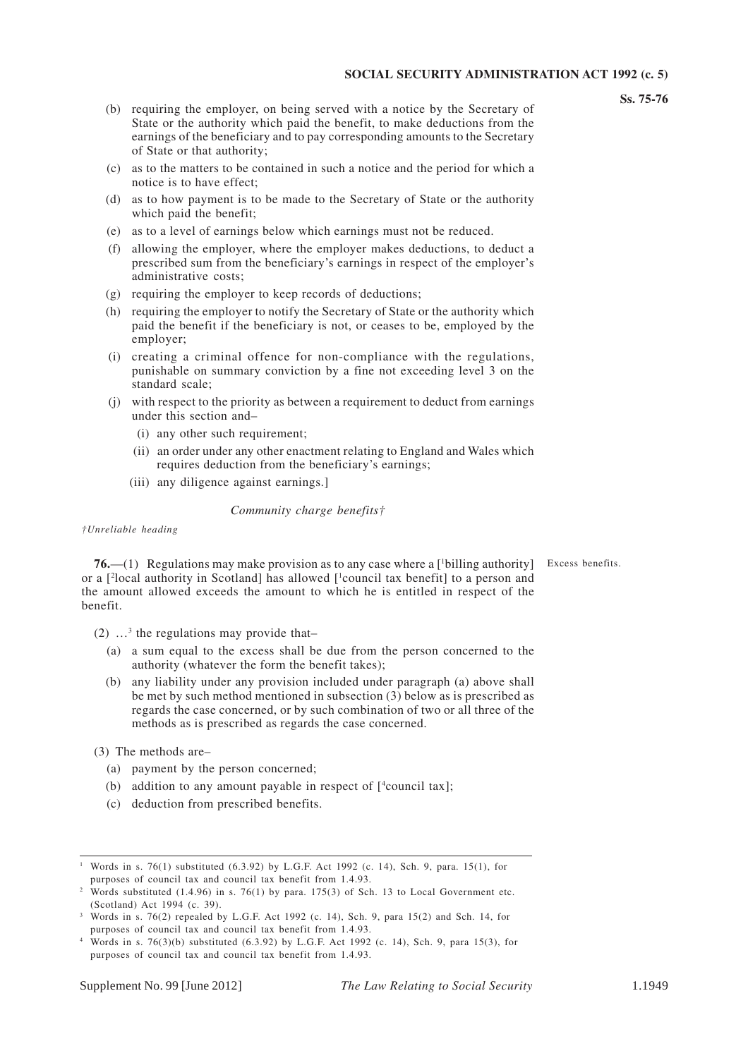**Ss. 75-76**

- (b) requiring the employer, on being served with a notice by the Secretary of State or the authority which paid the benefit, to make deductions from the earnings of the beneficiary and to pay corresponding amounts to the Secretary of State or that authority;
- (c) as to the matters to be contained in such a notice and the period for which a notice is to have effect;
- (d) as to how payment is to be made to the Secretary of State or the authority which paid the benefit;
- (e) as to a level of earnings below which earnings must not be reduced.
- (f) allowing the employer, where the employer makes deductions, to deduct a prescribed sum from the beneficiary's earnings in respect of the employer's administrative costs;
- (g) requiring the employer to keep records of deductions;
- (h) requiring the employer to notify the Secretary of State or the authority which paid the benefit if the beneficiary is not, or ceases to be, employed by the employer;
- (i) creating a criminal offence for non-compliance with the regulations, punishable on summary conviction by a fine not exceeding level 3 on the standard scale;
- (j) with respect to the priority as between a requirement to deduct from earnings under this section and–
	- (i) any other such requirement;
	- (ii) an order under any other enactment relating to England and Wales which requires deduction from the beneficiary's earnings;
	- (iii) any diligence against earnings.]

*Community charge benefits†*

*†Unreliable heading*

**76.**—(1) Regulations may make provision as to any case where a [<sup>1</sup>billing authority] Excess benefits. or a [<sup>2</sup>local authority in Scotland] has allowed [<sup>1</sup>council tax benefit] to a person and the amount allowed exceeds the amount to which he is entitled in respect of the benefit.

 $(2)$  ...<sup>3</sup> the regulations may provide that-

- (a) a sum equal to the excess shall be due from the person concerned to the authority (whatever the form the benefit takes);
- (b) any liability under any provision included under paragraph (a) above shall be met by such method mentioned in subsection (3) below as is prescribed as regards the case concerned, or by such combination of two or all three of the methods as is prescribed as regards the case concerned.

(3) The methods are–

- (a) payment by the person concerned;
- (b) addition to any amount payable in respect of [<sup>4</sup>council tax];
- (c) deduction from prescribed benefits.

Words in s. 76(1) substituted (6.3.92) by L.G.F. Act 1992 (c. 14), Sch. 9, para. 15(1), for purposes of council tax and council tax benefit from 1.4.93.

Words substituted  $(1.4.96)$  in s. 76(1) by para. 175(3) of Sch. 13 to Local Government etc. (Scotland) Act 1994 (c. 39).

Words in s. 76(2) repealed by L.G.F. Act 1992 (c. 14), Sch. 9, para 15(2) and Sch. 14, for purposes of council tax and council tax benefit from 1.4.93.

Words in s. 76(3)(b) substituted (6.3.92) by L.G.F. Act 1992 (c. 14), Sch. 9, para 15(3), for purposes of council tax and council tax benefit from 1.4.93.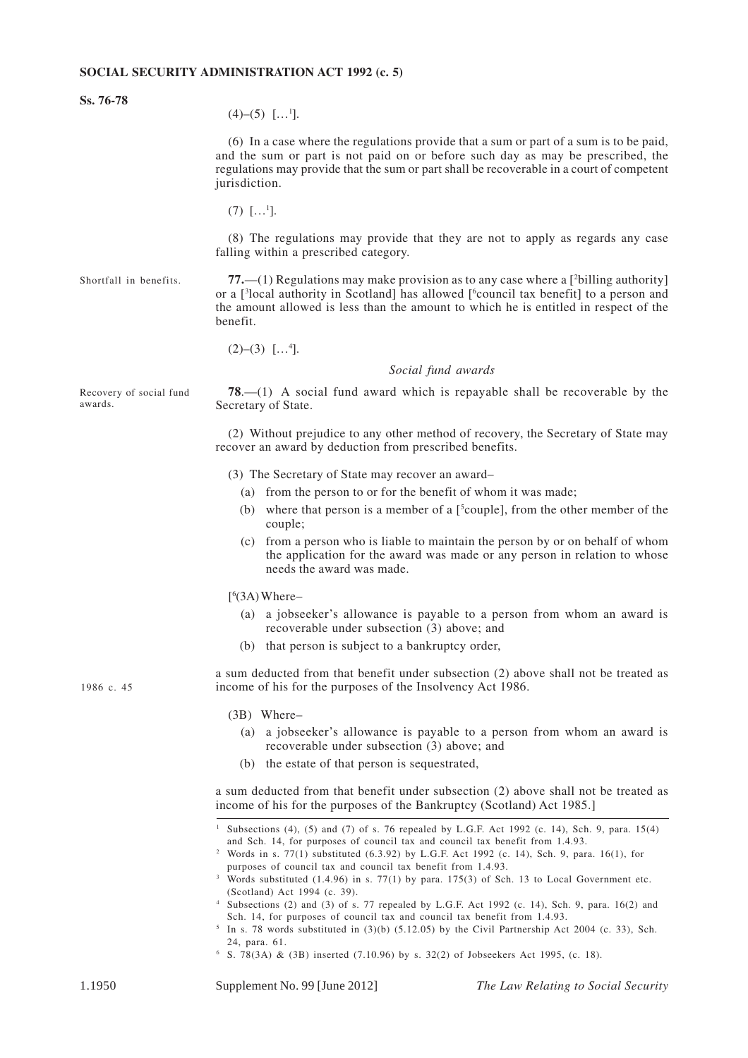#### **Ss. 76-78**

 $(4)$ – $(5)$  [...<sup>1</sup>].

(6) In a case where the regulations provide that a sum or part of a sum is to be paid, and the sum or part is not paid on or before such day as may be prescribed, the regulations may provide that the sum or part shall be recoverable in a court of competent jurisdiction.

 $(7)$   $[...]$ .

(8) The regulations may provide that they are not to apply as regards any case falling within a prescribed category.

Shortfall in benefits.

**77.**—(1) Regulations may make provision as to any case where a [<sup>2</sup>billing authority] or a [<sup>3</sup>local authority in Scotland] has allowed [<sup>6</sup>council tax benefit] to a person and the amount allowed is less than the amount to which he is entitled in respect of the benefit.

 $(2)$ – $(3)$  […<sup>4</sup>].

*Social fund awards*

Recovery of social fund awards.

**78**.—(1) A social fund award which is repayable shall be recoverable by the Secretary of State.

(2) Without prejudice to any other method of recovery, the Secretary of State may recover an award by deduction from prescribed benefits.

- (3) The Secretary of State may recover an award–
	- (a) from the person to or for the benefit of whom it was made;
	- (b) where that person is a member of a  $[5\text{couple}]$ , from the other member of the couple;
	- (c) from a person who is liable to maintain the person by or on behalf of whom the application for the award was made or any person in relation to whose needs the award was made.

 $[6(3A)$  Where–

- (a) a jobseeker's allowance is payable to a person from whom an award is recoverable under subsection (3) above; and
- (b) that person is subject to a bankruptcy order,

a sum deducted from that benefit under subsection (2) above shall not be treated as income of his for the purposes of the Insolvency Act 1986.

(3B) Where–

- (a) a jobseeker's allowance is payable to a person from whom an award is recoverable under subsection (3) above; and
- (b) the estate of that person is sequestrated,

a sum deducted from that benefit under subsection (2) above shall not be treated as income of his for the purposes of the Bankruptcy (Scotland) Act 1985.]

1986 c. 45

Subsections (4), (5) and (7) of s. 76 repealed by L.G.F. Act 1992 (c. 14), Sch. 9, para.  $15(4)$ and Sch. 14, for purposes of council tax and council tax benefit from 1.4.93.

<sup>&</sup>lt;sup>2</sup> Words in s. 77(1) substituted (6.3.92) by L.G.F. Act 1992 (c. 14), Sch. 9, para. 16(1), for purposes of council tax and council tax benefit from 1.4.93.

Words substituted  $(1.4.96)$  in s. 77(1) by para. 175(3) of Sch. 13 to Local Government etc. (Scotland) Act 1994 (c. 39).

<sup>4</sup> Subsections (2) and (3) of s. 77 repealed by L.G.F. Act 1992 (c. 14), Sch. 9, para. 16(2) and Sch. 14, for purposes of council tax and council tax benefit from 1.4.93.

 $5$  In s. 78 words substituted in (3)(b) (5.12.05) by the Civil Partnership Act 2004 (c. 33), Sch. 24, para. 61.

<sup>6</sup> S. 78(3A) & (3B) inserted (7.10.96) by s. 32(2) of Jobseekers Act 1995, (c. 18).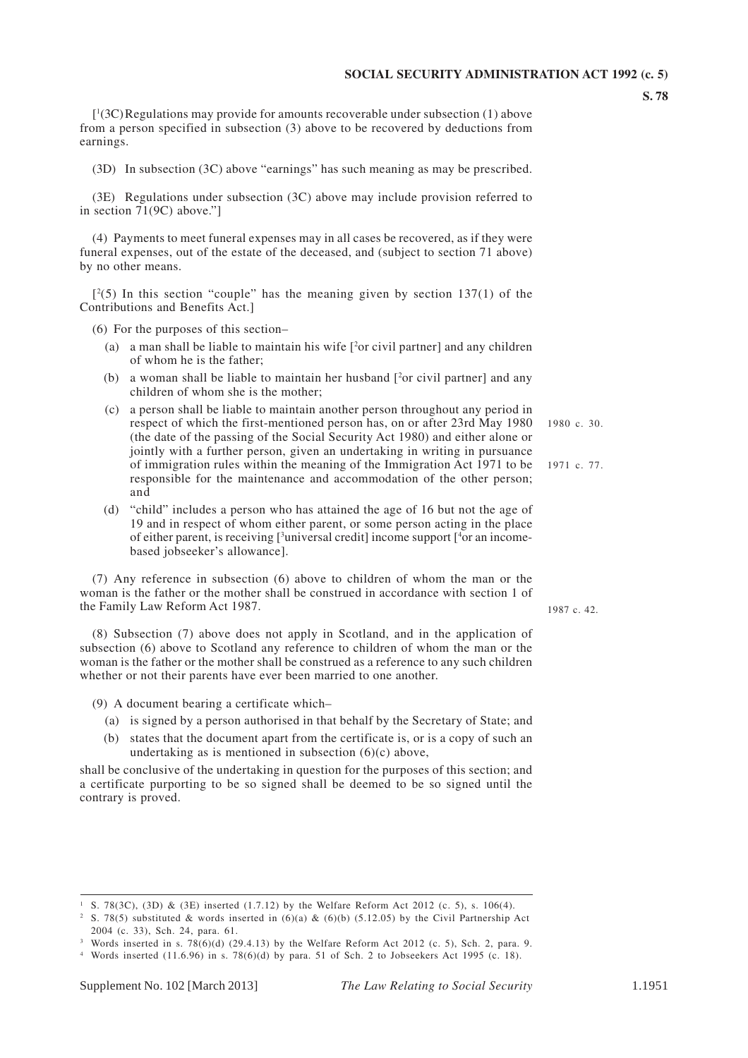[1 (3C)Regulations may provide for amounts recoverable under subsection (1) above from a person specified in subsection (3) above to be recovered by deductions from earnings.

(3D) In subsection (3C) above "earnings" has such meaning as may be prescribed.

(3E) Regulations under subsection (3C) above may include provision referred to in section 71(9C) above."]

(4) Payments to meet funeral expenses may in all cases be recovered, as if they were funeral expenses, out of the estate of the deceased, and (subject to section 71 above) by no other means.

 $[2(5)$  In this section "couple" has the meaning given by section 137(1) of the Contributions and Benefits Act.]

(6) For the purposes of this section–

- (a) a man shall be liable to maintain his wife  $[2$  or civil partner] and any children of whom he is the father;
- (b) a woman shall be liable to maintain her husband  $[2$ or civil partner] and any children of whom she is the mother;
- (c) a person shall be liable to maintain another person throughout any period in respect of which the first-mentioned person has, on or after 23rd May 1980 (the date of the passing of the Social Security Act 1980) and either alone or jointly with a further person, given an undertaking in writing in pursuance of immigration rules within the meaning of the Immigration Act 1971 to be responsible for the maintenance and accommodation of the other person; and
- (d) "child" includes a person who has attained the age of 16 but not the age of 19 and in respect of whom either parent, or some person acting in the place of either parent, is receiving [3universal credit] income support [4or an incomebased jobseeker's allowance].

(7) Any reference in subsection (6) above to children of whom the man or the woman is the father or the mother shall be construed in accordance with section 1 of the Family Law Reform Act 1987.

(8) Subsection (7) above does not apply in Scotland, and in the application of subsection (6) above to Scotland any reference to children of whom the man or the woman is the father or the mother shall be construed as a reference to any such children whether or not their parents have ever been married to one another.

(9) A document bearing a certificate which–

- (a) is signed by a person authorised in that behalf by the Secretary of State; and
- (b) states that the document apart from the certificate is, or is a copy of such an undertaking as is mentioned in subsection  $(6)(c)$  above,

shall be conclusive of the undertaking in question for the purposes of this section; and a certificate purporting to be so signed shall be deemed to be so signed until the contrary is proved.

1987 c. 42.

1980 c. 30.

1971 c. 77.

**S. 78**

<sup>&</sup>lt;sup>1</sup> S. 78(3C), (3D) & (3E) inserted (1.7.12) by the Welfare Reform Act 2012 (c. 5), s. 106(4).

<sup>&</sup>lt;sup>2</sup> S. 78(5) substituted & words inserted in (6)(a) & (6)(b) (5.12.05) by the Civil Partnership Act 2004 (c. 33), Sch. 24, para. 61.

<sup>&</sup>lt;sup>3</sup> Words inserted in s. 78(6)(d) (29.4.13) by the Welfare Reform Act 2012 (c. 5), Sch. 2, para. 9.

<sup>&</sup>lt;sup>4</sup> Words inserted (11.6.96) in s. 78(6)(d) by para. 51 of Sch. 2 to Jobseekers Act 1995 (c. 18).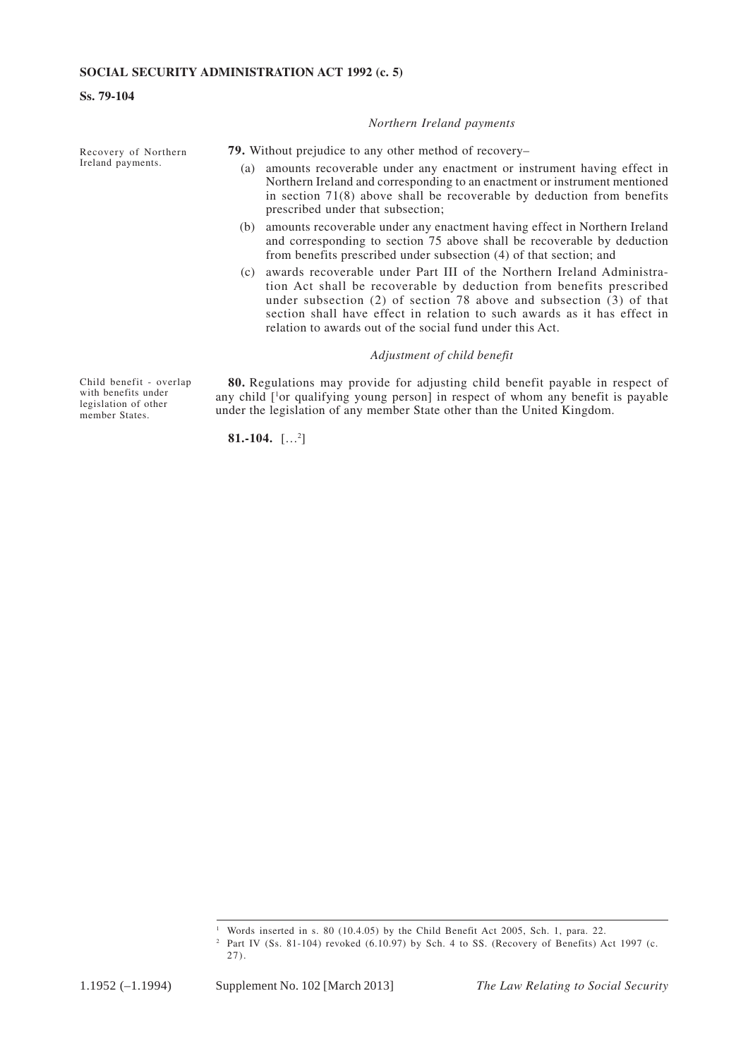**Ss. 79-104**

Recovery of Northern Ireland payments.

#### *Northern Ireland payments*

- **79.** Without prejudice to any other method of recovery–
	- (a) amounts recoverable under any enactment or instrument having effect in Northern Ireland and corresponding to an enactment or instrument mentioned in section 71(8) above shall be recoverable by deduction from benefits prescribed under that subsection;
	- (b) amounts recoverable under any enactment having effect in Northern Ireland and corresponding to section 75 above shall be recoverable by deduction from benefits prescribed under subsection (4) of that section; and
	- (c) awards recoverable under Part III of the Northern Ireland Administration Act shall be recoverable by deduction from benefits prescribed under subsection (2) of section 78 above and subsection  $(3)$  of that section shall have effect in relation to such awards as it has effect in relation to awards out of the social fund under this Act.

## *Adjustment of child benefit*

Child benefit - overlap with benefits under legislation of other member States.

**80.** Regulations may provide for adjusting child benefit payable in respect of any child [1 or qualifying young person] in respect of whom any benefit is payable under the legislation of any member State other than the United Kingdom.

**81.-104.** […2 ]

Words inserted in s. 80 (10.4.05) by the Child Benefit Act 2005, Sch. 1, para. 22.

<sup>2</sup> Part IV (Ss. 81-104) revoked (6.10.97) by Sch. 4 to SS. (Recovery of Benefits) Act 1997 (c. 27).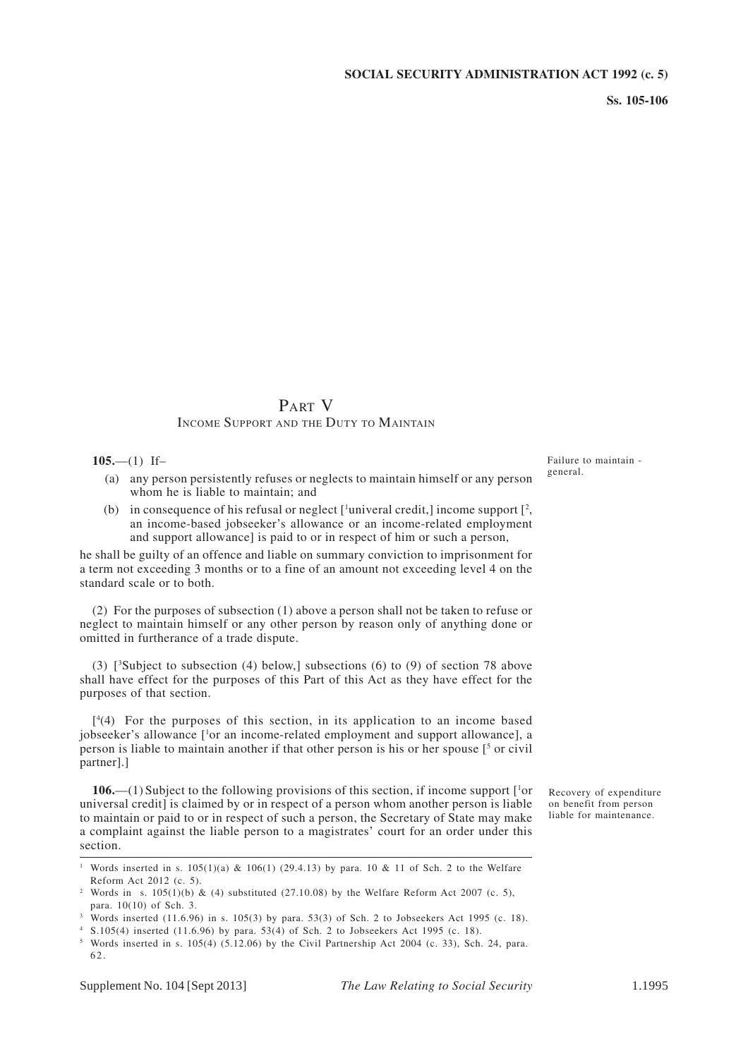**Ss. 105-106**

# PART V INCOME SUPPORT AND THE DUTY TO MAINTAIN

**105.**—(1) If–

- (a) any person persistently refuses or neglects to maintain himself or any person whom he is liable to maintain; and
- (b) in consequence of his refusal or neglect [ $1$ univeral credit,] income support  $[2, 1]$ an income-based jobseeker's allowance or an income-related employment and support allowance] is paid to or in respect of him or such a person,

he shall be guilty of an offence and liable on summary conviction to imprisonment for a term not exceeding 3 months or to a fine of an amount not exceeding level 4 on the standard scale or to both.

(2) For the purposes of subsection (1) above a person shall not be taken to refuse or neglect to maintain himself or any other person by reason only of anything done or omitted in furtherance of a trade dispute.

(3) [<sup>3</sup>Subject to subsection (4) below,] subsections (6) to (9) of section 78 above shall have effect for the purposes of this Part of this Act as they have effect for the purposes of that section.

[4 (4) For the purposes of this section, in its application to an income based jobseeker's allowance [<sup>1</sup>or an income-related employment and support allowance], a person is liable to maintain another if that other person is his or her spouse [<sup>5</sup> or civil partner].]

106. $-$ (1) Subject to the following provisions of this section, if income support  $[$ <sup>1</sup>or universal credit] is claimed by or in respect of a person whom another person is liable to maintain or paid to or in respect of such a person, the Secretary of State may make a complaint against the liable person to a magistrates' court for an order under this section.

- <sup>3</sup> Words inserted (11.6.96) in s. 105(3) by para. 53(3) of Sch. 2 to Jobseekers Act 1995 (c. 18).
- $4\,$  S.105(4) inserted (11.6.96) by para. 53(4) of Sch. 2 to Jobseekers Act 1995 (c. 18).

Failure to maintain general.

Recovery of expenditure on benefit from person liable for maintenance.

Words inserted in s. 105(1)(a) & 106(1) (29.4.13) by para. 10 & 11 of Sch. 2 to the Welfare Reform Act 2012 (c. 5).

<sup>&</sup>lt;sup>2</sup> Words in s. 105(1)(b) & (4) substituted (27.10.08) by the Welfare Reform Act 2007 (c. 5), para. 10(10) of Sch. 3.

Words inserted in s.  $105(4)$  (5.12.06) by the Civil Partnership Act 2004 (c. 33), Sch. 24, para. 62.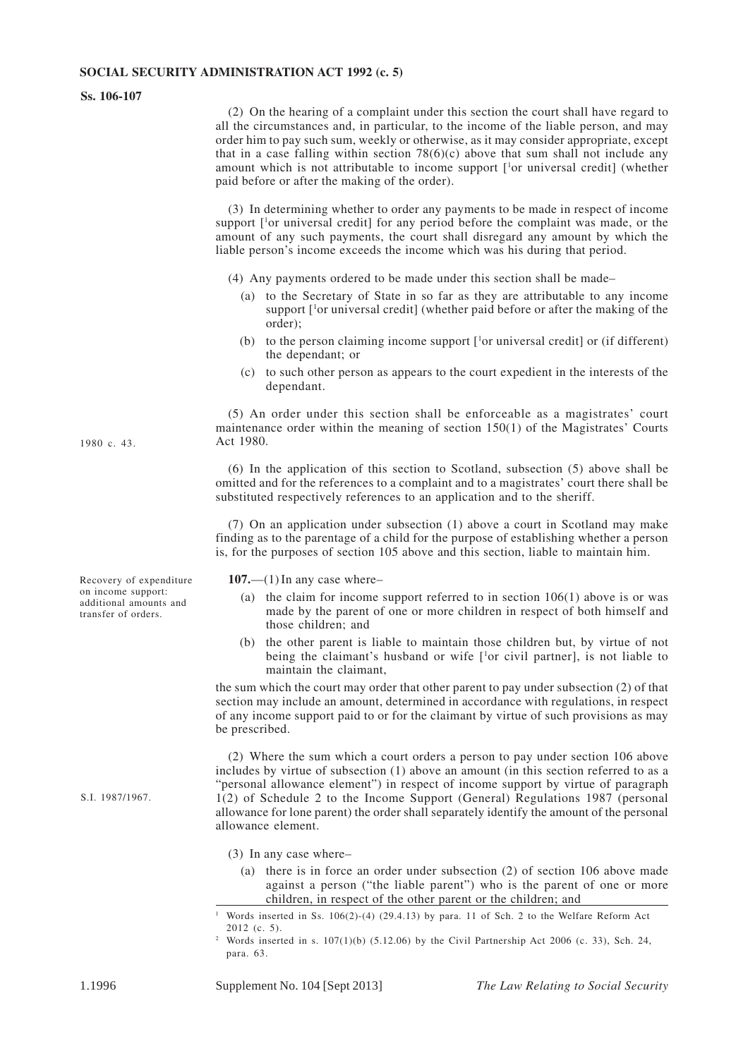#### **Ss. 106-107**

(2) On the hearing of a complaint under this section the court shall have regard to all the circumstances and, in particular, to the income of the liable person, and may order him to pay such sum, weekly or otherwise, as it may consider appropriate, except that in a case falling within section  $78(6)(c)$  above that sum shall not include any amount which is not attributable to income support [<sup>1</sup>or universal credit] (whether paid before or after the making of the order).

(3) In determining whether to order any payments to be made in respect of income support [<sup>1</sup>or universal credit] for any period before the complaint was made, or the amount of any such payments, the court shall disregard any amount by which the liable person's income exceeds the income which was his during that period.

- (4) Any payments ordered to be made under this section shall be made–
	- (a) to the Secretary of State in so far as they are attributable to any income support [<sup>1</sup>or universal credit] (whether paid before or after the making of the order);
	- (b) to the person claiming income support [1 or universal credit] or (if different) the dependant; or
	- (c) to such other person as appears to the court expedient in the interests of the dependant.

(5) An order under this section shall be enforceable as a magistrates' court maintenance order within the meaning of section 150(1) of the Magistrates' Courts Act 1980.

(6) In the application of this section to Scotland, subsection (5) above shall be omitted and for the references to a complaint and to a magistrates' court there shall be substituted respectively references to an application and to the sheriff.

(7) On an application under subsection (1) above a court in Scotland may make finding as to the parentage of a child for the purpose of establishing whether a person is, for the purposes of section 105 above and this section, liable to maintain him.

**107.**—(1) In any case where–

- (a) the claim for income support referred to in section  $106(1)$  above is or was made by the parent of one or more children in respect of both himself and those children; and
- (b) the other parent is liable to maintain those children but, by virtue of not being the claimant's husband or wife [<sup>1</sup>or civil partner], is not liable to maintain the claimant,

the sum which the court may order that other parent to pay under subsection (2) of that section may include an amount, determined in accordance with regulations, in respect of any income support paid to or for the claimant by virtue of such provisions as may be prescribed.

(2) Where the sum which a court orders a person to pay under section 106 above includes by virtue of subsection (1) above an amount (in this section referred to as a "personal allowance element") in respect of income support by virtue of paragraph 1(2) of Schedule 2 to the Income Support (General) Regulations 1987 (personal allowance for lone parent) the order shall separately identify the amount of the personal allowance element.

(3) In any case where–

(a) there is in force an order under subsection (2) of section 106 above made against a person ("the liable parent") who is the parent of one or more children, in respect of the other parent or the children; and

Words inserted in Ss. 106(2)-(4) (29.4.13) by para. 11 of Sch. 2 to the Welfare Reform Act  $2012$  (c. 5).

1980 c. 43.

Recovery of expenditure on income support: additional amounts and transfer of orders.

S.I. 1987/1967.

Words inserted in s.  $107(1)(b)$  (5.12.06) by the Civil Partnership Act 2006 (c. 33), Sch. 24, para. 63.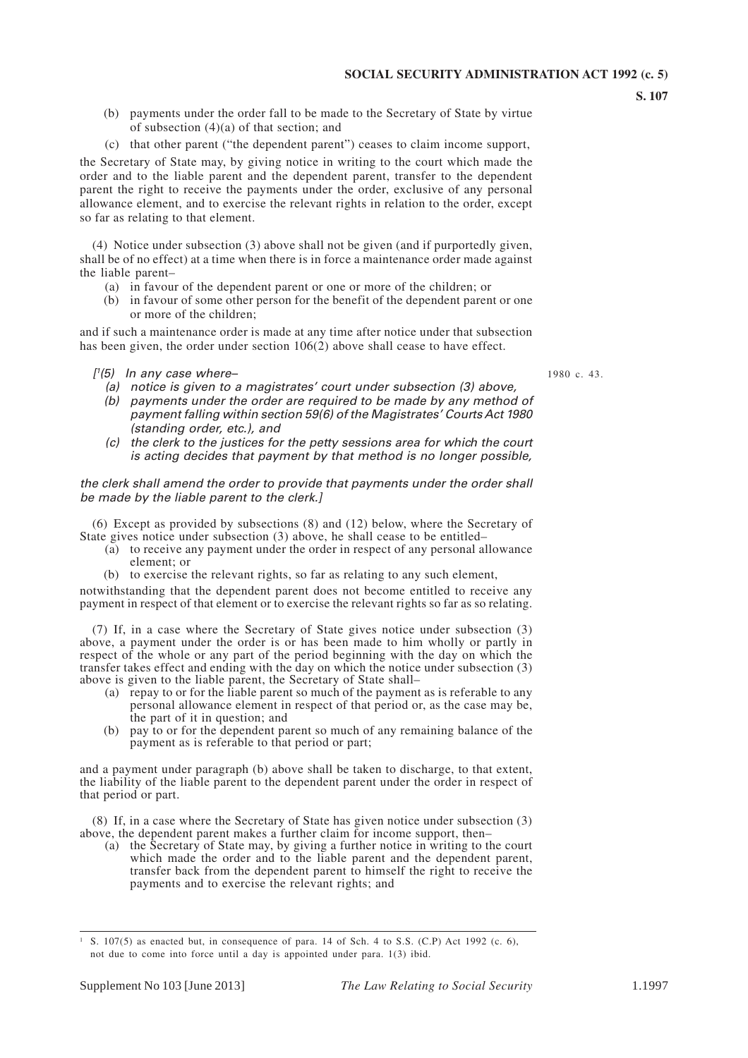- (b) payments under the order fall to be made to the Secretary of State by virtue of subsection (4)(a) of that section; and
- (c) that other parent ("the dependent parent") ceases to claim income support,

the Secretary of State may, by giving notice in writing to the court which made the order and to the liable parent and the dependent parent, transfer to the dependent parent the right to receive the payments under the order, exclusive of any personal allowance element, and to exercise the relevant rights in relation to the order, except so far as relating to that element.

(4) Notice under subsection (3) above shall not be given (and if purportedly given, shall be of no effect) at a time when there is in force a maintenance order made against the liable parent–

- (a) in favour of the dependent parent or one or more of the children; or
- (b) in favour of some other person for the benefit of the dependent parent or one or more of the children;

and if such a maintenance order is made at any time after notice under that subsection has been given, the order under section 106(2) above shall cease to have effect.

- [ <sup>1</sup>(5) In any case where–
	- (a) notice is given to a magistrates' court under subsection (3) above,
	- (b) payments under the order are required to be made by any method of payment falling within section 59(6) of the Magistrates' Courts Act 1980 (standing order, etc.), and
	- (c) the clerk to the justices for the petty sessions area for which the court is acting decides that payment by that method is no longer possible,

the clerk shall amend the order to provide that payments under the order shall be made by the liable parent to the clerk.]

(6) Except as provided by subsections (8) and (12) below, where the Secretary of State gives notice under subsection (3) above, he shall cease to be entitled–

- (a) to receive any payment under the order in respect of any personal allowance element; or
- (b) to exercise the relevant rights, so far as relating to any such element,

notwithstanding that the dependent parent does not become entitled to receive any payment in respect of that element or to exercise the relevant rights so far as so relating.

(7) If, in a case where the Secretary of State gives notice under subsection (3) above, a payment under the order is or has been made to him wholly or partly in respect of the whole or any part of the period beginning with the day on which the transfer takes effect and ending with the day on which the notice under subsection (3) above is given to the liable parent, the Secretary of State shall–

- (a) repay to or for the liable parent so much of the payment as is referable to any personal allowance element in respect of that period or, as the case may be, the part of it in question; and
- (b) pay to or for the dependent parent so much of any remaining balance of the payment as is referable to that period or part;

and a payment under paragraph (b) above shall be taken to discharge, to that extent, the liability of the liable parent to the dependent parent under the order in respect of that period or part.

(8) If, in a case where the Secretary of State has given notice under subsection (3) above, the dependent parent makes a further claim for income support, then–

(a) the Secretary of State may, by giving a further notice in writing to the court which made the order and to the liable parent and the dependent parent, transfer back from the dependent parent to himself the right to receive the payments and to exercise the relevant rights; and

**S. 107**

1980 c. 43.

<sup>&</sup>lt;sup>1</sup> S. 107(5) as enacted but, in consequence of para. 14 of Sch. 4 to S.S. (C.P) Act 1992 (c. 6), not due to come into force until a day is appointed under para. 1(3) ibid.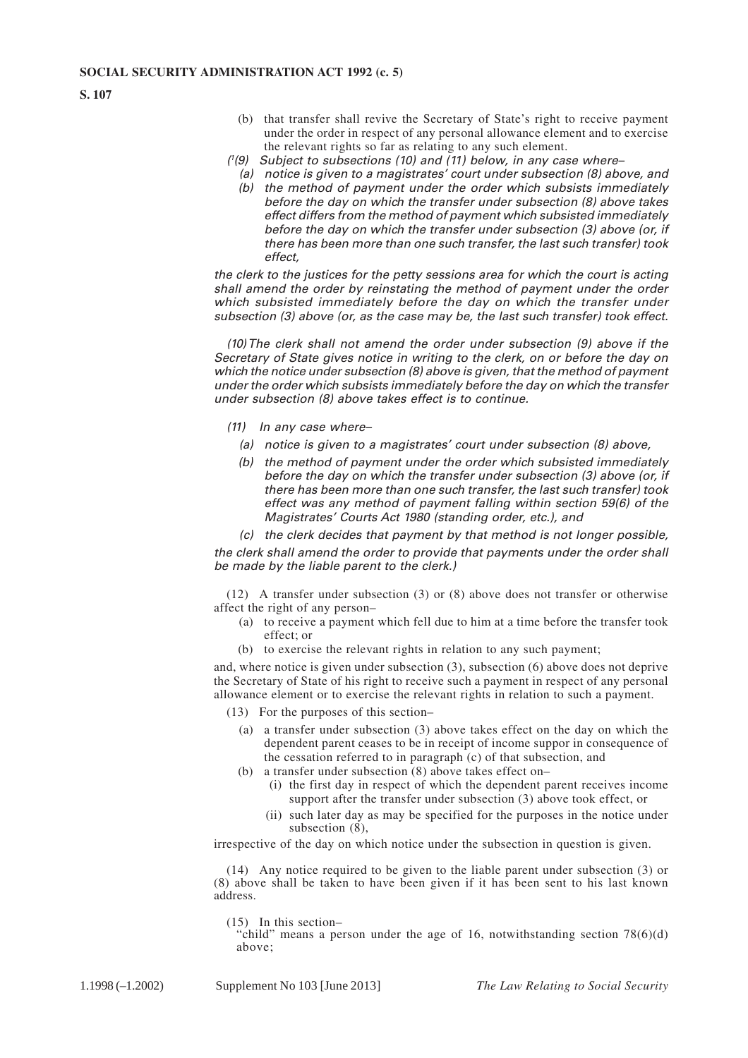- (b) that transfer shall revive the Secretary of State's right to receive payment under the order in respect of any personal allowance element and to exercise the relevant rights so far as relating to any such element.
- ( <sup>1</sup>(9) Subject to subsections (10) and (11) below, in any case where–
- (a) notice is given to a magistrates' court under subsection (8) above, and
- (b) the method of payment under the order which subsists immediately before the day on which the transfer under subsection (8) above takes effect differs from the method of payment which subsisted immediately before the day on which the transfer under subsection (3) above (or, if there has been more than one such transfer, the last such transfer) took effect,

the clerk to the justices for the petty sessions area for which the court is acting shall amend the order by reinstating the method of payment under the order which subsisted immediately before the day on which the transfer under subsection (3) above (or, as the case may be, the last such transfer) took effect.

(10)The clerk shall not amend the order under subsection (9) above if the Secretary of State gives notice in writing to the clerk, on or before the day on which the notice under subsection (8) above is given, that the method of payment under the order which subsists immediately before the day on which the transfer under subsection (8) above takes effect is to continue.

- (11) In any case where–
	- (a) notice is given to a magistrates' court under subsection (8) above,
	- (b) the method of payment under the order which subsisted immediately before the day on which the transfer under subsection (3) above (or, if there has been more than one such transfer, the last such transfer) took effect was any method of payment falling within section 59(6) of the Magistrates' Courts Act 1980 (standing order, etc.), and

(c) the clerk decides that payment by that method is not longer possible, the clerk shall amend the order to provide that payments under the order shall be made by the liable parent to the clerk.)

(12) A transfer under subsection (3) or (8) above does not transfer or otherwise affect the right of any person–

- (a) to receive a payment which fell due to him at a time before the transfer took effect; or
- (b) to exercise the relevant rights in relation to any such payment;

and, where notice is given under subsection (3), subsection (6) above does not deprive the Secretary of State of his right to receive such a payment in respect of any personal allowance element or to exercise the relevant rights in relation to such a payment.

(13) For the purposes of this section–

- (a) a transfer under subsection (3) above takes effect on the day on which the dependent parent ceases to be in receipt of income suppor in consequence of the cessation referred to in paragraph (c) of that subsection, and
- (b) a transfer under subsection (8) above takes effect on–
	- (i) the first day in respect of which the dependent parent receives income support after the transfer under subsection (3) above took effect, or
	- (ii) such later day as may be specified for the purposes in the notice under subsection (8),

irrespective of the day on which notice under the subsection in question is given.

(14) Any notice required to be given to the liable parent under subsection (3) or (8) above shall be taken to have been given if it has been sent to his last known address.

(15) In this section–

"child" means a person under the age of 16, notwithstanding section  $78(6)(d)$ above;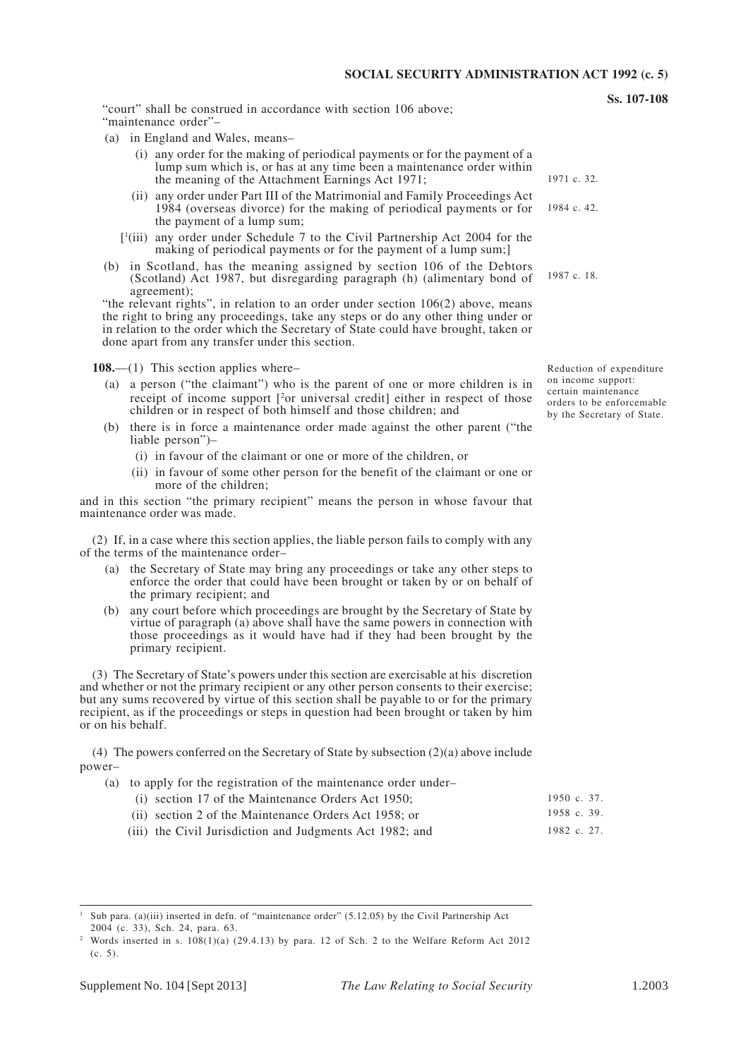"court" shall be construed in accordance with section 106 above; "maintenance order"–

- (a) in England and Wales, means–
	- (i) any order for the making of periodical payments or for the payment of a lump sum which is, or has at any time been a maintenance order within the meaning of the Attachment Earnings Act 1971;
	- (ii) any order under Part III of the Matrimonial and Family Proceedings Act 1984 (overseas divorce) for the making of periodical payments or for the payment of a lump sum;
	- [<sup>1</sup>(iii) any order under Schedule 7 to the Civil Partnership Act 2004 for the making of periodical payments or for the payment of a lump sum;]
- (b) in Scotland, has the meaning assigned by section 106 of the Debtors (Scotland) Act 1987, but disregarding paragraph (h) (alimentary bond of agreement);

"the relevant rights", in relation to an order under section 106(2) above, means the right to bring any proceedings, take any steps or do any other thing under or in relation to the order which the Secretary of State could have brought, taken or done apart from any transfer under this section.

**108.**—(1) This section applies where–

- (a) a person ("the claimant") who is the parent of one or more children is in receipt of income support [<sup>2</sup>or universal credit] either in respect of those children or in respect of both himself and those children; and
- (b) there is in force a maintenance order made against the other parent ("the liable person")–
	- (i) in favour of the claimant or one or more of the children, or
	- (ii) in favour of some other person for the benefit of the claimant or one or more of the children;

and in this section "the primary recipient" means the person in whose favour that maintenance order was made.

(2) If, in a case where this section applies, the liable person fails to comply with any of the terms of the maintenance order–

- (a) the Secretary of State may bring any proceedings or take any other steps to enforce the order that could have been brought or taken by or on behalf of the primary recipient; and
- (b) any court before which proceedings are brought by the Secretary of State by virtue of paragraph (a) above shall have the same powers in connection with those proceedings as it would have had if they had been brought by the primary recipient.

(3) The Secretary of State's powers under this section are exercisable at his discretion and whether or not the primary recipient or any other person consents to their exercise; but any sums recovered by virtue of this section shall be payable to or for the primary recipient, as if the proceedings or steps in question had been brought or taken by him or on his behalf.

(4) The powers conferred on the Secretary of State by subsection (2)(a) above include power–

- (a) to apply for the registration of the maintenance order under–
	- (i) section 17 of the Maintenance Orders Act 1950; (ii) section 2 of the Maintenance Orders Act 1958; or 1950 c. 37. 1958 c. 39. 1982 c. 27.
	- (iii) the Civil Jurisdiction and Judgments Act 1982; and

Sub para. (a)(iii) inserted in defn. of "maintenance order"  $(5.12.05)$  by the Civil Partnership Act 2004 (c. 33), Sch. 24, para. 63.

1971 c. 32.

**Ss. 107-108**

1984 c. 42.

1987 c. 18.

Reduction of expenditure on income support: certain maintenance orders to be enforcemable by the Secretary of State.

<sup>&</sup>lt;sup>2</sup> Words inserted in s.  $108(1)(a)$  (29.4.13) by para. 12 of Sch. 2 to the Welfare Reform Act 2012 (c. 5).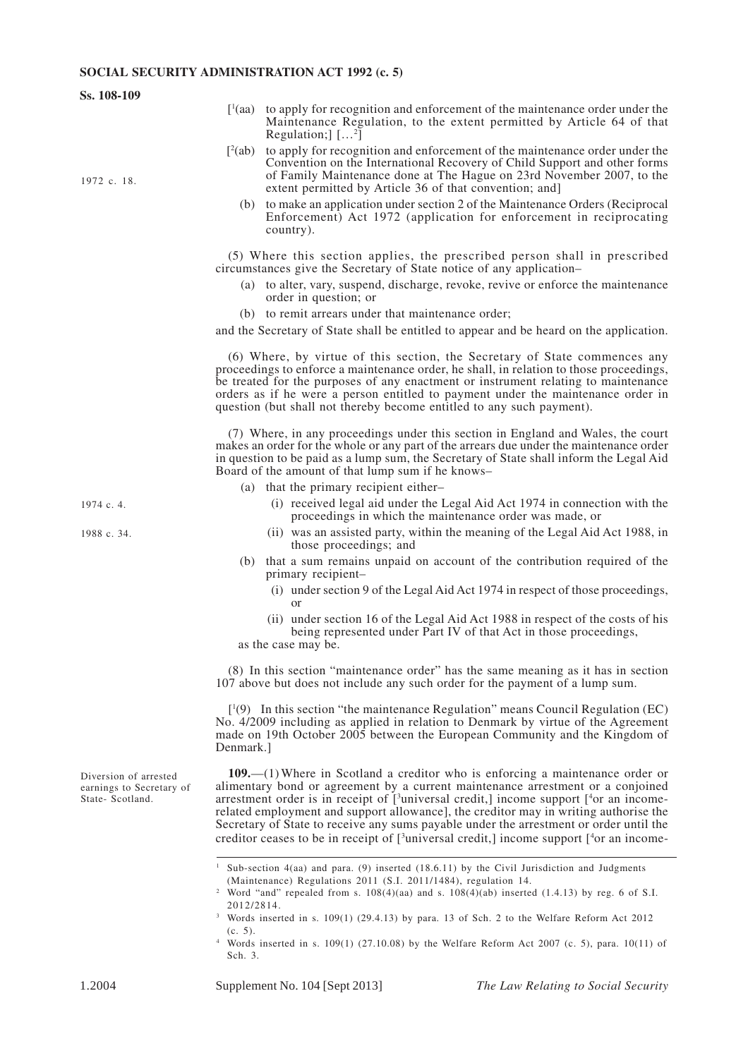**Ss. 108-109**

1972 c. 18.

1974 c. 4.

1988 c. 34.

- $[$ (aa) to apply for recognition and enforcement of the maintenance order under the Maintenance Regulation, to the extent permitted by Article 64 of that Regulation;] [...<sup>2</sup>]
- [2 (ab) to apply for recognition and enforcement of the maintenance order under the Convention on the International Recovery of Child Support and other forms of Family Maintenance done at The Hague on 23rd November 2007, to the extent permitted by Article 36 of that convention; and]
	- (b) to make an application under section 2 of the Maintenance Orders (Reciprocal Enforcement) Act 1972 (application for enforcement in reciprocating country).

(5) Where this section applies, the prescribed person shall in prescribed circumstances give the Secretary of State notice of any application–

- (a) to alter, vary, suspend, discharge, revoke, revive or enforce the maintenance order in question; or
- (b) to remit arrears under that maintenance order;

and the Secretary of State shall be entitled to appear and be heard on the application.

(6) Where, by virtue of this section, the Secretary of State commences any proceedings to enforce a maintenance order, he shall, in relation to those proceedings, be treated for the purposes of any enactment or instrument relating to maintenance orders as if he were a person entitled to payment under the maintenance order in question (but shall not thereby become entitled to any such payment).

(7) Where, in any proceedings under this section in England and Wales, the court makes an order for the whole or any part of the arrears due under the maintenance order in question to be paid as a lump sum, the Secretary of State shall inform the Legal Aid Board of the amount of that lump sum if he knows–

- (a) that the primary recipient either–
	- (i) received legal aid under the Legal Aid Act 1974 in connection with the proceedings in which the maintenance order was made, or
	- (ii) was an assisted party, within the meaning of the Legal Aid Act 1988, in those proceedings; and
- (b) that a sum remains unpaid on account of the contribution required of the primary recipient–
	- (i) under section 9 of the Legal Aid Act 1974 in respect of those proceedings, or
- (ii) under section 16 of the Legal Aid Act 1988 in respect of the costs of his being represented under Part IV of that Act in those proceedings, as the case may be.

(8) In this section "maintenance order" has the same meaning as it has in section 107 above but does not include any such order for the payment of a lump sum.

[1 (9) In this section "the maintenance Regulation" means Council Regulation (EC) No. 4/2009 including as applied in relation to Denmark by virtue of the Agreement made on 19th October 2005 between the European Community and the Kingdom of Denmark.]

**109.**—(1) Where in Scotland a creditor who is enforcing a maintenance order or alimentary bond or agreement by a current maintenance arrestment or a conjoined arrestment order is in receipt of  $[3$ universal credit,] income support  $[4$ or an incomerelated employment and support allowance], the creditor may in writing authorise the Secretary of State to receive any sums payable under the arrestment or order until the creditor ceases to be in receipt of [<sup>3</sup>universal credit,] income support [<sup>4</sup>or an income-

Diversion of arrested earnings to Secretary of State- Scotland.

Sub-section 4(aa) and para. (9) inserted  $(18.6.11)$  by the Civil Jurisdiction and Judgments (Maintenance) Regulations 2011 (S.I. 2011/1484), regulation 14.

<sup>&</sup>lt;sup>2</sup> Word "and" repealed from s.  $108(4)(aa)$  and s.  $108(4)(ab)$  inserted  $(1.4.13)$  by reg. 6 of S.I. 2012/2814.

<sup>&</sup>lt;sup>3</sup> Words inserted in s. 109(1) (29.4.13) by para. 13 of Sch. 2 to the Welfare Reform Act 2012  $(c, 5)$ .

Words inserted in s. 109(1) (27.10.08) by the Welfare Reform Act 2007 (c. 5), para.  $10(11)$  of Sch. 3.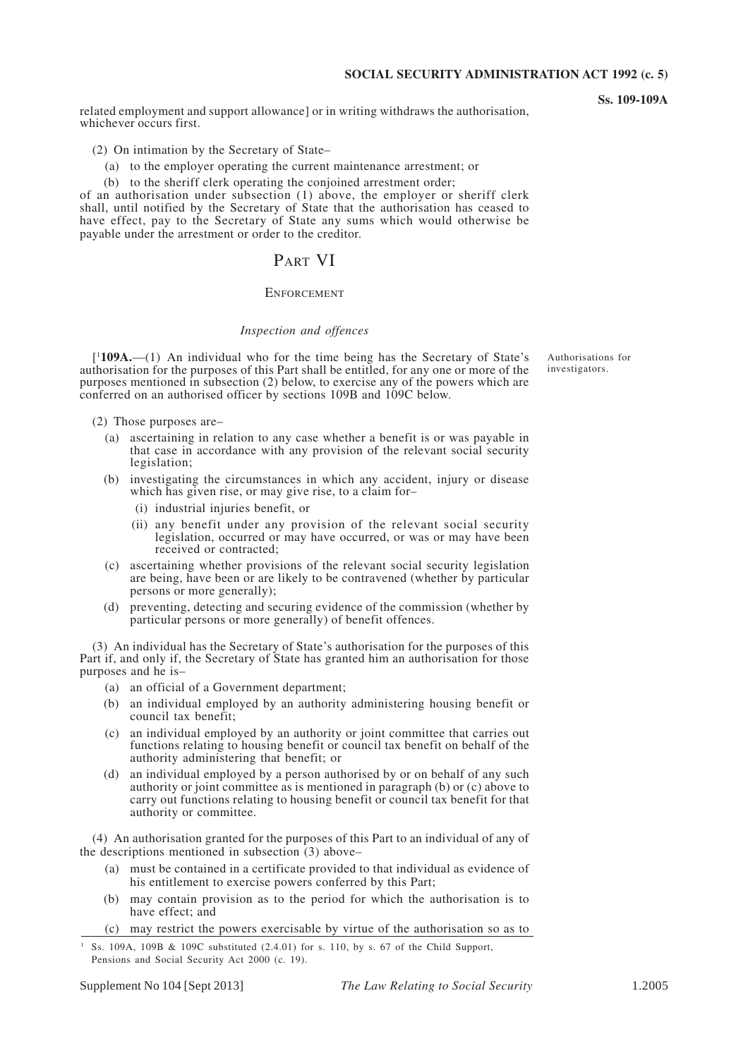related employment and support allowance] or in writing withdraws the authorisation, whichever occurs first.

(2) On intimation by the Secretary of State–

- (a) to the employer operating the current maintenance arrestment; or
- (b) to the sheriff clerk operating the conjoined arrestment order;

of an authorisation under subsection (1) above, the employer or sheriff clerk shall, until notified by the Secretary of State that the authorisation has ceased to have effect, pay to the Secretary of State any sums which would otherwise be payable under the arrestment or order to the creditor.

# PART VI

### **ENFORCEMENT**

#### *Inspection and offences*

[1 **109A.**—(1) An individual who for the time being has the Secretary of State's authorisation for the purposes of this Part shall be entitled, for any one or more of the purposes mentioned in subsection (2) below, to exercise any of the powers which are conferred on an authorised officer by sections 109B and 109C below.

(2) Those purposes are–

- (a) ascertaining in relation to any case whether a benefit is or was payable in that case in accordance with any provision of the relevant social security legislation;
- (b) investigating the circumstances in which any accident, injury or disease which has given rise, or may give rise, to a claim for-
	- (i) industrial injuries benefit, or
	- (ii) any benefit under any provision of the relevant social security legislation, occurred or may have occurred, or was or may have been received or contracted;
- (c) ascertaining whether provisions of the relevant social security legislation are being, have been or are likely to be contravened (whether by particular persons or more generally);
- (d) preventing, detecting and securing evidence of the commission (whether by particular persons or more generally) of benefit offences.

(3) An individual has the Secretary of State's authorisation for the purposes of this Part if, and only if, the Secretary of State has granted him an authorisation for those purposes and he is–

- (a) an official of a Government department;
- (b) an individual employed by an authority administering housing benefit or council tax benefit;
- (c) an individual employed by an authority or joint committee that carries out functions relating to housing benefit or council tax benefit on behalf of the authority administering that benefit; or
- (d) an individual employed by a person authorised by or on behalf of any such authority or joint committee as is mentioned in paragraph (b) or (c) above to carry out functions relating to housing benefit or council tax benefit for that authority or committee.

(4) An authorisation granted for the purposes of this Part to an individual of any of the descriptions mentioned in subsection  $(3)$  above–

- (a) must be contained in a certificate provided to that individual as evidence of his entitlement to exercise powers conferred by this Part;
- (b) may contain provision as to the period for which the authorisation is to have effect; and

Authorisations for investigators.

**Ss. 109-109A**

<sup>(</sup>c) may restrict the powers exercisable by virtue of the authorisation so as to

Ss. 109A, 109B & 109C substituted (2.4.01) for s. 110, by s. 67 of the Child Support, Pensions and Social Security Act 2000 (c. 19).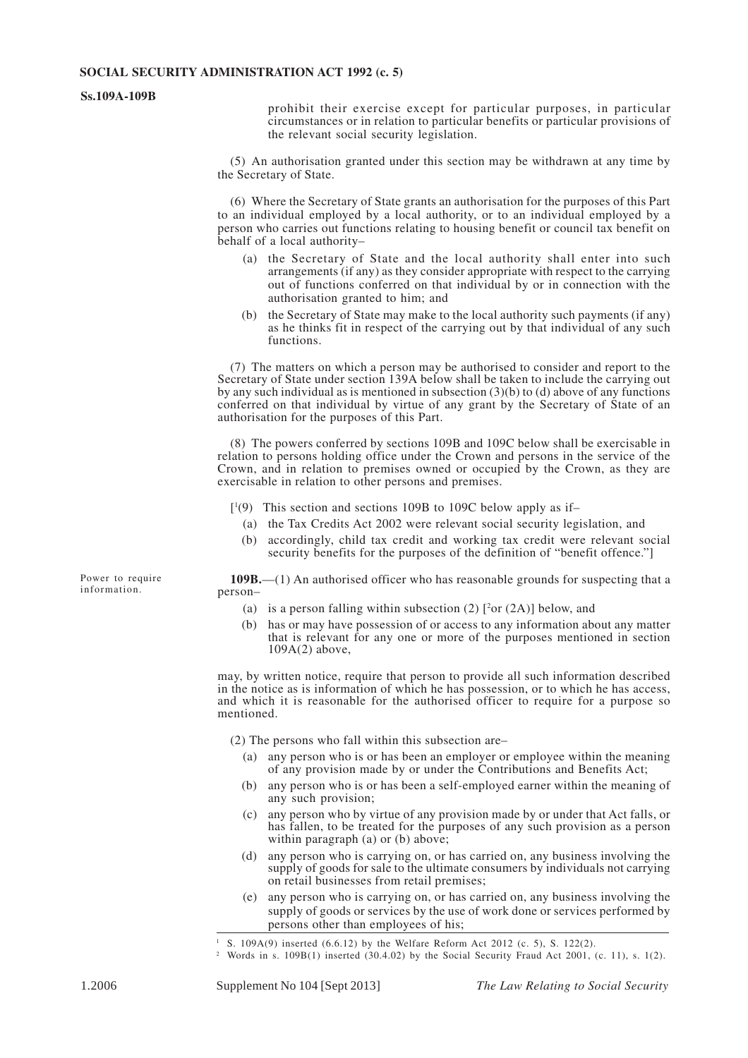#### **Ss.109A-109B**

prohibit their exercise except for particular purposes, in particular circumstances or in relation to particular benefits or particular provisions of the relevant social security legislation.

(5) An authorisation granted under this section may be withdrawn at any time by the Secretary of State.

(6) Where the Secretary of State grants an authorisation for the purposes of this Part to an individual employed by a local authority, or to an individual employed by a person who carries out functions relating to housing benefit or council tax benefit on behalf of a local authority–

- (a) the Secretary of State and the local authority shall enter into such arrangements (if any) as they consider appropriate with respect to the carrying out of functions conferred on that individual by or in connection with the authorisation granted to him; and
- (b) the Secretary of State may make to the local authority such payments (if any) as he thinks fit in respect of the carrying out by that individual of any such functions.

(7) The matters on which a person may be authorised to consider and report to the Secretary of State under section 139A below shall be taken to include the carrying out by any such individual as is mentioned in subsection  $(3)(b)$  to  $(d)$  above of any functions conferred on that individual by virtue of any grant by the Secretary of State of an authorisation for the purposes of this Part.

(8) The powers conferred by sections 109B and 109C below shall be exercisable in relation to persons holding office under the Crown and persons in the service of the Crown, and in relation to premises owned or occupied by the Crown, as they are exercisable in relation to other persons and premises.

- [1 (9) This section and sections 109B to 109C below apply as if–
	- (a) the Tax Credits Act 2002 were relevant social security legislation, and
	- (b) accordingly, child tax credit and working tax credit were relevant social security benefits for the purposes of the definition of "benefit offence."]

**109B.**—(1) An authorised officer who has reasonable grounds for suspecting that a person–

- (a) is a person falling within subsection (2)  $[2 \text{ or } (2A)]$  below, and
- (b) has or may have possession of or access to any information about any matter that is relevant for any one or more of the purposes mentioned in section 109A(2) above,

may, by written notice, require that person to provide all such information described in the notice as is information of which he has possession, or to which he has access, and which it is reasonable for the authorised officer to require for a purpose so mentioned.

(2) The persons who fall within this subsection are–

- (a) any person who is or has been an employer or employee within the meaning of any provision made by or under the Contributions and Benefits Act;
- (b) any person who is or has been a self-employed earner within the meaning of any such provision;
- (c) any person who by virtue of any provision made by or under that Act falls, or has fallen, to be treated for the purposes of any such provision as a person within paragraph (a) or (b) above;
- (d) any person who is carrying on, or has carried on, any business involving the supply of goods for sale to the ultimate consumers by individuals not carrying on retail businesses from retail premises;
- (e) any person who is carrying on, or has carried on, any business involving the supply of goods or services by the use of work done or services performed by persons other than employees of his;

<sup>2</sup> Words in s. 109B(1) inserted (30.4.02) by the Social Security Fraud Act 2001, (c. 11), s. 1(2).

Power to require information.

<sup>&</sup>lt;sup>1</sup> S. 109A(9) inserted (6.6.12) by the Welfare Reform Act 2012 (c. 5), S. 122(2).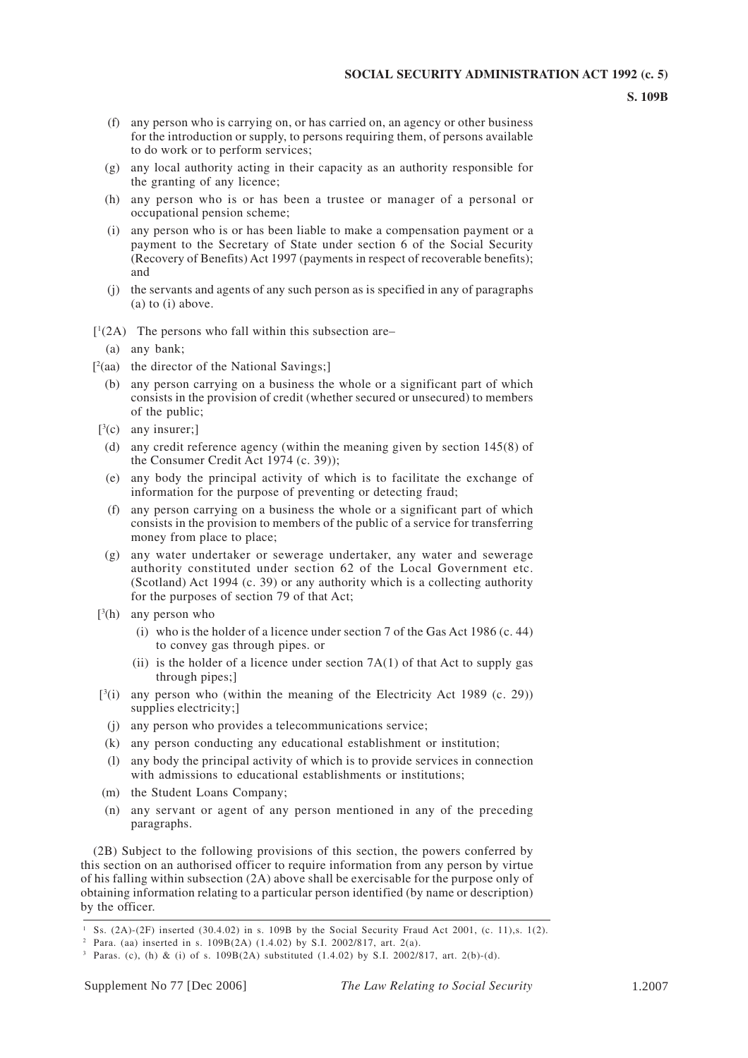#### **S. 109B**

- (f) any person who is carrying on, or has carried on, an agency or other business for the introduction or supply, to persons requiring them, of persons available to do work or to perform services;
- (g) any local authority acting in their capacity as an authority responsible for the granting of any licence;
- (h) any person who is or has been a trustee or manager of a personal or occupational pension scheme;
- (i) any person who is or has been liable to make a compensation payment or a payment to the Secretary of State under section 6 of the Social Security (Recovery of Benefits) Act 1997 (payments in respect of recoverable benefits); and
- (j) the servants and agents of any such person as is specified in any of paragraphs (a) to (i) above.
- $[{}^{1}(2A)$  The persons who fall within this subsection are-

(a) any bank;

- [ 2 (aa) the director of the National Savings;]
	- (b) any person carrying on a business the whole or a significant part of which consists in the provision of credit (whether secured or unsecured) to members of the public;
- $[{}^{3}(c)$  any insurer;]
- (d) any credit reference agency (within the meaning given by section 145(8) of the Consumer Credit Act 1974 (c. 39));
- (e) any body the principal activity of which is to facilitate the exchange of information for the purpose of preventing or detecting fraud;
- (f) any person carrying on a business the whole or a significant part of which consists in the provision to members of the public of a service for transferring money from place to place;
- (g) any water undertaker or sewerage undertaker, any water and sewerage authority constituted under section 62 of the Local Government etc. (Scotland) Act 1994 (c. 39) or any authority which is a collecting authority for the purposes of section 79 of that Act;
- $[3(h)$  any person who
	- (i) who is the holder of a licence under section 7 of the Gas Act 1986 (c. 44) to convey gas through pipes. or
	- (ii) is the holder of a licence under section  $7A(1)$  of that Act to supply gas through pipes;]
- [3 (i) any person who (within the meaning of the Electricity Act 1989 (c. 29)) supplies electricity;]
- (j) any person who provides a telecommunications service;
- (k) any person conducting any educational establishment or institution;
- (l) any body the principal activity of which is to provide services in connection with admissions to educational establishments or institutions;
- (m) the Student Loans Company;
- (n) any servant or agent of any person mentioned in any of the preceding paragraphs.

(2B) Subject to the following provisions of this section, the powers conferred by this section on an authorised officer to require information from any person by virtue of his falling within subsection (2A) above shall be exercisable for the purpose only of obtaining information relating to a particular person identified (by name or description) by the officer.

<sup>&</sup>lt;sup>1</sup> Ss. (2A)-(2F) inserted (30.4.02) in s. 109B by the Social Security Fraud Act 2001, (c. 11), s. 1(2).

<sup>&</sup>lt;sup>2</sup> Para. (aa) inserted in s. 109B(2A) (1.4.02) by S.I. 2002/817, art. 2(a).

<sup>&</sup>lt;sup>3</sup> Paras. (c), (h) & (i) of s. 109B(2A) substituted (1.4.02) by S.I. 2002/817, art. 2(b)-(d).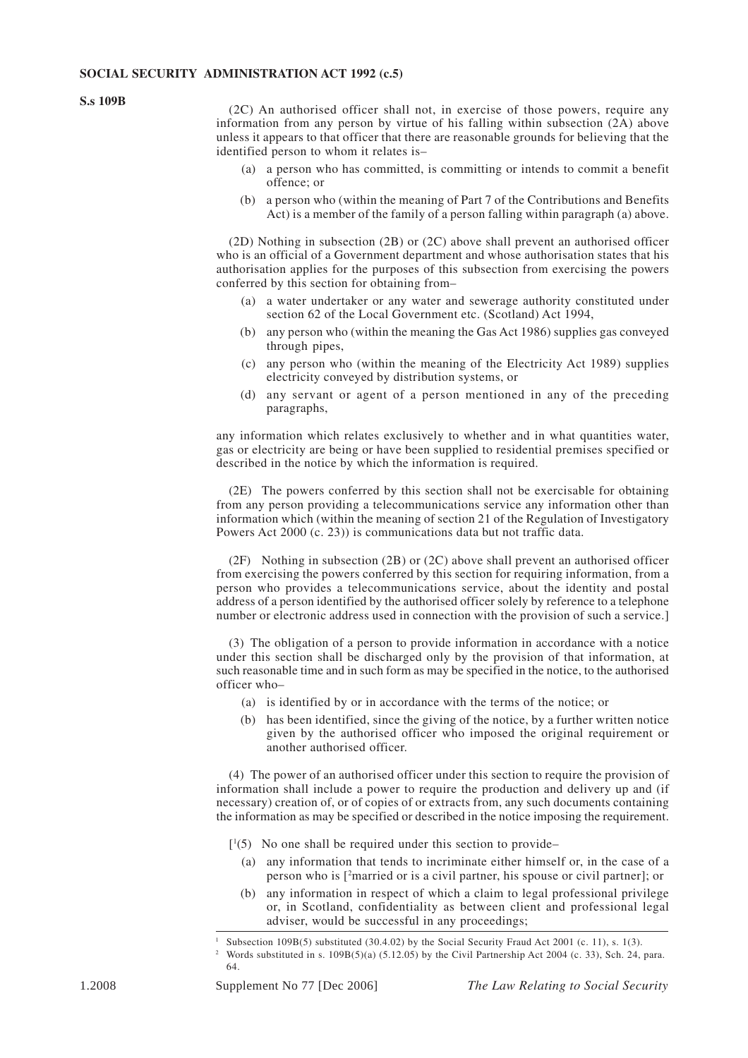**S.s 109B**

(2C) An authorised officer shall not, in exercise of those powers, require any information from any person by virtue of his falling within subsection (2A) above unless it appears to that officer that there are reasonable grounds for believing that the identified person to whom it relates is–

- (a) a person who has committed, is committing or intends to commit a benefit offence; or
- (b) a person who (within the meaning of Part 7 of the Contributions and Benefits Act) is a member of the family of a person falling within paragraph (a) above.

(2D) Nothing in subsection (2B) or (2C) above shall prevent an authorised officer who is an official of a Government department and whose authorisation states that his authorisation applies for the purposes of this subsection from exercising the powers conferred by this section for obtaining from–

- (a) a water undertaker or any water and sewerage authority constituted under section 62 of the Local Government etc. (Scotland) Act 1994,
- (b) any person who (within the meaning the Gas Act 1986) supplies gas conveyed through pipes,
- (c) any person who (within the meaning of the Electricity Act 1989) supplies electricity conveyed by distribution systems, or
- (d) any servant or agent of a person mentioned in any of the preceding paragraphs,

any information which relates exclusively to whether and in what quantities water, gas or electricity are being or have been supplied to residential premises specified or described in the notice by which the information is required.

(2E) The powers conferred by this section shall not be exercisable for obtaining from any person providing a telecommunications service any information other than information which (within the meaning of section 21 of the Regulation of Investigatory Powers Act 2000 (c. 23)) is communications data but not traffic data.

(2F) Nothing in subsection (2B) or (2C) above shall prevent an authorised officer from exercising the powers conferred by this section for requiring information, from a person who provides a telecommunications service, about the identity and postal address of a person identified by the authorised officer solely by reference to a telephone number or electronic address used in connection with the provision of such a service.]

(3) The obligation of a person to provide information in accordance with a notice under this section shall be discharged only by the provision of that information, at such reasonable time and in such form as may be specified in the notice, to the authorised officer who–

- (a) is identified by or in accordance with the terms of the notice; or
- (b) has been identified, since the giving of the notice, by a further written notice given by the authorised officer who imposed the original requirement or another authorised officer.

(4) The power of an authorised officer under this section to require the provision of information shall include a power to require the production and delivery up and (if necessary) creation of, or of copies of or extracts from, any such documents containing the information as may be specified or described in the notice imposing the requirement.

- $[1(5)$  No one shall be required under this section to provide–
	- (a) any information that tends to incriminate either himself or, in the case of a person who is [2 married or is a civil partner, his spouse or civil partner]; or
	- (b) any information in respect of which a claim to legal professional privilege or, in Scotland, confidentiality as between client and professional legal adviser, would be successful in any proceedings;

64.

Subsection 109B(5) substituted  $(30.4.02)$  by the Social Security Fraud Act 2001 (c. 11), s. 1(3).

<sup>2</sup> Words substituted in s. 109B(5)(a) (5.12.05) by the Civil Partnership Act 2004 (c. 33), Sch. 24, para.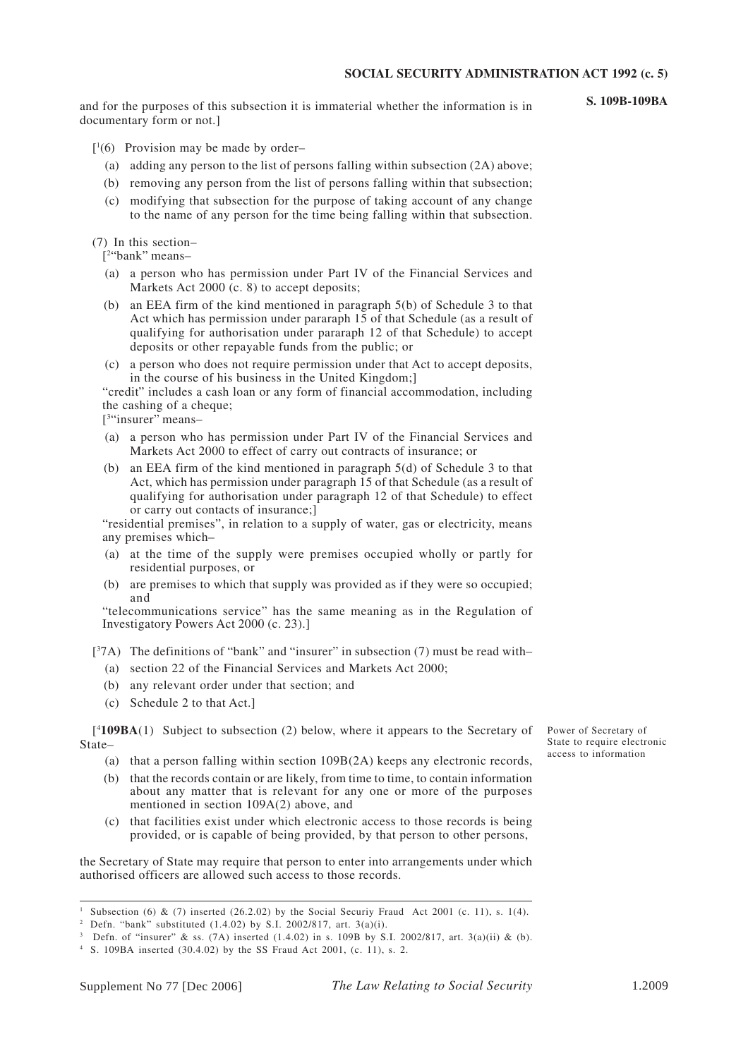and for the purposes of this subsection it is immaterial whether the information is in documentary form or not.]

## **S. 109B-109BA**

- $[1(6)$  Provision may be made by order-
	- (a) adding any person to the list of persons falling within subsection  $(2A)$  above;
	- (b) removing any person from the list of persons falling within that subsection;
	- (c) modifying that subsection for the purpose of taking account of any change to the name of any person for the time being falling within that subsection.

(7) In this section–

[2 "bank" means–

- (a) a person who has permission under Part IV of the Financial Services and Markets Act 2000 (c. 8) to accept deposits;
- (b) an EEA firm of the kind mentioned in paragraph 5(b) of Schedule 3 to that Act which has permission under pararaph 15 of that Schedule (as a result of qualifying for authorisation under pararaph 12 of that Schedule) to accept deposits or other repayable funds from the public; or
- (c) a person who does not require permission under that Act to accept deposits, in the course of his business in the United Kingdom;]

"credit" includes a cash loan or any form of financial accommodation, including the cashing of a cheque;

- [<sup>3</sup>"insurer" means-
- (a) a person who has permission under Part IV of the Financial Services and Markets Act 2000 to effect of carry out contracts of insurance; or
- (b) an EEA firm of the kind mentioned in paragraph 5(d) of Schedule 3 to that Act, which has permission under paragraph 15 of that Schedule (as a result of qualifying for authorisation under paragraph 12 of that Schedule) to effect or carry out contacts of insurance;]

"residential premises", in relation to a supply of water, gas or electricity, means any premises which–

- (a) at the time of the supply were premises occupied wholly or partly for residential purposes, or
- (b) are premises to which that supply was provided as if they were so occupied; and

"telecommunications service" has the same meaning as in the Regulation of Investigatory Powers Act 2000 (c. 23).]

[<sup>3</sup>7A) The definitions of "bank" and "insurer" in subsection (7) must be read with-

- (a) section 22 of the Financial Services and Markets Act 2000;
- (b) any relevant order under that section; and
- (c) Schedule 2 to that Act.]

[4 **109BA**(1) Subject to subsection (2) below, where it appears to the Secretary of State–

- (a) that a person falling within section 109B(2A) keeps any electronic records,
- (b) that the records contain or are likely, from time to time, to contain information about any matter that is relevant for any one or more of the purposes mentioned in section 109A(2) above, and
- (c) that facilities exist under which electronic access to those records is being provided, or is capable of being provided, by that person to other persons,

the Secretary of State may require that person to enter into arrangements under which authorised officers are allowed such access to those records.

Power of Secretary of State to require electronic access to information

<sup>&</sup>lt;sup>1</sup> Subsection (6) & (7) inserted (26.2.02) by the Social Securiy Fraud Act 2001 (c. 11), s. 1(4).

<sup>&</sup>lt;sup>2</sup> Defn. "bank" substituted  $(1.4.02)$  by S.I. 2002/817, art. 3(a)(i).

Defn. of "insurer" & ss. (7A) inserted (1.4.02) in s. 109B by S.I. 2002/817, art. 3(a)(ii) & (b).

<sup>4</sup> S. 109BA inserted (30.4.02) by the SS Fraud Act 2001, (c. 11), s. 2.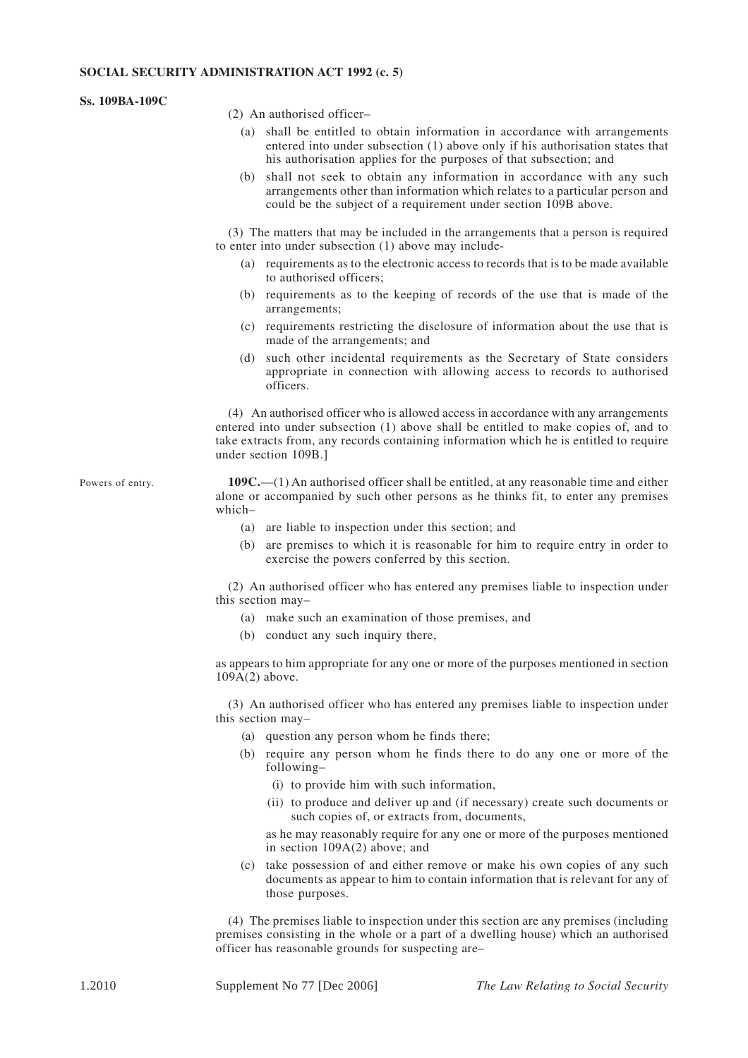#### **Ss. 109BA-109C**

Powers of entry.

(2) An authorised officer–

- (a) shall be entitled to obtain information in accordance with arrangements entered into under subsection (1) above only if his authorisation states that his authorisation applies for the purposes of that subsection; and
- (b) shall not seek to obtain any information in accordance with any such arrangements other than information which relates to a particular person and could be the subject of a requirement under section 109B above.

(3) The matters that may be included in the arrangements that a person is required to enter into under subsection (1) above may include-

- (a) requirements as to the electronic access to records that is to be made available to authorised officers;
- (b) requirements as to the keeping of records of the use that is made of the arrangements;
- (c) requirements restricting the disclosure of information about the use that is made of the arrangements; and
- (d) such other incidental requirements as the Secretary of State considers appropriate in connection with allowing access to records to authorised officers.

(4) An authorised officer who is allowed access in accordance with any arrangements entered into under subsection (1) above shall be entitled to make copies of, and to take extracts from, any records containing information which he is entitled to require under section 109B.]

**109C.**—(1) An authorised officer shall be entitled, at any reasonable time and either alone or accompanied by such other persons as he thinks fit, to enter any premises which–

- (a) are liable to inspection under this section; and
- (b) are premises to which it is reasonable for him to require entry in order to exercise the powers conferred by this section.

(2) An authorised officer who has entered any premises liable to inspection under this section may–

- (a) make such an examination of those premises, and
- (b) conduct any such inquiry there,

as appears to him appropriate for any one or more of the purposes mentioned in section 109A(2) above.

(3) An authorised officer who has entered any premises liable to inspection under this section may–

- (a) question any person whom he finds there;
- (b) require any person whom he finds there to do any one or more of the following–
	- (i) to provide him with such information,
	- (ii) to produce and deliver up and (if necessary) create such documents or such copies of, or extracts from, documents,

as he may reasonably require for any one or more of the purposes mentioned in section 109A(2) above; and

(c) take possession of and either remove or make his own copies of any such documents as appear to him to contain information that is relevant for any of those purposes.

(4) The premises liable to inspection under this section are any premises (including premises consisting in the whole or a part of a dwelling house) which an authorised officer has reasonable grounds for suspecting are–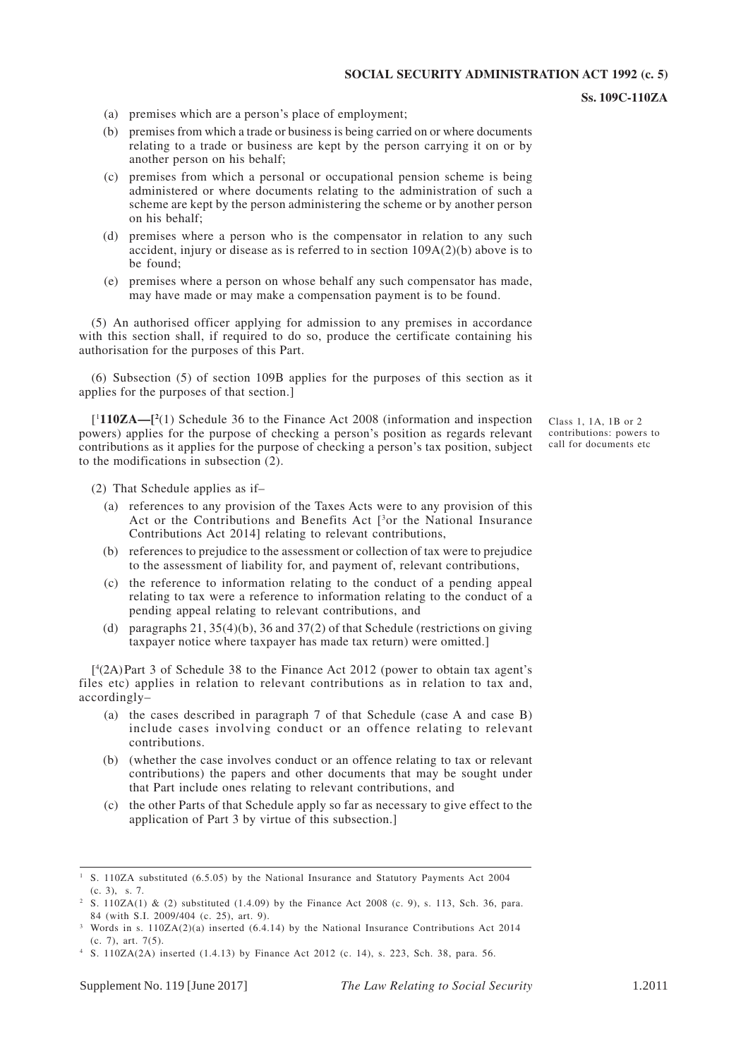# **Ss. 109C-110ZA**

- (a) premises which are a person's place of employment;
- (b) premises from which a trade or business is being carried on or where documents relating to a trade or business are kept by the person carrying it on or by another person on his behalf;
- (c) premises from which a personal or occupational pension scheme is being administered or where documents relating to the administration of such a scheme are kept by the person administering the scheme or by another person on his behalf;
- (d) premises where a person who is the compensator in relation to any such accident, injury or disease as is referred to in section  $109A(2)(b)$  above is to be found;
- (e) premises where a person on whose behalf any such compensator has made, may have made or may make a compensation payment is to be found.

(5) An authorised officer applying for admission to any premises in accordance with this section shall, if required to do so, produce the certificate containing his authorisation for the purposes of this Part.

(6) Subsection (5) of section 109B applies for the purposes of this section as it applies for the purposes of that section.]

[1 **110ZA—[2** (1) Schedule 36 to the Finance Act 2008 (information and inspection powers) applies for the purpose of checking a person's position as regards relevant contributions as it applies for the purpose of checking a person's tax position, subject to the modifications in subsection  $(2)$ .

(2) That Schedule applies as if–

- (a) references to any provision of the Taxes Acts were to any provision of this Act or the Contributions and Benefits Act [<sup>3</sup>or the National Insurance Contributions Act 2014] relating to relevant contributions,
- (b) references to prejudice to the assessment or collection of tax were to prejudice to the assessment of liability for, and payment of, relevant contributions,
- (c) the reference to information relating to the conduct of a pending appeal relating to tax were a reference to information relating to the conduct of a pending appeal relating to relevant contributions, and
- (d) paragraphs  $21, 35(4)(b)$ ,  $36$  and  $37(2)$  of that Schedule (restrictions on giving taxpayer notice where taxpayer has made tax return) were omitted.]

[ 4 (2A)Part 3 of Schedule 38 to the Finance Act 2012 (power to obtain tax agent's files etc) applies in relation to relevant contributions as in relation to tax and, accordingly–

- (a) the cases described in paragraph 7 of that Schedule (case A and case B) include cases involving conduct or an offence relating to relevant contributions.
- (b) (whether the case involves conduct or an offence relating to tax or relevant contributions) the papers and other documents that may be sought under that Part include ones relating to relevant contributions, and
- (c) the other Parts of that Schedule apply so far as necessary to give effect to the application of Part 3 by virtue of this subsection.]

 $Class 1, 1A, 1B, or 2$ contributions: powers to call for documents etc

<sup>1</sup> S. 110ZA substituted (6.5.05) by the National Insurance and Statutory Payments Act 2004 (c. 3), s. 7.

<sup>&</sup>lt;sup>2</sup> S. 110ZA(1) & (2) substituted (1.4.09) by the Finance Act 2008 (c. 9), s. 113, Sch. 36, para. 84 (with S.I. 2009/404 (c. 25), art. 9).

<sup>&</sup>lt;sup>3</sup> Words in s. 110ZA(2)(a) inserted (6.4.14) by the National Insurance Contributions Act 2014 (c. 7), art. 7(5).

<sup>4</sup> S. 110ZA(2A) inserted (1.4.13) by Finance Act 2012 (c. 14), s. 223, Sch. 38, para. 56.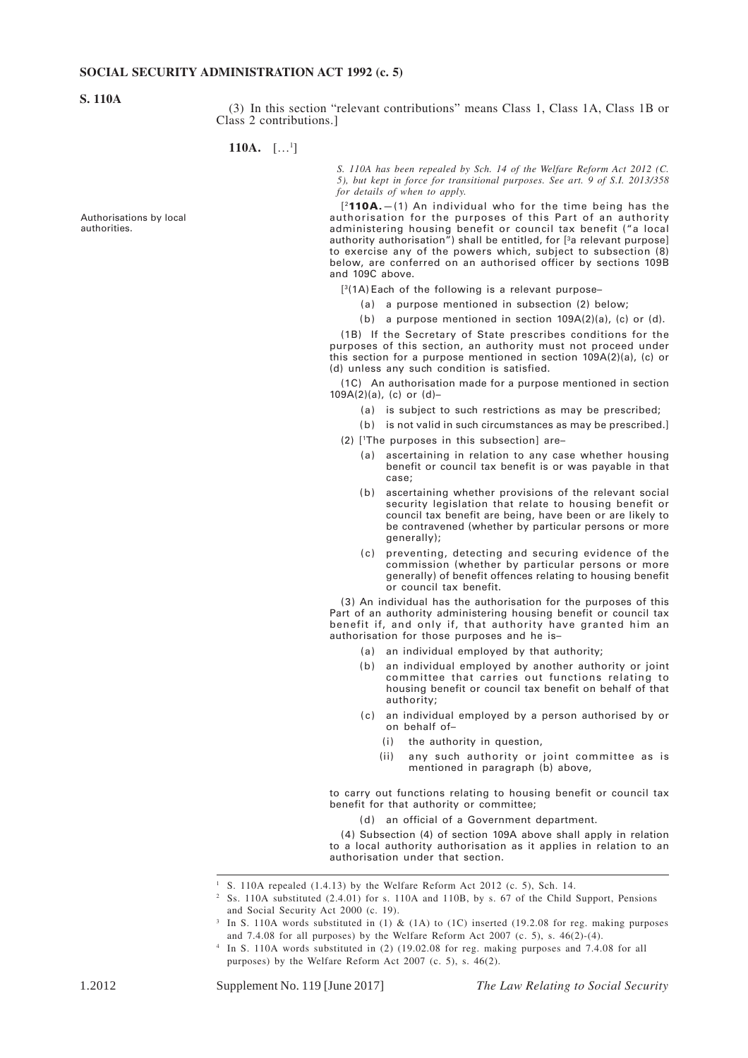**S. 110A**

(3) In this section "relevant contributions" means Class 1, Class 1A, Class 1B or Class 2 contributions.]

## **110A.** […1 ]

*S. 110A has been repealed by Sch. 14 of the Welfare Reform Act 2012 (C. 5), but kept in force for transitional purposes. See art. 9 of S.I. 2013/358 for details of when to apply.*

[2**110A.**—(1) An individual who for the time being has the authorisation for the purposes of this Part of an authority administering housing benefit or council tax benefit ("a local authority authorisation") shall be entitled, for  $[3a$  relevant purpose] to exercise any of the powers which, subject to subsection (8) below, are conferred on an authorised officer by sections 109B and 109C above.

 $[3(1A)$  Each of the following is a relevant purpose-

- (a) a purpose mentioned in subsection (2) below;
- (b) a purpose mentioned in section 109A(2)(a), (c) or (d).

(1B) If the Secretary of State prescribes conditions for the purposes of this section, an authority must not proceed under this section for a purpose mentioned in section 109A(2)(a), (c) or (d) unless any such condition is satisfied.

(1C) An authorisation made for a purpose mentioned in section 109A(2)(a), (c) or (d)–

- (a) is subject to such restrictions as may be prescribed;
- (b) is not valid in such circumstances as may be prescribed.]
- (2) [1The purposes in this subsection] are–
	- (a) ascertaining in relation to any case whether housing benefit or council tax benefit is or was payable in that case;
	- (b) ascertaining whether provisions of the relevant social security legislation that relate to housing benefit or council tax benefit are being, have been or are likely to be contravened (whether by particular persons or more generally);
	- (c) preventing, detecting and securing evidence of the commission (whether by particular persons or more generally) of benefit offences relating to housing benefit or council tax benefit.

(3) An individual has the authorisation for the purposes of this Part of an authority administering housing benefit or council tax benefit if, and only if, that authority have granted him an authorisation for those purposes and he is–

- (a) an individual employed by that authority;
- (b) an individual employed by another authority or joint committee that carries out functions relating to housing benefit or council tax benefit on behalf of that authority;
- (c) an individual employed by a person authorised by or on behalf of–
	- (i) the authority in question,
	- (ii) any such authority or joint committee as is mentioned in paragraph (b) above,

to carry out functions relating to housing benefit or council tax benefit for that authority or committee;

(d) an official of a Government department.

(4) Subsection (4) of section 109A above shall apply in relation to a local authority authorisation as it applies in relation to an authorisation under that section.

<sup>4</sup> In S. 110A words substituted in (2) (19.02.08 for reg. making purposes and 7.4.08 for all purposes) by the Welfare Reform Act 2007 (c. 5), s. 46(2).

Authorisations by local authorities.

<sup>&</sup>lt;sup>1</sup> S. 110A repealed  $(1.4.13)$  by the Welfare Reform Act 2012 (c. 5), Sch. 14.

<sup>2</sup> Ss. 110A substituted (2.4.01) for s. 110A and 110B, by s. 67 of the Child Support, Pensions and Social Security Act 2000 (c. 19).

<sup>&</sup>lt;sup>3</sup> In S. 110A words substituted in (1) & (1A) to (1C) inserted (19.2.08 for reg. making purposes and 7.4.08 for all purposes) by the Welfare Reform Act 2007 (c. 5), s.  $46(2)-(4)$ .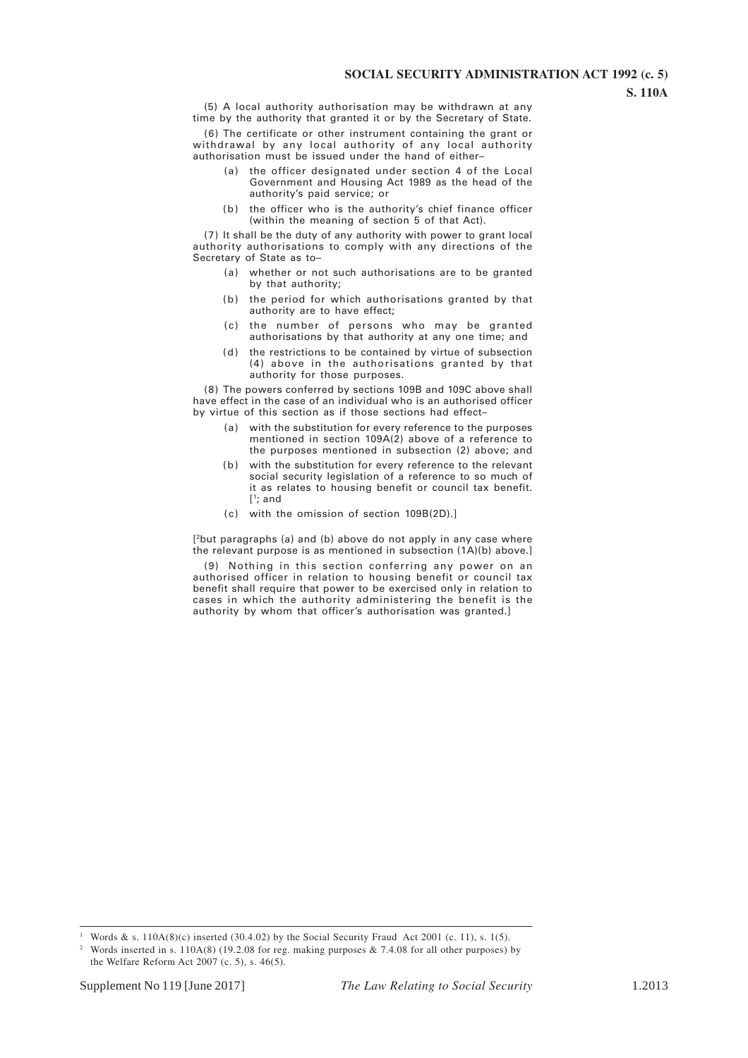(5) A local authority authorisation may be withdrawn at any time by the authority that granted it or by the Secretary of State.

(6) The certificate or other instrument containing the grant or withdrawal by any local authority of any local authority authorisation must be issued under the hand of either–

- (a) the officer designated under section 4 of the Local Government and Housing Act 1989 as the head of the authority's paid service; or
- (b) the officer who is the authority's chief finance officer (within the meaning of section 5 of that Act).

(7) It shall be the duty of any authority with power to grant local authority authorisations to comply with any directions of the Secretary of State as to–

- (a) whether or not such authorisations are to be granted by that authority;
- (b) the period for which authorisations granted by that authority are to have effect;
- (c) the number of persons who may be granted authorisations by that authority at any one time; and
- (d) the restrictions to be contained by virtue of subsection (4) above in the authorisations granted by that authority for those purposes.

(8) The powers conferred by sections 109B and 109C above shall have effect in the case of an individual who is an authorised officer by virtue of this section as if those sections had effect–

- (a) with the substitution for every reference to the purposes mentioned in section 109A(2) above of a reference to the purposes mentioned in subsection (2) above; and
- (b) with the substitution for every reference to the relevant social security legislation of a reference to so much of it as relates to housing benefit or council tax benefit. [1 ; and
- (c) with the omission of section 109B(2D).]

[2 but paragraphs (a) and (b) above do not apply in any case where the relevant purpose is as mentioned in subsection (1A)(b) above.]

(9) Nothing in this section conferring any power on an authorised officer in relation to housing benefit or council tax benefit shall require that power to be exercised only in relation to cases in which the authority administering the benefit is the authority by whom that officer's authorisation was granted.]

<sup>&</sup>lt;sup>1</sup> Words & s.  $110A(8)(c)$  inserted (30.4.02) by the Social Security Fraud Act 2001 (c. 11), s. 1(5).

<sup>2</sup> Words inserted in s. 110A(8) (19.2.08 for reg. making purposes & 7.4.08 for all other purposes) by the Welfare Reform Act 2007 (c. 5), s. 46(5).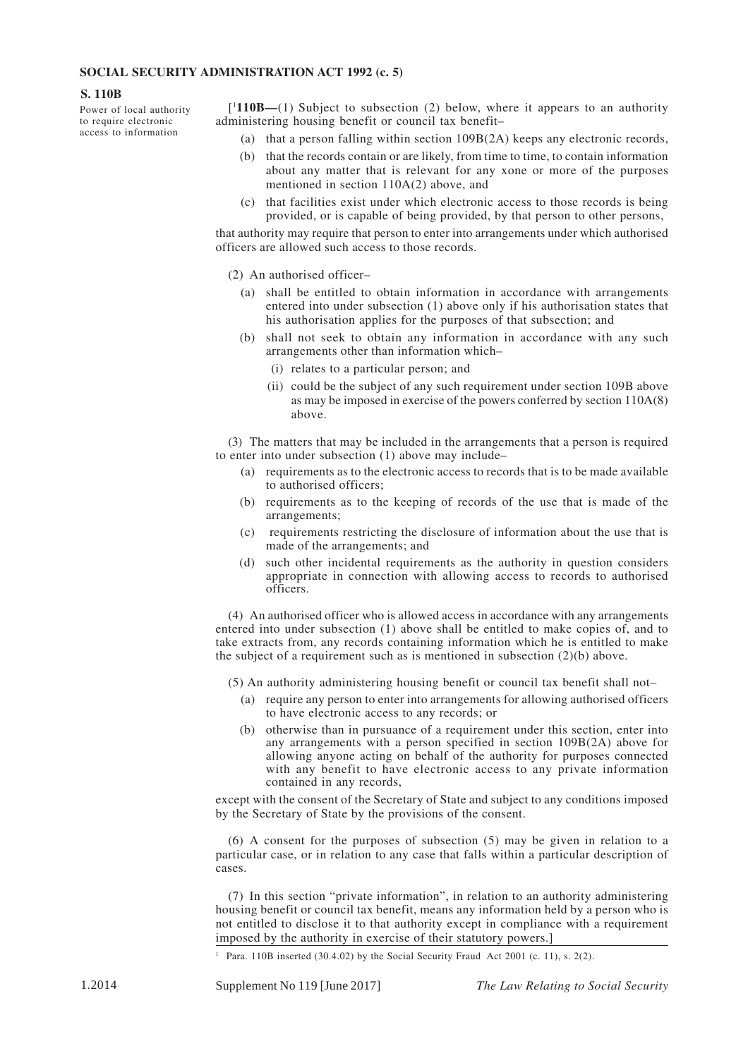## **S. 110B**

Power of local authority to require electronic access to information

[1 **110B—**(1) Subject to subsection (2) below, where it appears to an authority administering housing benefit or council tax benefit–

- (a) that a person falling within section 109B(2A) keeps any electronic records,
- (b) that the records contain or are likely, from time to time, to contain information about any matter that is relevant for any xone or more of the purposes mentioned in section 110A(2) above, and
- (c) that facilities exist under which electronic access to those records is being provided, or is capable of being provided, by that person to other persons,

that authority may require that person to enter into arrangements under which authorised officers are allowed such access to those records.

- (2) An authorised officer–
	- (a) shall be entitled to obtain information in accordance with arrangements entered into under subsection (1) above only if his authorisation states that his authorisation applies for the purposes of that subsection; and
	- (b) shall not seek to obtain any information in accordance with any such arrangements other than information which–
		- (i) relates to a particular person; and
		- (ii) could be the subject of any such requirement under section 109B above as may be imposed in exercise of the powers conferred by section 110A(8) above.

(3) The matters that may be included in the arrangements that a person is required to enter into under subsection (1) above may include–

- (a) requirements as to the electronic access to records that is to be made available to authorised officers;
- (b) requirements as to the keeping of records of the use that is made of the arrangements;
- (c) requirements restricting the disclosure of information about the use that is made of the arrangements; and
- (d) such other incidental requirements as the authority in question considers appropriate in connection with allowing access to records to authorised officers.

(4) An authorised officer who is allowed access in accordance with any arrangements entered into under subsection (1) above shall be entitled to make copies of, and to take extracts from, any records containing information which he is entitled to make the subject of a requirement such as is mentioned in subsection (2)(b) above.

- (5) An authority administering housing benefit or council tax benefit shall not–
	- (a) require any person to enter into arrangements for allowing authorised officers to have electronic access to any records; or
	- (b) otherwise than in pursuance of a requirement under this section, enter into any arrangements with a person specified in section 109B(2A) above for allowing anyone acting on behalf of the authority for purposes connected with any benefit to have electronic access to any private information contained in any records,

except with the consent of the Secretary of State and subject to any conditions imposed by the Secretary of State by the provisions of the consent.

(6) A consent for the purposes of subsection (5) may be given in relation to a particular case, or in relation to any case that falls within a particular description of cases.

(7) In this section "private information", in relation to an authority administering housing benefit or council tax benefit, means any information held by a person who is not entitled to disclose it to that authority except in compliance with a requirement imposed by the authority in exercise of their statutory powers.]

<sup>&</sup>lt;sup>1</sup> Para. 110B inserted (30.4.02) by the Social Security Fraud Act 2001 (c. 11), s. 2(2).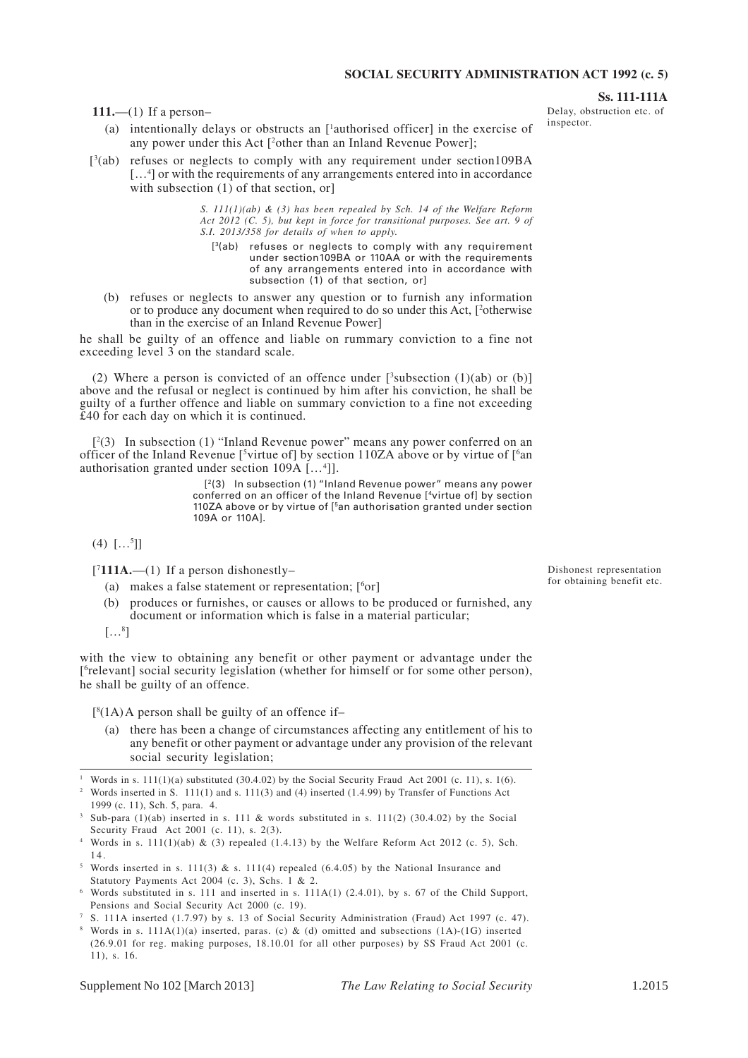**111.**—(1) If a person–

- (a) intentionally delays or obstructs an [1 authorised officer] in the exercise of any power under this Act [<sup>2</sup>other than an Inland Revenue Power];
- [<sup>3</sup>(ab) refuses or neglects to comply with any requirement under section109BA [...<sup>4</sup>] or with the requirements of any arrangements entered into in accordance with subsection  $(1)$  of that section, or

*S. 111(1)(ab) & (3) has been repealed by Sch. 14 of the Welfare Reform Act 2012 (C. 5), but kept in force for transitional purposes. See art. 9 of S.I. 2013/358 for details of when to apply.*

- [3(ab) refuses or neglects to comply with any requirement under section109BA or 110AA or with the requirements of any arrangements entered into in accordance with subsection (1) of that section, or]
- (b) refuses or neglects to answer any question or to furnish any information or to produce any document when required to do so under this Act, [<sup>2</sup>otherwise than in the exercise of an Inland Revenue Power]

he shall be guilty of an offence and liable on rummary conviction to a fine not exceeding level 3 on the standard scale.

(2) Where a person is convicted of an offence under  $[3$ subsection  $(1)(ab)$  or  $(b)$ ] above and the refusal or neglect is continued by him after his conviction, he shall be guilty of a further offence and liable on summary conviction to a fine not exceeding £40 for each day on which it is continued.

[2 (3) In subsection (1) "Inland Revenue power" means any power conferred on an officer of the Inland Revenue [<sup>5</sup>virtue of] by section 110ZA above or by virtue of [ $6$ an authorisation granted under section 109A [...<sup>4</sup>]].

> [2(3) In subsection (1) "Inland Revenue power" means any power conferred on an officer of the Inland Revenue [<sup>4</sup>virtue of] by section 110ZA above or by virtue of [<sup>5</sup>an authorisation granted under section 109A or 110A].

 $(4)$   $[...^5]$ ]

 $[7111A, -(1)$  If a person dishonestly-

- (a) makes a false statement or representation;  $[6\text{or}]$
- (b) produces or furnishes, or causes or allows to be produced or furnished, any document or information which is false in a material particular;
- $[\dots^8]$

with the view to obtaining any benefit or other payment or advantage under the [<sup>6</sup>relevant] social security legislation (whether for himself or for some other person), he shall be guilty of an offence.

 $[{}^8(1A)$  A person shall be guilty of an offence if-

(a) there has been a change of circumstances affecting any entitlement of his to any benefit or other payment or advantage under any provision of the relevant social security legislation;

Delay, obstruction etc. of inspector.

**Ss. 111-111A**

Dishonest representation for obtaining benefit etc.

Words in s.  $11(1)(a)$  substituted (30.4.02) by the Social Security Fraud Act 2001 (c. 11), s. 1(6).

<sup>2</sup> Words inserted in S. 111(1) and s. 111(3) and (4) inserted (1.4.99) by Transfer of Functions Act 1999 (c. 11), Sch. 5, para. 4.

<sup>3</sup> Sub-para (1)(ab) inserted in s. 111 & words substituted in s. 111(2) (30.4.02) by the Social Security Fraud Act 2001 (c. 11), s. 2(3).

<sup>&</sup>lt;sup>4</sup> Words in s.  $111(1)(ab)$  & (3) repealed (1.4.13) by the Welfare Reform Act 2012 (c. 5), Sch. 14.

Words inserted in s. 111(3)  $\&$  s. 111(4) repealed (6.4.05) by the National Insurance and Statutory Payments Act 2004 (c. 3), Schs. 1 & 2.

<sup>6</sup> Words substituted in s. 111 and inserted in s. 111A(1) (2.4.01), by s. 67 of the Child Support, Pensions and Social Security Act 2000 (c. 19).

<sup>7</sup> S. 111A inserted (1.7.97) by s. 13 of Social Security Administration (Fraud) Act 1997 (c. 47). Words in s. 111A(1)(a) inserted, paras. (c) & (d) omitted and subsections (1A)-(1G) inserted (26.9.01 for reg. making purposes, 18.10.01 for all other purposes) by SS Fraud Act 2001 (c. 11), s. 16.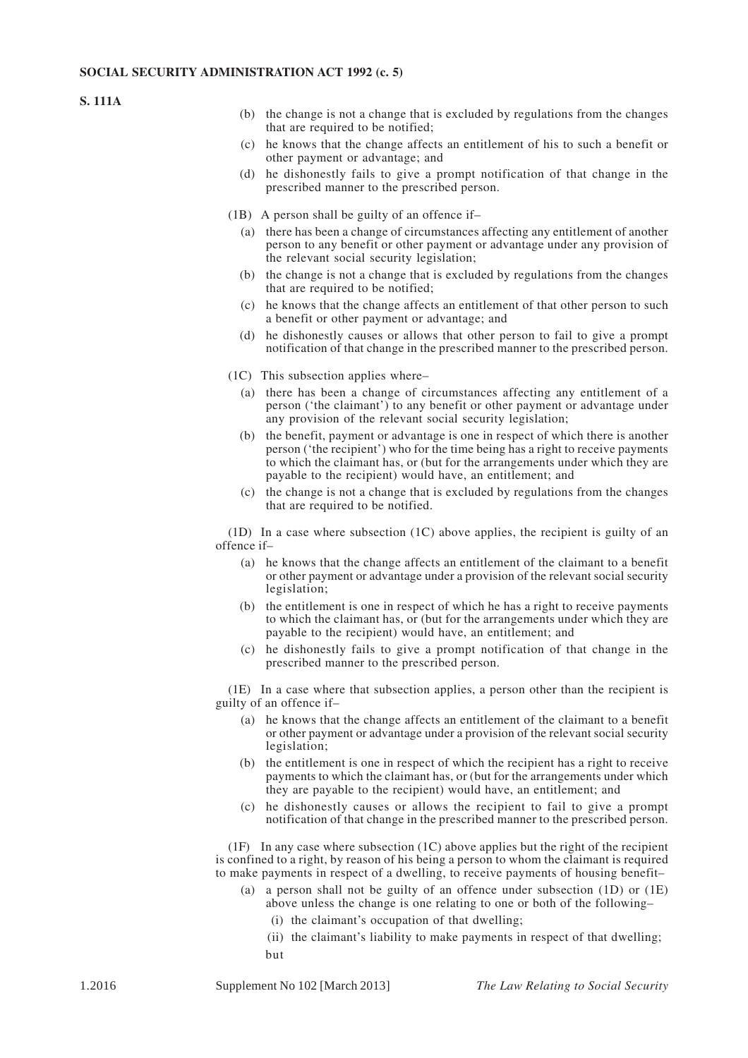**S. 111A**

- (b) the change is not a change that is excluded by regulations from the changes that are required to be notified;
- (c) he knows that the change affects an entitlement of his to such a benefit or other payment or advantage; and
- (d) he dishonestly fails to give a prompt notification of that change in the prescribed manner to the prescribed person.
- (1B) A person shall be guilty of an offence if–
	- (a) there has been a change of circumstances affecting any entitlement of another person to any benefit or other payment or advantage under any provision of the relevant social security legislation;
	- (b) the change is not a change that is excluded by regulations from the changes that are required to be notified;
	- (c) he knows that the change affects an entitlement of that other person to such a benefit or other payment or advantage; and
	- (d) he dishonestly causes or allows that other person to fail to give a prompt notification of that change in the prescribed manner to the prescribed person.
- (1C) This subsection applies where–
	- (a) there has been a change of circumstances affecting any entitlement of a person ('the claimant') to any benefit or other payment or advantage under any provision of the relevant social security legislation;
	- (b) the benefit, payment or advantage is one in respect of which there is another person ('the recipient') who for the time being has a right to receive payments to which the claimant has, or (but for the arrangements under which they are payable to the recipient) would have, an entitlement; and
	- (c) the change is not a change that is excluded by regulations from the changes that are required to be notified.

(1D) In a case where subsection (1C) above applies, the recipient is guilty of an offence if–

- (a) he knows that the change affects an entitlement of the claimant to a benefit or other payment or advantage under a provision of the relevant social security legislation;
- (b) the entitlement is one in respect of which he has a right to receive payments to which the claimant has, or (but for the arrangements under which they are payable to the recipient) would have, an entitlement; and
- (c) he dishonestly fails to give a prompt notification of that change in the prescribed manner to the prescribed person.

(1E) In a case where that subsection applies, a person other than the recipient is guilty of an offence if–

- (a) he knows that the change affects an entitlement of the claimant to a benefit or other payment or advantage under a provision of the relevant social security legislation;
- (b) the entitlement is one in respect of which the recipient has a right to receive payments to which the claimant has, or (but for the arrangements under which they are payable to the recipient) would have, an entitlement; and
- (c) he dishonestly causes or allows the recipient to fail to give a prompt notification of that change in the prescribed manner to the prescribed person.

(1F) In any case where subsection (1C) above applies but the right of the recipient is confined to a right, by reason of his being a person to whom the claimant is required to make payments in respect of a dwelling, to receive payments of housing benefit–

- (a) a person shall not be guilty of an offence under subsection (1D) or (1E) above unless the change is one relating to one or both of the following–
	- (i) the claimant's occupation of that dwelling;
	- (ii) the claimant's liability to make payments in respect of that dwelling; but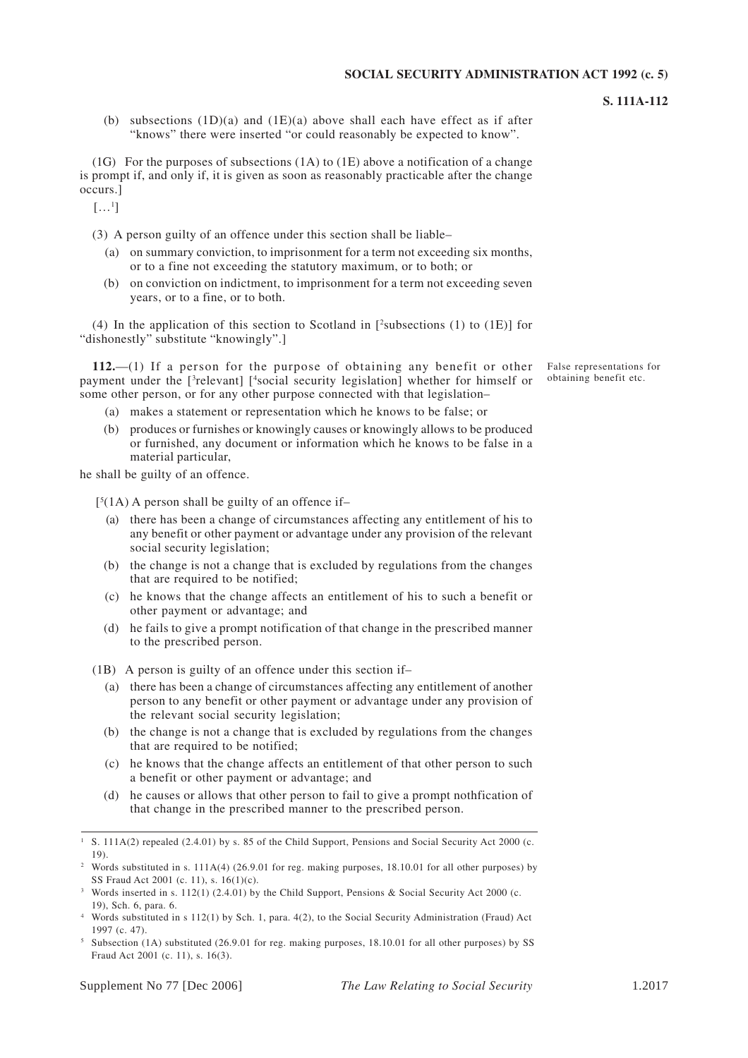## **S. 111A-112**

(b) subsections  $(1D)(a)$  and  $(1E)(a)$  above shall each have effect as if after "knows" there were inserted "or could reasonably be expected to know".

(1G) For the purposes of subsections  $(1A)$  to  $(1E)$  above a notification of a change is prompt if, and only if, it is given as soon as reasonably practicable after the change occurs.]

 $[...]$ 

(3) A person guilty of an offence under this section shall be liable–

- (a) on summary conviction, to imprisonment for a term not exceeding six months, or to a fine not exceeding the statutory maximum, or to both; or
- (b) on conviction on indictment, to imprisonment for a term not exceeding seven years, or to a fine, or to both.

(4) In the application of this section to Scotland in  $[}$ subsections (1) to (1E)] for "dishonestly" substitute "knowingly".]

**112.**—(1) If a person for the purpose of obtaining any benefit or other payment under the [<sup>3</sup>relevant] [<sup>4</sup>social security legislation] whether for himself or some other person, or for any other purpose connected with that legislation–

- (a) makes a statement or representation which he knows to be false; or
- (b) produces or furnishes or knowingly causes or knowingly allows to be produced or furnished, any document or information which he knows to be false in a material particular,

he shall be guilty of an offence.

 $[5(1A)$  A person shall be guilty of an offence if-

- (a) there has been a change of circumstances affecting any entitlement of his to any benefit or other payment or advantage under any provision of the relevant social security legislation;
- (b) the change is not a change that is excluded by regulations from the changes that are required to be notified;
- (c) he knows that the change affects an entitlement of his to such a benefit or other payment or advantage; and
- (d) he fails to give a prompt notification of that change in the prescribed manner to the prescribed person.

(1B) A person is guilty of an offence under this section if–

- (a) there has been a change of circumstances affecting any entitlement of another person to any benefit or other payment or advantage under any provision of the relevant social security legislation;
- (b) the change is not a change that is excluded by regulations from the changes that are required to be notified;
- (c) he knows that the change affects an entitlement of that other person to such a benefit or other payment or advantage; and
- (d) he causes or allows that other person to fail to give a prompt nothfication of that change in the prescribed manner to the prescribed person.

False representations for obtaining benefit etc.

<sup>1</sup> S. 111A(2) repealed (2.4.01) by s. 85 of the Child Support, Pensions and Social Security Act 2000 (c. 19).

<sup>2</sup> Words substituted in s. 111A(4) (26.9.01 for reg. making purposes, 18.10.01 for all other purposes) by SS Fraud Act 2001 (c. 11), s. 16(1)(c).

Words inserted in s. 112(1) (2.4.01) by the Child Support, Pensions & Social Security Act 2000 (c. 19), Sch. 6, para. 6.

Words substituted in s 112(1) by Sch. 1, para. 4(2), to the Social Security Administration (Fraud) Act 1997 (c. 47).

<sup>5</sup> Subsection (1A) substituted (26.9.01 for reg. making purposes, 18.10.01 for all other purposes) by SS Fraud Act 2001 (c. 11), s. 16(3).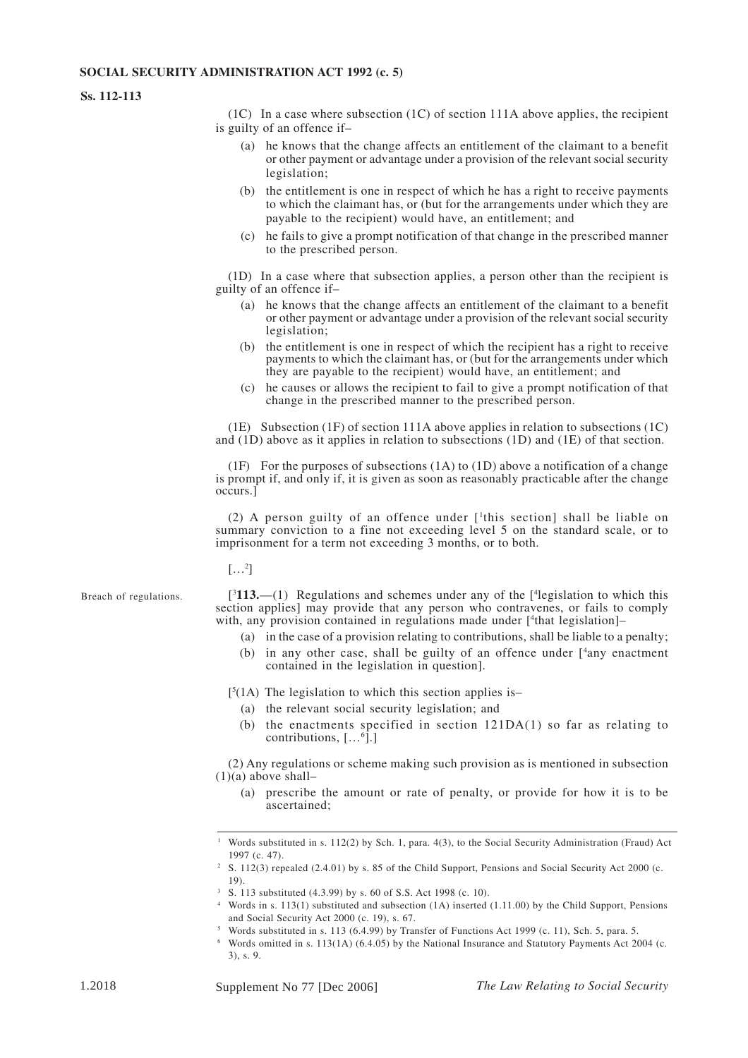## **Ss. 112-113**

- (1C) In a case where subsection (1C) of section 111A above applies, the recipient is guilty of an offence if–
	- (a) he knows that the change affects an entitlement of the claimant to a benefit or other payment or advantage under a provision of the relevant social security legislation;
	- (b) the entitlement is one in respect of which he has a right to receive payments to which the claimant has, or (but for the arrangements under which they are payable to the recipient) would have, an entitlement; and
	- (c) he fails to give a prompt notification of that change in the prescribed manner to the prescribed person.

(1D) In a case where that subsection applies, a person other than the recipient is guilty of an offence if–

- (a) he knows that the change affects an entitlement of the claimant to a benefit or other payment or advantage under a provision of the relevant social security legislation;
- (b) the entitlement is one in respect of which the recipient has a right to receive payments to which the claimant has, or (but for the arrangements under which they are payable to the recipient) would have, an entitlement; and
- (c) he causes or allows the recipient to fail to give a prompt notification of that change in the prescribed manner to the prescribed person.

(1E) Subsection (1F) of section 111A above applies in relation to subsections (1C) and (1D) above as it applies in relation to subsections (1D) and (1E) of that section.

(1F) For the purposes of subsections  $(1A)$  to  $(1D)$  above a notification of a change is prompt if, and only if, it is given as soon as reasonably practicable after the change occurs.]

(2) A person guilty of an offence under [<sup>1</sup>this section] shall be liable on summary conviction to a fine not exceeding level 5 on the standard scale, or to imprisonment for a term not exceeding 3 months, or to both.

 $\left[ \ldots^2 \right]$ 

#### Breach of regulations.

[<sup>3</sup>**113.**—(1) Regulations and schemes under any of the [<sup>4</sup>legislation to which this section applies] may provide that any person who contravenes, or fails to comply with, any provision contained in regulations made under [<sup>4</sup>that legislation]-

- (a) in the case of a provision relating to contributions, shall be liable to a penalty;
- (b) in any other case, shall be guilty of an offence under  $[4$ any enactment contained in the legislation in question].

 $[5(1A)$  The legislation to which this section applies is-

- (a) the relevant social security legislation; and
- (b) the enactments specified in section 121DA(1) so far as relating to contributions, […6 ].]

(2) Any regulations or scheme making such provision as is mentioned in subsection  $(1)(a)$  above shall-

(a) prescribe the amount or rate of penalty, or provide for how it is to be ascertained;

Words substituted in s. 112(2) by Sch. 1, para. 4(3), to the Social Security Administration (Fraud) Act 1997 (c. 47).

<sup>2</sup> S. 112(3) repealed (2.4.01) by s. 85 of the Child Support, Pensions and Social Security Act 2000 (c. 19).

<sup>3</sup> S. 113 substituted (4.3.99) by s. 60 of S.S. Act 1998 (c. 10).

<sup>4</sup> Words in s. 113(1) substituted and subsection (1A) inserted (1.11.00) by the Child Support, Pensions and Social Security Act 2000 (c. 19), s. 67.

<sup>5</sup> Words substituted in s. 113 (6.4.99) by Transfer of Functions Act 1999 (c. 11), Sch. 5, para. 5.

<sup>6</sup> Words omitted in s. 113(1A) (6.4.05) by the National Insurance and Statutory Payments Act 2004 (c. 3), s. 9.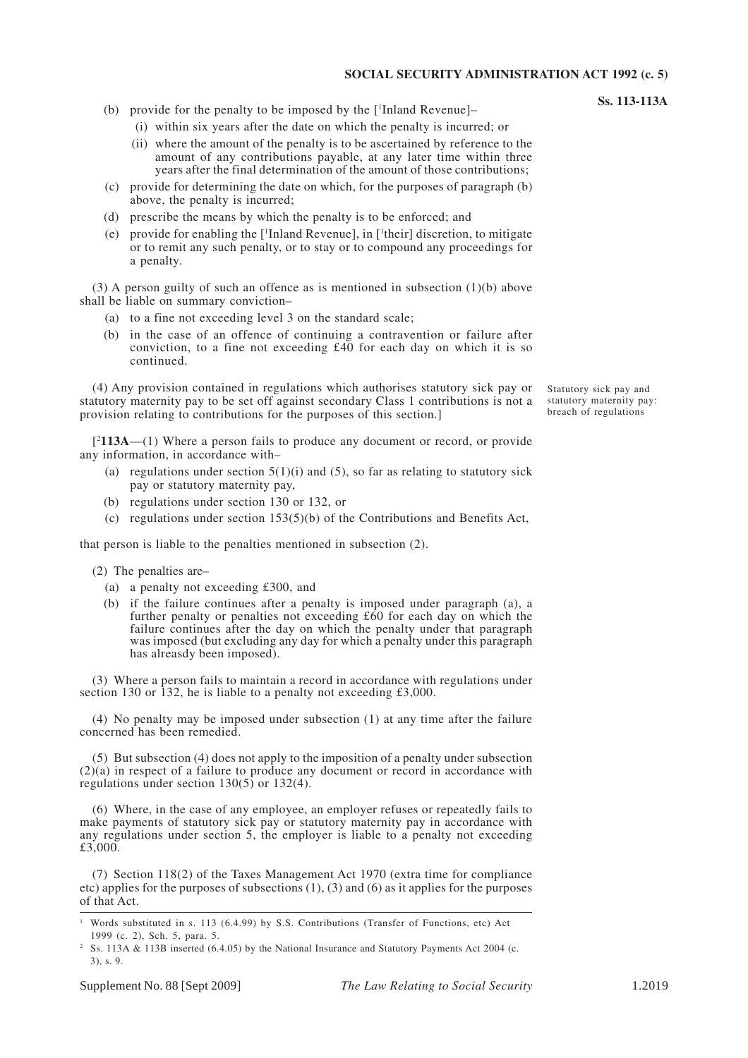- (b) provide for the penalty to be imposed by the  $[1]$ Inland Revenue]–
	- (i) within six years after the date on which the penalty is incurred; or
	- (ii) where the amount of the penalty is to be ascertained by reference to the amount of any contributions payable, at any later time within three years after the final determination of the amount of those contributions;
- (c) provide for determining the date on which, for the purposes of paragraph (b) above, the penalty is incurred;
- (d) prescribe the means by which the penalty is to be enforced; and
- (e) provide for enabling the  $[$ <sup>1</sup>Inland Revenue], in  $[$ <sup>1</sup>their] discretion, to mitigate or to remit any such penalty, or to stay or to compound any proceedings for a penalty.

(3) A person guilty of such an offence as is mentioned in subsection (1)(b) above shall be liable on summary conviction–

- (a) to a fine not exceeding level 3 on the standard scale;
- (b) in the case of an offence of continuing a contravention or failure after conviction, to a fine not exceeding £40 for each day on which it is so continued.

(4) Any provision contained in regulations which authorises statutory sick pay or statutory maternity pay to be set off against secondary Class 1 contributions is not a provision relating to contributions for the purposes of this section.]

[2 **113A**—(1) Where a person fails to produce any document or record, or provide any information, in accordance with–

- (a) regulations under section  $5(1)(i)$  and  $(5)$ , so far as relating to statutory sick pay or statutory maternity pay,
- (b) regulations under section 130 or 132, or
- (c) regulations under section  $153(5)(b)$  of the Contributions and Benefits Act,

that person is liable to the penalties mentioned in subsection (2).

(2) The penalties are–

- (a) a penalty not exceeding £300, and
- (b) if the failure continues after a penalty is imposed under paragraph (a), a further penalty or penalties not exceeding £60 for each day on which the failure continues after the day on which the penalty under that paragraph was imposed (but excluding any day for which a penalty under this paragraph has alreasdy been imposed).

(3) Where a person fails to maintain a record in accordance with regulations under section 130 or 132, he is liable to a penalty not exceeding £3,000.

(4) No penalty may be imposed under subsection (1) at any time after the failure concerned has been remedied.

(5) But subsection (4) does not apply to the imposition of a penalty under subsection (2)(a) in respect of a failure to produce any document or record in accordance with regulations under section  $130(5)$  or  $132(4)$ .

(6) Where, in the case of any employee, an employer refuses or repeatedly fails to make payments of statutory sick pay or statutory maternity pay in accordance with any regulations under section 5, the employer is liable to a penalty not exceeding £3,000.

(7) Section 118(2) of the Taxes Management Act 1970 (extra time for compliance etc) applies for the purposes of subsections  $(1)$ ,  $(3)$  and  $(6)$  as it applies for the purposes of that Act.

**Ss. 113-113A**

Statutory sick pay and statutory maternity pay: breach of regulations

<sup>1</sup> Words substituted in s. 113 (6.4.99) by S.S. Contributions (Transfer of Functions, etc) Act 1999 (c. 2), Sch. 5, para. 5.

<sup>2</sup> Ss. 113A & 113B inserted (6.4.05) by the National Insurance and Statutory Payments Act 2004 (c. 3), s. 9.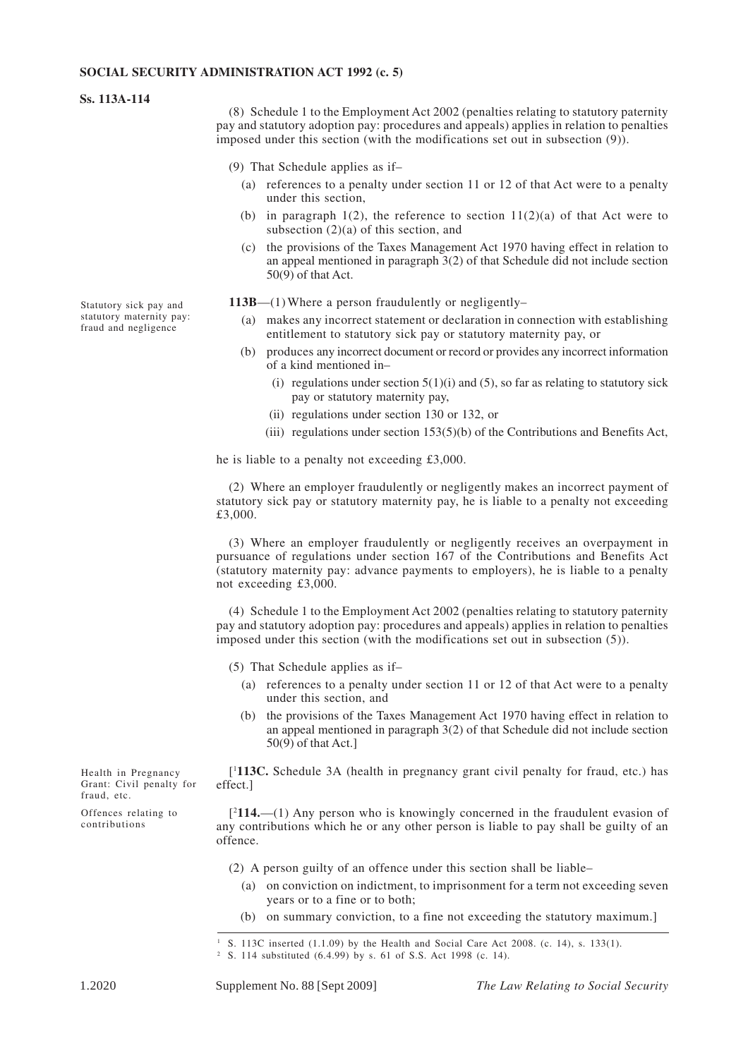#### **Ss. 113A-114**

Statutory sick pay and statutory maternity pay: fraud and negligence

(8) Schedule 1 to the Employment Act 2002 (penalties relating to statutory paternity pay and statutory adoption pay: procedures and appeals) applies in relation to penalties imposed under this section (with the modifications set out in subsection (9)).

- (9) That Schedule applies as if–
	- (a) references to a penalty under section 11 or 12 of that Act were to a penalty under this section,
	- (b) in paragraph  $1(2)$ , the reference to section  $11(2)(a)$  of that Act were to subsection (2)(a) of this section, and
	- (c) the provisions of the Taxes Management Act 1970 having effect in relation to an appeal mentioned in paragraph 3(2) of that Schedule did not include section 50(9) of that Act.

**113B**—(1)Where a person fraudulently or negligently–

- (a) makes any incorrect statement or declaration in connection with establishing entitlement to statutory sick pay or statutory maternity pay, or
- (b) produces any incorrect document or record or provides any incorrect information of a kind mentioned in–
	- (i) regulations under section  $5(1)(i)$  and  $(5)$ , so far as relating to statutory sick pay or statutory maternity pay,
	- (ii) regulations under section 130 or 132, or
	- (iii) regulations under section 153(5)(b) of the Contributions and Benefits Act,

he is liable to a penalty not exceeding £3,000.

(2) Where an employer fraudulently or negligently makes an incorrect payment of statutory sick pay or statutory maternity pay, he is liable to a penalty not exceeding £3,000.

(3) Where an employer fraudulently or negligently receives an overpayment in pursuance of regulations under section 167 of the Contributions and Benefits Act (statutory maternity pay: advance payments to employers), he is liable to a penalty not exceeding £3,000.

(4) Schedule 1 to the Employment Act 2002 (penalties relating to statutory paternity pay and statutory adoption pay: procedures and appeals) applies in relation to penalties imposed under this section (with the modifications set out in subsection (5)).

(5) That Schedule applies as if–

- (a) references to a penalty under section 11 or 12 of that Act were to a penalty under this section, and
- (b) the provisions of the Taxes Management Act 1970 having effect in relation to an appeal mentioned in paragraph 3(2) of that Schedule did not include section 50(9) of that Act.]

[1 **113C.** Schedule 3A (health in pregnancy grant civil penalty for fraud, etc.) has effect.]

[2 **114.**—(1) Any person who is knowingly concerned in the fraudulent evasion of any contributions which he or any other person is liable to pay shall be guilty of an offence.

- (2) A person guilty of an offence under this section shall be liable–
	- (a) on conviction on indictment, to imprisonment for a term not exceeding seven years or to a fine or to both;
	- (b) on summary conviction, to a fine not exceeding the statutory maximum.]

Offences relating to contributions

Health in Pregnancy Grant: Civil penalty for

fraud, etc.

<sup>&</sup>lt;sup>1</sup> S. 113C inserted (1.1.09) by the Health and Social Care Act 2008. (c. 14), s. 133(1).

<sup>2</sup> S. 114 substituted (6.4.99) by s. 61 of S.S. Act 1998 (c. 14).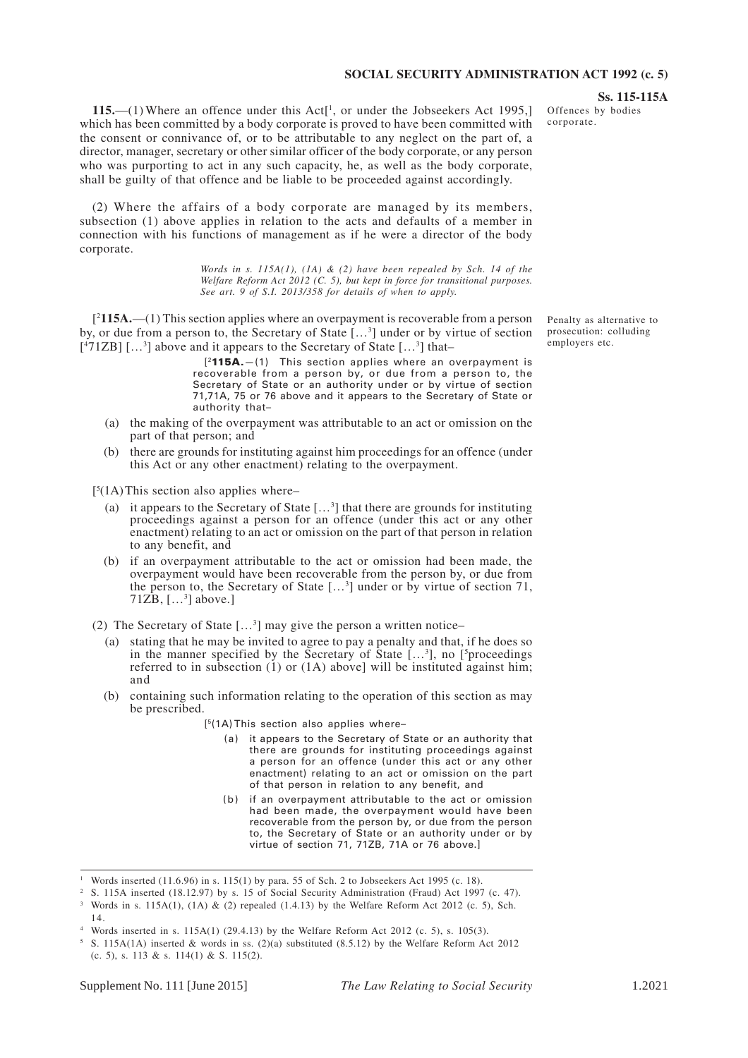## **Ss. 115-115A**

Offences by bodies corporate.

115.—(1) Where an offence under this  $Act[<sup>1</sup>]$ , or under the Jobseekers Act 1995,] which has been committed by a body corporate is proved to have been committed with the consent or connivance of, or to be attributable to any neglect on the part of, a director, manager, secretary or other similar officer of the body corporate, or any person who was purporting to act in any such capacity, he, as well as the body corporate, shall be guilty of that offence and be liable to be proceeded against accordingly.

(2) Where the affairs of a body corporate are managed by its members, subsection (1) above applies in relation to the acts and defaults of a member in connection with his functions of management as if he were a director of the body corporate.

> *Words in s. 115A(1), (1A) & (2) have been repealed by Sch. 14 of the Welfare Reform Act 2012 (C. 5), but kept in force for transitional purposes. See art. 9 of S.I. 2013/358 for details of when to apply.*

[2 **115A.**—(1) This section applies where an overpayment is recoverable from a person by, or due from a person to, the Secretary of State […3 ] under or by virtue of section  $[471ZB]$  [...<sup>3</sup>] above and it appears to the Secretary of State [...<sup>3</sup>] that-

> [2**115A.**—(1) This section applies where an overpayment is recoverable from a person by, or due from a person to, the Secretary of State or an authority under or by virtue of section 71,71A, 75 or 76 above and it appears to the Secretary of State or authority that–

- (a) the making of the overpayment was attributable to an act or omission on the part of that person; and
- (b) there are grounds for instituting against him proceedings for an offence (under this Act or any other enactment) relating to the overpayment.

 $[5(1A)$ This section also applies where–

- (a) it appears to the Secretary of State  $[...]$ <sup>3</sup>] that there are grounds for instituting proceedings against a person for an offence (under this act or any other enactment) relating to an act or omission on the part of that person in relation to any benefit, and
- (b) if an overpayment attributable to the act or omission had been made, the overpayment would have been recoverable from the person by, or due from the person to, the Secretary of State […3 ] under or by virtue of section 71, 71ZB, […3 ] above.]

(2) The Secretary of State […3 ] may give the person a written notice–

- (a) stating that he may be invited to agree to pay a penalty and that, if he does so in the manner specified by the Secretary of State  $[...]$ , no  $[^5$ proceedings referred to in subsection  $(1)$  or  $(1)$  above] will be instituted against him; and
- (b) containing such information relating to the operation of this section as may be prescribed.

[5(1A)This section also applies where–

- (a) it appears to the Secretary of State or an authority that there are grounds for instituting proceedings against a person for an offence (under this act or any other enactment) relating to an act or omission on the part of that person in relation to any benefit, and
- (b) if an overpayment attributable to the act or omission had been made, the overpayment would have been recoverable from the person by, or due from the person to, the Secretary of State or an authority under or by virtue of section 71, 71ZB, 71A or 76 above.]

Penalty as alternative to prosecution: colluding employers etc.

<sup>1</sup> Words inserted (11.6.96) in s. 115(1) by para. 55 of Sch. 2 to Jobseekers Act 1995 (c. 18).

<sup>2</sup> S. 115A inserted (18.12.97) by s. 15 of Social Security Administration (Fraud) Act 1997 (c. 47). Words in s. 115A(1),  $(1)$  &  $(2)$  repealed  $(1.4.13)$  by the Welfare Reform Act 2012 (c. 5), Sch. 14.

<sup>&</sup>lt;sup>4</sup> Words inserted in s. 115A(1) (29.4.13) by the Welfare Reform Act 2012 (c. 5), s. 105(3).

<sup>5</sup> S. 115A(1A) inserted & words in ss. (2)(a) substituted (8.5.12) by the Welfare Reform Act 2012 (c. 5), s. 113 & s. 114(1) & S. 115(2).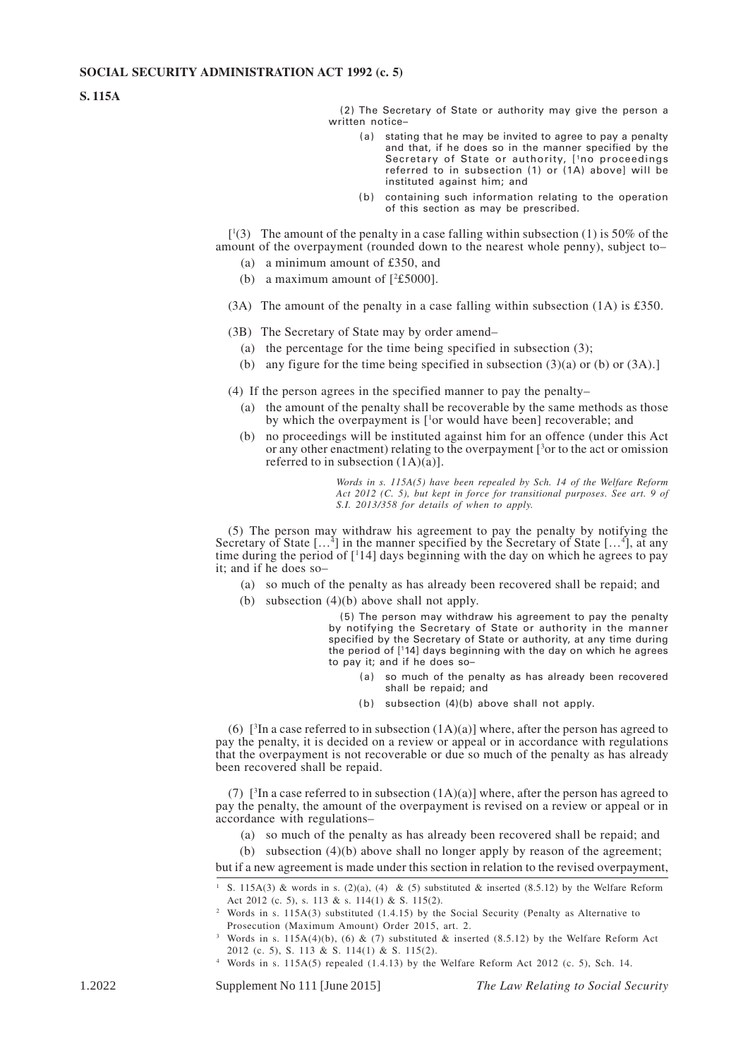(2) The Secretary of State or authority may give the person a written notice–

- (a) stating that he may be invited to agree to pay a penalty and that, if he does so in the manner specified by the Secretary of State or authority, [1no proceedings referred to in subsection (1) or (1A) above] will be instituted against him; and
- (b) containing such information relating to the operation of this section as may be prescribed.

 $[1(3)$  The amount of the penalty in a case falling within subsection (1) is 50% of the amount of the overpayment (rounded down to the nearest whole penny), subject to–

- (a) a minimum amount of £350, and
- (b) a maximum amount of  $[^{2}E5000]$ .
- (3A) The amount of the penalty in a case falling within subsection (1A) is £350.
- (3B) The Secretary of State may by order amend–
	- (a) the percentage for the time being specified in subsection (3);
	- (b) any figure for the time being specified in subsection  $(3)(a)$  or  $(b)$  or  $(3A)$ .]
- (4) If the person agrees in the specified manner to pay the penalty–
	- (a) the amount of the penalty shall be recoverable by the same methods as those by which the overpayment is [<sup>1</sup>or would have been] recoverable; and
	- (b) no proceedings will be instituted against him for an offence (under this Act or any other enactment) relating to the overpayment [<sup>3</sup>or to the act or omission referred to in subsection (1A)(a)].

*Words in s. 115A(5) have been repealed by Sch. 14 of the Welfare Reform Act 2012 (C. 5), but kept in force for transitional purposes. See art. 9 of S.I. 2013/358 for details of when to apply.*

(5) The person may withdraw his agreement to pay the penalty by notifying the Secretary of State  $[\dots^4]$  in the manner specified by the Secretary of State  $[\dots^4]$ , at any time during the period of  $[114]$  days beginning with the day on which he agrees to pay it; and if he does so–

- (a) so much of the penalty as has already been recovered shall be repaid; and
- (b) subsection (4)(b) above shall not apply.

(5) The person may withdraw his agreement to pay the penalty by notifying the Secretary of State or authority in the manner specified by the Secretary of State or authority, at any time during the period of [114] days beginning with the day on which he agrees to pay it; and if he does so–

- (a) so much of the penalty as has already been recovered shall be repaid; and
- (b) subsection (4)(b) above shall not apply.

(6)  $[3]$  In a case referred to in subsection (1A)(a)] where, after the person has agreed to pay the penalty, it is decided on a review or appeal or in accordance with regulations that the overpayment is not recoverable or due so much of the penalty as has already been recovered shall be repaid.

(7) [<sup>3</sup>In a case referred to in subsection  $(1A)(a)$ ] where, after the person has agreed to pay the penalty, the amount of the overpayment is revised on a review or appeal or in accordance with regulations–

(a) so much of the penalty as has already been recovered shall be repaid; and

(b) subsection  $(4)(b)$  above shall no longer apply by reason of the agreement;

but if a new agreement is made under this section in relation to the revised overpayment,

- <sup>2</sup> Words in s. 115A(3) substituted (1.4.15) by the Social Security (Penalty as Alternative to Prosecution (Maximum Amount) Order 2015, art. 2.
- Words in s. 115A(4)(b), (6) & (7) substituted & inserted (8.5.12) by the Welfare Reform Act 2012 (c. 5), S. 113 & S. 114(1) & S. 115(2).
- <sup>4</sup> Words in s. 115A(5) repealed (1.4.13) by the Welfare Reform Act 2012 (c. 5), Sch. 14.

<sup>&</sup>lt;sup>1</sup> S. 115A(3) & words in s. (2)(a), (4) & (5) substituted & inserted (8.5.12) by the Welfare Reform Act 2012 (c. 5), s. 113 & s. 114(1) & S. 115(2).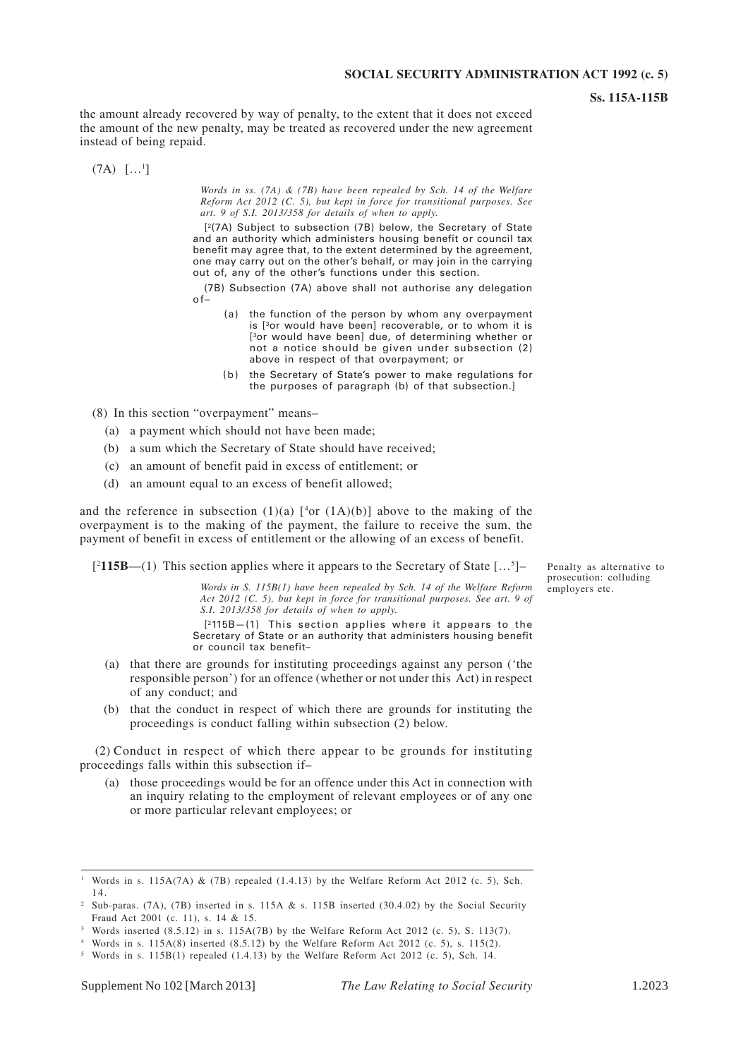## **Ss. 115A-115B**

the amount already recovered by way of penalty, to the extent that it does not exceed the amount of the new penalty, may be treated as recovered under the new agreement instead of being repaid.

(7A) […1 ]

*Words in ss. (7A) & (7B) have been repealed by Sch. 14 of the Welfare Reform Act 2012 (C. 5), but kept in force for transitional purposes. See art. 9 of S.I. 2013/358 for details of when to apply.*

[2(7A) Subject to subsection (7B) below, the Secretary of State and an authority which administers housing benefit or council tax benefit may agree that, to the extent determined by the agreement, one may carry out on the other's behalf, or may join in the carrying out of, any of the other's functions under this section.

(7B) Subsection (7A) above shall not authorise any delegation  $\overline{f}$ 

- (a) the function of the person by whom any overpayment is [3or would have been] recoverable, or to whom it is [30] The contract with the contract of determining whether or not a notice should be given under subsection (2) above in respect of that overpayment; or
- (b) the Secretary of State's power to make regulations for the purposes of paragraph (b) of that subsection.]

(8) In this section "overpayment" means–

- (a) a payment which should not have been made;
- (b) a sum which the Secretary of State should have received;
- (c) an amount of benefit paid in excess of entitlement; or
- (d) an amount equal to an excess of benefit allowed;

and the reference in subsection  $(1)(a)$   $[4$ or  $(1A)(b)]$  above to the making of the overpayment is to the making of the payment, the failure to receive the sum, the payment of benefit in excess of entitlement or the allowing of an excess of benefit.

[<sup>2</sup>**115B**—(1) This section applies where it appears to the Secretary of State [...<sup>5</sup>]–

Penalty as alternative to prosecution: colluding employers etc.

*Words in S. 115B(1) have been repealed by Sch. 14 of the Welfare Reform Act 2012 (C. 5), but kept in force for transitional purposes. See art. 9 of S.I. 2013/358 for details of when to apply.*

[2115B—(1) This section applies where it appears to the Secretary of State or an authority that administers housing benefit or council tax benefit–

- (a) that there are grounds for instituting proceedings against any person ('the responsible person') for an offence (whether or not under this Act) in respect of any conduct; and
- (b) that the conduct in respect of which there are grounds for instituting the proceedings is conduct falling within subsection (2) below.

 (2) Conduct in respect of which there appear to be grounds for instituting proceedings falls within this subsection if–

(a) those proceedings would be for an offence under this Act in connection with an inquiry relating to the employment of relevant employees or of any one or more particular relevant employees; or

<sup>&</sup>lt;sup>1</sup> Words in s. 115A(7A) & (7B) repealed (1.4.13) by the Welfare Reform Act 2012 (c. 5), Sch. 14.

<sup>2</sup> Sub-paras. (7A), (7B) inserted in s. 115A & s. 115B inserted (30.4.02) by the Social Security Fraud Act 2001 (c. 11), s. 14 & 15.

<sup>&</sup>lt;sup>3</sup> Words inserted  $(8.5.12)$  in s. 115A(7B) by the Welfare Reform Act 2012 (c. 5), S. 113(7).

<sup>4</sup> Words in s. 115A(8) inserted (8.5.12) by the Welfare Reform Act 2012 (c. 5), s. 115(2).

Words in s.  $115B(1)$  repealed  $(1.4.13)$  by the Welfare Reform Act 2012 (c. 5), Sch. 14.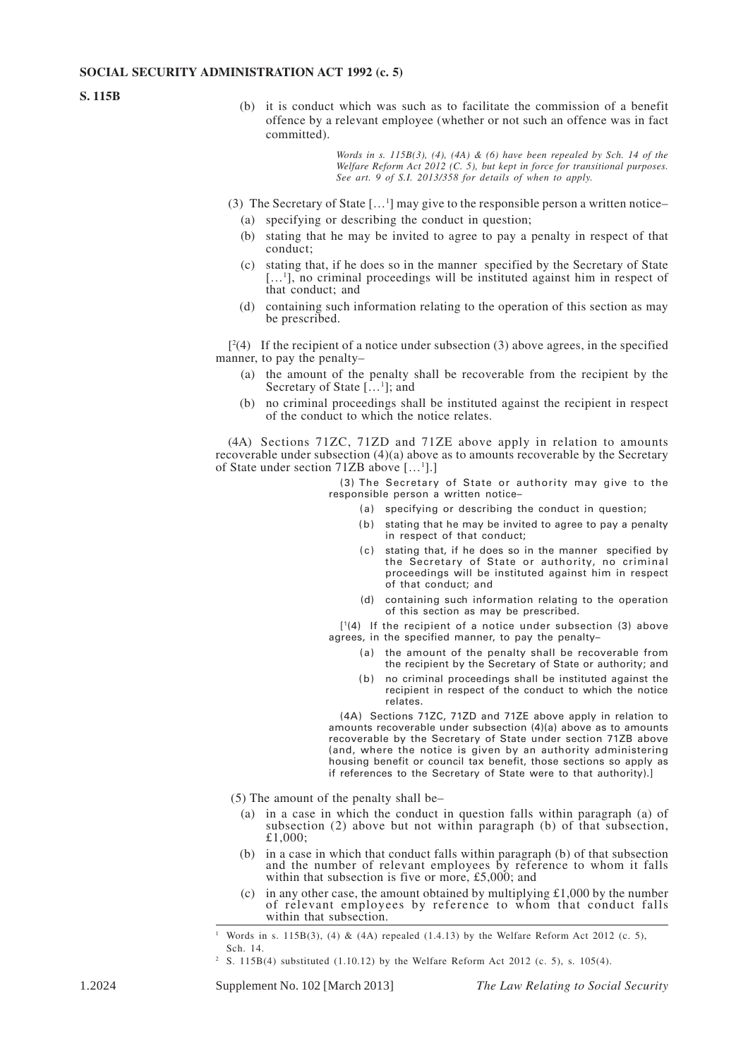**S. 115B**

(b) it is conduct which was such as to facilitate the commission of a benefit offence by a relevant employee (whether or not such an offence was in fact committed).

> *Words in s. 115B(3), (4), (4A) & (6) have been repealed by Sch. 14 of the Welfare Reform Act 2012 (C. 5), but kept in force for transitional purposes. See art. 9 of S.I. 2013/358 for details of when to apply.*

- (3) The Secretary of State  $[\dots]$  may give to the responsible person a written notice-
	- (a) specifying or describing the conduct in question;
	- (b) stating that he may be invited to agree to pay a penalty in respect of that conduct;
	- (c) stating that, if he does so in the manner specified by the Secretary of State [...<sup>1</sup>], no criminal proceedings will be instituted against him in respect of that conduct; and
	- (d) containing such information relating to the operation of this section as may be prescribed.

 $[2(4)$  If the recipient of a notice under subsection (3) above agrees, in the specified manner, to pay the penalty–

- (a) the amount of the penalty shall be recoverable from the recipient by the Secretary of State [...<sup>1</sup>]; and
- (b) no criminal proceedings shall be instituted against the recipient in respect of the conduct to which the notice relates.

(4A) Sections 71ZC, 71ZD and 71ZE above apply in relation to amounts recoverable under subsection  $(4)(a)$  above as to amounts recoverable by the Secretary of State under section 71ZB above […1 ].]

> (3) The Secretary of State or authority may give to the responsible person a written notice–

- (a) specifying or describing the conduct in question;
- (b) stating that he may be invited to agree to pay a penalty in respect of that conduct;
- (c) stating that, if he does so in the manner specified by the Secretary of State or authority, no criminal proceedings will be instituted against him in respect of that conduct; and
- (d) containing such information relating to the operation of this section as may be prescribed.

 $[1(4)$  If the recipient of a notice under subsection (3) above agrees, in the specified manner, to pay the penalty–

- (a) the amount of the penalty shall be recoverable from the recipient by the Secretary of State or authority; and
- (b) no criminal proceedings shall be instituted against the recipient in respect of the conduct to which the notice relates.

(4A) Sections 71ZC, 71ZD and 71ZE above apply in relation to amounts recoverable under subsection (4)(a) above as to amounts recoverable by the Secretary of State under section 71ZB above (and, where the notice is given by an authority administering housing benefit or council tax benefit, those sections so apply as if references to the Secretary of State were to that authority).]

(5) The amount of the penalty shall be–

- (a) in a case in which the conduct in question falls within paragraph (a) of subsection (2) above but not within paragraph (b) of that subsection, £1,000;
- (b) in a case in which that conduct falls within paragraph (b) of that subsection and the number of relevant employees by reference to whom it falls within that subsection is five or more, £5,000; and
- (c) in any other case, the amount obtained by multiplying  $\pounds1,000$  by the number of relevant employees by reference to whom that conduct falls within that subsection.

Words in s. 115B(3), (4) & (4A) repealed (1.4.13) by the Welfare Reform Act 2012 (c. 5), Sch. 14.

<sup>2</sup> S. 115B(4) substituted (1.10.12) by the Welfare Reform Act 2012 (c. 5), s. 105(4).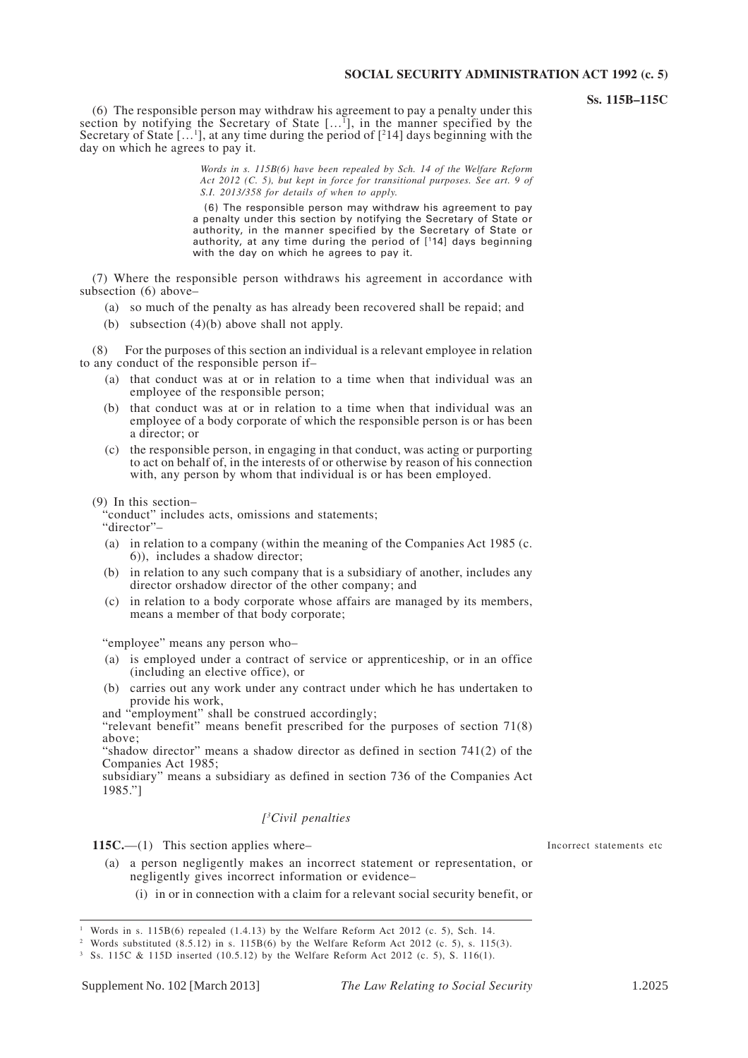## **Ss. 115B–115C**

(6) The responsible person may withdraw his agreement to pay a penalty under this section by notifying the Secretary of State  $[\dots]$ , in the manner specified by the Secretary of State  $[\dots]$ , at any time during the period of  $[214]$  days beginning with the day on which he agrees to pay it.

> *Words in s. 115B(6) have been repealed by Sch. 14 of the Welfare Reform Act 2012 (C. 5), but kept in force for transitional purposes. See art. 9 of S.I. 2013/358 for details of when to apply.*

(6) The responsible person may withdraw his agreement to pay a penalty under this section by notifying the Secretary of State or a ponarty and the manner specified by the Secretary of State or authority, at any time during the period of [114] days beginning with the day on which he agrees to pay it.

(7) Where the responsible person withdraws his agreement in accordance with subsection (6) above-

(a) so much of the penalty as has already been recovered shall be repaid; and

(b) subsection (4)(b) above shall not apply.

(8) For the purposes of this section an individual is a relevant employee in relation to any conduct of the responsible person if–

- (a) that conduct was at or in relation to a time when that individual was an employee of the responsible person;
- (b) that conduct was at or in relation to a time when that individual was an employee of a body corporate of which the responsible person is or has been a director; or
- (c) the responsible person, in engaging in that conduct, was acting or purporting to act on behalf of, in the interests of or otherwise by reason of his connection with, any person by whom that individual is or has been employed.

(9) In this section–

"conduct" includes acts, omissions and statements;

- "director"–
- (a) in relation to a company (within the meaning of the Companies Act 1985 (c. 6)), includes a shadow director;
- (b) in relation to any such company that is a subsidiary of another, includes any director orshadow director of the other company; and
- (c) in relation to a body corporate whose affairs are managed by its members, means a member of that body corporate;

"employee" means any person who–

- (a) is employed under a contract of service or apprenticeship, or in an office (including an elective office), or
- (b) carries out any work under any contract under which he has undertaken to provide his work,

and "employment" shall be construed accordingly;

"relevant benefit" means benefit prescribed for the purposes of section 71(8) above;

"shadow director" means a shadow director as defined in section 741(2) of the Companies Act 1985;

subsidiary" means a subsidiary as defined in section 736 of the Companies Act 1985."]

## *[3 Civil penalties*

**115C.**—(1) This section applies where–

- (a) a person negligently makes an incorrect statement or representation, or negligently gives incorrect information or evidence–
	- (i) in or in connection with a claim for a relevant social security benefit, or

Incorrect statements etc

Words in s.  $115B(6)$  repealed  $(1.4.13)$  by the Welfare Reform Act 2012 (c. 5), Sch. 14.

<sup>&</sup>lt;sup>2</sup> Words substituted  $(8.5.12)$  in s. 115B $(6)$  by the Welfare Reform Act 2012 (c. 5), s. 115(3).

<sup>&</sup>lt;sup>3</sup> Ss. 115C & 115D inserted (10.5.12) by the Welfare Reform Act 2012 (c. 5), S. 116(1).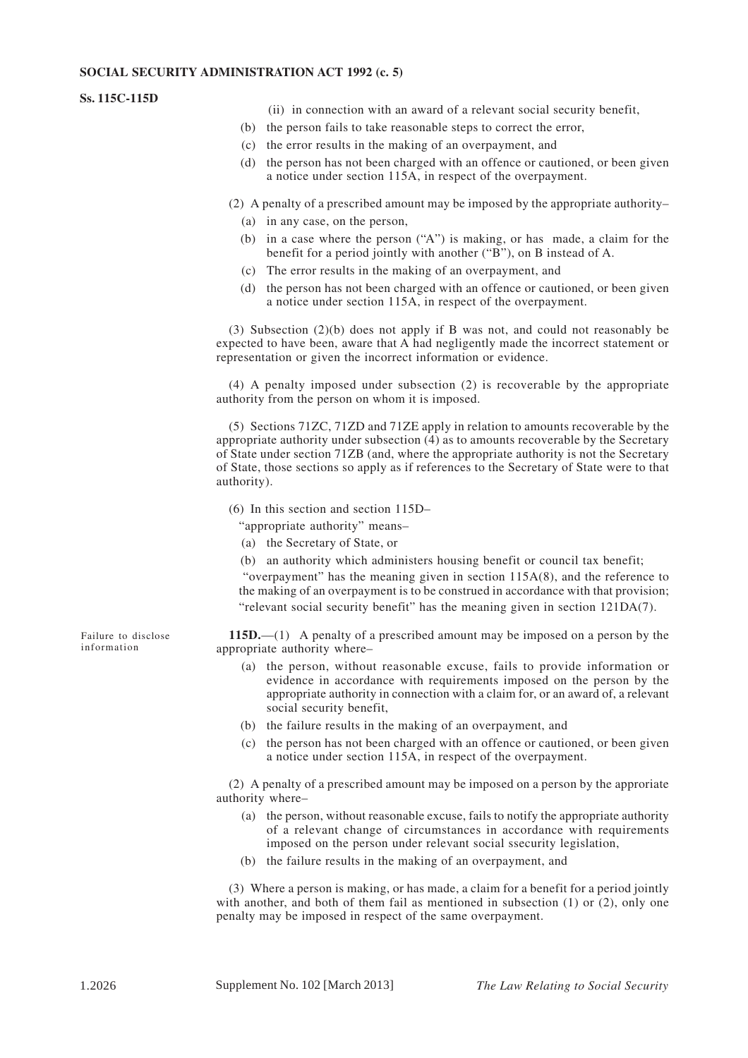## **Ss. 115C-115D**

- (ii) in connection with an award of a relevant social security benefit,
- (b) the person fails to take reasonable steps to correct the error,
- (c) the error results in the making of an overpayment, and
- (d) the person has not been charged with an offence or cautioned, or been given a notice under section 115A, in respect of the overpayment.
- (2) A penalty of a prescribed amount may be imposed by the appropriate authority–
	- (a) in any case, on the person,
	- (b) in a case where the person ("A") is making, or has made, a claim for the benefit for a period jointly with another ("B"), on B instead of A.
	- (c) The error results in the making of an overpayment, and
	- (d) the person has not been charged with an offence or cautioned, or been given a notice under section 115A, in respect of the overpayment.

(3) Subsection (2)(b) does not apply if B was not, and could not reasonably be expected to have been, aware that A had negligently made the incorrect statement or representation or given the incorrect information or evidence.

(4) A penalty imposed under subsection (2) is recoverable by the appropriate authority from the person on whom it is imposed.

(5) Sections 71ZC, 71ZD and 71ZE apply in relation to amounts recoverable by the appropriate authority under subsection (4) as to amounts recoverable by the Secretary of State under section 71ZB (and, where the appropriate authority is not the Secretary of State, those sections so apply as if references to the Secretary of State were to that authority).

- (6) In this section and section 115D–
	- "appropriate authority" means–
	- (a) the Secretary of State, or
	- (b) an authority which administers housing benefit or council tax benefit;

 "overpayment" has the meaning given in section 115A(8), and the reference to the making of an overpayment is to be construed in accordance with that provision; "relevant social security benefit" has the meaning given in section 121DA(7).

**115D.**—(1) A penalty of a prescribed amount may be imposed on a person by the appropriate authority where–

- (a) the person, without reasonable excuse, fails to provide information or evidence in accordance with requirements imposed on the person by the appropriate authority in connection with a claim for, or an award of, a relevant social security benefit,
- (b) the failure results in the making of an overpayment, and
- (c) the person has not been charged with an offence or cautioned, or been given a notice under section 115A, in respect of the overpayment.

(2) A penalty of a prescribed amount may be imposed on a person by the approriate authority where–

- (a) the person, without reasonable excuse, fails to notify the appropriate authority of a relevant change of circumstances in accordance with requirements imposed on the person under relevant social ssecurity legislation,
- (b) the failure results in the making of an overpayment, and

(3) Where a person is making, or has made, a claim for a benefit for a period jointly with another, and both of them fail as mentioned in subsection  $(1)$  or  $(2)$ , only one penalty may be imposed in respect of the same overpayment.

Failure to disclose information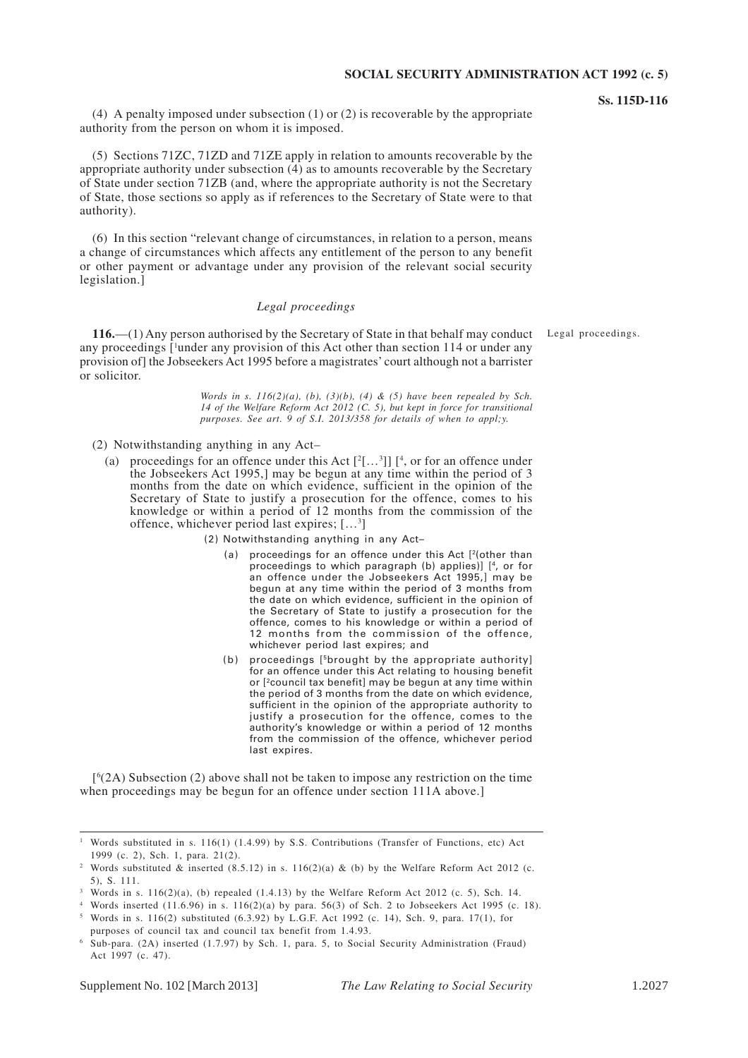(4) A penalty imposed under subsection (1) or (2) is recoverable by the appropriate authority from the person on whom it is imposed.

(5) Sections 71ZC, 71ZD and 71ZE apply in relation to amounts recoverable by the appropriate authority under subsection (4) as to amounts recoverable by the Secretary of State under section 71ZB (and, where the appropriate authority is not the Secretary of State, those sections so apply as if references to the Secretary of State were to that authority).

(6) In this section "relevant change of circumstances, in relation to a person, means a change of circumstances which affects any entitlement of the person to any benefit or other payment or advantage under any provision of the relevant social security legislation.]

## *Legal proceedings*

**116.**—(1) Any person authorised by the Secretary of State in that behalf may conduct Legal proceedings.any proceedings [lunder any provision of this Act other than section 114 or under any provision of] the Jobseekers Act 1995 before a magistrates' court although not a barrister or solicitor.

> *Words in s. 116(2)(a), (b), (3)(b), (4) & (5) have been repealed by Sch. 14 of the Welfare Reform Act 2012 (C. 5), but kept in force for transitional purposes. See art. 9 of S.I. 2013/358 for details of when to appl;y.*

(2) Notwithstanding anything in any Act–

- (a) proceedings for an offence under this Act  $[^{2}[\ldots^{3}]]$   $[^{4}$ , or for an offence under the Jobseekers Act 1995,] may be begun at any time within the period of 3 months from the date on which evidence, sufficient in the opinion of the Secretary of State to justify a prosecution for the offence, comes to his knowledge or within a period of 12 months from the commission of the offence, whichever period last expires; […3 ]
	- (2) Notwithstanding anything in any Act–
		- (a) proceedings for an offence under this Act [2(other than proceedings to which paragraph (b) applies)] [4, or for an offence under the Jobseekers Act 1995,] may be begun at any time within the period of 3 months from the date on which evidence, sufficient in the opinion of the Secretary of State to justify a prosecution for the offence, comes to his knowledge or within a period of 12 months from the commission of the offence, whichever period last expires; and
		- (b) proceedings [<sup>5</sup>brought by the appropriate authority] for an offence under this Act relating to housing benefit or  $[2$ council tax benefit] may be begun at any time within the period of 3 months from the date on which evidence, sufficient in the opinion of the appropriate authority to justify a prosecution for the offence, comes to the authority's knowledge or within a period of 12 months from the commission of the offence, whichever period last expires.

[6 (2A) Subsection (2) above shall not be taken to impose any restriction on the time when proceedings may be begun for an offence under section 111A above.

**Ss. 115D-116**

<sup>1</sup> Words substituted in s. 116(1) (1.4.99) by S.S. Contributions (Transfer of Functions, etc) Act 1999 (c. 2), Sch. 1, para. 21(2).

<sup>&</sup>lt;sup>2</sup> Words substituted & inserted (8.5.12) in s. 116(2)(a) & (b) by the Welfare Reform Act 2012 (c. 5), S. 111.

<sup>&</sup>lt;sup>3</sup> Words in s.  $116(2)(a)$ , (b) repealed  $(1.4.13)$  by the Welfare Reform Act 2012 (c. 5), Sch. 14.

<sup>&</sup>lt;sup>4</sup> Words inserted  $(11.6.96)$  in s.  $116(2)(a)$  by para.  $56(3)$  of Sch. 2 to Jobseekers Act 1995 (c. 18).

<sup>&</sup>lt;sup>5</sup> Words in s. 116(2) substituted  $(6.3.92)$  by L.G.F. Act 1992 (c. 14), Sch. 9, para. 17(1), for

purposes of council tax and council tax benefit from 1.4.93.

Sub-para. (2A) inserted (1.7.97) by Sch. 1, para. 5, to Social Security Administration (Fraud) Act 1997 (c. 47).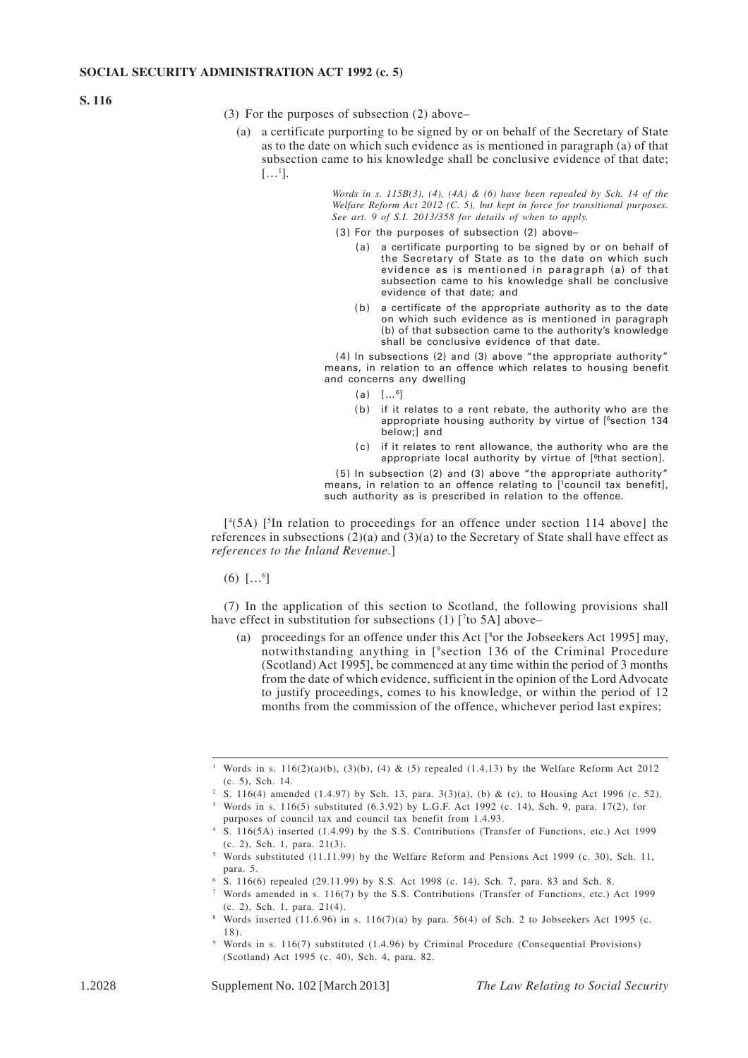**S. 116**

- (3) For the purposes of subsection (2) above–
	- (a) a certificate purporting to be signed by or on behalf of the Secretary of State as to the date on which such evidence as is mentioned in paragraph (a) of that subsection came to his knowledge shall be conclusive evidence of that date;  $[\ldots^1]$ .

*Words in s. 115B(3), (4), (4A) & (6) have been repealed by Sch. 14 of the Welfare Reform Act 2012 (C. 5), but kept in force for transitional purposes. See art. 9 of S.I. 2013/358 for details of when to apply.*

- (3) For the purposes of subsection (2) above–
	- (a) a certificate purporting to be signed by or on behalf of the Secretary of State as to the date on which such evidence as is mentioned in paragraph (a) of that subsection came to his knowledge shall be conclusive evidence of that date; and
	- (b) a certificate of the appropriate authority as to the date on which such evidence as is mentioned in paragraph (b) of that subsection came to the authority's knowledge shall be conclusive evidence of that date.

(4) In subsections (2) and (3) above "the appropriate authority" means, in relation to an offence which relates to housing benefit and concerns any dwelling

- $(a) [...^6]$
- (b) if it relates to a rent rebate, the authority who are the appropriate housing authority by virtue of [<sup>6</sup>section 134] below;] and
- (c) if it relates to rent allowance, the authority who are the appropriate local authority by virtue of [<sup>6</sup>that section].

(5) In subsection (2) and (3) above "the appropriate authority" means, in relation to an offence relating to <sup>[1</sup>council tax benefit], such authority as is prescribed in relation to the offence.

 $[4(5A)$  [<sup>5</sup>In relation to proceedings for an offence under section 114 above] the references in subsections  $(2)(a)$  and  $(3)(a)$  to the Secretary of State shall have effect as *references to the Inland Revenue*.]

 $(6)$   $[...^6]$ 

(7) In the application of this section to Scotland, the following provisions shall have effect in substitution for subsections (1) [ $7$  to 5A] above-

(a) proceedings for an offence under this Act [<sup>8</sup>or the Jobseekers Act 1995] may, notwithstanding anything in [9 section 136 of the Criminal Procedure (Scotland) Act 1995], be commenced at any time within the period of 3 months from the date of which evidence, sufficient in the opinion of the Lord Advocate to justify proceedings, comes to his knowledge, or within the period of 12 months from the commission of the offence, whichever period last expires;

<sup>&</sup>lt;sup>1</sup> Words in s.  $116(2)(a)(b)$ ,  $(3)(b)$ ,  $(4)$  &  $(5)$  repealed  $(1.4.13)$  by the Welfare Reform Act 2012 (c. 5), Sch. 14.

<sup>&</sup>lt;sup>2</sup> S. 116(4) amended (1.4.97) by Sch. 13, para. 3(3)(a), (b) & (c), to Housing Act 1996 (c. 52).

<sup>3</sup> Words in s. 116(5) substituted (6.3.92) by L.G.F. Act 1992 (c. 14), Sch. 9, para. 17(2), for purposes of council tax and council tax benefit from 1.4.93.

<sup>4</sup> S. 116(5A) inserted (1.4.99) by the S.S. Contributions (Transfer of Functions, etc.) Act 1999 (c. 2), Sch. 1, para. 21(3).

<sup>5</sup> Words substituted (11.11.99) by the Welfare Reform and Pensions Act 1999 (c. 30), Sch. 11, para. 5.

<sup>6</sup> S. 116(6) repealed (29.11.99) by S.S. Act 1998 (c. 14), Sch. 7, para. 83 and Sch. 8.

<sup>7</sup> Words amended in s. 116(7) by the S.S. Contributions (Transfer of Functions, etc.) Act 1999 (c. 2), Sch. 1, para. 21(4).

<sup>&</sup>lt;sup>8</sup> Words inserted  $(11.6.96)$  in s.  $116(7)(a)$  by para. 56(4) of Sch. 2 to Jobseekers Act 1995 (c. 18).

<sup>9</sup> Words in s. 116(7) substituted (1.4.96) by Criminal Procedure (Consequential Provisions) (Scotland) Act 1995 (c. 40), Sch. 4, para. 82.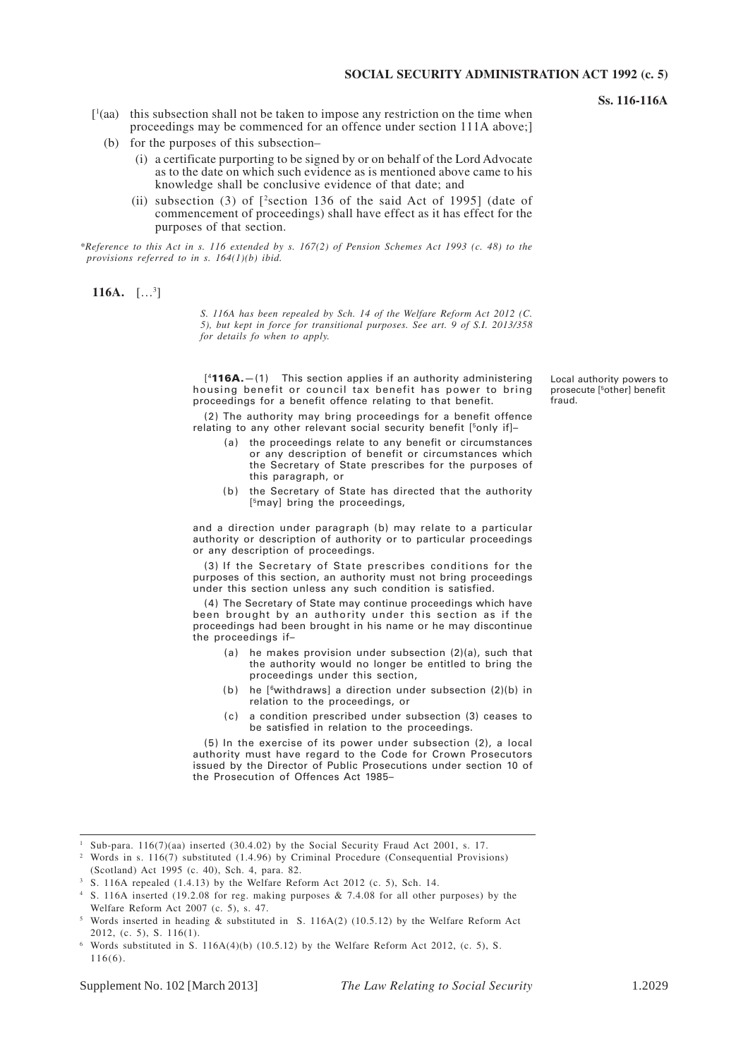- **Ss. 116-116A**
- $[1(aa)$  this subsection shall not be taken to impose any restriction on the time when proceedings may be commenced for an offence under section 111A above;]
	- (b) for the purposes of this subsection–
		- (i) a certificate purporting to be signed by or on behalf of the Lord Advocate as to the date on which such evidence as is mentioned above came to his knowledge shall be conclusive evidence of that date; and
		- (ii) subsection (3) of  $[^2$ section 136 of the said Act of 1995] (date of commencement of proceedings) shall have effect as it has effect for the purposes of that section.

*\*Reference to this Act in s. 116 extended by s. 167(2) of Pension Schemes Act 1993 (c. 48) to the provisions referred to in s. 164(1)(b) ibid.*

**116A.**  $[...]$ 

*S. 116A has been repealed by Sch. 14 of the Welfare Reform Act 2012 (C. 5), but kept in force for transitional purposes. See art. 9 of S.I. 2013/358 for details fo when to apply.*

[4**116A.**—(1) This section applies if an authority administering housing benefit or council tax benefit has power to bring proceedings for a benefit offence relating to that benefit.

(2) The authority may bring proceedings for a benefit offence relating to any other relevant social security benefit [<sup>5</sup>only if]-

- (a) the proceedings relate to any benefit or circumstances or any description of benefit or circumstances which the Secretary of State prescribes for the purposes of this paragraph, or
- (b) the Secretary of State has directed that the authority [<sup>5</sup>may] bring the proceedings,

and a direction under paragraph (b) may relate to a particular authority or description of authority or to particular proceedings or any description of proceedings.

(3) If the Secretary of State prescribes conditions for the purposes of this section, an authority must not bring proceedings under this section unless any such condition is satisfied.

(4) The Secretary of State may continue proceedings which have been brought by an authority under this section as if the proceedings had been brought in his name or he may discontinue the proceedings if–

- (a) he makes provision under subsection (2)(a), such that the authority would no longer be entitled to bring the proceedings under this section,
- (b) he [6withdraws] a direction under subsection (2)(b) in relation to the proceedings, or
- (c) a condition prescribed under subsection (3) ceases to be satisfied in relation to the proceedings.

(5) In the exercise of its power under subsection (2), a local authority must have regard to the Code for Crown Prosecutors issued by the Director of Public Prosecutions under section 10 of the Prosecution of Offences Act 1985–

Local authority powers to prosecute [5other] benefit fraud.

<sup>&</sup>lt;sup>1</sup> Sub-para. 116(7)(aa) inserted (30.4.02) by the Social Security Fraud Act 2001, s. 17.

<sup>2</sup> Words in s. 116(7) substituted (1.4.96) by Criminal Procedure (Consequential Provisions) (Scotland) Act 1995 (c. 40), Sch. 4, para. 82.

 $3\,$  S. 116A repealed (1.4.13) by the Welfare Reform Act 2012 (c. 5), Sch. 14.

<sup>4</sup> S. 116A inserted (19.2.08 for reg. making purposes & 7.4.08 for all other purposes) by the Welfare Reform Act 2007 (c. 5), s. 47.

<sup>&</sup>lt;sup>5</sup> Words inserted in heading & substituted in S. 116A(2) (10.5.12) by the Welfare Reform Act 2012, (c. 5), S. 116(1).

Words substituted in S.  $116A(4)(b)$  (10.5.12) by the Welfare Reform Act 2012, (c. 5), S. 116(6).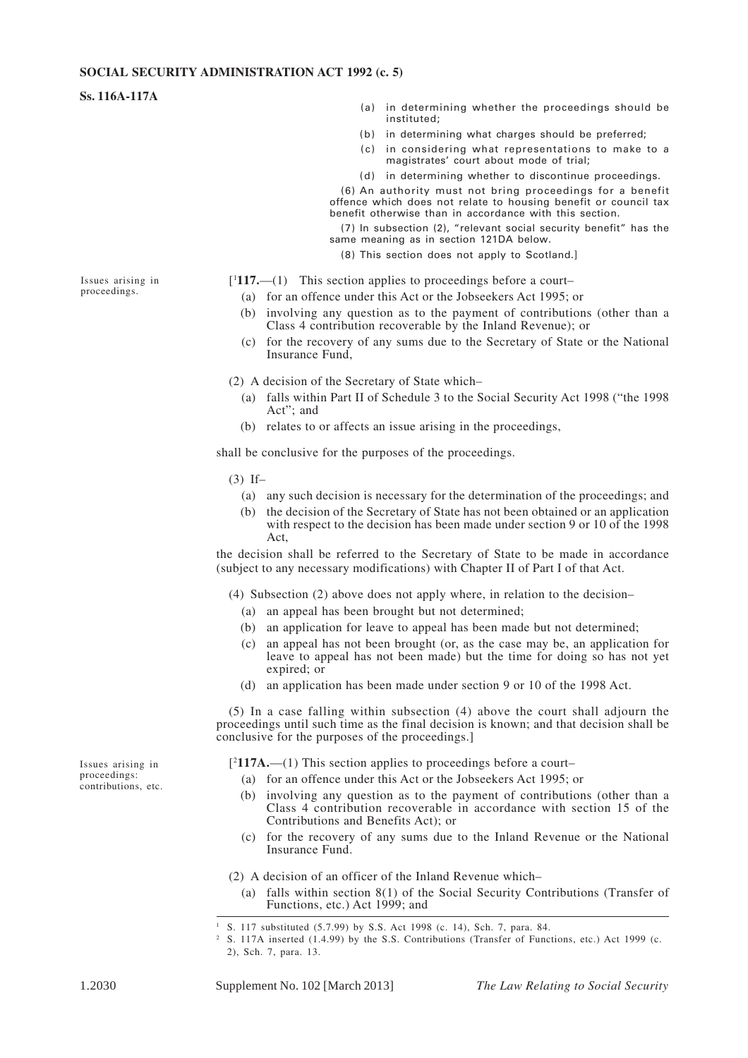## **Ss. 116A-117A**

Issues arising in proceedings.

- (a) in determining whether the proceedings should be instituted;
- (b) in determining what charges should be preferred;
- (c) in considering what representations to make to a magistrates' court about mode of trial;
- (d) in determining whether to discontinue proceedings.

(6) An authority must not bring proceedings for a benefit offence which does not relate to housing benefit or council tax benefit otherwise than in accordance with this section.

(7) In subsection (2), "relevant social security benefit" has the same meaning as in section 121DA below.

(8) This section does not apply to Scotland.]

[1 **117.**—(1) This section applies to proceedings before a court–

- (a) for an offence under this Act or the Jobseekers Act 1995; or
- (b) involving any question as to the payment of contributions (other than a Class 4 contribution recoverable by the Inland Revenue); or
- (c) for the recovery of any sums due to the Secretary of State or the National Insurance Fund,

(2) A decision of the Secretary of State which–

- (a) falls within Part II of Schedule 3 to the Social Security Act 1998 ("the 1998 Act"; and
- (b) relates to or affects an issue arising in the proceedings,

shall be conclusive for the purposes of the proceedings.

- $(3)$  If-
	- (a) any such decision is necessary for the determination of the proceedings; and
	- (b) the decision of the Secretary of State has not been obtained or an application with respect to the decision has been made under section 9 or 10 of the 1998 Act

the decision shall be referred to the Secretary of State to be made in accordance (subject to any necessary modifications) with Chapter II of Part I of that Act.

- (4) Subsection (2) above does not apply where, in relation to the decision–
	- (a) an appeal has been brought but not determined;
	- (b) an application for leave to appeal has been made but not determined;
	- (c) an appeal has not been brought (or, as the case may be, an application for leave to appeal has not been made) but the time for doing so has not yet expired; or
	- (d) an application has been made under section 9 or 10 of the 1998 Act.

(5) In a case falling within subsection (4) above the court shall adjourn the proceedings until such time as the final decision is known; and that decision shall be conclusive for the purposes of the proceedings.]

[2 **117A.**—(1) This section applies to proceedings before a court–

- (a) for an offence under this Act or the Jobseekers Act 1995; or
- (b) involving any question as to the payment of contributions (other than a Class 4 contribution recoverable in accordance with section 15 of the Contributions and Benefits Act); or
- (c) for the recovery of any sums due to the Inland Revenue or the National Insurance Fund.
- (2) A decision of an officer of the Inland Revenue which–
	- (a) falls within section 8(1) of the Social Security Contributions (Transfer of Functions, etc.) Act 1999; and

<sup>2</sup> S. 117A inserted (1.4.99) by the S.S. Contributions (Transfer of Functions, etc.) Act 1999 (c. 2), Sch. 7, para. 13.

Issues arising in proceedings: contributions, etc.

<sup>1</sup> S. 117 substituted (5.7.99) by S.S. Act 1998 (c. 14), Sch. 7, para. 84.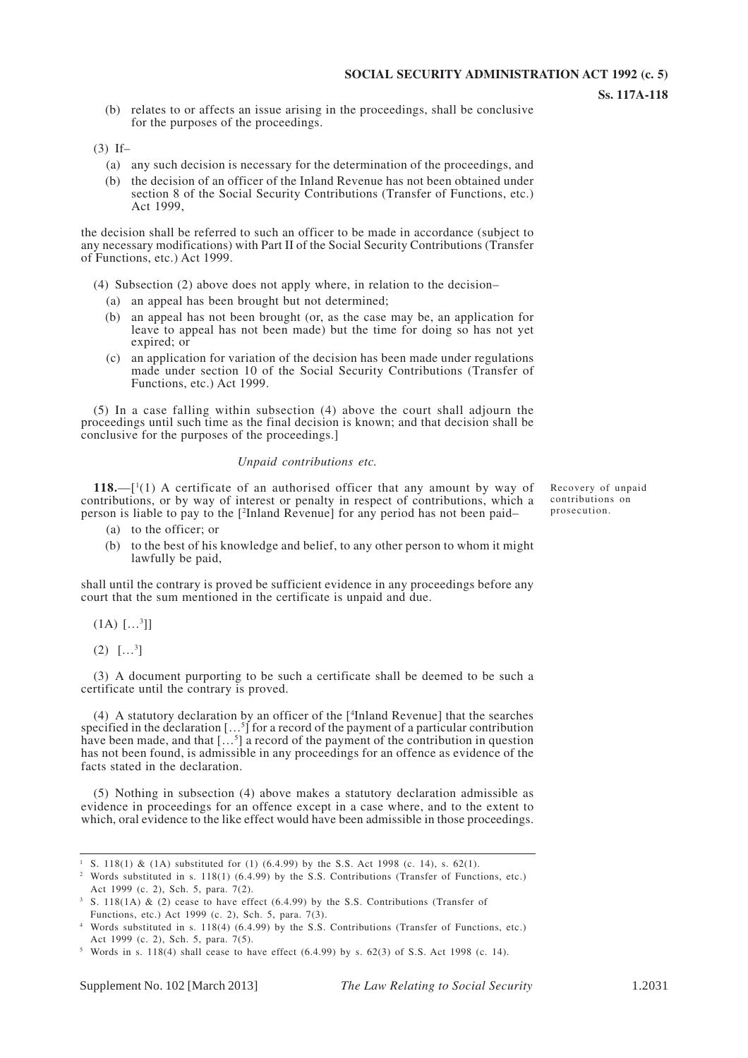(b) relates to or affects an issue arising in the proceedings, shall be conclusive for the purposes of the proceedings.

 $(3)$  If–

- (a) any such decision is necessary for the determination of the proceedings, and
- (b) the decision of an officer of the Inland Revenue has not been obtained under section 8 of the Social Security Contributions (Transfer of Functions, etc.) Act 1999,

the decision shall be referred to such an officer to be made in accordance (subject to any necessary modifications) with Part II of the Social Security Contributions (Transfer of Functions, etc.) Act 1999.

- (4) Subsection (2) above does not apply where, in relation to the decision–
	- (a) an appeal has been brought but not determined;
	- (b) an appeal has not been brought (or, as the case may be, an application for leave to appeal has not been made) but the time for doing so has not yet expired; or
	- (c) an application for variation of the decision has been made under regulations made under section 10 of the Social Security Contributions (Transfer of Functions, etc.) Act 1999.

(5) In a case falling within subsection (4) above the court shall adjourn the proceedings until such time as the final decision is known; and that decision shall be conclusive for the purposes of the proceedings.]

# *Unpaid contributions etc.*

 $118.$ — $[1(1)$  A certificate of an authorised officer that any amount by way of contributions, or by way of interest or penalty in respect of contributions, which a person is liable to pay to the [2 Inland Revenue] for any period has not been paid–

- (a) to the officer; or
- (b) to the best of his knowledge and belief, to any other person to whom it might lawfully be paid,

shall until the contrary is proved be sufficient evidence in any proceedings before any court that the sum mentioned in the certificate is unpaid and due.

 $(1A)$   $[...^3]$ ]

 $(2)$   $[...^3]$ 

(3) A document purporting to be such a certificate shall be deemed to be such a certificate until the contrary is proved.

(4) A statutory declaration by an officer of the [4 Inland Revenue] that the searches specified in the declaration […5 ] for a record of the payment of a particular contribution have been made, and that [...<sup>5</sup>] a record of the payment of the contribution in question has not been found, is admissible in any proceedings for an offence as evidence of the facts stated in the declaration.

(5) Nothing in subsection (4) above makes a statutory declaration admissible as evidence in proceedings for an offence except in a case where, and to the extent to which, oral evidence to the like effect would have been admissible in those proceedings.



**Ss. 117A-118**

<sup>&</sup>lt;sup>1</sup> S. 118(1) & (1A) substituted for (1) (6.4.99) by the S.S. Act 1998 (c. 14), s. 62(1).

<sup>&</sup>lt;sup>2</sup> Words substituted in s. 118(1) (6.4.99) by the S.S. Contributions (Transfer of Functions, etc.) Act 1999 (c. 2), Sch. 5, para. 7(2).

<sup>&</sup>lt;sup>3</sup> S. 118(1A) & (2) cease to have effect (6.4.99) by the S.S. Contributions (Transfer of Functions, etc.) Act 1999 (c. 2), Sch. 5, para. 7(3).

<sup>4</sup> Words substituted in s. 118(4) (6.4.99) by the S.S. Contributions (Transfer of Functions, etc.) Act 1999 (c. 2), Sch. 5, para. 7(5).

<sup>&</sup>lt;sup>5</sup> Words in s. 118(4) shall cease to have effect  $(6.4.99)$  by s. 62(3) of S.S. Act 1998 (c. 14).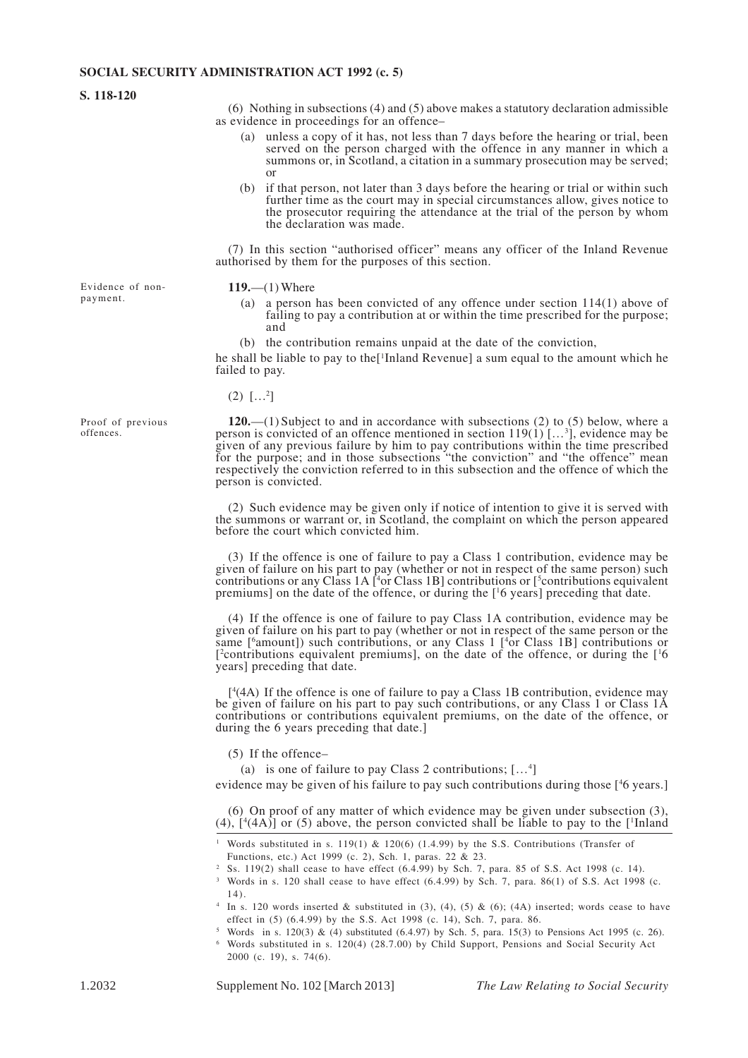**S. 118-120**

(6) Nothing in subsections (4) and (5) above makes a statutory declaration admissible as evidence in proceedings for an offence–

- (a) unless a copy of it has, not less than 7 days before the hearing or trial, been served on the person charged with the offence in any manner in which a summons or, in Scotland, a citation in a summary prosecution may be served; or
- (b) if that person, not later than 3 days before the hearing or trial or within such further time as the court may in special circumstances allow, gives notice to the prosecutor requiring the attendance at the trial of the person by whom the declaration was made.

(7) In this section "authorised officer" means any officer of the Inland Revenue authorised by them for the purposes of this section.

**119.**—(1) Where

- (a) a person has been convicted of any offence under section  $114(1)$  above of failing to pay a contribution at or within the time prescribed for the purpose; and
- (b) the contribution remains unpaid at the date of the conviction,

he shall be liable to pay to the<sup>[1</sup>Inland Revenue] a sum equal to the amount which he failed to pay.

 $(2)$   $[...^2]$ 

**120.**—(1) Subject to and in accordance with subsections (2) to (5) below, where a person is convicted of an offence mentioned in section  $119(1)$  [...<sup>3</sup>], evidence may be given of any previous failure by him to pay contributions within the time prescribed for the purpose; and in those subsections "the conviction" and "the offence" mean respectively the conviction referred to in this subsection and the offence of which the person is convicted.

(2) Such evidence may be given only if notice of intention to give it is served with the summons or warrant or, in Scotland, the complaint on which the person appeared before the court which convicted him.

(3) If the offence is one of failure to pay a Class 1 contribution, evidence may be given of failure on his part to pay (whether or not in respect of the same person) such contributions or any Class  $1A$  [<sup>4</sup>or Class  $1B$ ] contributions or [<sup>5</sup> contributions equivalent premiums] on the date of the offence, or during the [1 6 years] preceding that date.

(4) If the offence is one of failure to pay Class 1A contribution, evidence may be given of failure on his part to pay (whether or not in respect of the same person or the same [<sup>6</sup>amount]) such contributions, or any Class 1 [<sup>4</sup>or Class 1B] contributions or [2 contributions equivalent premiums], on the date of the offence, or during the [1 6 years] preceding that date.

[4 (4A) If the offence is one of failure to pay a Class 1B contribution, evidence may be given of failure on his part to pay such contributions, or any Class 1 or Class 1A contributions or contributions equivalent premiums, on the date of the offence, or during the 6 years preceding that date.]

(5) If the offence–

(a) is one of failure to pay Class 2 contributions; […4 ]

evidence may be given of his failure to pay such contributions during those [<sup>4</sup>6 years.]

(6) On proof of any matter of which evidence may be given under subsection (3),  $(4)$ ,  $[4(4A)]$  or (5) above, the person convicted shall be liable to pay to the [<sup>1</sup>Inland

<sup>5</sup> Words in s. 120(3) & (4) substituted (6.4.97) by Sch. 5, para. 15(3) to Pensions Act 1995 (c. 26). <sup>6</sup> Words substituted in s. 120(4) (28.7.00) by Child Support, Pensions and Social Security Act 2000 (c. 19), s. 74(6).

Evidence of nonpayment.

Proof of previous offences.

Words substituted in s. 119(1) & 120(6) (1.4.99) by the S.S. Contributions (Transfer of Functions, etc.) Act 1999 (c. 2), Sch. 1, paras. 22 & 23.

<sup>2</sup> Ss. 119(2) shall cease to have effect (6.4.99) by Sch. 7, para. 85 of S.S. Act 1998 (c. 14).

Words in s. 120 shall cease to have effect  $(6.4.99)$  by Sch. 7, para. 86(1) of S.S. Act 1998 (c. 14).

<sup>&</sup>lt;sup>4</sup> In s. 120 words inserted & substituted in (3), (4), (5) & (6); (4A) inserted; words cease to have effect in (5) (6.4.99) by the S.S. Act 1998 (c. 14), Sch. 7, para. 86.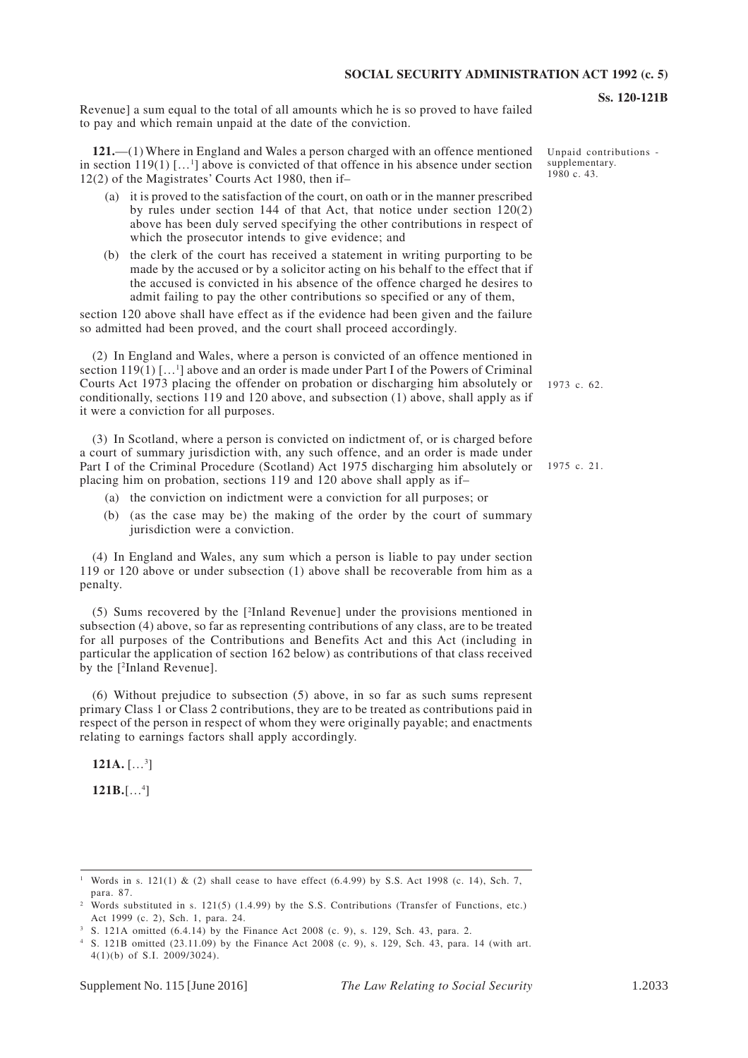Revenue] a sum equal to the total of all amounts which he is so proved to have failed to pay and which remain unpaid at the date of the conviction.

**121.**—(1) Where in England and Wales a person charged with an offence mentioned in section  $119(1)$  [...<sup>1</sup>] above is convicted of that offence in his absence under section 12(2) of the Magistrates' Courts Act 1980, then if–

- (a) it is proved to the satisfaction of the court, on oath or in the manner prescribed by rules under section 144 of that Act, that notice under section 120(2) above has been duly served specifying the other contributions in respect of which the prosecutor intends to give evidence; and
- (b) the clerk of the court has received a statement in writing purporting to be made by the accused or by a solicitor acting on his behalf to the effect that if the accused is convicted in his absence of the offence charged he desires to admit failing to pay the other contributions so specified or any of them,

section 120 above shall have effect as if the evidence had been given and the failure so admitted had been proved, and the court shall proceed accordingly.

(2) In England and Wales, where a person is convicted of an offence mentioned in section 119(1) [...<sup>1</sup>] above and an order is made under Part I of the Powers of Criminal Courts Act 1973 placing the offender on probation or discharging him absolutely or conditionally, sections 119 and 120 above, and subsection (1) above, shall apply as if it were a conviction for all purposes.

(3) In Scotland, where a person is convicted on indictment of, or is charged before a court of summary jurisdiction with, any such offence, and an order is made under Part I of the Criminal Procedure (Scotland) Act 1975 discharging him absolutely or placing him on probation, sections 119 and 120 above shall apply as if–

- (a) the conviction on indictment were a conviction for all purposes; or
- (b) (as the case may be) the making of the order by the court of summary jurisdiction were a conviction.

(4) In England and Wales, any sum which a person is liable to pay under section 119 or 120 above or under subsection (1) above shall be recoverable from him as a penalty.

(5) Sums recovered by the [2 Inland Revenue] under the provisions mentioned in subsection (4) above, so far as representing contributions of any class, are to be treated for all purposes of the Contributions and Benefits Act and this Act (including in particular the application of section 162 below) as contributions of that class received by the [2 Inland Revenue].

(6) Without prejudice to subsection (5) above, in so far as such sums represent primary Class 1 or Class 2 contributions, they are to be treated as contributions paid in respect of the person in respect of whom they were originally payable; and enactments relating to earnings factors shall apply accordingly.

**121A.** […3 ]

**121B.**[…4 ]

Unpaid contributions supplementary. 1980 c. 43.

**Ss. 120-121B**

1973 c. 62.

1975 c. 21.

<sup>&</sup>lt;sup>1</sup> Words in s. 121(1) & (2) shall cease to have effect (6.4.99) by S.S. Act 1998 (c. 14), Sch. 7, para. 87.

Words substituted in s. 121(5) (1.4.99) by the S.S. Contributions (Transfer of Functions, etc.) Act 1999 (c. 2), Sch. 1, para. 24.

<sup>&</sup>lt;sup>3</sup> S. 121A omitted  $(6.4.14)$  by the Finance Act 2008 (c. 9), s. 129, Sch. 43, para. 2.

<sup>4</sup> S. 121B omitted (23.11.09) by the Finance Act 2008 (c. 9), s. 129, Sch. 43, para. 14 (with art. 4(1)(b) of S.I. 2009/3024).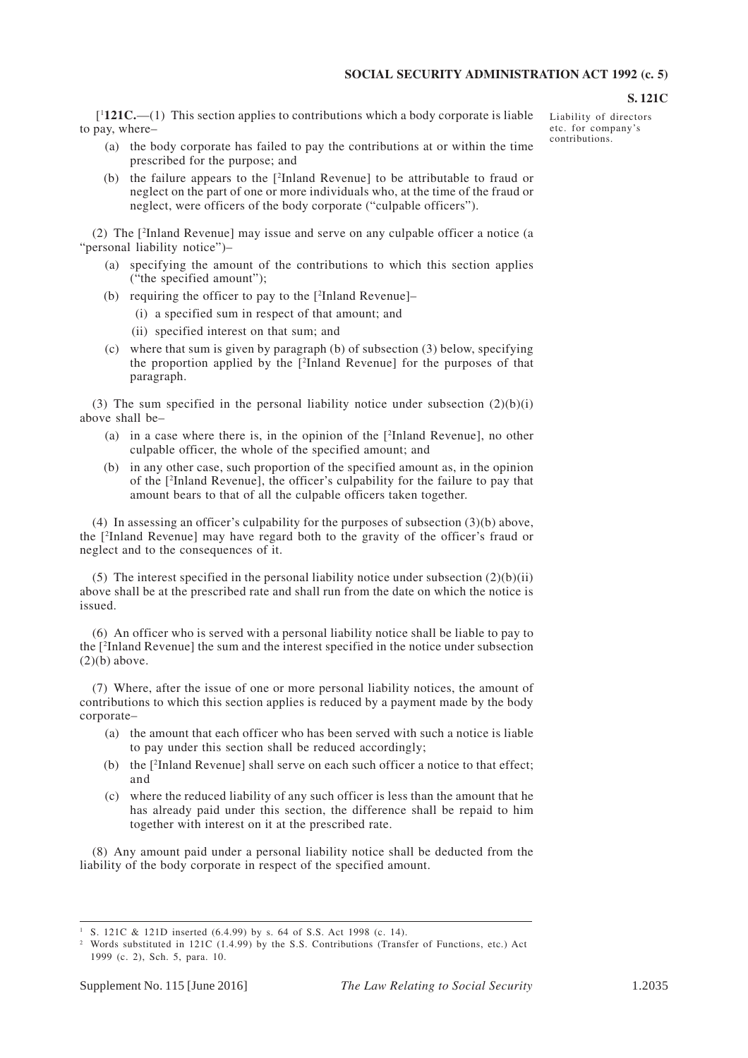**S. 121C**

[1 **121C.**—(1) This section applies to contributions which a body corporate is liable to pay, where–

- (a) the body corporate has failed to pay the contributions at or within the time prescribed for the purpose; and
- (b) the failure appears to the [2 Inland Revenue] to be attributable to fraud or neglect on the part of one or more individuals who, at the time of the fraud or neglect, were officers of the body corporate ("culpable officers").

(2) The [2 Inland Revenue] may issue and serve on any culpable officer a notice (a "personal liability notice")–

- (a) specifying the amount of the contributions to which this section applies ("the specified amount");
- (b) requiring the officer to pay to the [2 Inland Revenue]–
	- (i) a specified sum in respect of that amount; and
	- (ii) specified interest on that sum; and
- (c) where that sum is given by paragraph (b) of subsection (3) below, specifying the proportion applied by the [2 Inland Revenue] for the purposes of that paragraph.

(3) The sum specified in the personal liability notice under subsection  $(2)(b)(i)$ above shall be–

- (a) in a case where there is, in the opinion of the [2 Inland Revenue], no other culpable officer, the whole of the specified amount; and
- (b) in any other case, such proportion of the specified amount as, in the opinion of the [2 Inland Revenue], the officer's culpability for the failure to pay that amount bears to that of all the culpable officers taken together.

(4) In assessing an officer's culpability for the purposes of subsection (3)(b) above, the [2 Inland Revenue] may have regard both to the gravity of the officer's fraud or neglect and to the consequences of it.

(5) The interest specified in the personal liability notice under subsection  $(2)(b)(ii)$ above shall be at the prescribed rate and shall run from the date on which the notice is issued.

(6) An officer who is served with a personal liability notice shall be liable to pay to the [2 Inland Revenue] the sum and the interest specified in the notice under subsection  $(2)(b)$  above.

(7) Where, after the issue of one or more personal liability notices, the amount of contributions to which this section applies is reduced by a payment made by the body corporate–

- (a) the amount that each officer who has been served with such a notice is liable to pay under this section shall be reduced accordingly;
- (b) the [2 Inland Revenue] shall serve on each such officer a notice to that effect; and
- (c) where the reduced liability of any such officer is less than the amount that he has already paid under this section, the difference shall be repaid to him together with interest on it at the prescribed rate.

(8) Any amount paid under a personal liability notice shall be deducted from the liability of the body corporate in respect of the specified amount.

Liability of directors etc. for company's contributions.

<sup>&</sup>lt;sup>1</sup> S. 121C & 121D inserted  $(6.4.99)$  by s. 64 of S.S. Act 1998 (c. 14).

<sup>2</sup> Words substituted in 121C (1.4.99) by the S.S. Contributions (Transfer of Functions, etc.) Act 1999 (c. 2), Sch. 5, para. 10.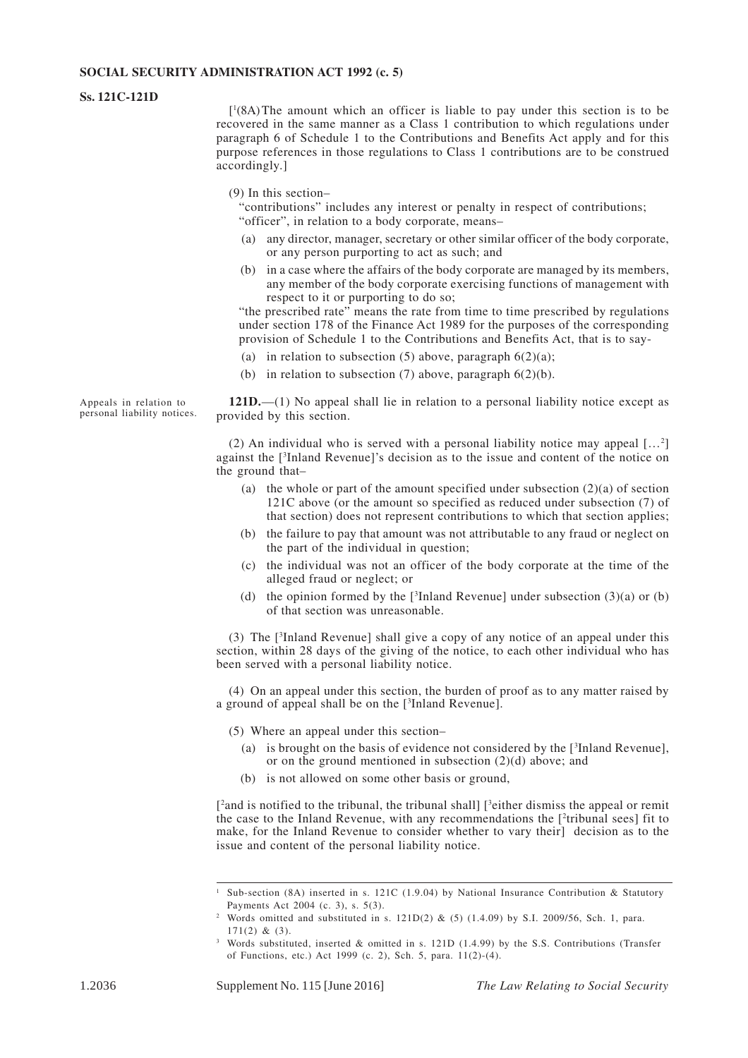## **Ss. 121C-121D**

[ 1 (8A)The amount which an officer is liable to pay under this section is to be recovered in the same manner as a Class 1 contribution to which regulations under paragraph 6 of Schedule 1 to the Contributions and Benefits Act apply and for this purpose references in those regulations to Class 1 contributions are to be construed accordingly.]

(9) In this section–

"contributions" includes any interest or penalty in respect of contributions; "officer", in relation to a body corporate, means–

- (a) any director, manager, secretary or other similar officer of the body corporate, or any person purporting to act as such; and
- (b) in a case where the affairs of the body corporate are managed by its members, any member of the body corporate exercising functions of management with respect to it or purporting to do so;

"the prescribed rate" means the rate from time to time prescribed by regulations under section 178 of the Finance Act 1989 for the purposes of the corresponding provision of Schedule 1 to the Contributions and Benefits Act, that is to say-

- (a) in relation to subsection (5) above, paragraph  $6(2)(a)$ ;
- (b) in relation to subsection (7) above, paragraph  $6(2)(b)$ .

**121D.**—(1) No appeal shall lie in relation to a personal liability notice except as provided by this section.

(2) An individual who is served with a personal liability notice may appeal […2 ] against the [3 Inland Revenue]'s decision as to the issue and content of the notice on the ground that–

- (a) the whole or part of the amount specified under subsection  $(2)(a)$  of section 121C above (or the amount so specified as reduced under subsection (7) of that section) does not represent contributions to which that section applies;
- (b) the failure to pay that amount was not attributable to any fraud or neglect on the part of the individual in question;
- (c) the individual was not an officer of the body corporate at the time of the alleged fraud or neglect; or
- (d) the opinion formed by the [ $3$ Inland Revenue] under subsection (3)(a) or (b) of that section was unreasonable.

(3) The [3 Inland Revenue] shall give a copy of any notice of an appeal under this section, within 28 days of the giving of the notice, to each other individual who has been served with a personal liability notice.

(4) On an appeal under this section, the burden of proof as to any matter raised by a ground of appeal shall be on the [3Inland Revenue].

(5) Where an appeal under this section–

- (a) is brought on the basis of evidence not considered by the [3Inland Revenue], or on the ground mentioned in subsection (2)(d) above; and
- (b) is not allowed on some other basis or ground,

[<sup>2</sup> and is notified to the tribunal, the tribunal shall] [<sup>3</sup> either dismiss the appeal or remit the case to the Inland Revenue, with any recommendations the [<sup>2</sup>tribunal sees] fit to make, for the Inland Revenue to consider whether to vary their] decision as to the issue and content of the personal liability notice.

Appeals in relation to personal liability notices.

<sup>1</sup> Sub-section (8A) inserted in s. 121C (1.9.04) by National Insurance Contribution & Statutory Payments Act 2004 (c. 3), s. 5(3).

Words omitted and substituted in s.  $121D(2) \& (5)$  (1.4.09) by S.I. 2009/56, Sch. 1, para. 171(2) & (3).

<sup>&</sup>lt;sup>3</sup> Words substituted, inserted & omitted in s. 121D (1.4.99) by the S.S. Contributions (Transfer of Functions, etc.) Act 1999 (c. 2), Sch. 5, para. 11(2)-(4).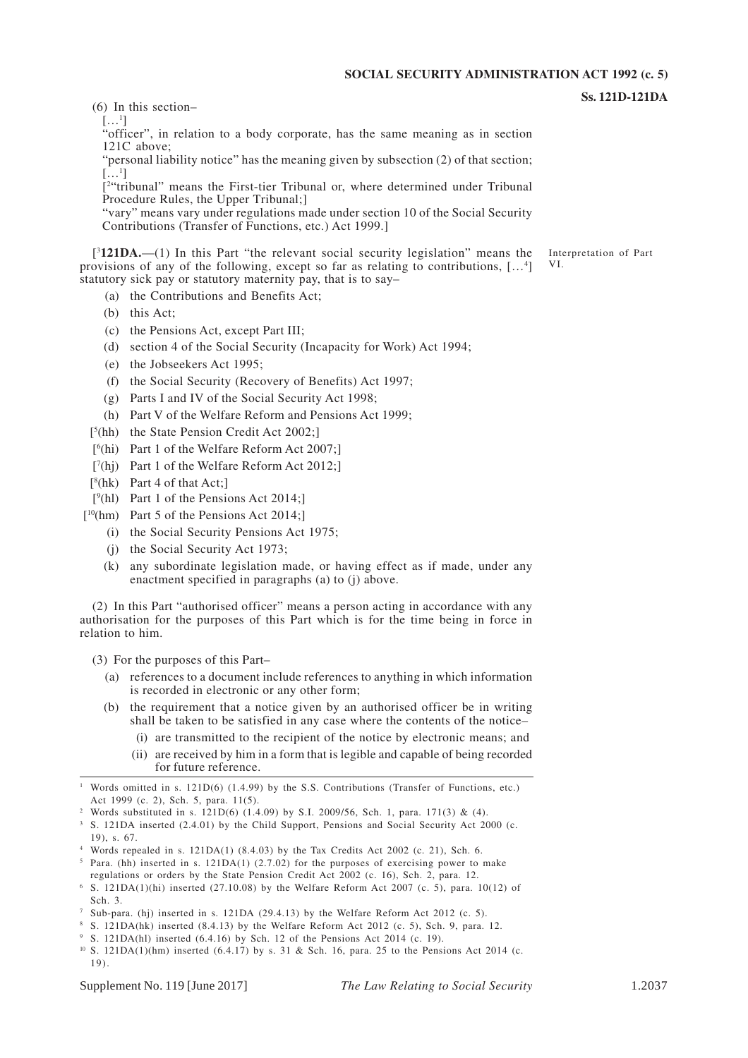## (6) In this section–

 $[\dots^1]$ 

"officer", in relation to a body corporate, has the same meaning as in section 121C above;

"personal liability notice" has the meaning given by subsection (2) of that section;  $[\dots^1]$ 

[<sup>2</sup>"tribunal" means the First-tier Tribunal or, where determined under Tribunal Procedure Rules, the Upper Tribunal;]

"vary" means vary under regulations made under section 10 of the Social Security Contributions (Transfer of Functions, etc.) Act 1999.]

[3 **121DA.**—(1) In this Part "the relevant social security legislation" means the provisions of any of the following, except so far as relating to contributions, [...<sup>4</sup>] statutory sick pay or statutory maternity pay, that is to say–

Interpretation of Part VI.

**Ss. 121D-121DA**

- (a) the Contributions and Benefits Act;
- (b) this Act;
- (c) the Pensions Act, except Part III;
- (d) section 4 of the Social Security (Incapacity for Work) Act 1994;
- (e) the Jobseekers Act 1995;
- (f) the Social Security (Recovery of Benefits) Act 1997;
- (g) Parts I and IV of the Social Security Act 1998;
- (h) Part V of the Welfare Reform and Pensions Act 1999;
- [<sup>5</sup>(hh) the State Pension Credit Act 2002;]
- [6 (hi) Part 1 of the Welfare Reform Act 2007;]
- [7 (hj) Part 1 of the Welfare Reform Act 2012;]
- $[8(hk)$  Part 4 of that Act;]
- [9 (hl) Part 1 of the Pensions Act 2014;]
- [ 10(hm) Part 5 of the Pensions Act 2014;]
	- (i) the Social Security Pensions Act 1975;
	- (j) the Social Security Act 1973;
	- (k) any subordinate legislation made, or having effect as if made, under any enactment specified in paragraphs (a) to (j) above.

(2) In this Part "authorised officer" means a person acting in accordance with any authorisation for the purposes of this Part which is for the time being in force in relation to him.

(3) For the purposes of this Part–

- (a) references to a document include references to anything in which information is recorded in electronic or any other form;
- (b) the requirement that a notice given by an authorised officer be in writing shall be taken to be satisfied in any case where the contents of the notice–
	- (i) are transmitted to the recipient of the notice by electronic means; and
	- (ii) are received by him in a form that is legible and capable of being recorded for future reference.

- <sup>4</sup> Words repealed in s. 121DA(1) (8.4.03) by the Tax Credits Act 2002 (c. 21), Sch. 6.
- $5$  Para. (hh) inserted in s. 121DA(1) (2.7.02) for the purposes of exercising power to make regulations or orders by the State Pension Credit Act 2002 (c. 16), Sch. 2, para. 12.
- $6$  S. 121DA(1)(hi) inserted (27.10.08) by the Welfare Reform Act 2007 (c. 5), para. 10(12) of Sch. 3.
- <sup>7</sup> Sub-para. (hj) inserted in s. 121DA (29.4.13) by the Welfare Reform Act 2012 (c. 5).
- <sup>8</sup> S. 121DA(hk) inserted (8.4.13) by the Welfare Reform Act 2012 (c. 5), Sch. 9, para. 12.
- $9 \text{ S. } 121\text{DA(hl)}$  inserted  $(6.4.16)$  by Sch. 12 of the Pensions Act 2014 (c. 19).
- <sup>10</sup> S. 121DA(1)(hm) inserted (6.4.17) by s. 31 & Sch. 16, para. 25 to the Pensions Act 2014 (c. 19).

Words omitted in s. 121D(6) (1.4.99) by the S.S. Contributions (Transfer of Functions, etc.) Act 1999 (c. 2), Sch. 5, para. 11(5).

<sup>&</sup>lt;sup>2</sup> Words substituted in s.  $121D(6)$  (1.4.09) by S.I. 2009/56, Sch. 1, para. 171(3) & (4).

<sup>&</sup>lt;sup>3</sup> S. 121DA inserted (2.4.01) by the Child Support, Pensions and Social Security Act 2000 (c. 19), s. 67.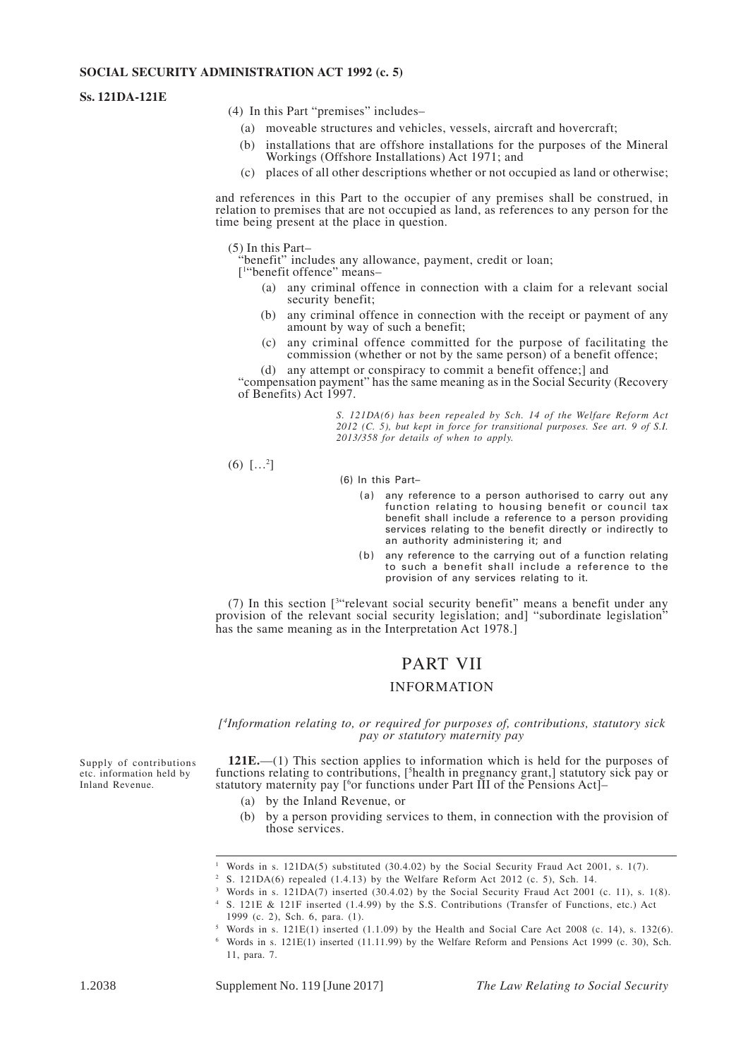## **Ss. 121DA-121E**

(4) In this Part "premises" includes–

- (a) moveable structures and vehicles, vessels, aircraft and hovercraft;
- (b) installations that are offshore installations for the purposes of the Mineral Workings (Offshore Installations) Act 1971; and
- (c) places of all other descriptions whether or not occupied as land or otherwise;

and references in this Part to the occupier of any premises shall be construed, in relation to premises that are not occupied as land, as references to any person for the time being present at the place in question.

(5) In this Part–

"benefit" includes any allowance, payment, credit or loan;

[1 "benefit offence" means–

- (a) any criminal offence in connection with a claim for a relevant social security benefit;
- (b) any criminal offence in connection with the receipt or payment of any amount by way of such a benefit;
- (c) any criminal offence committed for the purpose of facilitating the commission (whether or not by the same person) of a benefit offence;

(d) any attempt or conspiracy to commit a benefit offence;] and

"compensation payment" has the same meaning as in the Social Security (Recovery of Benefits) Act 1997.

> *S. 121DA(6) has been repealed by Sch. 14 of the Welfare Reform Act 2012 (C. 5), but kept in force for transitional purposes. See art. 9 of S.I. 2013/358 for details of when to apply.*

 $(6)$   $[...^2]$ 

- (6) In this Part–
	- (a) any reference to a person authorised to carry out any function relating to housing benefit or council tax benefit shall include a reference to a person providing services relating to the benefit directly or indirectly to an authority administering it; and
	- (b) any reference to the carrying out of a function relating to such a benefit shall include a reference to the provision of any services relating to it.

(7) In this section [3 "relevant social security benefit" means a benefit under any provision of the relevant social security legislation; and] "subordinate legislation" has the same meaning as in the Interpretation Act 1978.

# PART VII

# INFORMATION

*[4 Information relating to, or required for purposes of, contributions, statutory sick pay or statutory maternity pay*

**121E.**—(1) This section applies to information which is held for the purposes of functions relating to contributions, [<sup>5</sup>health in pregnancy grant,] statutory sick pay or statutory maternity pay [<sup>6</sup>or functions under Part III of the Pensions Act]–

- (a) by the Inland Revenue, or
- (b) by a person providing services to them, in connection with the provision of those services.

- <sup>5</sup> Words in s.  $121E(1)$  inserted (1.1.09) by the Health and Social Care Act 2008 (c. 14), s. 132(6).
- <sup>6</sup> Words in s. 121E(1) inserted (11.11.99) by the Welfare Reform and Pensions Act 1999 (c. 30), Sch. 11, para. 7.

Supply of contributions etc. information held by Inland Revenue.

<sup>&</sup>lt;sup>1</sup> Words in s. 121DA(5) substituted (30.4.02) by the Social Security Fraud Act 2001, s. 1(7).

<sup>&</sup>lt;sup>2</sup> S. 121DA(6) repealed  $(1.4.13)$  by the Welfare Reform Act 2012 (c. 5), Sch. 14.

<sup>&</sup>lt;sup>3</sup> Words in s. 121DA(7) inserted (30.4.02) by the Social Security Fraud Act 2001 (c. 11), s. 1(8).

<sup>4</sup> S. 121E & 121F inserted (1.4.99) by the S.S. Contributions (Transfer of Functions, etc.) Act 1999 (c. 2), Sch. 6, para. (1).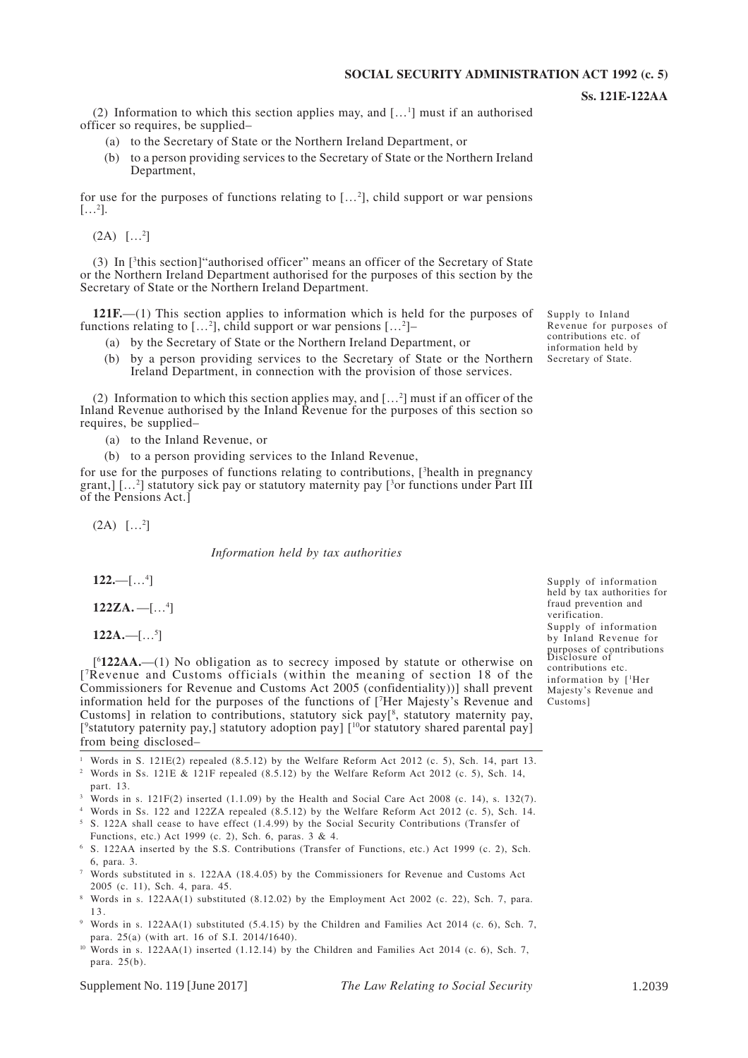**Ss. 121E-122AA**

(2) Information to which this section applies may, and […1 ] must if an authorised officer so requires, be supplied–

- (a) to the Secretary of State or the Northern Ireland Department, or
- (b) to a person providing services to the Secretary of State or the Northern Ireland Department.

for use for the purposes of functions relating to […2 ], child support or war pensions  $\left[ \ldots^2 \right]$ .

 $(2A)$   $[...^2]$ 

(3) In [3this section] "authorised officer" means an officer of the Secretary of State or the Northern Ireland Department authorised for the purposes of this section by the Secretary of State or the Northern Ireland Department.

**121F.**—(1) This section applies to information which is held for the purposes of functions relating to  $[...]$ , child support or war pensions  $[...]$ 

- (a) by the Secretary of State or the Northern Ireland Department, or
- (b) by a person providing services to the Secretary of State or the Northern Ireland Department, in connection with the provision of those services.

(2) Information to which this section applies may, and […2 ] must if an officer of the Inland Revenue authorised by the Inland Revenue for the purposes of this section so requires, be supplied–

(a) to the Inland Revenue, or

(b) to a person providing services to the Inland Revenue,

for use for the purposes of functions relating to contributions, [3health in pregnancy grant,] [...<sup>2</sup>] statutory sick pay or statutory maternity pay [<sup>3</sup>or functions under Part III of the Pensions Act.]

 $(2A)$   $[...^2]$ 

*Information held by tax authorities*

**122.**—[…4 ]

**122ZA.** —[…4 ]

**122A.**—[…5 ]

[<sup>6</sup>122AA.—(1) No obligation as to secrecy imposed by statute or otherwise on ['Revenue and Customs officials (within the meaning of section 18 of the Commissioners for Revenue and Customs Act 2005 (confidentiality))] shall prevent information held for the purposes of the functions of [7 Her Majesty's Revenue and Customs] in relation to contributions, statutory sick pay[<sup>8</sup>, statutory maternity pay, [<sup>9</sup>statutory paternity pay,] statutory adoption pay] [<sup>10</sup>or statutory shared parental pay] from being disclosed–

- Functions, etc.) Act 1999 (c. 2), Sch. 6, paras. 3 & 4.
- <sup>6</sup> S. 122AA inserted by the S.S. Contributions (Transfer of Functions, etc.) Act 1999 (c. 2), Sch. 6, para. 3.

<sup>8</sup> Words in s.  $122AA(1)$  substituted (8.12.02) by the Employment Act 2002 (c. 22), Sch. 7, para. 13.

<sup>10</sup> Words in s. 122AA(1) inserted (1.12.14) by the Children and Families Act 2014 (c. 6), Sch. 7, para. 25(b).

Supply to Inland Revenue for purposes of contributions etc. of information held by Secretary of State.

Supply of information held by tax authorities for fraud prevention and verification. Disclosure of purposes of contributions contributions etc. information by [<sup>1</sup>Her Majesty's Revenue and Customs] Supply of information by Inland Revenue for

<sup>&</sup>lt;sup>1</sup> Words in S. 121E(2) repealed (8.5.12) by the Welfare Reform Act 2012 (c. 5), Sch. 14, part 13. <sup>2</sup> Words in Ss. 121E & 121F repealed  $(8.5.12)$  by the Welfare Reform Act 2012 (c. 5), Sch. 14,

part. 13.

<sup>&</sup>lt;sup>3</sup> Words in s. 121F(2) inserted (1.1.09) by the Health and Social Care Act 2008 (c. 14), s. 132(7).

<sup>4</sup> Words in Ss. 122 and 122ZA repealed (8.5.12) by the Welfare Reform Act 2012 (c. 5), Sch. 14. <sup>5</sup> S. 122A shall cease to have effect (1.4.99) by the Social Security Contributions (Transfer of

<sup>7</sup> Words substituted in s. 122AA (18.4.05) by the Commissioners for Revenue and Customs Act 2005 (c. 11), Sch. 4, para. 45.

Words in s. 122AA(1) substituted (5.4.15) by the Children and Families Act 2014 (c. 6), Sch. 7, para. 25(a) (with art. 16 of S.I. 2014/1640).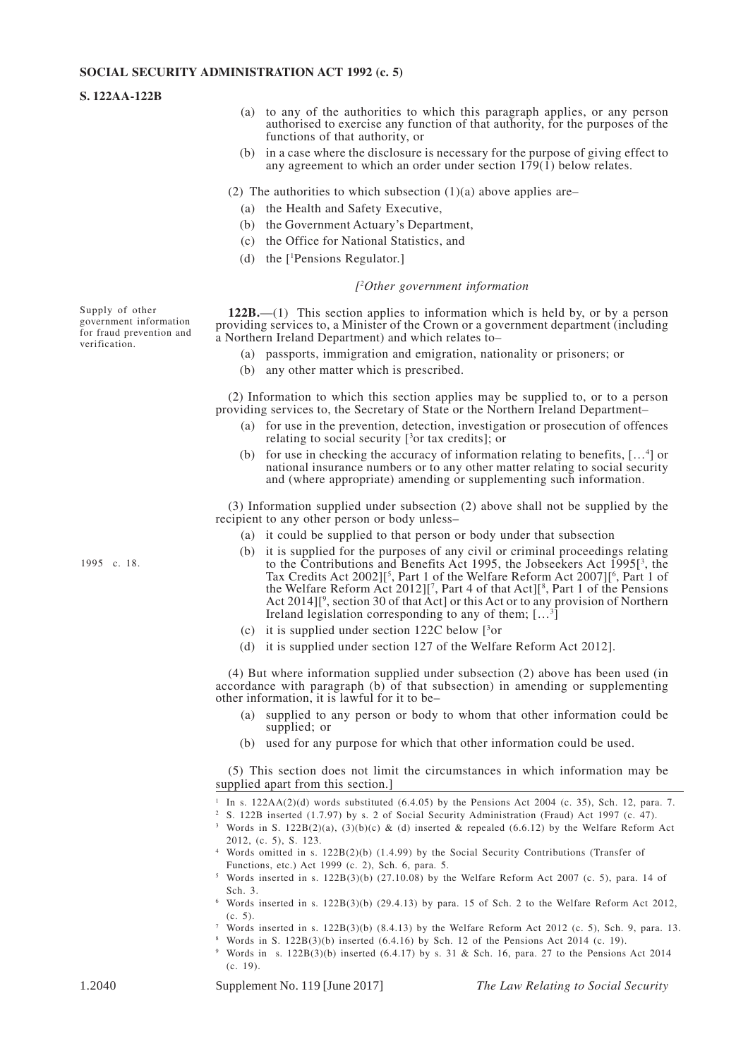## **S. 122AA-122B**

- (a) to any of the authorities to which this paragraph applies, or any person authorised to exercise any function of that authority, for the purposes of the functions of that authority, or
- (b) in a case where the disclosure is necessary for the purpose of giving effect to any agreement to which an order under section  $179(1)$  below relates.
- (2) The authorities to which subsection  $(1)(a)$  above applies are–
	- (a) the Health and Safety Executive,
	- (b) the Government Actuary's Department,
	- (c) the Office for National Statistics, and
	- (d) the [1 Pensions Regulator.]

#### *[2 Other government information*

**122B.**—(1) This section applies to information which is held by, or by a person providing services to, a Minister of the Crown or a government department (including a Northern Ireland Department) and which relates to–

- (a) passports, immigration and emigration, nationality or prisoners; or
- (b) any other matter which is prescribed.

(2) Information to which this section applies may be supplied to, or to a person providing services to, the Secretary of State or the Northern Ireland Department–

- (a) for use in the prevention, detection, investigation or prosecution of offences relating to social security  $[3$ or tax credits]; or
- (b) for use in checking the accuracy of information relating to benefits, […4 ] or national insurance numbers or to any other matter relating to social security and (where appropriate) amending or supplementing such information.

(3) Information supplied under subsection (2) above shall not be supplied by the recipient to any other person or body unless–

- (a) it could be supplied to that person or body under that subsection
- (b) it is supplied for the purposes of any civil or criminal proceedings relating to the Contributions and Benefits Act 1995, the Jobseekers Act 1995<sup>[3</sup>, the Tax Credits Act 2002]<sup>[5</sup>, Part 1 of the Welfare Reform Act 2007]<sup>[6</sup>, Part 1 of the Welfare Reform Act 2012]<sup>[7</sup>, Part 4 of that Act]<sup>[8</sup>, Part 1 of the Pensions Act 2014]<sup>[9</sup>, section 30 of that Act] or this Act or to any provision of Northern Ireland legislation corresponding to any of them;  $[\dots]$ <sup>3</sup>
- $(c)$  it is supplied under section 122C below  $[3\text{or}$
- (d) it is supplied under section 127 of the Welfare Reform Act 2012].

(4) But where information supplied under subsection (2) above has been used (in accordance with paragraph (b) of that subsection) in amending or supplementing other information, it is lawful for it to be–

- (a) supplied to any person or body to whom that other information could be supplied; or
- (b) used for any purpose for which that other information could be used.

(5) This section does not limit the circumstances in which information may be supplied apart from this section.]

- <sup>1</sup> In s.  $122AA(2)(d)$  words substituted  $(6.4.05)$  by the Pensions Act 2004 (c. 35), Sch. 12, para. 7.
- <sup>2</sup> S. 122B inserted (1.7.97) by s. 2 of Social Security Administration (Fraud) Act 1997 (c. 47).
- <sup>3</sup> Words in S. 122B(2)(a), (3)(b)(c) & (d) inserted & repealed (6.6.12) by the Welfare Reform Act 2012, (c. 5), S. 123.
- Words omitted in s.  $122B(2)(b)$  (1.4.99) by the Social Security Contributions (Transfer of Functions, etc.) Act 1999 (c. 2), Sch. 6, para. 5.
- Words inserted in s.  $122B(3)(b)$  (27.10.08) by the Welfare Reform Act 2007 (c. 5), para. 14 of Sch. 3.

<sup>6</sup> Words inserted in s.  $122B(3)(b)$  (29.4.13) by para. 15 of Sch. 2 to the Welfare Reform Act 2012, (c. 5).

- <sup>7</sup> Words inserted in s. 122B(3)(b) (8.4.13) by the Welfare Reform Act 2012 (c. 5), Sch. 9, para. 13.
- $8$  Words in S. 122B(3)(b) inserted (6.4.16) by Sch. 12 of the Pensions Act 2014 (c. 19).

Words in s.  $122B(3)(b)$  inserted (6.4.17) by s. 31 & Sch. 16, para. 27 to the Pensions Act 2014 (c. 19).

Supply of other government information for fraud prevention and verification.

1995 c. 18.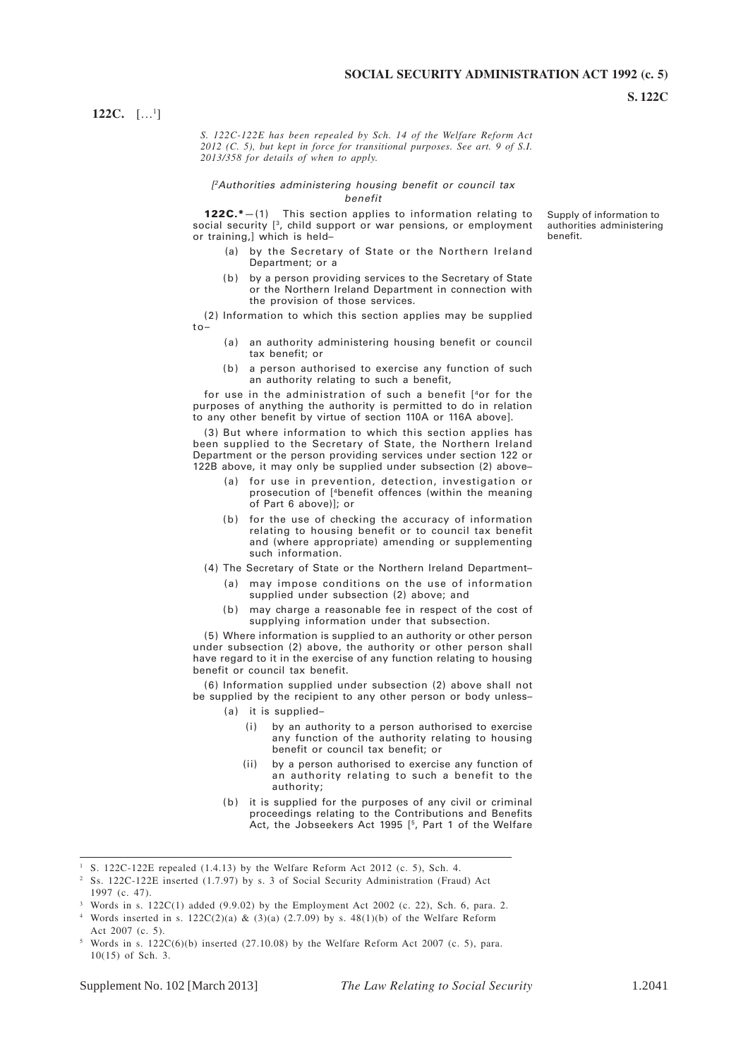Supply of information to authorities administering

benefit.

*S. 122C-122E has been repealed by Sch. 14 of the Welfare Reform Act 2012 (C. 5), but kept in force for transitional purposes. See art. 9 of S.I. 2013/358 for details of when to apply.*

#### [ <sup>2</sup>Authorities administering housing benefit or council tax benefit

**122C.\***—(1) This section applies to information relating to social security [<sup>3</sup>, child support or war pensions, or employment or training,] which is held–

- (a) by the Secretary of State or the Northern Ireland Department; or a
- (b) by a person providing services to the Secretary of State or the Northern Ireland Department in connection with the provision of those services.

(2) Information to which this section applies may be supplied  $\overline{10}$ 

- (a) an authority administering housing benefit or council tax benefit; or
- (b) a person authorised to exercise any function of such an authority relating to such a benefit,

for use in the administration of such a benefit <sup>[4</sup>or for the purposes of anything the authority is permitted to do in relation to any other benefit by virtue of section 110A or 116A above].

(3) But where information to which this section applies has been supplied to the Secretary of State, the Northern Ireland Department or the person providing services under section 122 or 122B above, it may only be supplied under subsection (2) above–

- (a) for use in prevention, detection, investigation or prosecution of [4benefit offences (within the meaning of Part 6 above)]; or
- (b) for the use of checking the accuracy of information relating to housing benefit or to council tax benefit and (where appropriate) amending or supplementing such information.
- (4) The Secretary of State or the Northern Ireland Department–
	- (a) may impose conditions on the use of information supplied under subsection (2) above; and
	- (b) may charge a reasonable fee in respect of the cost of supplying information under that subsection.

(5) Where information is supplied to an authority or other person under subsection (2) above, the authority or other person shall have regard to it in the exercise of any function relating to housing benefit or council tax benefit.

(6) Information supplied under subsection (2) above shall not be supplied by the recipient to any other person or body unless–

- (a) it is supplied–
	- by an authority to a person authorised to exercise any function of the authority relating to housing benefit or council tax benefit; or
	- (ii) by a person authorised to exercise any function of an authority relating to such a benefit to the authority;
- (b) it is supplied for the purposes of any civil or criminal proceedings relating to the Contributions and Benefits Act, the Jobseekers Act 1995 [<sup>5</sup>, Part 1 of the Welfare

<sup>&</sup>lt;sup>1</sup> S. 122C-122E repealed  $(1.4.13)$  by the Welfare Reform Act 2012 (c. 5), Sch. 4.

<sup>2</sup> Ss. 122C-122E inserted (1.7.97) by s. 3 of Social Security Administration (Fraud) Act 1997 (c. 47).

<sup>&</sup>lt;sup>3</sup> Words in s.  $122C(1)$  added  $(9.9.02)$  by the Employment Act 2002 (c. 22), Sch. 6, para. 2.

<sup>&</sup>lt;sup>4</sup> Words inserted in s. 122C(2)(a) & (3)(a) (2.7.09) by s. 48(1)(b) of the Welfare Reform Act 2007 (c. 5).

Words in s.  $122C(6)(b)$  inserted (27.10.08) by the Welfare Reform Act 2007 (c. 5), para. 10(15) of Sch. 3.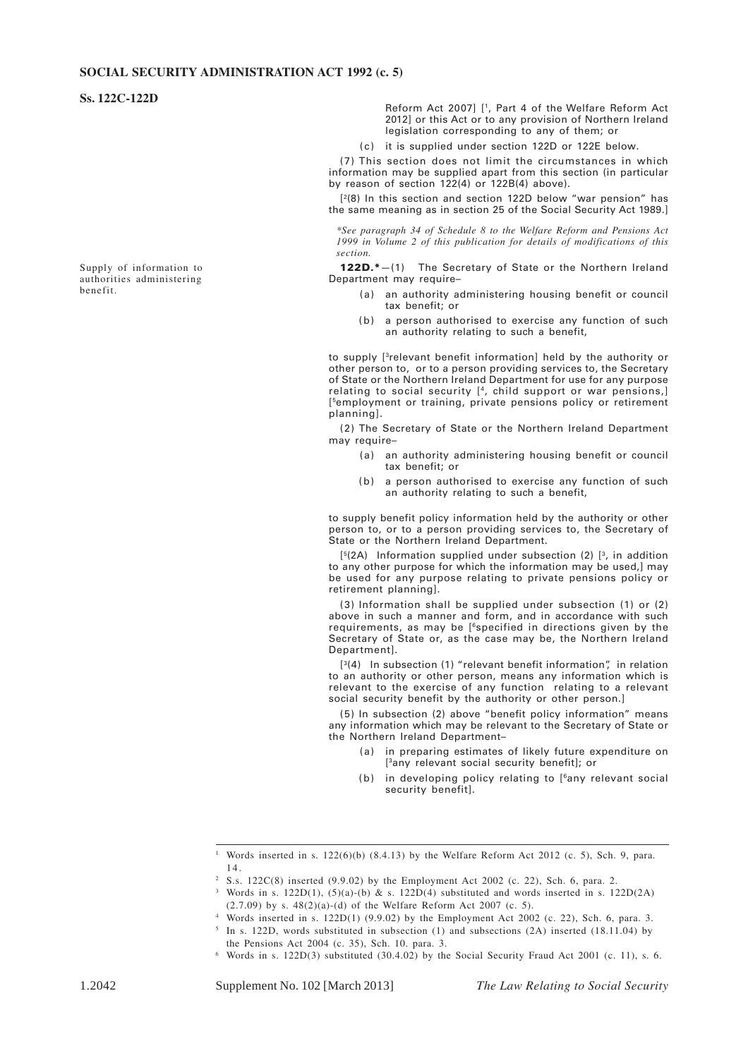**Ss. 122C-122D**

Supply of information to authorities administering benefit.

Reform Act 2007] [1, Part 4 of the Welfare Reform Act 2012] or this Act or to any provision of Northern Ireland legislation corresponding to any of them; or

(c) it is supplied under section 122D or 122E below.

(7) This section does not limit the circumstances in which information may be supplied apart from this section (in particular by reason of section  $122(4)$  or  $122B(4)$  above).

 $[2(8)$  In this section and section 122D below "war pension" has the same meaning as in section 25 of the Social Security Act 1989.]

*\*See paragraph 34 of Schedule 8 to the Welfare Reform and Pensions Act 1999 in Volume 2 of this publication for details of modifications of this section.*

**122D.\***—(1) The Secretary of State or the Northern Ireland Department may require–

- (a) an authority administering housing benefit or council tax benefit; or
- (b) a person authorised to exercise any function of such an authority relating to such a benefit,

to supply [3relevant benefit information] held by the authority or other person to, or to a person providing services to, the Secretary of State or the Northern Ireland Department for use for any purpose relating to social security [4, child support or war pensions,] [5employment or training, private pensions policy or retirement planning].

(2) The Secretary of State or the Northern Ireland Department may require–

- (a) an authority administering housing benefit or council tax benefit; or
- (b) a person authorised to exercise any function of such an authority relating to such a benefit,

to supply benefit policy information held by the authority or other person to, or to a person providing services to, the Secretary of State or the Northern Ireland Department.

[<sup>5</sup>(2A) Information supplied under subsection (2) [<sup>3</sup>, in addition to any other purpose for which the information may be used,] may be used for any purpose relating to private pensions policy or retirement planning].

(3) Information shall be supplied under subsection (1) or (2) above in such a manner and form, and in accordance with such requirements, as may be [<sup>6</sup>specified in directions given by the Secretary of State or, as the case may be, the Northern Ireland Department].

[3(4) In subsection (1) "relevant benefit information", in relation to an authority or other person, means any information which is relevant to the exercise of any function relating to a relevant social security benefit by the authority or other person.]

(5) In subsection (2) above "benefit policy information" means any information which may be relevant to the Secretary of State or the Northern Ireland Department–

- (a) in preparing estimates of likely future expenditure on [3any relevant social security benefit]; or
- (b) in developing policy relating to [6any relevant social security benefit].

Words inserted in s.  $122(6)(b)$   $(8.4.13)$  by the Welfare Reform Act 2012  $(c. 5)$ , Sch. 9, para. 14.

<sup>2</sup> S.s. 122C(8) inserted (9.9.02) by the Employment Act 2002 (c. 22), Sch. 6, para. 2.

<sup>&</sup>lt;sup>3</sup> Words in s. 122D(1), (5)(a)-(b) & s. 122D(4) substituted and words inserted in s. 122D(2A)  $(2.7.09)$  by s.  $48(2)(a)-(d)$  of the Welfare Reform Act 2007 (c. 5).

<sup>4</sup> Words inserted in s. 122D(1) (9.9.02) by the Employment Act 2002 (c. 22), Sch. 6, para. 3.  $5$  In s. 122D, words substituted in subsection (1) and subsections (2A) inserted (18.11.04) by

the Pensions Act 2004 (c. 35), Sch. 10. para. 3.

<sup>6</sup> Words in s. 122D(3) substituted (30.4.02) by the Social Security Fraud Act 2001 (c. 11), s. 6.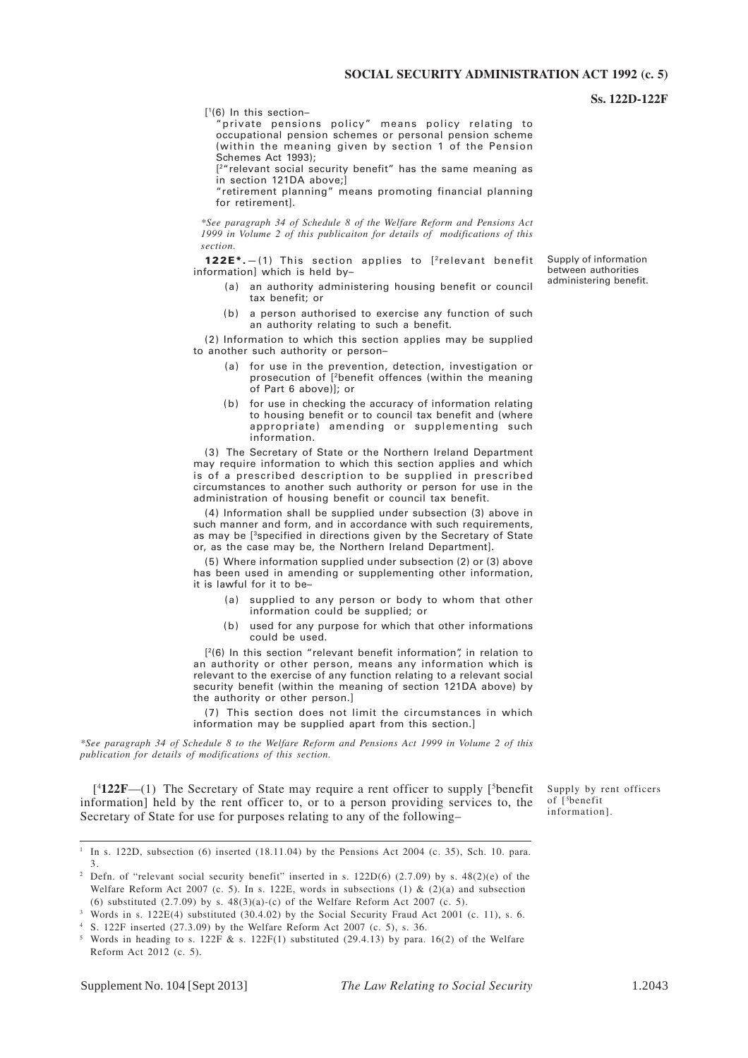#### **Ss. 122D-122F**

 $[1(6)$  In this section-

"private pensions policy" means policy relating to occupational pension schemes or personal pension scheme (within the meaning given by section 1 of the Pension Schemes Act 1993);

[<sup>2</sup>" relevant social security benefit" has the same meaning as in section 121DA above;]

"retirement planning" means promoting financial planning for retirement].

*\*See paragraph 34 of Schedule 8 of the Welfare Reform and Pensions Act 1999 in Volume 2 of this publicaiton for details of modifications of this section.*

**122E\*.** - (1) This section applies to [<sup>2</sup>relevant benefit information] which is held by–

- Supply of information between authorities administering benefit.
- (a) an authority administering housing benefit or council tax benefit; or
- (b) a person authorised to exercise any function of such an authority relating to such a benefit.

(2) Information to which this section applies may be supplied to another such authority or person–

- (a) for use in the prevention, detection, investigation or prosecution of [2benefit offences (within the meaning of Part 6 above)]; or
- (b) for use in checking the accuracy of information relating to housing benefit or to council tax benefit and (where appropriate) amending or supplementing such information.

(3) The Secretary of State or the Northern Ireland Department may require information to which this section applies and which is of a prescribed description to be supplied in prescribed circumstances to another such authority or person for use in the administration of housing benefit or council tax benefit.

(4) Information shall be supplied under subsection (3) above in such manner and form, and in accordance with such requirements, as may be [3specified in directions given by the Secretary of State or, as the case may be, the Northern Ireland Department].

(5) Where information supplied under subsection (2) or (3) above has been used in amending or supplementing other information, it is lawful for it to be–

- (a) supplied to any person or body to whom that other information could be supplied; or
- (b) used for any purpose for which that other informations could be used.

 $[2(6)$  In this section "relevant benefit information", in relation to an authority or other person, means any information which is relevant to the exercise of any function relating to a relevant social security benefit (within the meaning of section 121DA above) by the authority or other person.]

(7) This section does not limit the circumstances in which information may be supplied apart from this section.]

*\*See paragraph 34 of Schedule 8 to the Welfare Reform and Pensions Act 1999 in Volume 2 of this publication for details of modifications of this section.*

[<sup>4</sup>**122F**—(1) The Secretary of State may require a rent officer to supply [<sup>5</sup>benefit information] held by the rent officer to, or to a person providing services to, the Secretary of State for use for purposes relating to any of the following–

Supply by rent officers of  $\int^5$ benefit information].

<sup>1</sup> In s. 122D, subsection (6) inserted (18.11.04) by the Pensions Act 2004 (c. 35), Sch. 10. para. 3.

<sup>2</sup> Defn. of "relevant social security benefit" inserted in s.  $122D(6)$  (2.7.09) by s.  $48(2)(e)$  of the Welfare Reform Act 2007 (c. 5). In s. 122E, words in subsections (1) & (2)(a) and subsection (6) substituted  $(2.7.09)$  by s.  $48(3)(a)-(c)$  of the Welfare Reform Act 2007 (c. 5).

<sup>3</sup> Words in s.  $122E(4)$  substituted (30.4.02) by the Social Security Fraud Act 2001 (c. 11), s. 6.

<sup>4</sup> S. 122F inserted (27.3.09) by the Welfare Reform Act 2007 (c. 5), s. 36.

Words in heading to s. 122F  $\&$  s. 122F(1) substituted (29.4.13) by para. 16(2) of the Welfare Reform Act 2012 (c. 5).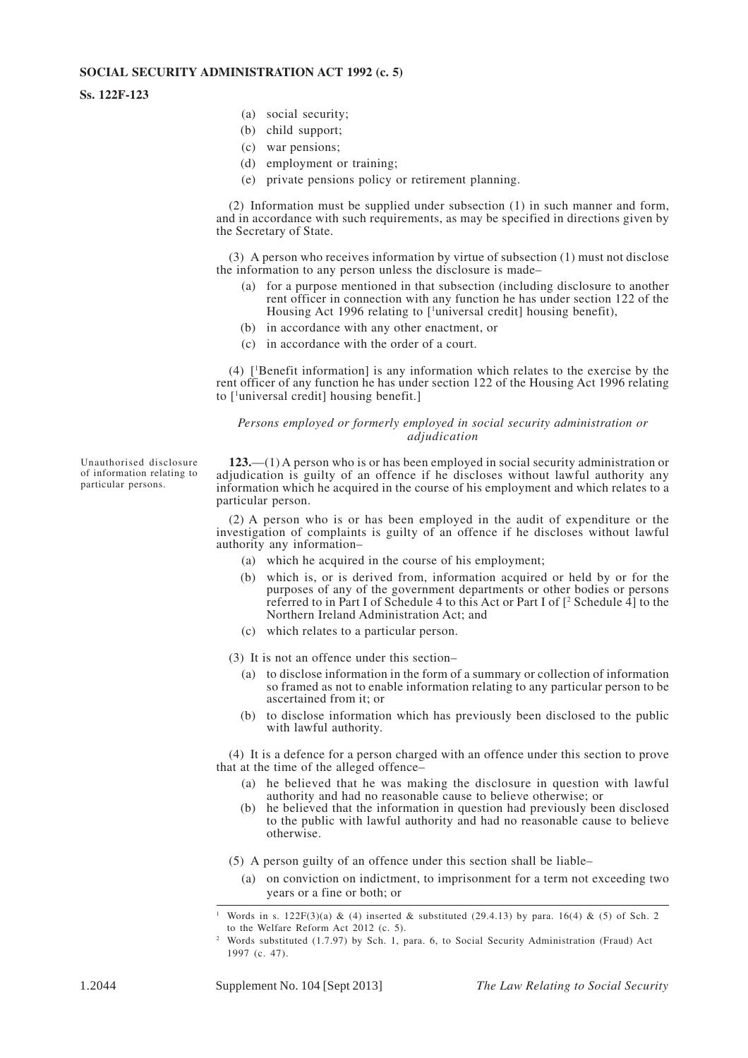**Ss. 122F-123**

- (a) social security;
- (b) child support;
- (c) war pensions;
- (d) employment or training;
- (e) private pensions policy or retirement planning.

(2) Information must be supplied under subsection (1) in such manner and form, and in accordance with such requirements, as may be specified in directions given by the Secretary of State.

(3) A person who receives information by virtue of subsection (1) must not disclose the information to any person unless the disclosure is made–

- (a) for a purpose mentioned in that subsection (including disclosure to another rent officer in connection with any function he has under section 122 of the Housing Act 1996 relating to [<sup>1</sup>universal credit] housing benefit),
- (b) in accordance with any other enactment, or
- (c) in accordance with the order of a court.

(4) [1 Benefit information] is any information which relates to the exercise by the rent officer of any function he has under section 122 of the Housing Act 1996 relating to [<sup>1</sup>universal credit] housing benefit.]

## *Persons employed or formerly employed in social security administration or adjudication*

**123.**—(1) A person who is or has been employed in social security administration or adjudication is guilty of an offence if he discloses without lawful authority any information which he acquired in the course of his employment and which relates to a particular person.

(2) A person who is or has been employed in the audit of expenditure or the investigation of complaints is guilty of an offence if he discloses without lawful authority any information–

- (a) which he acquired in the course of his employment;
- (b) which is, or is derived from, information acquired or held by or for the purposes of any of the government departments or other bodies or persons referred to in Part I of Schedule 4 to this Act or Part I of  $[^2$  Schedule  $\bar{4}]$  to the Northern Ireland Administration Act; and
- (c) which relates to a particular person.
- (3) It is not an offence under this section–
	- (a) to disclose information in the form of a summary or collection of information so framed as not to enable information relating to any particular person to be ascertained from it; or
	- (b) to disclose information which has previously been disclosed to the public with lawful authority.

(4) It is a defence for a person charged with an offence under this section to prove that at the time of the alleged offence–

- (a) he believed that he was making the disclosure in question with lawful authority and had no reasonable cause to believe otherwise; or
- (b) he believed that the information in question had previously been disclosed to the public with lawful authority and had no reasonable cause to believe otherwise.
- (5) A person guilty of an offence under this section shall be liable–
	- (a) on conviction on indictment, to imprisonment for a term not exceeding two years or a fine or both; or

Unauthorised disclosure of information relating to particular persons.

Words in s. 122F(3)(a) & (4) inserted & substituted (29.4.13) by para. 16(4) & (5) of Sch. 2 to the Welfare Reform Act 2012 (c. 5).

<sup>2</sup> Words substituted (1.7.97) by Sch. 1, para. 6, to Social Security Administration (Fraud) Act 1997 (c. 47).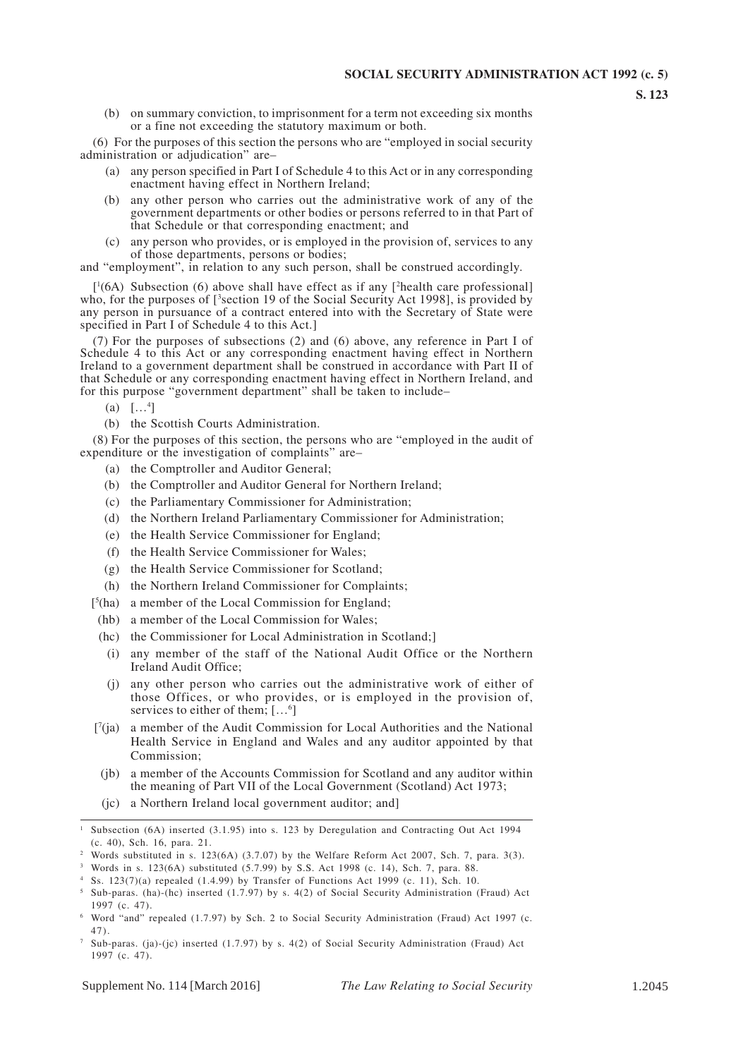(b) on summary conviction, to imprisonment for a term not exceeding six months or a fine not exceeding the statutory maximum or both.

(6) For the purposes of this section the persons who are "employed in social security administration or adjudication" are–

- (a) any person specified in Part I of Schedule 4 to this Act or in any corresponding enactment having effect in Northern Ireland;
- (b) any other person who carries out the administrative work of any of the government departments or other bodies or persons referred to in that Part of that Schedule or that corresponding enactment; and
- (c) any person who provides, or is employed in the provision of, services to any of those departments, persons or bodies;

and "employment", in relation to any such person, shall be construed accordingly.

 $[{}^{1}(6A)$  Subsection (6) above shall have effect as if any  $[{}^{2}$ health care professional] who, for the purposes of [<sup>3</sup>section 19 of the Social Security Act 1998], is provided by any person in pursuance of a contract entered into with the Secretary of State were specified in Part I of Schedule 4 to this Act.]

(7) For the purposes of subsections (2) and (6) above, any reference in Part I of Schedule 4 to this Act or any corresponding enactment having effect in Northern Ireland to a government department shall be construed in accordance with Part II of that Schedule or any corresponding enactment having effect in Northern Ireland, and for this purpose "government department" shall be taken to include–

- (a)  $[...^4]$
- (b) the Scottish Courts Administration.

(8) For the purposes of this section, the persons who are "employed in the audit of expenditure or the investigation of complaints" are–

- (a) the Comptroller and Auditor General;
- (b) the Comptroller and Auditor General for Northern Ireland;
- (c) the Parliamentary Commissioner for Administration;
- (d) the Northern Ireland Parliamentary Commissioner for Administration;
- (e) the Health Service Commissioner for England;
- (f) the Health Service Commissioner for Wales;
- (g) the Health Service Commissioner for Scotland;
- (h) the Northern Ireland Commissioner for Complaints;
- [5 (ha) a member of the Local Commission for England;
- (hb) a member of the Local Commission for Wales;
- (hc) the Commissioner for Local Administration in Scotland;]
- (i) any member of the staff of the National Audit Office or the Northern Ireland Audit Office;
- (j) any other person who carries out the administrative work of either of those Offices, or who provides, or is employed in the provision of, services to either of them; [...<sup>6</sup>]
- [ 7 (ja) a member of the Audit Commission for Local Authorities and the National Health Service in England and Wales and any auditor appointed by that Commission;
- (jb) a member of the Accounts Commission for Scotland and any auditor within the meaning of Part VII of the Local Government (Scotland) Act 1973;
- (jc) a Northern Ireland local government auditor; and]
- Subsection (6A) inserted (3.1.95) into s. 123 by Deregulation and Contracting Out Act 1994 (c. 40), Sch. 16, para. 21.

<sup>&</sup>lt;sup>2</sup> Words substituted in s.  $123(6A)$   $(3.7.07)$  by the Welfare Reform Act 2007, Sch. 7, para.  $3(3)$ .

<sup>3</sup> Words in s. 123(6A) substituted (5.7.99) by S.S. Act 1998 (c. 14), Sch. 7, para. 88.

<sup>4</sup> Ss. 123(7)(a) repealed (1.4.99) by Transfer of Functions Act 1999 (c. 11), Sch. 10.

<sup>5</sup> Sub-paras. (ha)-(hc) inserted (1.7.97) by s. 4(2) of Social Security Administration (Fraud) Act 1997 (c. 47).

<sup>6</sup> Word "and" repealed (1.7.97) by Sch. 2 to Social Security Administration (Fraud) Act 1997 (c. 47).

<sup>7</sup> Sub-paras. (ja)-(jc) inserted (1.7.97) by s. 4(2) of Social Security Administration (Fraud) Act 1997 (c. 47).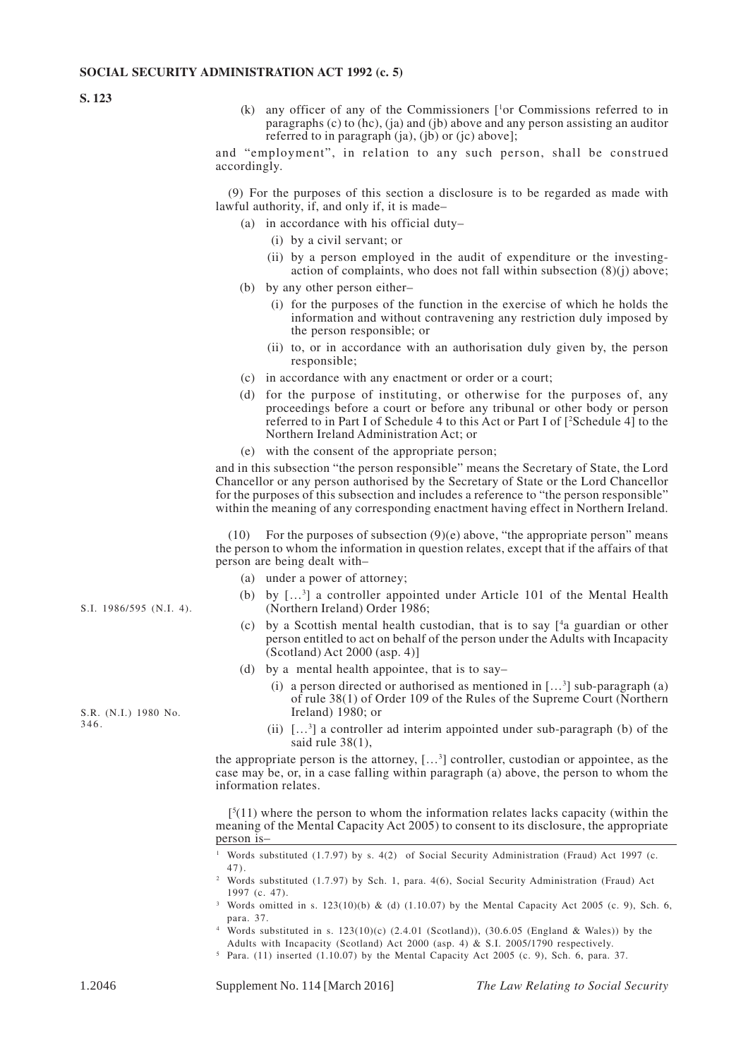**S. 123**

(k) any officer of any of the Commissioners [1 or Commissions referred to in paragraphs  $(c)$  to  $(hc)$ ,  $(ia)$  and  $(ib)$  above and any person assisting an auditor referred to in paragraph (ja), (jb) or (jc) above];

and "employment", in relation to any such person, shall be construed accordingly.

(9) For the purposes of this section a disclosure is to be regarded as made with lawful authority, if, and only if, it is made–

- (a) in accordance with his official duty–
	- (i) by a civil servant; or
	- (ii) by a person employed in the audit of expenditure or the investingaction of complaints, who does not fall within subsection (8)(j) above;
- (b) by any other person either–
	- (i) for the purposes of the function in the exercise of which he holds the information and without contravening any restriction duly imposed by the person responsible; or
	- (ii) to, or in accordance with an authorisation duly given by, the person responsible;
- (c) in accordance with any enactment or order or a court;
- (d) for the purpose of instituting, or otherwise for the purposes of, any proceedings before a court or before any tribunal or other body or person referred to in Part I of Schedule 4 to this Act or Part I of [2 Schedule 4] to the Northern Ireland Administration Act; or
- (e) with the consent of the appropriate person;

and in this subsection "the person responsible" means the Secretary of State, the Lord Chancellor or any person authorised by the Secretary of State or the Lord Chancellor for the purposes of this subsection and includes a reference to "the person responsible" within the meaning of any corresponding enactment having effect in Northern Ireland.

(10) For the purposes of subsection  $(9)(e)$  above, "the appropriate person" means the person to whom the information in question relates, except that if the affairs of that person are being dealt with–

- (a) under a power of attorney;
- (b) by […3 ] a controller appointed under Article 101 of the Mental Health (Northern Ireland) Order 1986;
- (c) by a Scottish mental health custodian, that is to say  $[4a]$  guardian or other person entitled to act on behalf of the person under the Adults with Incapacity  $(Scotland)$  Act 2000 (asp. 4)]
- (d) by a mental health appointee, that is to say–
	- (i) a person directed or authorised as mentioned in  $[...]$  sub-paragraph (a) of rule 38(1) of Order 109 of the Rules of the Supreme Court (Northern Ireland) 1980; or
	- (ii)  $[...]$  a controller ad interim appointed under sub-paragraph (b) of the said rule 38(1).

the appropriate person is the attorney, […3 ] controller, custodian or appointee, as the case may be, or, in a case falling within paragraph (a) above, the person to whom the information relates.

 $[5(11)$  where the person to whom the information relates lacks capacity (within the meaning of the Mental Capacity Act 2005) to consent to its disclosure, the appropriate person is–

- Words substituted (1.7.97) by s. 4(2) of Social Security Administration (Fraud) Act 1997 (c. 47).
- <sup>2</sup> Words substituted (1.7.97) by Sch. 1, para. 4(6), Social Security Administration (Fraud) Act 1997 (c. 47).
- <sup>3</sup> Words omitted in s. 123(10)(b) & (d) (1.10.07) by the Mental Capacity Act 2005 (c. 9), Sch. 6, para. 37.
- Words substituted in s.  $123(10)(c)$  (2.4.01 (Scotland)), (30.6.05 (England & Wales)) by the Adults with Incapacity (Scotland) Act 2000 (asp. 4) & S.I. 2005/1790 respectively.
- $5$  Para. (11) inserted (1.10.07) by the Mental Capacity Act 2005 (c. 9), Sch. 6, para. 37.

S.I. 1986/595 (N.I. 4).

S.R. (N.I.) 1980 No. 346.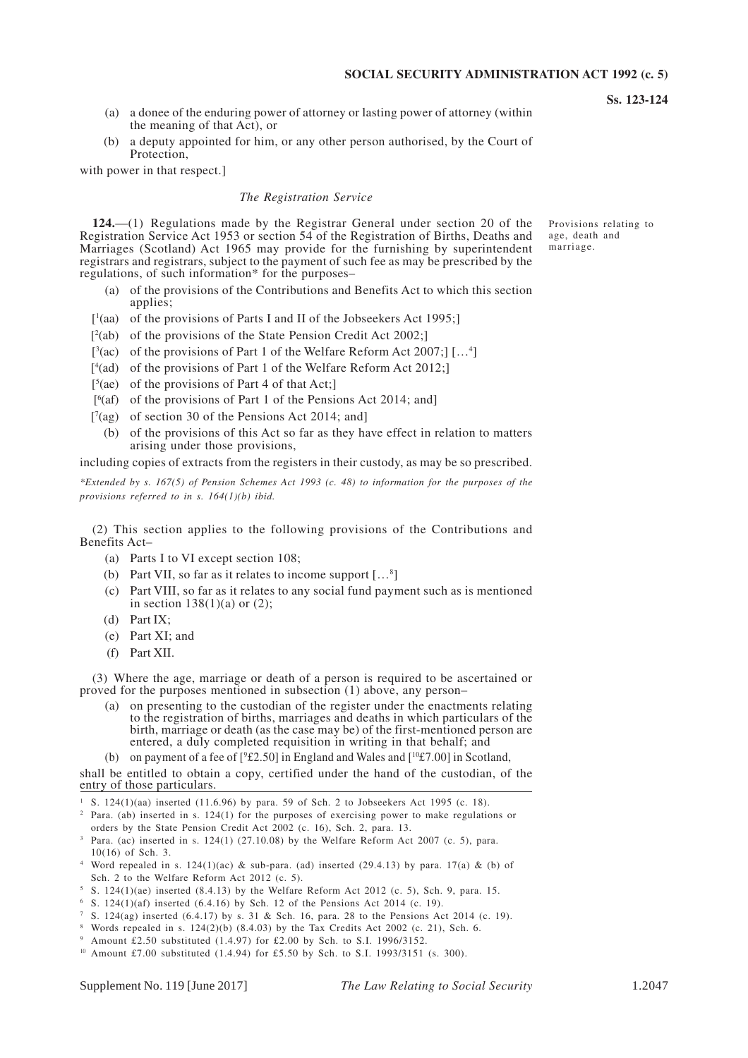- (a) a donee of the enduring power of attorney or lasting power of attorney (within the meaning of that Act), or
- (b) a deputy appointed for him, or any other person authorised, by the Court of Protection,

with power in that respect.]

### *The Registration Service*

**124.**—(1) Regulations made by the Registrar General under section 20 of the Registration Service Act 1953 or section 54 of the Registration of Births, Deaths and Marriages (Scotland) Act 1965 may provide for the furnishing by superintendent registrars and registrars, subject to the payment of such fee as may be prescribed by the regulations, of such information\* for the purposes–

- (a) of the provisions of the Contributions and Benefits Act to which this section applies;
- [<sup>1</sup>(aa) of the provisions of Parts I and II of the Jobseekers Act 1995;]
- [2 (ab) of the provisions of the State Pension Credit Act 2002;]
- $[3(\text{ac})$  of the provisions of Part 1 of the Welfare Reform Act 2007;] [...<sup>4</sup>]
- [ 4 (ad) of the provisions of Part 1 of the Welfare Reform Act 2012;]
- $[5$ (ae) of the provisions of Part 4 of that Act;]
- [<sup>6</sup>(af) of the provisions of Part 1 of the Pensions Act 2014; and]
- [7(ag) of section 30 of the Pensions Act 2014; and]
	- (b) of the provisions of this Act so far as they have effect in relation to matters arising under those provisions,

including copies of extracts from the registers in their custody, as may be so prescribed.

*\*Extended by s. 167(5) of Pension Schemes Act 1993 (c. 48) to information for the purposes of the provisions referred to in s. 164(1)(b) ibid.*

(2) This section applies to the following provisions of the Contributions and Benefits Act–

- (a) Parts I to VI except section 108;
- (b) Part VII, so far as it relates to income support […8 ]
- (c) Part VIII, so far as it relates to any social fund payment such as is mentioned in section  $138(1)(a)$  or  $(2)$ ;
- (d) Part IX;
- (e) Part XI; and
- (f) Part XII.

(3) Where the age, marriage or death of a person is required to be ascertained or proved for the purposes mentioned in subsection (1) above, any person–

- (a) on presenting to the custodian of the register under the enactments relating to the registration of births, marriages and deaths in which particulars of the birth, marriage or death (as the case may be) of the first-mentioned person are entered, a duly completed requisition in writing in that behalf; and
- (b) on payment of a fee of  $[°E2.50]$  in England and Wales and  $[°E7.00]$  in Scotland,

shall be entitled to obtain a copy, certified under the hand of the custodian, of the entry of those particulars.

- <sup>1</sup> S. 124(1)(aa) inserted (11.6.96) by para. 59 of Sch. 2 to Jobseekers Act 1995 (c. 18).
- <sup>2</sup> Para. (ab) inserted in s. 124(1) for the purposes of exercising power to make regulations or orders by the State Pension Credit Act 2002 (c. 16), Sch. 2, para. 13.
- $3$  Para. (ac) inserted in s. 124(1) (27.10.08) by the Welfare Reform Act 2007 (c. 5), para. 10(16) of Sch. 3.
- <sup>4</sup> Word repealed in s. 124(1)(ac) & sub-para. (ad) inserted (29.4.13) by para. 17(a) & (b) of Sch. 2 to the Welfare Reform Act 2012 (c. 5).
- $5$  S. 124(1)(ae) inserted (8.4.13) by the Welfare Reform Act 2012 (c. 5), Sch. 9, para. 15.
- <sup>6</sup> S. 124(1)(af) inserted (6.4.16) by Sch. 12 of the Pensions Act 2014 (c. 19).
- <sup>7</sup> S. 124(ag) inserted (6.4.17) by s. 31 & Sch. 16, para. 28 to the Pensions Act 2014 (c. 19).
- <sup>8</sup> Words repealed in s.  $124(2)(b)$   $(8.4.03)$  by the Tax Credits Act 2002 (c. 21), Sch. 6.
- <sup>9</sup> Amount £2.50 substituted (1.4.97) for £2.00 by Sch. to S.I. 1996/3152.
- <sup>10</sup> Amount £7.00 substituted (1.4.94) for £5.50 by Sch. to S.I. 1993/3151 (s. 300).

Provisions relating to age, death and marriage.

**Ss. 123-124**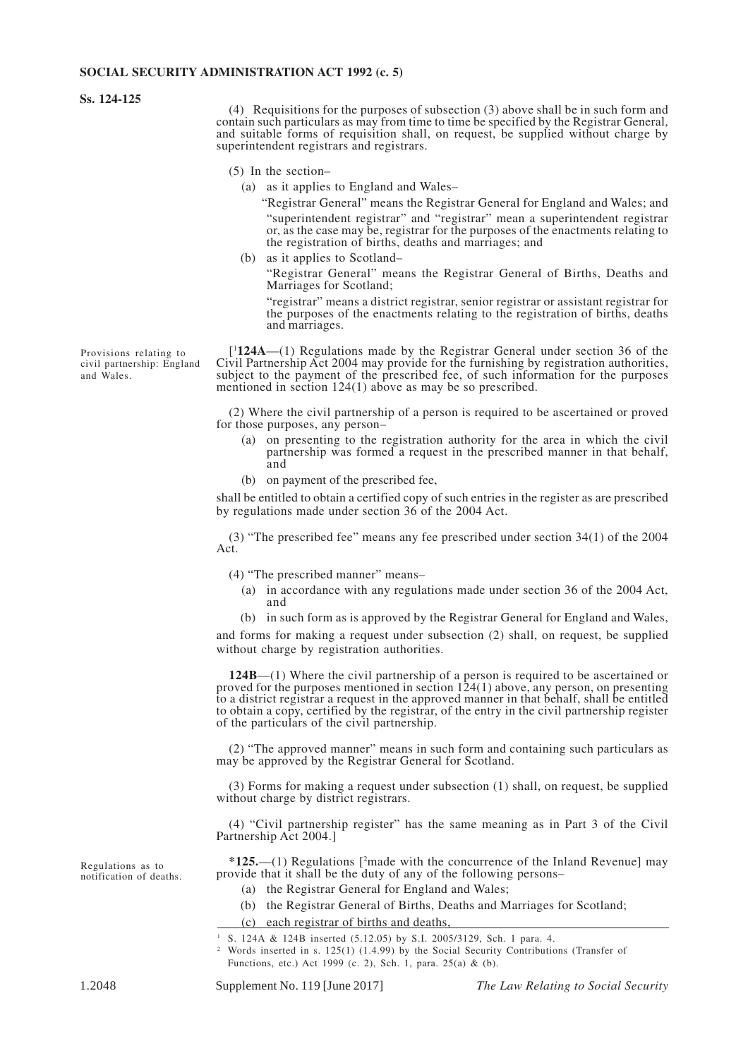### **Ss. 124-125**

Provisions relating to civil partnership: England

and Wales.

(4) Requisitions for the purposes of subsection (3) above shall be in such form and contain such particulars as may from time to time be specified by the Registrar General, and suitable forms of requisition shall, on request, be supplied without charge by superintendent registrars and registrars.

- (5) In the section–
	- (a) as it applies to England and Wales–
		- "Registrar General" means the Registrar General for England and Wales; and "superintendent registrar" and "registrar" mean a superintendent registrar or, as the case may be, registrar for the purposes of the enactments relating to the registration of births, deaths and marriages; and
	- (b) as it applies to Scotland–

"Registrar General" means the Registrar General of Births, Deaths and Marriages for Scotland;

"registrar" means a district registrar, senior registrar or assistant registrar for the purposes of the enactments relating to the registration of births, deaths and marriages.

[1 **124A**—(1) Regulations made by the Registrar General under section 36 of the Civil Partnership Act 2004 may provide for the furnishing by registration authorities, subject to the payment of the prescribed fee, of such information for the purposes mentioned in section 124(1) above as may be so prescribed.

(2) Where the civil partnership of a person is required to be ascertained or proved for those purposes, any person–

- (a) on presenting to the registration authority for the area in which the civil partnership was formed a request in the prescribed manner in that behalf, and
- (b) on payment of the prescribed fee,

shall be entitled to obtain a certified copy of such entries in the register as are prescribed by regulations made under section 36 of the 2004 Act.

(3) "The prescribed fee" means any fee prescribed under section 34(1) of the 2004 Act.

(4) "The prescribed manner" means–

- (a) in accordance with any regulations made under section 36 of the 2004 Act, and
- (b) in such form as is approved by the Registrar General for England and Wales,

and forms for making a request under subsection (2) shall, on request, be supplied without charge by registration authorities.

**124B**—(1) Where the civil partnership of a person is required to be ascertained or proved for the purposes mentioned in section 124(1) above, any person, on presenting to a district registrar a request in the approved manner in that behalf, shall be entitled to obtain a copy, certified by the registrar, of the entry in the civil partnership register of the particulars of the civil partnership.

(2) "The approved manner" means in such form and containing such particulars as may be approved by the Registrar General for Scotland.

(3) Forms for making a request under subsection (1) shall, on request, be supplied without charge by district registrars.

(4) "Civil partnership register" has the same meaning as in Part 3 of the Civil Partnership Act 2004.]

\*125.—(1) Regulations [<sup>2</sup>made with the concurrence of the Inland Revenue] may provide that it shall be the duty of any of the following persons–

- (a) the Registrar General for England and Wales;
- (b) the Registrar General of Births, Deaths and Marriages for Scotland;
- (c) each registrar of births and deaths,

<sup>2</sup> Words inserted in s. 125(1) (1.4.99) by the Social Security Contributions (Transfer of Functions, etc.) Act 1999 (c. 2), Sch. 1, para. 25(a) & (b).

Regulations as to notification of deaths.

S. 124A & 124B inserted (5.12.05) by S.I. 2005/3129, Sch. 1 para. 4.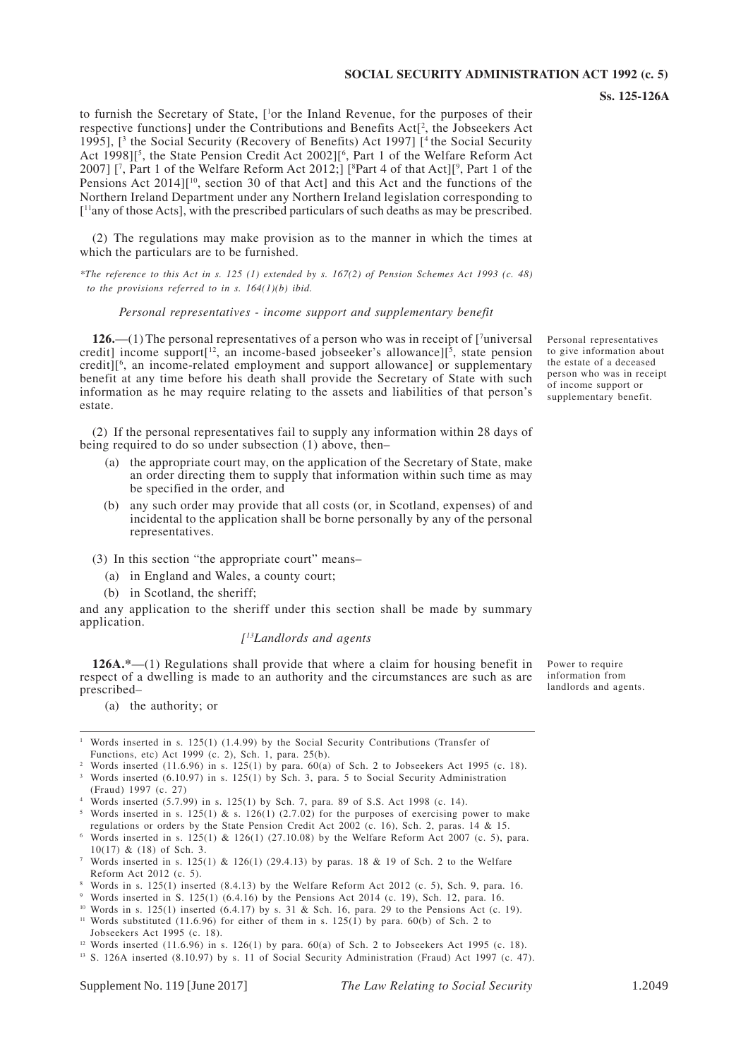**Ss. 125-126A**

to furnish the Secretary of State, [<sup>1</sup>or the Inland Revenue, for the purposes of their respective functions] under the Contributions and Benefits Act[<sup>2</sup>, the Jobseekers Act 1995],  $[3]$  the Social Security (Recovery of Benefits) Act 1997]  $[4]$  the Social Security Act 1998]<sup>[5</sup>, the State Pension Credit Act 2002]<sup>[6</sup>, Part 1 of the Welfare Reform Act 2007] [<sup>7</sup>, Part 1 of the Welfare Reform Act 2012;] [<sup>8</sup>Part 4 of that Act][<sup>9</sup>, Part 1 of the Pensions Act 2014]<sup>[10</sup>, section 30 of that Act] and this Act and the functions of the Northern Ireland Department under any Northern Ireland legislation corresponding to  $[1]$ any of those Acts], with the prescribed particulars of such deaths as may be prescribed.

(2) The regulations may make provision as to the manner in which the times at which the particulars are to be furnished.

*\*The reference to this Act in s. 125 (1) extended by s. 167(2) of Pension Schemes Act 1993 (c. 48) to the provisions referred to in s. 164(1)(b) ibid.*

### *Personal representatives - income support and supplementary benefit*

126. $-$ (1) The personal representatives of a person who was in receipt of [ $7$ universal] credit] income support[12, an income-based jobseeker's allowance][5 , state pension credit]<sup>[6</sup>, an income-related employment and support allowance] or supplementary benefit at any time before his death shall provide the Secretary of State with such information as he may require relating to the assets and liabilities of that person's estate.

(2) If the personal representatives fail to supply any information within 28 days of being required to do so under subsection (1) above, then–

- (a) the appropriate court may, on the application of the Secretary of State, make an order directing them to supply that information within such time as may be specified in the order, and
- (b) any such order may provide that all costs (or, in Scotland, expenses) of and incidental to the application shall be borne personally by any of the personal representatives.
- (3) In this section "the appropriate court" means–
	- (a) in England and Wales, a county court;
	- (b) in Scotland, the sheriff;

and any application to the sheriff under this section shall be made by summary application.

## *[13Landlords and agents*

**126A.\***—(1) Regulations shall provide that where a claim for housing benefit in respect of a dwelling is made to an authority and the circumstances are such as are prescribed–

(a) the authority; or

Personal representatives to give information about the estate of a deceased person who was in receipt of income support or supplementary benefit.

Power to require information from landlords and agents.

<sup>&</sup>lt;sup>1</sup> Words inserted in s. 125(1) (1.4.99) by the Social Security Contributions (Transfer of Functions, etc) Act 1999 (c. 2), Sch. 1, para. 25(b).

<sup>&</sup>lt;sup>2</sup> Words inserted (11.6.96) in s. 125(1) by para. 60(a) of Sch. 2 to Jobseekers Act 1995 (c. 18). <sup>3</sup> Words inserted (6.10.97) in s. 125(1) by Sch. 3, para. 5 to Social Security Administration

<sup>(</sup>Fraud) 1997 (c. 27)

<sup>4</sup> Words inserted (5.7.99) in s. 125(1) by Sch. 7, para. 89 of S.S. Act 1998 (c. 14).

<sup>&</sup>lt;sup>5</sup> Words inserted in s. 125(1) & s. 126(1) (2.7.02) for the purposes of exercising power to make regulations or orders by the State Pension Credit Act 2002 (c. 16), Sch. 2, paras. 14 & 15.

<sup>&</sup>lt;sup>6</sup> Words inserted in s. 125(1) & 126(1) (27.10.08) by the Welfare Reform Act 2007 (c. 5), para. 10(17) & (18) of Sch. 3.

<sup>&</sup>lt;sup>7</sup> Words inserted in s. 125(1) & 126(1) (29.4.13) by paras. 18 & 19 of Sch. 2 to the Welfare Reform Act 2012 (c. 5).

<sup>8</sup> Words in s. 125(1) inserted (8.4.13) by the Welfare Reform Act 2012 (c. 5), Sch. 9, para. 16.

<sup>9</sup> Words inserted in S. 125(1) (6.4.16) by the Pensions Act 2014 (c. 19), Sch. 12, para. 16.

<sup>&</sup>lt;sup>10</sup> Words in s.  $125(1)$  inserted  $(6.4.17)$  by s. 31 & Sch. 16, para. 29 to the Pensions Act (c. 19). <sup>11</sup> Words substituted (11.6.96) for either of them in s.  $125(1)$  by para. 60(b) of Sch. 2 to

Jobseekers Act 1995 (c. 18). <sup>12</sup> Words inserted (11.6.96) in s. 126(1) by para. 60(a) of Sch. 2 to Jobseekers Act 1995 (c. 18).

<sup>&</sup>lt;sup>13</sup> S. 126A inserted (8.10.97) by s. 11 of Social Security Administration (Fraud) Act 1997 (c. 47).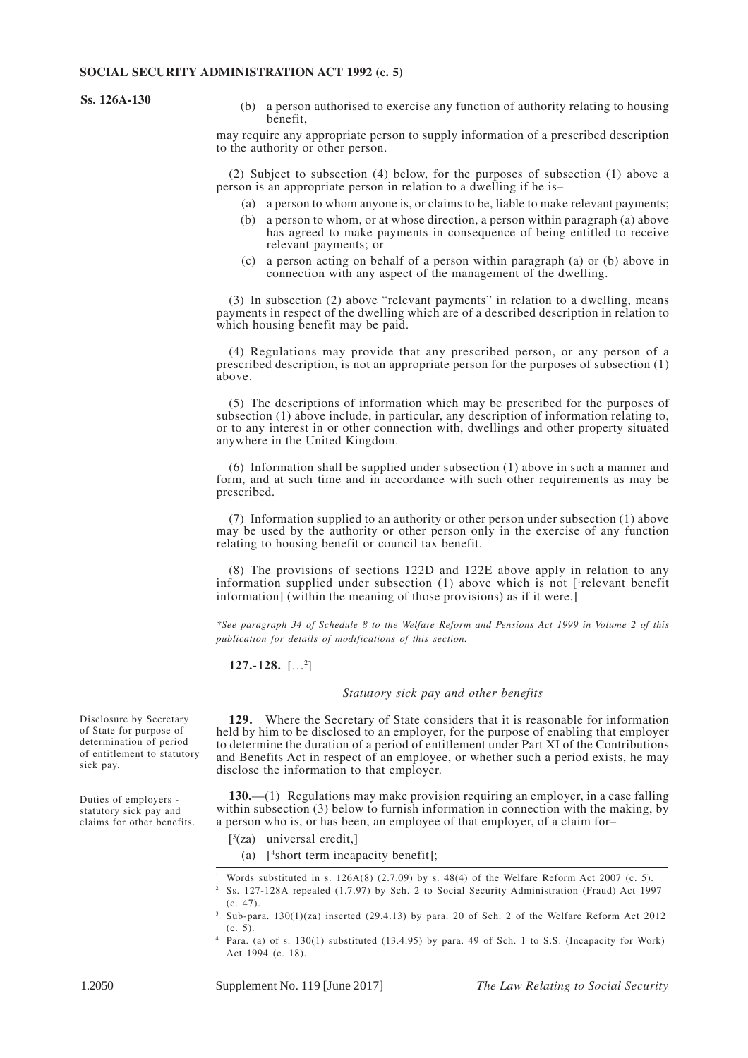**Ss. 126A-130**

(b) a person authorised to exercise any function of authority relating to housing benefit,

may require any appropriate person to supply information of a prescribed description to the authority or other person.

(2) Subject to subsection (4) below, for the purposes of subsection (1) above a person is an appropriate person in relation to a dwelling if he is–

- (a) a person to whom anyone is, or claims to be, liable to make relevant payments;
- (b) a person to whom, or at whose direction, a person within paragraph (a) above has agreed to make payments in consequence of being entitled to receive relevant payments; or
- (c) a person acting on behalf of a person within paragraph (a) or (b) above in connection with any aspect of the management of the dwelling.

(3) In subsection (2) above "relevant payments" in relation to a dwelling, means payments in respect of the dwelling which are of a described description in relation to which housing benefit may be paid.

(4) Regulations may provide that any prescribed person, or any person of a prescribed description, is not an appropriate person for the purposes of subsection (1) above.

(5) The descriptions of information which may be prescribed for the purposes of subsection (1) above include, in particular, any description of information relating to, or to any interest in or other connection with, dwellings and other property situated anywhere in the United Kingdom.

(6) Information shall be supplied under subsection (1) above in such a manner and form, and at such time and in accordance with such other requirements as may be prescribed.

(7) Information supplied to an authority or other person under subsection (1) above may be used by the authority or other person only in the exercise of any function relating to housing benefit or council tax benefit.

(8) The provisions of sections 122D and 122E above apply in relation to any information supplied under subsection (1) above which is not [<sup>1</sup>relevant benefit information] (within the meaning of those provisions) as if it were.]

*\*See paragraph 34 of Schedule 8 to the Welfare Reform and Pensions Act 1999 in Volume 2 of this publication for details of modifications of this section.*

**127.-128.** […2 ]

#### *Statutory sick pay and other benefits*

**129.** Where the Secretary of State considers that it is reasonable for information held by him to be disclosed to an employer, for the purpose of enabling that employer to determine the duration of a period of entitlement under Part XI of the Contributions and Benefits Act in respect of an employee, or whether such a period exists, he may disclose the information to that employer.

**130.**—(1) Regulations may make provision requiring an employer, in a case falling within subsection (3) below to furnish information in connection with the making, by a person who is, or has been, an employee of that employer, of a claim for–

[<sup>3</sup>(za) universal credit,]

(a) [<sup>4</sup>short term incapacity benefit];

- <sup>1</sup> Words substituted in s. 126A(8) (2.7.09) by s. 48(4) of the Welfare Reform Act 2007 (c. 5).<br><sup>2</sup> Ss. 127-128A repealed (1.7.97) by Sch. 2 to Social Security Administration (Fraud) Act 199
- <sup>2</sup> Ss. 127-128A repealed (1.7.97) by Sch. 2 to Social Security Administration (Fraud) Act 1997 (c. 47).

<sup>3</sup> Sub-para. 130(1)(za) inserted (29.4.13) by para. 20 of Sch. 2 of the Welfare Reform Act 2012 (c. 5).

<sup>4</sup> Para. (a) of s. 130(1) substituted (13.4.95) by para. 49 of Sch. 1 to S.S. (Incapacity for Work) Act 1994 (c. 18).

Duties of employers -

statutory sick pay and claims for other benefits.

Disclosure by Secretary of State for purpose of determination of period of entitlement to statutory

sick pay.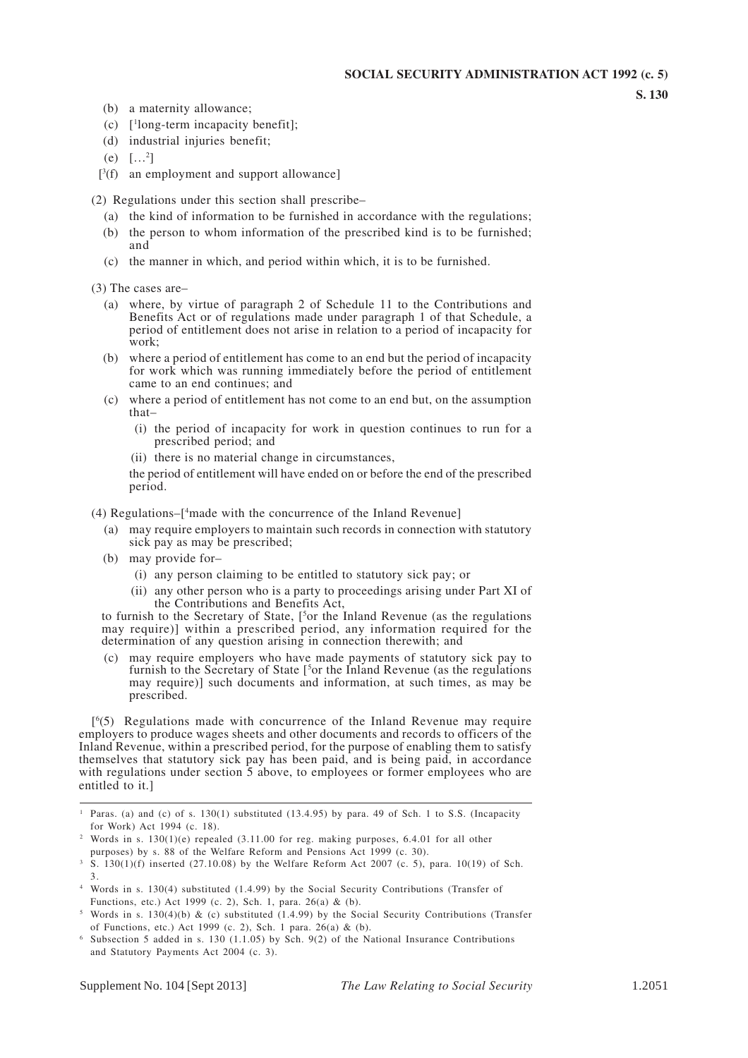**S. 130**

- (b) a maternity allowance;
- (c) [1 long-term incapacity benefit];
- (d) industrial injuries benefit;
- (e)  $[...]$
- [ 3 (f) an employment and support allowance]

(2) Regulations under this section shall prescribe–

- (a) the kind of information to be furnished in accordance with the regulations;
- (b) the person to whom information of the prescribed kind is to be furnished; and
- (c) the manner in which, and period within which, it is to be furnished.

(3) The cases are–

- (a) where, by virtue of paragraph 2 of Schedule 11 to the Contributions and Benefits Act or of regulations made under paragraph 1 of that Schedule, a period of entitlement does not arise in relation to a period of incapacity for work;
- (b) where a period of entitlement has come to an end but the period of incapacity for work which was running immediately before the period of entitlement came to an end continues; and
- (c) where a period of entitlement has not come to an end but, on the assumption that–
	- (i) the period of incapacity for work in question continues to run for a prescribed period; and
	- (ii) there is no material change in circumstances,

the period of entitlement will have ended on or before the end of the prescribed period.

(4) Regulations–[4 made with the concurrence of the Inland Revenue]

- (a) may require employers to maintain such records in connection with statutory sick pay as may be prescribed;
- (b) may provide for–
	- (i) any person claiming to be entitled to statutory sick pay; or
	- (ii) any other person who is a party to proceedings arising under Part XI of the Contributions and Benefits Act,

to furnish to the Secretary of State, [<sup>5</sup>or the Inland Revenue (as the regulations may require)] within a prescribed period, any information required for the determination of any question arising in connection therewith; and

(c) may require employers who have made payments of statutory sick pay to furnish to the Secretary of State [<sup>5</sup>or the Inland Revenue (as the regulations may require)] such documents and information, at such times, as may be prescribed.

[6 (5) Regulations made with concurrence of the Inland Revenue may require employers to produce wages sheets and other documents and records to officers of the Inland Revenue, within a prescribed period, for the purpose of enabling them to satisfy themselves that statutory sick pay has been paid, and is being paid, in accordance with regulations under section 5 above, to employees or former employees who are entitled to it.]

<sup>&</sup>lt;sup>1</sup> Paras. (a) and (c) of s.  $130(1)$  substituted (13.4.95) by para. 49 of Sch. 1 to S.S. (Incapacity for Work) Act 1994 (c. 18).

<sup>&</sup>lt;sup>2</sup> Words in s.  $130(1)(e)$  repealed  $(3.11.00$  for reg. making purposes, 6.4.01 for all other purposes) by s. 88 of the Welfare Reform and Pensions Act 1999 (c. 30).

 $3\overline{S}$ . 130(1)(f) inserted (27.10.08) by the Welfare Reform Act 2007 (c. 5), para. 10(19) of Sch. 3.

<sup>4</sup> Words in s. 130(4) substituted (1.4.99) by the Social Security Contributions (Transfer of Functions, etc.) Act 1999 (c. 2), Sch. 1, para. 26(a) & (b).

<sup>&</sup>lt;sup>5</sup> Words in s. 130(4)(b) & (c) substituted (1.4.99) by the Social Security Contributions (Transfer of Functions, etc.) Act 1999 (c. 2), Sch. 1 para. 26(a) & (b).

 $6$  Subsection 5 added in s. 130 (1.1.05) by Sch. 9(2) of the National Insurance Contributions and Statutory Payments Act 2004 (c. 3).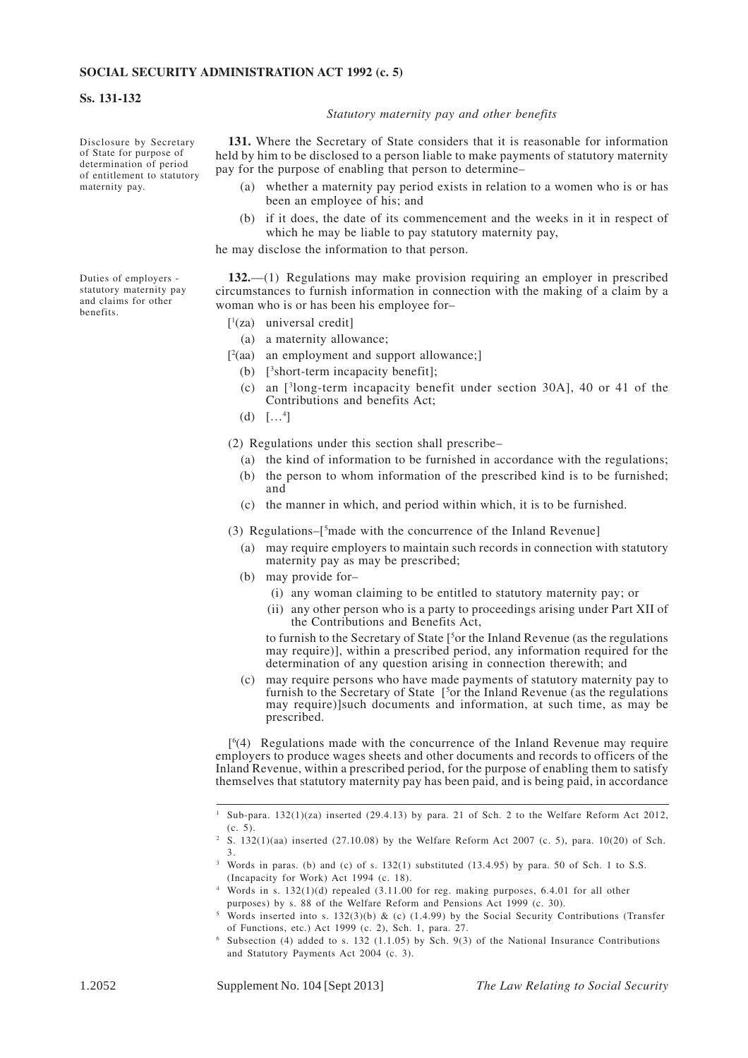### **Ss. 131-132**

Disclosure by Secretary of State for purpose of determination of period of entitlement to statutory maternity pay.

Duties of employers statutory maternity pay and claims for other benefits.

#### *Statutory maternity pay and other benefits*

**131.** Where the Secretary of State considers that it is reasonable for information held by him to be disclosed to a person liable to make payments of statutory maternity pay for the purpose of enabling that person to determine–

- (a) whether a maternity pay period exists in relation to a women who is or has been an employee of his; and
- (b) if it does, the date of its commencement and the weeks in it in respect of which he may be liable to pay statutory maternity pay,

he may disclose the information to that person.

**132.**—(1) Regulations may make provision requiring an employer in prescribed circumstances to furnish information in connection with the making of a claim by a woman who is or has been his employee for–

- [ 1 (za) universal credit]
- (a) a maternity allowance;
- [2 (aa) an employment and support allowance;]
	- (b) [<sup>3</sup>short-term incapacity benefit];
	- (c) an [3 long-term incapacity benefit under section 30A], 40 or 41 of the Contributions and benefits Act;
	- (d)  $[...^4]$

(2) Regulations under this section shall prescribe–

- (a) the kind of information to be furnished in accordance with the regulations;
- (b) the person to whom information of the prescribed kind is to be furnished; and
- (c) the manner in which, and period within which, it is to be furnished.
- (3) Regulations–[5 made with the concurrence of the Inland Revenue]
	- (a) may require employers to maintain such records in connection with statutory maternity pay as may be prescribed;
	- (b) may provide for–
		- (i) any woman claiming to be entitled to statutory maternity pay; or
		- (ii) any other person who is a party to proceedings arising under Part XII of the Contributions and Benefits Act,

to furnish to the Secretary of State [<sup>5</sup>or the Inland Revenue (as the regulations may require)], within a prescribed period, any information required for the determination of any question arising in connection therewith; and

(c) may require persons who have made payments of statutory maternity pay to furnish to the Secretary of State [<sup>5</sup>or the Inland Revenue (as the regulations may require)]such documents and information, at such time, as may be prescribed.

[ 6 (4) Regulations made with the concurrence of the Inland Revenue may require employers to produce wages sheets and other documents and records to officers of the Inland Revenue, within a prescribed period, for the purpose of enabling them to satisfy themselves that statutory maternity pay has been paid, and is being paid, in accordance

- <sup>3</sup> Words in paras. (b) and (c) of s. 132(1) substituted (13.4.95) by para. 50 of Sch. 1 to S.S. (Incapacity for Work) Act 1994 (c. 18).
- Words in s.  $132(1)(d)$  repealed  $(3.11.00$  for reg. making purposes, 6.4.01 for all other purposes) by s. 88 of the Welfare Reform and Pensions Act 1999 (c. 30).
- <sup>5</sup> Words inserted into s. 132(3)(b) & (c) (1.4.99) by the Social Security Contributions (Transfer of Functions, etc.) Act 1999 (c. 2), Sch. 1, para. 27.
- $6$  Subsection (4) added to s. 132 (1.1.05) by Sch. 9(3) of the National Insurance Contributions and Statutory Payments Act 2004 (c. 3).

Sub-para.  $132(1)(z)$  inserted (29.4.13) by para. 21 of Sch. 2 to the Welfare Reform Act 2012, (c. 5).

<sup>2</sup> S. 132(1)(aa) inserted (27.10.08) by the Welfare Reform Act 2007 (c. 5), para. 10(20) of Sch. 3.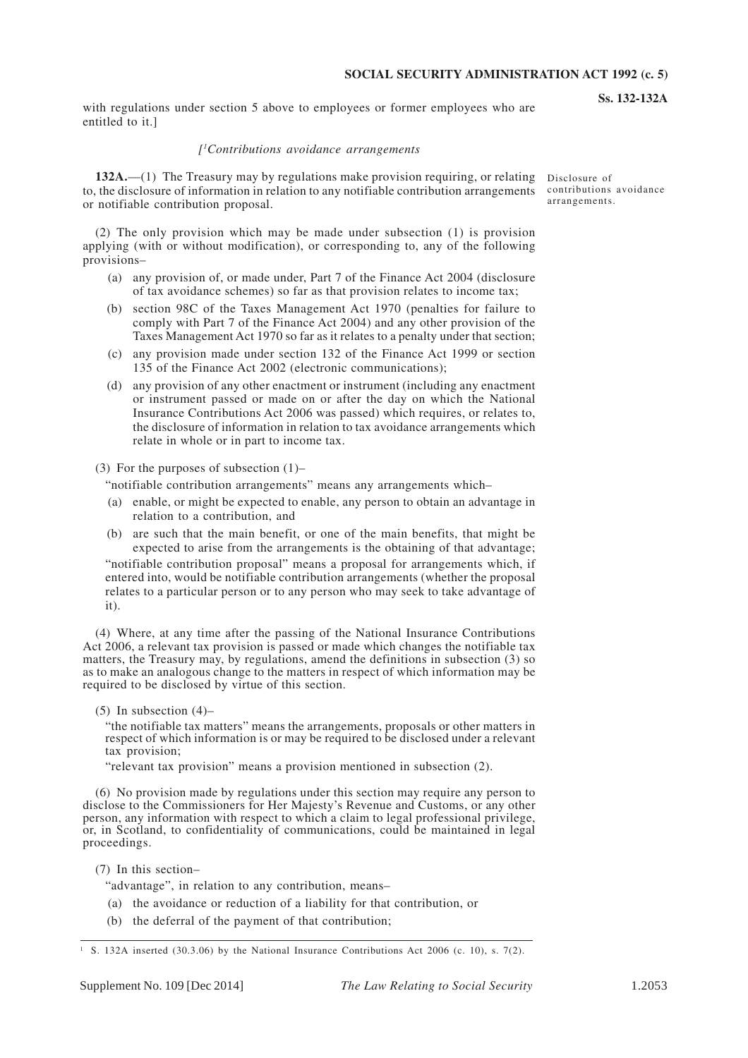with regulations under section 5 above to employees or former employees who are entitled to it.]

## *[1 Contributions avoidance arrangements*

**132A.**—(1) The Treasury may by regulations make provision requiring, or relating to, the disclosure of information in relation to any notifiable contribution arrangements or notifiable contribution proposal.

(2) The only provision which may be made under subsection (1) is provision applying (with or without modification), or corresponding to, any of the following provisions–

- (a) any provision of, or made under, Part 7 of the Finance Act 2004 (disclosure of tax avoidance schemes) so far as that provision relates to income tax;
- (b) section 98C of the Taxes Management Act 1970 (penalties for failure to comply with Part 7 of the Finance Act 2004) and any other provision of the Taxes Management Act 1970 so far as it relates to a penalty under that section;
- (c) any provision made under section 132 of the Finance Act 1999 or section 135 of the Finance Act 2002 (electronic communications);
- (d) any provision of any other enactment or instrument (including any enactment or instrument passed or made on or after the day on which the National Insurance Contributions Act 2006 was passed) which requires, or relates to, the disclosure of information in relation to tax avoidance arrangements which relate in whole or in part to income tax.

(3) For the purposes of subsection  $(1)$ –

"notifiable contribution arrangements" means any arrangements which–

- (a) enable, or might be expected to enable, any person to obtain an advantage in relation to a contribution, and
- (b) are such that the main benefit, or one of the main benefits, that might be expected to arise from the arrangements is the obtaining of that advantage;

"notifiable contribution proposal" means a proposal for arrangements which, if entered into, would be notifiable contribution arrangements (whether the proposal relates to a particular person or to any person who may seek to take advantage of it).

(4) Where, at any time after the passing of the National Insurance Contributions Act 2006, a relevant tax provision is passed or made which changes the notifiable tax matters, the Treasury may, by regulations, amend the definitions in subsection (3) so as to make an analogous change to the matters in respect of which information may be required to be disclosed by virtue of this section.

(5) In subsection (4)–

"the notifiable tax matters" means the arrangements, proposals or other matters in respect of which information is or may be required to be disclosed under a relevant tax provision;

"relevant tax provision" means a provision mentioned in subsection (2).

(6) No provision made by regulations under this section may require any person to disclose to the Commissioners for Her Majesty's Revenue and Customs, or any other person, any information with respect to which a claim to legal professional privilege, or, in Scotland, to confidentiality of communications, could be maintained in legal proceedings.

(7) In this section–

"advantage", in relation to any contribution, means–

- (a) the avoidance or reduction of a liability for that contribution, or
- (b) the deferral of the payment of that contribution;

**Ss. 132-132A**

<sup>&</sup>lt;sup>1</sup> S. 132A inserted (30.3.06) by the National Insurance Contributions Act 2006 (c. 10), s. 7(2).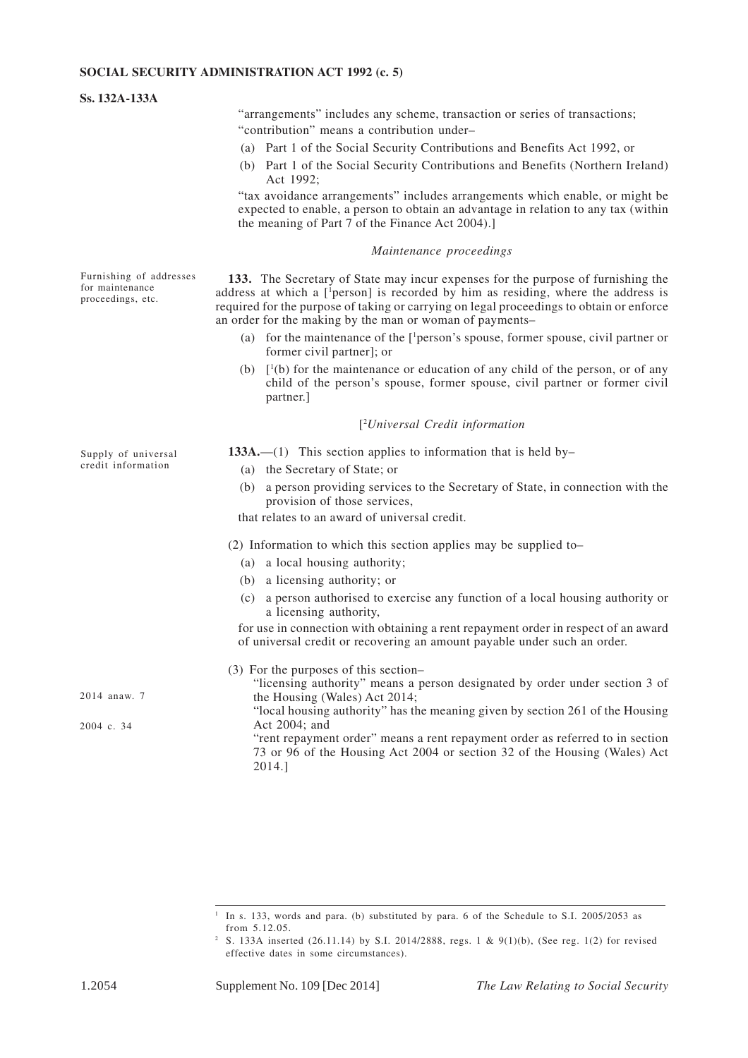### **Ss. 132A-133A**

"arrangements" includes any scheme, transaction or series of transactions; "contribution" means a contribution under–

- (a) Part 1 of the Social Security Contributions and Benefits Act 1992, or
- (b) Part 1 of the Social Security Contributions and Benefits (Northern Ireland) Act 1992;

"tax avoidance arrangements" includes arrangements which enable, or might be expected to enable, a person to obtain an advantage in relation to any tax (within the meaning of Part 7 of the Finance Act 2004).]

### *Maintenance proceedings*

Furnishing of addresses for maintenance proceedings, etc.

**133.** The Secretary of State may incur expenses for the purpose of furnishing the address at which a [<sup>1</sup>person] is recorded by him as residing, where the address is required for the purpose of taking or carrying on legal proceedings to obtain or enforce an order for the making by the man or woman of payments–

- (a) for the maintenance of the [<sup>1</sup>person's spouse, former spouse, civil partner or former civil partner]; or
- (b)  $\lbrack \text{!}(b)$  for the maintenance or education of any child of the person, or of any child of the person's spouse, former spouse, civil partner or former civil partner.]

### [2 *Universal Credit information*

**133A.**—(1) This section applies to information that is held by–

- (a) the Secretary of State; or
- (b) a person providing services to the Secretary of State, in connection with the provision of those services,

that relates to an award of universal credit.

(2) Information to which this section applies may be supplied to–

- (a) a local housing authority;
- (b) a licensing authority; or
- (c) a person authorised to exercise any function of a local housing authority or a licensing authority,

for use in connection with obtaining a rent repayment order in respect of an award of universal credit or recovering an amount payable under such an order.

(3) For the purposes of this section–

"licensing authority" means a person designated by order under section 3 of the Housing (Wales) Act 2014;

"local housing authority" has the meaning given by section 261 of the Housing Act 2004; and

"rent repayment order" means a rent repayment order as referred to in section 73 or 96 of the Housing Act 2004 or section 32 of the Housing (Wales) Act 2014.]

Supply of universal credit information

2014 anaw. 7

2004 c. 34

In s. 133, words and para. (b) substituted by para. 6 of the Schedule to S.I. 2005/2053 as from 5.12.05.

<sup>2</sup> S. 133A inserted (26.11.14) by S.I. 2014/2888, regs. 1 & 9(1)(b), (See reg. 1(2) for revised effective dates in some circumstances).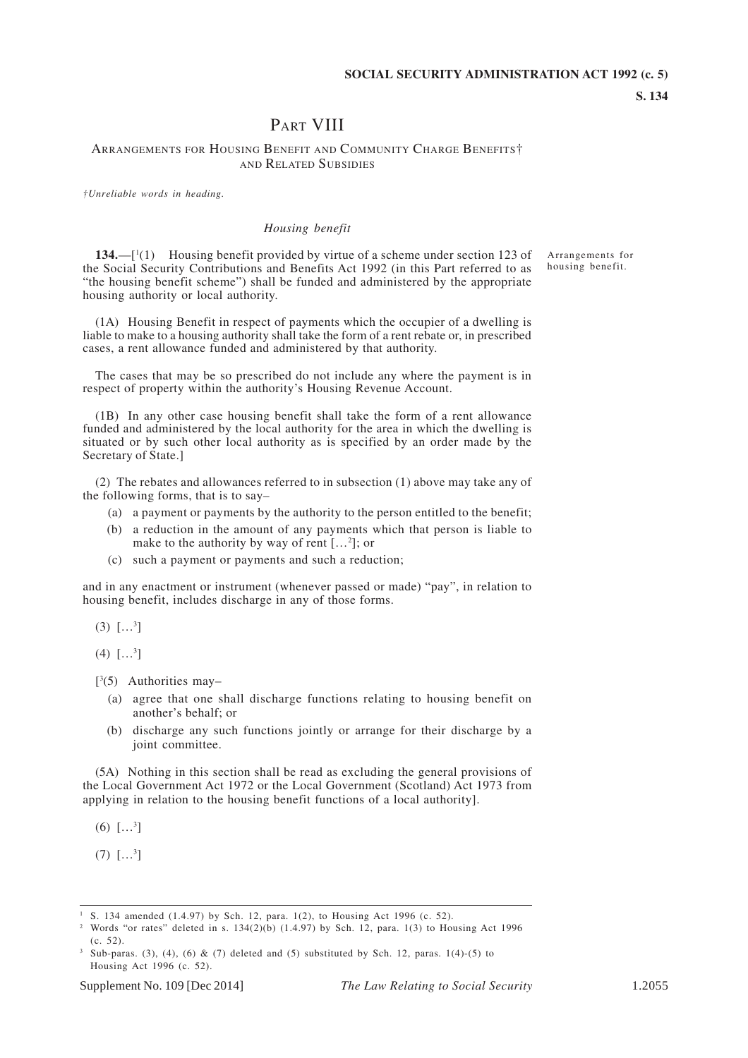### **S. 134**

# PART VIII

## ARRANGEMENTS FOR HOUSING BENEFIT AND COMMUNITY CHARGE BENEFITS† AND RELATED SUBSIDIES

*†Unreliable words in heading.*

### *Housing benefit*

 $134.$   $-[<sup>1</sup>(1)$  Housing benefit provided by virtue of a scheme under section 123 of the Social Security Contributions and Benefits Act 1992 (in this Part referred to as "the housing benefit scheme") shall be funded and administered by the appropriate housing authority or local authority.

Arrangements for housing benefit.

(1A) Housing Benefit in respect of payments which the occupier of a dwelling is liable to make to a housing authority shall take the form of a rent rebate or, in prescribed cases, a rent allowance funded and administered by that authority.

The cases that may be so prescribed do not include any where the payment is in respect of property within the authority's Housing Revenue Account.

(1B) In any other case housing benefit shall take the form of a rent allowance funded and administered by the local authority for the area in which the dwelling is situated or by such other local authority as is specified by an order made by the Secretary of State.]

(2) The rebates and allowances referred to in subsection (1) above may take any of the following forms, that is to say–

- (a) a payment or payments by the authority to the person entitled to the benefit;
- (b) a reduction in the amount of any payments which that person is liable to make to the authority by way of rent […2 ]; or
- (c) such a payment or payments and such a reduction;

and in any enactment or instrument (whenever passed or made) "pay", in relation to housing benefit, includes discharge in any of those forms.

 $(3)$   $[...^3]$ 

 $(4)$   $[...^3]$ 

- $[3(5)$  Authorities may-
	- (a) agree that one shall discharge functions relating to housing benefit on another's behalf; or
	- (b) discharge any such functions jointly or arrange for their discharge by a joint committee.

(5A) Nothing in this section shall be read as excluding the general provisions of the Local Government Act 1972 or the Local Government (Scotland) Act 1973 from applying in relation to the housing benefit functions of a local authority].

 $(6)$   $[...^3]$ 

 $(7)$   $[...^3]$ 

S. 134 amended (1.4.97) by Sch. 12, para. 1(2), to Housing Act 1996 (c. 52).

<sup>&</sup>lt;sup>2</sup> Words "or rates" deleted in s.  $134(2)(b)$  (1.4.97) by Sch. 12, para. 1(3) to Housing Act 1996 (c. 52).

Sub-paras. (3), (4), (6) & (7) deleted and (5) substituted by Sch. 12, paras.  $1(4)-(5)$  to Housing Act 1996 (c. 52).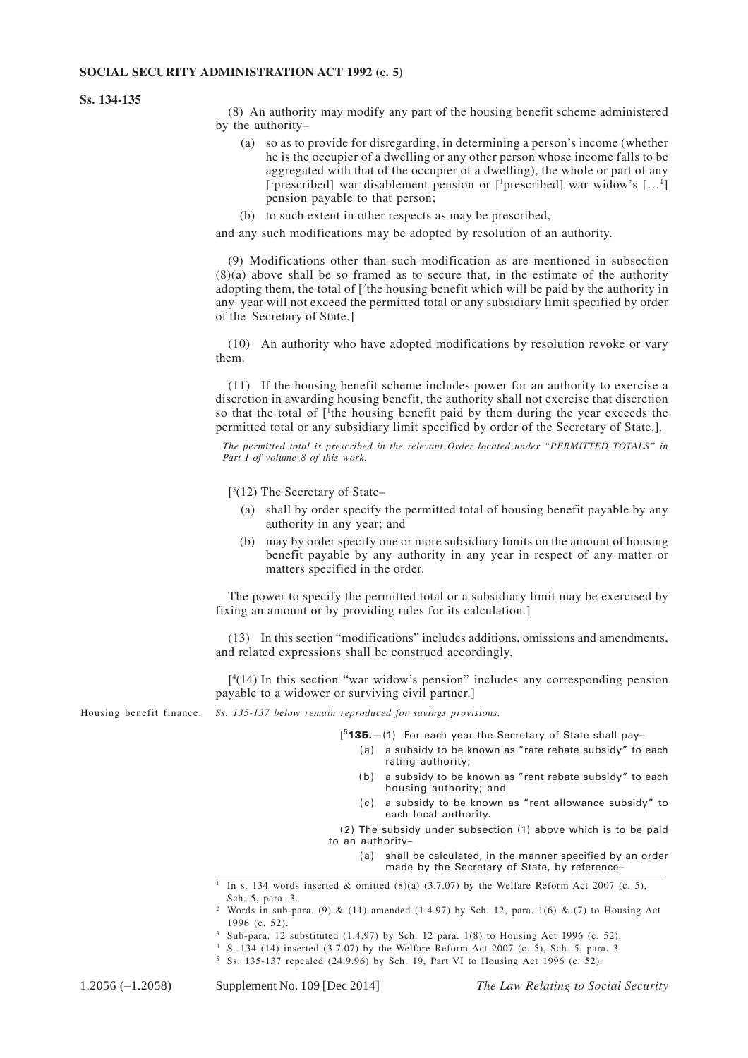### **Ss. 134-135**

- (8) An authority may modify any part of the housing benefit scheme administered by the authority–
	- (a) so as to provide for disregarding, in determining a person's income (whether he is the occupier of a dwelling or any other person whose income falls to be aggregated with that of the occupier of a dwelling), the whole or part of any [<sup>1</sup>prescribed] war disablement pension or [<sup>1</sup>prescribed] war widow's [...<sup>1</sup>] pension payable to that person;
	- (b) to such extent in other respects as may be prescribed,

and any such modifications may be adopted by resolution of an authority.

(9) Modifications other than such modification as are mentioned in subsection (8)(a) above shall be so framed as to secure that, in the estimate of the authority adopting them, the total of [<sup>2</sup>the housing benefit which will be paid by the authority in any year will not exceed the permitted total or any subsidiary limit specified by order of the Secretary of State.]

(10) An authority who have adopted modifications by resolution revoke or vary them.

(11) If the housing benefit scheme includes power for an authority to exercise a discretion in awarding housing benefit, the authority shall not exercise that discretion so that the total of [<sup>1</sup>the housing benefit paid by them during the year exceeds the permitted total or any subsidiary limit specified by order of the Secretary of State.].

*The permitted total is prescribed in the relevant Order located under "PERMITTED TOTALS" in Part I of volume 8 of this work.*

[3 (12) The Secretary of State–

- (a) shall by order specify the permitted total of housing benefit payable by any authority in any year; and
- (b) may by order specify one or more subsidiary limits on the amount of housing benefit payable by any authority in any year in respect of any matter or matters specified in the order.

The power to specify the permitted total or a subsidiary limit may be exercised by fixing an amount or by providing rules for its calculation.]

(13) In this section "modifications" includes additions, omissions and amendments, and related expressions shall be construed accordingly.

[4 (14) In this section "war widow's pension" includes any corresponding pension payable to a widower or surviving civil partner.]

*Ss. 135-137 below remain reproduced for savings provisions.*

Housing benefit finance.

- [ <sup>5</sup>**135.**—(1) For each year the Secretary of State shall pay–
	- (a) a subsidy to be known as "rate rebate subsidy" to each rating authority;
	- (b) a subsidy to be known as "rent rebate subsidy" to each housing authority; and
	- (c) a subsidy to be known as "rent allowance subsidy" to each local authority.

(2) The subsidy under subsection (1) above which is to be paid to an authority–

(a) shall be calculated, in the manner specified by an order made by the Secretary of State, by reference–

In s. 134 words inserted & omitted  $(8)(a)$   $(3.7.07)$  by the Welfare Reform Act 2007 (c. 5), Sch. 5, para. 3.

<sup>2</sup> Words in sub-para. (9) & (11) amended (1.4.97) by Sch. 12, para. 1(6) & (7) to Housing Act 1996 (c. 52).

<sup>3</sup> Sub-para. 12 substituted (1.4.97) by Sch. 12 para. 1(8) to Housing Act 1996 (c. 52).

<sup>4</sup> S. 134 (14) inserted (3.7.07) by the Welfare Reform Act 2007 (c. 5), Sch. 5, para. 3.

<sup>5</sup> Ss. 135-137 repealed (24.9.96) by Sch. 19, Part VI to Housing Act 1996 (c. 52).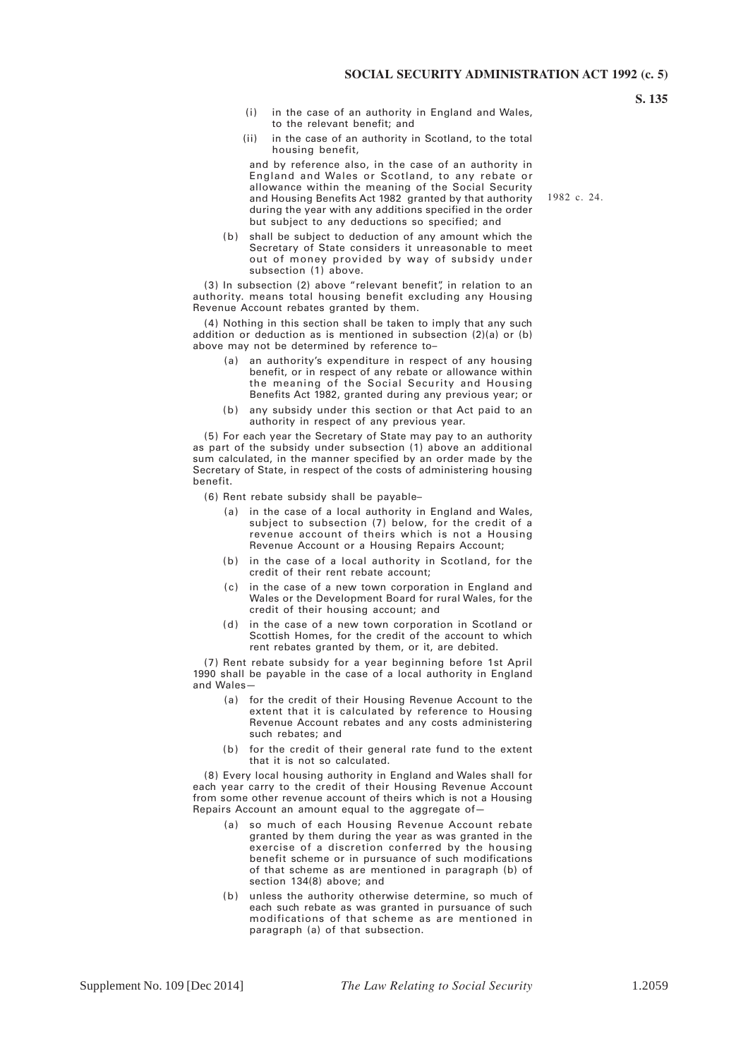- (i) in the case of an authority in England and Wales, to the relevant benefit; and
- (ii) in the case of an authority in Scotland, to the total housing benefit,

and by reference also, in the case of an authority in England and Wales or Scotland, to any rebate or allowance within the meaning of the Social Security and Housing Benefits Act 1982 granted by that authority during the year with any additions specified in the order but subject to any deductions so specified; and

(b) shall be subject to deduction of any amount which the Secretary of State considers it unreasonable to meet out of money provided by way of subsidy under subsection (1) above.

(3) In subsection (2) above "relevant benefit", in relation to an authority. means total housing benefit excluding any Housing Revenue Account rebates granted by them.

(4) Nothing in this section shall be taken to imply that any such addition or deduction as is mentioned in subsection (2)(a) or (b) above may not be determined by reference to–

- (a) an authority's expenditure in respect of any housing benefit, or in respect of any rebate or allowance within the meaning of the Social Security and Housing Benefits Act 1982, granted during any previous year; or
- (b) any subsidy under this section or that Act paid to an authority in respect of any previous year.

(5) For each year the Secretary of State may pay to an authority as part of the subsidy under subsection (1) above an additional sum calculated, in the manner specified by an order made by the Secretary of State, in respect of the costs of administering housing benefit.

(6) Rent rebate subsidy shall be payable–

- (a) in the case of a local authority in England and Wales, subject to subsection (7) below, for the credit of a revenue account of theirs which is not a Housing Revenue Account or a Housing Repairs Account;
- (b) in the case of a local authority in Scotland, for the credit of their rent rebate account;
- (c) in the case of a new town corporation in England and Wales or the Development Board for rural Wales, for the credit of their housing account; and
- (d) in the case of a new town corporation in Scotland or Scottish Homes, for the credit of the account to which rent rebates granted by them, or it, are debited.

(7) Rent rebate subsidy for a year beginning before 1st April 1990 shall be payable in the case of a local authority in England and Wales—

- (a) for the credit of their Housing Revenue Account to the extent that it is calculated by reference to Housing Revenue Account rebates and any costs administering such rebates; and
- (b) for the credit of their general rate fund to the extent that it is not so calculated.

(8) Every local housing authority in England and Wales shall for each year carry to the credit of their Housing Revenue Account from some other revenue account of theirs which is not a Housing Repairs Account an amount equal to the aggregate of—

- (a) so much of each Housing Revenue Account rebate granted by them during the year as was granted in the exercise of a discretion conferred by the housing benefit scheme or in pursuance of such modifications of that scheme as are mentioned in paragraph (b) of section 134(8) above; and
- (b) unless the authority otherwise determine, so much of each such rebate as was granted in pursuance of such modifications of that scheme as are mentioned in paragraph (a) of that subsection.

1982 c. 24.

**S. 135**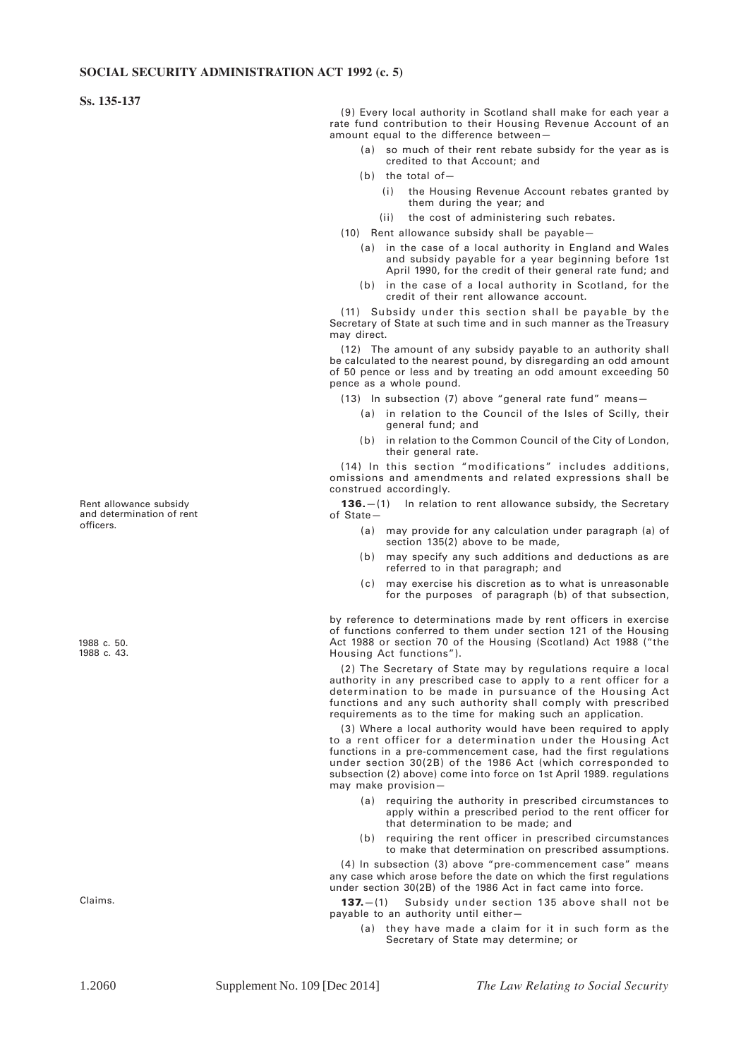**Ss. 135-137**

Rent allowance subsidy and determination of rent

officers.

1988 c. 50. 1988 c. 43.

Claims.

(9) Every local authority in Scotland shall make for each year a rate fund contribution to their Housing Revenue Account of an amount equal to the difference between—

- (a) so much of their rent rebate subsidy for the year as is credited to that Account; and
- $(h)$  the total of
	- (i) the Housing Revenue Account rebates granted by them during the year; and
	- (ii) the cost of administering such rebates.
- (10) Rent allowance subsidy shall be payable—
	- (a) in the case of a local authority in England and Wales and subsidy payable for a year beginning before 1st April 1990, for the credit of their general rate fund; and
	- (b) in the case of a local authority in Scotland, for the credit of their rent allowance account.

(11) Subsidy under this section shall be payable by the Secretary of State at such time and in such manner as the Treasury may direct.

(12) The amount of any subsidy payable to an authority shall be calculated to the nearest pound, by disregarding an odd amount of 50 pence or less and by treating an odd amount exceeding 50 pence as a whole pound.

(13) In subsection (7) above "general rate fund" means—

- (a) in relation to the Council of the Isles of Scilly, their general fund; and
- (b) in relation to the Common Council of the City of London, their general rate.

(14) In this section "modifications" includes additions, omissions and amendments and related expressions shall be construed accordingly.

**136.**—(1) In relation to rent allowance subsidy, the Secretary of State—

- (a) may provide for any calculation under paragraph (a) of section 135(2) above to be made,
- (b) may specify any such additions and deductions as are referred to in that paragraph; and
- (c) may exercise his discretion as to what is unreasonable for the purposes of paragraph (b) of that subsection,

by reference to determinations made by rent officers in exercise of functions conferred to them under section 121 of the Housing Act 1988 or section 70 of the Housing (Scotland) Act 1988 ("the Housing Act functions").

(2) The Secretary of State may by regulations require a local authority in any prescribed case to apply to a rent officer for a determination to be made in pursuance of the Housing Act functions and any such authority shall comply with prescribed requirements as to the time for making such an application.

(3) Where a local authority would have been required to apply to a rent officer for a determination under the Housing Act functions in a pre-commencement case, had the first regulations under section 30(2B) of the 1986 Act (which corresponded to subsection (2) above) come into force on 1st April 1989. regulations may make provision—

- (a) requiring the authority in prescribed circumstances to apply within a prescribed period to the rent officer for that determination to be made; and
- (b) requiring the rent officer in prescribed circumstances to make that determination on prescribed assumptions.

(4) In subsection (3) above "pre-commencement case" means any case which arose before the date on which the first regulations under section 30(2B) of the 1986 Act in fact came into force.

**137.**—(1) Subsidy under section 135 above shall not be payable to an authority until either—

(a) they have made a claim for it in such form as the Secretary of State may determine; or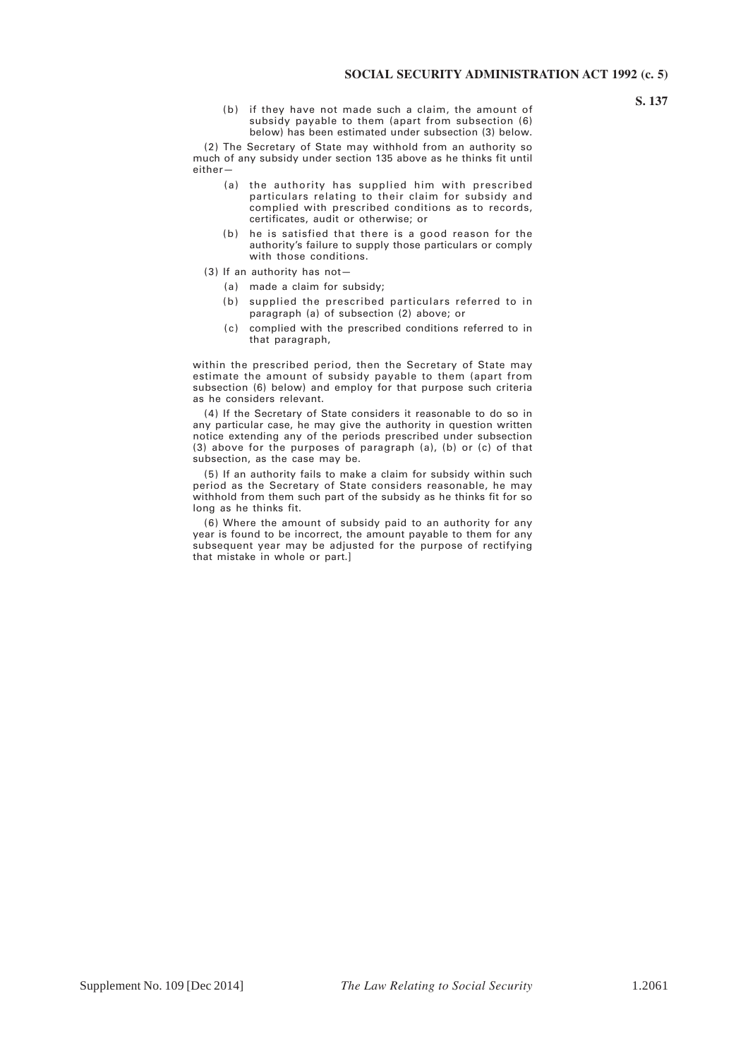(b) if they have not made such a claim, the amount of subsidy payable to them (apart from subsection (6) below) has been estimated under subsection (3) below.

(2) The Secretary of State may withhold from an authority so much of any subsidy under section 135 above as he thinks fit until either—

- (a) the authority has supplied him with prescribed particulars relating to their claim for subsidy and complied with prescribed conditions as to records, certificates, audit or otherwise; or
- (b) he is satisfied that there is a good reason for the authority's failure to supply those particulars or comply with those conditions.
- (3) If an authority has not—
	- (a) made a claim for subsidy;
	- (b) supplied the prescribed particulars referred to in paragraph (a) of subsection (2) above; or
	- (c) complied with the prescribed conditions referred to in that paragraph,

within the prescribed period, then the Secretary of State may estimate the amount of subsidy payable to them (apart from subsection (6) below) and employ for that purpose such criteria as he considers relevant.

(4) If the Secretary of State considers it reasonable to do so in any particular case, he may give the authority in question written notice extending any of the periods prescribed under subsection (3) above for the purposes of paragraph (a), (b) or (c) of that subsection, as the case may be.

(5) If an authority fails to make a claim for subsidy within such period as the Secretary of State considers reasonable, he may withhold from them such part of the subsidy as he thinks fit for so long as he thinks fit.

(6) Where the amount of subsidy paid to an authority for any year is found to be incorrect, the amount payable to them for any subsequent year may be adjusted for the purpose of rectifying that mistake in whole or part.]

**S. 137**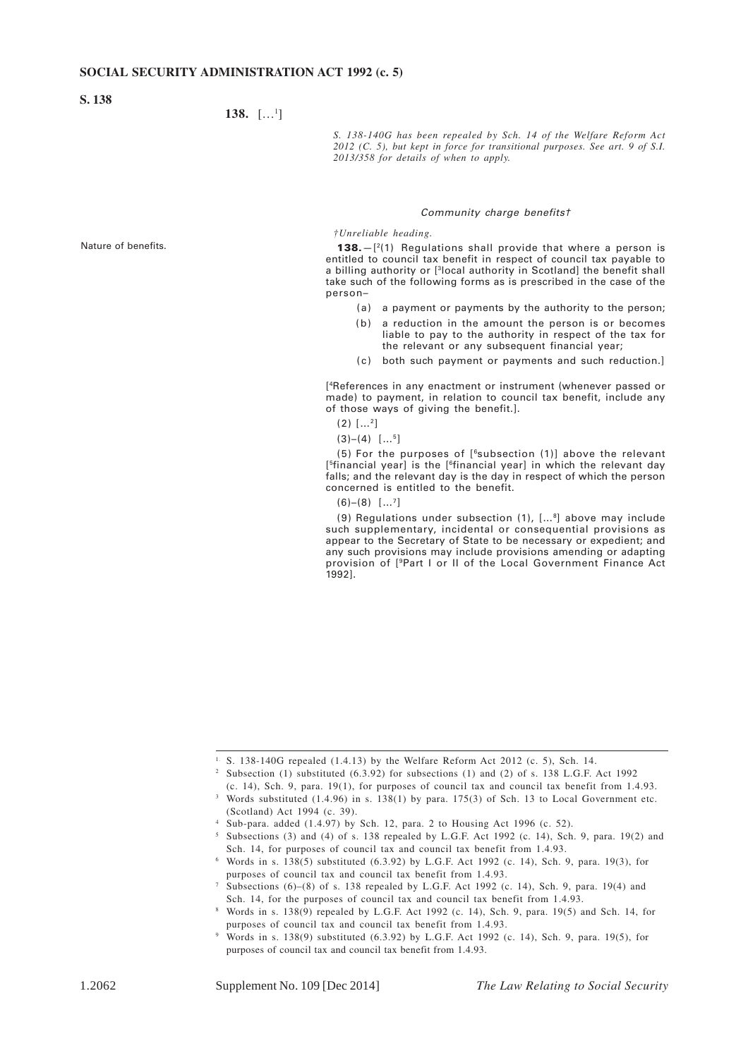**138.** […1 ]

*S. 138-140G has been repealed by Sch. 14 of the Welfare Reform Act 2012 (C. 5), but kept in force for transitional purposes. See art. 9 of S.I. 2013/358 for details of when to apply.*

### Community charge benefitst

*†Unreliable heading.*

**138.**—[2(1) Regulations shall provide that where a person is entitled to council tax benefit in respect of council tax payable to a billing authority or [3local authority in Scotland] the benefit shall take such of the following forms as is prescribed in the case of the person–

- (a) a payment or payments by the authority to the person;
- (b) a reduction in the amount the person is or becomes liable to pay to the authority in respect of the tax for the relevant or any subsequent financial year;
- (c) both such payment or payments and such reduction.]

[4References in any enactment or instrument (whenever passed or made) to payment, in relation to council tax benefit, include any of those ways of giving the benefit.].

- $(2)$   $\left[ \dots^2 \right]$
- $(3)-(4)$  [...<sup>5</sup>]

(5) For the purposes of [6subsection (1)] above the relevant [<sup>5</sup>financial year] is the [<sup>6</sup>financial year] in which the relevant day falls; and the relevant day is the day in respect of which the person concerned is entitled to the benefit.

 $(6)-(8)$  […<sup>7</sup>]

(9) Regulations under subsection (1), […8] above may include such supplementary, incidental or consequential provisions as appear to the Secretary of State to be necessary or expedient; and any such provisions may include provisions amending or adapting provision of [9Part I or II of the Local Government Finance Act 1992].

Nature of benefits.

**S. 138**

<sup>1.</sup> S. 138-140G repealed (1.4.13) by the Welfare Reform Act 2012 (c. 5), Sch. 14.

<sup>2</sup> Subsection (1) substituted (6.3.92) for subsections (1) and (2) of s. 138 L.G.F. Act 1992 (c. 14), Sch. 9, para. 19(1), for purposes of council tax and council tax benefit from 1.4.93.

<sup>3</sup> Words substituted (1.4.96) in s. 138(1) by para. 175(3) of Sch. 13 to Local Government etc. (Scotland) Act 1994 (c. 39).

<sup>4</sup> Sub-para. added (1.4.97) by Sch. 12, para. 2 to Housing Act 1996 (c. 52).

<sup>5</sup> Subsections (3) and (4) of s. 138 repealed by L.G.F. Act 1992 (c. 14), Sch. 9, para. 19(2) and Sch. 14, for purposes of council tax and council tax benefit from 1.4.93.

<sup>&</sup>lt;sup>6</sup> Words in s.  $138(5)$  substituted (6.3.92) by L.G.F. Act 1992 (c. 14), Sch. 9, para. 19(3), for purposes of council tax and council tax benefit from 1.4.93.

<sup>7</sup> Subsections (6)–(8) of s. 138 repealed by L.G.F. Act 1992 (c. 14), Sch. 9, para. 19(4) and Sch. 14, for the purposes of council tax and council tax benefit from 1.4.93.

<sup>8</sup> Words in s. 138(9) repealed by L.G.F. Act 1992 (c. 14), Sch. 9, para. 19(5) and Sch. 14, for purposes of council tax and council tax benefit from 1.4.93.

<sup>9</sup> Words in s. 138(9) substituted (6.3.92) by L.G.F. Act 1992 (c. 14), Sch. 9, para. 19(5), for purposes of council tax and council tax benefit from 1.4.93.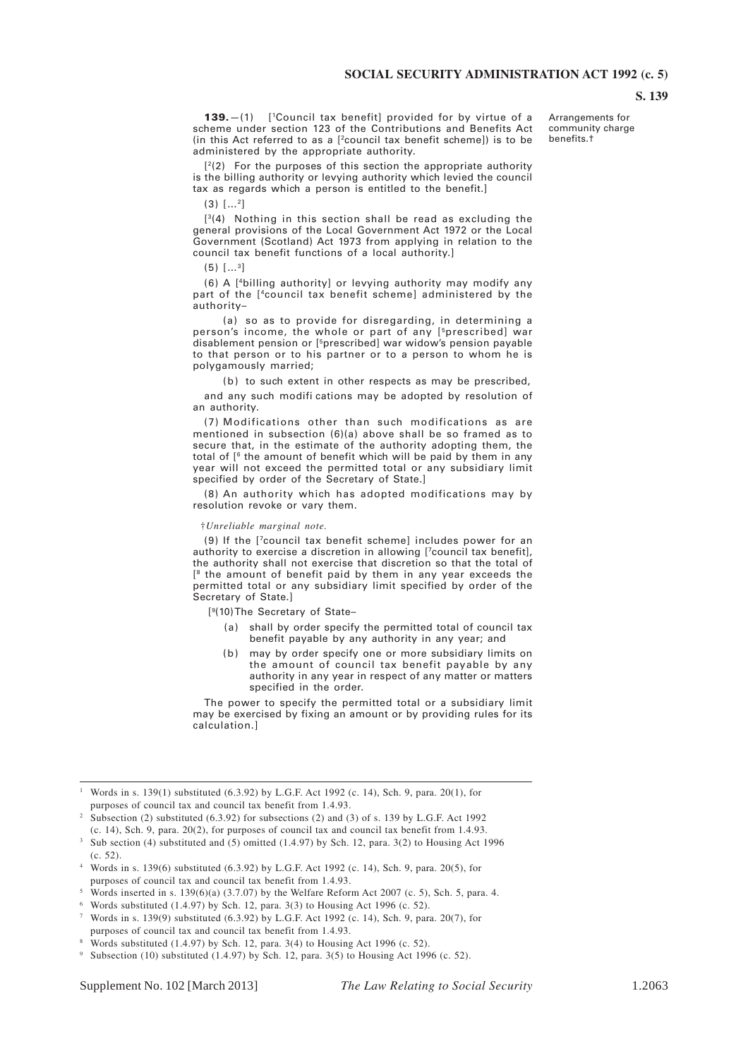**139.**—(1) [1Council tax benefit] provided for by virtue of a scheme under section 123 of the Contributions and Benefits Act (in this Act referred to as a [2council tax benefit scheme]) is to be administered by the appropriate authority.

Arrangements for community charge benefits.†

**S. 139**

 $[2(2)$  For the purposes of this section the appropriate authority is the billing authority or levying authority which levied the council tax as regards which a person is entitled to the benefit.]

(3) […2]

 $[3(4)$  Nothing in this section shall be read as excluding the general provisions of the Local Government Act 1972 or the Local Government (Scotland) Act 1973 from applying in relation to the council tax benefit functions of a local authority.]

(5) […3]

(6) A [4billing authority] or levying authority may modify any part of the [<sup>4</sup>council tax benefit scheme] administered by the authority–

(a) so as to provide for disregarding, in determining a person's income, the whole or part of any [<sup>5</sup>prescribed] war disablement pension or [5prescribed] war widow's pension payable to that person or to his partner or to a person to whom he is polygamously married;

(b) to such extent in other respects as may be prescribed, and any such modifi cations may be adopted by resolution of an authority.

(7) Modifications other than such modifications as are mentioned in subsection (6)(a) above shall be so framed as to secure that, in the estimate of the authority adopting them, the total of [6 the amount of benefit which will be paid by them in any year will not exceed the permitted total or any subsidiary limit specified by order of the Secretary of State.]

(8) An authority which has adopted modifications may by resolution revoke or vary them.

#### †*Unreliable marginal note.*

(9) If the [7council tax benefit scheme] includes power for an authority to exercise a discretion in allowing ['council tax benefit], the authority shall not exercise that discretion so that the total of  $[8$  the amount of benefit paid by them in any year exceeds the permitted total or any subsidiary limit specified by order of the Secretary of State.]

[9(10)The Secretary of State–

- (a) shall by order specify the permitted total of council tax benefit payable by any authority in any year; and
- (b) may by order specify one or more subsidiary limits on the amount of council tax benefit payable by any authority in any year in respect of any matter or matters specified in the order.

The power to specify the permitted total or a subsidiary limit may be exercised by fixing an amount or by providing rules for its calculation.]

<sup>3</sup> Sub section (4) substituted and (5) omitted (1.4.97) by Sch. 12, para. 3(2) to Housing Act 1996 (c. 52).

- <sup>5</sup> Words inserted in s. 139(6)(a) (3.7.07) by the Welfare Reform Act 2007 (c. 5), Sch. 5, para. 4.
- <sup>6</sup> Words substituted (1.4.97) by Sch. 12, para. 3(3) to Housing Act 1996 (c. 52).
- <sup>7</sup> Words in s. 139(9) substituted (6.3.92) by L.G.F. Act 1992 (c. 14), Sch. 9, para. 20(7), for purposes of council tax and council tax benefit from 1.4.93.
- Words substituted  $(1.4.97)$  by Sch. 12, para. 3(4) to Housing Act 1996 (c. 52).
- <sup>9</sup> Subsection (10) substituted (1.4.97) by Sch. 12, para. 3(5) to Housing Act 1996 (c. 52).

<sup>&</sup>lt;sup>1</sup> Words in s. 139(1) substituted (6.3.92) by L.G.F. Act 1992 (c. 14), Sch. 9, para. 20(1), for purposes of council tax and council tax benefit from 1.4.93.

<sup>2</sup> Subsection (2) substituted (6.3.92) for subsections (2) and (3) of s. 139 by L.G.F. Act 1992 (c. 14), Sch. 9, para. 20(2), for purposes of council tax and council tax benefit from 1.4.93.

<sup>4</sup> Words in s. 139(6) substituted (6.3.92) by L.G.F. Act 1992 (c. 14), Sch. 9, para. 20(5), for purposes of council tax and council tax benefit from 1.4.93.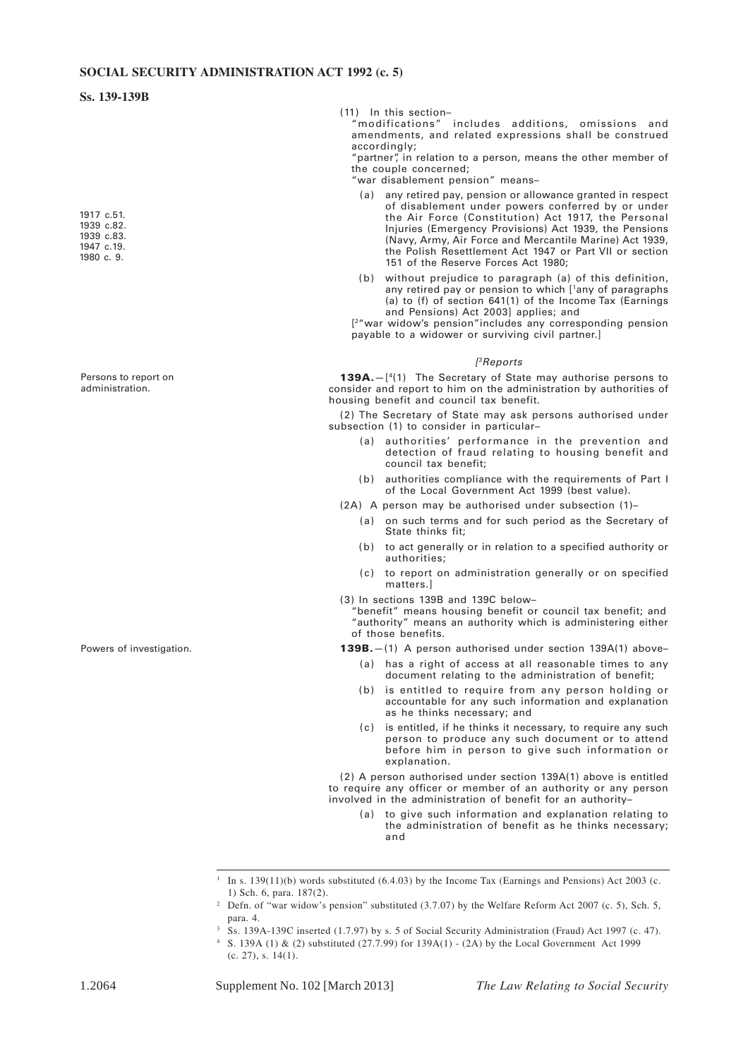### **Ss. 139-139B**

1917 c.51. 1939 c.82. 1939 c.83. 1947 c.19. 1980 c. 9.

Persons to report on administration.

Powers of investigation.

(11) In this section–

"modifications" includes additions, omissions and amendments, and related expressions shall be construed accordingly;

"partner", in relation to a person, means the other member of the couple concerned;

"war disablement pension" means–

- (a) any retired pay, pension or allowance granted in respect of disablement under powers conferred by or under the Air Force (Constitution) Act 1917, the Personal Injuries (Emergency Provisions) Act 1939, the Pensions (Navy, Army, Air Force and Mercantile Marine) Act 1939, the Polish Resettlement Act 1947 or Part VII or section 151 of the Reserve Forces Act 1980;
- (b) without prejudice to paragraph (a) of this definition, any retired pay or pension to which [1any of paragraphs (a) to (f) of section 641(1) of the Income Tax (Earnings and Pensions) Act 2003] applies; and

[2"war widow's pension"includes any corresponding pension payable to a widower or surviving civil partner.]

#### [ <sup>3</sup>Reports

**139A.** - [4(1) The Secretary of State may authorise persons to consider and report to him on the administration by authorities of housing benefit and council tax benefit.

(2) The Secretary of State may ask persons authorised under subsection (1) to consider in particular–

- (a) authorities' performance in the prevention and detection of fraud relating to housing benefit and council tax benefit;
- (b) authorities compliance with the requirements of Part I of the Local Government Act 1999 (best value).
- (2A) A person may be authorised under subsection (1)–
	- (a) on such terms and for such period as the Secretary of State thinks fit;
	- (b) to act generally or in relation to a specified authority or authorities;
	- (c) to report on administration generally or on specified matters.]
- (3) In sections 139B and 139C below–

"benefit" means housing benefit or council tax benefit; and "authority" means an authority which is administering either of those benefits.

- **139B.**—(1) A person authorised under section 139A(1) above–
	- (a) has a right of access at all reasonable times to any document relating to the administration of benefit;
	- (b) is entitled to require from any person holding or accountable for any such information and explanation as he thinks necessary; and
	- (c) is entitled, if he thinks it necessary, to require any such person to produce any such document or to attend before him in person to give such information or explanation.

(2) A person authorised under section 139A(1) above is entitled to require any officer or member of an authority or any person involved in the administration of benefit for an authority–

to give such information and explanation relating to the administration of benefit as he thinks necessary; and

<sup>&</sup>lt;sup>1</sup> In s. 139(11)(b) words substituted (6.4.03) by the Income Tax (Earnings and Pensions) Act 2003 (c. 1) Sch. 6, para. 187(2).

<sup>2</sup> Defn. of "war widow's pension" substituted (3.7.07) by the Welfare Reform Act 2007 (c. 5), Sch. 5, para. 4.

<sup>3</sup> Ss. 139A-139C inserted (1.7.97) by s. 5 of Social Security Administration (Fraud) Act 1997 (c. 47).

<sup>4</sup> S. 139A (1) & (2) substituted (27.7.99) for 139A(1) - (2A) by the Local Government Act 1999  $(c. 27)$ , s.  $14(1)$ .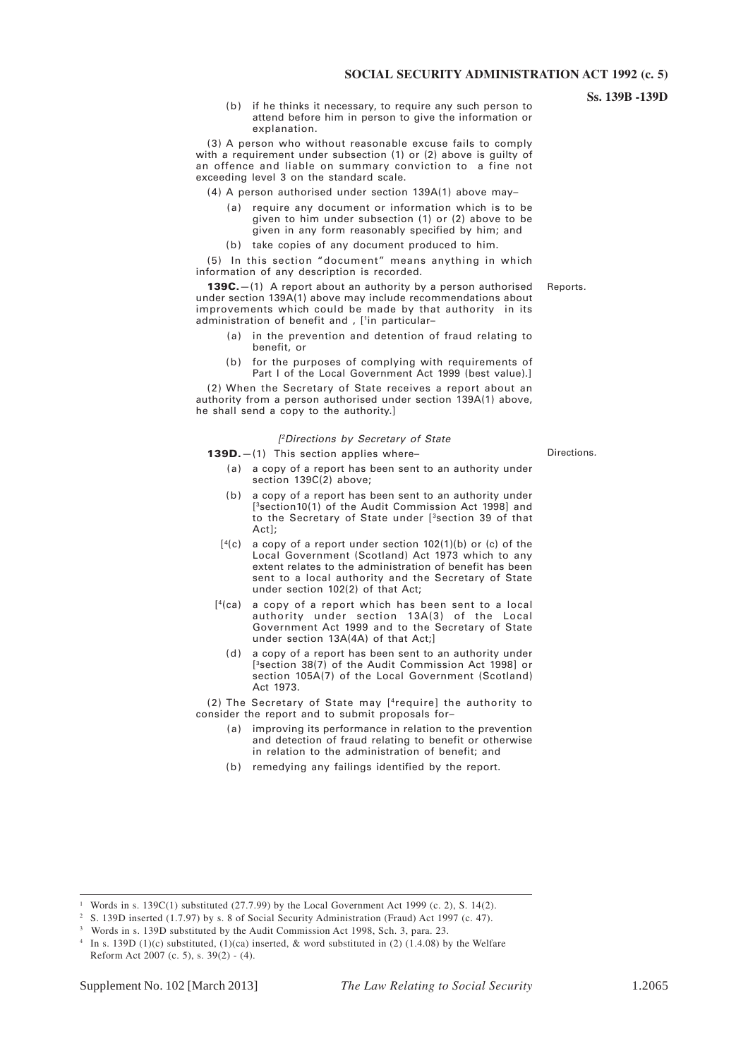**Ss. 139B -139D**

(b) if he thinks it necessary, to require any such person to attend before him in person to give the information or explanation.

(3) A person who without reasonable excuse fails to comply with a requirement under subsection (1) or (2) above is guilty of an offence and liable on summary conviction to a fine not exceeding level 3 on the standard scale.

(4) A person authorised under section 139A(1) above may–

- (a) require any document or information which is to be given to him under subsection (1) or (2) above to be given in any form reasonably specified by him; and
- (b) take copies of any document produced to him.

(5) In this section "document" means anything in which information of any description is recorded.

**139C.**—(1) A report about an authority by a person authorised under section 139A(1) above may include recommendations about improvements which could be made by that authority in its administration of benefit and , ['in particular-

- (a) in the prevention and detention of fraud relating to benefit, or
- (b) for the purposes of complying with requirements of Part I of the Local Government Act 1999 (best value).]

(2) When the Secretary of State receives a report about an authority from a person authorised under section 139A(1) above, he shall send a copy to the authority.]

#### [ <sup>2</sup>Directions by Secretary of State

139D. - (1) This section applies where-

Directions.

Reports.

- (a) a copy of a report has been sent to an authority under section 139C(2) above:
- (b) a copy of a report has been sent to an authority under [3section10(1) of the Audit Commission Act 1998] and to the Secretary of State under [3 section 39 of that Act];
- $[4(c)$  a copy of a report under section 102(1)(b) or (c) of the Local Government (Scotland) Act 1973 which to any extent relates to the administration of benefit has been sent to a local authority and the Secretary of State under section 102(2) of that Act;
- [4(ca) a copy of a report which has been sent to a local authority under section 13A(3) of the Local Government Act 1999 and to the Secretary of State under section 13A(4A) of that Act;]
	- (d) a copy of a report has been sent to an authority under [3section 38(7) of the Audit Commission Act 1998] or section 105A(7) of the Local Government (Scotland) Act 1973.

(2) The Secretary of State may [4require] the authority to consider the report and to submit proposals for–

- (a) improving its performance in relation to the prevention and detection of fraud relating to benefit or otherwise in relation to the administration of benefit; and
- (b) remedying any failings identified by the report.

<sup>&</sup>lt;sup>1</sup> Words in s. 139C(1) substituted (27.7.99) by the Local Government Act 1999 (c. 2), S. 14(2).

<sup>2</sup> S. 139D inserted (1.7.97) by s. 8 of Social Security Administration (Fraud) Act 1997 (c. 47).

<sup>3</sup> Words in s. 139D substituted by the Audit Commission Act 1998, Sch. 3, para. 23.

In s. 139D (1)(c) substituted, (1)(ca) inserted, & word substituted in (2) (1.4.08) by the Welfare Reform Act 2007 (c. 5), s. 39(2) - (4).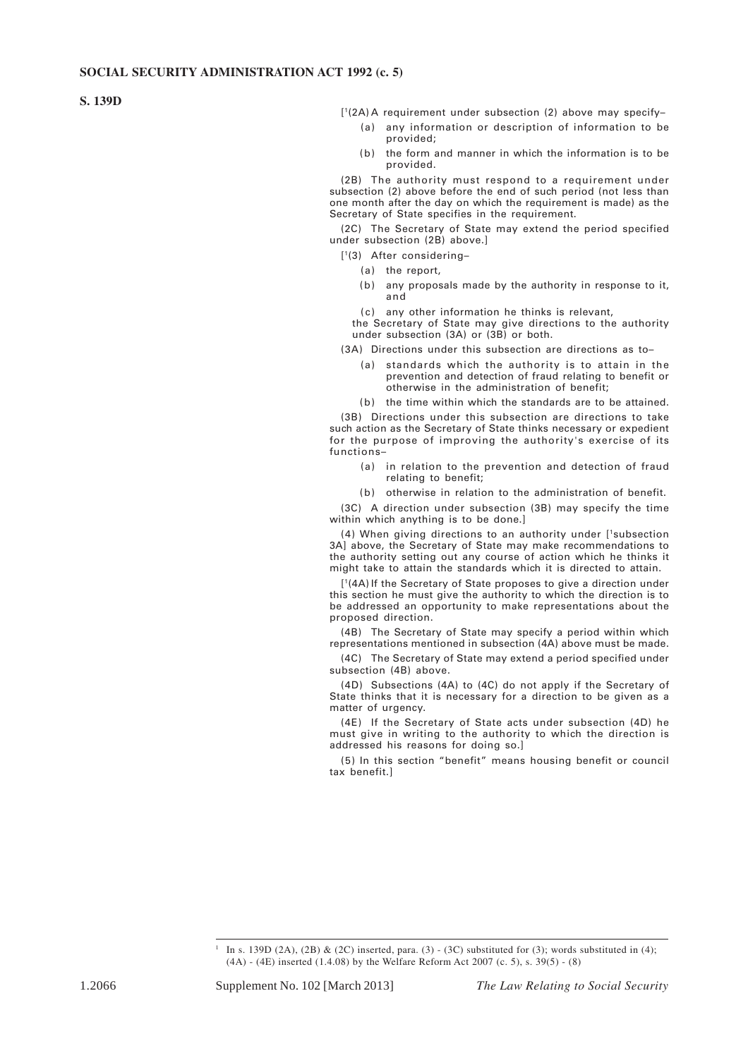**S. 139D**

- [1(2A) A requirement under subsection (2) above may specify– (a) any information or description of information to be
	- provided; (b) the form and manner in which the information is to be
	- provided.

(2B) The authority must respond to a requirement under subsection (2) above before the end of such period (not less than one month after the day on which the requirement is made) as the Secretary of State specifies in the requirement.

(2C) The Secretary of State may extend the period specified under subsection (2B) above.]

- [1(3) After considering–
	- (a) the report,
	- (b) any proposals made by the authority in response to it, and
	- (c) any other information he thinks is relevant,

the Secretary of State may give directions to the authority under subsection (3A) or (3B) or both.

(3A) Directions under this subsection are directions as to–

- (a) standards which the authority is to attain in the prevention and detection of fraud relating to benefit or otherwise in the administration of benefit;
- (b) the time within which the standards are to be attained.

(3B) Directions under this subsection are directions to take such action as the Secretary of State thinks necessary or expedient for the purpose of improving the authority's exercise of its functions–

- (a) in relation to the prevention and detection of fraud relating to benefit;
- (b) otherwise in relation to the administration of benefit.

(3C) A direction under subsection (3B) may specify the time within which anything is to be done.]

(4) When giving directions to an authority under [1subsection] 3A] above, the Secretary of State may make recommendations to the authority setting out any course of action which he thinks it might take to attain the standards which it is directed to attain.

[1(4A) If the Secretary of State proposes to give a direction under this section he must give the authority to which the direction is to be addressed an opportunity to make representations about the proposed direction.

(4B) The Secretary of State may specify a period within which representations mentioned in subsection (4A) above must be made.

(4C) The Secretary of State may extend a period specified under subsection (4B) above.

(4D) Subsections (4A) to (4C) do not apply if the Secretary of State thinks that it is necessary for a direction to be given as a matter of urgency.

(4E) If the Secretary of State acts under subsection (4D) he must give in writing to the authority to which the direction is addressed his reasons for doing so.]

(5) In this section "benefit" means housing benefit or council tax benefit.]

<sup>&</sup>lt;sup>1</sup> In s. 139D (2A), (2B) & (2C) inserted, para. (3) - (3C) substituted for (3); words substituted in (4); (4A) - (4E) inserted (1.4.08) by the Welfare Reform Act 2007 (c. 5), s. 39(5) - (8)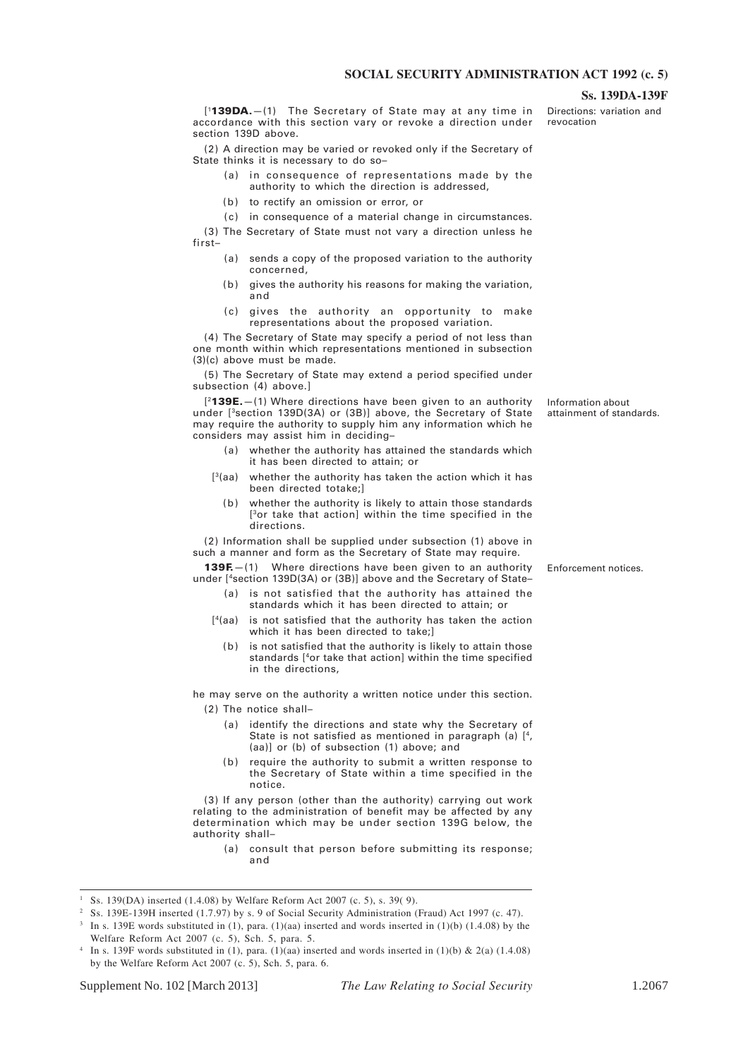# **Ss. 139DA-139F**

Directions: variation and revocation

[1 **139DA.**—(1) The Secretary of State may at any time in accordance with this section vary or revoke a direction under section 139D above.

(2) A direction may be varied or revoked only if the Secretary of State thinks it is necessary to do so–

- (a) in consequence of representations made by the authority to which the direction is addressed,
- (b) to rectify an omission or error, or
- (c) in consequence of a material change in circumstances.

(3) The Secretary of State must not vary a direction unless he first–

- (a) sends a copy of the proposed variation to the authority concerned,
- (b) gives the authority his reasons for making the variation, and
- (c) gives the authority an opportunity to make representations about the proposed variation.

(4) The Secretary of State may specify a period of not less than one month within which representations mentioned in subsection (3)(c) above must be made.

(5) The Secretary of State may extend a period specified under subsection (4) above.]

[2**139E.**—(1) Where directions have been given to an authority under [<sup>3</sup>section 139D(3A) or (3B)] above, the Secretary of State may require the authority to supply him any information which he considers may assist him in deciding–

- (a) whether the authority has attained the standards which it has been directed to attain; or
- $[3(aa)]$  whether the authority has taken the action which it has been directed totake;]
	- (b) whether the authority is likely to attain those standards [<sup>3</sup>or take that action] within the time specified in the directions.

(2) Information shall be supplied under subsection (1) above in such a manner and form as the Secretary of State may require.

**139F.**—(1) Where directions have been given to an authority under [4 section 139D(3A) or (3B)] above and the Secretary of State-

- (a) is not satisfied that the authority has attained the standards which it has been directed to attain; or
- $[4(aa)$  is not satisfied that the authority has taken the action which it has been directed to take;]
	- (b) is not satisfied that the authority is likely to attain those standards [4or take that action] within the time specified in the directions,

he may serve on the authority a written notice under this section. (2) The notice shall–

- (a) identify the directions and state why the Secretary of State is not satisfied as mentioned in paragraph (a) [4, (aa)] or (b) of subsection (1) above; and
- (b) require the authority to submit a written response to the Secretary of State within a time specified in the notice.

(3) If any person (other than the authority) carrying out work relating to the administration of benefit may be affected by any determination which may be under section 139G below, the authority shall–

(a) consult that person before submitting its response; and

Information about attainment of standards.

Enforcement notices.

<sup>1</sup> Ss. 139(DA) inserted (1.4.08) by Welfare Reform Act 2007 (c. 5), s. 39( 9).

<sup>2</sup> Ss. 139E-139H inserted (1.7.97) by s. 9 of Social Security Administration (Fraud) Act 1997 (c. 47).

 $3 \text{ In } s. 139E$  words substituted in (1), para. (1)(aa) inserted and words inserted in (1)(b) (1.4.08) by the Welfare Reform Act 2007 (c. 5), Sch. 5, para. 5.

In s. 139F words substituted in (1), para. (1)(aa) inserted and words inserted in (1)(b) & 2(a) (1.4.08) by the Welfare Reform Act 2007 (c. 5), Sch. 5, para. 6.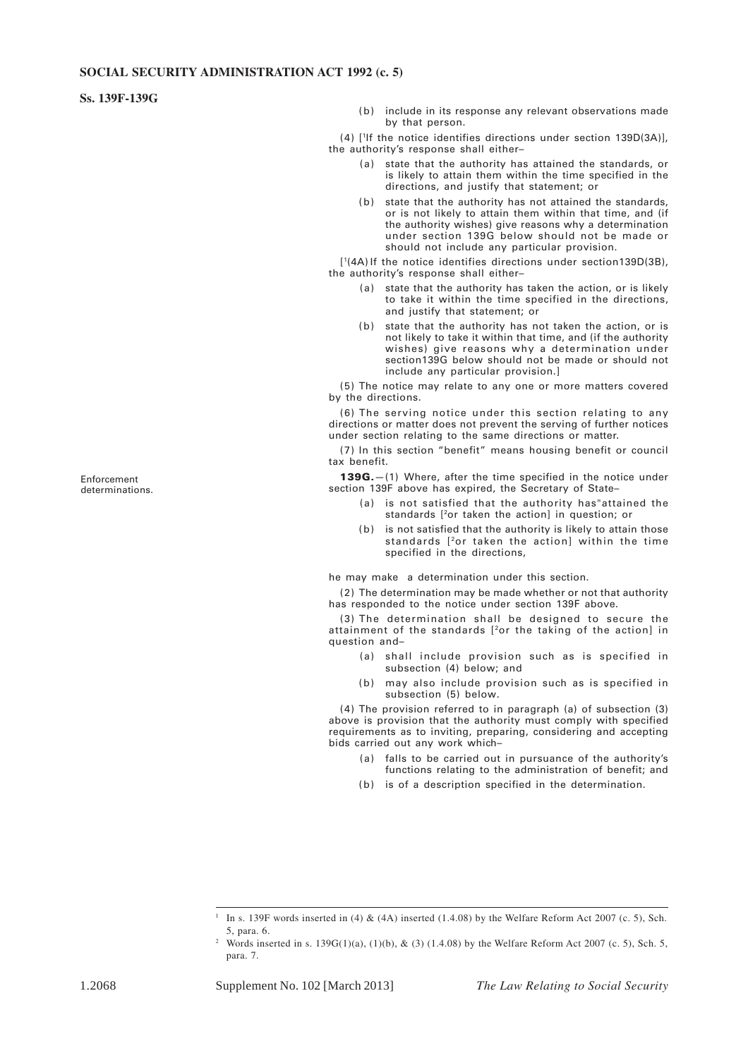### **Ss. 139F-139G**

(b) include in its response any relevant observations made by that person.

(4) [1If the notice identifies directions under section 139D(3A)], the authority's response shall either–

- (a) state that the authority has attained the standards, or is likely to attain them within the time specified in the directions, and justify that statement; or
- (b) state that the authority has not attained the standards, or is not likely to attain them within that time, and (if the authority wishes) give reasons why a determination under section 139G below should not be made or should not include any particular provision.

[1(4A) If the notice identifies directions under section139D(3B), the authority's response shall either–

- (a) state that the authority has taken the action, or is likely to take it within the time specified in the directions, and justify that statement; or
- (b) state that the authority has not taken the action, or is not likely to take it within that time, and (if the authority wishes) give reasons why a determination under section139G below should not be made or should not include any particular provision.]

(5) The notice may relate to any one or more matters covered by the directions.

(6) The serving notice under this section relating to any directions or matter does not prevent the serving of further notices under section relating to the same directions or matter.

(7) In this section "benefit" means housing benefit or council tax benefit.

**139G.**—(1) Where, after the time specified in the notice under section 139F above has expired, the Secretary of State–

- (a) is not satisfied that the authority has"attained the standards [<sup>2</sup>or taken the action] in question; or
- (b) is not satisfied that the authority is likely to attain those standards [<sup>2</sup>or taken the action] within the time specified in the directions,

he may make a determination under this section.

(2) The determination may be made whether or not that authority has responded to the notice under section 139F above.

(3) The determination shall be designed to secure the attainment of the standards [<sup>2</sup>or the taking of the action] in question and–

- (a) shall include provision such as is specified in subsection (4) below; and
- (b) may also include provision such as is specified in subsection (5) below.

(4) The provision referred to in paragraph (a) of subsection (3) above is provision that the authority must comply with specified requirements as to inviting, preparing, considering and accepting bids carried out any work which–

- (a) falls to be carried out in pursuance of the authority's functions relating to the administration of benefit; and
- (b) is of a description specified in the determination.

Enforcement determinations.

In s. 139F words inserted in (4) & (4A) inserted (1.4.08) by the Welfare Reform Act 2007 (c. 5), Sch. 5, para. 6.

Words inserted in s.  $139G(1)(a)$ ,  $(1)(b)$ , &  $(3)$   $(1.4.08)$  by the Welfare Reform Act 2007 (c. 5), Sch. 5, para. 7.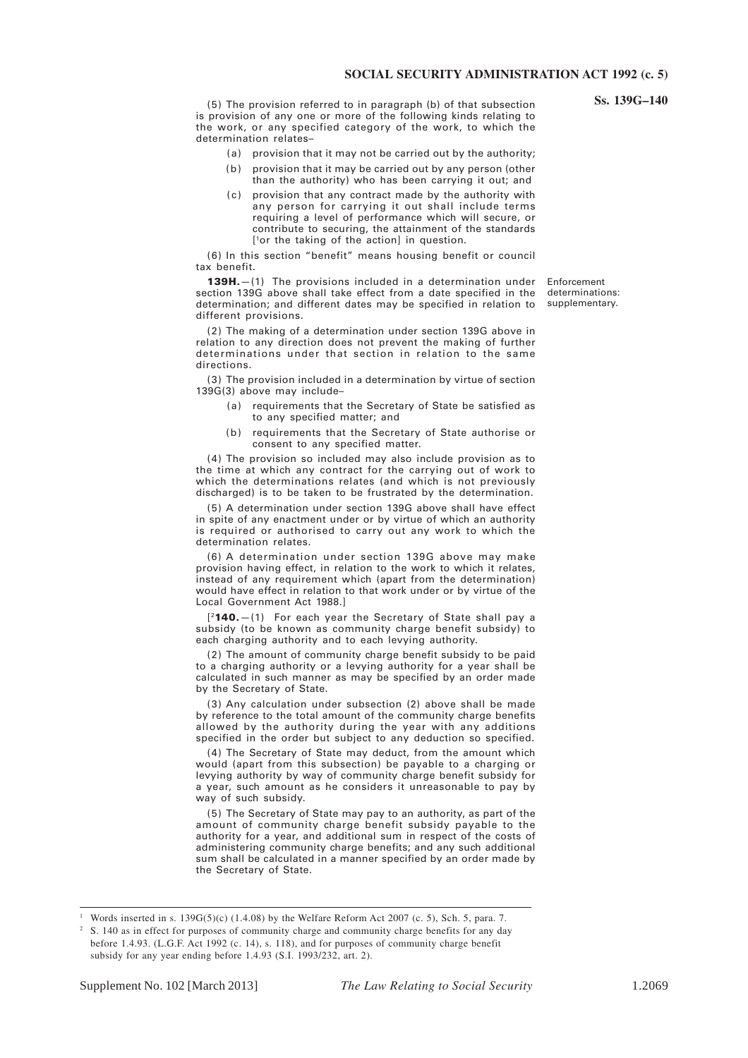(5) The provision referred to in paragraph (b) of that subsection is provision of any one or more of the following kinds relating to the work, or any specified category of the work, to which the determination relates–

- (a) provision that it may not be carried out by the authority;
- (b) provision that it may be carried out by any person (other than the authority) who has been carrying it out; and
- (c) provision that any contract made by the authority with any person for carrying it out shall include terms requiring a level of performance which will secure, or contribute to securing, the attainment of the standards ['or the taking of the action] in question.

(6) In this section "benefit" means housing benefit or council tax benefit.

**139H.**—(1) The provisions included in a determination under section 139G above shall take effect from a date specified in the determination; and different dates may be specified in relation to different provisions.

(2) The making of a determination under section 139G above in relation to any direction does not prevent the making of further determinations under that section in relation to the same directions.

(3) The provision included in a determination by virtue of section 139G(3) above may include–

- (a) requirements that the Secretary of State be satisfied as to any specified matter; and
- (b) requirements that the Secretary of State authorise or consent to any specified matter.

(4) The provision so included may also include provision as to the time at which any contract for the carrying out of work to which the determinations relates (and which is not previously discharged) is to be taken to be frustrated by the determination.

(5) A determination under section 139G above shall have effect in spite of any enactment under or by virtue of which an authority is required or authorised to carry out any work to which the determination relates.

(6) A determination under section 139G above may make provision having effect, in relation to the work to which it relates, instead of any requirement which (apart from the determination) would have effect in relation to that work under or by virtue of the Local Government Act 1988.]

[2**140.**—(1) For each year the Secretary of State shall pay a subsidy (to be known as community charge benefit subsidy) to each charging authority and to each levying authority.

(2) The amount of community charge benefit subsidy to be paid to a charging authority or a levying authority for a year shall be calculated in such manner as may be specified by an order made by the Secretary of State.

(3) Any calculation under subsection (2) above shall be made by reference to the total amount of the community charge benefits allowed by the authority during the year with any additions specified in the order but subject to any deduction so specified.

(4) The Secretary of State may deduct, from the amount which would (apart from this subsection) be payable to a charging or levying authority by way of community charge benefit subsidy for a year, such amount as he considers it unreasonable to pay by way of such subsidy.

(5) The Secretary of State may pay to an authority, as part of the amount of community charge benefit subsidy payable to the authority for a year, and additional sum in respect of the costs of administering community charge benefits; and any such additional sum shall be calculated in a manner specified by an order made by the Secretary of State.

Enforcement determinations: supplementary.

**Ss. 139G–140**

<sup>&</sup>lt;sup>1</sup> Words inserted in s. 139G(5)(c)  $(1.4.08)$  by the Welfare Reform Act 2007 (c. 5), Sch. 5, para. 7.

 $2\degree$  S. 140 as in effect for purposes of community charge and community charge benefits for any day before 1.4.93. (L.G.F. Act 1992 (c. 14), s. 118), and for purposes of community charge benefit subsidy for any year ending before 1.4.93 (S.I. 1993/232, art. 2).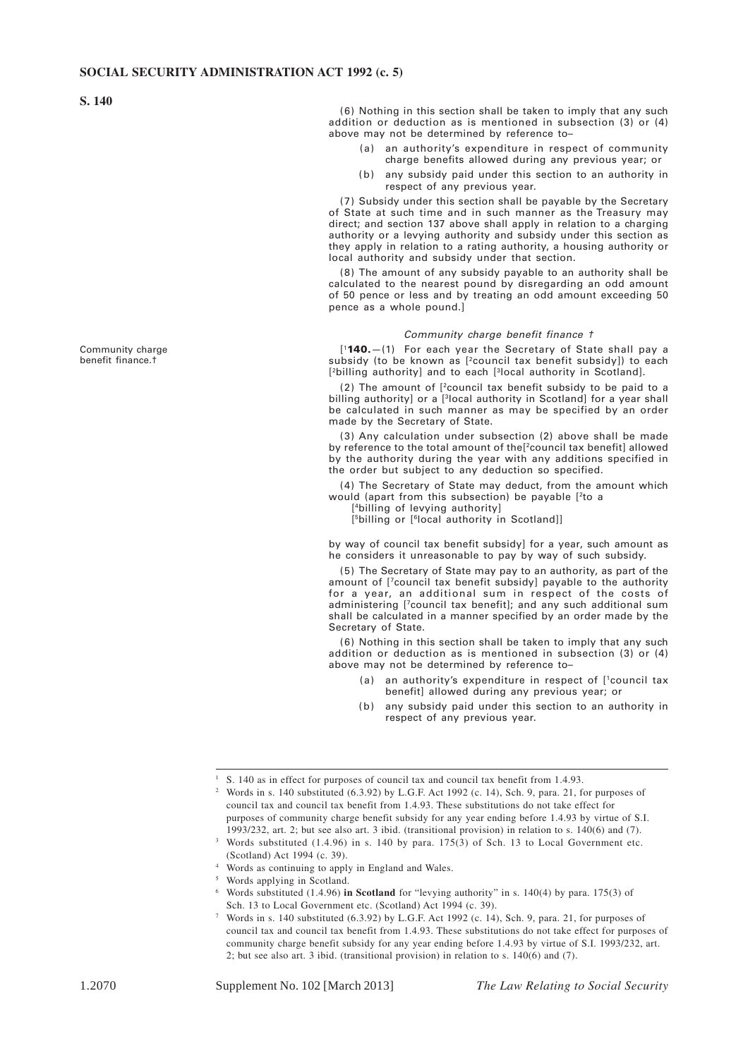**S. 140**

Community charge benefit finance.†

(6) Nothing in this section shall be taken to imply that any such addition or deduction as is mentioned in subsection (3) or (4) above may not be determined by reference to–

- an authority's expenditure in respect of community charge benefits allowed during any previous year; or
- (b) any subsidy paid under this section to an authority in respect of any previous year.

(7) Subsidy under this section shall be payable by the Secretary of State at such time and in such manner as the Treasury may direct; and section 137 above shall apply in relation to a charging authority or a levying authority and subsidy under this section as they apply in relation to a rating authority, a housing authority or local authority and subsidy under that section.

(8) The amount of any subsidy payable to an authority shall be calculated to the nearest pound by disregarding an odd amount of 50 pence or less and by treating an odd amount exceeding 50 pence as a whole pound.]

#### Community charge benefit finance †

[1**140.**—(1) For each year the Secretary of State shall pay a subsidy (to be known as [2council tax benefit subsidy]) to each [<sup>2</sup>billing authority] and to each [<sup>3</sup>local authority in Scotland].

(2) The amount of [2council tax benefit subsidy to be paid to a billing authority] or a <sup>[3</sup>local authority in Scotland] for a year shall be calculated in such manner as may be specified by an order made by the Secretary of State.

(3) Any calculation under subsection (2) above shall be made by reference to the total amount of the[2council tax benefit] allowed by the authority during the year with any additions specified in the order but subject to any deduction so specified.

(4) The Secretary of State may deduct, from the amount which would (apart from this subsection) be payable [<sup>2</sup>to a

[4billing of levying authority]

[5billing or [6local authority in Scotland]]

by way of council tax benefit subsidy] for a year, such amount as he considers it unreasonable to pay by way of such subsidy.

(5) The Secretary of State may pay to an authority, as part of the amount of [7council tax benefit subsidy] payable to the authority for a year, an additional sum in respect of the costs of administering [7council tax benefit]; and any such additional sum shall be calculated in a manner specified by an order made by the Secretary of State.

(6) Nothing in this section shall be taken to imply that any such addition or deduction as is mentioned in subsection (3) or (4) above may not be determined by reference to–

- (a) an authority's expenditure in respect of [1council tax benefit] allowed during any previous year; or
- (b) any subsidy paid under this section to an authority in respect of any previous year.

<sup>&</sup>lt;sup>1</sup> S. 140 as in effect for purposes of council tax and council tax benefit from 1.4.93.

<sup>&</sup>lt;sup>2</sup> Words in s. 140 substituted (6.3.92) by L.G.F. Act 1992 (c. 14), Sch. 9, para. 21, for purposes of council tax and council tax benefit from 1.4.93. These substitutions do not take effect for purposes of community charge benefit subsidy for any year ending before 1.4.93 by virtue of S.I. 1993/232, art. 2; but see also art. 3 ibid. (transitional provision) in relation to s. 140(6) and (7).

<sup>&</sup>lt;sup>3</sup> Words substituted (1.4.96) in s. 140 by para. 175(3) of Sch. 13 to Local Government etc. (Scotland) Act 1994 (c. 39).

<sup>4</sup> Words as continuing to apply in England and Wales.

<sup>5</sup> Words applying in Scotland.

<sup>6</sup> Words substituted (1.4.96) **in Scotland** for "levying authority" in s. 140(4) by para. 175(3) of Sch. 13 to Local Government etc. (Scotland) Act 1994 (c. 39).

<sup>7</sup> Words in s. 140 substituted (6.3.92) by L.G.F. Act 1992 (c. 14), Sch. 9, para. 21, for purposes of council tax and council tax benefit from 1.4.93. These substitutions do not take effect for purposes of community charge benefit subsidy for any year ending before 1.4.93 by virtue of S.I. 1993/232, art. 2; but see also art. 3 ibid. (transitional provision) in relation to s. 140(6) and (7).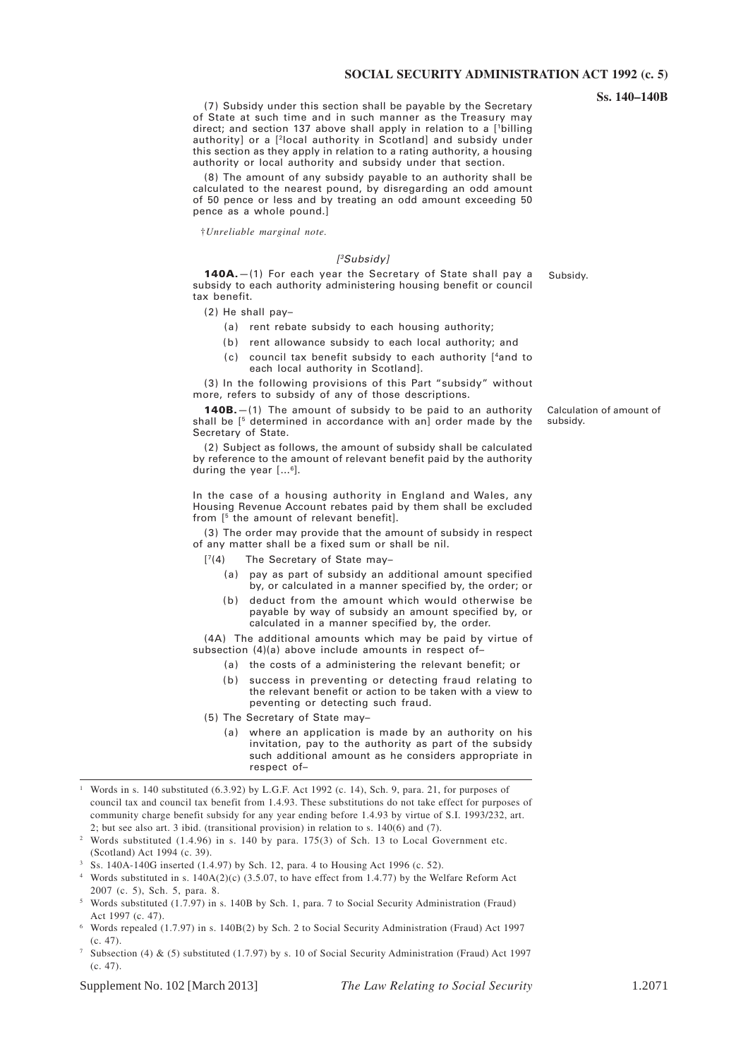**Ss. 140–140B**

(7) Subsidy under this section shall be payable by the Secretary of State at such time and in such manner as the Treasury may direct; and section 137 above shall apply in relation to a [1billing] authority] or a [<sup>2</sup>local authority in Scotland] and subsidy under this section as they apply in relation to a rating authority, a housing authority or local authority and subsidy under that section.

(8) The amount of any subsidy payable to an authority shall be calculated to the nearest pound, by disregarding an odd amount of 50 pence or less and by treating an odd amount exceeding 50 pence as a whole pound.]

†*Unreliable marginal note.*

#### [ <sup>3</sup>Subsidy]

**140A.**—(1) For each year the Secretary of State shall pay a subsidy to each authority administering housing benefit or council tax benefit. Subsidy.

(2) He shall pay–

- (a) rent rebate subsidy to each housing authority;
- (b) rent allowance subsidy to each local authority; and
- (c) council tax benefit subsidy to each authority [4and to each local authority in Scotland].

(3) In the following provisions of this Part "subsidy" without more, refers to subsidy of any of those descriptions.

**140B.**—(1) The amount of subsidy to be paid to an authority shall be [<sup>5</sup> determined in accordance with an] order made by the Secretary of State.

(2) Subject as follows, the amount of subsidy shall be calculated by reference to the amount of relevant benefit paid by the authority during the year […6].

In the case of a housing authority in England and Wales, any Housing Revenue Account rebates paid by them shall be excluded from  $15$  the amount of relevant benefitl.

(3) The order may provide that the amount of subsidy in respect of any matter shall be a fixed sum or shall be nil.

- [7(4) The Secretary of State may–
	- (a) pay as part of subsidy an additional amount specified by, or calculated in a manner specified by, the order; or
	- (b) deduct from the amount which would otherwise be payable by way of subsidy an amount specified by, or calculated in a manner specified by, the order.

(4A) The additional amounts which may be paid by virtue of subsection (4)(a) above include amounts in respect of–

- (a) the costs of a administering the relevant benefit; or
- (b) success in preventing or detecting fraud relating to the relevant benefit or action to be taken with a view to peventing or detecting such fraud.
- (5) The Secretary of State may–
	- (a) where an application is made by an authority on his invitation, pay to the authority as part of the subsidy such additional amount as he considers appropriate in respect of-

subsidy.

Calculation of amount of

Words in s. 140 substituted (6.3.92) by L.G.F. Act 1992 (c. 14), Sch. 9, para. 21, for purposes of council tax and council tax benefit from 1.4.93. These substitutions do not take effect for purposes of community charge benefit subsidy for any year ending before 1.4.93 by virtue of S.I. 1993/232, art. 2; but see also art. 3 ibid. (transitional provision) in relation to s. 140(6) and (7).

<sup>&</sup>lt;sup>2</sup> Words substituted (1.4.96) in s. 140 by para. 175(3) of Sch. 13 to Local Government etc. (Scotland) Act 1994 (c. 39).

<sup>3</sup> Ss. 140A-140G inserted (1.4.97) by Sch. 12, para. 4 to Housing Act 1996 (c. 52).

<sup>&</sup>lt;sup>4</sup> Words substituted in s.  $140A(2)(c)$  (3.5.07, to have effect from 1.4.77) by the Welfare Reform Act 2007 (c. 5), Sch. 5, para. 8.

<sup>5</sup> Words substituted (1.7.97) in s. 140B by Sch. 1, para. 7 to Social Security Administration (Fraud) Act 1997 (c. 47).

<sup>6</sup> Words repealed (1.7.97) in s. 140B(2) by Sch. 2 to Social Security Administration (Fraud) Act 1997 (c. 47).

<sup>7</sup> Subsection (4) & (5) substituted (1.7.97) by s. 10 of Social Security Administration (Fraud) Act 1997 (c. 47).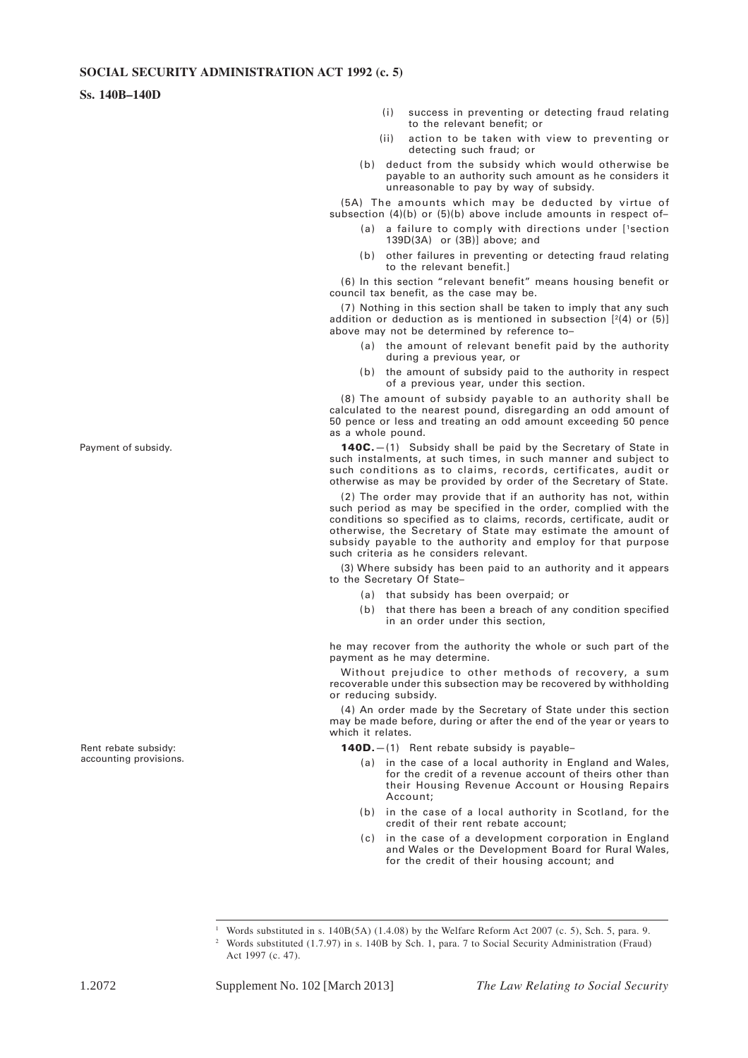### **Ss. 140B–140D**

Rent rebate subsidy: accounting provisions.

Payment of subsidy.

- (i) success in preventing or detecting fraud relating to the relevant benefit; or
- (ii) action to be taken with view to preventing or detecting such fraud; or
- (b) deduct from the subsidy which would otherwise be payable to an authority such amount as he considers it unreasonable to pay by way of subsidy.

(5A) The amounts which may be deducted by virtue of subsection (4)(b) or (5)(b) above include amounts in respect of–

- (a) a failure to comply with directions under [1section] 139D(3A) or (3B)] above; and
- (b) other failures in preventing or detecting fraud relating to the relevant benefit.]

(6) In this section "relevant benefit" means housing benefit or council tax benefit, as the case may be.

(7) Nothing in this section shall be taken to imply that any such addition or deduction as is mentioned in subsection  $[2(4)$  or  $(5)]$ above may not be determined by reference to–

- (a) the amount of relevant benefit paid by the authority during a previous year, or
- (b) the amount of subsidy paid to the authority in respect of a previous year, under this section.

(8) The amount of subsidy payable to an authority shall be calculated to the nearest pound, disregarding an odd amount of 50 pence or less and treating an odd amount exceeding 50 pence as a whole pound.

**140C.**—(1) Subsidy shall be paid by the Secretary of State in such instalments, at such times, in such manner and subject to such conditions as to claims, records, certificates, audit or otherwise as may be provided by order of the Secretary of State.

(2) The order may provide that if an authority has not, within such period as may be specified in the order, complied with the conditions so specified as to claims, records, certificate, audit or otherwise, the Secretary of State may estimate the amount of subsidy payable to the authority and employ for that purpose such criteria as he considers relevant.

(3) Where subsidy has been paid to an authority and it appears to the Secretary Of State–

- (a) that subsidy has been overpaid; or
- (b) that there has been a breach of any condition specified in an order under this section,

he may recover from the authority the whole or such part of the payment as he may determine.

Without prejudice to other methods of recovery, a sum recoverable under this subsection may be recovered by withholding or reducing subsidy.

(4) An order made by the Secretary of State under this section may be made before, during or after the end of the year or years to which it relates.

**140D.**—(1) Rent rebate subsidy is payable–

- (a) in the case of a local authority in England and Wales, for the credit of a revenue account of theirs other than their Housing Revenue Account or Housing Repairs Account;
- (b) in the case of a local authority in Scotland, for the credit of their rent rebate account;
- (c) in the case of a development corporation in England and Wales or the Development Board for Rural Wales, for the credit of their housing account; and

Words substituted in s. 140B(5A) (1.4.08) by the Welfare Reform Act 2007 (c. 5), Sch. 5, para. 9.

<sup>&</sup>lt;sup>2</sup> Words substituted (1.7.97) in s. 140B by Sch. 1, para. 7 to Social Security Administration (Fraud) Act 1997 (c. 47).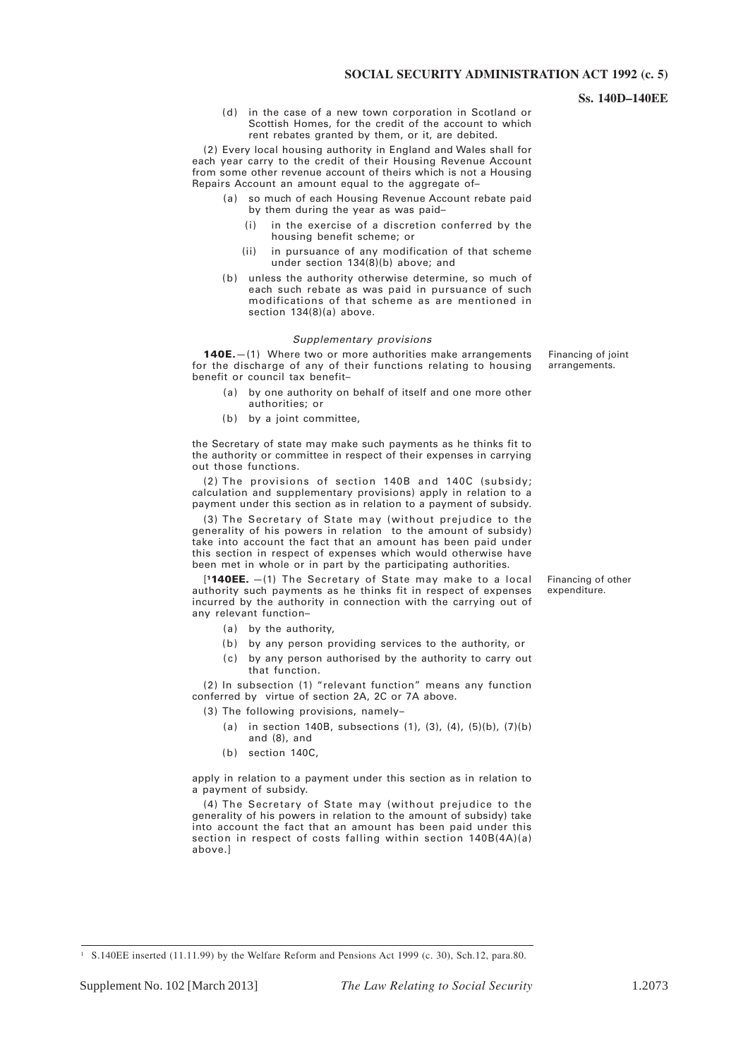### **Ss. 140D–140EE**

(d) in the case of a new town corporation in Scotland or Scottish Homes, for the credit of the account to which rent rebates granted by them, or it, are debited.

(2) Every local housing authority in England and Wales shall for each year carry to the credit of their Housing Revenue Account from some other revenue account of theirs which is not a Housing Repairs Account an amount equal to the aggregate of–

- (a) so much of each Housing Revenue Account rebate paid by them during the year as was paid–
	- (i) in the exercise of a discretion conferred by the housing benefit scheme; or
	- (ii) in pursuance of any modification of that scheme under section 134(8)(b) above; and
- (b) unless the authority otherwise determine, so much of each such rebate as was paid in pursuance of such modifications of that scheme as are mentioned in section 134(8)(a) above.

#### Supplementary provisions

**140E.**—(1) Where two or more authorities make arrangements for the discharge of any of their functions relating to housing benefit or council tax benefit–

- (a) by one authority on behalf of itself and one more other authorities; or
- (b) by a joint committee,

the Secretary of state may make such payments as he thinks fit to the authority or committee in respect of their expenses in carrying out those functions.

(2) The provisions of section 140B and 140C (subsidy; calculation and supplementary provisions) apply in relation to a payment under this section as in relation to a payment of subsidy.

(3) The Secretary of State may (without prejudice to the generality of his powers in relation to the amount of subsidy) take into account the fact that an amount has been paid under this section in respect of expenses which would otherwise have been met in whole or in part by the participating authorities.

[**1140EE.** —(1) The Secretary of State may make to a local authority such payments as he thinks fit in respect of expenses incurred by the authority in connection with the carrying out of any relevant function–

- (a) by the authority,
- (b) by any person providing services to the authority, or
- (c) by any person authorised by the authority to carry out that function.

(2) In subsection (1) "relevant function" means any function conferred by virtue of section 2A, 2C or 7A above.

(3) The following provisions, namely–

<sup>1</sup> S.140EE inserted (11.11.99) by the Welfare Reform and Pensions Act 1999 (c. 30), Sch.12, para.80.

- (a) in section 140B, subsections  $(1)$ ,  $(3)$ ,  $(4)$ ,  $(5)(b)$ ,  $(7)(b)$ and (8), and
- (b) section 140C,

apply in relation to a payment under this section as in relation to a payment of subsidy.

(4) The Secretary of State may (without prejudice to the generality of his powers in relation to the amount of subsidy) take into account the fact that an amount has been paid under this section in respect of costs falling within section 140B(4A)(a) above.]

Financing of joint arrangements.

Financing of other expenditure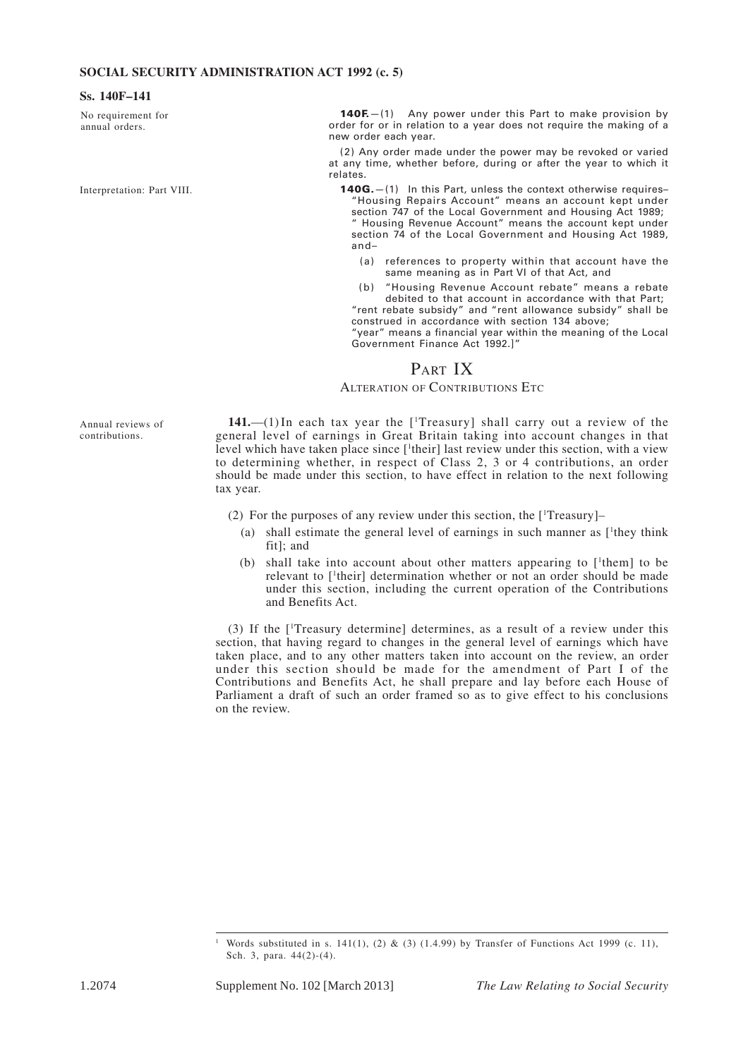### **Ss. 140F–141**

No requirement for annual orders.

Interpretation: Part VIII.

**140F.**—(1) Any power under this Part to make provision by order for or in relation to a year does not require the making of a new order each year.

(2) Any order made under the power may be revoked or varied at any time, whether before, during or after the year to which it relates.

140G. - (1) In this Part, unless the context otherwise requires-"Housing Repairs Account" means an account kept under section 747 of the Local Government and Housing Act 1989; " Housing Revenue Account" means the account kept under section 74 of the Local Government and Housing Act 1989, and–

(a) references to property within that account have the same meaning as in Part VI of that Act, and

(b) "Housing Revenue Account rebate" means a rebate debited to that account in accordance with that Part; "rent rebate subsidy" and "rent allowance subsidy" shall be construed in accordance with section 134 above;

"year" means a financial year within the meaning of the Local Government Finance Act 1992.]"

# PART IX

### ALTERATION OF CONTRIBUTIONS ETC

Annual reviews of contributions.

141.—(1) In each tax year the [<sup>1</sup>Treasury] shall carry out a review of the general level of earnings in Great Britain taking into account changes in that level which have taken place since [<sup>1</sup>their] last review under this section, with a view to determining whether, in respect of Class 2, 3 or 4 contributions, an order should be made under this section, to have effect in relation to the next following tax year.

- (2) For the purposes of any review under this section, the [1 Treasury]–
	- (a) shall estimate the general level of earnings in such manner as  $[$ <sup>1</sup>they think fit]; and
	- (b) shall take into account about other matters appearing to  $[{}<sup>1</sup>$ them] to be relevant to [<sup>1</sup>their] determination whether or not an order should be made under this section, including the current operation of the Contributions and Benefits Act.

(3) If the [1 Treasury determine] determines, as a result of a review under this section, that having regard to changes in the general level of earnings which have taken place, and to any other matters taken into account on the review, an order under this section should be made for the amendment of Part I of the Contributions and Benefits Act, he shall prepare and lay before each House of Parliament a draft of such an order framed so as to give effect to his conclusions on the review.

Words substituted in s. 141(1), (2) & (3) (1.4.99) by Transfer of Functions Act 1999 (c. 11), Sch. 3, para. 44(2)-(4).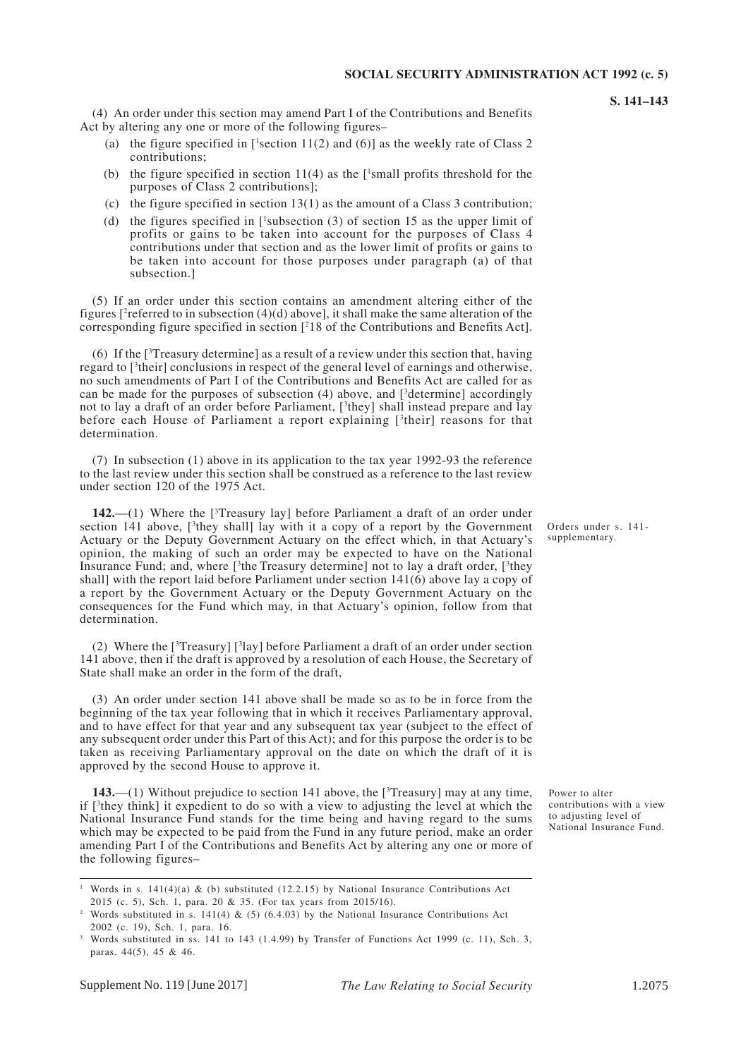(4) An order under this section may amend Part I of the Contributions and Benefits Act by altering any one or more of the following figures–

- (a) the figure specified in  $[{}<sup>1</sup>section 11(2)$  and (6)] as the weekly rate of Class 2 contributions;
- (b) the figure specified in section  $11(4)$  as the [<sup>1</sup>small profits threshold for the purposes of Class 2 contributions];
- (c) the figure specified in section  $13(1)$  as the amount of a Class 3 contribution;
- (d) the figures specified in  $[{}^1$ subsection (3) of section 15 as the upper limit of profits or gains to be taken into account for the purposes of Class 4 contributions under that section and as the lower limit of profits or gains to be taken into account for those purposes under paragraph (a) of that subsection.]

(5) If an order under this section contains an amendment altering either of the figures [2 referred to in subsection (4)(d) above], it shall make the same alteration of the corresponding figure specified in section  $[^{2}18$  of the Contributions and Benefits Act].

(6) If the [3 Treasury determine] as a result of a review under this section that, having regard to [<sup>3</sup>their] conclusions in respect of the general level of earnings and otherwise, no such amendments of Part I of the Contributions and Benefits Act are called for as can be made for the purposes of subsection (4) above, and [<sup>3</sup>determine] accordingly not to lay a draft of an order before Parliament, [3they] shall instead prepare and lay before each House of Parliament a report explaining [3their] reasons for that determination.

(7) In subsection (1) above in its application to the tax year 1992-93 the reference to the last review under this section shall be construed as a reference to the last review under section 120 of the 1975 Act.

142.—(1) Where the [<sup>3</sup>Treasury lay] before Parliament a draft of an order under section 141 above,  $[3$ they shall] lay with it a copy of a report by the Government Actuary or the Deputy Government Actuary on the effect which, in that Actuary's opinion, the making of such an order may be expected to have on the National Insurance Fund; and, where [<sup>3</sup>the Treasury determine] not to lay a draft order, [<sup>3</sup>they shall] with the report laid before Parliament under section 141(6) above lay a copy of a report by the Government Actuary or the Deputy Government Actuary on the consequences for the Fund which may, in that Actuary's opinion, follow from that determination.

(2) Where the  $[3$ Treasury]  $[3]$ lay] before Parliament a draft of an order under section 141 above, then if the draft is approved by a resolution of each House, the Secretary of State shall make an order in the form of the draft,

(3) An order under section 141 above shall be made so as to be in force from the beginning of the tax year following that in which it receives Parliamentary approval, and to have effect for that year and any subsequent tax year (subject to the effect of any subsequent order under this Part of this Act); and for this purpose the order is to be taken as receiving Parliamentary approval on the date on which the draft of it is approved by the second House to approve it.

**143.**—(1) Without prejudice to section 141 above, the [<sup>3</sup>Treasury] may at any time, if [3 they think] it expedient to do so with a view to adjusting the level at which the National Insurance Fund stands for the time being and having regard to the sums which may be expected to be paid from the Fund in any future period, make an order amending Part I of the Contributions and Benefits Act by altering any one or more of the following figures–

Orders under s. 141 supplementary.

Power to alter contributions with a view to adjusting level of National Insurance Fund.

**S. 141–143**

Words in s. 141(4)(a) & (b) substituted (12.2.15) by National Insurance Contributions Act 2015 (c. 5), Sch. 1, para. 20 & 35. (For tax years from 2015/16).

<sup>&</sup>lt;sup>2</sup> Words substituted in s. 141(4) & (5) (6.4.03) by the National Insurance Contributions Act 2002 (c. 19), Sch. 1, para. 16.

<sup>3</sup> Words substituted in ss. 141 to 143 (1.4.99) by Transfer of Functions Act 1999 (c. 11), Sch. 3, paras. 44(5), 45 & 46.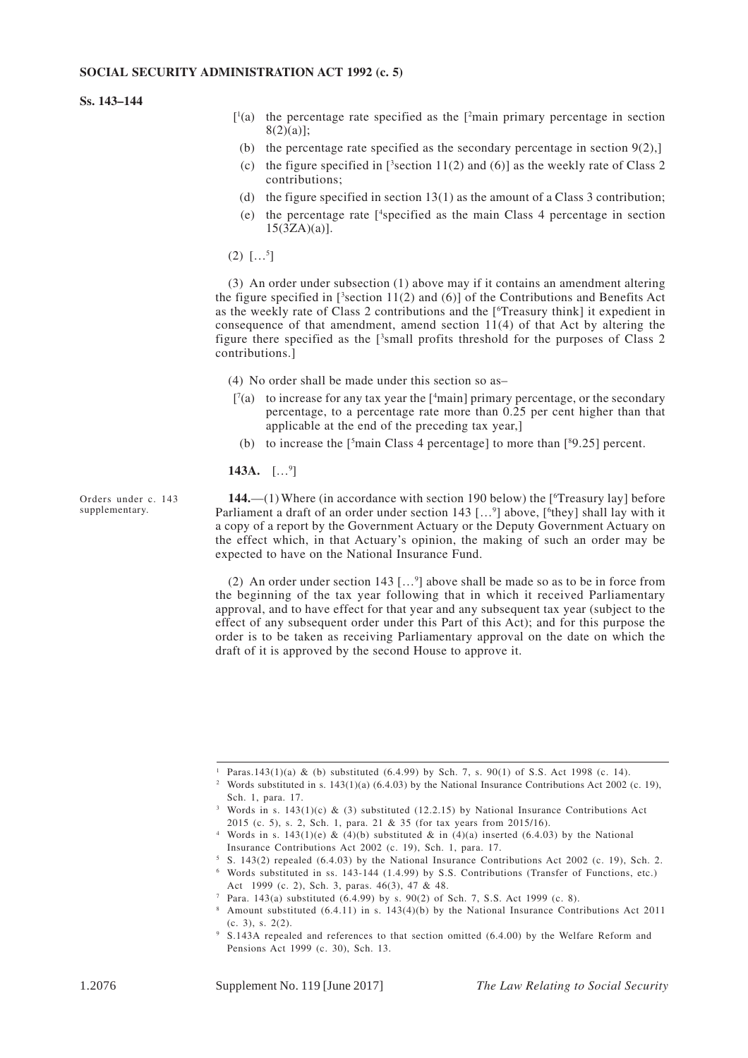### **Ss. 143–144**

- $[1(a)$  the percentage rate specified as the  $[2 \text{main primary percentage in section}]$ 8(2)(a)];
- (b) the percentage rate specified as the secondary percentage in section  $9(2)$ ,
- (c) the figure specified in  $[^3$  section 11(2) and (6)] as the weekly rate of Class 2 contributions;
- (d) the figure specified in section  $13(1)$  as the amount of a Class 3 contribution;
- (e) the percentage rate [4 specified as the main Class 4 percentage in section 15(3ZA)(a)].
- $(2)$   $[...^5]$

(3) An order under subsection (1) above may if it contains an amendment altering the figure specified in  $[3]$ section 11(2) and (6)] of the Contributions and Benefits Act as the weekly rate of Class 2 contributions and the [<sup>6</sup>Treasury think] it expedient in consequence of that amendment, amend section  $11(4)$  of that Act by altering the figure there specified as the  $[3s]$  and profits threshold for the purposes of Class 2 contributions.]

- (4) No order shall be made under this section so as–
- $[7(a)$  to increase for any tax year the  $[4$ main] primary percentage, or the secondary percentage, to a percentage rate more than 0.25 per cent higher than that applicable at the end of the preceding tax year,]
- (b) to increase the  $[5$ main Class 4 percentage] to more than  $[89.25]$  percent.

### **143A.** […9 ]

Orders under c. 143 supplementary.

144.—(1) Where (in accordance with section 190 below) the [<sup>6</sup>Treasury lay] before Parliament a draft of an order under section 143 [...<sup>9</sup>] above, [<sup>6</sup>they] shall lay with it a copy of a report by the Government Actuary or the Deputy Government Actuary on the effect which, in that Actuary's opinion, the making of such an order may be expected to have on the National Insurance Fund.

(2) An order under section 143  $\left[...\right]$  above shall be made so as to be in force from the beginning of the tax year following that in which it received Parliamentary approval, and to have effect for that year and any subsequent tax year (subject to the effect of any subsequent order under this Part of this Act); and for this purpose the order is to be taken as receiving Parliamentary approval on the date on which the draft of it is approved by the second House to approve it.

<sup>&</sup>lt;sup>1</sup> Paras.143(1)(a) & (b) substituted (6.4.99) by Sch. 7, s. 90(1) of S.S. Act 1998 (c. 14).

<sup>&</sup>lt;sup>2</sup> Words substituted in s. 143(1)(a) (6.4.03) by the National Insurance Contributions Act 2002 (c. 19), Sch. 1, para. 17.

<sup>&</sup>lt;sup>3</sup> Words in s. 143(1)(c) & (3) substituted (12.2.15) by National Insurance Contributions Act 2015 (c. 5), s. 2, Sch. 1, para. 21 & 35 (for tax years from 2015/16).

<sup>&</sup>lt;sup>4</sup> Words in s. 143(1)(e) & (4)(b) substituted & in (4)(a) inserted (6.4.03) by the National Insurance Contributions Act 2002 (c. 19), Sch. 1, para. 17.

 $5$  S. 143(2) repealed (6.4.03) by the National Insurance Contributions Act 2002 (c. 19), Sch. 2.

<sup>6</sup> Words substituted in ss. 143-144 (1.4.99) by S.S. Contributions (Transfer of Functions, etc.) Act 1999 (c. 2), Sch. 3, paras. 46(3), 47 & 48.

<sup>7</sup> Para. 143(a) substituted (6.4.99) by s. 90(2) of Sch. 7, S.S. Act 1999 (c. 8).

<sup>&</sup>lt;sup>8</sup> Amount substituted  $(6.4.11)$  in s. 143(4)(b) by the National Insurance Contributions Act 2011 (c. 3), s. 2(2).

<sup>9</sup> S.143A repealed and references to that section omitted (6.4.00) by the Welfare Reform and Pensions Act 1999 (c. 30), Sch. 13.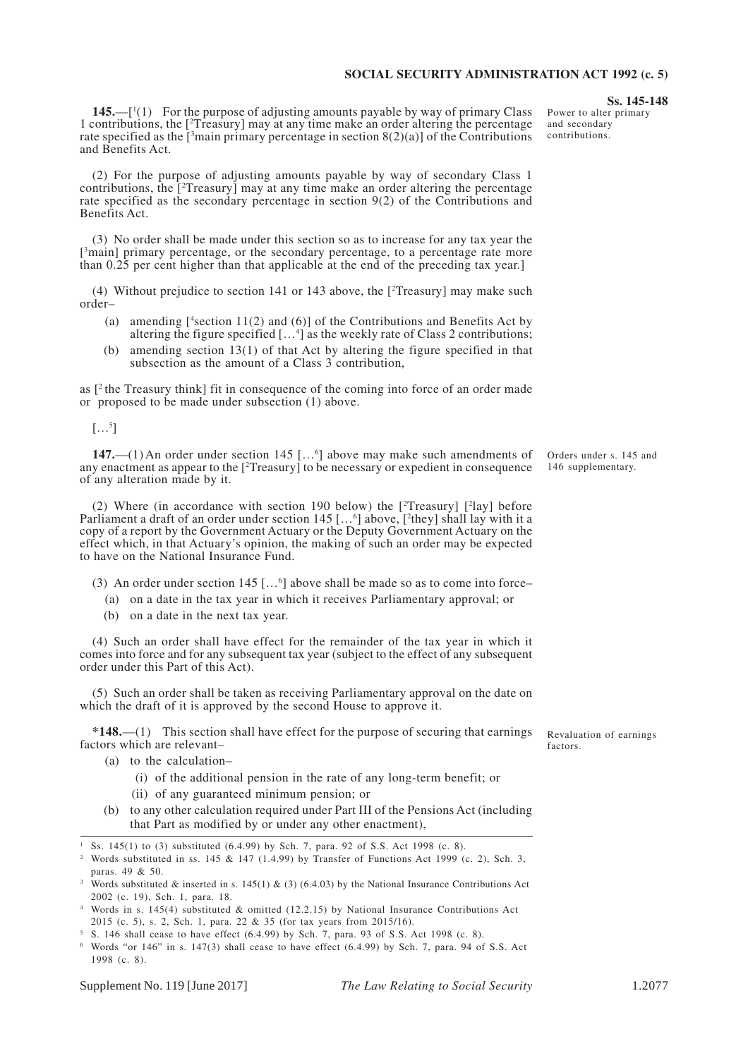$145$ — $[1(1)$  For the purpose of adjusting amounts payable by way of primary Class 1 contributions, the [2 Treasury] may at any time make an order altering the percentage rate specified as the  $[3]$ main primary percentage in section  $8(2)(a)$  of the Contributions and Benefits Act.

**Ss. 145-148** Power to alter primary and secondary contributions.

(2) For the purpose of adjusting amounts payable by way of secondary Class 1 contributions, the [2 Treasury] may at any time make an order altering the percentage rate specified as the secondary percentage in section 9(2) of the Contributions and Benefits Act.

(3) No order shall be made under this section so as to increase for any tax year the [<sup>3</sup>main] primary percentage, or the secondary percentage, to a percentage rate more than 0.25 per cent higher than that applicable at the end of the preceding tax year.]

(4) Without prejudice to section 141 or 143 above, the [<sup>2</sup>Treasury] may make such order–

- (a) amending  $[{}^4$ section 11(2) and (6)] of the Contributions and Benefits Act by altering the figure specified […4 ] as the weekly rate of Class 2 contributions;
- (b) amending section 13(1) of that Act by altering the figure specified in that subsection as the amount of a Class 3 contribution,

as [2 the Treasury think] fit in consequence of the coming into force of an order made or proposed to be made under subsection (1) above.

 $[\dots^5]$ 

147.—(1) An order under section 145 [...<sup>6</sup>] above may make such amendments of any enactment as appear to the [2 Treasury] to be necessary or expedient in consequence of any alteration made by it.

(2) Where (in accordance with section 190 below) the  $[^{2}$ Treasury]  $[^{2}$ lay] before Parliament a draft of an order under section 145 [...<sup>6</sup>] above, [<sup>2</sup>they] shall lay with it a copy of a report by the Government Actuary or the Deputy Government Actuary on the effect which, in that Actuary's opinion, the making of such an order may be expected to have on the National Insurance Fund.

- (3) An order under section  $145$  [...<sup>6</sup>] above shall be made so as to come into force–
	- (a) on a date in the tax year in which it receives Parliamentary approval; or
	- (b) on a date in the next tax year.

(4) Such an order shall have effect for the remainder of the tax year in which it comes into force and for any subsequent tax year (subject to the effect of any subsequent order under this Part of this Act).

(5) Such an order shall be taken as receiving Parliamentary approval on the date on which the draft of it is approved by the second House to approve it.

**\*148.**—(1) This section shall have effect for the purpose of securing that earnings factors which are relevant–

- (a) to the calculation–
	- (i) of the additional pension in the rate of any long-term benefit; or
	- (ii) of any guaranteed minimum pension; or
- (b) to any other calculation required under Part III of the Pensions Act (including that Part as modified by or under any other enactment),

Revaluation of earnings factors.

Orders under s. 145 and 146 supplementary.

Ss. 145(1) to (3) substituted (6.4.99) by Sch. 7, para. 92 of S.S. Act 1998 (c. 8).

<sup>&</sup>lt;sup>2</sup> Words substituted in ss. 145 & 147 (1.4.99) by Transfer of Functions Act 1999 (c. 2), Sch. 3, paras. 49 & 50.

<sup>&</sup>lt;sup>3</sup> Words substituted & inserted in s. 145(1) & (3) (6.4.03) by the National Insurance Contributions Act 2002 (c. 19), Sch. 1, para. 18.

<sup>4</sup> Words in s. 145(4) substituted & omitted (12.2.15) by National Insurance Contributions Act 2015 (c. 5), s. 2, Sch. 1, para. 22 & 35 (for tax years from 2015/16).

 $5$  S. 146 shall cease to have effect (6.4.99) by Sch. 7, para. 93 of S.S. Act 1998 (c. 8).

 $6\text{ Words}$  "or 146" in s. 147(3) shall cease to have effect (6.4.99) by Sch. 7, para. 94 of S.S. Act 1998 (c. 8).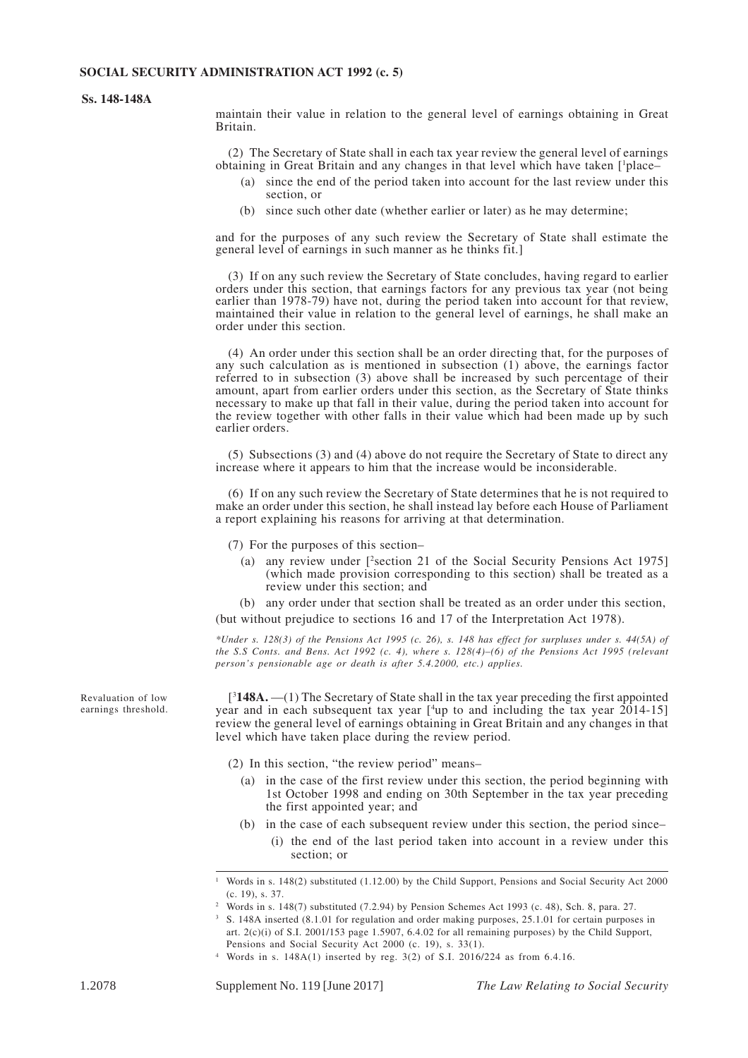#### **Ss. 148-148A**

maintain their value in relation to the general level of earnings obtaining in Great Britain.

(2) The Secretary of State shall in each tax year review the general level of earnings obtaining in Great Britain and any changes in that level which have taken [<sup>1</sup>place-

- (a) since the end of the period taken into account for the last review under this section, or
- (b) since such other date (whether earlier or later) as he may determine;

and for the purposes of any such review the Secretary of State shall estimate the general level of earnings in such manner as he thinks fit.]

(3) If on any such review the Secretary of State concludes, having regard to earlier orders under this section, that earnings factors for any previous tax year (not being earlier than 1978-79) have not, during the period taken into account for that review, maintained their value in relation to the general level of earnings, he shall make an order under this section.

(4) An order under this section shall be an order directing that, for the purposes of any such calculation as is mentioned in subsection (1) above, the earnings factor referred to in subsection (3) above shall be increased by such percentage of their amount, apart from earlier orders under this section, as the Secretary of State thinks necessary to make up that fall in their value, during the period taken into account for the review together with other falls in their value which had been made up by such earlier orders.

(5) Subsections (3) and (4) above do not require the Secretary of State to direct any increase where it appears to him that the increase would be inconsiderable.

(6) If on any such review the Secretary of State determines that he is not required to make an order under this section, he shall instead lay before each House of Parliament a report explaining his reasons for arriving at that determination.

(7) For the purposes of this section–

- (a) any review under [<sup>2</sup>section 21 of the Social Security Pensions Act 1975] (which made provision corresponding to this section) shall be treated as a review under this section; and
- (b) any order under that section shall be treated as an order under this section,

(but without prejudice to sections 16 and 17 of the Interpretation Act 1978).

*\*Under s. 128(3) of the Pensions Act 1995 (c. 26), s. 148 has effect for surpluses under s. 44(5A) of the S.S Conts. and Bens. Act 1992 (c. 4), where s. 128(4)–(6) of the Pensions Act 1995 (relevant person's pensionable age or death is after 5.4.2000, etc.) applies.*

[3 **148A.** —(1) The Secretary of State shall in the tax year preceding the first appointed year and in each subsequent tax year [<sup>4</sup>up to and including the tax year 2014-15] review the general level of earnings obtaining in Great Britain and any changes in that level which have taken place during the review period.

- (2) In this section, "the review period" means–
	- (a) in the case of the first review under this section, the period beginning with 1st October 1998 and ending on 30th September in the tax year preceding the first appointed year; and
	- (b) in the case of each subsequent review under this section, the period since–
		- (i) the end of the last period taken into account in a review under this section; or

Revaluation of low earnings threshold.

<sup>1</sup> Words in s. 148(2) substituted (1.12.00) by the Child Support, Pensions and Social Security Act 2000 (c. 19), s. 37.

<sup>2</sup> Words in s. 148(7) substituted (7.2.94) by Pension Schemes Act 1993 (c. 48), Sch. 8, para. 27.

<sup>&</sup>lt;sup>3</sup> S. 148A inserted (8.1.01 for regulation and order making purposes, 25.1.01 for certain purposes in art.  $2(c)$ (i) of S.I. 2001/153 page 1.5907, 6.4.02 for all remaining purposes) by the Child Support, Pensions and Social Security Act 2000 (c. 19), s. 33(1).

<sup>4</sup> Words in s. 148A(1) inserted by reg. 3(2) of S.I. 2016/224 as from 6.4.16.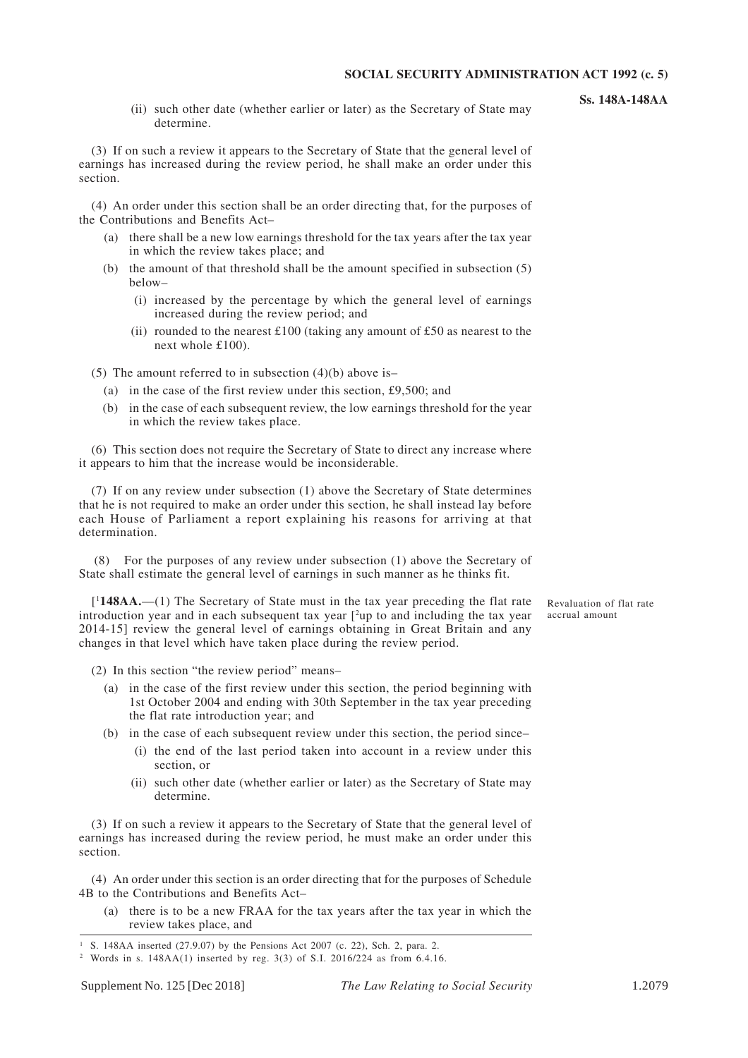(ii) such other date (whether earlier or later) as the Secretary of State may determine.

(3) If on such a review it appears to the Secretary of State that the general level of earnings has increased during the review period, he shall make an order under this section.

(4) An order under this section shall be an order directing that, for the purposes of the Contributions and Benefits Act–

- (a) there shall be a new low earnings threshold for the tax years after the tax year in which the review takes place; and
- (b) the amount of that threshold shall be the amount specified in subsection (5) below–
	- (i) increased by the percentage by which the general level of earnings increased during the review period; and
	- (ii) rounded to the nearest £100 (taking any amount of £50 as nearest to the next whole £100).

(5) The amount referred to in subsection  $(4)(b)$  above is-

- (a) in the case of the first review under this section, £9,500; and
- (b) in the case of each subsequent review, the low earnings threshold for the year in which the review takes place.

(6) This section does not require the Secretary of State to direct any increase where it appears to him that the increase would be inconsiderable.

(7) If on any review under subsection (1) above the Secretary of State determines that he is not required to make an order under this section, he shall instead lay before each House of Parliament a report explaining his reasons for arriving at that determination.

 (8) For the purposes of any review under subsection (1) above the Secretary of State shall estimate the general level of earnings in such manner as he thinks fit.

[1 **148AA.**—(1) The Secretary of State must in the tax year preceding the flat rate introduction year and in each subsequent tax year  $[$ <sup>2</sup>up to and including the tax year 2014-15] review the general level of earnings obtaining in Great Britain and any changes in that level which have taken place during the review period.

(2) In this section "the review period" means–

- (a) in the case of the first review under this section, the period beginning with 1st October 2004 and ending with 30th September in the tax year preceding the flat rate introduction year; and
- (b) in the case of each subsequent review under this section, the period since–
	- (i) the end of the last period taken into account in a review under this section, or
	- (ii) such other date (whether earlier or later) as the Secretary of State may determine.

(3) If on such a review it appears to the Secretary of State that the general level of earnings has increased during the review period, he must make an order under this section.

(4) An order under this section is an order directing that for the purposes of Schedule 4B to the Contributions and Benefits Act–

(a) there is to be a new FRAA for the tax years after the tax year in which the review takes place, and

Revaluation of flat rate accrual amount

**Ss. 148A-148AA**

<sup>&</sup>lt;sup>1</sup> S. 148AA inserted (27.9.07) by the Pensions Act 2007 (c. 22), Sch. 2, para. 2.

<sup>&</sup>lt;sup>2</sup> Words in s.  $148AA(1)$  inserted by reg. 3(3) of S.I. 2016/224 as from 6.4.16.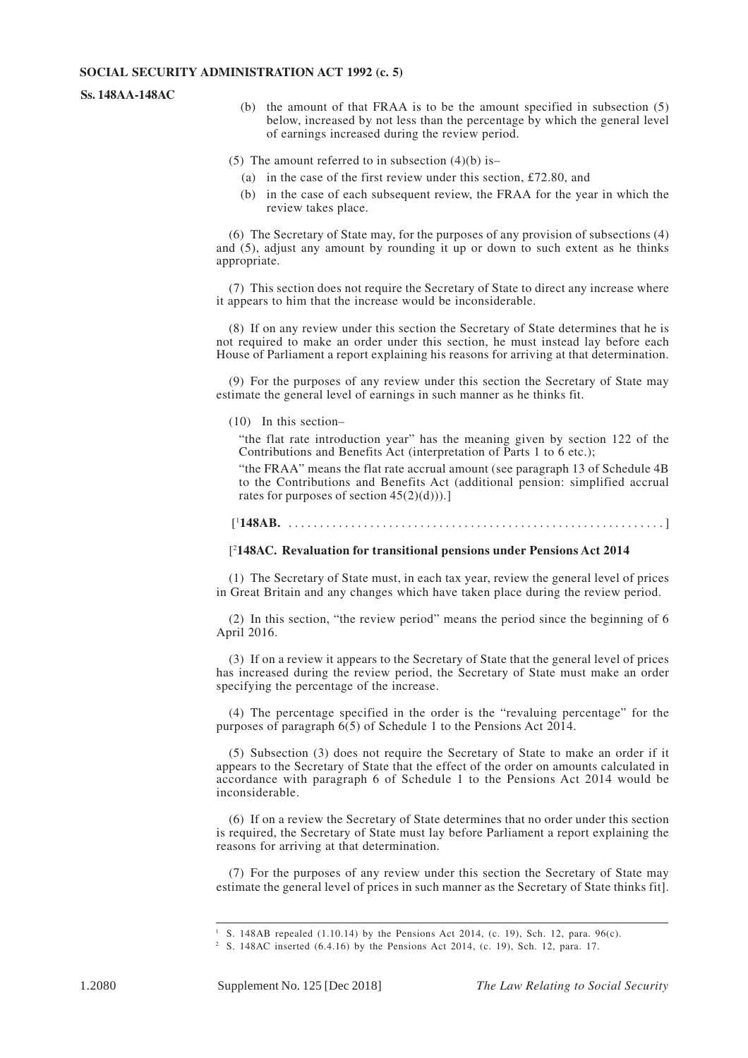**Ss. 148AA-148AC**

- (b) the amount of that FRAA is to be the amount specified in subsection (5) below, increased by not less than the percentage by which the general level of earnings increased during the review period.
- (5) The amount referred to in subsection  $(4)(b)$  is–
	- (a) in the case of the first review under this section, £72.80, and
	- (b) in the case of each subsequent review, the FRAA for the year in which the review takes place.

(6) The Secretary of State may, for the purposes of any provision of subsections (4) and (5), adjust any amount by rounding it up or down to such extent as he thinks appropriate.

(7) This section does not require the Secretary of State to direct any increase where it appears to him that the increase would be inconsiderable.

(8) If on any review under this section the Secretary of State determines that he is not required to make an order under this section, he must instead lay before each House of Parliament a report explaining his reasons for arriving at that determination.

(9) For the purposes of any review under this section the Secretary of State may estimate the general level of earnings in such manner as he thinks fit.

(10) In this section–

"the flat rate introduction year" has the meaning given by section 122 of the Contributions and Benefits Act (interpretation of Parts 1 to 6 etc.);

"the FRAA" means the flat rate accrual amount (see paragraph 13 of Schedule 4B to the Contributions and Benefits Act (additional pension: simplified accrual rates for purposes of section  $45(2)(d))$ .]

[1 **148AB.** . . . . . . . . . . . . . . . . . . . . . . . . . . . . . . . . . . . . . . . . . . . . . . . . . . . . . . . . . . . . ]

### [2 **148AC. Revaluation for transitional pensions under Pensions Act 2014**

(1) The Secretary of State must, in each tax year, review the general level of prices in Great Britain and any changes which have taken place during the review period.

(2) In this section, "the review period" means the period since the beginning of 6 April 2016.

(3) If on a review it appears to the Secretary of State that the general level of prices has increased during the review period, the Secretary of State must make an order specifying the percentage of the increase.

(4) The percentage specified in the order is the "revaluing percentage" for the purposes of paragraph  $6(5)$  of Schedule 1 to the Pensions Act 2014.

(5) Subsection (3) does not require the Secretary of State to make an order if it appears to the Secretary of State that the effect of the order on amounts calculated in accordance with paragraph 6 of Schedule 1 to the Pensions Act 2014 would be inconsiderable.

(6) If on a review the Secretary of State determines that no order under this section is required, the Secretary of State must lay before Parliament a report explaining the reasons for arriving at that determination.

(7) For the purposes of any review under this section the Secretary of State may estimate the general level of prices in such manner as the Secretary of State thinks fit].

<sup>&</sup>lt;sup>1</sup> S. 148AB repealed  $(1.10.14)$  by the Pensions Act 2014, (c. 19), Sch. 12, para. 96(c).

<sup>2</sup> S. 148AC inserted (6.4.16) by the Pensions Act 2014, (c. 19), Sch. 12, para. 17.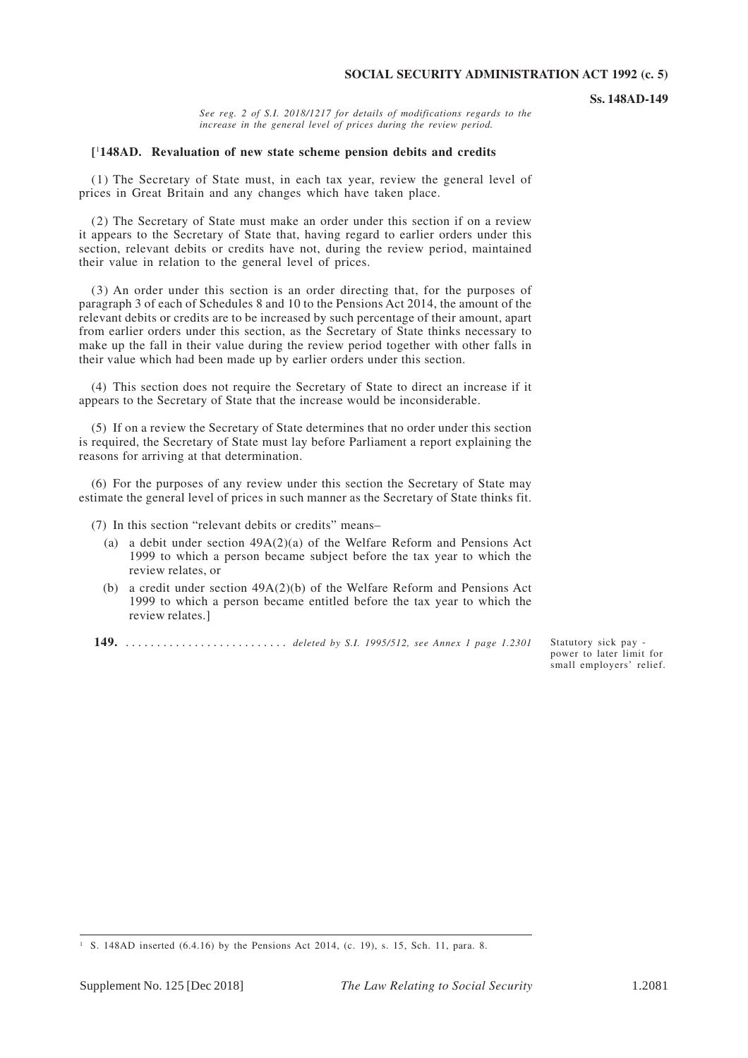**Ss. 148AD-149**

*See reg. 2 of S.I. 2018/1217 for details of modifications regards to the increase in the general level of prices during the review period.*

### **[**1 **148AD. Revaluation of new state scheme pension debits and credits**

(1) The Secretary of State must, in each tax year, review the general level of prices in Great Britain and any changes which have taken place.

(2) The Secretary of State must make an order under this section if on a review it appears to the Secretary of State that, having regard to earlier orders under this section, relevant debits or credits have not, during the review period, maintained their value in relation to the general level of prices.

(3) An order under this section is an order directing that, for the purposes of paragraph 3 of each of Schedules 8 and 10 to the Pensions Act 2014, the amount of the relevant debits or credits are to be increased by such percentage of their amount, apart from earlier orders under this section, as the Secretary of State thinks necessary to make up the fall in their value during the review period together with other falls in their value which had been made up by earlier orders under this section.

(4) This section does not require the Secretary of State to direct an increase if it appears to the Secretary of State that the increase would be inconsiderable.

(5) If on a review the Secretary of State determines that no order under this section is required, the Secretary of State must lay before Parliament a report explaining the reasons for arriving at that determination.

(6) For the purposes of any review under this section the Secretary of State may estimate the general level of prices in such manner as the Secretary of State thinks fit.

(7) In this section "relevant debits or credits" means–

- (a) a debit under section  $49A(2)(a)$  of the Welfare Reform and Pensions Act 1999 to which a person became subject before the tax year to which the review relates, or
- (b) a credit under section 49A(2)(b) of the Welfare Reform and Pensions Act 1999 to which a person became entitled before the tax year to which the review relates.]

**149.** *. . . . . . . . . . . . . . . . . . . . . . . . . . deleted by S.I. 1995/512, see Annex 1 page 1.2301*

Statutory sick pay power to later limit for small employers' relief.

<sup>&</sup>lt;sup>1</sup> S. 148AD inserted  $(6.4.16)$  by the Pensions Act 2014, (c. 19), s. 15, Sch. 11, para. 8.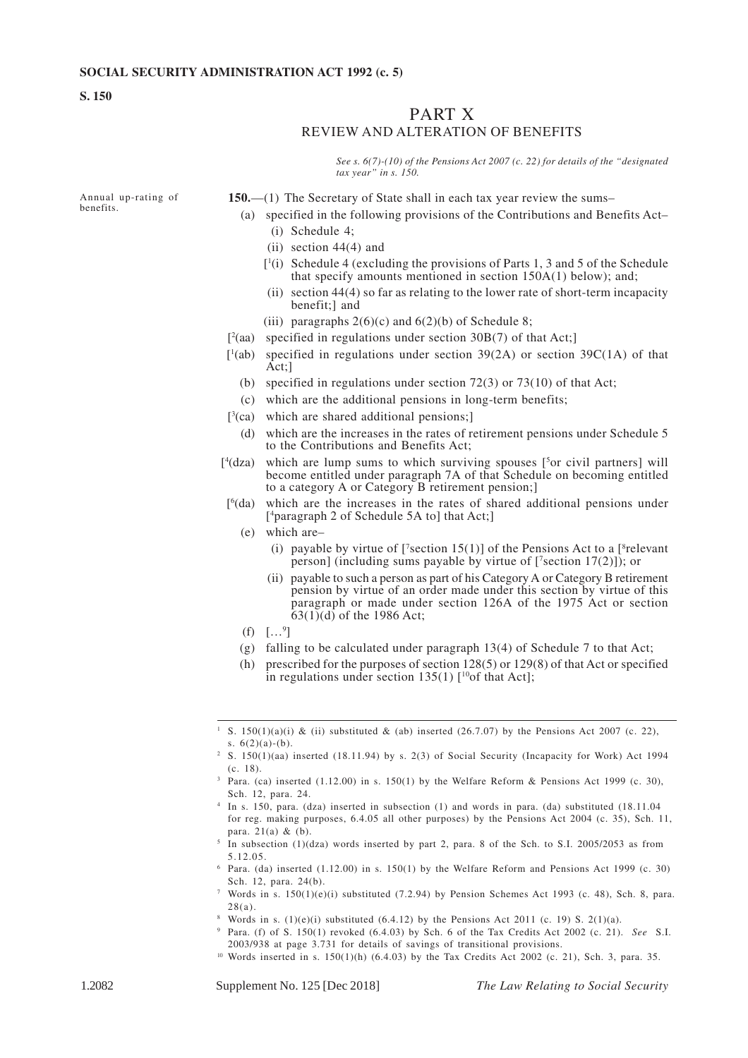### **S. 150**

benefits.

# PART X REVIEW AND ALTERATION OF BENEFITS

*See s. 6(7)-(10) of the Pensions Act 2007 (c. 22) for details of the "designated tax year" in s. 150.*

**150.**—(1) The Secretary of State shall in each tax year review the sums– Annual up-rating of

- (a) specified in the following provisions of the Contributions and Benefits Act– (i) Schedule 4;
	-
	- (ii) section 44(4) and
	- $[1(i)$  Schedule 4 (excluding the provisions of Parts 1, 3 and 5 of the Schedule that specify amounts mentioned in section 150A(1) below); and;
	- (ii) section 44(4) so far as relating to the lower rate of short-term incapacity benefit;] and
	- (iii) paragraphs  $2(6)(c)$  and  $6(2)(b)$  of Schedule 8;
- [<sup>2</sup>(aa) specified in regulations under section 30B(7) of that Act;]
- $[{}^{1}(ab)$  specified in regulations under section 39(2A) or section 39C(1A) of that Act;]
	- (b) specified in regulations under section 72(3) or 73(10) of that Act;
	- (c) which are the additional pensions in long-term benefits;
- [<sup>3</sup>(ca) which are shared additional pensions;]
- (d) which are the increases in the rates of retirement pensions under Schedule 5 to the Contributions and Benefits Act;
- [ 4 (dza) which are lump sums to which surviving spouses [<sup>5</sup>or civil partners] will become entitled under paragraph 7A of that Schedule on becoming entitled to a category A or Category B retirement pension;]
- [<sup>6</sup>(da) which are the increases in the rates of shared additional pensions under [4 paragraph 2 of Schedule 5A to] that Act;]
	- (e) which are–
		- (i) payable by virtue of [<sup>7</sup> section 15(1)] of the Pensions Act to a [<sup>8</sup> relevant person] (including sums payable by virtue of [7 section 17(2)]); or
		- (ii) payable to such a person as part of his Category A or Category B retirement pension by virtue of an order made under this section by virtue of this paragraph or made under section 126A of the 1975 Act or section 63(1)(d) of the 1986 Act;
	- (f)  $[...^9]$
	- (g) falling to be calculated under paragraph 13(4) of Schedule 7 to that Act;
	- (h) prescribed for the purposes of section 128(5) or 129(8) of that Act or specified in regulations under section  $135(1)$  [<sup>10</sup>of that Act];

<sup>4</sup> In s. 150, para. (dza) inserted in subsection (1) and words in para. (da) substituted (18.11.04 for reg. making purposes, 6.4.05 all other purposes) by the Pensions Act 2004 (c. 35), Sch. 11, para. 21(a) & (b).

 $\frac{1}{5}$  In subsection (1)(dza) words inserted by part 2, para. 8 of the Sch. to S.I. 2005/2053 as from 5.12.05.

- $6$  Para. (da) inserted (1.12.00) in s. 150(1) by the Welfare Reform and Pensions Act 1999 (c. 30) Sch. 12, para. 24(b).
- <sup>7</sup> Words in s. 150(1)(e)(i) substituted (7.2.94) by Pension Schemes Act 1993 (c. 48), Sch. 8, para. 28(a).
- <sup>8</sup> Words in s.  $(1)(e)(i)$  substituted  $(6.4.12)$  by the Pensions Act 2011 (c. 19) S. 2(1)(a).
- <sup>9</sup> Para. (f) of S. 150(1) revoked (6.4.03) by Sch. 6 of the Tax Credits Act 2002 (c. 21). *See* S.I. 2003/938 at page 3.731 for details of savings of transitional provisions.
- <sup>10</sup> Words inserted in s. 150(1)(h) (6.4.03) by the Tax Credits Act 2002 (c. 21), Sch. 3, para. 35.

<sup>&</sup>lt;sup>1</sup> S. 150(1)(a)(i) & (ii) substituted & (ab) inserted (26.7.07) by the Pensions Act 2007 (c. 22), s.  $6(2)(a)-(b)$ .

<sup>2</sup> S. 150(1)(aa) inserted (18.11.94) by s. 2(3) of Social Security (Incapacity for Work) Act 1994 (c. 18).

<sup>&</sup>lt;sup>3</sup> Para. (ca) inserted  $(1.12.00)$  in s. 150(1) by the Welfare Reform & Pensions Act 1999 (c. 30), Sch. 12, para. 24.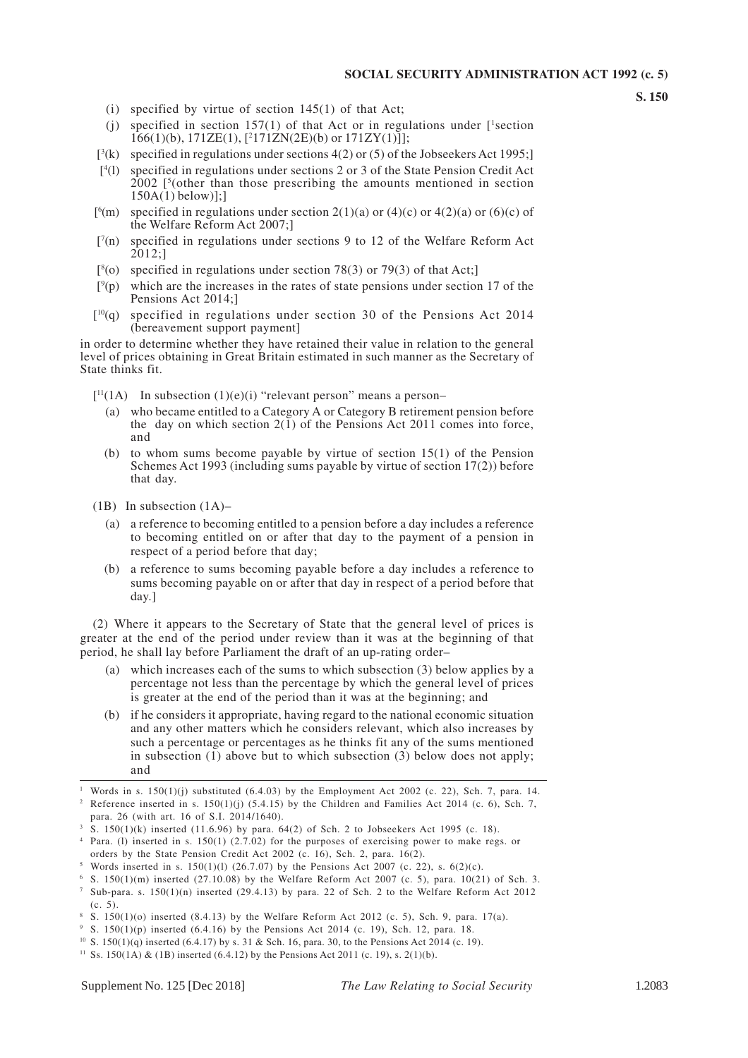- (i) specified by virtue of section  $145(1)$  of that Act;
- (j) specified in section  $157(1)$  of that Act or in regulations under [<sup>1</sup>section  $166(1)(b)$ ,  $171ZE(1)$ ,  $[2171ZN(2E)(b)$  or  $171ZY(1)]$ ;
- $[3(k)$  specified in regulations under sections 4(2) or (5) of the Jobseekers Act 1995;
- [4 (l) specified in regulations under sections 2 or 3 of the State Pension Credit Act  $2002$  [<sup>5</sup>(other than those prescribing the amounts mentioned in section  $150A(1)$  below)];]
- $[6(m)$  specified in regulations under section 2(1)(a) or (4)(c) or 4(2)(a) or (6)(c) of the Welfare Reform Act 2007;]
- $[7(n)]$ specified in regulations under sections 9 to 12 of the Welfare Reform Act  $2012:1$
- $[8]$ (o) specified in regulations under section 78(3) or 79(3) of that Act;
- $[°(p)$  which are the increases in the rates of state pensions under section 17 of the Pensions Act 2014;]
- $[10(q)$  specified in regulations under section 30 of the Pensions Act 2014 (bereavement support payment]

in order to determine whether they have retained their value in relation to the general level of prices obtaining in Great Britain estimated in such manner as the Secretary of State thinks fit.

 $[1<sup>11</sup>(1A)$  In subsection  $(1)(e)(i)$  "relevant person" means a person-

- (a) who became entitled to a Category A or Category B retirement pension before the day on which section  $2(1)$  of the Pensions Act 2011 comes into force, and
- (b) to whom sums become payable by virtue of section 15(1) of the Pension Schemes Act 1993 (including sums payable by virtue of section 17(2)) before that day.
- (1B) In subsection (1A)–
	- (a) a reference to becoming entitled to a pension before a day includes a reference to becoming entitled on or after that day to the payment of a pension in respect of a period before that day;
	- (b) a reference to sums becoming payable before a day includes a reference to sums becoming payable on or after that day in respect of a period before that day.]

(2) Where it appears to the Secretary of State that the general level of prices is greater at the end of the period under review than it was at the beginning of that period, he shall lay before Parliament the draft of an up-rating order–

- (a) which increases each of the sums to which subsection (3) below applies by a percentage not less than the percentage by which the general level of prices is greater at the end of the period than it was at the beginning; and
- (b) if he considers it appropriate, having regard to the national economic situation and any other matters which he considers relevant, which also increases by such a percentage or percentages as he thinks fit any of the sums mentioned in subsection  $(1)$  above but to which subsection  $(3)$  below does not apply; and

- <sup>4</sup> Para. (l) inserted in s. 150(1) (2.7.02) for the purposes of exercising power to make regs. or orders by the State Pension Credit Act 2002 (c. 16), Sch. 2, para. 16(2).
- <sup>5</sup> Words inserted in s. 150(1)(1) (26.7.07) by the Pensions Act 2007 (c. 22), s. 6(2)(c).
- $6\,$  S. 150(1)(m) inserted (27.10.08) by the Welfare Reform Act 2007 (c. 5), para. 10(21) of Sch. 3.
- <sup>7</sup> Sub-para. s. 150(1)(n) inserted (29.4.13) by para. 22 of Sch. 2 to the Welfare Reform Act 2012 (c. 5).
- 8 S.  $150(1)(o)$  inserted (8.4.13) by the Welfare Reform Act 2012 (c. 5), Sch. 9, para. 17(a).

<sup>10</sup> S. 150(1)(q) inserted (6.4.17) by s. 31 & Sch. 16, para. 30, to the Pensions Act 2014 (c. 19).

<sup>&</sup>lt;sup>1</sup> Words in s. 150(1)(j) substituted (6.4.03) by the Employment Act 2002 (c. 22), Sch. 7, para. 14. Reference inserted in s.  $150(1)(j)$  (5.4.15) by the Children and Families Act 2014 (c. 6), Sch. 7, para. 26 (with art. 16 of S.I. 2014/1640).

<sup>&</sup>lt;sup>3</sup> S.  $150(1)(k)$  inserted (11.6.96) by para.  $64(2)$  of Sch. 2 to Jobseekers Act 1995 (c. 18).

<sup>&</sup>lt;sup>9</sup> S.  $150(1)(p)$  inserted (6.4.16) by the Pensions Act 2014 (c. 19), Sch. 12, para. 18.

<sup>&</sup>lt;sup>11</sup> Ss. 150(1A) & (1B) inserted (6.4.12) by the Pensions Act 2011 (c. 19), s. 2(1)(b).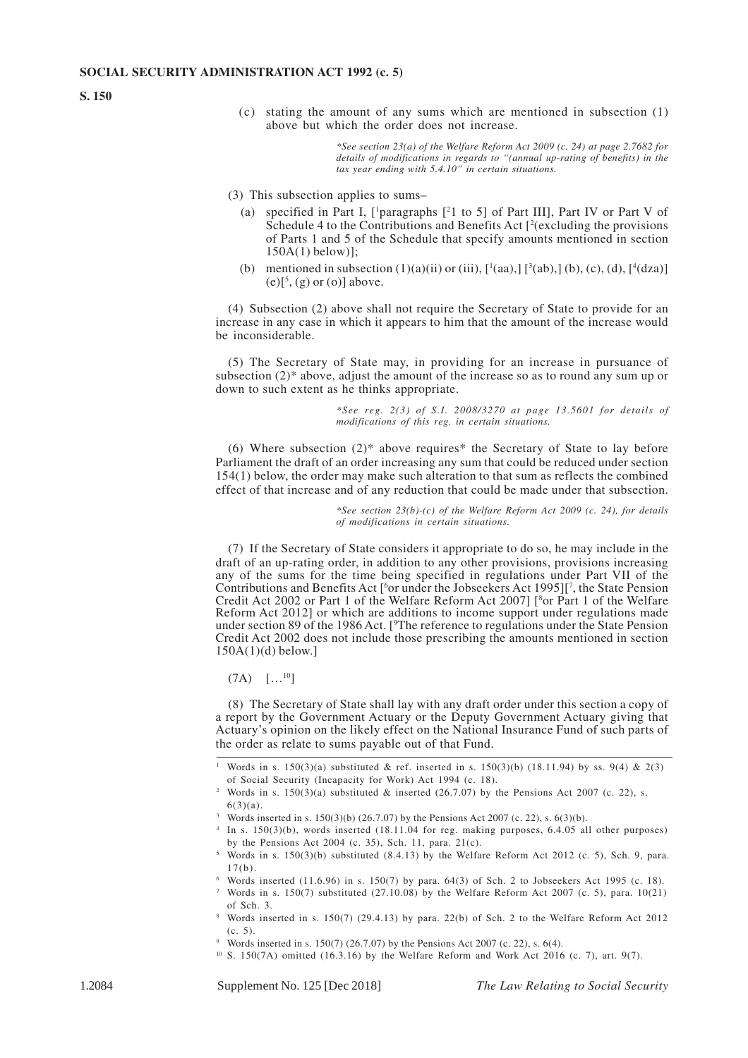**S. 150**

(c) stating the amount of any sums which are mentioned in subsection (1) above but which the order does not increase.

> *\*See section 23(a) of the Welfare Reform Act 2009 (c. 24) at page 2.7682 for details of modifications in regards to "(annual up-rating of benefits) in the tax year ending with 5.4.10" in certain situations.*

- (3) This subsection applies to sums–
	- (a) specified in Part I, [<sup>1</sup>paragraphs  $[{}^{2}1$  to 5] of Part III], Part IV or Part V of Schedule 4 to the Contributions and Benefits Act  $[^2$  (excluding the provisions of Parts 1 and 5 of the Schedule that specify amounts mentioned in section 150A(1) below)];
	- (b) mentioned in subsection  $(1)(a)(ii)$  or  $(iii)$ ,  $[1(aa),] [3(a b),] (b), (c), (d), [4(dza)]$  $(e)[<sup>5</sup>, (g) or (o)]$  above.

(4) Subsection (2) above shall not require the Secretary of State to provide for an increase in any case in which it appears to him that the amount of the increase would be inconsiderable.

(5) The Secretary of State may, in providing for an increase in pursuance of subsection (2)\* above, adjust the amount of the increase so as to round any sum up or down to such extent as he thinks appropriate.

> *\*See reg. 2(3) of S.I. 2008/3270 at page 13.5601 for details of modifications of this reg. in certain situations.*

(6) Where subsection  $(2)^*$  above requires<sup>\*</sup> the Secretary of State to lay before Parliament the draft of an order increasing any sum that could be reduced under section 154(1) below, the order may make such alteration to that sum as reflects the combined effect of that increase and of any reduction that could be made under that subsection.

> *\*See section 23(b)-(c) of the Welfare Reform Act 2009 (c. 24), for details of modifications in certain situations.*

(7) If the Secretary of State considers it appropriate to do so, he may include in the draft of an up-rating order, in addition to any other provisions, provisions increasing any of the sums for the time being specified in regulations under Part VII of the Contributions and Benefits Act [<sup>6</sup>or under the Jobseekers Act 1995]<sup>[7</sup>, the State Pension Credit Act 2002 or Part 1 of the Welfare Reform Act 2007] [<sup>8</sup>or Part 1 of the Welfare Reform Act 2012] or which are additions to income support under regulations made under section 89 of the 1986 Act. [<sup>9</sup>The reference to regulations under the State Pension Credit Act 2002 does not include those prescribing the amounts mentioned in section  $150A(1)(d)$  below.]

 $(7A)$   $[\dots]$ <sup>10</sup>]

(8) The Secretary of State shall lay with any draft order under this section a copy of a report by the Government Actuary or the Deputy Government Actuary giving that Actuary's opinion on the likely effect on the National Insurance Fund of such parts of the order as relate to sums payable out of that Fund.

<sup>&</sup>lt;sup>1</sup> Words in s. 150(3)(a) substituted & ref. inserted in s. 150(3)(b) (18.11.94) by ss. 9(4) & 2(3) of Social Security (Incapacity for Work) Act 1994 (c. 18).

<sup>&</sup>lt;sup>2</sup> Words in s. 150(3)(a) substituted & inserted (26.7.07) by the Pensions Act 2007 (c. 22), s. 6(3)(a).

<sup>&</sup>lt;sup>3</sup> Words inserted in s. 150(3)(b) (26.7.07) by the Pensions Act 2007 (c. 22), s. 6(3)(b).

<sup>4</sup> In s. 150(3)(b), words inserted (18.11.04 for reg. making purposes, 6.4.05 all other purposes) by the Pensions Act 2004 (c. 35), Sch. 11, para. 21(c).

<sup>5</sup> Words in s. 150(3)(b) substituted (8.4.13) by the Welfare Reform Act 2012 (c. 5), Sch. 9, para.  $17(h)$ .

<sup>&</sup>lt;sup>6</sup> Words inserted  $(11.6.96)$  in s. 150(7) by para. 64(3) of Sch. 2 to Jobseekers Act 1995 (c. 18).

<sup>7</sup> Words in s. 150(7) substituted (27.10.08) by the Welfare Reform Act 2007 (c. 5), para. 10(21) of Sch. 3.

<sup>&</sup>lt;sup>8</sup> Words inserted in s. 150(7) (29.4.13) by para. 22(b) of Sch. 2 to the Welfare Reform Act 2012  $(c, 5)$ .

Words inserted in s.  $150(7)$  (26.7.07) by the Pensions Act 2007 (c. 22), s. 6(4).

<sup>10</sup> S. 150(7A) omitted (16.3.16) by the Welfare Reform and Work Act 2016 (c. 7), art. 9(7).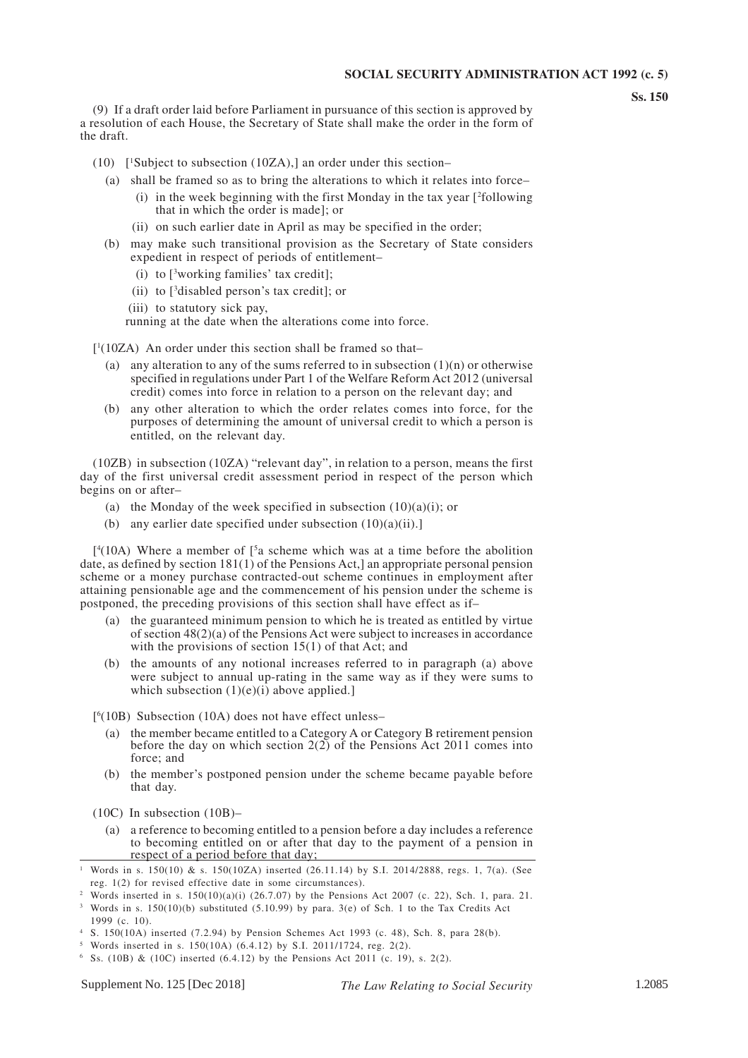**Ss. 150**

(9) If a draft order laid before Parliament in pursuance of this section is approved by a resolution of each House, the Secretary of State shall make the order in the form of the draft.

- $(10)$  [<sup>1</sup>Subject to subsection  $(10ZA)$ ,] an order under this section-
	- (a) shall be framed so as to bring the alterations to which it relates into force–
		- (i) in the week beginning with the first Monday in the tax year [<sup>2</sup>following that in which the order is made]; or
		- (ii) on such earlier date in April as may be specified in the order;
	- (b) may make such transitional provision as the Secretary of State considers expedient in respect of periods of entitlement–
		- (i) to [3 working families' tax credit];
		- (ii) to [3 disabled person's tax credit]; or

(iii) to statutory sick pay,

running at the date when the alterations come into force.

[ 1 (10ZA) An order under this section shall be framed so that–

- (a) any alteration to any of the sums referred to in subsection  $(1)(n)$  or otherwise specified in regulations under Part 1 of the Welfare Reform Act 2012 (universal credit) comes into force in relation to a person on the relevant day; and
- (b) any other alteration to which the order relates comes into force, for the purposes of determining the amount of universal credit to which a person is entitled, on the relevant day.

(10ZB) in subsection (10ZA) "relevant day", in relation to a person, means the first day of the first universal credit assessment period in respect of the person which begins on or after–

- (a) the Monday of the week specified in subsection  $(10)(a)(i)$ ; or
- (b) any earlier date specified under subsection  $(10)(a)(ii)$ .

 $[4(10A)$  Where a member of  $[5a]$  scheme which was at a time before the abolition date, as defined by section 181(1) of the Pensions Act,] an appropriate personal pension scheme or a money purchase contracted-out scheme continues in employment after attaining pensionable age and the commencement of his pension under the scheme is postponed, the preceding provisions of this section shall have effect as if–

- (a) the guaranteed minimum pension to which he is treated as entitled by virtue of section 48(2)(a) of the Pensions Act were subject to increases in accordance with the provisions of section 15(1) of that Act; and
- (b) the amounts of any notional increases referred to in paragraph (a) above were subject to annual up-rating in the same way as if they were sums to which subsection  $(1)(e)(i)$  above applied.]

 $[6(10B)$  Subsection (10A) does not have effect unless-

- (a) the member became entitled to a Category A or Category B retirement pension before the day on which section  $2(2)$  of the Pensions Act 2011 comes into force; and
- (b) the member's postponed pension under the scheme became payable before that day.
- (10C) In subsection (10B)–
	- (a) a reference to becoming entitled to a pension before a day includes a reference to becoming entitled on or after that day to the payment of a pension in respect of a period before that day;

Words in s. 150(10) & s. 150(10ZA) inserted (26.11.14) by S.I. 2014/2888, regs. 1, 7(a). (See reg. 1(2) for revised effective date in some circumstances).

Words inserted in s.  $150(10)(a)(i)$  (26.7.07) by the Pensions Act 2007 (c. 22), Sch. 1, para. 21. Words in s.  $150(10)(b)$  substituted (5.10.99) by para. 3(e) of Sch. 1 to the Tax Credits Act

<sup>1999 (</sup>c. 10).  $4$  S. 150(10A) inserted (7.2.94) by Pension Schemes Act 1993 (c. 48), Sch. 8, para 28(b).

<sup>5</sup> Words inserted in s. 150(10A) (6.4.12) by S.I. 2011/1724, reg. 2(2).

<sup>&</sup>lt;sup>6</sup> Ss. (10B) & (10C) inserted (6.4.12) by the Pensions Act 2011 (c. 19), s. 2(2).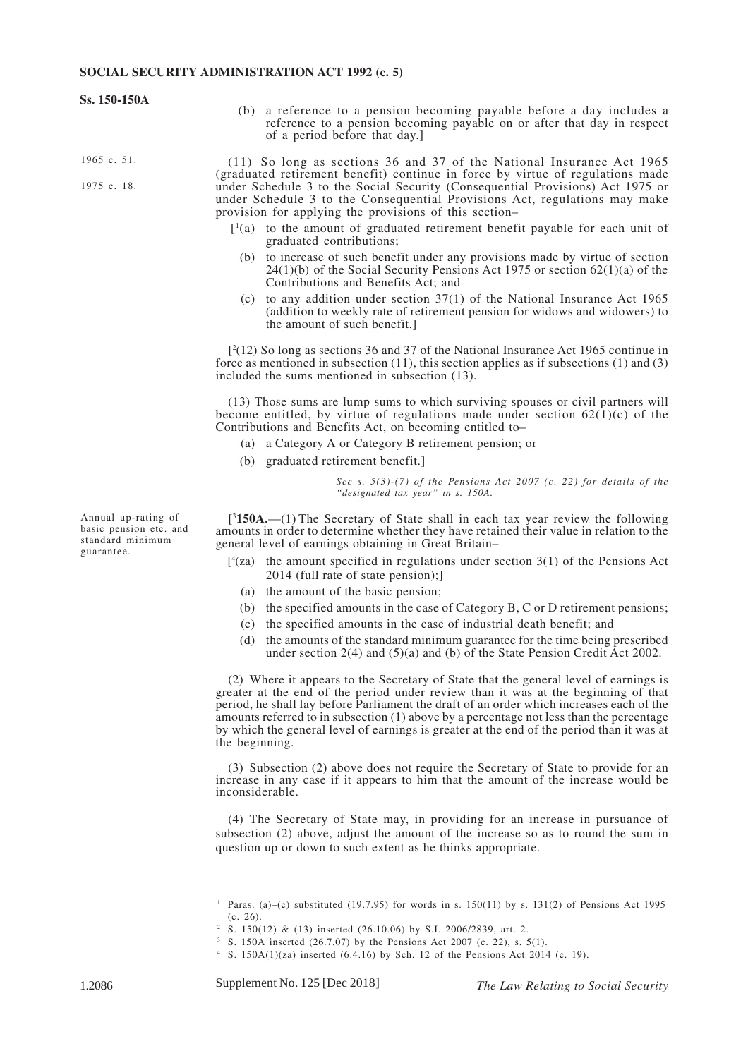#### **Ss. 150-150A**

1965 c. 51.

1975 c. 18.

(b) a reference to a pension becoming payable before a day includes a reference to a pension becoming payable on or after that day in respect of a period before that day.]

(11) So long as sections 36 and 37 of the National Insurance Act 1965 (graduated retirement benefit) continue in force by virtue of regulations made under Schedule 3 to the Social Security (Consequential Provisions) Act 1975 or under Schedule 3 to the Consequential Provisions Act, regulations may make provision for applying the provisions of this section–

- [1 (a) to the amount of graduated retirement benefit payable for each unit of graduated contributions;
	- (b) to increase of such benefit under any provisions made by virtue of section  $24(1)(b)$  of the Social Security Pensions Act 1975 or section 62(1)(a) of the Contributions and Benefits Act; and
	- (c) to any addition under section  $37(1)$  of the National Insurance Act 1965 (addition to weekly rate of retirement pension for widows and widowers) to the amount of such benefit.]

[2 (12) So long as sections 36 and 37 of the National Insurance Act 1965 continue in force as mentioned in subsection (11), this section applies as if subsections (1) and (3) included the sums mentioned in subsection (13).

(13) Those sums are lump sums to which surviving spouses or civil partners will become entitled, by virtue of regulations made under section  $62(1)(c)$  of the Contributions and Benefits Act, on becoming entitled to–

- (a) a Category A or Category B retirement pension; or
- (b) graduated retirement benefit.]

*See s. 5(3)-(7) of the Pensions Act 2007 (c. 22) for details of the "designated tax year" in s. 150A.*

[3 **150A.**—(1) The Secretary of State shall in each tax year review the following amounts in order to determine whether they have retained their value in relation to the general level of earnings obtaining in Great Britain–

- [4 (za) the amount specified in regulations under section 3(1) of the Pensions Act 2014 (full rate of state pension);]
	- (a) the amount of the basic pension;
	- (b) the specified amounts in the case of Category B, C or D retirement pensions;
	- (c) the specified amounts in the case of industrial death benefit; and
	- (d) the amounts of the standard minimum guarantee for the time being prescribed under section  $2(4)$  and  $(5)(a)$  and  $(b)$  of the State Pension Credit Act 2002.

(2) Where it appears to the Secretary of State that the general level of earnings is greater at the end of the period under review than it was at the beginning of that period, he shall lay before Parliament the draft of an order which increases each of the amounts referred to in subsection (1) above by a percentage not less than the percentage by which the general level of earnings is greater at the end of the period than it was at the beginning.

(3) Subsection (2) above does not require the Secretary of State to provide for an increase in any case if it appears to him that the amount of the increase would be inconsiderable.

(4) The Secretary of State may, in providing for an increase in pursuance of subsection (2) above, adjust the amount of the increase so as to round the sum in question up or down to such extent as he thinks appropriate.

Annual up-rating of basic pension etc. and standard minimum guarantee.

<sup>&</sup>lt;sup>1</sup> Paras. (a)–(c) substituted (19.7.95) for words in s.  $150(11)$  by s.  $131(2)$  of Pensions Act 1995 (c. 26).

<sup>2</sup> S. 150(12) & (13) inserted (26.10.06) by S.I. 2006/2839, art. 2.

<sup>&</sup>lt;sup>3</sup> S. 150A inserted  $(26.7.07)$  by the Pensions Act 2007 (c. 22), s. 5(1).

<sup>4</sup> S.  $150A(1)(za)$  inserted  $(6.4.16)$  by Sch. 12 of the Pensions Act 2014 (c. 19).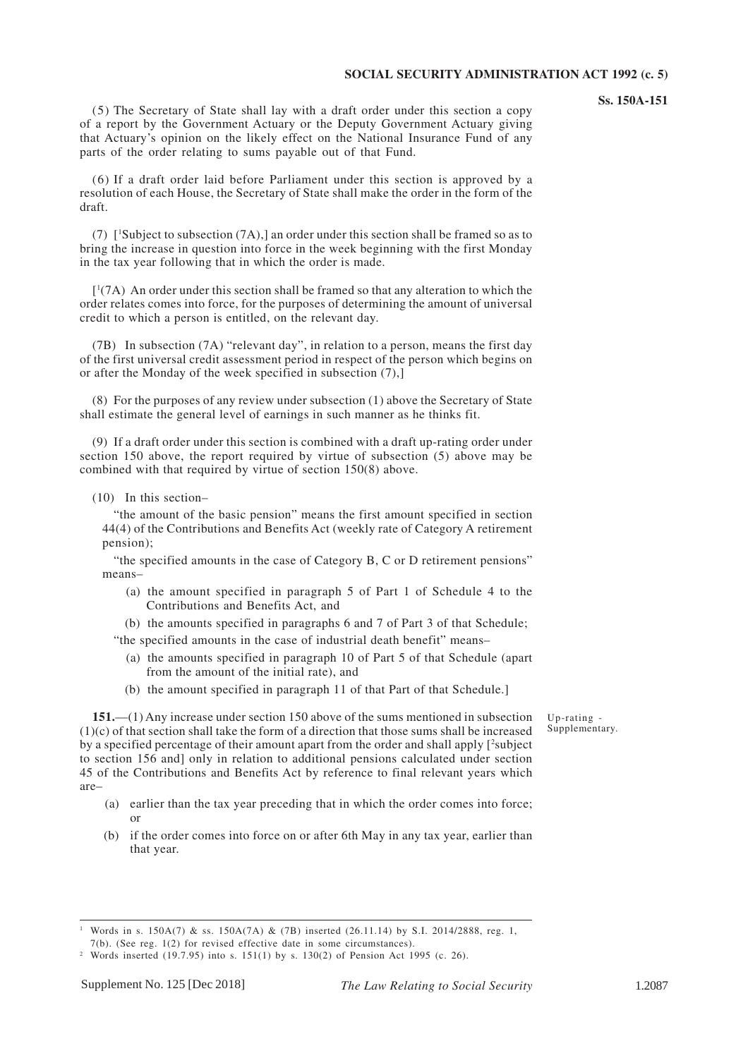**Ss. 150A-151**

(5) The Secretary of State shall lay with a draft order under this section a copy of a report by the Government Actuary or the Deputy Government Actuary giving that Actuary's opinion on the likely effect on the National Insurance Fund of any parts of the order relating to sums payable out of that Fund.

(6) If a draft order laid before Parliament under this section is approved by a resolution of each House, the Secretary of State shall make the order in the form of the draft.

(7) [<sup>1</sup>Subject to subsection (7A),] an order under this section shall be framed so as to bring the increase in question into force in the week beginning with the first Monday in the tax year following that in which the order is made.

 $[1(7A)$  An order under this section shall be framed so that any alteration to which the order relates comes into force, for the purposes of determining the amount of universal credit to which a person is entitled, on the relevant day.

(7B) In subsection (7A) "relevant day", in relation to a person, means the first day of the first universal credit assessment period in respect of the person which begins on or after the Monday of the week specified in subsection (7),]

(8) For the purposes of any review under subsection (1) above the Secretary of State shall estimate the general level of earnings in such manner as he thinks fit.

(9) If a draft order under this section is combined with a draft up-rating order under section 150 above, the report required by virtue of subsection (5) above may be combined with that required by virtue of section 150(8) above.

(10) In this section–

"the amount of the basic pension" means the first amount specified in section 44(4) of the Contributions and Benefits Act (weekly rate of Category A retirement pension);

"the specified amounts in the case of Category B, C or D retirement pensions" means–

- (a) the amount specified in paragraph 5 of Part 1 of Schedule 4 to the Contributions and Benefits Act, and
- (b) the amounts specified in paragraphs 6 and 7 of Part 3 of that Schedule;

"the specified amounts in the case of industrial death benefit" means–

- (a) the amounts specified in paragraph 10 of Part 5 of that Schedule (apart from the amount of the initial rate), and
- (b) the amount specified in paragraph 11 of that Part of that Schedule.]

Up-rating - Supplementary.

**151.**—(1) Any increase under section 150 above of the sums mentioned in subsection (1)(c) of that section shall take the form of a direction that those sums shall be increased by a specified percentage of their amount apart from the order and shall apply [<sup>2</sup>subject to section 156 and] only in relation to additional pensions calculated under section 45 of the Contributions and Benefits Act by reference to final relevant years which are–

- (a) earlier than the tax year preceding that in which the order comes into force; or
- (b) if the order comes into force on or after 6th May in any tax year, earlier than that year.

Words in s. 150A(7) & ss. 150A(7A) & (7B) inserted (26.11.14) by S.I. 2014/2888, reg. 1,

<sup>7(</sup>b). (See reg. 1(2) for revised effective date in some circumstances). <sup>2</sup> Words inserted (19.7.95) into s. 151(1) by s. 130(2) of Pension Act 1995 (c. 26).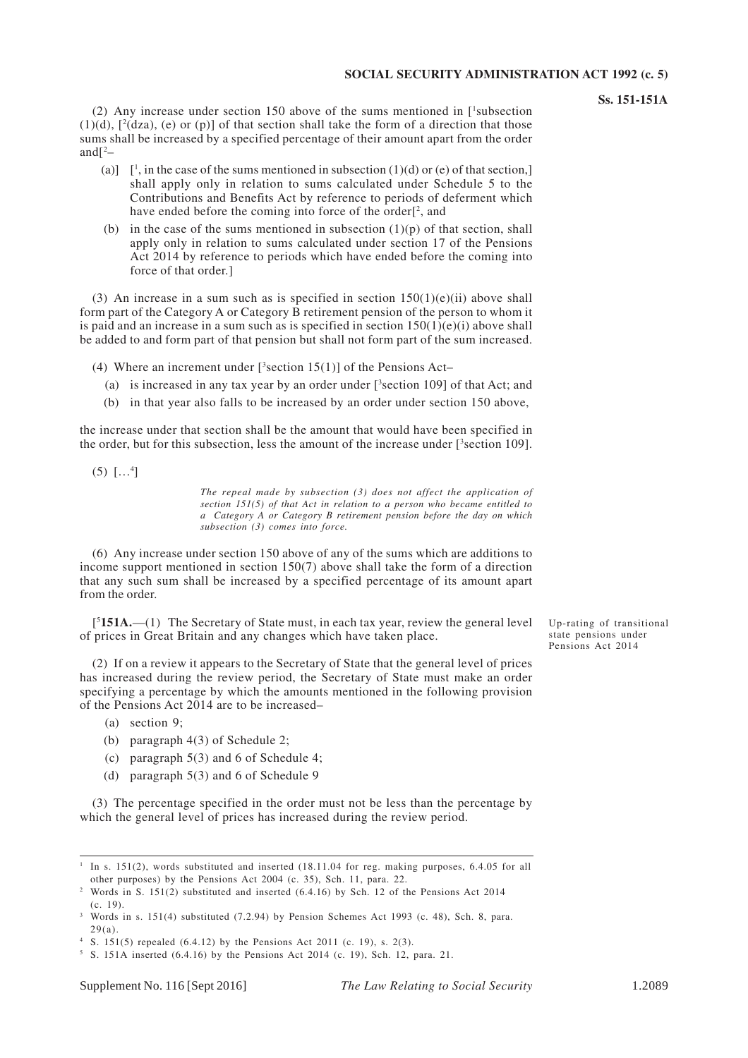**Ss. 151-151A**

(2) Any increase under section 150 above of the sums mentioned in  $[1]$ subsection  $(1)(d)$ ,  $[2(dza)$ ,  $(e)$  or  $(p)$ ] of that section shall take the form of a direction that those sums shall be increased by a specified percentage of their amount apart from the order and $[^2-$ 

- (a)]  $\lbrack 1, \rbrack$  in the case of the sums mentioned in subsection (1)(d) or (e) of that section,] shall apply only in relation to sums calculated under Schedule 5 to the Contributions and Benefits Act by reference to periods of deferment which have ended before the coming into force of the order $[^2$ , and
- (b) in the case of the sums mentioned in subsection  $(1)(p)$  of that section, shall apply only in relation to sums calculated under section 17 of the Pensions Act 2014 by reference to periods which have ended before the coming into force of that order.]

(3) An increase in a sum such as is specified in section  $150(1)(e)(ii)$  above shall form part of the Category A or Category B retirement pension of the person to whom it is paid and an increase in a sum such as is specified in section  $150(1)(e)(i)$  above shall be added to and form part of that pension but shall not form part of the sum increased.

- (4) Where an increment under [<sup>3</sup> section 15(1)] of the Pensions Act-
	- (a) is increased in any tax year by an order under  $[3\text{section } 109]$  of that Act; and
	- (b) in that year also falls to be increased by an order under section 150 above,

the increase under that section shall be the amount that would have been specified in the order, but for this subsection, less the amount of the increase under  $[^3$  section 109].

 $(5)$   $[...^4]$ 

*The repeal made by subsection (3) does not affect the application of section 151(5) of that Act in relation to a person who became entitled to a Category A or Category B retirement pension before the day on which subsection (3) comes into force.*

(6) Any increase under section 150 above of any of the sums which are additions to income support mentioned in section 150(7) above shall take the form of a direction that any such sum shall be increased by a specified percentage of its amount apart from the order.

[5 **151A.**—(1) The Secretary of State must, in each tax year, review the general level of prices in Great Britain and any changes which have taken place.

(2) If on a review it appears to the Secretary of State that the general level of prices has increased during the review period, the Secretary of State must make an order specifying a percentage by which the amounts mentioned in the following provision of the Pensions Act 2014 are to be increased–

- (a) section 9;
- (b) paragraph 4(3) of Schedule 2;
- (c) paragraph 5(3) and 6 of Schedule 4;
- (d) paragraph 5(3) and 6 of Schedule 9

(3) The percentage specified in the order must not be less than the percentage by which the general level of prices has increased during the review period.

Up-rating of transitional state pensions under Pensions Act 2014

<sup>&</sup>lt;sup>1</sup> In s. 151(2), words substituted and inserted (18.11.04 for reg. making purposes, 6.4.05 for all other purposes) by the Pensions Act 2004 (c. 35), Sch. 11, para. 22.

<sup>2</sup> Words in S. 151(2) substituted and inserted (6.4.16) by Sch. 12 of the Pensions Act 2014 (c. 19).

<sup>3</sup> Words in s. 151(4) substituted (7.2.94) by Pension Schemes Act 1993 (c. 48), Sch. 8, para.  $29(a)$ .

<sup>4</sup> S. 151(5) repealed  $(6.4.12)$  by the Pensions Act 2011 (c. 19), s. 2(3).

<sup>&</sup>lt;sup>5</sup> S. 151A inserted  $(6.4.16)$  by the Pensions Act 2014 (c. 19), Sch. 12, para. 21.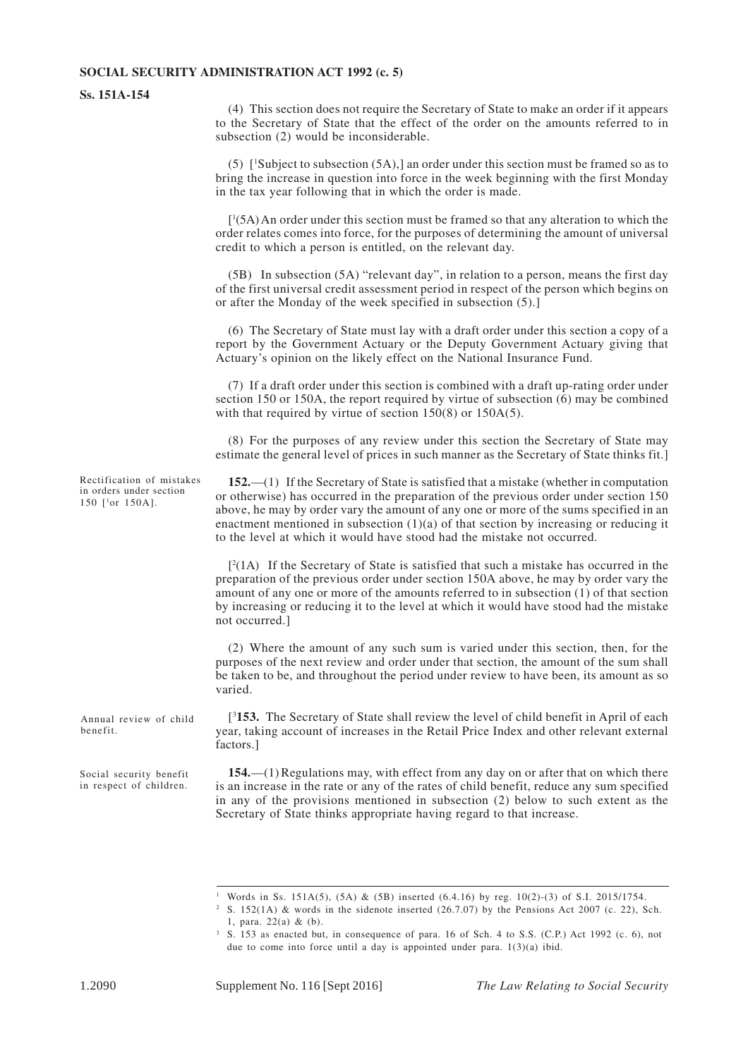#### **Ss. 151A-154**

(4) This section does not require the Secretary of State to make an order if it appears to the Secretary of State that the effect of the order on the amounts referred to in subsection (2) would be inconsiderable.

(5) [<sup>1</sup>Subject to subsection  $(5A)$ ,] an order under this section must be framed so as to bring the increase in question into force in the week beginning with the first Monday in the tax year following that in which the order is made.

[1 (5A) An order under this section must be framed so that any alteration to which the order relates comes into force, for the purposes of determining the amount of universal credit to which a person is entitled, on the relevant day.

(5B) In subsection (5A) "relevant day", in relation to a person, means the first day of the first universal credit assessment period in respect of the person which begins on or after the Monday of the week specified in subsection (5).]

(6) The Secretary of State must lay with a draft order under this section a copy of a report by the Government Actuary or the Deputy Government Actuary giving that Actuary's opinion on the likely effect on the National Insurance Fund.

(7) If a draft order under this section is combined with a draft up-rating order under section 150 or 150A, the report required by virtue of subsection (6) may be combined with that required by virtue of section 150(8) or 150A(5).

(8) For the purposes of any review under this section the Secretary of State may estimate the general level of prices in such manner as the Secretary of State thinks fit.]

**152.**—(1) If the Secretary of State is satisfied that a mistake (whether in computation or otherwise) has occurred in the preparation of the previous order under section 150 above, he may by order vary the amount of any one or more of the sums specified in an enactment mentioned in subsection  $(1)(a)$  of that section by increasing or reducing it to the level at which it would have stood had the mistake not occurred.

[2 (1A) If the Secretary of State is satisfied that such a mistake has occurred in the preparation of the previous order under section 150A above, he may by order vary the amount of any one or more of the amounts referred to in subsection (1) of that section by increasing or reducing it to the level at which it would have stood had the mistake not occurred.]

(2) Where the amount of any such sum is varied under this section, then, for the purposes of the next review and order under that section, the amount of the sum shall be taken to be, and throughout the period under review to have been, its amount as so varied.

[3 **153.** The Secretary of State shall review the level of child benefit in April of each year, taking account of increases in the Retail Price Index and other relevant external factors.]

**154.**—(1) Regulations may, with effect from any day on or after that on which there is an increase in the rate or any of the rates of child benefit, reduce any sum specified in any of the provisions mentioned in subsection (2) below to such extent as the Secretary of State thinks appropriate having regard to that increase.

<sup>3</sup> S. 153 as enacted but, in consequence of para. 16 of Sch. 4 to S.S. (C.P.) Act 1992 (c. 6), not due to come into force until a day is appointed under para. 1(3)(a) ibid.

Rectification of mistakes in orders under section 150 [<sup>1</sup>or 150A].

Annual review of child benefit.

Social security benefit in respect of children.

Words in Ss. 151A(5), (5A) & (5B) inserted (6.4.16) by reg. 10(2)-(3) of S.I. 2015/1754.

S. 152(1A) & words in the sidenote inserted  $(26.7.07)$  by the Pensions Act 2007 (c. 22), Sch. 1, para. 22(a) & (b).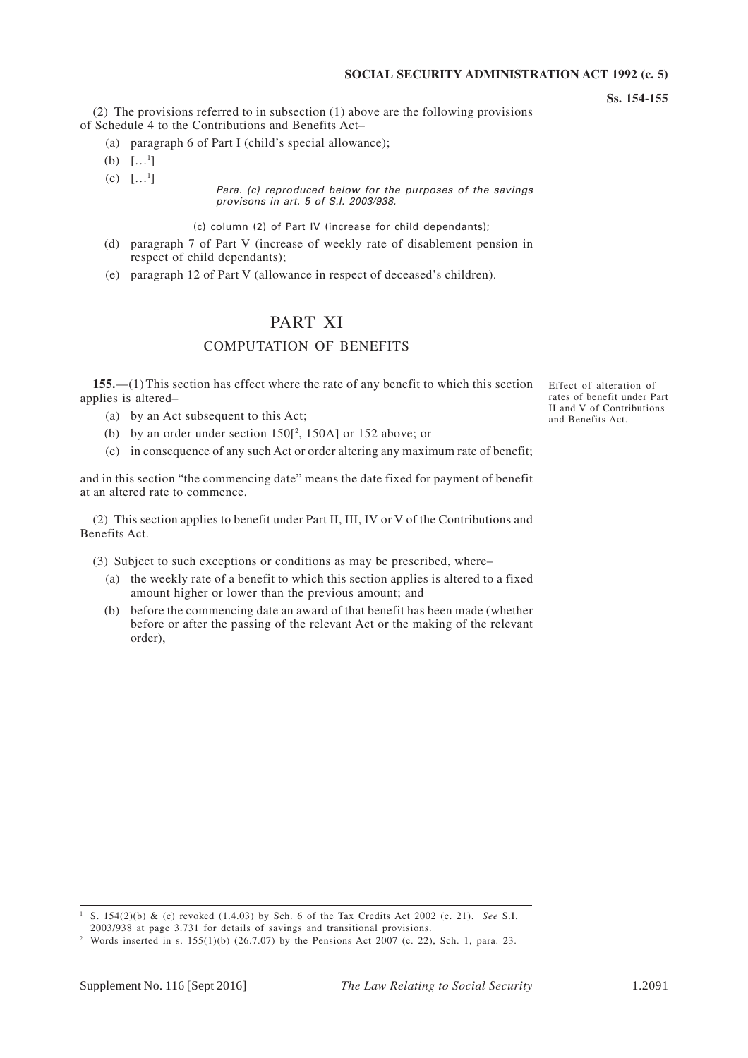**Ss. 154-155**

(2) The provisions referred to in subsection (1) above are the following provisions of Schedule 4 to the Contributions and Benefits Act–

- (a) paragraph 6 of Part I (child's special allowance);
- (b)  $[...]$
- $(c)$   $[...^1]$

Para. (c) reproduced below for the purposes of the savings provisons in art. 5 of S.I. 2003/938.

(c) column (2) of Part IV (increase for child dependants);

- (d) paragraph 7 of Part V (increase of weekly rate of disablement pension in respect of child dependants);
- (e) paragraph 12 of Part V (allowance in respect of deceased's children).

# PART XI

# COMPUTATION OF BENEFITS

**155.**—(1) This section has effect where the rate of any benefit to which this section applies is altered–

- (a) by an Act subsequent to this Act;
- (b) by an order under section  $150[^2$ ,  $150A$ ] or  $152$  above; or
- (c) in consequence of any such Act or order altering any maximum rate of benefit;

and in this section "the commencing date" means the date fixed for payment of benefit at an altered rate to commence.

(2) This section applies to benefit under Part II, III, IV or V of the Contributions and Benefits Act.

(3) Subject to such exceptions or conditions as may be prescribed, where–

- (a) the weekly rate of a benefit to which this section applies is altered to a fixed amount higher or lower than the previous amount; and
- (b) before the commencing date an award of that benefit has been made (whether before or after the passing of the relevant Act or the making of the relevant order),

Effect of alteration of rates of benefit under Part II and V of Contributions and Benefits Act.

<sup>1</sup> S. 154(2)(b) & (c) revoked (1.4.03) by Sch. 6 of the Tax Credits Act 2002 (c. 21). *See* S.I.

<sup>2003/938</sup> at page 3.731 for details of savings and transitional provisions.

<sup>&</sup>lt;sup>2</sup> Words inserted in s. 155(1)(b) (26.7.07) by the Pensions Act 2007 (c. 22), Sch. 1, para. 23.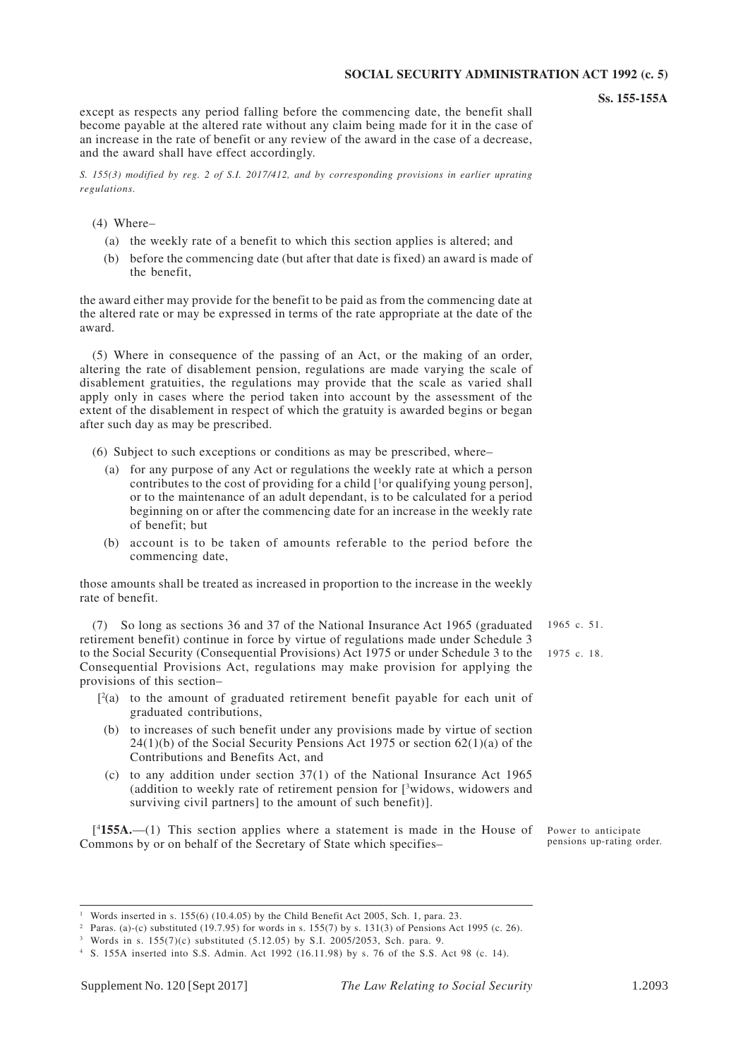**Ss. 155-155A**

except as respects any period falling before the commencing date, the benefit shall become payable at the altered rate without any claim being made for it in the case of an increase in the rate of benefit or any review of the award in the case of a decrease, and the award shall have effect accordingly.

*S. 155(3) modified by reg. 2 of S.I. 2017/412, and by corresponding provisions in earlier uprating regulations.*

(4) Where–

- (a) the weekly rate of a benefit to which this section applies is altered; and
- (b) before the commencing date (but after that date is fixed) an award is made of the benefit,

the award either may provide for the benefit to be paid as from the commencing date at the altered rate or may be expressed in terms of the rate appropriate at the date of the award.

(5) Where in consequence of the passing of an Act, or the making of an order, altering the rate of disablement pension, regulations are made varying the scale of disablement gratuities, the regulations may provide that the scale as varied shall apply only in cases where the period taken into account by the assessment of the extent of the disablement in respect of which the gratuity is awarded begins or began after such day as may be prescribed.

- (6) Subject to such exceptions or conditions as may be prescribed, where–
	- (a) for any purpose of any Act or regulations the weekly rate at which a person contributes to the cost of providing for a child  $[$ <sup>1</sup> or qualifying young person], or to the maintenance of an adult dependant, is to be calculated for a period beginning on or after the commencing date for an increase in the weekly rate of benefit; but
	- (b) account is to be taken of amounts referable to the period before the commencing date,

those amounts shall be treated as increased in proportion to the increase in the weekly rate of benefit.

(7) So long as sections 36 and 37 of the National Insurance Act 1965 (graduated retirement benefit) continue in force by virtue of regulations made under Schedule 3 to the Social Security (Consequential Provisions) Act 1975 or under Schedule 3 to the Consequential Provisions Act, regulations may make provision for applying the provisions of this section–

- [2 (a) to the amount of graduated retirement benefit payable for each unit of graduated contributions,
- (b) to increases of such benefit under any provisions made by virtue of section  $24(1)(b)$  of the Social Security Pensions Act 1975 or section  $62(1)(a)$  of the Contributions and Benefits Act, and
- (c) to any addition under section 37(1) of the National Insurance Act 1965 (addition to weekly rate of retirement pension for [3 widows, widowers and surviving civil partners] to the amount of such benefit)].

[4 **155A.**—(1) This section applies where a statement is made in the House of Power to anticipate Commons by or on behalf of the Secretary of State which specifies–

1965 c. 51.

1975 c. 18.

pensions up-rating order.

<sup>&</sup>lt;sup>1</sup> Words inserted in s. 155(6) (10.4.05) by the Child Benefit Act 2005, Sch. 1, para. 23.

<sup>&</sup>lt;sup>2</sup> Paras. (a)-(c) substituted (19.7.95) for words in s. 155(7) by s. 131(3) of Pensions Act 1995 (c. 26).

<sup>3</sup> Words in s. 155(7)(c) substituted (5.12.05) by S.I. 2005/2053, Sch. para. 9.

<sup>4</sup> S. 155A inserted into S.S. Admin. Act 1992 (16.11.98) by s. 76 of the S.S. Act 98 (c. 14).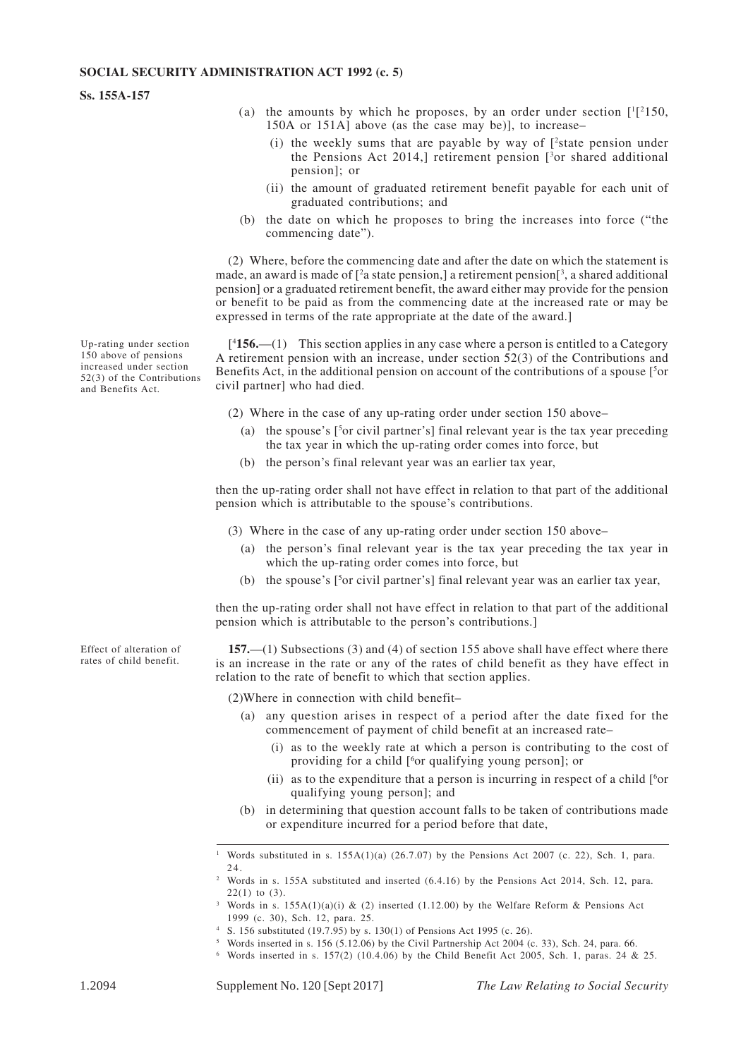**Ss. 155A-157**

- (a) the amounts by which he proposes, by an order under section  $[1]$ <sup>2</sup>150, 150A or 151A] above (as the case may be)], to increase–
	- $(i)$  the weekly sums that are payable by way of  $[^{2}$ state pension under the Pensions Act 2014,] retirement pension [<sup>3</sup>or shared additional pension]; or
	- (ii) the amount of graduated retirement benefit payable for each unit of graduated contributions; and
- (b) the date on which he proposes to bring the increases into force ("the commencing date").

(2) Where, before the commencing date and after the date on which the statement is made, an award is made of [<sup>2</sup>a state pension,] a retirement pension[<sup>3</sup>, a shared additional pension] or a graduated retirement benefit, the award either may provide for the pension or benefit to be paid as from the commencing date at the increased rate or may be expressed in terms of the rate appropriate at the date of the award.]

[4 **156.**—(1) This section applies in any case where a person is entitled to a Category A retirement pension with an increase, under section 52(3) of the Contributions and Benefits Act, in the additional pension on account of the contributions of a spouse [<sup>5</sup>or civil partner] who had died.

- (2) Where in the case of any up-rating order under section 150 above–
	- (a) the spouse's  $[5$  or civil partner's] final relevant year is the tax year preceding the tax year in which the up-rating order comes into force, but
	- (b) the person's final relevant year was an earlier tax year,

then the up-rating order shall not have effect in relation to that part of the additional pension which is attributable to the spouse's contributions.

(3) Where in the case of any up-rating order under section 150 above–

- (a) the person's final relevant year is the tax year preceding the tax year in which the up-rating order comes into force, but
- (b) the spouse's [<sup>5</sup>or civil partner's] final relevant year was an earlier tax year,

then the up-rating order shall not have effect in relation to that part of the additional pension which is attributable to the person's contributions.]

**157.**—(1) Subsections (3) and (4) of section 155 above shall have effect where there is an increase in the rate or any of the rates of child benefit as they have effect in relation to the rate of benefit to which that section applies.

(2)Where in connection with child benefit–

- (a) any question arises in respect of a period after the date fixed for the commencement of payment of child benefit at an increased rate–
	- (i) as to the weekly rate at which a person is contributing to the cost of providing for a child [<sup>6</sup>or qualifying young person]; or
	- (ii) as to the expenditure that a person is incurring in respect of a child  $[6$ or qualifying young person]; and
- (b) in determining that question account falls to be taken of contributions made or expenditure incurred for a period before that date,

Up-rating under section 150 above of pensions increased under section 52(3) of the Contributions and Benefits Act.

Effect of alteration of rates of child benefit.

Words substituted in s.  $155A(1)(a)$  (26.7.07) by the Pensions Act 2007 (c. 22), Sch. 1, para.  $24$ 

<sup>2</sup> Words in s. 155A substituted and inserted (6.4.16) by the Pensions Act 2014, Sch. 12, para. 22(1) to (3).

<sup>&</sup>lt;sup>3</sup> Words in s.  $155A(1)(a)(i)$  & (2) inserted (1.12.00) by the Welfare Reform & Pensions Act 1999 (c. 30), Sch. 12, para. 25.

<sup>4</sup> S. 156 substituted (19.7.95) by s. 130(1) of Pensions Act 1995 (c. 26).

<sup>&</sup>lt;sup>5</sup> Words inserted in s. 156 (5.12.06) by the Civil Partnership Act 2004 (c. 33), Sch. 24, para. 66.

<sup>&</sup>lt;sup>6</sup> Words inserted in s. 157(2) (10.4.06) by the Child Benefit Act 2005, Sch. 1, paras. 24 & 25.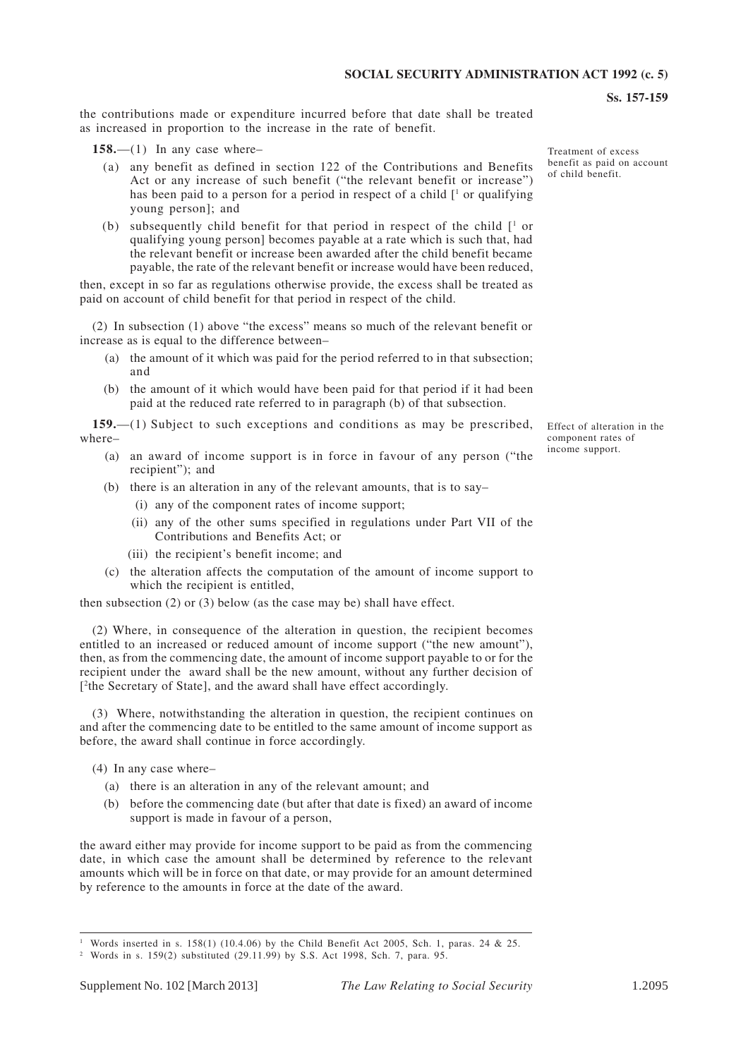#### **Ss. 157-159**

the contributions made or expenditure incurred before that date shall be treated as increased in proportion to the increase in the rate of benefit.

- $158$ — $(1)$  In any case where–
	- (a) any benefit as defined in section 122 of the Contributions and Benefits Act or any increase of such benefit ("the relevant benefit or increase") has been paid to a person for a period in respect of a child  $[1]$  or qualifying young person]; and
	- (b) subsequently child benefit for that period in respect of the child  $[1 \text{ or } 1]$ qualifying young person] becomes payable at a rate which is such that, had the relevant benefit or increase been awarded after the child benefit became payable, the rate of the relevant benefit or increase would have been reduced,

then, except in so far as regulations otherwise provide, the excess shall be treated as paid on account of child benefit for that period in respect of the child.

(2) In subsection (1) above "the excess" means so much of the relevant benefit or increase as is equal to the difference between–

- (a) the amount of it which was paid for the period referred to in that subsection; and
- (b) the amount of it which would have been paid for that period if it had been paid at the reduced rate referred to in paragraph (b) of that subsection.

**159.**—(1) Subject to such exceptions and conditions as may be prescribed, where–

- (a) an award of income support is in force in favour of any person ("the recipient"); and
- (b) there is an alteration in any of the relevant amounts, that is to say–
	- (i) any of the component rates of income support;
	- (ii) any of the other sums specified in regulations under Part VII of the Contributions and Benefits Act; or
	- (iii) the recipient's benefit income; and
- (c) the alteration affects the computation of the amount of income support to which the recipient is entitled,

then subsection (2) or (3) below (as the case may be) shall have effect.

(2) Where, in consequence of the alteration in question, the recipient becomes entitled to an increased or reduced amount of income support ("the new amount"), then, as from the commencing date, the amount of income support payable to or for the recipient under the award shall be the new amount, without any further decision of [<sup>2</sup>the Secretary of State], and the award shall have effect accordingly.

(3) Where, notwithstanding the alteration in question, the recipient continues on and after the commencing date to be entitled to the same amount of income support as before, the award shall continue in force accordingly.

- (4) In any case where–
	- (a) there is an alteration in any of the relevant amount; and
	- (b) before the commencing date (but after that date is fixed) an award of income support is made in favour of a person,

the award either may provide for income support to be paid as from the commencing date, in which case the amount shall be determined by reference to the relevant amounts which will be in force on that date, or may provide for an amount determined by reference to the amounts in force at the date of the award.

Effect of alteration in the component rates of income support.

<sup>&</sup>lt;sup>1</sup> Words inserted in s. 158(1) (10.4.06) by the Child Benefit Act 2005, Sch. 1, paras. 24 & 25.

<sup>2</sup> Words in s. 159(2) substituted (29.11.99) by S.S. Act 1998, Sch. 7, para. 95.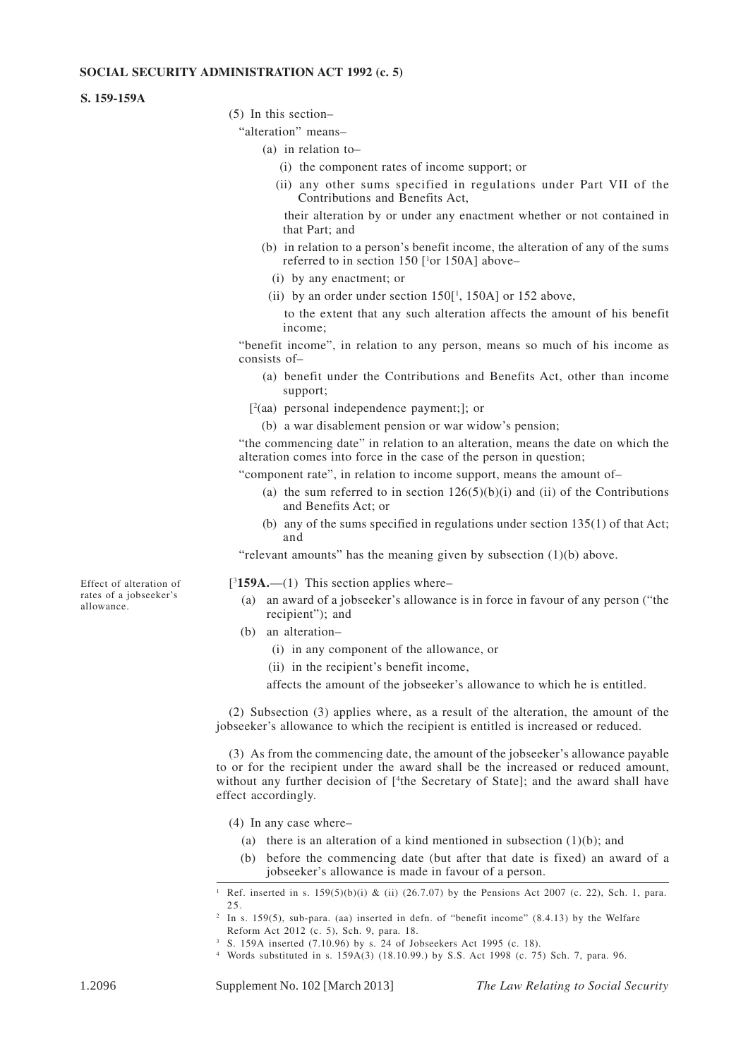#### **S. 159-159A**

```
(5) In this section–
```
"alteration" means–

- (a) in relation to–
	- (i) the component rates of income support; or
	- (ii) any other sums specified in regulations under Part VII of the Contributions and Benefits Act,
	- their alteration by or under any enactment whether or not contained in that Part; and
- (b) in relation to a person's benefit income, the alteration of any of the sums referred to in section  $150$  [<sup>1</sup>or  $150A$ ] above-
	- (i) by any enactment; or
	- (ii) by an order under section  $150[^1, 150A]$  or 152 above,

to the extent that any such alteration affects the amount of his benefit income;

"benefit income", in relation to any person, means so much of his income as consists of–

- (a) benefit under the Contributions and Benefits Act, other than income support;
- [2 (aa) personal independence payment;]; or
	- (b) a war disablement pension or war widow's pension;

"the commencing date" in relation to an alteration, means the date on which the alteration comes into force in the case of the person in question;

"component rate", in relation to income support, means the amount of–

- (a) the sum referred to in section  $126(5)(b)(i)$  and (ii) of the Contributions and Benefits Act; or
- (b) any of the sums specified in regulations under section 135(1) of that Act; and

"relevant amounts" has the meaning given by subsection (1)(b) above.

 $[3159A, -(1)$  This section applies where–

- (a) an award of a jobseeker's allowance is in force in favour of any person ("the recipient"); and
- (b) an alteration–
	- (i) in any component of the allowance, or
	- (ii) in the recipient's benefit income,

affects the amount of the jobseeker's allowance to which he is entitled.

(2) Subsection (3) applies where, as a result of the alteration, the amount of the jobseeker's allowance to which the recipient is entitled is increased or reduced.

(3) As from the commencing date, the amount of the jobseeker's allowance payable to or for the recipient under the award shall be the increased or reduced amount, without any further decision of [<sup>4</sup>the Secretary of State]; and the award shall have effect accordingly.

(4) In any case where–

- (a) there is an alteration of a kind mentioned in subsection  $(1)(b)$ ; and
- (b) before the commencing date (but after that date is fixed) an award of a jobseeker's allowance is made in favour of a person.

Effect of alteration of rates of a jobseeker's allowance.

Ref. inserted in s. 159(5)(b)(i) & (ii) (26.7.07) by the Pensions Act 2007 (c. 22), Sch. 1, para. 25.

<sup>2</sup> In s. 159(5), sub-para. (aa) inserted in defn. of "benefit income" (8.4.13) by the Welfare Reform Act 2012 (c. 5), Sch. 9, para. 18.

<sup>3</sup> S. 159A inserted (7.10.96) by s. 24 of Jobseekers Act 1995 (c. 18).

<sup>4</sup> Words substituted in s. 159A(3) (18.10.99.) by S.S. Act 1998 (c. 75) Sch. 7, para. 96.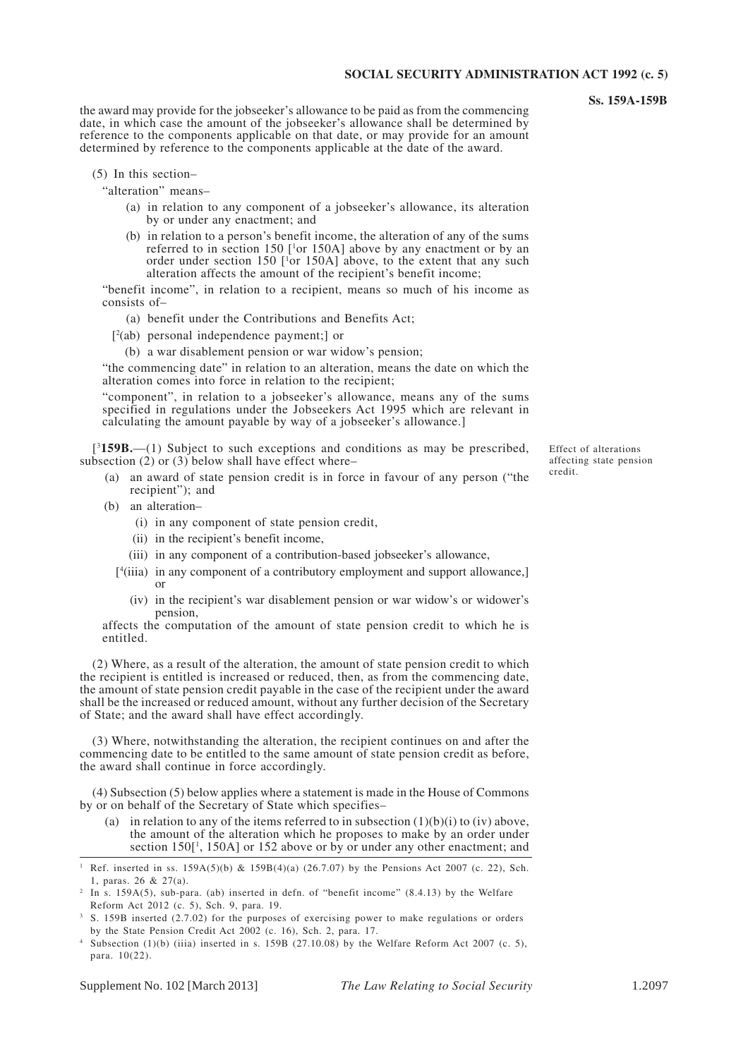the award may provide for the jobseeker's allowance to be paid as from the commencing date, in which case the amount of the jobseeker's allowance shall be determined by reference to the components applicable on that date, or may provide for an amount determined by reference to the components applicable at the date of the award.

#### (5) In this section–

"alteration" means–

- (a) in relation to any component of a jobseeker's allowance, its alteration by or under any enactment; and
- (b) in relation to a person's benefit income, the alteration of any of the sums referred to in section 150 [<sup>1</sup>or 150A] above by any enactment or by an order under section 150  $[$ <sup>1</sup> or 150A] above, to the extent that any such alteration affects the amount of the recipient's benefit income;

"benefit income", in relation to a recipient, means so much of his income as consists of–

- (a) benefit under the Contributions and Benefits Act;
- [ 2 (ab) personal independence payment;] or
	- (b) a war disablement pension or war widow's pension;

"the commencing date" in relation to an alteration, means the date on which the alteration comes into force in relation to the recipient;

"component", in relation to a jobseeker's allowance, means any of the sums specified in regulations under the Jobseekers Act 1995 which are relevant in calculating the amount payable by way of a jobseeker's allowance.]

[3 **159B.**—(1) Subject to such exceptions and conditions as may be prescribed, subsection  $(2)$  or  $(3)$  below shall have effect where–

- (a) an award of state pension credit is in force in favour of any person ("the recipient"); and
- (b) an alteration–
	- (i) in any component of state pension credit,
	- (ii) in the recipient's benefit income,
	- (iii) in any component of a contribution-based jobseeker's allowance,
	- [<sup>4</sup>(iiia) in any component of a contributory employment and support allowance,] or
		- (iv) in the recipient's war disablement pension or war widow's or widower's pension,

affects the computation of the amount of state pension credit to which he is entitled.

(2) Where, as a result of the alteration, the amount of state pension credit to which the recipient is entitled is increased or reduced, then, as from the commencing date, the amount of state pension credit payable in the case of the recipient under the award shall be the increased or reduced amount, without any further decision of the Secretary of State; and the award shall have effect accordingly.

(3) Where, notwithstanding the alteration, the recipient continues on and after the commencing date to be entitled to the same amount of state pension credit as before, the award shall continue in force accordingly.

(4) Subsection (5) below applies where a statement is made in the House of Commons by or on behalf of the Secretary of State which specifies–

(a) in relation to any of the items referred to in subsection  $(1)(b)(i)$  to (iv) above, the amount of the alteration which he proposes to make by an order under section 150<sup>[1</sup>, 150A] or 152 above or by or under any other enactment; and

Effect of alterations affecting state pension credit.

**Ss. 159A-159B**

Ref. inserted in ss.  $159A(5)(b)$  &  $159B(4)(a)$  (26.7.07) by the Pensions Act 2007 (c. 22), Sch. 1, paras. 26 & 27(a).

 $2$  In s. 159A(5), sub-para. (ab) inserted in defn. of "benefit income" (8.4.13) by the Welfare Reform Act 2012 (c. 5), Sch. 9, para. 19.

<sup>&</sup>lt;sup>3</sup> S. 159B inserted (2.7.02) for the purposes of exercising power to make regulations or orders by the State Pension Credit Act 2002 (c. 16), Sch. 2, para. 17.

<sup>4</sup> Subsection (1)(b) (iiia) inserted in s. 159B (27.10.08) by the Welfare Reform Act 2007 (c. 5), para. 10(22).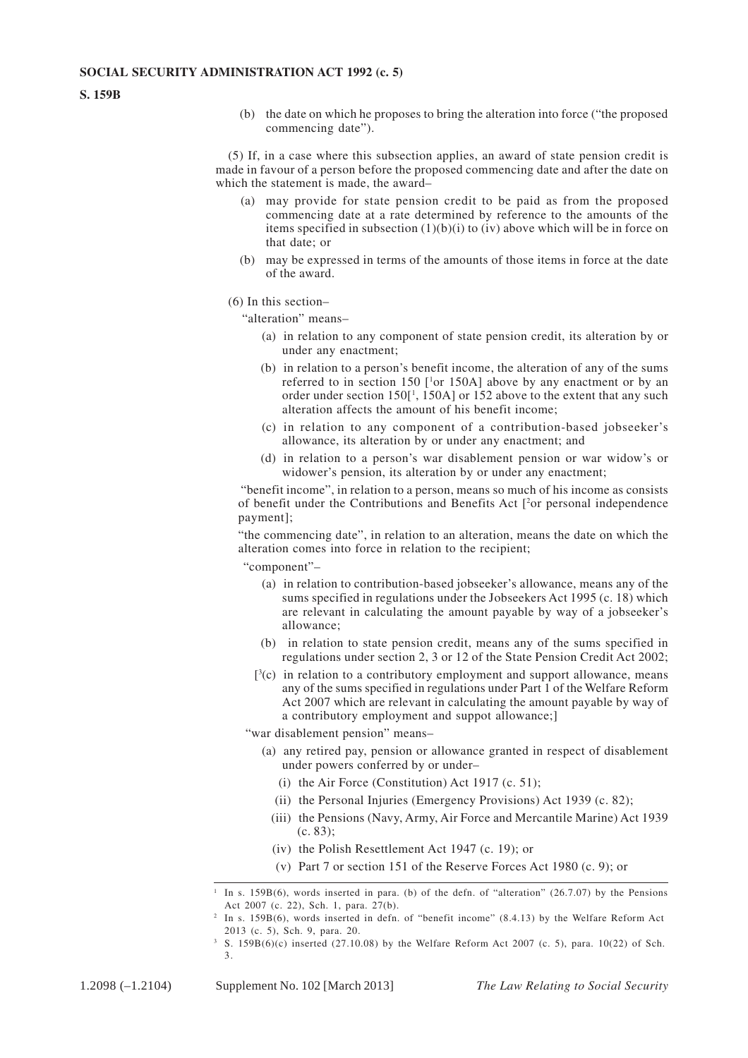**S. 159B**

(b) the date on which he proposes to bring the alteration into force ("the proposed commencing date").

(5) If, in a case where this subsection applies, an award of state pension credit is made in favour of a person before the proposed commencing date and after the date on which the statement is made, the award–

- (a) may provide for state pension credit to be paid as from the proposed commencing date at a rate determined by reference to the amounts of the items specified in subsection  $(1)(b)(i)$  to (iv) above which will be in force on that date; or
- (b) may be expressed in terms of the amounts of those items in force at the date of the award.
- (6) In this section–

"alteration" means–

- (a) in relation to any component of state pension credit, its alteration by or under any enactment;
- (b) in relation to a person's benefit income, the alteration of any of the sums referred to in section 150  $[$ <sup>1</sup> or 150A] above by any enactment or by an order under section 150<sup>[1</sup>, 150A] or 152 above to the extent that any such alteration affects the amount of his benefit income;
- (c) in relation to any component of a contribution-based jobseeker's allowance, its alteration by or under any enactment; and
- (d) in relation to a person's war disablement pension or war widow's or widower's pension, its alteration by or under any enactment;

 "benefit income", in relation to a person, means so much of his income as consists of benefit under the Contributions and Benefits Act [<sup>2</sup>or personal independence payment];

"the commencing date", in relation to an alteration, means the date on which the alteration comes into force in relation to the recipient;

"component"–

- (a) in relation to contribution-based jobseeker's allowance, means any of the sums specified in regulations under the Jobseekers Act 1995 (c. 18) which are relevant in calculating the amount payable by way of a jobseeker's allowance;
- (b) in relation to state pension credit, means any of the sums specified in regulations under section 2, 3 or 12 of the State Pension Credit Act 2002;
- $[3(c)$  in relation to a contributory employment and support allowance, means any of the sums specified in regulations under Part 1 of the Welfare Reform Act 2007 which are relevant in calculating the amount payable by way of a contributory employment and suppot allowance;]
- "war disablement pension" means–
	- (a) any retired pay, pension or allowance granted in respect of disablement under powers conferred by or under–
		- (i) the Air Force (Constitution) Act 1917 (c. 51);
		- (ii) the Personal Injuries (Emergency Provisions) Act 1939 (c. 82);
		- (iii) the Pensions (Navy, Army, Air Force and Mercantile Marine) Act 1939 (c. 83);
		- (iv) the Polish Resettlement Act 1947 (c. 19); or
		- (v) Part 7 or section 151 of the Reserve Forces Act 1980 (c. 9); or

<sup>&</sup>lt;sup>1</sup> In s. 159B(6), words inserted in para. (b) of the defn. of "alteration" (26.7.07) by the Pensions Act 2007 (c. 22), Sch. 1, para. 27(b).

<sup>2</sup> In s. 159B(6), words inserted in defn. of "benefit income" (8.4.13) by the Welfare Reform Act 2013 (c. 5), Sch. 9, para. 20.

S.  $159B(6)(c)$  inserted (27.10.08) by the Welfare Reform Act 2007 (c. 5), para. 10(22) of Sch. 3.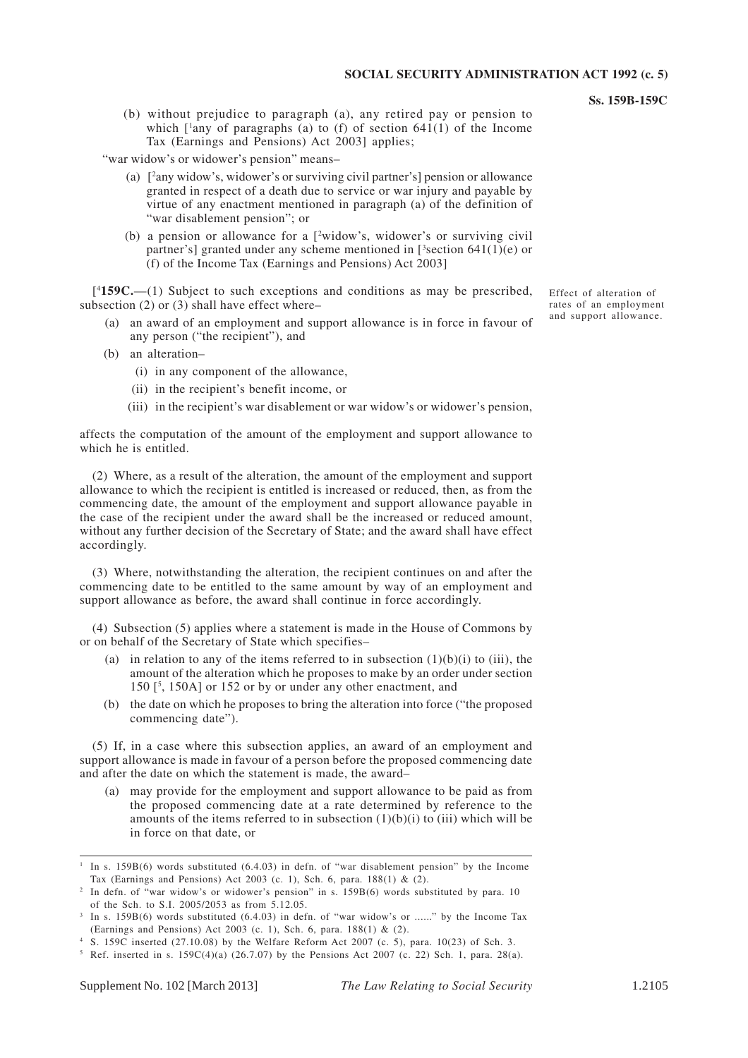(b) without prejudice to paragraph (a), any retired pay or pension to which  $\lceil \text{any of paragraphs (a) to (f) of section 641(1) of the Income} \rceil$ Tax (Earnings and Pensions) Act 2003] applies;

"war widow's or widower's pension" means–

- (a) [<sup>2</sup>any widow's, widower's or surviving civil partner's] pension or allowance granted in respect of a death due to service or war injury and payable by virtue of any enactment mentioned in paragraph (a) of the definition of "war disablement pension"; or
- (b) a pension or allowance for a [<sup>2</sup>widow's, widower's or surviving civil partner's] granted under any scheme mentioned in [<sup>3</sup>section 641(1)(e) or (f) of the Income Tax (Earnings and Pensions) Act 2003]

[4 **159C.**—(1) Subject to such exceptions and conditions as may be prescribed, subsection  $(2)$  or  $(3)$  shall have effect where–

- (a) an award of an employment and support allowance is in force in favour of any person ("the recipient"), and
- (b) an alteration–
	- (i) in any component of the allowance,
	- (ii) in the recipient's benefit income, or
	- (iii) in the recipient's war disablement or war widow's or widower's pension,

affects the computation of the amount of the employment and support allowance to which he is entitled.

(2) Where, as a result of the alteration, the amount of the employment and support allowance to which the recipient is entitled is increased or reduced, then, as from the commencing date, the amount of the employment and support allowance payable in the case of the recipient under the award shall be the increased or reduced amount, without any further decision of the Secretary of State; and the award shall have effect accordingly.

(3) Where, notwithstanding the alteration, the recipient continues on and after the commencing date to be entitled to the same amount by way of an employment and support allowance as before, the award shall continue in force accordingly.

(4) Subsection (5) applies where a statement is made in the House of Commons by or on behalf of the Secretary of State which specifies–

- (a) in relation to any of the items referred to in subsection  $(1)(b)(i)$  to  $(iii)$ , the amount of the alteration which he proposes to make by an order under section 150 [5 , 150A] or 152 or by or under any other enactment, and
- (b) the date on which he proposes to bring the alteration into force ("the proposed commencing date").

(5) If, in a case where this subsection applies, an award of an employment and support allowance is made in favour of a person before the proposed commencing date and after the date on which the statement is made, the award–

(a) may provide for the employment and support allowance to be paid as from the proposed commencing date at a rate determined by reference to the amounts of the items referred to in subsection  $(1)(b)(i)$  to (iii) which will be in force on that date, or

Effect of alteration of rates of an employment and support allowance.

**Ss. 159B-159C**

In s.  $159B(6)$  words substituted  $(6.4.03)$  in defn. of "war disablement pension" by the Income Tax (Earnings and Pensions) Act 2003 (c. 1), Sch. 6, para. 188(1) & (2).

<sup>&</sup>lt;sup>2</sup> In defn. of "war widow's or widower's pension" in s. 159B(6) words substituted by para. 10 of the Sch. to S.I. 2005/2053 as from 5.12.05.

<sup>3</sup> In s. 159B(6) words substituted (6.4.03) in defn. of "war widow's or ......" by the Income Tax (Earnings and Pensions) Act 2003 (c. 1), Sch. 6, para. 188(1) & (2).

<sup>4</sup> S. 159C inserted (27.10.08) by the Welfare Reform Act 2007 (c. 5), para. 10(23) of Sch. 3.

<sup>&</sup>lt;sup>5</sup> Ref. inserted in s.  $159C(4)(a)$  (26.7.07) by the Pensions Act 2007 (c. 22) Sch. 1, para. 28(a).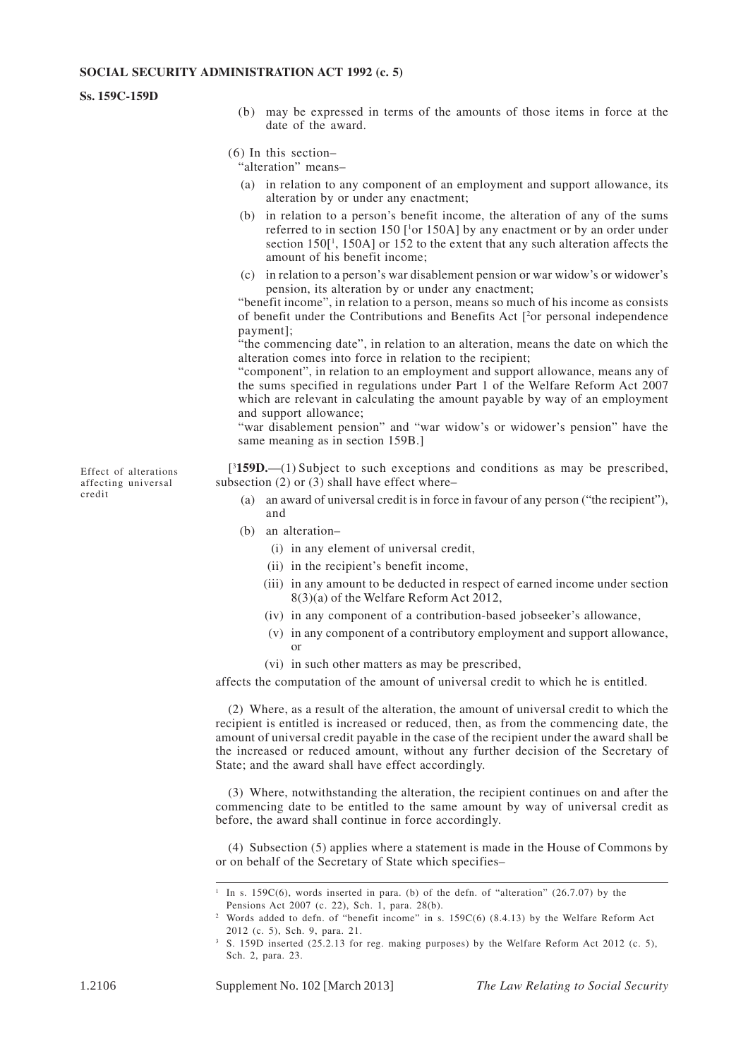#### **Ss. 159C-159D**

(b) may be expressed in terms of the amounts of those items in force at the date of the award.

(6) In this section–

"alteration" means–

- (a) in relation to any component of an employment and support allowance, its alteration by or under any enactment;
- (b) in relation to a person's benefit income, the alteration of any of the sums referred to in section 150  $[$ <sup>1</sup> or 150A] by any enactment or by an order under section 150<sup>[1</sup>, 150A] or 152 to the extent that any such alteration affects the amount of his benefit income;
- (c) in relation to a person's war disablement pension or war widow's or widower's pension, its alteration by or under any enactment;

"benefit income", in relation to a person, means so much of his income as consists of benefit under the Contributions and Benefits Act [<sup>2</sup>or personal independence payment];

"the commencing date", in relation to an alteration, means the date on which the alteration comes into force in relation to the recipient;

"component", in relation to an employment and support allowance, means any of the sums specified in regulations under Part 1 of the Welfare Reform Act 2007 which are relevant in calculating the amount payable by way of an employment and support allowance;

"war disablement pension" and "war widow's or widower's pension" have the same meaning as in section 159B.]

[3 **159D.**—(1) Subject to such exceptions and conditions as may be prescribed, subsection (2) or (3) shall have effect where–

- (a) an award of universal credit is in force in favour of any person ("the recipient"), and
- (b) an alteration–
	- (i) in any element of universal credit,
	- (ii) in the recipient's benefit income,
	- (iii) in any amount to be deducted in respect of earned income under section 8(3)(a) of the Welfare Reform Act 2012,
	- (iv) in any component of a contribution-based jobseeker's allowance,
	- (v) in any component of a contributory employment and support allowance, or
	- (vi) in such other matters as may be prescribed,

affects the computation of the amount of universal credit to which he is entitled.

(2) Where, as a result of the alteration, the amount of universal credit to which the recipient is entitled is increased or reduced, then, as from the commencing date, the amount of universal credit payable in the case of the recipient under the award shall be the increased or reduced amount, without any further decision of the Secretary of State; and the award shall have effect accordingly.

(3) Where, notwithstanding the alteration, the recipient continues on and after the commencing date to be entitled to the same amount by way of universal credit as before, the award shall continue in force accordingly.

(4) Subsection (5) applies where a statement is made in the House of Commons by or on behalf of the Secretary of State which specifies–

Effect of alterations affecting universal credit

<sup>&</sup>lt;sup>1</sup> In s. 159C(6), words inserted in para. (b) of the defn. of "alteration" (26.7.07) by the

Pensions Act 2007 (c. 22), Sch. 1, para. 28(b).

<sup>2</sup> Words added to defn. of "benefit income" in s. 159C(6) (8.4.13) by the Welfare Reform Act 2012 (c. 5), Sch. 9, para. 21.

<sup>3</sup> S. 159D inserted (25.2.13 for reg. making purposes) by the Welfare Reform Act 2012 (c. 5), Sch. 2, para. 23.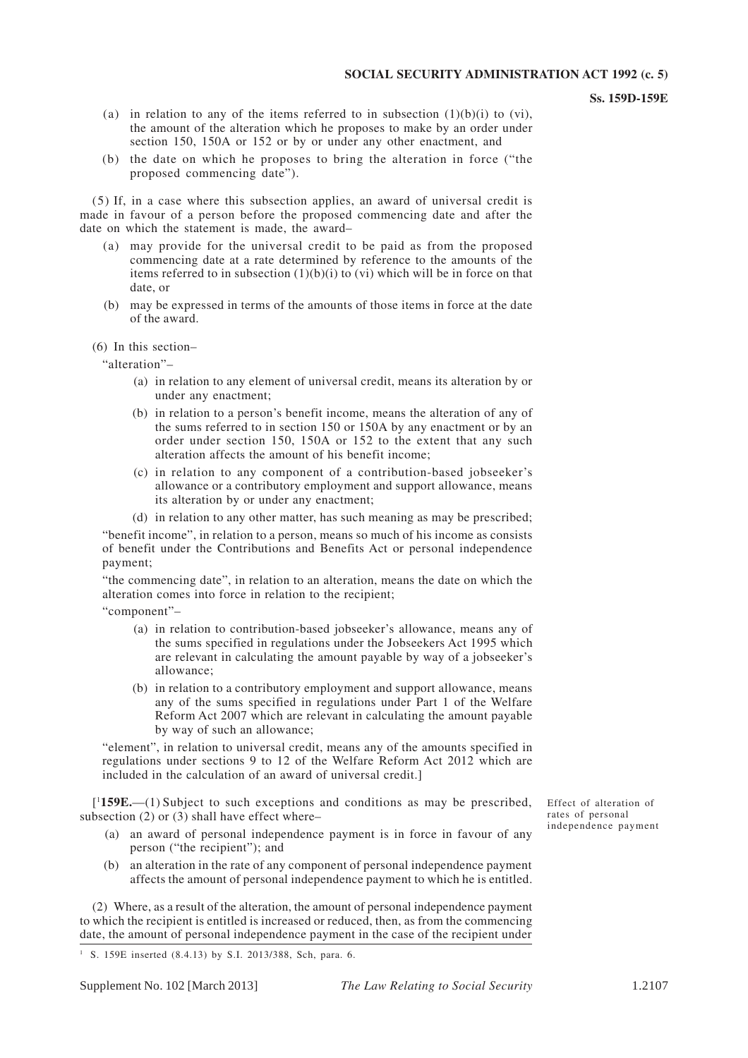#### **Ss. 159D-159E**

- (a) in relation to any of the items referred to in subsection  $(1)(b)(i)$  to (vi), the amount of the alteration which he proposes to make by an order under section 150, 150A or 152 or by or under any other enactment, and
- (b) the date on which he proposes to bring the alteration in force ("the proposed commencing date").

(5) If, in a case where this subsection applies, an award of universal credit is made in favour of a person before the proposed commencing date and after the date on which the statement is made, the award–

- (a) may provide for the universal credit to be paid as from the proposed commencing date at a rate determined by reference to the amounts of the items referred to in subsection  $(1)(b)(i)$  to  $(vi)$  which will be in force on that date, or
- (b) may be expressed in terms of the amounts of those items in force at the date of the award.

(6) In this section–

"alteration"–

- (a) in relation to any element of universal credit, means its alteration by or under any enactment;
- (b) in relation to a person's benefit income, means the alteration of any of the sums referred to in section 150 or 150A by any enactment or by an order under section 150, 150A or 152 to the extent that any such alteration affects the amount of his benefit income;
- (c) in relation to any component of a contribution-based jobseeker's allowance or a contributory employment and support allowance, means its alteration by or under any enactment;
- (d) in relation to any other matter, has such meaning as may be prescribed;

"benefit income", in relation to a person, means so much of his income as consists of benefit under the Contributions and Benefits Act or personal independence payment;

"the commencing date", in relation to an alteration, means the date on which the alteration comes into force in relation to the recipient;

"component"–

- (a) in relation to contribution-based jobseeker's allowance, means any of the sums specified in regulations under the Jobseekers Act 1995 which are relevant in calculating the amount payable by way of a jobseeker's allowance;
- (b) in relation to a contributory employment and support allowance, means any of the sums specified in regulations under Part 1 of the Welfare Reform Act 2007 which are relevant in calculating the amount payable by way of such an allowance;

"element", in relation to universal credit, means any of the amounts specified in regulations under sections 9 to 12 of the Welfare Reform Act 2012 which are included in the calculation of an award of universal credit.]

[1 **159E.**—(1) Subject to such exceptions and conditions as may be prescribed, subsection  $(2)$  or  $(3)$  shall have effect where–

- (a) an award of personal independence payment is in force in favour of any person ("the recipient"); and
- (b) an alteration in the rate of any component of personal independence payment affects the amount of personal independence payment to which he is entitled.

(2) Where, as a result of the alteration, the amount of personal independence payment to which the recipient is entitled is increased or reduced, then, as from the commencing date, the amount of personal independence payment in the case of the recipient under

Effect of alteration of rates of personal independence payment

<sup>1</sup> S. 159E inserted (8.4.13) by S.I. 2013/388, Sch, para. 6.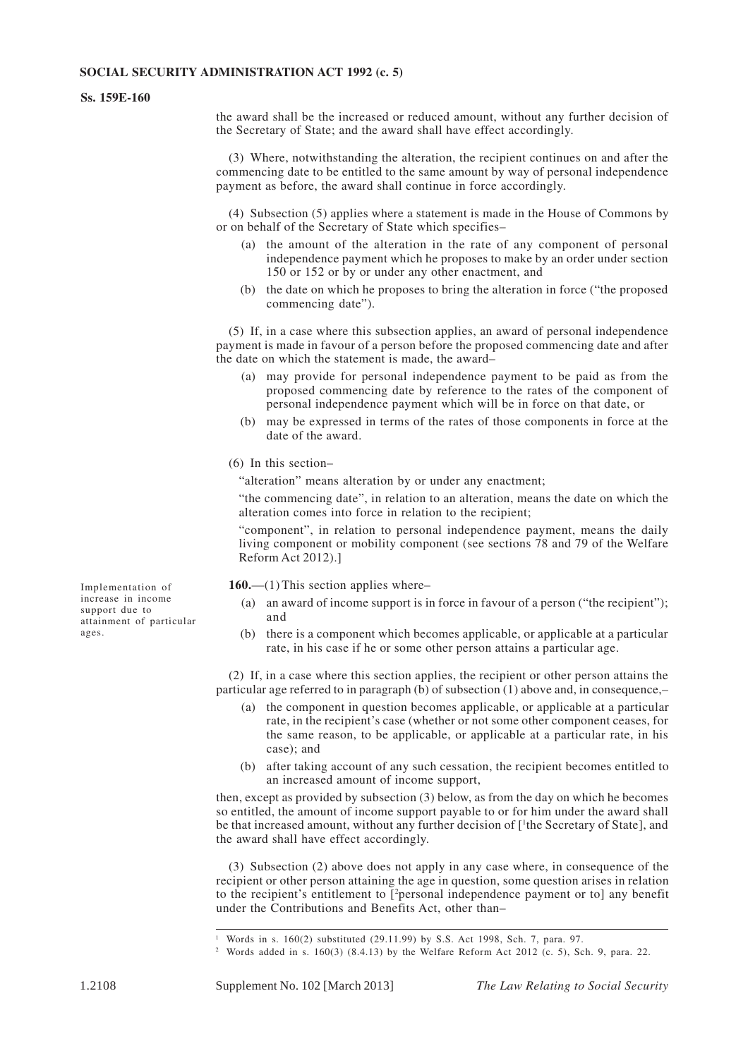#### **Ss. 159E-160**

the award shall be the increased or reduced amount, without any further decision of the Secretary of State; and the award shall have effect accordingly.

(3) Where, notwithstanding the alteration, the recipient continues on and after the commencing date to be entitled to the same amount by way of personal independence payment as before, the award shall continue in force accordingly.

(4) Subsection (5) applies where a statement is made in the House of Commons by or on behalf of the Secretary of State which specifies–

- (a) the amount of the alteration in the rate of any component of personal independence payment which he proposes to make by an order under section 150 or 152 or by or under any other enactment, and
- (b) the date on which he proposes to bring the alteration in force ("the proposed commencing date").

(5) If, in a case where this subsection applies, an award of personal independence payment is made in favour of a person before the proposed commencing date and after the date on which the statement is made, the award–

- (a) may provide for personal independence payment to be paid as from the proposed commencing date by reference to the rates of the component of personal independence payment which will be in force on that date, or
- (b) may be expressed in terms of the rates of those components in force at the date of the award.

## (6) In this section–

"alteration" means alteration by or under any enactment;

"the commencing date", in relation to an alteration, means the date on which the alteration comes into force in relation to the recipient;

"component", in relation to personal independence payment, means the daily living component or mobility component (see sections 78 and 79 of the Welfare Reform Act 2012).]

**160.**—(1) This section applies where–

- (a) an award of income support is in force in favour of a person ("the recipient"); and
- (b) there is a component which becomes applicable, or applicable at a particular rate, in his case if he or some other person attains a particular age.

(2) If, in a case where this section applies, the recipient or other person attains the particular age referred to in paragraph (b) of subsection (1) above and, in consequence,–

- (a) the component in question becomes applicable, or applicable at a particular rate, in the recipient's case (whether or not some other component ceases, for the same reason, to be applicable, or applicable at a particular rate, in his case); and
- (b) after taking account of any such cessation, the recipient becomes entitled to an increased amount of income support,

then, except as provided by subsection (3) below, as from the day on which he becomes so entitled, the amount of income support payable to or for him under the award shall be that increased amount, without any further decision of [<sup>1</sup>the Secretary of State], and the award shall have effect accordingly.

(3) Subsection (2) above does not apply in any case where, in consequence of the recipient or other person attaining the age in question, some question arises in relation to the recipient's entitlement to [<sup>2</sup>personal independence payment or to] any benefit under the Contributions and Benefits Act, other than–

Implementation of increase in income support due to attainment of particular ages.

Words in s. 160(2) substituted (29.11.99) by S.S. Act 1998, Sch. 7, para. 97.

<sup>2</sup> Words added in s. 160(3) (8.4.13) by the Welfare Reform Act 2012 (c. 5), Sch. 9, para. 22.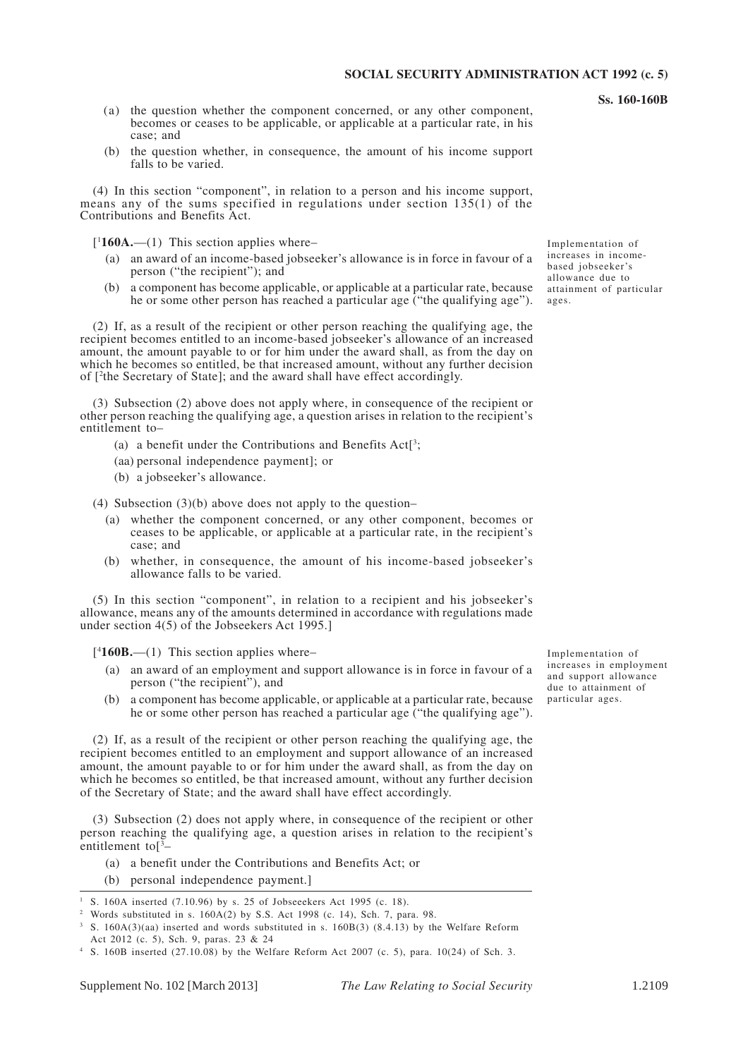- **Ss. 160-160B**
- (a) the question whether the component concerned, or any other component, becomes or ceases to be applicable, or applicable at a particular rate, in his case; and
- (b) the question whether, in consequence, the amount of his income support falls to be varied.

(4) In this section "component", in relation to a person and his income support, means any of the sums specified in regulations under section 135(1) of the Contributions and Benefits Act.

 $[1160A, -(1)$  This section applies where-

- (a) an award of an income-based jobseeker's allowance is in force in favour of a person ("the recipient"); and
- (b) a component has become applicable, or applicable at a particular rate, because he or some other person has reached a particular age ("the qualifying age").

(2) If, as a result of the recipient or other person reaching the qualifying age, the recipient becomes entitled to an income-based jobseeker's allowance of an increased amount, the amount payable to or for him under the award shall, as from the day on which he becomes so entitled, be that increased amount, without any further decision of [2 the Secretary of State]; and the award shall have effect accordingly.

(3) Subsection (2) above does not apply where, in consequence of the recipient or other person reaching the qualifying age, a question arises in relation to the recipient's entitlement to–

- (a) a benefit under the Contributions and Benefits  $Act[^3;$
- (aa) personal independence payment]; or
- (b) a jobseeker's allowance.

(4) Subsection (3)(b) above does not apply to the question–

- (a) whether the component concerned, or any other component, becomes or ceases to be applicable, or applicable at a particular rate, in the recipient's case; and
- (b) whether, in consequence, the amount of his income-based jobseeker's allowance falls to be varied.

(5) In this section "component", in relation to a recipient and his jobseeker's allowance, means any of the amounts determined in accordance with regulations made under section 4(5) of the Jobseekers Act 1995.]

 $[4160B]$ ,—(1) This section applies where–

- (a) an award of an employment and support allowance is in force in favour of a person ("the recipient"), and
- (b) a component has become applicable, or applicable at a particular rate, because he or some other person has reached a particular age ("the qualifying age").

(2) If, as a result of the recipient or other person reaching the qualifying age, the recipient becomes entitled to an employment and support allowance of an increased amount, the amount payable to or for him under the award shall, as from the day on which he becomes so entitled, be that increased amount, without any further decision of the Secretary of State; and the award shall have effect accordingly.

(3) Subsection (2) does not apply where, in consequence of the recipient or other person reaching the qualifying age, a question arises in relation to the recipient's entitlement to[3 –

- (a) a benefit under the Contributions and Benefits Act; or
- (b) personal independence payment.]

increases in incomebased jobseeker's allowance due to attainment of particular ages.

Implementation of

Implementation of increases in employment and support allowance due to attainment of particular ages.

<sup>1</sup> S. 160A inserted (7.10.96) by s. 25 of Jobseeekers Act 1995 (c. 18).

<sup>&</sup>lt;sup>2</sup> Words substituted in s.  $160A(2)$  by S.S. Act 1998 (c. 14), Sch. 7, para. 98.

<sup>&</sup>lt;sup>3</sup> S. 160A(3)(aa) inserted and words substituted in s. 160B(3) (8.4.13) by the Welfare Reform Act 2012 (c. 5), Sch. 9, paras. 23 & 24

<sup>4</sup> S. 160B inserted (27.10.08) by the Welfare Reform Act 2007 (c. 5), para. 10(24) of Sch. 3.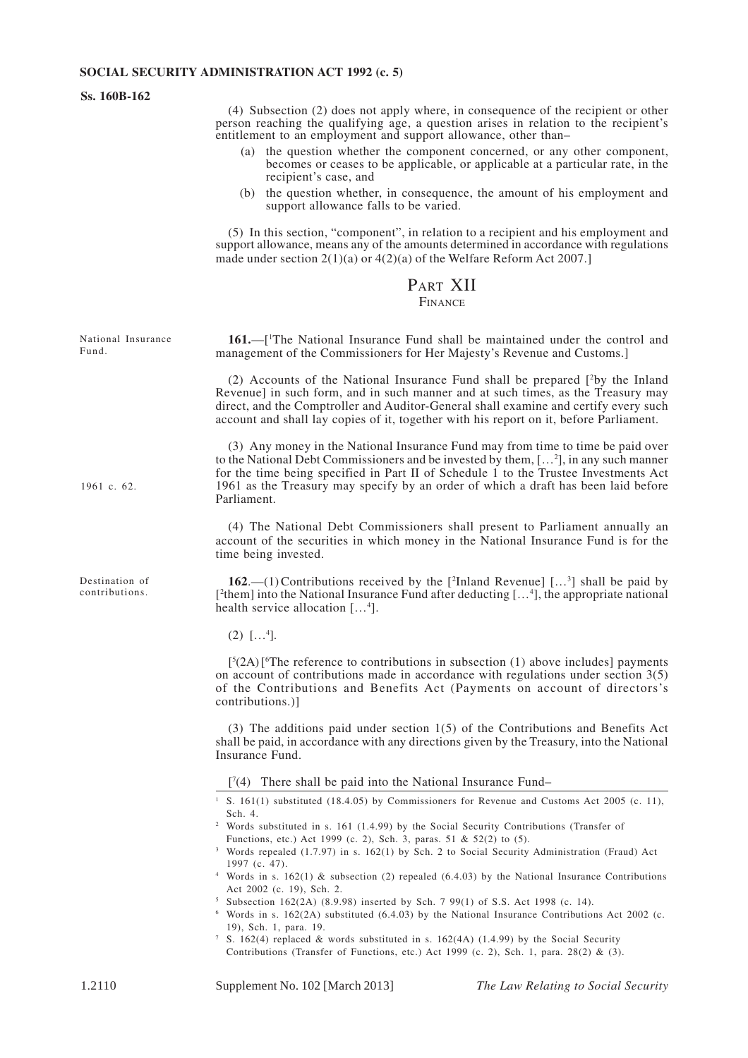#### **Ss. 160B-162**

(4) Subsection (2) does not apply where, in consequence of the recipient or other person reaching the qualifying age, a question arises in relation to the recipient's entitlement to an employment and support allowance, other than–

- the question whether the component concerned, or any other component, becomes or ceases to be applicable, or applicable at a particular rate, in the recipient's case, and
- (b) the question whether, in consequence, the amount of his employment and support allowance falls to be varied.

(5) In this section, "component", in relation to a recipient and his employment and support allowance, means any of the amounts determined in accordance with regulations made under section 2(1)(a) or 4(2)(a) of the Welfare Reform Act 2007.]

# PART XII

## **FINANCE**

161.—[<sup>1</sup>The National Insurance Fund shall be maintained under the control and management of the Commissioners for Her Majesty's Revenue and Customs.]

(2) Accounts of the National Insurance Fund shall be prepared [<sup>2</sup>by the Inland Revenue] in such form, and in such manner and at such times, as the Treasury may direct, and the Comptroller and Auditor-General shall examine and certify every such account and shall lay copies of it, together with his report on it, before Parliament.

(3) Any money in the National Insurance Fund may from time to time be paid over to the National Debt Commissioners and be invested by them, […2 ], in any such manner for the time being specified in Part II of Schedule 1 to the Trustee Investments Act 1961 as the Treasury may specify by an order of which a draft has been laid before Parliament.

(4) The National Debt Commissioners shall present to Parliament annually an account of the securities in which money in the National Insurance Fund is for the time being invested.

**162.**—(1) Contributions received by the  $[^2$ Inland Revenue]  $[...]$  shall be paid by [<sup>2</sup>them] into the National Insurance Fund after deducting [...<sup>4</sup>], the appropriate national health service allocation […4 ].

 $(2)$   $[...^4]$ .

 $[5(2A)]$ <sup>6</sup>The reference to contributions in subsection (1) above includes] payments on account of contributions made in accordance with regulations under section  $3(5)$ of the Contributions and Benefits Act (Payments on account of directors's contributions.)]

(3) The additions paid under section 1(5) of the Contributions and Benefits Act shall be paid, in accordance with any directions given by the Treasury, into the National Insurance Fund.

[7 (4) There shall be paid into the National Insurance Fund–

<sup>7</sup> S. 162(4) replaced & words substituted in s. 162(4A) (1.4.99) by the Social Security Contributions (Transfer of Functions, etc.) Act 1999 (c. 2), Sch. 1, para.  $28(2)$  & (3).

Destination of contributions.

1961 c. 62.

National Insurance

Fund.

<sup>&</sup>lt;sup>1</sup> S. 161(1) substituted (18.4.05) by Commissioners for Revenue and Customs Act 2005 (c. 11), Sch. 4.

<sup>2</sup> Words substituted in s. 161 (1.4.99) by the Social Security Contributions (Transfer of Functions, etc.) Act 1999 (c. 2), Sch. 3, paras. 51 & 52(2) to (5).

<sup>3</sup> Words repealed (1.7.97) in s. 162(1) by Sch. 2 to Social Security Administration (Fraud) Act 1997 (c. 47).

<sup>4</sup> Words in s. 162(1) & subsection (2) repealed (6.4.03) by the National Insurance Contributions Act 2002 (c. 19), Sch. 2.

<sup>5</sup> Subsection 162(2A) (8.9.98) inserted by Sch. 7 99(1) of S.S. Act 1998 (c. 14).

<sup>6</sup> Words in s. 162(2A) substituted (6.4.03) by the National Insurance Contributions Act 2002 (c. 19), Sch. 1, para. 19.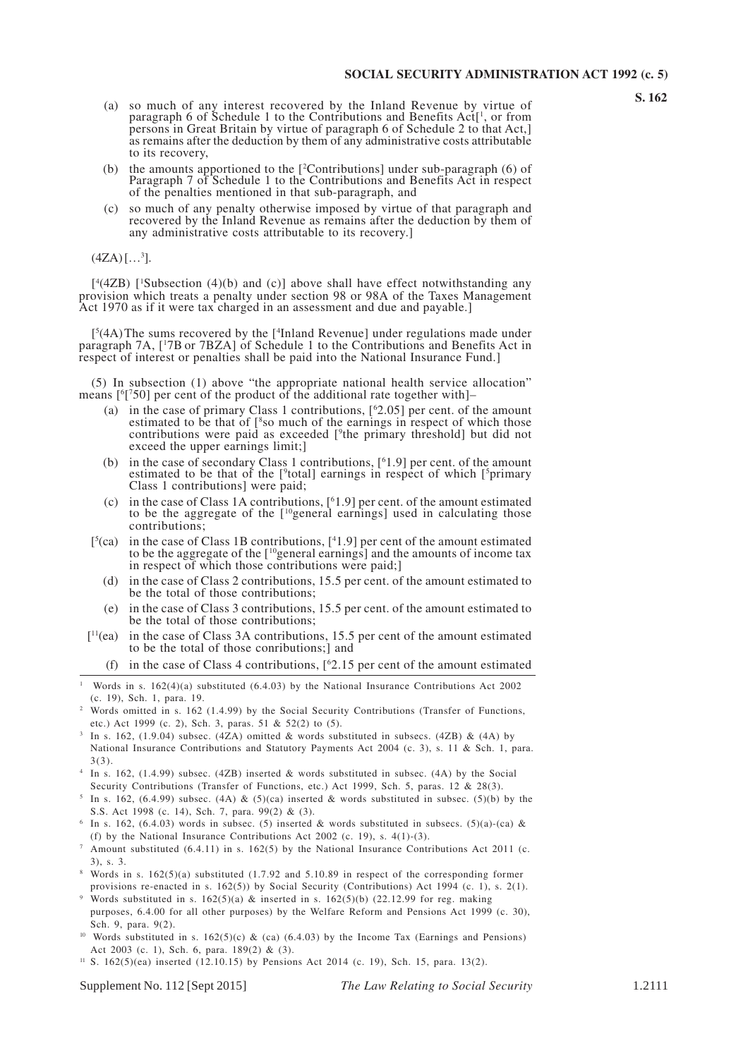- **S. 162** (a) so much of any interest recovered by the Inland Revenue by virtue of paragraph 6 of Schedule 1 to the Contributions and Benefits Act<sup>[1</sup>, or from persons in Great Britain by virtue of paragraph 6 of Schedule 2 to that Act,] as remains after the deduction by them of any administrative costs attributable to its recovery,
- (b) the amounts apportioned to the  $[^2$ Contributions] under sub-paragraph (6) of Paragraph 7 of Schedule 1 to the Contributions and Benefits Act in respect of the penalties mentioned in that sub-paragraph, and
- (c) so much of any penalty otherwise imposed by virtue of that paragraph and recovered by the Inland Revenue as remains after the deduction by them of any administrative costs attributable to its recovery.]

 $(4ZA)[...^3].$ 

 $[4(4ZB)$  [<sup>1</sup>Subsection (4)(b) and (c)] above shall have effect notwithstanding any provision which treats a penalty under section 98 or 98A of the Taxes Management Act 1970 as if it were tax charged in an assessment and due and payable.]

[<sup>5</sup>(4A)The sums recovered by the [<sup>4</sup>Inland Revenue] under regulations made under paragraph 7A, [<sup>1</sup>7B or 7BZA] of Schedule 1 to the Contributions and Benefits Act in respect of interest or penalties shall be paid into the National Insurance Fund.]

(5) In subsection (1) above "the appropriate national health service allocation" means [6 [7 50] per cent of the product of the additional rate together with]–

- (a) in the case of primary Class 1 contributions,  $[62.05]$  per cent. of the amount estimated to be that of [<sup>8</sup>so much of the earnings in respect of which those contributions were paid as exceeded [<sup>9</sup>the primary threshold] but did not exceed the upper earnings limit;]
- (b) in the case of secondary Class 1 contributions,  $[61.9]$  per cent. of the amount estimated to be that of the [<sup>9</sup>total] earnings in respect of which [<sup>5</sup>primary Class 1 contributions] were paid;
- (c) in the case of Class 1A contributions, [6 1.9] per cent. of the amount estimated to be the aggregate of the [<sup>10</sup>general earnings] used in calculating those contributions;
- $[{}^5$ (ca) in the case of Class 1B contributions,  $[{}^41.9]$  per cent of the amount estimated to be the aggregate of the  $[{}^{10}$ general earnings] and the amounts of income tax in respect of which those contributions were paid;]
	- (d) in the case of Class 2 contributions, 15.5 per cent. of the amount estimated to be the total of those contributions;
- (e) in the case of Class 3 contributions, 15.5 per cent. of the amount estimated to be the total of those contributions;
- $[1]$ <sup>11</sup>(ea) in the case of Class 3A contributions, 15.5 per cent of the amount estimated to be the total of those conributions;] and

(f) in the case of Class 4 contributions,  $[62.15$  per cent of the amount estimated

- <sup>3</sup> In s. 162, (1.9.04) subsec. (4ZA) omitted & words substituted in subsecs. (4ZB) & (4A) by National Insurance Contributions and Statutory Payments Act 2004 (c. 3), s. 11 & Sch. 1, para. 3(3).
- <sup>4</sup> In s. 162, (1.4.99) subsec. (4ZB) inserted & words substituted in subsec. (4A) by the Social Security Contributions (Transfer of Functions, etc.) Act 1999, Sch. 5, paras. 12 & 28(3).
- <sup>5</sup> In s. 162, (6.4.99) subsec. (4A) & (5)(ca) inserted & words substituted in subsec. (5)(b) by the S.S. Act 1998 (c. 14), Sch. 7, para. 99(2) & (3).
- <sup>6</sup> In s. 162, (6.4.03) words in subsec. (5) inserted & words substituted in subsecs. (5)(a)-(ca) & (f) by the National Insurance Contributions Act 2002 (c. 19), s.  $4(1)-(3)$ .
- <sup>7</sup> Amount substituted (6.4.11) in s. 162(5) by the National Insurance Contributions Act 2011 (c. 3), s. 3.
- <sup>8</sup> Words in s.  $162(5)(a)$  substituted (1.7.92 and 5.10.89 in respect of the corresponding former provisions re-enacted in s. 162(5)) by Social Security (Contributions) Act 1994 (c. 1), s. 2(1).
- <sup>9</sup> Words substituted in s.  $162(5)(a)$  & inserted in s.  $162(5)(b)$  (22.12.99 for reg. making purposes, 6.4.00 for all other purposes) by the Welfare Reform and Pensions Act 1999 (c. 30), Sch. 9, para. 9(2).
- <sup>10</sup> Words substituted in s. 162(5)(c) & (ca) (6.4.03) by the Income Tax (Earnings and Pensions) Act 2003 (c. 1), Sch. 6, para. 189(2) & (3).
- <sup>11</sup> S. 162(5)(ea) inserted (12.10.15) by Pensions Act 2014 (c. 19), Sch. 15, para. 13(2).

<sup>&</sup>lt;sup>1</sup> Words in s. 162(4)(a) substituted (6.4.03) by the National Insurance Contributions Act 2002 (c. 19), Sch. 1, para. 19.

<sup>&</sup>lt;sup>2</sup> Words omitted in s. 162 (1.4.99) by the Social Security Contributions (Transfer of Functions, etc.) Act 1999 (c. 2), Sch. 3, paras. 51 & 52(2) to (5).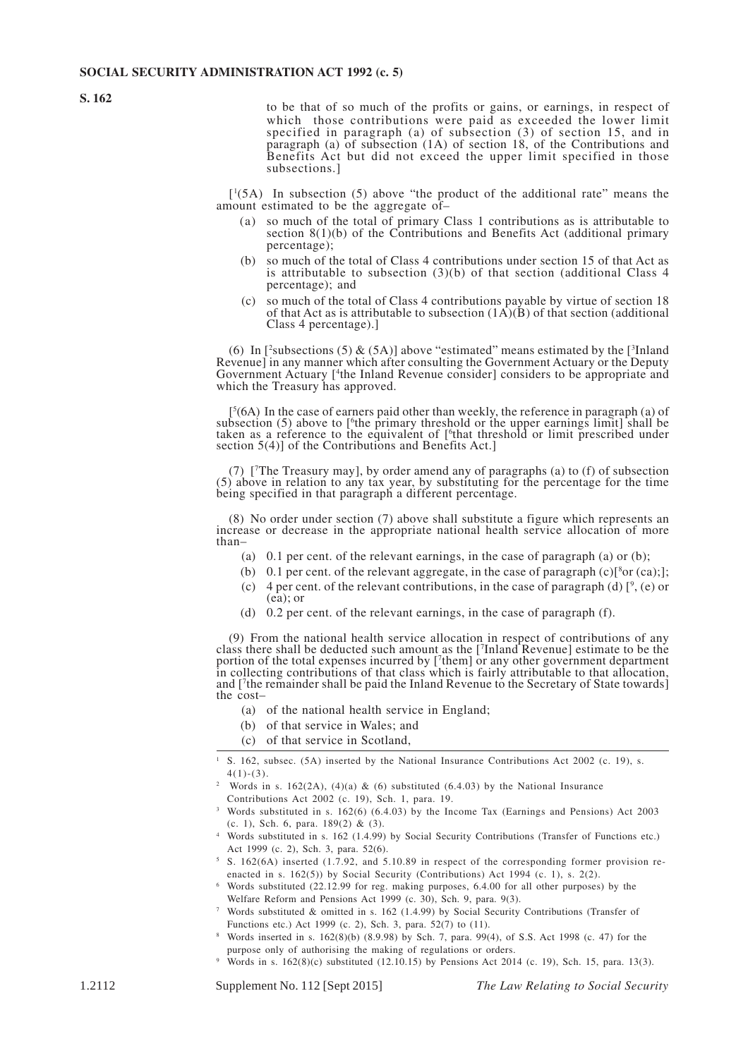**S. 162**

to be that of so much of the profits or gains, or earnings, in respect of which those contributions were paid as exceeded the lower limit specified in paragraph (a) of subsection (3) of section 15, and in paragraph (a) of subsection  $(1A)$  of section 18, of the Contributions and Benefits Act but did not exceed the upper limit specified in those subsections.]

 $[1(5A)$  In subsection (5) above "the product of the additional rate" means the amount estimated to be the aggregate of–

- (a) so much of the total of primary Class 1 contributions as is attributable to section  $8(1)(b)$  of the Contributions and Benefits Act (additional primary percentage);
- (b) so much of the total of Class 4 contributions under section 15 of that Act as is attributable to subsection (3)(b) of that section (additional Class 4 percentage); and
- (c) so much of the total of Class 4 contributions payable by virtue of section 18 of that Act as is attributable to subsection  $(1\overrightarrow{A})(B)$  of that section (additional Class 4 percentage).]

(6) In [<sup>2</sup>subsections (5) & (5A)] above "estimated" means estimated by the [<sup>3</sup>Inland Revenue] in any manner which after consulting the Government Actuary or the Deputy Government Actuary [<sup>4</sup>the Inland Revenue consider] considers to be appropriate and which the Treasury has approved.

 $[5(6A)$  In the case of earners paid other than weekly, the reference in paragraph (a) of  $[5(6A)$  In the case of earners paid other than weekly, the reference in paragraph (a) of subsection (5) above to [<sup>6</sup>the primary threshold or the upper earnings limit] shall be taken as a reference to the equivalent of [<sup>6</sup>that threshold or limit prescribed under section 5(4)] of the Contributions and Benefits Act.]

(7) [7 The Treasury may], by order amend any of paragraphs (a) to (f) of subsection (5) above in relation to any tax year, by substituting for the percentage for the time being specified in that paragraph a different percentage.

(8) No order under section (7) above shall substitute a figure which represents an increase or decrease in the appropriate national health service allocation of more than–

- (a) 0.1 per cent. of the relevant earnings, in the case of paragraph (a) or (b);
- (b) 0.1 per cent. of the relevant aggregate, in the case of paragraph  $(c)[<sup>8</sup> or (ca);]$ ;
- (c) 4 per cent. of the relevant contributions, in the case of paragraph (d)  $[9, (e)$  or (ea); or
- (d) 0.2 per cent. of the relevant earnings, in the case of paragraph (f).

(9) From the national health service allocation in respect of contributions of any class there shall be deducted such amount as the [7 Inland Revenue] estimate to be the portion of the total expenses incurred by [7 them] or any other government department in collecting contributions of that class which is fairly attributable to that allocation, and [7the remainder shall be paid the Inland Revenue to the Secretary of State towards] the cost–

- (a) of the national health service in England;
- (b) of that service in Wales; and
- (c) of that service in Scotland,

- <sup>5</sup> S. 162(6A) inserted (1.7.92, and 5.10.89 in respect of the corresponding former provision reenacted in s. 162(5)) by Social Security (Contributions) Act 1994 (c. 1), s. 2(2).
- <sup>6</sup> Words substituted (22.12.99 for reg. making purposes, 6.4.00 for all other purposes) by the Welfare Reform and Pensions Act 1999 (c. 30), Sch. 9, para. 9(3).
- <sup>7</sup> Words substituted & omitted in s. 162 (1.4.99) by Social Security Contributions (Transfer of Functions etc.) Act 1999 (c. 2), Sch. 3, para. 52(7) to (11).
- <sup>8</sup> Words inserted in s. 162(8)(b) (8.9.98) by Sch. 7, para. 99(4), of S.S. Act 1998 (c. 47) for the purpose only of authorising the making of regulations or orders.
- <sup>9</sup> Words in s. 162(8)(c) substituted (12.10.15) by Pensions Act 2014 (c. 19), Sch. 15, para. 13(3).

<sup>&</sup>lt;sup>1</sup> S. 162, subsec. (5A) inserted by the National Insurance Contributions Act 2002 (c. 19), s.  $4(1)-(3)$ .

<sup>&</sup>lt;sup>2</sup> Words in s. 162(2A), (4)(a) & (6) substituted (6.4.03) by the National Insurance Contributions Act 2002 (c. 19), Sch. 1, para. 19.

Words substituted in s.  $162(6)$  (6.4.03) by the Income Tax (Earnings and Pensions) Act 2003 (c. 1), Sch. 6, para. 189(2) & (3).

<sup>4</sup> Words substituted in s. 162 (1.4.99) by Social Security Contributions (Transfer of Functions etc.) Act 1999 (c. 2), Sch. 3, para. 52(6).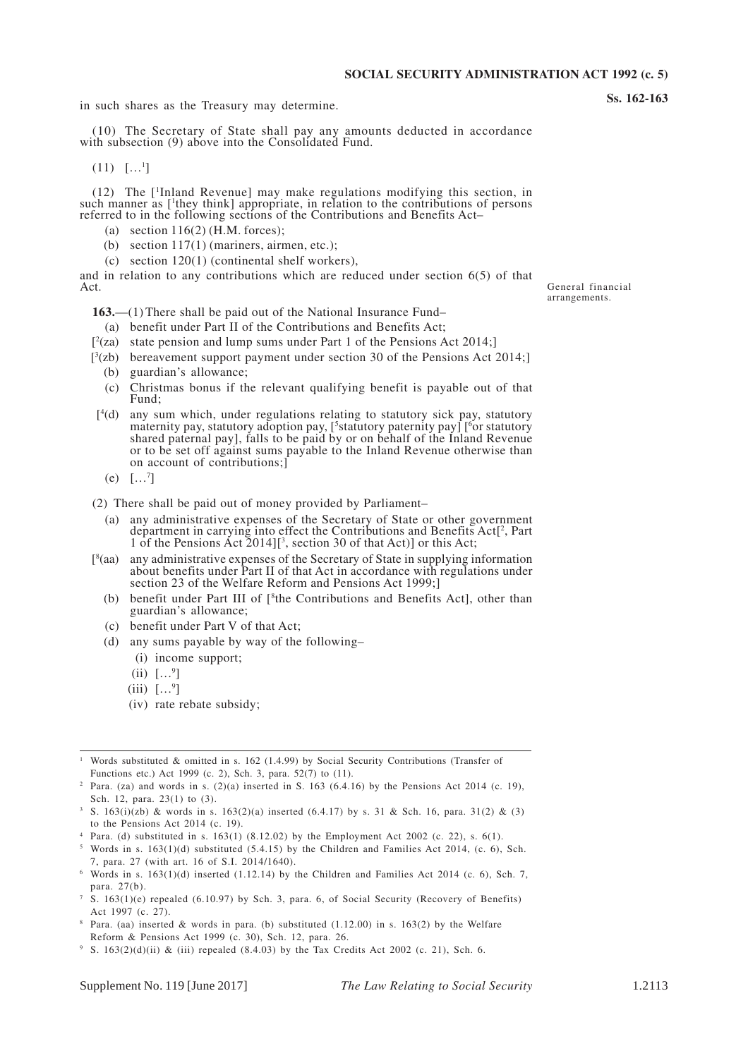in such shares as the Treasury may determine.

(10) The Secretary of State shall pay any amounts deducted in accordance with subsection (9) above into the Consolidated Fund.

(11) […1 ]

(12) The [1 Inland Revenue] may make regulations modifying this section, in such manner as [<sup>1</sup>they think] appropriate, in relation to the contributions of persons referred to in the following sections of the Contributions and Benefits Act–

- (a) section  $116(2)$  (H.M. forces);
- (b) section 117(1) (mariners, airmen, etc.);
- (c) section 120(1) (continental shelf workers),

and in relation to any contributions which are reduced under section 6(5) of that Act.

**163.**—(1) There shall be paid out of the National Insurance Fund–

- (a) benefit under Part II of the Contributions and Benefits Act;
- $[2(za)$  state pension and lump sums under Part 1 of the Pensions Act 2014;
- [3 (zb) bereavement support payment under section 30 of the Pensions Act 2014;]
	- (b) guardian's allowance;
	- (c) Christmas bonus if the relevant qualifying benefit is payable out of that Fund;
	- [4 (d) any sum which, under regulations relating to statutory sick pay, statutory maternity pay, statutory adoption pay, [<sup>5</sup>statutory paternity pay] [<sup>6</sup>or statutory shared paternal pay], falls to be paid by or on behalf of the Inland Revenue or to be set off against sums payable to the Inland Revenue otherwise than on account of contributions;]

(e) […7 ]

(2) There shall be paid out of money provided by Parliament–

- (a) any administrative expenses of the Secretary of State or other government department in carrying into effect the Contributions and Benefits Act[2 , Part 1 of the Pensions Act 2014][3 , section 30 of that Act)] or this Act;
- [ 8 (aa) any administrative expenses of the Secretary of State in supplying information about benefits under Part II of that Act in accordance with regulations under section 23 of the Welfare Reform and Pensions Act 1999;]
	- (b) benefit under Part III of  $[{}^8$ the Contributions and Benefits Act], other than guardian's allowance;
	- (c) benefit under Part V of that Act;
	- (d) any sums payable by way of the following–
		- (i) income support;
		- (ii) […9 ]
		- (iii) […9 ]
		- (iv) rate rebate subsidy;
- <sup>1</sup> Words substituted & omitted in s. 162 (1.4.99) by Social Security Contributions (Transfer of Functions etc.) Act 1999 (c. 2), Sch. 3, para. 52(7) to (11).

<sup>4</sup> Para. (d) substituted in s. 163(1) (8.12.02) by the Employment Act 2002 (c. 22), s. 6(1).

- <sup>7</sup> S. 163(1)(e) repealed (6.10.97) by Sch. 3, para. 6, of Social Security (Recovery of Benefits) Act 1997 (c. 27).
- <sup>8</sup> Para. (aa) inserted & words in para. (b) substituted  $(1.12.00)$  in s. 163(2) by the Welfare Reform & Pensions Act 1999 (c. 30), Sch. 12, para. 26.
- <sup>9</sup> S. 163(2)(d)(ii) & (iii) repealed (8.4.03) by the Tax Credits Act 2002 (c. 21), Sch. 6.

General financial arrangements.

**Ss. 162-163**

<sup>&</sup>lt;sup>2</sup> Para. (za) and words in s.  $(2)(a)$  inserted in S. 163 (6.4.16) by the Pensions Act 2014 (c. 19), Sch. 12, para. 23(1) to (3).

S.  $163(i)(zb)$  & words in s.  $163(2)(a)$  inserted  $(6.4.17)$  by s.  $31$  & Sch. 16, para.  $31(2)$  & (3) to the Pensions Act 2014 (c. 19).

<sup>&</sup>lt;sup>5</sup> Words in s. 163(1)(d) substituted (5.4.15) by the Children and Families Act 2014, (c. 6), Sch. 7, para. 27 (with art. 16 of S.I. 2014/1640).

 $6$  Words in s. 163(1)(d) inserted (1.12.14) by the Children and Families Act 2014 (c. 6), Sch. 7, para. 27(b).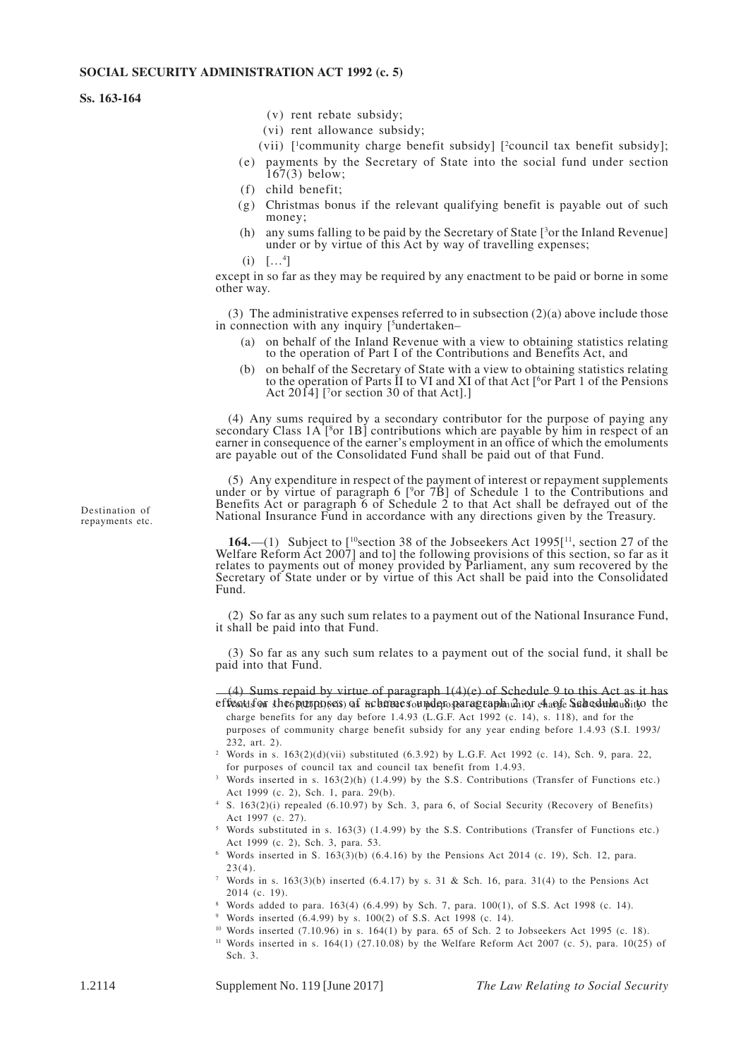#### **Ss. 163-164**

- (v) rent rebate subsidy;
- (vi) rent allowance subsidy;
- (vii) ['community charge benefit subsidy] ['council tax benefit subsidy];
- (e) payments by the Secretary of State into the social fund under section  $167(3)$  below;
- (f) child benefit;
- (g) Christmas bonus if the relevant qualifying benefit is payable out of such money;
- (h) any sums falling to be paid by the Secretary of State  $[3]$  or the Inland Revenue] under or by virtue of this Act by way of travelling expenses;
- $(i)$   $[...^4]$

except in so far as they may be required by any enactment to be paid or borne in some other way.

(3) The administrative expenses referred to in subsection (2)(a) above include those in connection with any inquiry [<sup>5</sup>undertaken-

- (a) on behalf of the Inland Revenue with a view to obtaining statistics relating to the operation of Part I of the Contributions and Benefits Act, and
- (b) on behalf of the Secretary of State with a view to obtaining statistics relating to the operation of Parts II to VI and XI of that Act [<sup>6</sup>or Part 1 of the Pensions Act 2014] [<sup>7</sup>or section 30 of that Act].]

(4) Any sums required by a secondary contributor for the purpose of paying any secondary Class  $1A$ <sup>[8</sup>or 1B] contributions which are payable by him in respect of an earner in consequence of the earner's employment in an office of which the emoluments are payable out of the Consolidated Fund shall be paid out of that Fund.

(5) Any expenditure in respect of the payment of interest or repayment supplements under or by virtue of paragraph 6 [9 or 7B] of Schedule 1 to the Contributions and Benefits Act or paragraph  $\overline{6}$  of Schedule 2 to that Act shall be defrayed out of the National Insurance Fund in accordance with any directions given by the Treasury.

164.—(1) Subject to [<sup>10</sup>section 38 of the Jobseekers Act 1995<sup>[11</sup>, section 27 of the Welfare Reform Act 2007] and to] the following provisions of this section, so far as it relates to payments out of money provided by Parliament, any sum recovered by the Secretary of State under or by virtue of this Act shall be paid into the Consolidated Fund.

(2) So far as any such sum relates to a payment out of the National Insurance Fund, it shall be paid into that Fund.

(3) So far as any such sum relates to a payment out of the social fund, it shall be paid into that Fund.

(4) Sums repaid by virtue of paragraph  $1(4)(e)$  of Schedule 9 to this Act as it has effectufon she6pwpp96es) af schemeesoupdepoparagraphm $\hat{a}$ nor chaofe Schedulau8ito the

- charge benefits for any day before 1.4.93 (L.G.F. Act 1992 (c. 14), s. 118), and for the purposes of community charge benefit subsidy for any year ending before 1.4.93 (S.I. 1993/ 232, art. 2).
- <sup>2</sup> Words in s. 163(2)(d)(vii) substituted (6.3.92) by L.G.F. Act 1992 (c. 14), Sch. 9, para. 22, for purposes of council tax and council tax benefit from 1.4.93.
- <sup>3</sup> Words inserted in s. 163(2)(h) (1.4.99) by the S.S. Contributions (Transfer of Functions etc.) Act 1999 (c. 2), Sch. 1, para. 29(b).
- <sup>4</sup> S. 163(2)(i) repealed (6.10.97) by Sch. 3, para 6, of Social Security (Recovery of Benefits) Act 1997 (c. 27).
- <sup>5</sup> Words substituted in s. 163(3) (1.4.99) by the S.S. Contributions (Transfer of Functions etc.) Act 1999 (c. 2), Sch. 3, para. 53.
- <sup>6</sup> Words inserted in S. 163(3)(b) (6.4.16) by the Pensions Act 2014 (c. 19), Sch. 12, para.  $23(4)$ .
- <sup>7</sup> Words in s. 163(3)(b) inserted (6.4.17) by s. 31 & Sch. 16, para. 31(4) to the Pensions Act 2014 (c. 19).
- <sup>8</sup> Words added to para. 163(4) (6.4.99) by Sch. 7, para. 100(1), of S.S. Act 1998 (c. 14).
- <sup>9</sup> Words inserted  $(6.4.99)$  by s. 100(2) of S.S. Act 1998 (c. 14).
- <sup>10</sup> Words inserted (7.10.96) in s. 164(1) by para. 65 of Sch. 2 to Jobseekers Act 1995 (c. 18).
- <sup>11</sup> Words inserted in s. 164(1) (27.10.08) by the Welfare Reform Act 2007 (c. 5), para. 10(25) of Sch. 3.

Destination of repayments etc.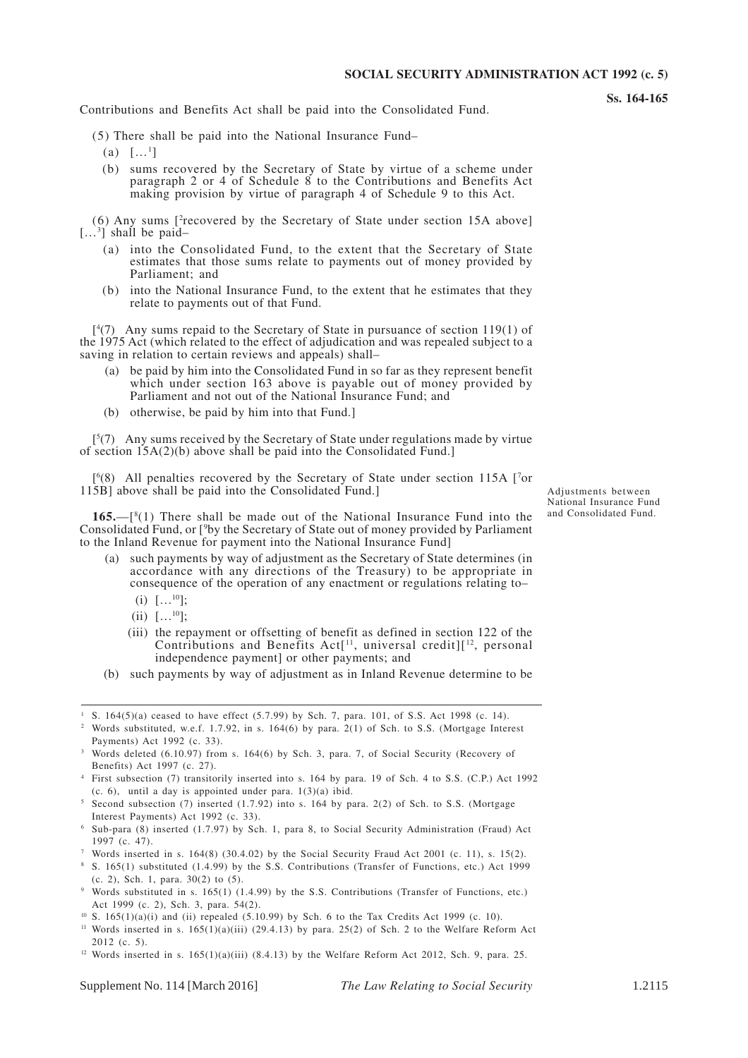Contributions and Benefits Act shall be paid into the Consolidated Fund.

(5) There shall be paid into the National Insurance Fund–

- $(a)$   $[...^1]$
- (b) sums recovered by the Secretary of State by virtue of a scheme under paragraph 2 or 4 of Schedule 8 to the Contributions and Benefits Act making provision by virtue of paragraph 4 of Schedule 9 to this Act.

(6) Any sums [2 recovered by the Secretary of State under section 15A above] [...<sup>3</sup>] shall be paid-

- (a) into the Consolidated Fund, to the extent that the Secretary of State estimates that those sums relate to payments out of money provided by Parliament; and
- (b) into the National Insurance Fund, to the extent that he estimates that they relate to payments out of that Fund.

[ 4 (7) Any sums repaid to the Secretary of State in pursuance of section 119(1) of the 1975 Act (which related to the effect of adjudication and was repealed subject to a saving in relation to certain reviews and appeals) shall–

- (a) be paid by him into the Consolidated Fund in so far as they represent benefit which under section 163 above is payable out of money provided by Parliament and not out of the National Insurance Fund; and
- (b) otherwise, be paid by him into that Fund.]

 $[5(7)$  Any sums received by the Secretary of State under regulations made by virtue of section 15A(2)(b) above shall be paid into the Consolidated Fund.]

[<sup>6</sup>(8) All penalties recovered by the Secretary of State under section 115A [<sup>7</sup>or 115B] above shall be paid into the Consolidated Fund.]

**165.**—[8 (1) There shall be made out of the National Insurance Fund into the Consolidated Fund, or [<sup>9</sup>by the Secretary of State out of money provided by Parliament to the Inland Revenue for payment into the National Insurance Fund]

- (a) such payments by way of adjustment as the Secretary of State determines (in accordance with any directions of the Treasury) to be appropriate in consequence of the operation of any enactment or regulations relating to–
	- (i)  $[\dots]^{10}$ :
	- (ii)  $[...^{10}]$ ;
	- (iii) the repayment or offsetting of benefit as defined in section 122 of the Contributions and Benefits Act<sup>[11</sup>, universal credit]<sup>[12</sup>, personal] independence payment] or other payments; and
- (b) such payments by way of adjustment as in Inland Revenue determine to be
- <sup>1</sup> S.  $164(5)(a)$  ceased to have effect (5.7.99) by Sch. 7, para. 101, of S.S. Act 1998 (c. 14).
- <sup>2</sup> Words substituted, w.e.f. 1.7.92, in s. 164(6) by para. 2(1) of Sch. to S.S. (Mortgage Interest Payments) Act 1992 (c. 33).
- <sup>3</sup> Words deleted (6.10.97) from s. 164(6) by Sch. 3, para. 7, of Social Security (Recovery of Benefits) Act 1997 (c. 27).
- <sup>4</sup> First subsection (7) transitorily inserted into s. 164 by para. 19 of Sch. 4 to S.S. (C.P.) Act 1992 (c. 6), until a day is appointed under para.  $1(3)(a)$  ibid.
- <sup>5</sup> Second subsection (7) inserted (1.7.92) into s. 164 by para. 2(2) of Sch. to S.S. (Mortgage Interest Payments) Act 1992 (c. 33).
- <sup>6</sup> Sub-para (8) inserted (1.7.97) by Sch. 1, para 8, to Social Security Administration (Fraud) Act 1997 (c. 47).
- <sup>7</sup> Words inserted in s. 164(8) (30.4.02) by the Social Security Fraud Act 2001 (c. 11), s. 15(2).
- <sup>8</sup> S. 165(1) substituted (1.4.99) by the S.S. Contributions (Transfer of Functions, etc.) Act 1999 (c. 2), Sch. 1, para. 30(2) to (5).
- <sup>9</sup> Words substituted in s. 165(1) (1.4.99) by the S.S. Contributions (Transfer of Functions, etc.) Act 1999 (c. 2), Sch. 3, para. 54(2).
- <sup>10</sup> S.  $165(1)(a)(i)$  and (ii) repealed (5.10.99) by Sch. 6 to the Tax Credits Act 1999 (c. 10).
- <sup>11</sup> Words inserted in s.  $165(1)(a)(iii)$  (29.4.13) by para. 25(2) of Sch. 2 to the Welfare Reform Act 2012 (c. 5).

Adjustments between National Insurance Fund and Consolidated Fund.

<sup>&</sup>lt;sup>12</sup> Words inserted in s.  $165(1)(a)(iii)$  (8.4.13) by the Welfare Reform Act 2012, Sch. 9, para. 25.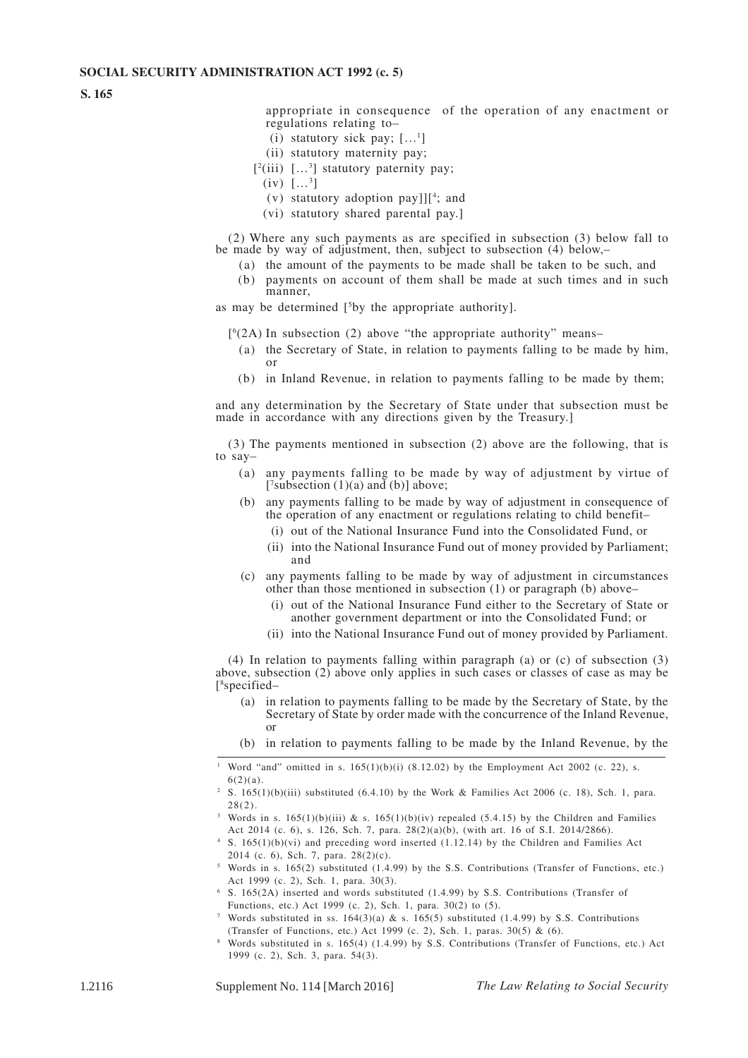appropriate in consequence of the operation of any enactment or regulations relating to–

- (i) statutory sick pay; […1 ]
- (ii) statutory maternity pay;
- $[2(iii)$  [...<sup>3</sup>] statutory paternity pay;
- $(iv)$   $[...^3]$
- (v) statutory adoption pay]][4 ; and
- (vi) statutory shared parental pay.]

(2) Where any such payments as are specified in subsection (3) below fall to be made by way of adjustment, then, subject to subsection (4) below,–

- (a) the amount of the payments to be made shall be taken to be such, and
- (b) payments on account of them shall be made at such times and in such manner,

as may be determined [<sup>5</sup>by the appropriate authority].

[6 (2A) In subsection (2) above "the appropriate authority" means–

- (a) the Secretary of State, in relation to payments falling to be made by him, or
- (b) in Inland Revenue, in relation to payments falling to be made by them;

and any determination by the Secretary of State under that subsection must be made in accordance with any directions given by the Treasury.]

(3) The payments mentioned in subsection (2) above are the following, that is to say–

- (a) any payments falling to be made by way of adjustment by virtue of [ $\frac{7}{\text{subsection}}$  (1)(a) and (b)] above;
- (b) any payments falling to be made by way of adjustment in consequence of the operation of any enactment or regulations relating to child benefit–
	- (i) out of the National Insurance Fund into the Consolidated Fund, or
	- (ii) into the National Insurance Fund out of money provided by Parliament; and
- (c) any payments falling to be made by way of adjustment in circumstances other than those mentioned in subsection (1) or paragraph (b) above–
	- (i) out of the National Insurance Fund either to the Secretary of State or another government department or into the Consolidated Fund; or
	- (ii) into the National Insurance Fund out of money provided by Parliament.

(4) In relation to payments falling within paragraph (a) or (c) of subsection (3) above, subsection (2) above only applies in such cases or classes of case as may be [8 specified–

- (a) in relation to payments falling to be made by the Secretary of State, by the Secretary of State by order made with the concurrence of the Inland Revenue, or
- (b) in relation to payments falling to be made by the Inland Revenue, by the

<sup>3</sup> Words in s.  $165(1)(b)(iii)$  & s.  $165(1)(b)(iv)$  repealed (5.4.15) by the Children and Families Act 2014 (c. 6), s. 126, Sch. 7, para. 28(2)(a)(b), (with art. 16 of S.I. 2014/2866).

- <sup>5</sup> Words in s. 165(2) substituted (1.4.99) by the S.S. Contributions (Transfer of Functions, etc.) Act 1999 (c. 2), Sch. 1, para. 30(3).
- <sup>6</sup> S. 165(2A) inserted and words substituted (1.4.99) by S.S. Contributions (Transfer of Functions, etc.) Act 1999 (c. 2), Sch. 1, para. 30(2) to (5).
- <sup>7</sup> Words substituted in ss. 164(3)(a) & s. 165(5) substituted (1.4.99) by S.S. Contributions
- (Transfer of Functions, etc.) Act 1999 (c. 2), Sch. 1, paras.  $30(5)$  & (6).
- <sup>8</sup> Words substituted in s. 165(4) (1.4.99) by S.S. Contributions (Transfer of Functions, etc.) Act 1999 (c. 2), Sch. 3, para. 54(3).

<sup>&</sup>lt;sup>1</sup> Word "and" omitted in s.  $165(1)(b)(i)$   $(8.12.02)$  by the Employment Act 2002 (c. 22), s. 6(2)(a).

<sup>&</sup>lt;sup>2</sup> S.  $165(1)(b)(iii)$  substituted (6.4.10) by the Work & Families Act 2006 (c. 18), Sch. 1, para. 28(2).

<sup>4</sup> S. 165(1)(b)(vi) and preceding word inserted (1.12.14) by the Children and Families Act 2014 (c. 6), Sch. 7, para. 28(2)(c).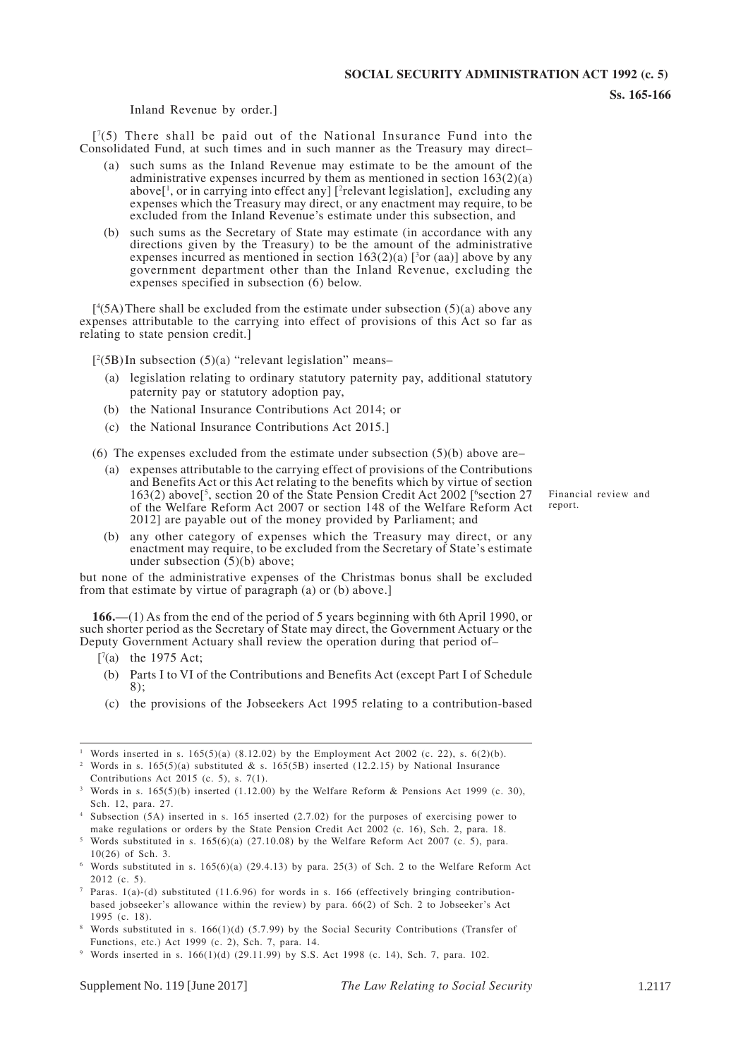**Ss. 165-166**

Inland Revenue by order.]

[7(5) There shall be paid out of the National Insurance Fund into the Consolidated Fund, at such times and in such manner as the Treasury may direct–

- (a) such sums as the Inland Revenue may estimate to be the amount of the administrative expenses incurred by them as mentioned in section  $163(2)(a)$ above[ $^1$ , or in carrying into effect any] [ $^2$ relevant legislation], excluding any expenses which the Treasury may direct, or any enactment may require, to be excluded from the Inland Revenue's estimate under this subsection, and
- (b) such sums as the Secretary of State may estimate (in accordance with any directions given by the Treasury) to be the amount of the administrative expenses incurred as mentioned in section  $163(2)(a)$  [<sup>3</sup>or (aa)] above by any government department other than the Inland Revenue, excluding the expenses specified in subsection (6) below.

[ 4 (5A)There shall be excluded from the estimate under subsection (5)(a) above any expenses attributable to the carrying into effect of provisions of this Act so far as relating to state pension credit.]

 $[2(5B)$ In subsection  $(5)(a)$  "relevant legislation" means-

- (a) legislation relating to ordinary statutory paternity pay, additional statutory paternity pay or statutory adoption pay,
- (b) the National Insurance Contributions Act 2014; or
- (c) the National Insurance Contributions Act 2015.]

(6) The expenses excluded from the estimate under subsection  $(5)(b)$  above are–

- (a) expenses attributable to the carrying effect of provisions of the Contributions and Benefits Act or this Act relating to the benefits which by virtue of section 163(2) above<sup>[5</sup>, section 20 of the State Pension Credit Act 2002 [<sup>6</sup> section 27 of the Welfare Reform Act 2007 or section 148 of the Welfare Reform Act 2012] are payable out of the money provided by Parliament; and
- (b) any other category of expenses which the Treasury may direct, or any enactment may require, to be excluded from the Secretary of State's estimate under subsection  $(5)(b)$  above:

but none of the administrative expenses of the Christmas bonus shall be excluded from that estimate by virtue of paragraph (a) or (b) above.]

**166.**—(1) As from the end of the period of 5 years beginning with 6th April 1990, or such shorter period as the Secretary of State may direct, the Government Actuary or the Deputy Government Actuary shall review the operation during that period of–

- $[7(a)$  the 1975 Act;
- (b) Parts I to VI of the Contributions and Benefits Act (except Part I of Schedule 8);
- (c) the provisions of the Jobseekers Act 1995 relating to a contribution-based

- <sup>4</sup> Subsection (5A) inserted in s. 165 inserted (2.7.02) for the purposes of exercising power to make regulations or orders by the State Pension Credit Act 2002 (c. 16), Sch. 2, para. 18.
- <sup>5</sup> Words substituted in s.  $165(6)(a)$  (27.10.08) by the Welfare Reform Act 2007 (c. 5), para. 10(26) of Sch. 3.
- $6$  Words substituted in s. 165(6)(a) (29.4.13) by para. 25(3) of Sch. 2 to the Welfare Reform Act 2012 (c. 5).
- <sup>7</sup> Paras. 1(a)-(d) substituted (11.6.96) for words in s. 166 (effectively bringing contributionbased jobseeker's allowance within the review) by para. 66(2) of Sch. 2 to Jobseeker's Act 1995 (c. 18).
- <sup>8</sup> Words substituted in s. 166(1)(d) (5.7.99) by the Social Security Contributions (Transfer of Functions, etc.) Act 1999 (c. 2), Sch. 7, para. 14.
- <sup>9</sup> Words inserted in s. 166(1)(d) (29.11.99) by S.S. Act 1998 (c. 14), Sch. 7, para. 102.

Financial review and report.

<sup>&</sup>lt;sup>1</sup> Words inserted in s. 165(5)(a) (8.12.02) by the Employment Act 2002 (c. 22), s. 6(2)(b).

Words in s. 165(5)(a) substituted & s. 165(5B) inserted (12.2.15) by National Insurance

Contributions Act 2015 (c. 5), s. 7(1).

Words in s.  $165(5)(b)$  inserted (1.12.00) by the Welfare Reform & Pensions Act 1999 (c. 30), Sch. 12, para. 27.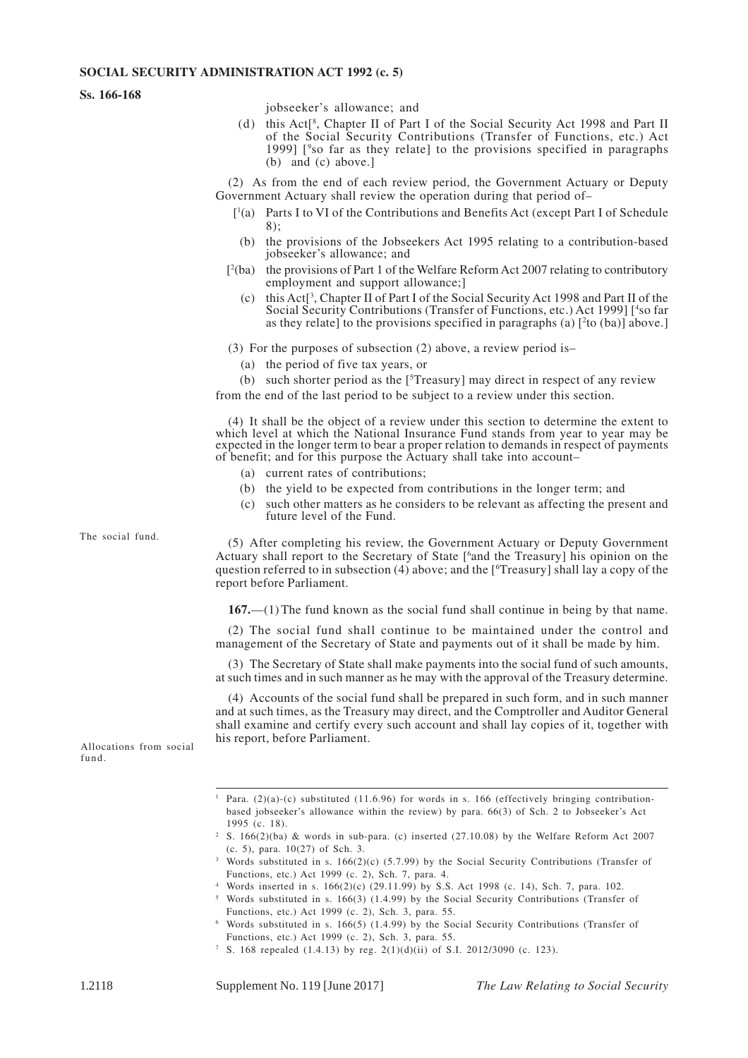#### **Ss. 166-168**

jobseeker's allowance; and

(d) this Act[8 , Chapter II of Part I of the Social Security Act 1998 and Part II of the Social Security Contributions (Transfer of Functions, etc.) Act 1999] [<sup>9</sup>so far as they relate] to the provisions specified in paragraphs (b) and (c) above.]

(2) As from the end of each review period, the Government Actuary or Deputy Government Actuary shall review the operation during that period of–

- [1 (a) Parts I to VI of the Contributions and Benefits Act (except Part I of Schedule 8);
- (b) the provisions of the Jobseekers Act 1995 relating to a contribution-based jobseeker's allowance; and
- [2 (ba) the provisions of Part 1 of the Welfare Reform Act 2007 relating to contributory employment and support allowance;
	- (c) this Act[3 , Chapter II of Part I of the Social Security Act 1998 and Part II of the Social Security Contributions (Transfer of Functions, etc.) Act 1999] [<sup>4</sup>so far as they relate] to the provisions specified in paragraphs (a)  $[2$  to (ba)] above.]
- (3) For the purposes of subsection (2) above, a review period is–
	- (a) the period of five tax years, or

(b) such shorter period as the [<sup>5</sup>Treasury] may direct in respect of any review from the end of the last period to be subject to a review under this section.

(4) It shall be the object of a review under this section to determine the extent to which level at which the National Insurance Fund stands from year to year may be expected in the longer term to bear a proper relation to demands in respect of payments of benefit; and for this purpose the Actuary shall take into account–

- (a) current rates of contributions;
- (b) the yield to be expected from contributions in the longer term; and
- (c) such other matters as he considers to be relevant as affecting the present and future level of the Fund.

The social fund.

(5) After completing his review, the Government Actuary or Deputy Government Actuary shall report to the Secretary of State [<sup>6</sup>and the Treasury] his opinion on the question referred to in subsection (4) above; and the [<sup>6</sup>Treasury] shall lay a copy of the report before Parliament.

**167.**—(1) The fund known as the social fund shall continue in being by that name.

(2) The social fund shall continue to be maintained under the control and management of the Secretary of State and payments out of it shall be made by him.

(3) The Secretary of State shall make payments into the social fund of such amounts, at such times and in such manner as he may with the approval of the Treasury determine.

(4) Accounts of the social fund shall be prepared in such form, and in such manner and at such times, as the Treasury may direct, and the Comptroller and Auditor General shall examine and certify every such account and shall lay copies of it, together with his report, before Parliament.

Allocations from social fund.

- Para.  $(2)(a)-(c)$  substituted  $(11.6.96)$  for words in s. 166 (effectively bringing contributionbased jobseeker's allowance within the review) by para. 66(3) of Sch. 2 to Jobseeker's Act 1995 (c. 18).
- <sup>2</sup> S. 166(2)(ba) & words in sub-para. (c) inserted (27.10.08) by the Welfare Reform Act 2007 (c. 5), para. 10(27) of Sch. 3.
- <sup>3</sup> Words substituted in s. 166(2)(c) (5.7.99) by the Social Security Contributions (Transfer of Functions, etc.) Act 1999 (c. 2), Sch. 7, para. 4.
- <sup>4</sup> Words inserted in s. 166(2)(c) (29.11.99) by S.S. Act 1998 (c. 14), Sch. 7, para. 102.
- <sup>5</sup> Words substituted in s. 166(3) (1.4.99) by the Social Security Contributions (Transfer of Functions, etc.) Act 1999 (c. 2), Sch. 3, para. 55.
- Words substituted in s. 166(5) (1.4.99) by the Social Security Contributions (Transfer of Functions, etc.) Act 1999 (c. 2), Sch. 3, para. 55.
- <sup>7</sup> S. 168 repealed (1.4.13) by reg. 2(1)(d)(ii) of S.I. 2012/3090 (c. 123).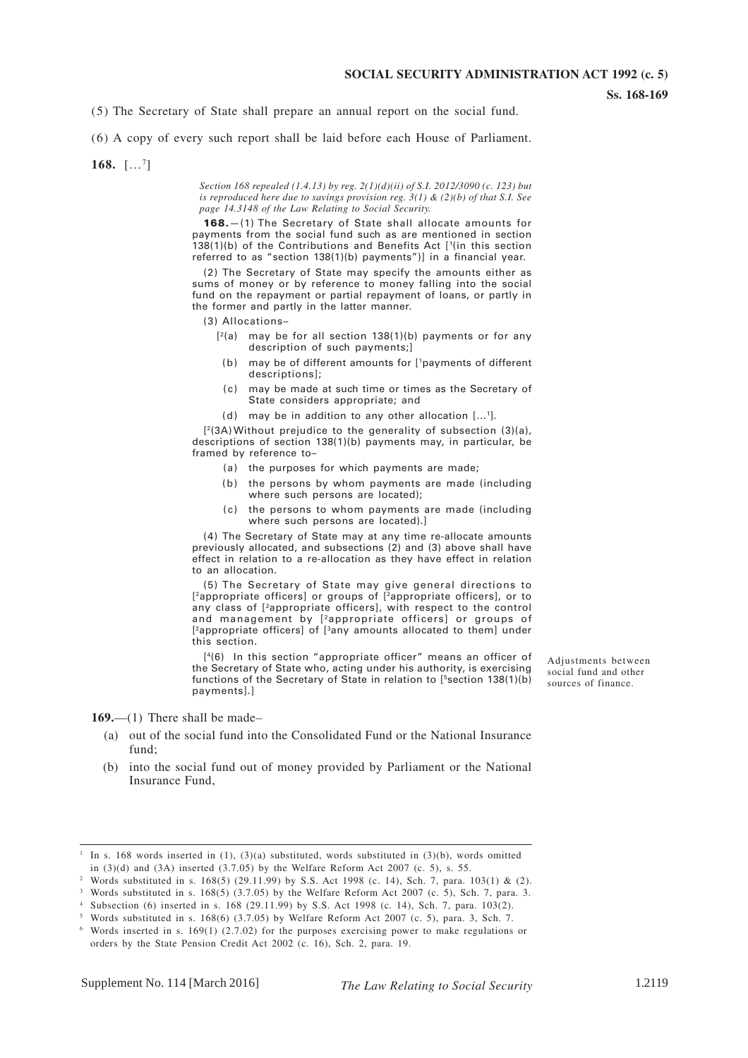**Ss. 168-169**

(5) The Secretary of State shall prepare an annual report on the social fund.

(6) A copy of every such report shall be laid before each House of Parliament.

**168.**  $[...^7]$ 

*Section 168 repealed (1.4.13) by reg. 2(1)(d)(ii) of S.I. 2012/3090 (c. 123) but is reproduced here due to savings provision reg. 3(1) & (2)(b) of that S.I. See page 14.3148 of the Law Relating to Social Security.*

**168.**—(1) The Secretary of State shall allocate amounts for payments from the social fund such as are mentioned in section 138(1)(b) of the Contributions and Benefits Act [1(in this section referred to as "section 138(1)(b) payments")] in a financial year.

(2) The Secretary of State may specify the amounts either as sums of money or by reference to money falling into the social fund on the repayment or partial repayment of loans, or partly in the former and partly in the latter manner.

(3) Allocations–

- $[2(a)$  may be for all section 138(1)(b) payments or for any description of such payments;]
- (b) may be of different amounts for [<sup>1</sup>payments of different descriptions];
- (c) may be made at such time or times as the Secretary of State considers appropriate; and
- (d) may be in addition to any other allocation  $[...]$ .

 $[2(3A)$ Without prejudice to the generality of subsection  $(3)(a)$ , descriptions of section 138(1)(b) payments may, in particular, be framed by reference to–

- (a) the purposes for which payments are made;
- (b) the persons by whom payments are made (including where such persons are located);
- (c) the persons to whom payments are made (including where such persons are located).]

(4) The Secretary of State may at any time re-allocate amounts previously allocated, and subsections (2) and (3) above shall have effect in relation to a re-allocation as they have effect in relation to an allocation.

(5) The Secretary of State may give general directions to [2appropriate officers] or groups of [2appropriate officers], or to any class of [2appropriate officers], with respect to the control and management by [<sup>2</sup>appropriate officers] or groups of [<sup>2</sup>appropriate officers] of [<sup>3</sup>any amounts allocated to them] under this section.

[4(6) In this section "appropriate officer" means an officer of the Secretary of State who, acting under his authority, is exercising functions of the Secretary of State in relation to  $[5$ section 138(1)(b) payments].]

**169.**—(1) There shall be made–

- (a) out of the social fund into the Consolidated Fund or the National Insurance fund;
- (b) into the social fund out of money provided by Parliament or the National Insurance Fund,



<sup>&</sup>lt;sup>1</sup> In s. 168 words inserted in  $(1)$ ,  $(3)(a)$  substituted, words substituted in  $(3)(b)$ , words omitted in  $(3)(d)$  and  $(3A)$  inserted  $(3.7.05)$  by the Welfare Reform Act 2007 (c. 5), s. 55.

<sup>2</sup> Words substituted in s. 168(5) (29.11.99) by S.S. Act 1998 (c. 14), Sch. 7, para. 103(1) & (2).

<sup>&</sup>lt;sup>3</sup> Words substituted in s. 168(5) (3.7.05) by the Welfare Reform Act 2007 (c. 5), Sch. 7, para. 3.

<sup>4</sup> Subsection (6) inserted in s. 168 (29.11.99) by S.S. Act 1998 (c. 14), Sch. 7, para. 103(2).

<sup>5</sup> Words substituted in s. 168(6) (3.7.05) by Welfare Reform Act 2007 (c. 5), para. 3, Sch. 7.

Words inserted in s. 169(1) (2.7.02) for the purposes exercising power to make regulations or orders by the State Pension Credit Act 2002 (c. 16), Sch. 2, para. 19.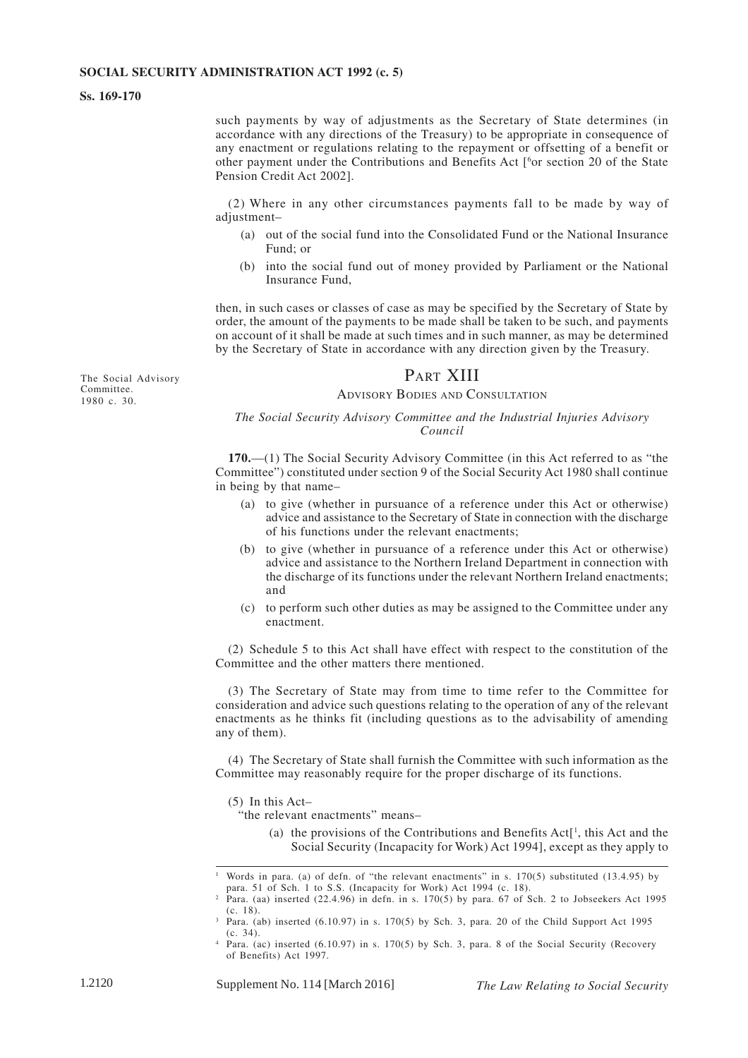**Ss. 169-170**

such payments by way of adjustments as the Secretary of State determines (in accordance with any directions of the Treasury) to be appropriate in consequence of any enactment or regulations relating to the repayment or offsetting of a benefit or other payment under the Contributions and Benefits Act [<sup>6</sup>or section 20 of the State Pension Credit Act 2002].

(2) Where in any other circumstances payments fall to be made by way of adjustment–

- (a) out of the social fund into the Consolidated Fund or the National Insurance Fund; or
- (b) into the social fund out of money provided by Parliament or the National Insurance Fund,

then, in such cases or classes of case as may be specified by the Secretary of State by order, the amount of the payments to be made shall be taken to be such, and payments on account of it shall be made at such times and in such manner, as may be determined by the Secretary of State in accordance with any direction given by the Treasury.

# PART XIII

## ADVISORY BODIES AND CONSULTATION

#### *The Social Security Advisory Committee and the Industrial Injuries Advisory Council*

**170.**—(1) The Social Security Advisory Committee (in this Act referred to as "the Committee") constituted under section 9 of the Social Security Act 1980 shall continue in being by that name–

- (a) to give (whether in pursuance of a reference under this Act or otherwise) advice and assistance to the Secretary of State in connection with the discharge of his functions under the relevant enactments;
- (b) to give (whether in pursuance of a reference under this Act or otherwise) advice and assistance to the Northern Ireland Department in connection with the discharge of its functions under the relevant Northern Ireland enactments; and
- (c) to perform such other duties as may be assigned to the Committee under any enactment.

(2) Schedule 5 to this Act shall have effect with respect to the constitution of the Committee and the other matters there mentioned.

(3) The Secretary of State may from time to time refer to the Committee for consideration and advice such questions relating to the operation of any of the relevant enactments as he thinks fit (including questions as to the advisability of amending any of them).

(4) The Secretary of State shall furnish the Committee with such information as the Committee may reasonably require for the proper discharge of its functions.

(5) In this Act–

"the relevant enactments" means–

(a) the provisions of the Contributions and Benefits  $Act[^1]$ , this Act and the Social Security (Incapacity for Work) Act 1994], except as they apply to

The Social Advisory Committee. 1980 c. 30.

Words in para. (a) of defn. of "the relevant enactments" in s. 170(5) substituted (13.4.95) by

para. 51 of Sch. 1 to S.S. (Incapacity for Work) Act 1994 (c. 18). <sup>2</sup> Para. (aa) inserted (22.4.96) in defn. in s. 170(5) by para. 67 of Sch. 2 to Jobseekers Act 1995 (c. 18).

<sup>&</sup>lt;sup>3</sup> Para. (ab) inserted (6.10.97) in s. 170(5) by Sch. 3, para. 20 of the Child Support Act 1995 (c. 34).

Para. (ac) inserted (6.10.97) in s. 170(5) by Sch. 3, para. 8 of the Social Security (Recovery of Benefits) Act 1997.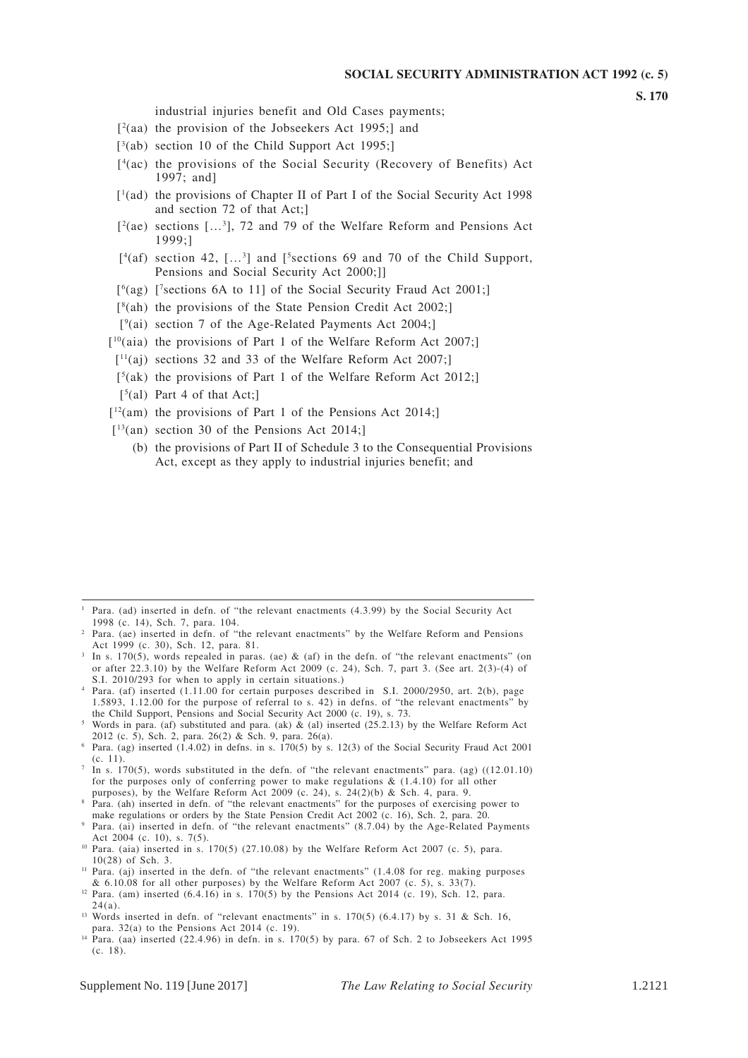**S. 170**

industrial injuries benefit and Old Cases payments;

- [2 (aa) the provision of the Jobseekers Act 1995;] and
- $[3$ (ab) section 10 of the Child Support Act 1995;]
- [4 (ac) the provisions of the Social Security (Recovery of Benefits) Act 1997; and]
- [1 (ad) the provisions of Chapter II of Part I of the Social Security Act 1998 and section 72 of that Act;]
- $[2(ae)$  sections  $[...^3]$ , 72 and 79 of the Welfare Reform and Pensions Act 1999;]
- $[4$ (af) section 42, [...<sup>3</sup>] and [<sup>5</sup> sections 69 and 70 of the Child Support, Pensions and Social Security Act 2000;]]
- $[6$ (ag) [<sup>7</sup>sections 6A to 11] of the Social Security Fraud Act 2001;]
- [<sup>8</sup>(ah) the provisions of the State Pension Credit Act 2002;]
- $[°(ai)$  section 7 of the Age-Related Payments Act 2004;]
- $[10(aia)$  the provisions of Part 1 of the Welfare Reform Act 2007;
- $[11(a)]$  sections 32 and 33 of the Welfare Reform Act 2007;
- $[5(ak)$  the provisions of Part 1 of the Welfare Reform Act 2012;
- $[$ <sup>5</sup>(al) Part 4 of that Act;]
- $[12(am)$  the provisions of Part 1 of the Pensions Act 2014;
- $[13(an)$  section 30 of the Pensions Act 2014;
	- (b) the provisions of Part II of Schedule 3 to the Consequential Provisions Act, except as they apply to industrial injuries benefit; and

- <sup>3</sup> In s. 170(5), words repealed in paras. (ae) & (af) in the defn. of "the relevant enactments" (on or after 22.3.10) by the Welfare Reform Act 2009 (c. 24), Sch. 7, part 3. (See art. 2(3)-(4) of S.I. 2010/293 for when to apply in certain situations.)
- <sup>4</sup> Para. (af) inserted (1.11.00 for certain purposes described in S.I. 2000/2950, art. 2(b), page 1.5893, 1.12.00 for the purpose of referral to s. 42) in defns. of "the relevant enactments" by the Child Support, Pensions and Social Security Act 2000 (c. 19), s. 73.
- <sup>5</sup> Words in para. (af) substituted and para. (ak)  $\&$  (al) inserted (25.2.13) by the Welfare Reform Act 2012 (c. 5), Sch. 2, para. 26(2) & Sch. 9, para. 26(a).
- <sup>6</sup> Para. (ag) inserted  $(1.4.02)$  in defns. in s. 170(5) by s. 12(3) of the Social Security Fraud Act 2001  $(c. 11)$ .
- <sup>7</sup> In s. 170(5), words substituted in the defn. of "the relevant enactments" para. (ag) ((12.01.10) for the purposes only of conferring power to make regulations  $\&$  (1.4.10) for all other purposes), by the Welfare Reform Act 2009 (c. 24), s. 24(2)(b) & Sch. 4, para. 9.
- <sup>8</sup> Para. (ah) inserted in defn. of "the relevant enactments" for the purposes of exercising power to make regulations or orders by the State Pension Credit Act 2002 (c. 16), Sch. 2, para. 20.
- <sup>9</sup> Para. (ai) inserted in defn. of "the relevant enactments" (8.7.04) by the Age-Related Payments Act 2004 (c. 10), s. 7(5).
- <sup>10</sup> Para. (aia) inserted in s. 170(5) (27.10.08) by the Welfare Reform Act 2007 (c. 5), para. 10(28) of Sch. 3.
- <sup>11</sup> Para. (aj) inserted in the defn. of "the relevant enactments" (1.4.08 for reg. making purposes &  $6.10.08$  for all other purposes) by the Welfare Reform Act 2007 (c. 5), s. 33(7).
- <sup>12</sup> Para. (am) inserted  $(6.4.16)$  in s. 170(5) by the Pensions Act 2014 (c. 19), Sch. 12, para.  $24(a)$ .
- <sup>13</sup> Words inserted in defn. of "relevant enactments" in s.  $170(5)$  (6.4.17) by s. 31 & Sch. 16, para. 32(a) to the Pensions Act 2014 (c. 19).
- <sup>14</sup> Para. (aa) inserted (22.4.96) in defn. in s. 170(5) by para. 67 of Sch. 2 to Jobseekers Act 1995 (c. 18).

<sup>&</sup>lt;sup>1</sup> Para. (ad) inserted in defn. of "the relevant enactments (4.3.99) by the Social Security Act 1998 (c. 14), Sch. 7, para. 104.

<sup>2</sup> Para. (ae) inserted in defn. of "the relevant enactments" by the Welfare Reform and Pensions Act 1999 (c. 30), Sch. 12, para. 81.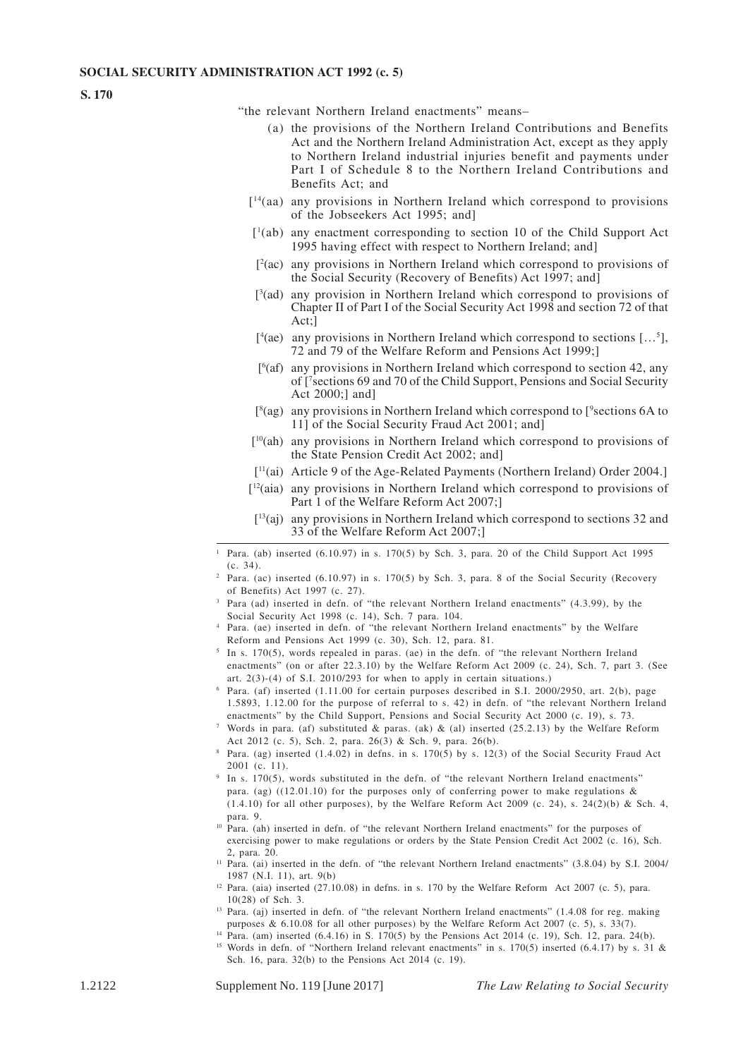**S. 170**

"the relevant Northern Ireland enactments" means–

- (a) the provisions of the Northern Ireland Contributions and Benefits Act and the Northern Ireland Administration Act, except as they apply to Northern Ireland industrial injuries benefit and payments under Part I of Schedule 8 to the Northern Ireland Contributions and Benefits Act; and
- $[14(aa)$  any provisions in Northern Ireland which correspond to provisions of the Jobseekers Act 1995; and]
- [1 (ab) any enactment corresponding to section 10 of the Child Support Act 1995 having effect with respect to Northern Ireland; and]
- [2 (ac) any provisions in Northern Ireland which correspond to provisions of the Social Security (Recovery of Benefits) Act 1997; and]
- [3(ad) any provision in Northern Ireland which correspond to provisions of Chapter II of Part I of the Social Security Act 1998 and section 72 of that Act;]
- [<sup>4</sup>(ae) any provisions in Northern Ireland which correspond to sections [...<sup>5</sup>], 72 and 79 of the Welfare Reform and Pensions Act 1999;]
- [ 6 (af) any provisions in Northern Ireland which correspond to section 42, any of [7 sections 69 and 70 of the Child Support, Pensions and Social Security Act 2000;] and]
- $[{}^8$ (ag) any provisions in Northern Ireland which correspond to  $[{}^9$  sections 6A to 11] of the Social Security Fraud Act 2001; and]
- [10(ah) any provisions in Northern Ireland which correspond to provisions of the State Pension Credit Act 2002; and]
- [ 11(ai) Article 9 of the Age-Related Payments (Northern Ireland) Order 2004.]
- $[12(aia)$  any provisions in Northern Ireland which correspond to provisions of Part 1 of the Welfare Reform Act 2007;
- [ 13(aj) any provisions in Northern Ireland which correspond to sections 32 and 33 of the Welfare Reform Act 2007;]
- <sup>1</sup> Para. (ab) inserted  $(6.10.97)$  in s. 170(5) by Sch. 3, para. 20 of the Child Support Act 1995 (c. 34).
- Para. (ac) inserted (6.10.97) in s. 170(5) by Sch. 3, para. 8 of the Social Security (Recovery of Benefits) Act 1997 (c. 27).
- <sup>3</sup> Para (ad) inserted in defn. of "the relevant Northern Ireland enactments" (4.3.99), by the Social Security Act 1998 (c. 14), Sch. 7 para. 104.
- <sup>4</sup> Para. (ae) inserted in defn. of "the relevant Northern Ireland enactments" by the Welfare Reform and Pensions Act 1999 (c. 30), Sch. 12, para. 81.
- <sup>5</sup> In s. 170(5), words repealed in paras. (ae) in the defn. of "the relevant Northern Ireland enactments" (on or after 22.3.10) by the Welfare Reform Act 2009 (c. 24), Sch. 7, part 3. (See art.  $2(3)-(4)$  of S.I.  $2010/293$  for when to apply in certain situations.)
- $6$  Para. (af) inserted  $(1.11.00$  for certain purposes described in S.I. 2000/2950, art. 2(b), page 1.5893, 1.12.00 for the purpose of referral to s. 42) in defn. of "the relevant Northern Ireland enactments" by the Child Support, Pensions and Social Security Act 2000 (c. 19), s. 73.
- <sup>7</sup> Words in para. (af) substituted & paras. (ak) & (al) inserted (25.2.13) by the Welfare Reform Act 2012 (c. 5), Sch. 2, para. 26(3) & Sch. 9, para. 26(b).
- <sup>8</sup> Para. (ag) inserted  $(1.4.02)$  in defns. in s. 170(5) by s. 12(3) of the Social Security Fraud Act 2001 (c. 11).
- <sup>9</sup> In s. 170(5), words substituted in the defn. of "the relevant Northern Ireland enactments" para. (ag)  $((12.01.10)$  for the purposes only of conferring power to make regulations &  $(1.4.10)$  for all other purposes), by the Welfare Reform Act 2009 (c. 24), s. 24(2)(b) & Sch. 4, para. 9.
- <sup>10</sup> Para. (ah) inserted in defn. of "the relevant Northern Ireland enactments" for the purposes of exercising power to make regulations or orders by the State Pension Credit Act 2002 (c. 16), Sch. 2, para. 20.
- <sup>11</sup> Para. (ai) inserted in the defn. of "the relevant Northern Ireland enactments" (3.8.04) by S.I. 2004/ 1987 (N.I. 11), art. 9(b)
- $12$  Para. (aia) inserted (27.10.08) in defns. in s. 170 by the Welfare Reform Act 2007 (c. 5), para. 10(28) of Sch. 3.
- <sup>13</sup> Para. (aj) inserted in defn. of "the relevant Northern Ireland enactments" (1.4.08 for reg. making purposes &  $6.10.08$  for all other purposes) by the Welfare Reform Act 2007 (c. 5), s. 33(7).
- <sup>14</sup> Para. (am) inserted (6.4.16) in S. 170(5) by the Pensions Act 2014 (c. 19), Sch. 12, para. 24(b). <sup>15</sup> Words in defn. of "Northern Ireland relevant enactments" in s. 170(5) inserted (6.4.17) by s. 31 & Sch. 16, para. 32(b) to the Pensions Act 2014 (c. 19).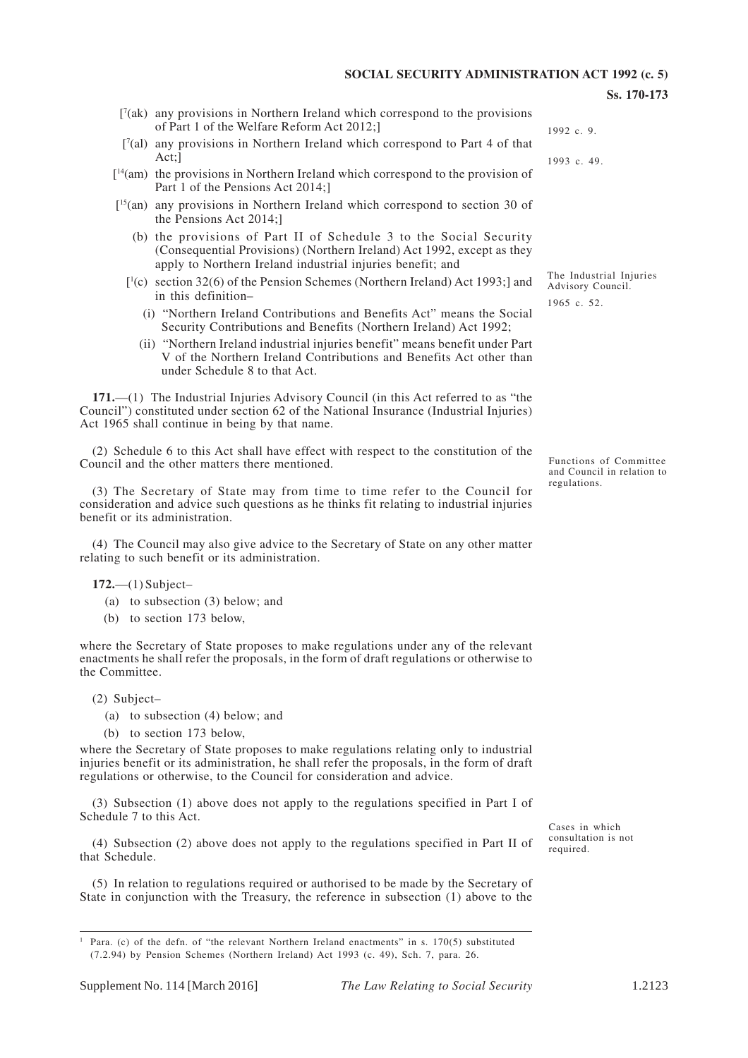#### **Ss. 170-173**

- [ 7 (ak) any provisions in Northern Ireland which correspond to the provisions of Part 1 of the Welfare Reform Act 2012;]
- [7(al) any provisions in Northern Ireland which correspond to Part 4 of that Act;]
- [ 14(am) the provisions in Northern Ireland which correspond to the provision of Part 1 of the Pensions Act 2014;
- [ 15(an) any provisions in Northern Ireland which correspond to section 30 of the Pensions Act 2014;]
	- (b) the provisions of Part II of Schedule 3 to the Social Security (Consequential Provisions) (Northern Ireland) Act 1992, except as they apply to Northern Ireland industrial injuries benefit; and
	- $[{}^{1}(c)$  section 32(6) of the Pension Schemes (Northern Ireland) Act 1993;] and in this definition–
		- (i) "Northern Ireland Contributions and Benefits Act" means the Social Security Contributions and Benefits (Northern Ireland) Act 1992;
		- (ii) "Northern Ireland industrial injuries benefit" means benefit under Part V of the Northern Ireland Contributions and Benefits Act other than under Schedule 8 to that Act.

**171.**—(1) The Industrial Injuries Advisory Council (in this Act referred to as "the Council") constituted under section 62 of the National Insurance (Industrial Injuries) Act 1965 shall continue in being by that name.

(2) Schedule 6 to this Act shall have effect with respect to the constitution of the Council and the other matters there mentioned.

(3) The Secretary of State may from time to time refer to the Council for consideration and advice such questions as he thinks fit relating to industrial injuries benefit or its administration.

(4) The Council may also give advice to the Secretary of State on any other matter relating to such benefit or its administration.

**172.**—(1) Subject–

- (a) to subsection (3) below; and
- (b) to section 173 below,

where the Secretary of State proposes to make regulations under any of the relevant enactments he shall refer the proposals, in the form of draft regulations or otherwise to the Committee.

(2) Subject–

- (a) to subsection (4) below; and
- (b) to section 173 below,

where the Secretary of State proposes to make regulations relating only to industrial injuries benefit or its administration, he shall refer the proposals, in the form of draft regulations or otherwise, to the Council for consideration and advice.

(3) Subsection (1) above does not apply to the regulations specified in Part I of Schedule 7 to this Act.

(4) Subsection (2) above does not apply to the regulations specified in Part II of that Schedule.

(5) In relation to regulations required or authorised to be made by the Secretary of State in conjunction with the Treasury, the reference in subsection (1) above to the

1992 c. 9.

1993 c. 49.

The Industrial Injuries Advisory Council. 1965 c. 52.

Functions of Committee and Council in relation to regulations.

Cases in which consultation is not required.

Para. (c) of the defn. of "the relevant Northern Ireland enactments" in s. 170(5) substituted (7.2.94) by Pension Schemes (Northern Ireland) Act 1993 (c. 49), Sch. 7, para. 26.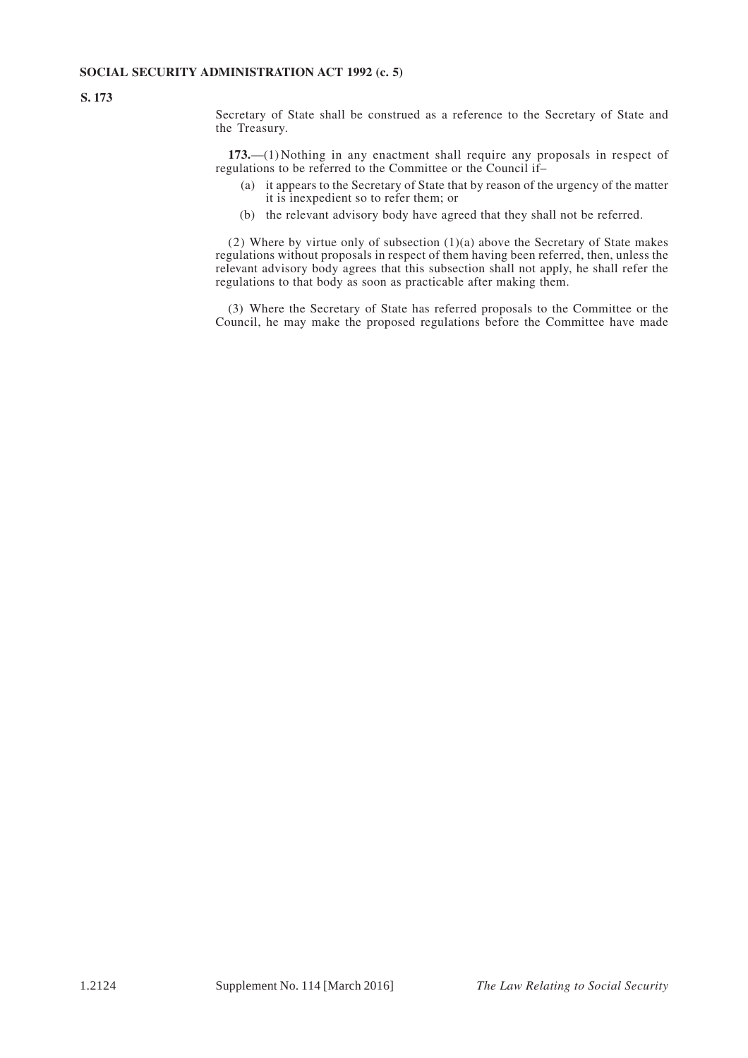**S. 173**

Secretary of State shall be construed as a reference to the Secretary of State and the Treasury.

**173.**—(1) Nothing in any enactment shall require any proposals in respect of regulations to be referred to the Committee or the Council if–

- (a) it appears to the Secretary of State that by reason of the urgency of the matter it is inexpedient so to refer them; or
- (b) the relevant advisory body have agreed that they shall not be referred.

(2) Where by virtue only of subsection (1)(a) above the Secretary of State makes regulations without proposals in respect of them having been referred, then, unless the relevant advisory body agrees that this subsection shall not apply, he shall refer the regulations to that body as soon as practicable after making them.

(3) Where the Secretary of State has referred proposals to the Committee or the Council, he may make the proposed regulations before the Committee have made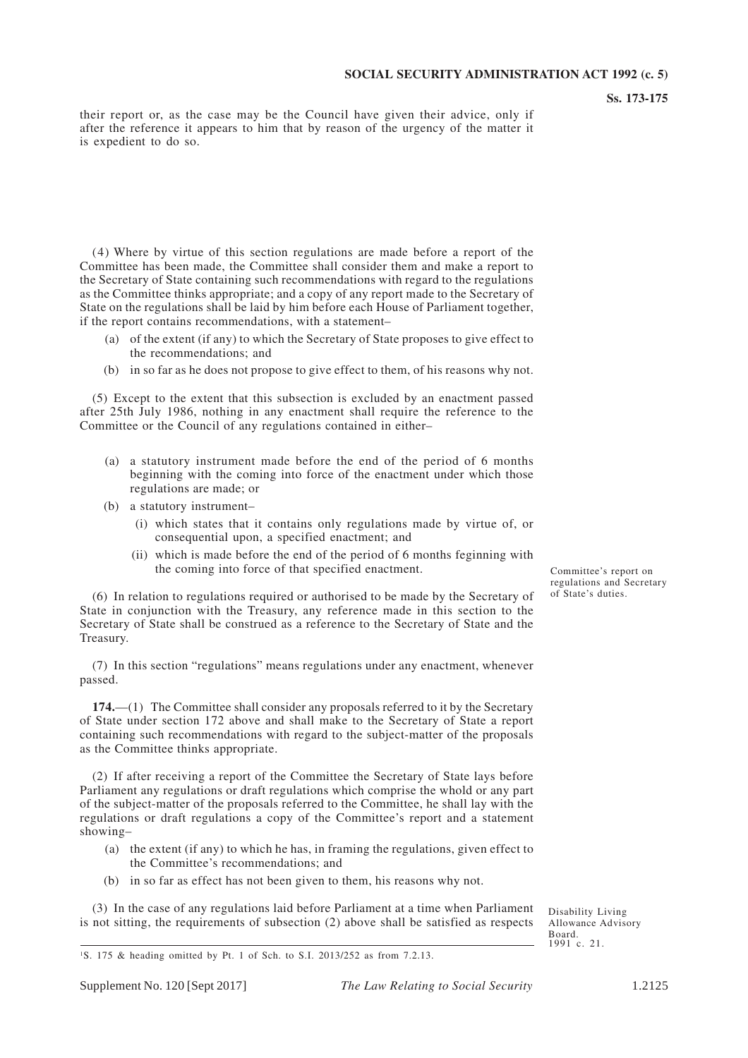**Ss. 173-175**

their report or, as the case may be the Council have given their advice, only if after the reference it appears to him that by reason of the urgency of the matter it is expedient to do so.

(4) Where by virtue of this section regulations are made before a report of the Committee has been made, the Committee shall consider them and make a report to the Secretary of State containing such recommendations with regard to the regulations as the Committee thinks appropriate; and a copy of any report made to the Secretary of State on the regulations shall be laid by him before each House of Parliament together, if the report contains recommendations, with a statement–

- (a) of the extent (if any) to which the Secretary of State proposes to give effect to the recommendations; and
- (b) in so far as he does not propose to give effect to them, of his reasons why not.

(5) Except to the extent that this subsection is excluded by an enactment passed after 25th July 1986, nothing in any enactment shall require the reference to the Committee or the Council of any regulations contained in either–

- (a) a statutory instrument made before the end of the period of 6 months beginning with the coming into force of the enactment under which those regulations are made; or
- (b) a statutory instrument–
	- (i) which states that it contains only regulations made by virtue of, or consequential upon, a specified enactment; and
	- (ii) which is made before the end of the period of 6 months feginning with the coming into force of that specified enactment.

(6) In relation to regulations required or authorised to be made by the Secretary of State in conjunction with the Treasury, any reference made in this section to the Secretary of State shall be construed as a reference to the Secretary of State and the Treasury.

(7) In this section "regulations" means regulations under any enactment, whenever passed.

**174.**—(1) The Committee shall consider any proposals referred to it by the Secretary of State under section 172 above and shall make to the Secretary of State a report containing such recommendations with regard to the subject-matter of the proposals as the Committee thinks appropriate.

(2) If after receiving a report of the Committee the Secretary of State lays before Parliament any regulations or draft regulations which comprise the whold or any part of the subject-matter of the proposals referred to the Committee, he shall lay with the regulations or draft regulations a copy of the Committee's report and a statement showing–

- (a) the extent (if any) to which he has, in framing the regulations, given effect to the Committee's recommendations; and
- (b) in so far as effect has not been given to them, his reasons why not.

(3) In the case of any regulations laid before Parliament at a time when Parliament is not sitting, the requirements of subsection (2) above shall be satisfied as respects

Committee's report on regulations and Secretary of State's duties.

Disability Living Allowance Advisory Board. 1991 c. 21

<sup>&</sup>lt;sup>1</sup>S. 175 & heading omitted by Pt. 1 of Sch. to S.I. 2013/252 as from 7.2.13.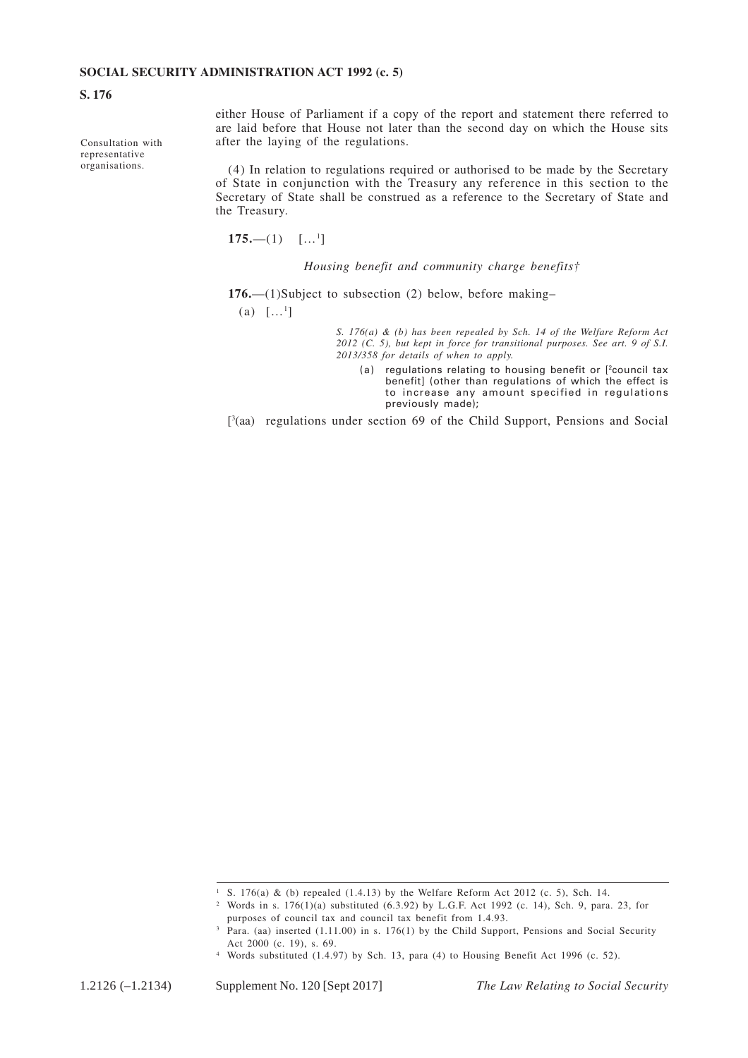#### **S. 176**

Consultation with representative organisations.

either House of Parliament if a copy of the report and statement there referred to are laid before that House not later than the second day on which the House sits after the laying of the regulations.

(4) In relation to regulations required or authorised to be made by the Secretary of State in conjunction with the Treasury any reference in this section to the Secretary of State shall be construed as a reference to the Secretary of State and the Treasury.

**175.**—(1) […1 ]

*Housing benefit and community charge benefits†*

**176.**—(1)Subject to subsection (2) below, before making–

 $(a)$   $[...^1]$ 

*S. 176(a) & (b) has been repealed by Sch. 14 of the Welfare Reform Act 2012 (C. 5), but kept in force for transitional purposes. See art. 9 of S.I. 2013/358 for details of when to apply.*

(a) regulations relating to housing benefit or  $[2$  council tax benefit] (other than regulations of which the effect is to increase any amount specified in regulations previously made);

[3 (aa) regulations under section 69 of the Child Support, Pensions and Social

<sup>&</sup>lt;sup>1</sup> S. 176(a) & (b) repealed  $(1.4.13)$  by the Welfare Reform Act 2012 (c. 5), Sch. 14.

<sup>2</sup> Words in s. 176(1)(a) substituted (6.3.92) by L.G.F. Act 1992 (c. 14), Sch. 9, para. 23, for purposes of council tax and council tax benefit from 1.4.93.

Para. (aa) inserted (1.11.00) in s. 176(1) by the Child Support, Pensions and Social Security Act 2000 (c. 19), s. 69.

<sup>4</sup> Words substituted (1.4.97) by Sch. 13, para (4) to Housing Benefit Act 1996 (c. 52).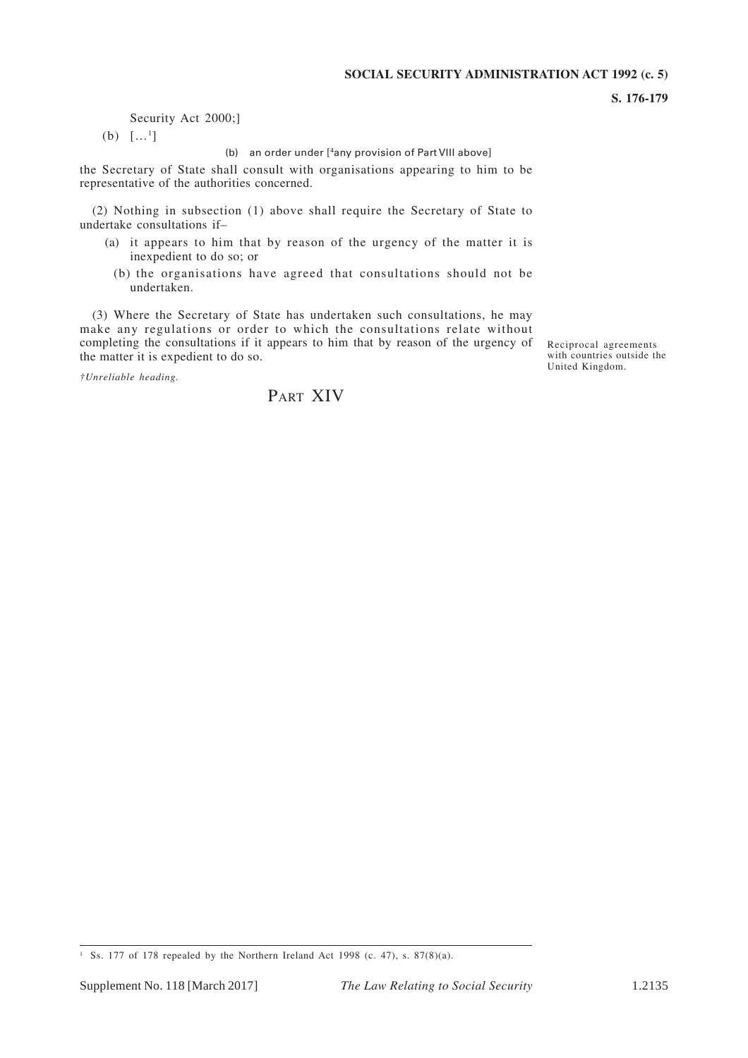### **S. 176-179**

Security Act 2000;]

(b)  $[...]$ 

(b) an order under [4any provision of Part VIII above]

the Secretary of State shall consult with organisations appearing to him to be representative of the authorities concerned.

(2) Nothing in subsection (1) above shall require the Secretary of State to undertake consultations if–

- (a) it appears to him that by reason of the urgency of the matter it is inexpedient to do so; or
	- (b) the organisations have agreed that consultations should not be undertaken.

(3) Where the Secretary of State has undertaken such consultations, he may make any regulations or order to which the consultations relate without completing the consultations if it appears to him that by reason of the urgency of the matter it is expedient to do so.

*†Unreliable heading.*

# PART XIV

Reciprocal agreements with countries outside the United Kingdom.

<sup>&</sup>lt;sup>1</sup> Ss. 177 of 178 repealed by the Northern Ireland Act 1998 (c. 47), s.  $87(8)(a)$ .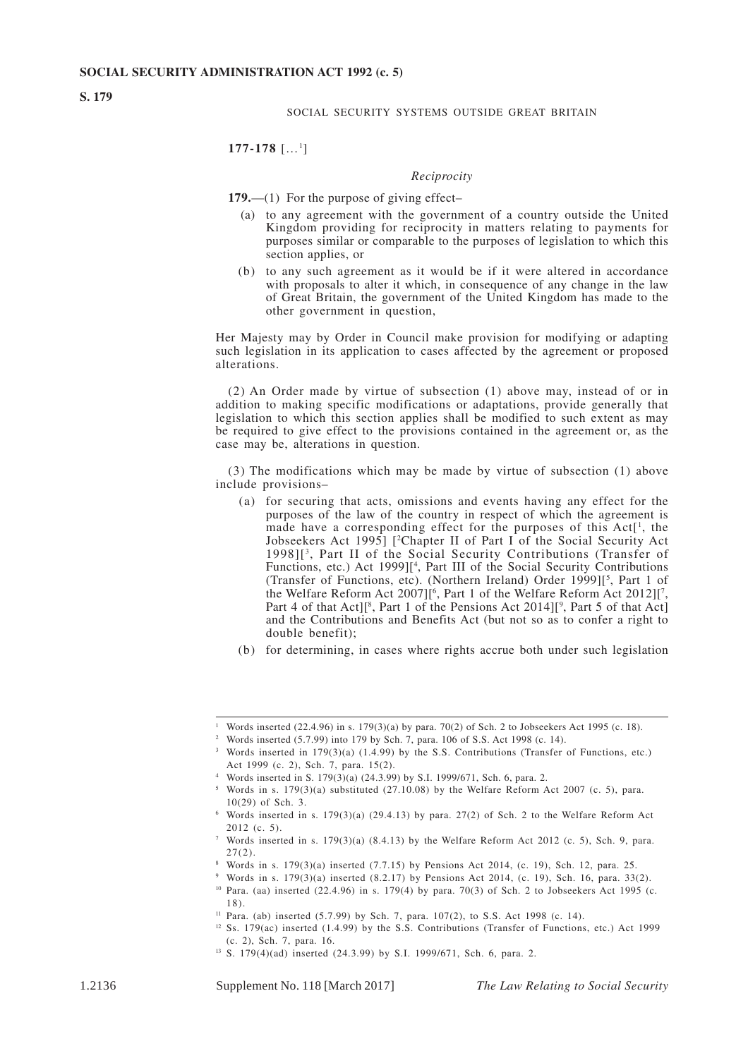#### SOCIAL SECURITY SYSTEMS OUTSIDE GREAT BRITAIN

**177-178** […1]

## *Reciprocity*

**179.**—(1) For the purpose of giving effect–

- (a) to any agreement with the government of a country outside the United Kingdom providing for reciprocity in matters relating to payments for purposes similar or comparable to the purposes of legislation to which this section applies, or
- (b) to any such agreement as it would be if it were altered in accordance with proposals to alter it which, in consequence of any change in the law of Great Britain, the government of the United Kingdom has made to the other government in question,

Her Majesty may by Order in Council make provision for modifying or adapting such legislation in its application to cases affected by the agreement or proposed alterations.

(2) An Order made by virtue of subsection (1) above may, instead of or in addition to making specific modifications or adaptations, provide generally that legislation to which this section applies shall be modified to such extent as may be required to give effect to the provisions contained in the agreement or, as the case may be, alterations in question.

(3) The modifications which may be made by virtue of subsection (1) above include provisions–

- (a) for securing that acts, omissions and events having any effect for the purposes of the law of the country in respect of which the agreement is made have a corresponding effect for the purposes of this Act[<sup>1</sup>, the Jobseekers Act 1995] [<sup>2</sup>Chapter II of Part I of the Social Security Act 1998][3, Part II of the Social Security Contributions (Transfer of Functions, etc.) Act 1999][<sup>4</sup>, Part III of the Social Security Contributions (Transfer of Functions, etc). (Northern Ireland) Order 1999][5 , Part 1 of the Welfare Reform Act  $2007$ <sup>[6</sup>, Part 1 of the Welfare Reform Act  $2012$ ]<sup>[7</sup>, Part 4 of that  $Act[]^8$ , Part 1 of the Pensions Act 2014][<sup>9</sup>, Part 5 of that Act] and the Contributions and Benefits Act (but not so as to confer a right to double benefit);
- (b) for determining, in cases where rights accrue both under such legislation

- <sup>8</sup> Words in s. 179(3)(a) inserted (7.7.15) by Pensions Act 2014, (c. 19), Sch. 12, para. 25.
- <sup>9</sup> Words in s. 179(3)(a) inserted (8.2.17) by Pensions Act 2014, (c. 19), Sch. 16, para. 33(2). <sup>10</sup> Para. (aa) inserted (22.4.96) in s. 179(4) by para. 70(3) of Sch. 2 to Jobseekers Act 1995 (c.
- 18).
- <sup>11</sup> Para. (ab) inserted (5.7.99) by Sch. 7, para. 107(2), to S.S. Act 1998 (c. 14).
- <sup>12</sup> Ss. 179(ac) inserted (1.4.99) by the S.S. Contributions (Transfer of Functions, etc.) Act 1999 (c. 2), Sch. 7, para. 16.
- <sup>13</sup> S. 179(4)(ad) inserted (24.3.99) by S.I. 1999/671, Sch. 6, para. 2.

Words inserted (22.4.96) in s. 179(3)(a) by para. 70(2) of Sch. 2 to Jobseekers Act 1995 (c. 18).

<sup>2</sup> Words inserted (5.7.99) into 179 by Sch. 7, para. 106 of S.S. Act 1998 (c. 14).

<sup>&</sup>lt;sup>3</sup> Words inserted in  $179(3)(a)$  (1.4.99) by the S.S. Contributions (Transfer of Functions, etc.) Act 1999 (c. 2), Sch. 7, para. 15(2).

<sup>&</sup>lt;sup>4</sup> Words inserted in S. 179(3)(a) (24.3.99) by S.I. 1999/671, Sch. 6, para. 2.

<sup>&</sup>lt;sup>5</sup> Words in s. 179(3)(a) substituted (27.10.08) by the Welfare Reform Act 2007 (c. 5), para. 10(29) of Sch. 3.

<sup>&</sup>lt;sup>6</sup> Words inserted in s. 179(3)(a) (29.4.13) by para. 27(2) of Sch. 2 to the Welfare Reform Act 2012 (c. 5).

Words inserted in s.  $179(3)(a)$   $(8.4.13)$  by the Welfare Reform Act 2012 (c. 5), Sch. 9, para. 27(2).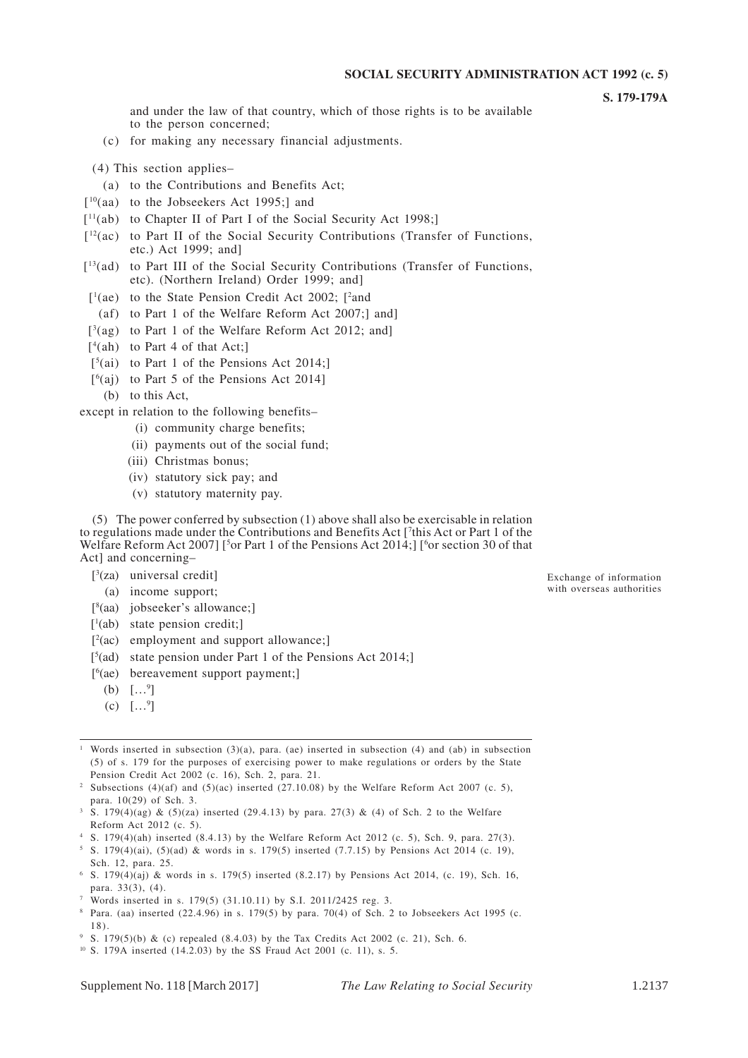**S. 179-179A**

and under the law of that country, which of those rights is to be available to the person concerned;

(c) for making any necessary financial adjustments.

(4) This section applies–

- (a) to the Contributions and Benefits Act;
- $[10(aa)$  to the Jobseekers Act 1995;] and
- $[11(ab)$  to Chapter II of Part I of the Social Security Act 1998;
- $[12(ac)$  to Part II of the Social Security Contributions (Transfer of Functions, etc.) Act 1999; and]
- [<sup>13</sup>(ad) to Part III of the Social Security Contributions (Transfer of Functions, etc). (Northern Ireland) Order 1999; and]
- $[{}^{1}(ae)$  to the State Pension Credit Act 2002;  $[{}^{2}$ and
- (af) to Part 1 of the Welfare Reform Act 2007;] and]
- [3 (ag) to Part 1 of the Welfare Reform Act 2012; and]
- $[4$ (ah) to Part 4 of that Act;]
- $[5(a)$  to Part 1 of the Pensions Act 2014;
- $[6(a<sub>j</sub>)$  to Part 5 of the Pensions Act 2014]
- (b) to this Act,

except in relation to the following benefits–

- (i) community charge benefits;
- (ii) payments out of the social fund;
- (iii) Christmas bonus;
- (iv) statutory sick pay; and
- (v) statutory maternity pay.

(5) The power conferred by subsection (1) above shall also be exercisable in relation to regulations made under the Contributions and Benefits Act [7 this Act or Part 1 of the Welfare Reform Act 2007] [<sup>5</sup>or Part 1 of the Pensions Act 2014;] [<sup>6</sup>or section 30 of that Act] and concerning–

- [<sup>3</sup>(za) universal credit]
- (a) income support;
- [<sup>8</sup>(aa) jobseeker's allowance;]
- [<sup>1</sup>(ab) state pension credit;]
- [2 (ac) employment and support allowance;]
- [<sup>5</sup>(ad) state pension under Part 1 of the Pensions Act 2014;]
- [6 (ae) bereavement support payment;]
	- (b)  $[...^9]$
	- $(c)$   $[...^9]$
- <sup>1</sup> Words inserted in subsection (3)(a), para. (ae) inserted in subsection (4) and (ab) in subsection (5) of s. 179 for the purposes of exercising power to make regulations or orders by the State Pension Credit Act 2002 (c. 16), Sch. 2, para. 21.
- <sup>2</sup> Subsections (4)(af) and (5)(ac) inserted (27.10.08) by the Welfare Reform Act 2007 (c. 5), para. 10(29) of Sch. 3.
- <sup>3</sup> S. 179(4)(ag) & (5)(za) inserted (29.4.13) by para. 27(3) & (4) of Sch. 2 to the Welfare Reform Act 2012 (c. 5).
- <sup>4</sup> S. 179(4)(ah) inserted (8.4.13) by the Welfare Reform Act 2012 (c. 5), Sch. 9, para. 27(3).
- <sup>5</sup> S. 179(4)(ai), (5)(ad) & words in s. 179(5) inserted (7.7.15) by Pensions Act 2014 (c. 19), Sch. 12, para. 25.
- <sup>6</sup> S. 179(4)(aj) & words in s. 179(5) inserted (8.2.17) by Pensions Act 2014, (c. 19), Sch. 16, para. 33(3), (4).
- <sup>7</sup> Words inserted in s. 179(5) (31.10.11) by S.I. 2011/2425 reg. 3.
- $8$  Para. (aa) inserted (22.4.96) in s. 179(5) by para. 70(4) of Sch. 2 to Jobseekers Act 1995 (c. 18).
- S. 179(5)(b) & (c) repealed (8.4.03) by the Tax Credits Act 2002 (c. 21), Sch. 6.
- <sup>10</sup> S. 179A inserted (14.2.03) by the SS Fraud Act 2001 (c. 11), s. 5.

Exchange of information with overseas authorities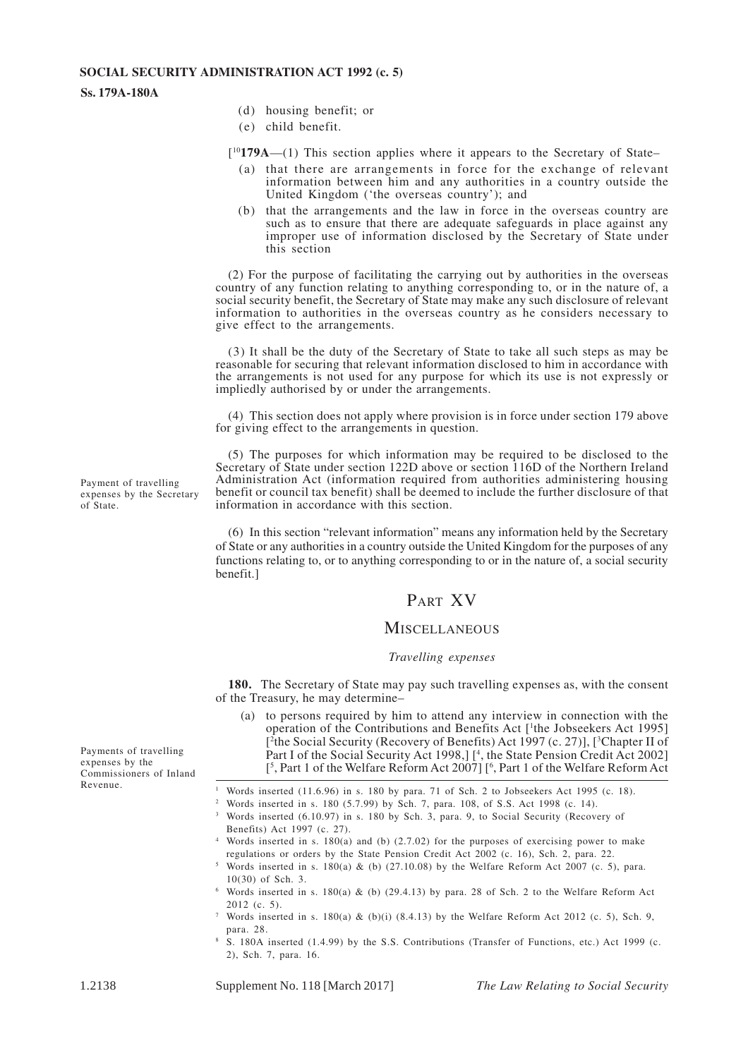**Ss. 179A-180A**

- (d) housing benefit; or
- (e) child benefit.
- $[10179A (1)$  This section applies where it appears to the Secretary of State–
	- (a) that there are arrangements in force for the exchange of relevant information between him and any authorities in a country outside the United Kingdom ('the overseas country'); and
	- (b) that the arrangements and the law in force in the overseas country are such as to ensure that there are adequate safeguards in place against any improper use of information disclosed by the Secretary of State under this section

(2) For the purpose of facilitating the carrying out by authorities in the overseas country of any function relating to anything corresponding to, or in the nature of, a social security benefit, the Secretary of State may make any such disclosure of relevant information to authorities in the overseas country as he considers necessary to give effect to the arrangements.

(3) It shall be the duty of the Secretary of State to take all such steps as may be reasonable for securing that relevant information disclosed to him in accordance with the arrangements is not used for any purpose for which its use is not expressly or impliedly authorised by or under the arrangements.

(4) This section does not apply where provision is in force under section 179 above for giving effect to the arrangements in question.

(5) The purposes for which information may be required to be disclosed to the Secretary of State under section 122D above or section 116D of the Northern Ireland Administration Act (information required from authorities administering housing benefit or council tax benefit) shall be deemed to include the further disclosure of that information in accordance with this section.

(6) In this section "relevant information" means any information held by the Secretary of State or any authorities in a country outside the United Kingdom for the purposes of any functions relating to, or to anything corresponding to or in the nature of, a social security benefit.]

# PART XV

## **MISCELLANEOUS**

### *Travelling expenses*

**180.** The Secretary of State may pay such travelling expenses as, with the consent of the Treasury, he may determine–

- (a) to persons required by him to attend any interview in connection with the operation of the Contributions and Benefits Act [<sup>1</sup>the Jobseekers Act 1995] [<sup>2</sup>the Social Security (Recovery of Benefits) Act 1997 (c. 27)], [<sup>3</sup>Chapter II of Part I of the Social Security Act 1998,] [<sup>4</sup>, the State Pension Credit Act 2002] [<sup>5</sup>, Part 1 of the Welfare Reform Act 2007] [<sup>6</sup>, Part 1 of the Welfare Reform Act
- Words inserted (11.6.96) in s. 180 by para. 71 of Sch. 2 to Jobseekers Act 1995 (c. 18).
- <sup>2</sup> Words inserted in s. 180 (5.7.99) by Sch. 7, para. 108, of S.S. Act 1998 (c. 14).
- Words inserted (6.10.97) in s. 180 by Sch. 3, para. 9, to Social Security (Recovery of Benefits) Act 1997 (c. 27).
- Words inserted in s.  $180(a)$  and (b)  $(2.7.02)$  for the purposes of exercising power to make regulations or orders by the State Pension Credit Act 2002 (c. 16), Sch. 2, para. 22.
- <sup>5</sup> Words inserted in s.  $180(a)$  & (b) (27.10.08) by the Welfare Reform Act 2007 (c. 5), para. 10(30) of Sch. 3.
- <sup>6</sup> Words inserted in s. 180(a) & (b) (29.4.13) by para. 28 of Sch. 2 to the Welfare Reform Act 2012 (c. 5).

Words inserted in s. 180(a) & (b)(i) (8.4.13) by the Welfare Reform Act 2012 (c. 5), Sch. 9, para. 28.

<sup>8</sup> S. 180A inserted (1.4.99) by the S.S. Contributions (Transfer of Functions, etc.) Act 1999 (c. 2), Sch. 7, para. 16.

Payments of travelling expenses by the Commissioners of Inland

Revenue.

Payment of travelling expenses by the Secretary

of State.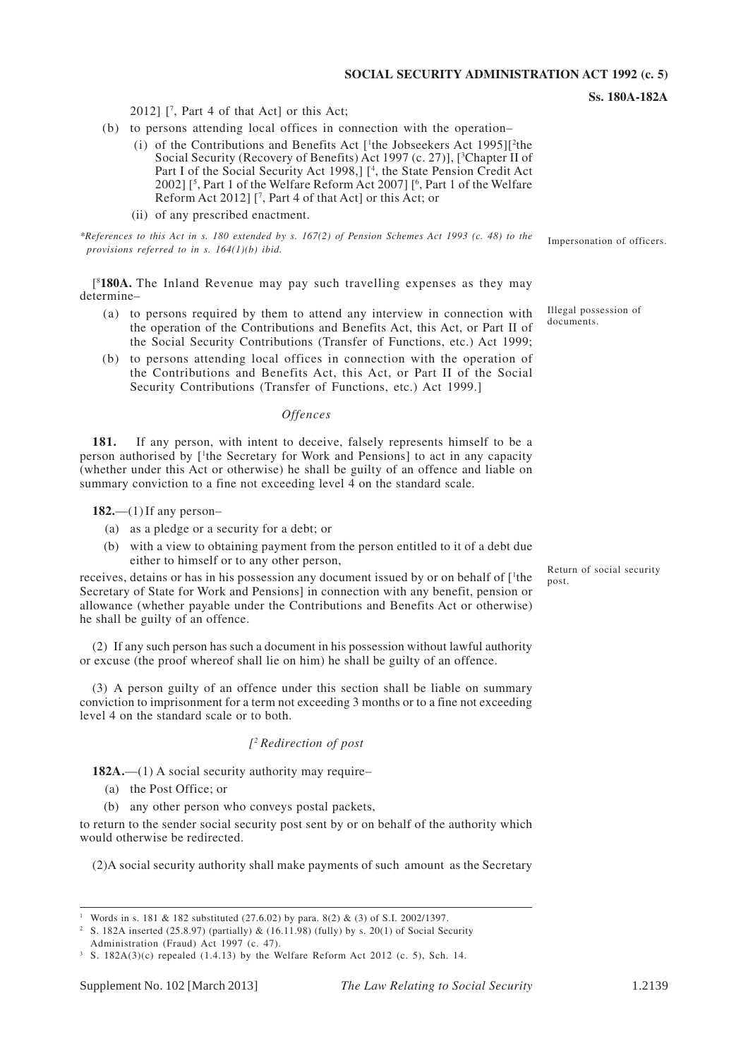### **Ss. 180A-182A**

2012] [7 , Part 4 of that Act] or this Act;

- (b) to persons attending local offices in connection with the operation–
	- (i) of the Contributions and Benefits Act [ ${}^1$ the Jobseekers Act 1995][ ${}^2$ the Social Security (Recovery of Benefits) Act 1997 (c. 27)], [<sup>3</sup>Chapter II of Part I of the Social Security Act 1998,] [<sup>4</sup>, the State Pension Credit Act  $2002$ ] [<sup>5</sup>, Part 1 of the Welfare Reform Act  $2007$ ] [<sup>6</sup>, Part 1 of the Welfare Reform Act 2012] [7 , Part 4 of that Act] or this Act; or
	- (ii) of any prescribed enactment.

*\*References to this Act in s. 180 extended by s. 167(2) of Pension Schemes Act 1993 (c. 48) to the provisions referred to in s. 164(1)(b) ibid.*

[<sup>8</sup>180A. The Inland Revenue may pay such travelling expenses as they may determine–

- (a) to persons required by them to attend any interview in connection with the operation of the Contributions and Benefits Act, this Act, or Part II of the Social Security Contributions (Transfer of Functions, etc.) Act 1999;
- (b) to persons attending local offices in connection with the operation of the Contributions and Benefits Act, this Act, or Part II of the Social Security Contributions (Transfer of Functions, etc.) Act 1999.]

### *Offences*

**181.** If any person, with intent to deceive, falsely represents himself to be a person authorised by [<sup>1</sup>the Secretary for Work and Pensions] to act in any capacity (whether under this Act or otherwise) he shall be guilty of an offence and liable on summary conviction to a fine not exceeding level 4 on the standard scale.

**182.**—(1) If any person–

- (a) as a pledge or a security for a debt; or
- (b) with a view to obtaining payment from the person entitled to it of a debt due either to himself or to any other person,

receives, detains or has in his possession any document issued by or on behalf of [<sup>1</sup>the Secretary of State for Work and Pensions] in connection with any benefit, pension or allowance (whether payable under the Contributions and Benefits Act or otherwise) he shall be guilty of an offence.

(2) If any such person has such a document in his possession without lawful authority or excuse (the proof whereof shall lie on him) he shall be guilty of an offence.

(3) A person guilty of an offence under this section shall be liable on summary conviction to imprisonment for a term not exceeding 3 months or to a fine not exceeding level 4 on the standard scale or to both.

#### *[2 Redirection of post*

182A.—(1) A social security authority may require–

(a) the Post Office; or

(b) any other person who conveys postal packets,

to return to the sender social security post sent by or on behalf of the authority which would otherwise be redirected.

(2)A social security authority shall make payments of such amount as the Secretary

Illegal possession of documents.

Impersonation of officers.

Return of social security post.

<sup>&</sup>lt;sup>1</sup> Words in s. 181 & 182 substituted (27.6.02) by para. 8(2) & (3) of S.I. 2002/1397.

<sup>&</sup>lt;sup>2</sup> S. 182A inserted (25.8.97) (partially) & (16.11.98) (fully) by s. 20(1) of Social Security Administration (Fraud) Act 1997 (c. 47).

<sup>&</sup>lt;sup>3</sup> S. 182A(3)(c) repealed (1.4.13) by the Welfare Reform Act 2012 (c. 5), Sch. 14.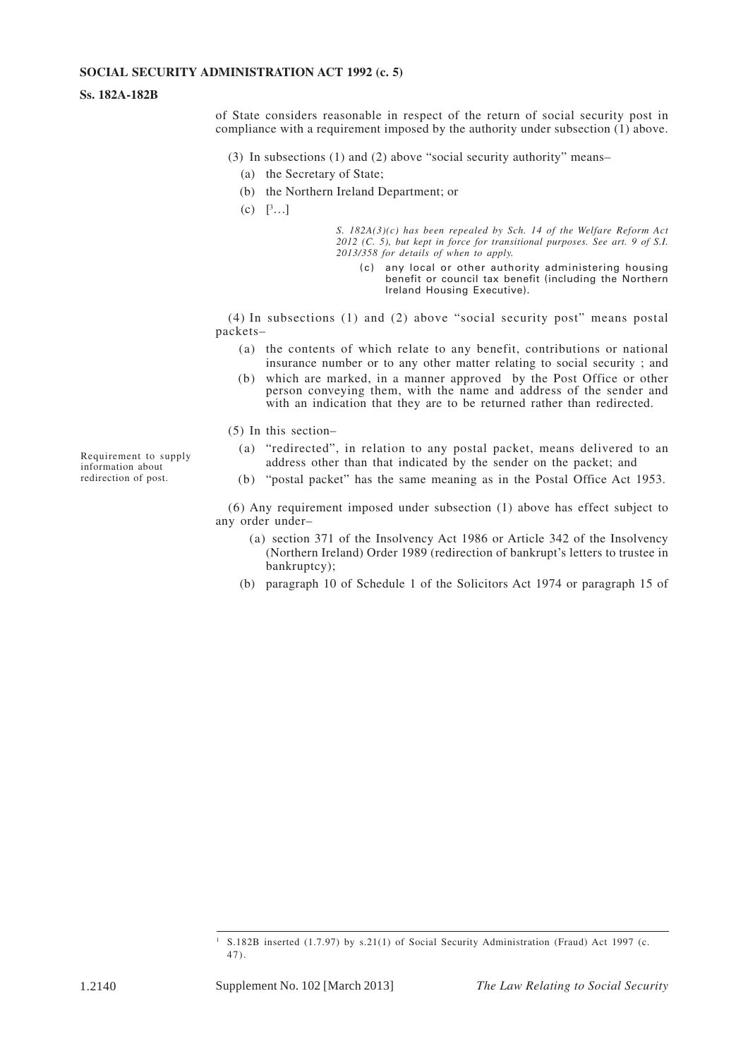## **Ss. 182A-182B**

of State considers reasonable in respect of the return of social security post in compliance with a requirement imposed by the authority under subsection (1) above.

- (3) In subsections (1) and (2) above "social security authority" means–
	- (a) the Secretary of State;
	- (b) the Northern Ireland Department; or
	- $(c)$   $[3...]$

*S. 182A(3)(c) has been repealed by Sch. 14 of the Welfare Reform Act 2012 (C. 5), but kept in force for transitional purposes. See art. 9 of S.I. 2013/358 for details of when to apply.*

(c) any local or other authority administering housing benefit or council tax benefit (including the Northern Ireland Housing Executive).

(4) In subsections (1) and (2) above "social security post" means postal packets–

- (a) the contents of which relate to any benefit, contributions or national insurance number or to any other matter relating to social security ; and
- (b) which are marked, in a manner approved by the Post Office or other person conveying them, with the name and address of the sender and with an indication that they are to be returned rather than redirected.

(5) In this section–

- (a) "redirected", in relation to any postal packet, means delivered to an address other than that indicated by the sender on the packet; and
- (b) "postal packet" has the same meaning as in the Postal Office Act 1953.

(6) Any requirement imposed under subsection (1) above has effect subject to any order under–

- (a) section 371 of the Insolvency Act 1986 or Article 342 of the Insolvency (Northern Ireland) Order 1989 (redirection of bankrupt's letters to trustee in bankruptcy);
- (b) paragraph 10 of Schedule 1 of the Solicitors Act 1974 or paragraph 15 of

Requirement to supply information about redirection of post.

<sup>1</sup> S.182B inserted (1.7.97) by s.21(1) of Social Security Administration (Fraud) Act 1997 (c. 47).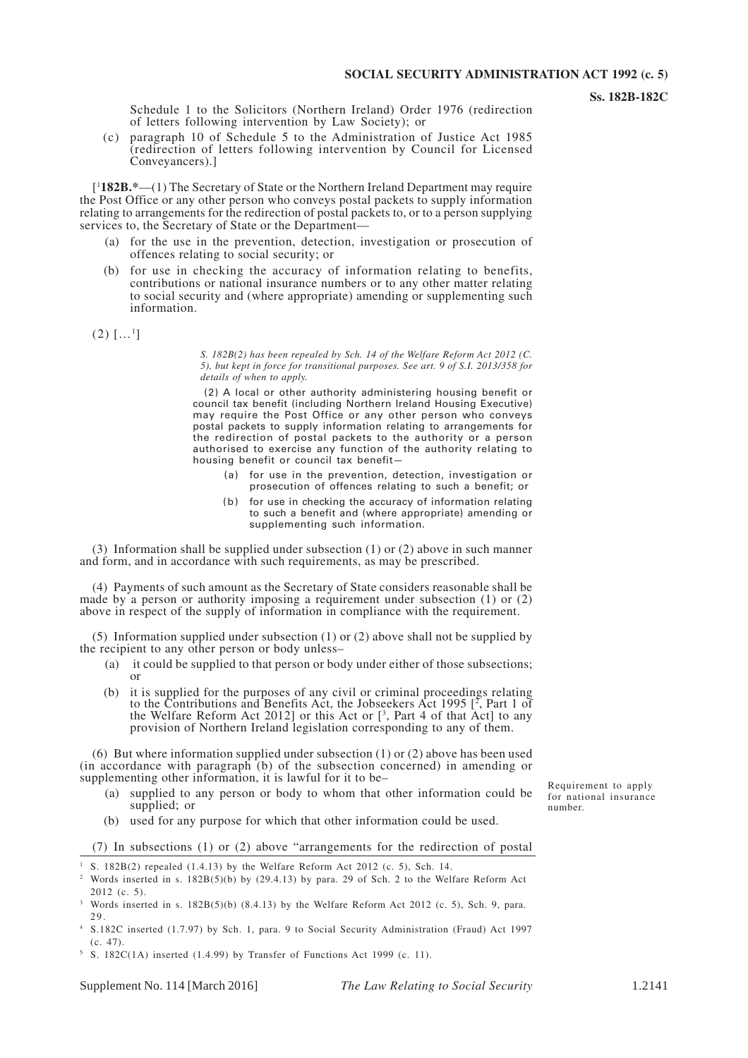**Ss. 182B-182C**

Schedule 1 to the Solicitors (Northern Ireland) Order 1976 (redirection of letters following intervention by Law Society); or

(c) paragraph 10 of Schedule 5 to the Administration of Justice Act 1985 (redirection of letters following intervention by Council for Licensed Conveyancers).]

[1 **182B.\***—(1) The Secretary of State or the Northern Ireland Department may require the Post Office or any other person who conveys postal packets to supply information relating to arrangements for the redirection of postal packets to, or to a person supplying services to, the Secretary of State or the Department-

- (a) for the use in the prevention, detection, investigation or prosecution of offences relating to social security; or
- (b) for use in checking the accuracy of information relating to benefits, contributions or national insurance numbers or to any other matter relating to social security and (where appropriate) amending or supplementing such information.

 $(2)$   $[...^1]$ 

*S. 182B(2) has been repealed by Sch. 14 of the Welfare Reform Act 2012 (C. 5), but kept in force for transitional purposes. See art. 9 of S.I. 2013/358 for details of when to apply.*

(2) A local or other authority administering housing benefit or council tax benefit (including Northern Ireland Housing Executive) may require the Post Office or any other person who conveys postal packets to supply information relating to arrangements for the redirection of postal packets to the authority or a person authorised to exercise any function of the authority relating to housing benefit or council tax benefit-

- (a) for use in the prevention, detection, investigation or prosecution of offences relating to such a benefit; or
- (b) for use in checking the accuracy of information relating to such a benefit and (where appropriate) amending or supplementing such information.

(3) Information shall be supplied under subsection (1) or (2) above in such manner and form, and in accordance with such requirements, as may be prescribed.

(4) Payments of such amount as the Secretary of State considers reasonable shall be made by a person or authority imposing a requirement under subsection (1) or (2) above in respect of the supply of information in compliance with the requirement.

(5) Information supplied under subsection (1) or (2) above shall not be supplied by the recipient to any other person or body unless–

- (a) it could be supplied to that person or body under either of those subsections; or
- (b) it is supplied for the purposes of any civil or criminal proceedings relating to the Contributions and Benefits Act, the Jobseekers Act 1995  $\lbrack \cdot \rbrack$ , Part 1 of the Welfare Reform Act 2012] or this Act or  $[^3$ , Part 4 of that Act] to any provision of Northern Ireland legislation corresponding to any of them.

(6) But where information supplied under subsection (1) or (2) above has been used (in accordance with paragraph (b) of the subsection concerned) in amending or supplementing other information, it is lawful for it to be–

(a) supplied to any person or body to whom that other information could be supplied; or

Requirement to apply for national insurance number.

(b) used for any purpose for which that other information could be used.

(7) In subsections (1) or (2) above "arrangements for the redirection of postal

<sup>1</sup> S. 182B(2) repealed (1.4.13) by the Welfare Reform Act 2012 (c. 5), Sch. 14.

Words inserted in s.  $182B(5)(b)$  by (29.4.13) by para. 29 of Sch. 2 to the Welfare Reform Act 2012 (c. 5).

Words inserted in s.  $182B(5)(b)$  (8.4.13) by the Welfare Reform Act 2012 (c. 5), Sch. 9, para. 29.

<sup>4</sup> S.182C inserted (1.7.97) by Sch. 1, para. 9 to Social Security Administration (Fraud) Act 1997 (c. 47).

<sup>&</sup>lt;sup>5</sup> S. 182C(1A) inserted (1.4.99) by Transfer of Functions Act 1999 (c. 11).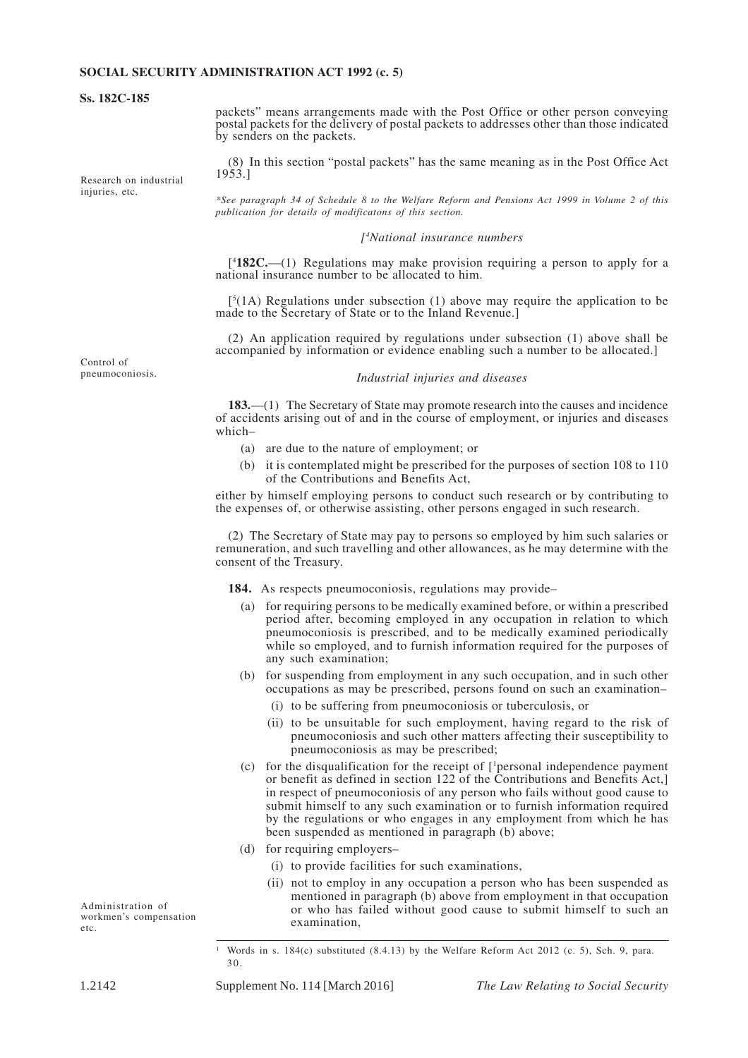#### **Ss. 182C-185**

packets" means arrangements made with the Post Office or other person conveying postal packets for the delivery of postal packets to addresses other than those indicated by senders on the packets.

(8) In this section "postal packets" has the same meaning as in the Post Office Act 1953.]

Research on industrial injuries, etc.

*\*See paragraph 34 of Schedule 8 to the Welfare Reform and Pensions Act 1999 in Volume 2 of this publication for details of modificatons of this section.*

#### *[4 National insurance numbers*

[4 **182C.**—(1) Regulations may make provision requiring a person to apply for a national insurance number to be allocated to him.

[<sup>5</sup>(1A) Regulations under subsection (1) above may require the application to be made to the Secretary of State or to the Inland Revenue.]

(2) An application required by regulations under subsection (1) above shall be accompanied by information or evidence enabling such a number to be allocated.]

## *Industrial injuries and diseases*

**183.**—(1) The Secretary of State may promote research into the causes and incidence of accidents arising out of and in the course of employment, or injuries and diseases which–

- (a) are due to the nature of employment; or
- (b) it is contemplated might be prescribed for the purposes of section 108 to 110 of the Contributions and Benefits Act,

either by himself employing persons to conduct such research or by contributing to the expenses of, or otherwise assisting, other persons engaged in such research.

(2) The Secretary of State may pay to persons so employed by him such salaries or remuneration, and such travelling and other allowances, as he may determine with the consent of the Treasury.

**184.** As respects pneumoconiosis, regulations may provide–

- (a) for requiring persons to be medically examined before, or within a prescribed period after, becoming employed in any occupation in relation to which pneumoconiosis is prescribed, and to be medically examined periodically while so employed, and to furnish information required for the purposes of any such examination;
- (b) for suspending from employment in any such occupation, and in such other occupations as may be prescribed, persons found on such an examination–
	- (i) to be suffering from pneumoconiosis or tuberculosis, or
	- (ii) to be unsuitable for such employment, having regard to the risk of pneumoconiosis and such other matters affecting their susceptibility to pneumoconiosis as may be prescribed;
- (c) for the disqualification for the receipt of [1 personal independence payment or benefit as defined in section 122 of the Contributions and Benefits Act,] in respect of pneumoconiosis of any person who fails without good cause to submit himself to any such examination or to furnish information required by the regulations or who engages in any employment from which he has been suspended as mentioned in paragraph (b) above;
- (d) for requiring employers–
	- (i) to provide facilities for such examinations,
	- (ii) not to employ in any occupation a person who has been suspended as mentioned in paragraph (b) above from employment in that occupation or who has failed without good cause to submit himself to such an examination,

Control of pneumoconiosis.

Words in s. 184(c) substituted (8.4.13) by the Welfare Reform Act 2012 (c. 5), Sch. 9, para. 30.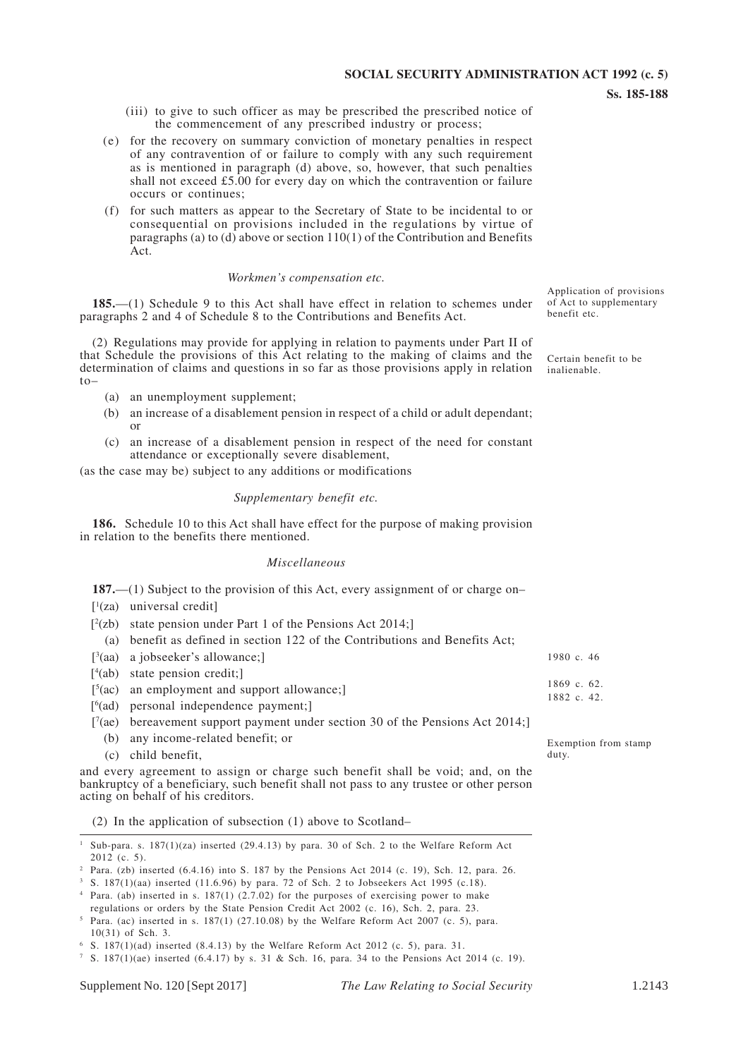- **Ss. 185-188**
- (iii) to give to such officer as may be prescribed the prescribed notice of the commencement of any prescribed industry or process;
- (e) for the recovery on summary conviction of monetary penalties in respect of any contravention of or failure to comply with any such requirement as is mentioned in paragraph (d) above, so, however, that such penalties shall not exceed £5.00 for every day on which the contravention or failure occurs or continues;
- (f) for such matters as appear to the Secretary of State to be incidental to or consequential on provisions included in the regulations by virtue of paragraphs (a) to (d) above or section  $110(1)$  of the Contribution and Benefits Act.

#### *Workmen's compensation etc.*

**185.**—(1) Schedule 9 to this Act shall have effect in relation to schemes under paragraphs 2 and 4 of Schedule 8 to the Contributions and Benefits Act.

(2) Regulations may provide for applying in relation to payments under Part II of that Schedule the provisions of this Act relating to the making of claims and the determination of claims and questions in so far as those provisions apply in relation to–

- (a) an unemployment supplement;
- (b) an increase of a disablement pension in respect of a child or adult dependant; or
- (c) an increase of a disablement pension in respect of the need for constant attendance or exceptionally severe disablement,

(as the case may be) subject to any additions or modifications

#### *Supplementary benefit etc.*

**186.** Schedule 10 to this Act shall have effect for the purpose of making provision in relation to the benefits there mentioned.

#### *Miscellaneous*

**187.**—(1) Subject to the provision of this Act, every assignment of or charge on–

- [1 (za) universal credit]
- $[2(zb)$  state pension under Part 1 of the Pensions Act 2014;
- (a) benefit as defined in section 122 of the Contributions and Benefits Act;
- [<sup>3</sup>(aa) a jobseeker's allowance;]
- [ 4 (ab) state pension credit;]
- [<sup>5</sup>(ac) an employment and support allowance;]
- [<sup>6</sup>(ad) personal independence payment;]
- [<sup>7</sup>(ae) bereavement support payment under section 30 of the Pensions Act 2014;]
- (b) any income-related benefit; or
- (c) child benefit,

and every agreement to assign or charge such benefit shall be void; and, on the bankruptcy of a beneficiary, such benefit shall not pass to any trustee or other person acting on behalf of his creditors.

(2) In the application of subsection (1) above to Scotland–

- $4$  Para. (ab) inserted in s. 187(1) (2.7.02) for the purposes of exercising power to make
- regulations or orders by the State Pension Credit Act 2002 (c. 16), Sch. 2, para. 23.  $5$  Para. (ac) inserted in s. 187(1) (27.10.08) by the Welfare Reform Act 2007 (c. 5), para. 10(31) of Sch. 3.
- <sup>6</sup> S. 187(1)(ad) inserted (8.4.13) by the Welfare Reform Act 2012 (c. 5), para. 31.

Application of provisions of Act to supplementary benefit etc.

Certain benefit to be inalienable.

1980 c. 46 1869 c. 62.

1882 c. 42.

Exemption from stamp duty.

<sup>1</sup> Sub-para. s. 187(1)(za) inserted (29.4.13) by para. 30 of Sch. 2 to the Welfare Reform Act  $2012$  (c. 5).

<sup>2</sup> Para. (zb) inserted (6.4.16) into S. 187 by the Pensions Act 2014 (c. 19), Sch. 12, para. 26.

<sup>&</sup>lt;sup>3</sup> S.  $187(1)(aa)$  inserted (11.6.96) by para. 72 of Sch. 2 to Jobseekers Act 1995 (c.18).

<sup>&</sup>lt;sup>7</sup> S. 187(1)(ae) inserted (6.4.17) by s. 31 & Sch. 16, para. 34 to the Pensions Act 2014 (c. 19).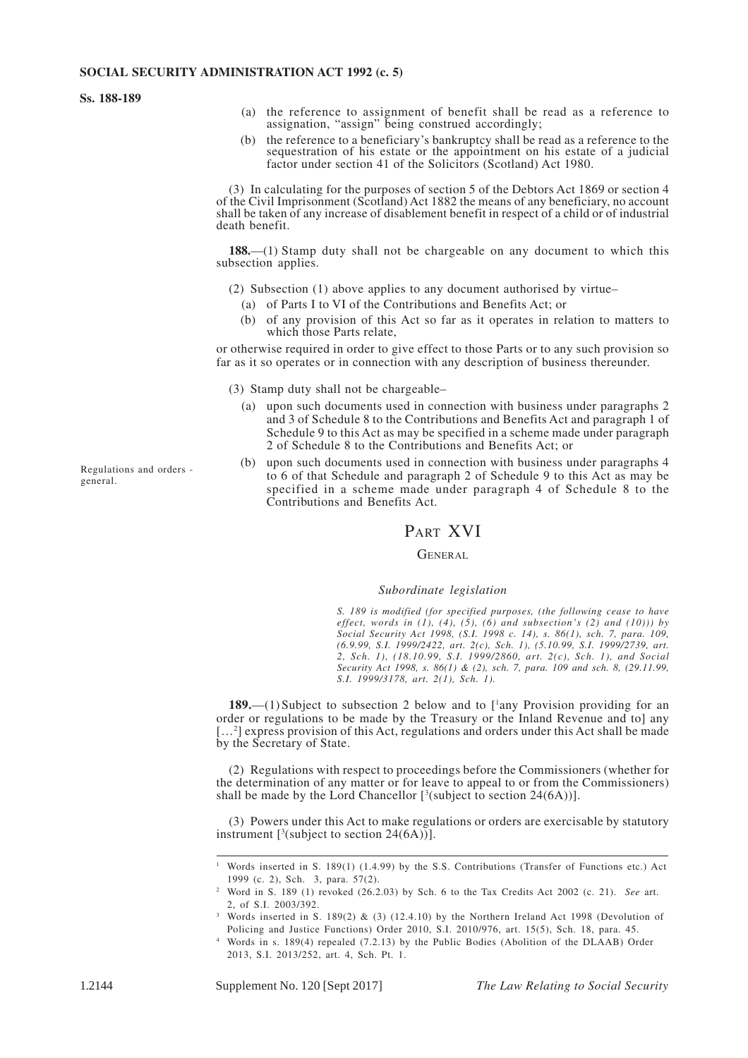**Ss. 188-189**

- (a) the reference to assignment of benefit shall be read as a reference to assignation, "assign" being construed accordingly;
- (b) the reference to a beneficiary's bankruptcy shall be read as a reference to the sequestration of his estate or the appointment on his estate of a judicial factor under section 41 of the Solicitors (Scotland) Act 1980.

(3) In calculating for the purposes of section 5 of the Debtors Act 1869 or section 4 of the Civil Imprisonment (Scotland) Act 1882 the means of any beneficiary, no account shall be taken of any increase of disablement benefit in respect of a child or of industrial death benefit.

**188.**—(1) Stamp duty shall not be chargeable on any document to which this subsection applies.

- (2) Subsection (1) above applies to any document authorised by virtue–
	- (a) of Parts I to VI of the Contributions and Benefits Act; or
	- (b) of any provision of this Act so far as it operates in relation to matters to which those Parts relate,

or otherwise required in order to give effect to those Parts or to any such provision so far as it so operates or in connection with any description of business thereunder.

(3) Stamp duty shall not be chargeable–

- (a) upon such documents used in connection with business under paragraphs 2 and 3 of Schedule 8 to the Contributions and Benefits Act and paragraph 1 of Schedule 9 to this Act as may be specified in a scheme made under paragraph 2 of Schedule 8 to the Contributions and Benefits Act; or
- (b) upon such documents used in connection with business under paragraphs 4 to 6 of that Schedule and paragraph 2 of Schedule 9 to this Act as may be specified in a scheme made under paragraph 4 of Schedule 8 to the Contributions and Benefits Act.

## PART XVI

### **GENERAL**

#### *Subordinate legislation*

*S. 189 is modified (for specified purposes, (the following cease to have effect, words in (1), (4), (5), (6) and subsection's (2) and (10))) by Social Security Act 1998, (S.I. 1998 c. 14), s. 86(1), sch. 7, para. 109, (6.9.99, S.I. 1999/2422, art. 2(c), Sch. 1), (5.10.99, S.I. 1999/2739, art. 2, Sch. 1), (18.10.99, S.I. 1999/2860, art. 2(c), Sch. 1), and Social Security Act 1998, s. 86(1) & (2), sch. 7, para. 109 and sch. 8, (29.11.99, S.I. 1999/3178, art. 2(1), Sch. 1).*

**189.**—(1) Subject to subsection 2 below and to  $\lceil \frac{\text{day}}{\text{y}} \rceil$  Provision providing for an order or regulations to be made by the Treasury or the Inland Revenue and to] any [...<sup>2</sup>] express provision of this Act, regulations and orders under this Act shall be made by the Secretary of State.

(2) Regulations with respect to proceedings before the Commissioners (whether for the determination of any matter or for leave to appeal to or from the Commissioners) shall be made by the Lord Chancellor  $[3$ (subject to section 24(6A))].

(3) Powers under this Act to make regulations or orders are exercisable by statutory instrument  $[3$ (subject to section 24(6A))].

1.2144 Supplement No. 120 [Sept 2017]

Regulations and orders general.

<sup>&</sup>lt;sup>1</sup> Words inserted in S. 189(1) (1.4.99) by the S.S. Contributions (Transfer of Functions etc.) Act 1999 (c. 2), Sch. 3, para. 57(2).

<sup>2</sup> Word in S. 189 (1) revoked (26.2.03) by Sch. 6 to the Tax Credits Act 2002 (c. 21). *See* art. 2, of S.I. 2003/392.

<sup>&</sup>lt;sup>3</sup> Words inserted in S. 189(2) & (3) (12.4.10) by the Northern Ireland Act 1998 (Devolution of Policing and Justice Functions) Order 2010, S.I. 2010/976, art. 15(5), Sch. 18, para. 45.

<sup>4</sup> Words in s. 189(4) repealed (7.2.13) by the Public Bodies (Abolition of the DLAAB) Order 2013, S.I. 2013/252, art. 4, Sch. Pt. 1.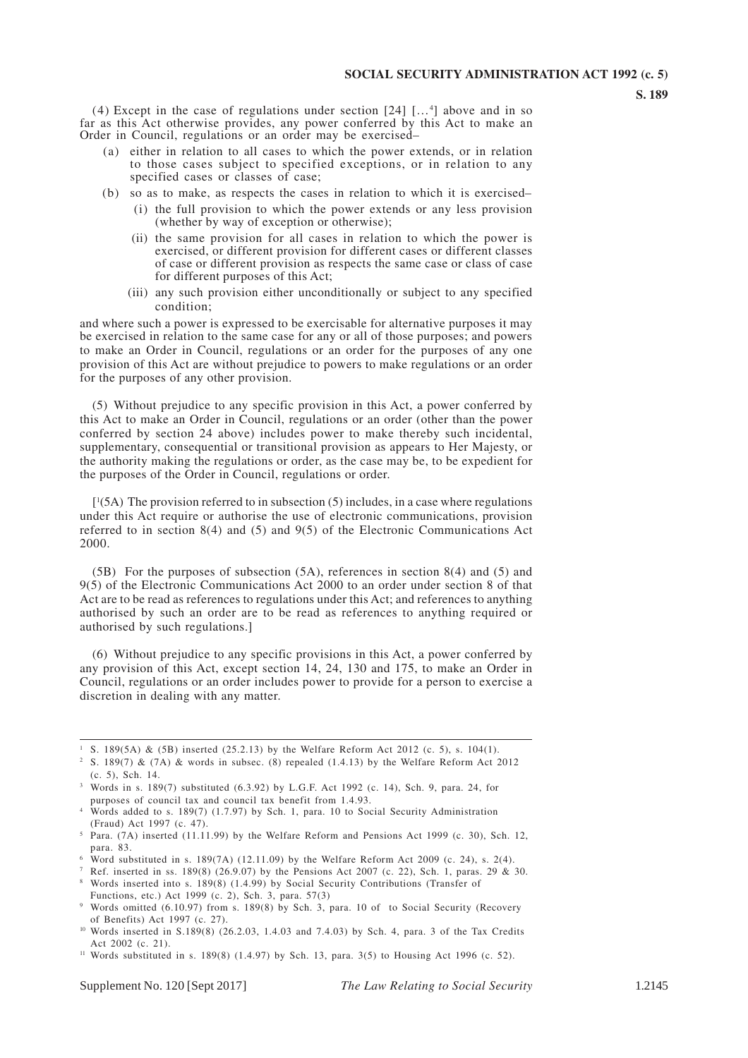**S. 189**

 $(4)$  Except in the case of regulations under section  $[24]$   $[...$ <sup>4</sup> above and in so far as this Act otherwise provides, any power conferred by this Act to make an Order in Council, regulations or an order may be exercised–

- (a) either in relation to all cases to which the power extends, or in relation to those cases subject to specified exceptions, or in relation to any specified cases or classes of case;
- (b) so as to make, as respects the cases in relation to which it is exercised–
	- (i) the full provision to which the power extends or any less provision (whether by way of exception or otherwise);
	- (ii) the same provision for all cases in relation to which the power is exercised, or different provision for different cases or different classes of case or different provision as respects the same case or class of case for different purposes of this Act;
	- (iii) any such provision either unconditionally or subject to any specified condition;

and where such a power is expressed to be exercisable for alternative purposes it may be exercised in relation to the same case for any or all of those purposes; and powers to make an Order in Council, regulations or an order for the purposes of any one provision of this Act are without prejudice to powers to make regulations or an order for the purposes of any other provision.

(5) Without prejudice to any specific provision in this Act, a power conferred by this Act to make an Order in Council, regulations or an order (other than the power conferred by section 24 above) includes power to make thereby such incidental, supplementary, consequential or transitional provision as appears to Her Majesty, or the authority making the regulations or order, as the case may be, to be expedient for the purposes of the Order in Council, regulations or order.

 $[1(5A)$  The provision referred to in subsection (5) includes, in a case where regulations under this Act require or authorise the use of electronic communications, provision referred to in section 8(4) and (5) and 9(5) of the Electronic Communications Act 2000.

(5B) For the purposes of subsection (5A), references in section 8(4) and (5) and 9(5) of the Electronic Communications Act 2000 to an order under section 8 of that Act are to be read as references to regulations under this Act; and references to anything authorised by such an order are to be read as references to anything required or authorised by such regulations.]

(6) Without prejudice to any specific provisions in this Act, a power conferred by any provision of this Act, except section 14, 24, 130 and 175, to make an Order in Council, regulations or an order includes power to provide for a person to exercise a discretion in dealing with any matter.

- <sup>1</sup> S. 189(5A) & (5B) inserted (25.2.13) by the Welfare Reform Act 2012 (c. 5), s. 104(1).
- <sup>2</sup> S. 189(7) & (7A) & words in subsec. (8) repealed (1.4.13) by the Welfare Reform Act 2012 (c. 5), Sch. 14.

<sup>3</sup> Words in s. 189(7) substituted (6.3.92) by L.G.F. Act 1992 (c. 14), Sch. 9, para. 24, for purposes of council tax and council tax benefit from 1.4.93.

<sup>4</sup> Words added to s. 189(7) (1.7.97) by Sch. 1, para. 10 to Social Security Administration (Fraud) Act 1997 (c. 47).

 $5$  Para. (7A) inserted (11.11.99) by the Welfare Reform and Pensions Act 1999 (c. 30), Sch. 12, para. 83.

<sup>&</sup>lt;sup>6</sup> Word substituted in s. 189(7A) (12.11.09) by the Welfare Reform Act 2009 (c. 24), s. 2(4).

<sup>&</sup>lt;sup>7</sup> Ref. inserted in ss. 189(8) (26.9.07) by the Pensions Act 2007 (c. 22), Sch. 1, paras. 29 & 30. <sup>8</sup> Words inserted into s. 189(8) (1.4.99) by Social Security Contributions (Transfer of

Functions, etc.) Act 1999 (c. 2), Sch. 3, para. 57(3)

<sup>9</sup> Words omitted (6.10.97) from s. 189(8) by Sch. 3, para. 10 of to Social Security (Recovery of Benefits) Act 1997 (c. 27).

<sup>&</sup>lt;sup>10</sup> Words inserted in S.189(8) (26.2.03, 1.4.03 and 7.4.03) by Sch. 4, para. 3 of the Tax Credits Act 2002 (c. 21).

<sup>&</sup>lt;sup>11</sup> Words substituted in s. 189(8) (1.4.97) by Sch. 13, para. 3(5) to Housing Act 1996 (c. 52).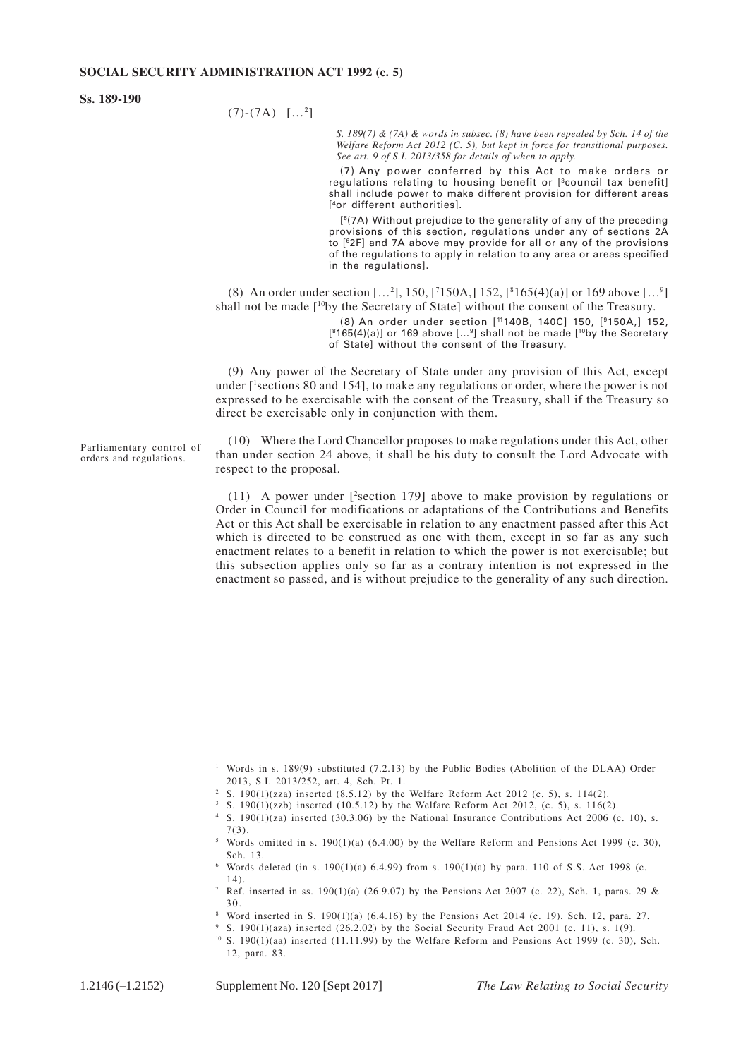**Ss. 189-190**

 $(7)-(7A)$  [...<sup>2</sup>]

*S. 189(7) & (7A) & words in subsec. (8) have been repealed by Sch. 14 of the Welfare Reform Act 2012 (C. 5), but kept in force for transitional purposes. See art. 9 of S.I. 2013/358 for details of when to apply.*

(7) Any power conferred by this Act to make orders or regulations relating to housing benefit or [3council tax benefit] shall include power to make different provision for different areas [4or different authorities].

[5(7A) Without prejudice to the generality of any of the preceding provisions of this section, regulations under any of sections 2A to [62F] and 7A above may provide for all or any of the provisions of the regulations to apply in relation to any area or areas specified in the regulations].

(8) An order under section [...<sup>2</sup>], 150, [7150A,] 152, [<sup>8</sup>165(4)(a)] or 169 above [...<sup>9</sup>] shall not be made [10by the Secretary of State] without the consent of the Treasury.

(8) An order under section [11140B, 140C] 150, [9150A,] 152,  $[8165(4)(a)]$  or 169 above  $[...]$  shall not be made  $[$ <sup>10</sup>by the Secretary of State] without the consent of the Treasury.

(9) Any power of the Secretary of State under any provision of this Act, except under [<sup>1</sup>sections 80 and 154], to make any regulations or order, where the power is not expressed to be exercisable with the consent of the Treasury, shall if the Treasury so direct be exercisable only in conjunction with them.

Parliamentary control of orders and regulations.

(10) Where the Lord Chancellor proposes to make regulations under this Act, other than under section 24 above, it shall be his duty to consult the Lord Advocate with respect to the proposal.

 $(11)$  A power under [<sup>2</sup> section 179] above to make provision by regulations or Order in Council for modifications or adaptations of the Contributions and Benefits Act or this Act shall be exercisable in relation to any enactment passed after this Act which is directed to be construed as one with them, except in so far as any such enactment relates to a benefit in relation to which the power is not exercisable; but this subsection applies only so far as a contrary intention is not expressed in the enactment so passed, and is without prejudice to the generality of any such direction.

 $10$  S. 190(1)(aa) inserted (11.11.99) by the Welfare Reform and Pensions Act 1999 (c. 30), Sch. 12, para. 83.

<sup>1</sup> Words in s. 189(9) substituted (7.2.13) by the Public Bodies (Abolition of the DLAA) Order 2013, S.I. 2013/252, art. 4, Sch. Pt. 1.

<sup>&</sup>lt;sup>2</sup> S. 190(1)(zza) inserted (8.5.12) by the Welfare Reform Act 2012 (c. 5), s. 114(2).

<sup>&</sup>lt;sup>3</sup> S. 190(1)(zzb) inserted (10.5.12) by the Welfare Reform Act 2012, (c. 5), s. 116(2).

<sup>4</sup> S. 190(1)(za) inserted (30.3.06) by the National Insurance Contributions Act 2006 (c. 10), s. 7(3).

<sup>&</sup>lt;sup>5</sup> Words omitted in s. 190(1)(a) (6.4.00) by the Welfare Reform and Pensions Act 1999 (c. 30), Sch. 13.

<sup>&</sup>lt;sup>6</sup> Words deleted (in s. 190(1)(a) 6.4.99) from s. 190(1)(a) by para. 110 of S.S. Act 1998 (c. 14).

<sup>&</sup>lt;sup>7</sup> Ref. inserted in ss. 190(1)(a) (26.9.07) by the Pensions Act 2007 (c. 22), Sch. 1, paras. 29 & 30.

<sup>8</sup> Word inserted in S. 190(1)(a) (6.4.16) by the Pensions Act 2014 (c. 19), Sch. 12, para. 27.

<sup>&</sup>lt;sup>9</sup> S. 190(1)(aza) inserted (26.2.02) by the Social Security Fraud Act 2001 (c. 11), s. 1(9).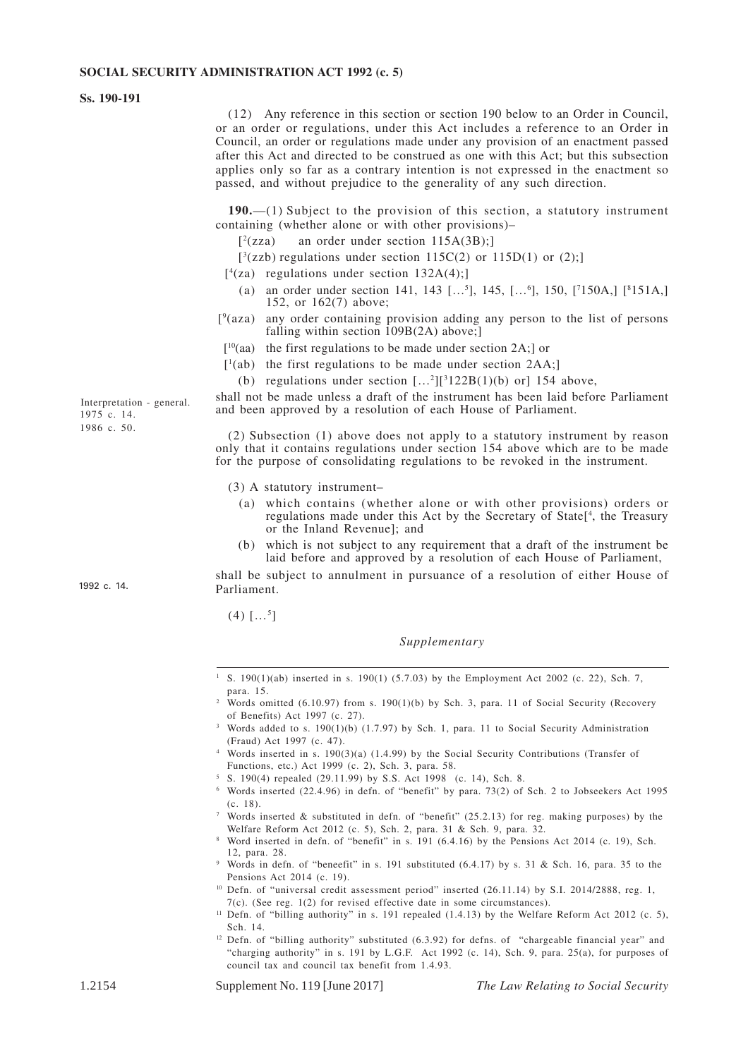**Ss. 190-191**

(12) Any reference in this section or section 190 below to an Order in Council, or an order or regulations, under this Act includes a reference to an Order in Council, an order or regulations made under any provision of an enactment passed after this Act and directed to be construed as one with this Act; but this subsection applies only so far as a contrary intention is not expressed in the enactment so passed, and without prejudice to the generality of any such direction.

**190.**—(1) Subject to the provision of this section, a statutory instrument containing (whether alone or with other provisions)–

- $\int^2 (zza)$ an order under section  $115A(3B);$ ]
- $[3(zzb)$  regulations under section 115C(2) or 115D(1) or (2);]
- $[4$ (za) regulations under section 132A(4);]
	- (a) an order under section 141, 143  $[...]$ , 145,  $[...]$ , 150,  $[7150A]$   $[8151A]$ 152, or 162(7) above;
- $\int^9 (aza)$ (aza) any order containing provision adding any person to the list of persons falling within section 109B(2A) above;]
- $[10(aa)$  the first regulations to be made under section 2A;] or
- $[{}^{1}(ab)$  the first regulations to be made under section 2AA;]
	- (b) regulations under section  $\left[ \dots^2 \right] \left[ \frac{3122B(1)}{b} \right]$  or 154 above,

shall not be made unless a draft of the instrument has been laid before Parliament and been approved by a resolution of each House of Parliament.

(2) Subsection (1) above does not apply to a statutory instrument by reason only that it contains regulations under section 154 above which are to be made for the purpose of consolidating regulations to be revoked in the instrument.

(3) A statutory instrument–

- (a) which contains (whether alone or with other provisions) orders or regulations made under this Act by the Secretary of State<sup>[4</sup>, the Treasury or the Inland Revenue]; and
- (b) which is not subject to any requirement that a draft of the instrument be laid before and approved by a resolution of each House of Parliament,

shall be subject to annulment in pursuance of a resolution of either House of Parliament.

 $(4)$   $[...^5]$ 

## *Supplementary*

- S.  $190(1)(ab)$  inserted in s.  $190(1)$  (5.7.03) by the Employment Act 2002 (c. 22), Sch. 7, para. 15.
- Words omitted  $(6.10.97)$  from s. 190(1)(b) by Sch. 3, para. 11 of Social Security (Recovery of Benefits) Act 1997 (c. 27).
- <sup>3</sup> Words added to s. 190(1)(b) (1.7.97) by Sch. 1, para. 11 to Social Security Administration (Fraud) Act 1997 (c. 47).
- <sup>4</sup> Words inserted in s. 190(3)(a) (1.4.99) by the Social Security Contributions (Transfer of Functions, etc.) Act 1999 (c. 2), Sch. 3, para. 58.
- <sup>5</sup> S. 190(4) repealed (29.11.99) by S.S. Act 1998 (c. 14), Sch. 8.
- <sup>6</sup> Words inserted (22.4.96) in defn. of "benefit" by para. 73(2) of Sch. 2 to Jobseekers Act 1995 (c. 18).
- <sup>7</sup> Words inserted & substituted in defn. of "benefit"  $(25.2.13)$  for reg. making purposes) by the Welfare Reform Act 2012 (c. 5), Sch. 2, para. 31 & Sch. 9, para. 32.
- <sup>8</sup> Word inserted in defn. of "benefit" in s. 191 (6.4.16) by the Pensions Act 2014 (c. 19), Sch. 12, para. 28.
- <sup>9</sup> Words in defn. of "beneefit" in s. 191 substituted (6.4.17) by s. 31 & Sch. 16, para. 35 to the Pensions Act 2014 (c. 19).
- $10$  Defn. of "universal credit assessment period" inserted (26.11.14) by S.I. 2014/2888, reg. 1, 7(c). (See reg. 1(2) for revised effective date in some circumstances).
- <sup>11</sup> Defn. of "billing authority" in s. 191 repealed (1.4.13) by the Welfare Reform Act 2012 (c. 5), Sch. 14.
- <sup>12</sup> Defn. of "billing authority" substituted (6.3.92) for defns. of "chargeable financial year" and "charging authority" in s. 191 by L.G.F. Act 1992 (c. 14), Sch. 9, para. 25(a), for purposes of council tax and council tax benefit from 1.4.93.

Interpretation - general. 1975 c. 14. 1986 c. 50.

```
1992 c. 14.
```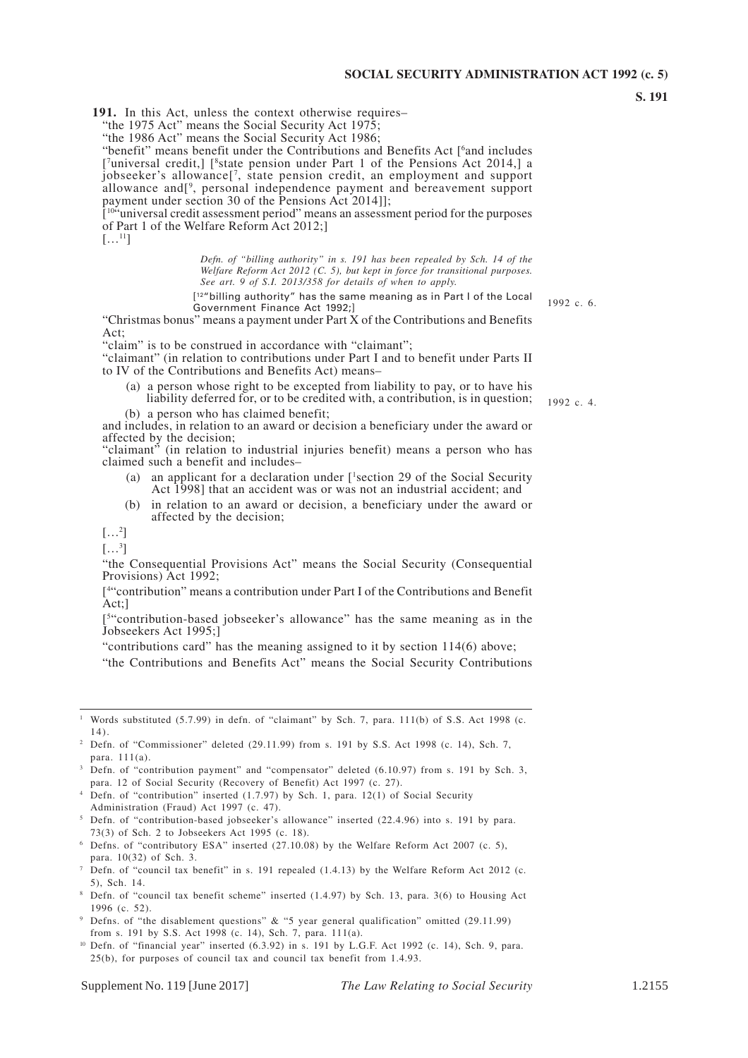191. In this Act, unless the context otherwise requires–

"the 1975 Act" means the Social Security Act 1975;

"the 1986 Act" means the Social Security Act 1986;

"benefit" means benefit under the Contributions and Benefits Act [<sup>6</sup>and includes [<sup>7</sup>universal credit,] [<sup>8</sup>state pension under Part 1 of the Pensions Act 2014,] a jobseeker's allowance[7 , state pension credit, an employment and support allowance and[9 , personal independence payment and bereavement support payment under section 30 of the Pensions Act 2014]];

<sup>10"</sup>universal credit assessment period" means an assessment period for the purposes of Part 1 of the Welfare Reform Act 2012;]

 $[\ldots^{11}]$ 

*Defn. of "billing authority" in s. 191 has been repealed by Sch. 14 of the Welfare Reform Act 2012 (C. 5), but kept in force for transitional purposes. See art. 9 of S.I. 2013/358 for details of when to apply.*

[12"billing authority" has the same meaning as in Part I of the Local Government Finance Act 1992;]

"Christmas bonus" means a payment under Part X of the Contributions and Benefits Act;

"claim" is to be construed in accordance with "claimant";

"claimant" (in relation to contributions under Part I and to benefit under Parts II to IV of the Contributions and Benefits Act) means–

(a) a person whose right to be excepted from liability to pay, or to have his liability deferred for, or to be credited with, a contribution, is in question;

(b) a person who has claimed benefit; and includes, in relation to an award or decision a beneficiary under the award or affected by the decision;

"claimant" (in relation to industrial injuries benefit) means a person who has claimed such a benefit and includes–

- (a) an applicant for a declaration under  $[{}<sup>1</sup>$  section 29 of the Social Security Act 1998] that an accident was or was not an industrial accident; and
- (b) in relation to an award or decision, a beneficiary under the award or affected by the decision;
- $[\dots^2]$
- $\left[ \ldots^3 \right]$

"the Consequential Provisions Act" means the Social Security (Consequential Provisions) Act 1992;

[4 "contribution" means a contribution under Part I of the Contributions and Benefit Act;]

[<sup>5</sup>"contribution-based jobseeker's allowance" has the same meaning as in the Jobseekers Act 1995;]

"contributions card" has the meaning assigned to it by section 114(6) above;

"the Contributions and Benefits Act" means the Social Security Contributions

1992 c. 6.

**S. 191**

1992 c. 4.

Words substituted (5.7.99) in defn. of "claimant" by Sch. 7, para. 111(b) of S.S. Act 1998 (c. 14).

 $2$  Defn. of "Commissioner" deleted (29.11.99) from s. 191 by S.S. Act 1998 (c. 14), Sch. 7, para. 111(a).

Defn. of "contribution payment" and "compensator" deleted (6.10.97) from s. 191 by Sch. 3, para. 12 of Social Security (Recovery of Benefit) Act 1997 (c. 27).

<sup>&</sup>lt;sup>4</sup> Defn. of "contribution" inserted (1.7.97) by Sch. 1, para. 12(1) of Social Security Administration (Fraud) Act 1997 (c. 47).

<sup>&</sup>lt;sup>5</sup> Defn. of "contribution-based jobseeker's allowance" inserted (22.4.96) into s. 191 by para. 73(3) of Sch. 2 to Jobseekers Act 1995 (c. 18).

<sup>6</sup> Defns. of "contributory ESA" inserted (27.10.08) by the Welfare Reform Act 2007 (c. 5), para. 10(32) of Sch. 3.

<sup>&</sup>lt;sup>7</sup> Defn. of "council tax benefit" in s. 191 repealed (1.4.13) by the Welfare Reform Act 2012 (c. 5), Sch. 14.

<sup>8</sup> Defn. of "council tax benefit scheme" inserted (1.4.97) by Sch. 13, para. 3(6) to Housing Act 1996 (c. 52).

<sup>&</sup>lt;sup>9</sup> Defns. of "the disablement questions" & "5 year general qualification" omitted (29.11.99) from s. 191 by S.S. Act 1998 (c. 14), Sch. 7, para. 111(a).

<sup>&</sup>lt;sup>10</sup> Defn. of "financial year" inserted (6.3.92) in s. 191 by L.G.F. Act 1992 (c. 14), Sch. 9, para. 25(b), for purposes of council tax and council tax benefit from 1.4.93.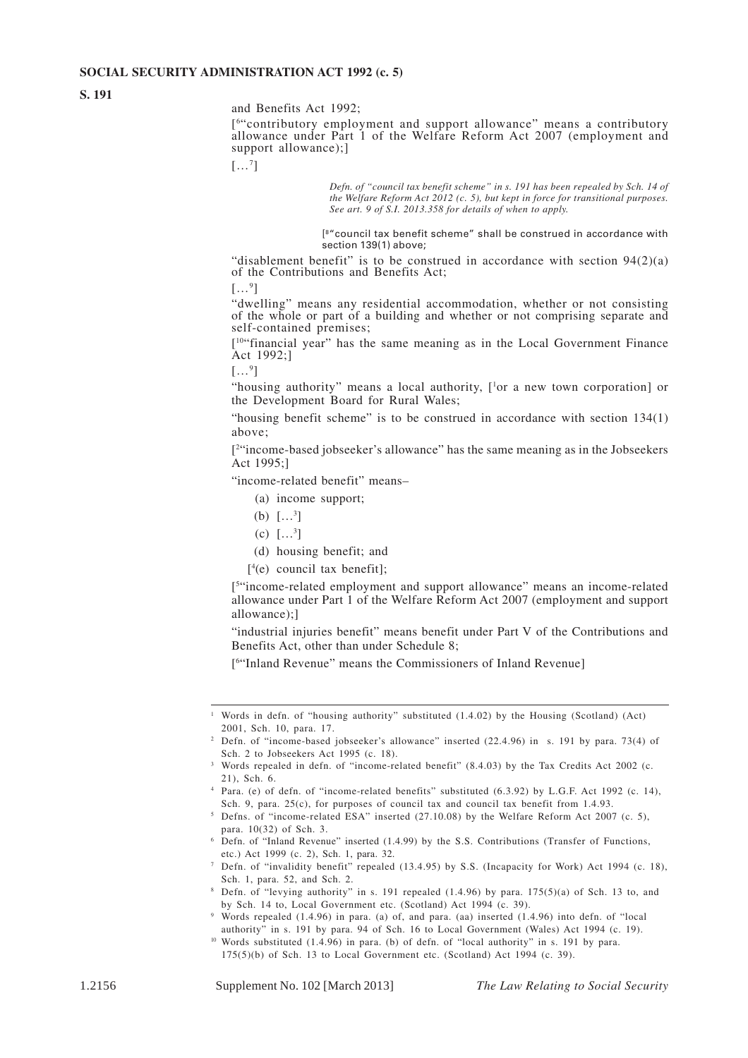**S. 191**

#### and Benefits Act 1992;

[<sup>6"</sup>contributory employment and support allowance" means a contributory allowance under Part 1 of the Welfare Reform Act 2007 (employment and support allowance);]

 $[\dots^7]$ 

*Defn. of "council tax benefit scheme" in s. 191 has been repealed by Sch. 14 of the Welfare Reform Act 2012 (c. 5), but kept in force for transitional purposes. See art. 9 of S.I. 2013.358 for details of when to apply.*

[8"council tax benefit scheme" shall be construed in accordance with section 139(1) above:

"disablement benefit" is to be construed in accordance with section  $94(2)(a)$ of the Contributions and Benefits Act;

 $[\dots^9]$ 

"dwelling" means any residential accommodation, whether or not consisting of the whole or part of a building and whether or not comprising separate and self-contained premises;

[10"financial year" has the same meaning as in the Local Government Finance Act 1992;]

 $[\dots^9]$ 

"housing authority" means a local authority, [<sup>1</sup>or a new town corporation] or the Development Board for Rural Wales;

"housing benefit scheme" is to be construed in accordance with section 134(1) above;

[2 "income-based jobseeker's allowance" has the same meaning as in the Jobseekers Act 1995;]

"income-related benefit" means–

- (a) income support;
- (b)  $[...]$
- $(c)$   $[...^3]$
- (d) housing benefit; and
- [ 4 (e) council tax benefit];

[<sup>5</sup>"income-related employment and support allowance" means an income-related allowance under Part 1 of the Welfare Reform Act 2007 (employment and support allowance);]

"industrial injuries benefit" means benefit under Part V of the Contributions and Benefits Act, other than under Schedule 8;

[<sup>6</sup>"Inland Revenue" means the Commissioners of Inland Revenue]

<sup>&</sup>lt;sup>1</sup> Words in defn. of "housing authority" substituted  $(1.4.02)$  by the Housing (Scotland) (Act) 2001, Sch. 10, para. 17.

<sup>2</sup> Defn. of "income-based jobseeker's allowance" inserted (22.4.96) in s. 191 by para. 73(4) of Sch. 2 to Jobseekers Act 1995 (c. 18).

<sup>&</sup>lt;sup>3</sup> Words repealed in defn. of "income-related benefit" (8.4.03) by the Tax Credits Act 2002 (c. 21), Sch. 6.

<sup>4</sup> Para. (e) of defn. of "income-related benefits" substituted (6.3.92) by L.G.F. Act 1992 (c. 14), Sch. 9, para. 25(c), for purposes of council tax and council tax benefit from 1.4.93.

<sup>5</sup> Defns. of "income-related ESA" inserted (27.10.08) by the Welfare Reform Act 2007 (c. 5), para. 10(32) of Sch. 3.

<sup>&</sup>lt;sup>6</sup> Defn. of "Inland Revenue" inserted (1.4.99) by the S.S. Contributions (Transfer of Functions, etc.) Act 1999 (c. 2), Sch. 1, para. 32.

<sup>7</sup> Defn. of "invalidity benefit" repealed (13.4.95) by S.S. (Incapacity for Work) Act 1994 (c. 18), Sch. 1, para. 52, and Sch. 2.

<sup>8</sup> Defn. of "levying authority" in s. 191 repealed (1.4.96) by para. 175(5)(a) of Sch. 13 to, and by Sch. 14 to, Local Government etc. (Scotland) Act 1994 (c. 39).

<sup>9</sup> Words repealed (1.4.96) in para. (a) of, and para. (aa) inserted (1.4.96) into defn. of "local authority" in s. 191 by para. 94 of Sch. 16 to Local Government (Wales) Act 1994 (c. 19).

<sup>&</sup>lt;sup>10</sup> Words substituted (1.4.96) in para. (b) of defn. of "local authority" in s. 191 by para.  $175(5)(b)$  of Sch. 13 to Local Government etc. (Scotland) Act 1994 (c. 39).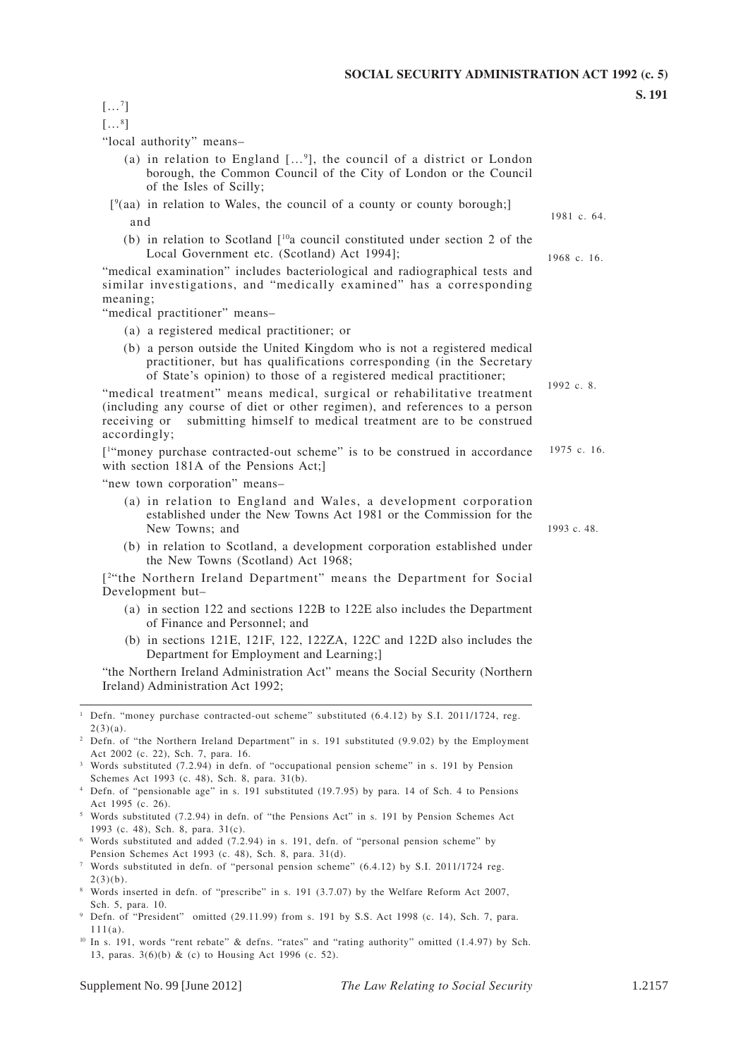$[\dots^7]$ 

 $[\dots^8]$ 

"local authority" means–

- (a) in relation to England  $[...]$ , the council of a district or London borough, the Common Council of the City of London or the Council of the Isles of Scilly;
- [9 (aa) in relation to Wales, the council of a county or county borough;] and
	- (b) in relation to Scotland [10a council constituted under section 2 of the Local Government etc. (Scotland) Act 1994];

"medical examination" includes bacteriological and radiographical tests and similar investigations, and "medically examined" has a corresponding meaning;

"medical practitioner" means-

- (a) a registered medical practitioner; or
- (b) a person outside the United Kingdom who is not a registered medical practitioner, but has qualifications corresponding (in the Secretary of State's opinion) to those of a registered medical practitioner;

"medical treatment" means medical, surgical or rehabilitative treatment (including any course of diet or other regimen), and references to a person receiving or submitting himself to medical treatment are to be construed accordingly;

[<sup>1</sup>"money purchase contracted-out scheme" is to be construed in accordance with section 181A of the Pensions Act;

"new town corporation" means–

- (a) in relation to England and Wales, a development corporation established under the New Towns Act 1981 or the Commission for the New Towns; and
- (b) in relation to Scotland, a development corporation established under the New Towns (Scotland) Act 1968;

[<sup>2</sup>"the Northern Ireland Department" means the Department for Social Development but–

- (a) in section 122 and sections 122B to 122E also includes the Department of Finance and Personnel; and
- (b) in sections 121E, 121F, 122, 122ZA, 122C and 122D also includes the Department for Employment and Learning;]

"the Northern Ireland Administration Act" means the Social Security (Northern Ireland) Administration Act 1992;

1981 c. 64.

**S. 191**

1968 c. 16.

1992 c. 8.

1975 c. 16.

1993 c. 48.

<sup>&</sup>lt;sup>1</sup> Defn. "money purchase contracted-out scheme" substituted  $(6.4.12)$  by S.I. 2011/1724, reg.  $2(3)(a)$ .

<sup>&</sup>lt;sup>2</sup> Defn. of "the Northern Ireland Department" in s. 191 substituted  $(9.9.02)$  by the Employment Act 2002 (c. 22), Sch. 7, para. 16.

<sup>3</sup> Words substituted (7.2.94) in defn. of "occupational pension scheme" in s. 191 by Pension Schemes Act 1993 (c. 48), Sch. 8, para. 31(b).

<sup>4</sup> Defn. of "pensionable age" in s. 191 substituted (19.7.95) by para. 14 of Sch. 4 to Pensions Act 1995 (c. 26).

<sup>5</sup> Words substituted (7.2.94) in defn. of "the Pensions Act" in s. 191 by Pension Schemes Act 1993 (c. 48), Sch. 8, para. 31(c).

<sup>6</sup> Words substituted and added (7.2.94) in s. 191, defn. of "personal pension scheme" by Pension Schemes Act 1993 (c. 48), Sch. 8, para. 31(d).

<sup>7</sup> Words substituted in defn. of "personal pension scheme" (6.4.12) by S.I. 2011/1724 reg.  $2(3)(h)$ .

<sup>8</sup> Words inserted in defn. of "prescribe" in s. 191 (3.7.07) by the Welfare Reform Act 2007, Sch. 5, para. 10.

<sup>9</sup> Defn. of "President" omitted (29.11.99) from s. 191 by S.S. Act 1998 (c. 14), Sch. 7, para. 111(a).

<sup>&</sup>lt;sup>10</sup> In s. 191, words "rent rebate" & defns. "rates" and "rating authority" omitted (1.4.97) by Sch. 13, paras. 3(6)(b) & (c) to Housing Act 1996 (c. 52).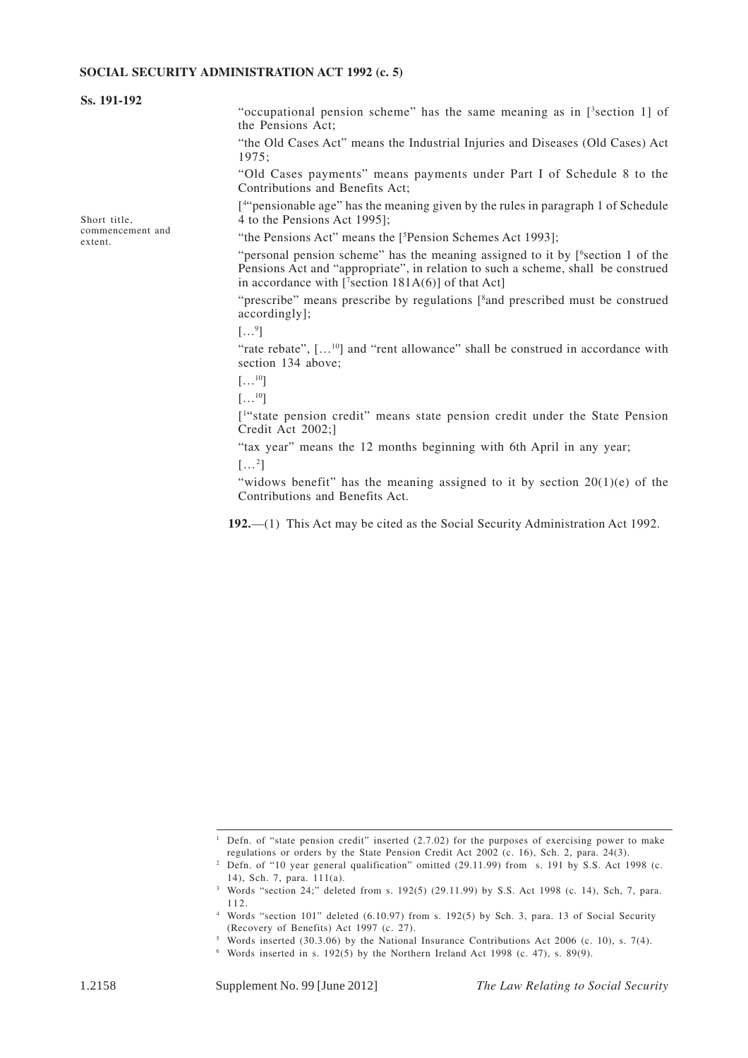| Ss. 191-192<br>Short title,<br>commencement and<br>extent. | "occupational pension scheme" has the same meaning as in $[^3$ section 1] of<br>the Pensions Act;                                                                                                                                                |
|------------------------------------------------------------|--------------------------------------------------------------------------------------------------------------------------------------------------------------------------------------------------------------------------------------------------|
|                                                            | "the Old Cases Act" means the Industrial Injuries and Diseases (Old Cases) Act<br>1975:                                                                                                                                                          |
|                                                            | "Old Cases payments" means payments under Part I of Schedule 8 to the<br>Contributions and Benefits Act;                                                                                                                                         |
|                                                            | [ <sup>4<i>"</i></sup> pensionable age" has the meaning given by the rules in paragraph 1 of Schedule<br>4 to the Pensions Act 1995];                                                                                                            |
|                                                            | "the Pensions Act" means the [ <sup>5</sup> Pension Schemes Act 1993];                                                                                                                                                                           |
|                                                            | "personal pension scheme" has the meaning assigned to it by [ <sup>6</sup> section 1 of the<br>Pensions Act and "appropriate", in relation to such a scheme, shall be construed<br>in accordance with [ $\text{'section 181A(6)}$ ] of that Act] |
|                                                            | "prescribe" means prescribe by regulations [8 and prescribed must be construed<br>accordingly];                                                                                                                                                  |
|                                                            | $[\ldots^9]$                                                                                                                                                                                                                                     |
|                                                            | "rate rebate", $[^{10}]$ and "rent allowance" shall be construed in accordance with<br>section 134 above;                                                                                                                                        |
|                                                            | $[\dots]^{10}$                                                                                                                                                                                                                                   |
|                                                            | $[\ldots^{10}]$                                                                                                                                                                                                                                  |
|                                                            | [ <sup>14</sup> state pension credit" means state pension credit under the State Pension<br>Credit Act 2002;]                                                                                                                                    |
|                                                            | "tax year" means the 12 months beginning with 6th April in any year;<br>$[\dots^2]$                                                                                                                                                              |
|                                                            | "widows benefit" has the meaning assigned to it by section $20(1)(e)$ of the<br>Contributions and Benefits Act.                                                                                                                                  |

**192.**—(1) This Act may be cited as the Social Security Administration Act 1992.

<sup>&</sup>lt;sup>1</sup> Defn. of "state pension credit" inserted (2.7.02) for the purposes of exercising power to make regulations or orders by the State Pension Credit Act 2002 (c. 16), Sch. 2, para. 24(3).

<sup>&</sup>lt;sup>2</sup> Defn. of "10 year general qualification" omitted (29.11.99) from s. 191 by S.S. Act 1998 (c. 14), Sch. 7, para. 111(a).

<sup>3</sup> Words "section 24;" deleted from s. 192(5) (29.11.99) by S.S. Act 1998 (c. 14), Sch, 7, para. 112.

<sup>4</sup> Words "section 101" deleted (6.10.97) from s. 192(5) by Sch. 3, para. 13 of Social Security (Recovery of Benefits) Act 1997 (c. 27).

<sup>&</sup>lt;sup>5</sup> Words inserted (30.3.06) by the National Insurance Contributions Act 2006 (c. 10), s. 7(4).

 $6$  Words inserted in s. 192(5) by the Northern Ireland Act 1998 (c. 47), s. 89(9).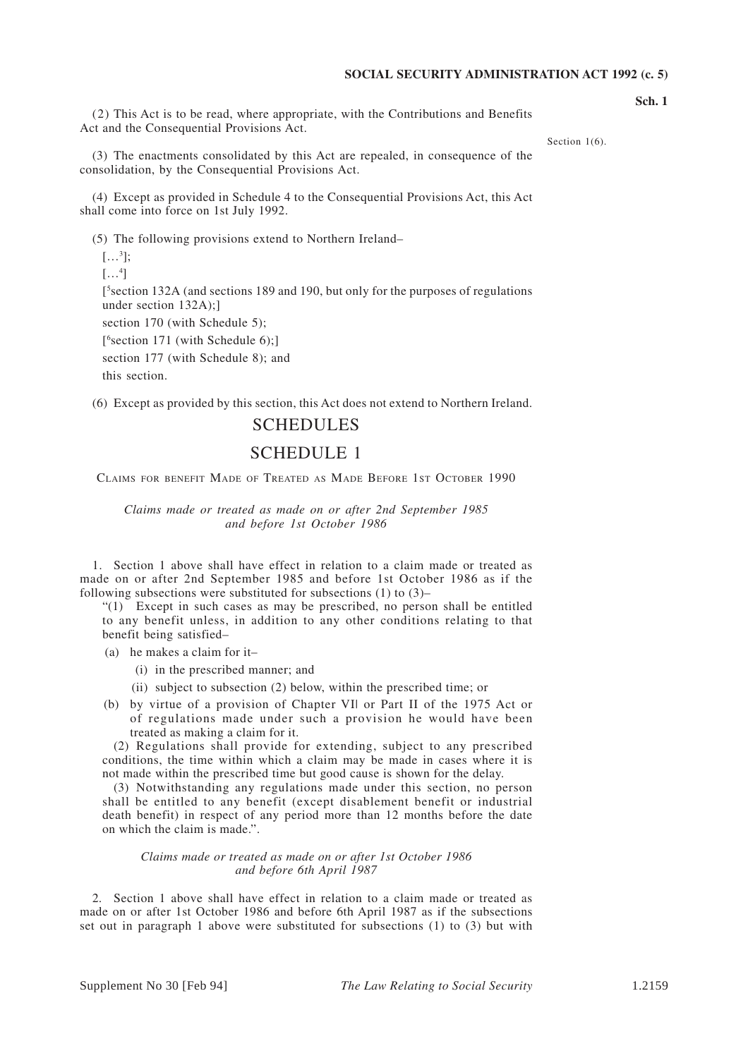(2) This Act is to be read, where appropriate, with the Contributions and Benefits Act and the Consequential Provisions Act.

(3) The enactments consolidated by this Act are repealed, in consequence of the consolidation, by the Consequential Provisions Act.

(4) Except as provided in Schedule 4 to the Consequential Provisions Act, this Act shall come into force on 1st July 1992.

(5) The following provisions extend to Northern Ireland–

 $\left[ \ldots^3 \right]$ ;

 $\left[ \ldots ^{4}\right]$ 

[<sup>5</sup> section 132A (and sections 189 and 190, but only for the purposes of regulations under section 132A);]

section 170 (with Schedule 5);

[<sup>6</sup>section 171 (with Schedule 6);]

section 177 (with Schedule 8); and

this section.

(6) Except as provided by this section, this Act does not extend to Northern Ireland.

## SCHEDULES

## SCHEDULE 1

CLAIMS FOR BENEFIT MADE OF TREATED AS MADE BEFORE 1ST OCTOBER 1990

*Claims made or treated as made on or after 2nd September 1985 and before 1st October 1986*

1. Section 1 above shall have effect in relation to a claim made or treated as made on or after 2nd September 1985 and before 1st October 1986 as if the following subsections were substituted for subsections (1) to (3)–

"(1) Except in such cases as may be prescribed, no person shall be entitled to any benefit unless, in addition to any other conditions relating to that benefit being satisfied–

- (a) he makes a claim for it–
	- (i) in the prescribed manner; and
	- (ii) subject to subsection (2) below, within the prescribed time; or
- (b) by virtue of a provision of Chapter VI| or Part II of the 1975 Act or of regulations made under such a provision he would have been treated as making a claim for it.

(2) Regulations shall provide for extending, subject to any prescribed conditions, the time within which a claim may be made in cases where it is not made within the prescribed time but good cause is shown for the delay.

(3) Notwithstanding any regulations made under this section, no person shall be entitled to any benefit (except disablement benefit or industrial death benefit) in respect of any period more than 12 months before the date on which the claim is made.".

#### *Claims made or treated as made on or after 1st October 1986 and before 6th April 1987*

2. Section 1 above shall have effect in relation to a claim made or treated as made on or after 1st October 1986 and before 6th April 1987 as if the subsections set out in paragraph 1 above were substituted for subsections (1) to (3) but with

Section 1(6).

**Sch. 1**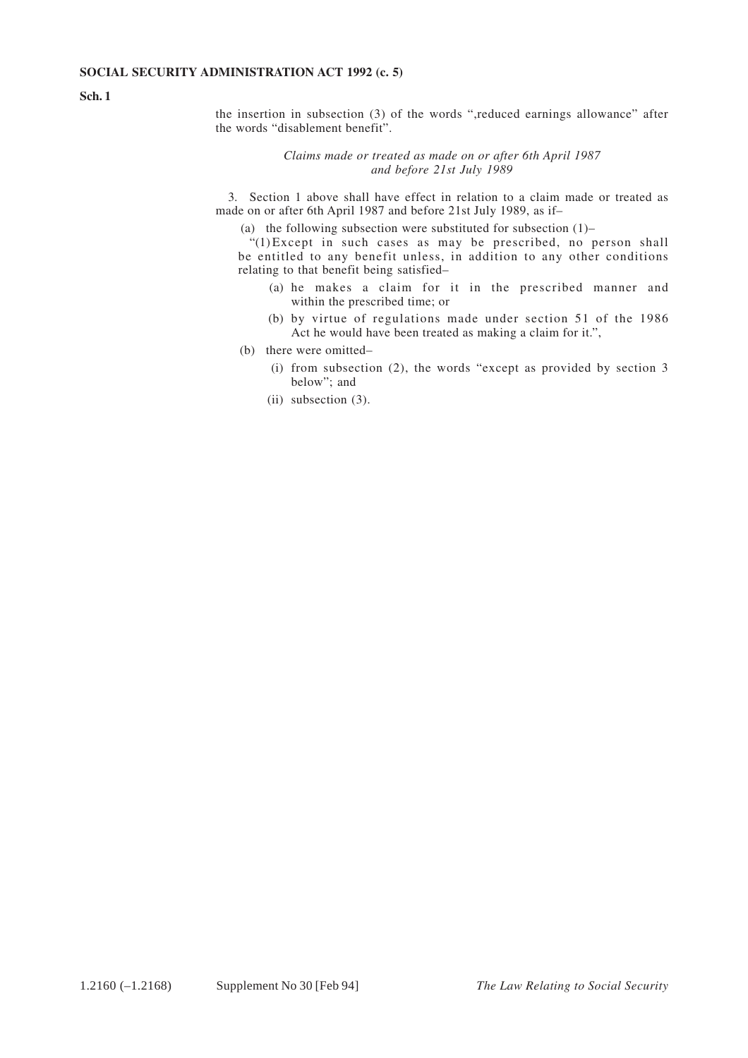**Sch. 1**

the insertion in subsection (3) of the words ",reduced earnings allowance" after the words "disablement benefit".

> *Claims made or treated as made on or after 6th April 1987 and before 21st July 1989*

3. Section 1 above shall have effect in relation to a claim made or treated as made on or after 6th April 1987 and before 21st July 1989, as if–

(a) the following subsection were substituted for subsection  $(1)$ –

"(1) Except in such cases as may be prescribed, no person shall be entitled to any benefit unless, in addition to any other conditions relating to that benefit being satisfied–

- (a) he makes a claim for it in the prescribed manner and within the prescribed time; or
- (b) by virtue of regulations made under section 51 of the 1986 Act he would have been treated as making a claim for it.",

(b) there were omitted–

- (i) from subsection (2), the words "except as provided by section 3 below"; and
- (ii) subsection (3).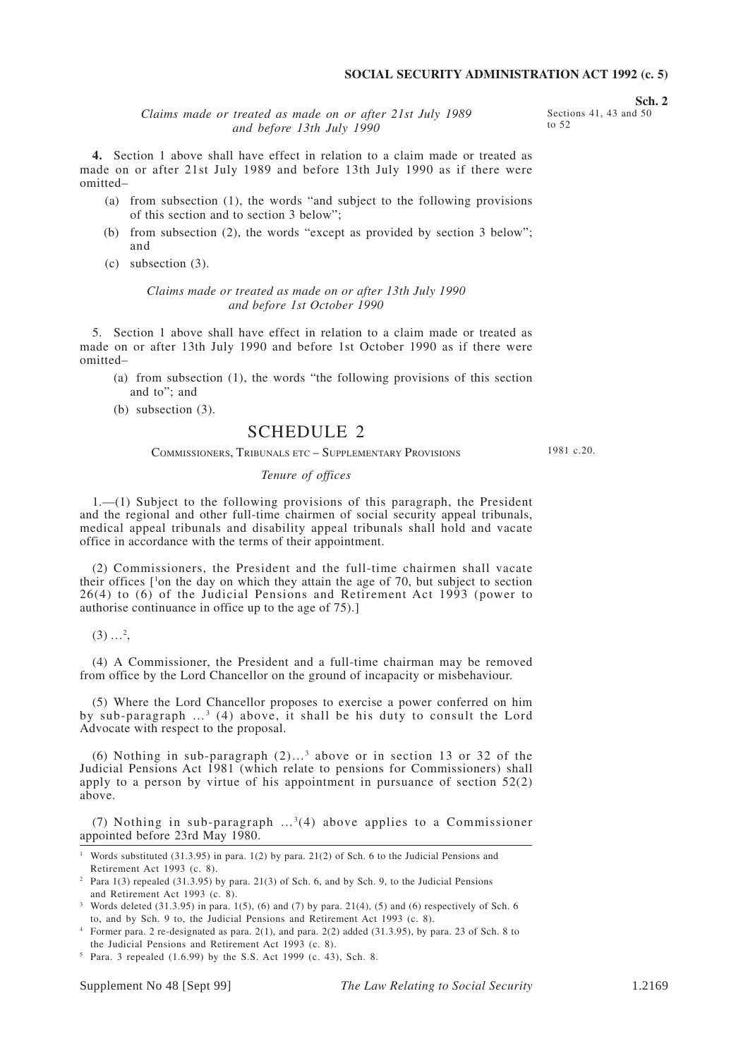*Claims made or treated as made on or after 21st July 1989 and before 13th July 1990*

**4.** Section 1 above shall have effect in relation to a claim made or treated as made on or after 21st July 1989 and before 13th July 1990 as if there were omitted–

- (a) from subsection (1), the words "and subject to the following provisions of this section and to section 3 below";
- (b) from subsection (2), the words "except as provided by section 3 below"; and
- (c) subsection (3).

#### *Claims made or treated as made on or after 13th July 1990 and before 1st October 1990*

5. Section 1 above shall have effect in relation to a claim made or treated as made on or after 13th July 1990 and before 1st October 1990 as if there were omitted–

- (a) from subsection (1), the words "the following provisions of this section and to"; and
- (b) subsection (3).

## SCHEDULE 2

COMMISSIONERS, TRIBUNALS ETC – SUPPLEMENTARY PROVISIONS

1981 c.20.

#### *Tenure of offices*

1.—(1) Subject to the following provisions of this paragraph, the President and the regional and other full-time chairmen of social security appeal tribunals, medical appeal tribunals and disability appeal tribunals shall hold and vacate office in accordance with the terms of their appointment.

(2) Commissioners, the President and the full-time chairmen shall vacate their offices [<sup>1</sup>on the day on which they attain the age of 70, but subject to section 26(4) to (6) of the Judicial Pensions and Retirement Act 1993 (power to authorise continuance in office up to the age of 75).]

#### $(3) \dots^2$ ,

(4) A Commissioner, the President and a full-time chairman may be removed from office by the Lord Chancellor on the ground of incapacity or misbehaviour.

(5) Where the Lord Chancellor proposes to exercise a power conferred on him by sub-paragraph  $\ldots$ <sup>3</sup> (4) above, it shall be his duty to consult the Lord Advocate with respect to the proposal.

(6) Nothing in sub-paragraph  $(2)$ ...<sup>3</sup> above or in section 13 or 32 of the Judicial Pensions Act 1981 (which relate to pensions for Commissioners) shall apply to a person by virtue of his appointment in pursuance of section  $52(2)$ above.

(7) Nothing in sub-paragraph  $\ldots$ <sup>3</sup>(4) above applies to a Commissioner appointed before 23rd May 1980.

<sup>5</sup> Para. 3 repealed  $(1.6.99)$  by the S.S. Act 1999 (c. 43), Sch. 8.

**Sch. 2** Sections 41, 43 and 50 to 52

Words substituted  $(31.3.95)$  in para. 1(2) by para. 21(2) of Sch. 6 to the Judicial Pensions and Retirement Act 1993 (c. 8).

 $2^2$  Para 1(3) repealed (31.3.95) by para. 21(3) of Sch. 6, and by Sch. 9, to the Judicial Pensions and Retirement Act 1993 (c. 8).

<sup>&</sup>lt;sup>3</sup> Words deleted (31.3.95) in para. 1(5), (6) and (7) by para. 21(4), (5) and (6) respectively of Sch. 6 to, and by Sch. 9 to, the Judicial Pensions and Retirement Act 1993 (c. 8).

<sup>4</sup> Former para. 2 re-designated as para. 2(1), and para. 2(2) added (31.3.95), by para. 23 of Sch. 8 to the Judicial Pensions and Retirement Act 1993 (c. 8).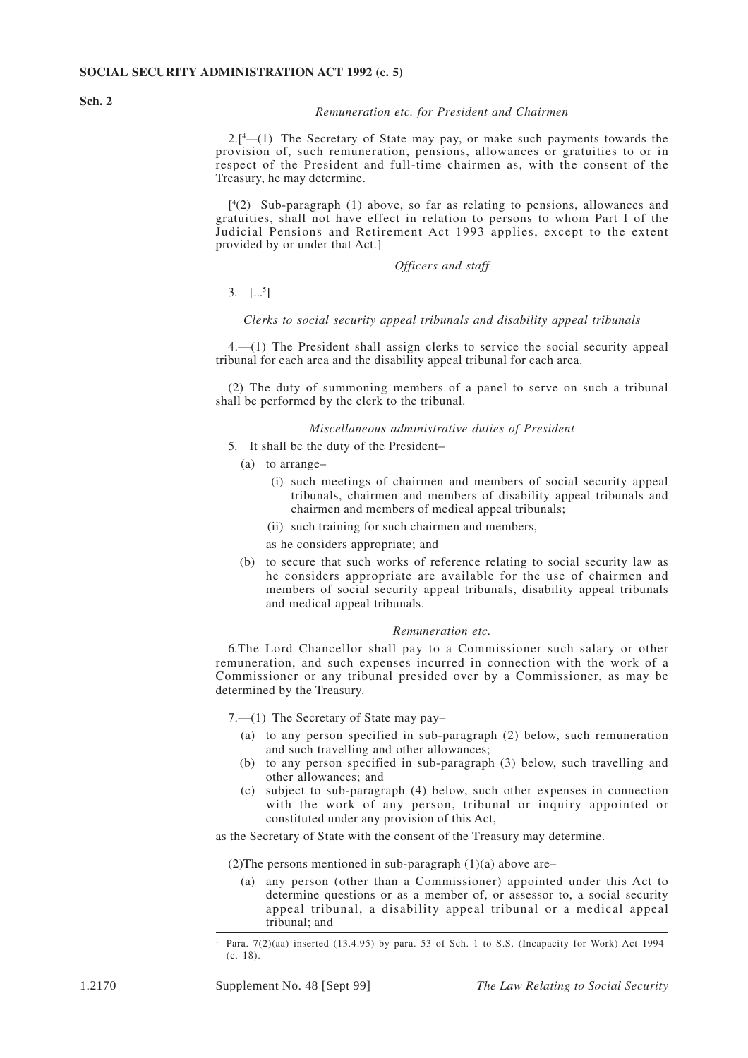**Sch. 2**

#### *Remuneration etc. for President and Chairmen*

2.[4 *—*(1) The Secretary of State may pay, or make such payments towards the provision of, such remuneration, pensions, allowances or gratuities to or in respect of the President and full-time chairmen as, with the consent of the Treasury, he may determine.

[4 (2) Sub-paragraph (1) above, so far as relating to pensions, allowances and gratuities, shall not have effect in relation to persons to whom Part I of the Judicial Pensions and Retirement Act 1993 applies, except to the extent provided by or under that Act.]

#### *Officers and staff*

3.  $[...]$ 

#### *Clerks to social security appeal tribunals and disability appeal tribunals*

4.—(1) The President shall assign clerks to service the social security appeal tribunal for each area and the disability appeal tribunal for each area.

(2) The duty of summoning members of a panel to serve on such a tribunal shall be performed by the clerk to the tribunal.

#### *Miscellaneous administrative duties of President*

- 5. It shall be the duty of the President–
	- (a) to arrange–
		- (i) such meetings of chairmen and members of social security appeal tribunals, chairmen and members of disability appeal tribunals and chairmen and members of medical appeal tribunals;
		- (ii) such training for such chairmen and members,
		- as he considers appropriate; and
	- (b) to secure that such works of reference relating to social security law as he considers appropriate are available for the use of chairmen and members of social security appeal tribunals, disability appeal tribunals and medical appeal tribunals.

#### *Remuneration etc.*

6.The Lord Chancellor shall pay to a Commissioner such salary or other remuneration, and such expenses incurred in connection with the work of a Commissioner or any tribunal presided over by a Commissioner, as may be determined by the Treasury.

7.—(1) The Secretary of State may pay–

- (a) to any person specified in sub-paragraph (2) below, such remuneration and such travelling and other allowances;
- (b) to any person specified in sub-paragraph (3) below, such travelling and other allowances; and
- (c) subject to sub-paragraph (4) below, such other expenses in connection with the work of any person, tribunal or inquiry appointed or constituted under any provision of this Act,

as the Secretary of State with the consent of the Treasury may determine.

(2) The persons mentioned in sub-paragraph  $(1)(a)$  above are–

(a) any person (other than a Commissioner) appointed under this Act to determine questions or as a member of, or assessor to, a social security appeal tribunal, a disability appeal tribunal or a medical appeal tribunal; and

Para.  $7(2)(aa)$  inserted  $(13.4.95)$  by para. 53 of Sch. 1 to S.S. (Incapacity for Work) Act 1994 (c. 18).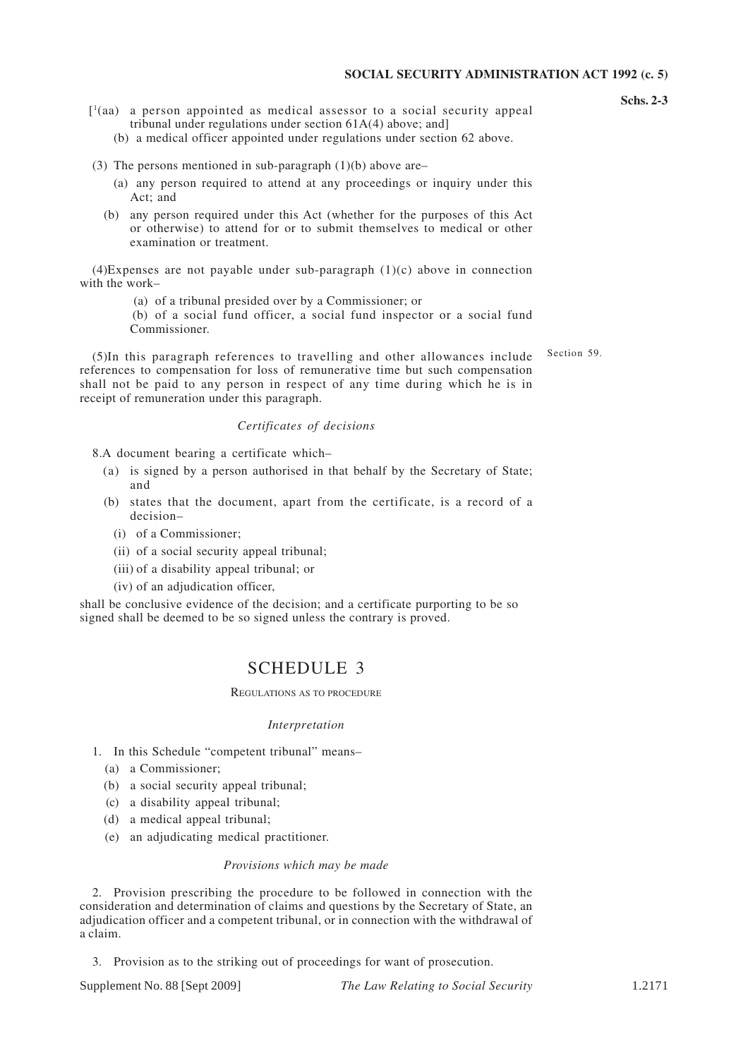- [1 (aa) a person appointed as medical assessor to a social security appeal tribunal under regulations under section 61A(4) above; and]
	- (b) a medical officer appointed under regulations under section 62 above.
- (3) The persons mentioned in sub-paragraph  $(1)(b)$  above are–
	- (a) any person required to attend at any proceedings or inquiry under this Act; and
	- (b) any person required under this Act (whether for the purposes of this Act or otherwise) to attend for or to submit themselves to medical or other examination or treatment.

 $(4)$ Expenses are not payable under sub-paragraph  $(1)(c)$  above in connection with the work–

(a) of a tribunal presided over by a Commissioner; or

(b) of a social fund officer, a social fund inspector or a social fund Commissioner.

(5)In this paragraph references to travelling and other allowances include references to compensation for loss of remunerative time but such compensation shall not be paid to any person in respect of any time during which he is in receipt of remuneration under this paragraph.

## *Certificates of decisions*

8.A document bearing a certificate which–

- (a) is signed by a person authorised in that behalf by the Secretary of State; and
- (b) states that the document, apart from the certificate, is a record of a decision–
	- (i) of a Commissioner;
	- (ii) of a social security appeal tribunal;
	- (iii) of a disability appeal tribunal; or
	- (iv) of an adjudication officer,

shall be conclusive evidence of the decision; and a certificate purporting to be so signed shall be deemed to be so signed unless the contrary is proved.

# SCHEDULE 3

## REGULATIONS AS TO PROCEDURE

## *Interpretation*

- 1. In this Schedule "competent tribunal" means–
	- (a) a Commissioner;
	- (b) a social security appeal tribunal;
	- (c) a disability appeal tribunal;
	- (d) a medical appeal tribunal;
	- (e) an adjudicating medical practitioner.

## *Provisions which may be made*

2. Provision prescribing the procedure to be followed in connection with the consideration and determination of claims and questions by the Secretary of State, an adjudication officer and a competent tribunal, or in connection with the withdrawal of a claim.

3. Provision as to the striking out of proceedings for want of prosecution.

Supplement No. 88 [Sept 2009] The Law Relating to Social Security 1.2171

Section 59.

**Schs. 2-3**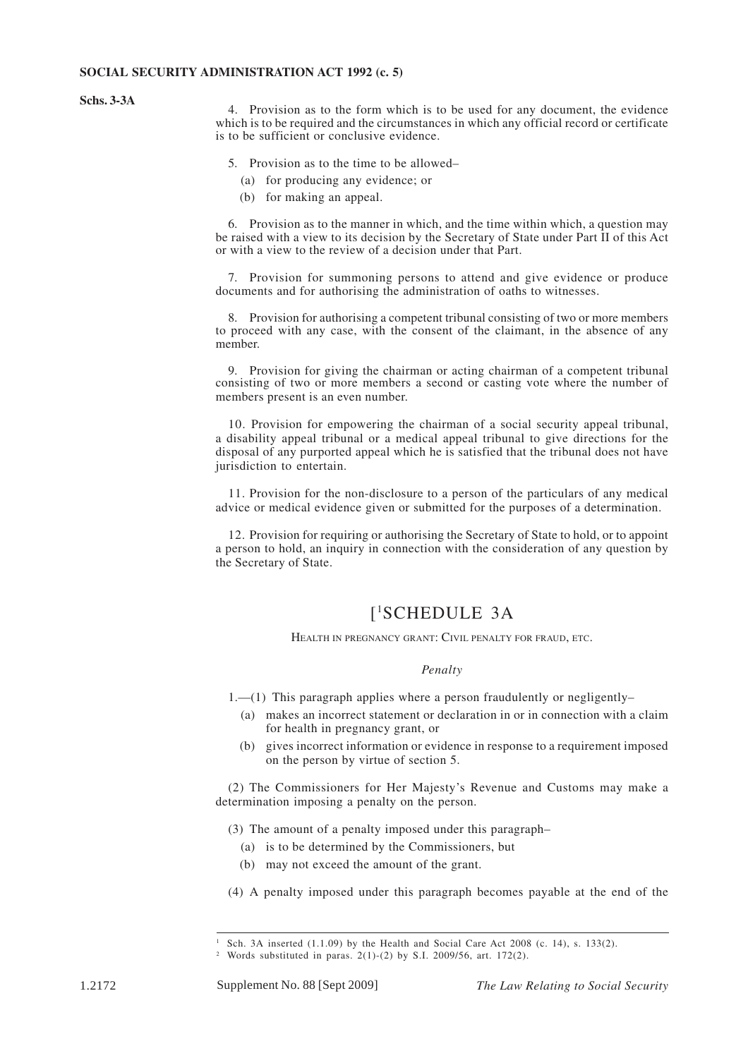#### **Schs. 3-3A**

4. Provision as to the form which is to be used for any document, the evidence which is to be required and the circumstances in which any official record or certificate is to be sufficient or conclusive evidence.

- 5. Provision as to the time to be allowed–
	- (a) for producing any evidence; or
	- (b) for making an appeal.

6. Provision as to the manner in which, and the time within which, a question may be raised with a view to its decision by the Secretary of State under Part II of this Act or with a view to the review of a decision under that Part.

7. Provision for summoning persons to attend and give evidence or produce documents and for authorising the administration of oaths to witnesses.

8. Provision for authorising a competent tribunal consisting of two or more members to proceed with any case, with the consent of the claimant, in the absence of any member.

9. Provision for giving the chairman or acting chairman of a competent tribunal consisting of two or more members a second or casting vote where the number of members present is an even number.

10. Provision for empowering the chairman of a social security appeal tribunal, a disability appeal tribunal or a medical appeal tribunal to give directions for the disposal of any purported appeal which he is satisfied that the tribunal does not have jurisdiction to entertain.

11. Provision for the non-disclosure to a person of the particulars of any medical advice or medical evidence given or submitted for the purposes of a determination.

12. Provision for requiring or authorising the Secretary of State to hold, or to appoint a person to hold, an inquiry in connection with the consideration of any question by the Secretary of State.

# [1SCHEDULE 3A

HEALTH IN PREGNANCY GRANT: CIVIL PENALTY FOR FRAUD, ETC.

#### *Penalty*

1.—(1) This paragraph applies where a person fraudulently or negligently–

- (a) makes an incorrect statement or declaration in or in connection with a claim for health in pregnancy grant, or
- (b) gives incorrect information or evidence in response to a requirement imposed on the person by virtue of section 5.

(2) The Commissioners for Her Majesty's Revenue and Customs may make a determination imposing a penalty on the person.

- (3) The amount of a penalty imposed under this paragraph–
	- (a) is to be determined by the Commissioners, but
	- (b) may not exceed the amount of the grant.

(4) A penalty imposed under this paragraph becomes payable at the end of the

<sup>&</sup>lt;sup>1</sup> Sch. 3A inserted  $(1.1.09)$  by the Health and Social Care Act 2008 (c. 14), s. 133(2).

<sup>&</sup>lt;sup>2</sup> Words substituted in paras.  $2(1)-(2)$  by S.I. 2009/56, art. 172(2).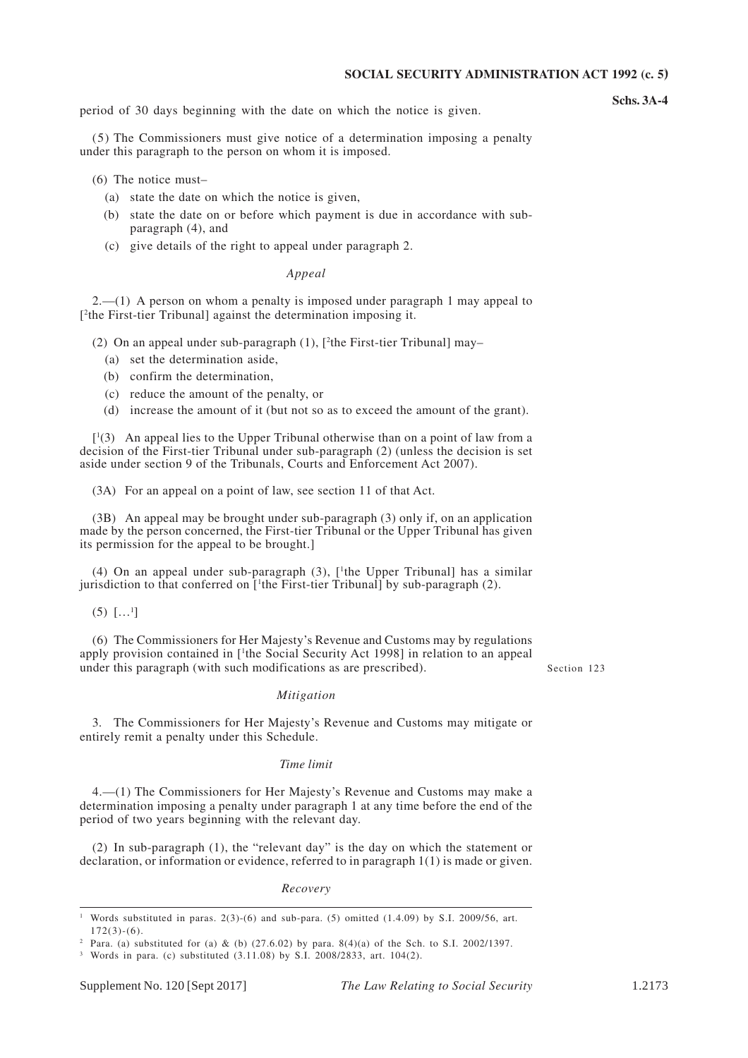**Schs. 3A-4**

period of 30 days beginning with the date on which the notice is given.

(5) The Commissioners must give notice of a determination imposing a penalty under this paragraph to the person on whom it is imposed.

(6) The notice must–

- (a) state the date on which the notice is given,
- (b) state the date on or before which payment is due in accordance with subparagraph (4), and
- (c) give details of the right to appeal under paragraph 2.

#### *Appeal*

 $2-(1)$  A person on whom a penalty is imposed under paragraph 1 may appeal to [2 the First-tier Tribunal] against the determination imposing it.

(2) On an appeal under sub-paragraph  $(1)$ , [<sup>2</sup>the First-tier Tribunal] may-

- (a) set the determination aside,
- (b) confirm the determination,
- (c) reduce the amount of the penalty, or
- (d) increase the amount of it (but not so as to exceed the amount of the grant).

 $[1(3)$  An appeal lies to the Upper Tribunal otherwise than on a point of law from a decision of the First-tier Tribunal under sub-paragraph (2) (unless the decision is set aside under section 9 of the Tribunals, Courts and Enforcement Act 2007).

(3A) For an appeal on a point of law, see section 11 of that Act.

(3B) An appeal may be brought under sub-paragraph (3) only if, on an application made by the person concerned, the First-tier Tribunal or the Upper Tribunal has given its permission for the appeal to be brought.]

(4) On an appeal under sub-paragraph (3), [<sup>1</sup>the Upper Tribunal] has a similar jurisdiction to that conferred on [<sup>1</sup>the First-tier Tribunal] by sub-paragraph (2).

 $(5)$   $[...^1]$ 

(6) The Commissioners for Her Majesty's Revenue and Customs may by regulations apply provision contained in [<sup>1</sup>the Social Security Act 1998] in relation to an appeal under this paragraph (with such modifications as are prescribed).

Section 123

#### *Mitigation*

3. The Commissioners for Her Majesty's Revenue and Customs may mitigate or entirely remit a penalty under this Schedule.

## *Time limit*

4.—(1) The Commissioners for Her Majesty's Revenue and Customs may make a determination imposing a penalty under paragraph 1 at any time before the end of the period of two years beginning with the relevant day.

(2) In sub-paragraph (1), the "relevant day" is the day on which the statement or declaration, or information or evidence, referred to in paragraph 1(1) is made or given.

*Recovery*

Words substituted in paras.  $2(3)-(6)$  and sub-para. (5) omitted  $(1.4.09)$  by S.I. 2009/56, art.  $172(3)-(6)$ .

<sup>&</sup>lt;sup>2</sup> Para. (a) substituted for (a) & (b) (27.6.02) by para.  $8(4)(a)$  of the Sch. to S.I. 2002/1397.

<sup>3</sup> Words in para. (c) substituted (3.11.08) by S.I. 2008/2833, art. 104(2).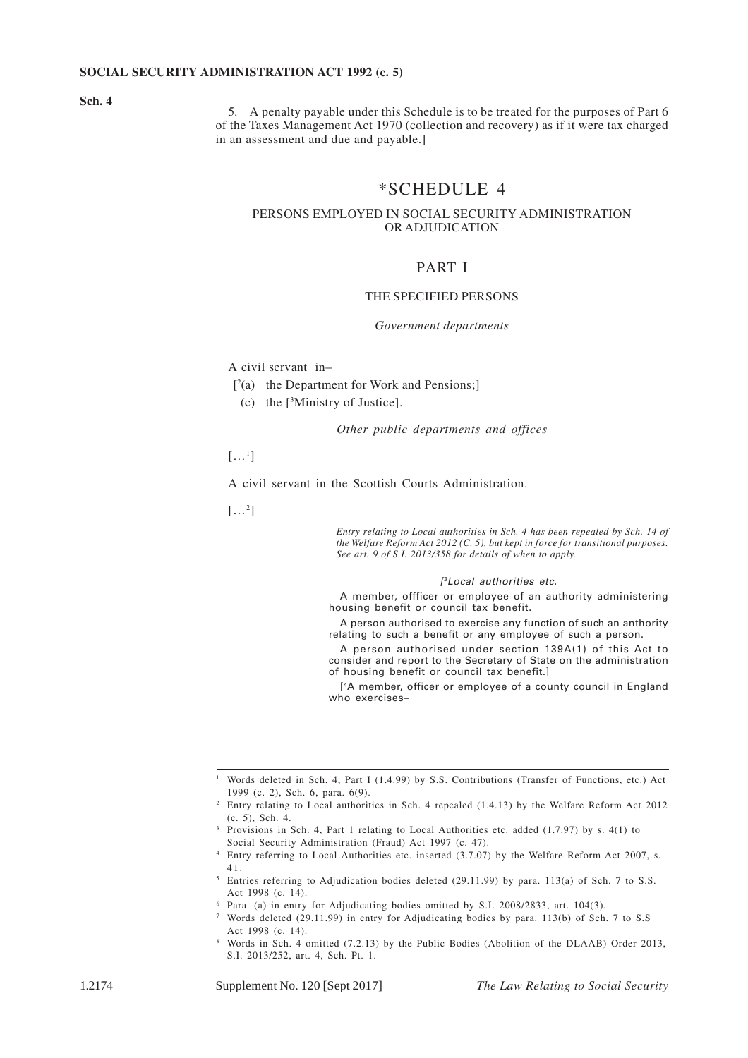**Sch. 4**

5. A penalty payable under this Schedule is to be treated for the purposes of Part 6 of the Taxes Management Act 1970 (collection and recovery) as if it were tax charged in an assessment and due and payable.]

# \*SCHEDULE 4

## PERSONS EMPLOYED IN SOCIAL SECURITY ADMINISTRATION OR ADJUDICATION

## PART I

## THE SPECIFIED PERSONS

#### *Government departments*

A civil servant in–

- [2 (a) the Department for Work and Pensions;]
- (c) the [3 Ministry of Justice].

#### *Other public departments and offices*

 $[\dots^1]$ 

A civil servant in the Scottish Courts Administration.

 $\left[ \ldots^2 \right]$ 

*Entry relating to Local authorities in Sch. 4 has been repealed by Sch. 14 of the Welfare Reform Act 2012 (C. 5), but kept in force for transitional purposes. See art. 9 of S.I. 2013/358 for details of when to apply.*

#### [ <sup>3</sup> Local authorities etc.

A member, offficer or employee of an authority administering housing benefit or council tax benefit.

A person authorised to exercise any function of such an anthority relating to such a benefit or any employee of such a person.

A person authorised under section 139A(1) of this Act to consider and report to the Secretary of State on the administration of housing benefit or council tax benefit.]

[4A member, officer or employee of a county council in England who exercises–

Words deleted in Sch. 4, Part I (1.4.99) by S.S. Contributions (Transfer of Functions, etc.) Act 1999 (c. 2), Sch. 6, para. 6(9).

<sup>2</sup> Entry relating to Local authorities in Sch. 4 repealed (1.4.13) by the Welfare Reform Act 2012 (c. 5), Sch. 4.

<sup>&</sup>lt;sup>3</sup> Provisions in Sch. 4, Part 1 relating to Local Authorities etc. added (1.7.97) by s. 4(1) to Social Security Administration (Fraud) Act 1997 (c. 47).

<sup>4</sup> Entry referring to Local Authorities etc. inserted (3.7.07) by the Welfare Reform Act 2007, s. 41.

<sup>5</sup> Entries referring to Adjudication bodies deleted (29.11.99) by para. 113(a) of Sch. 7 to S.S. Act 1998 (c. 14).

<sup>6</sup> Para. (a) in entry for Adjudicating bodies omitted by S.I. 2008/2833, art. 104(3).

<sup>7</sup> Words deleted (29.11.99) in entry for Adjudicating bodies by para. 113(b) of Sch. 7 to S.S Act 1998 (c. 14).

<sup>8</sup> Words in Sch. 4 omitted (7.2.13) by the Public Bodies (Abolition of the DLAAB) Order 2013, S.I. 2013/252, art. 4, Sch. Pt. 1.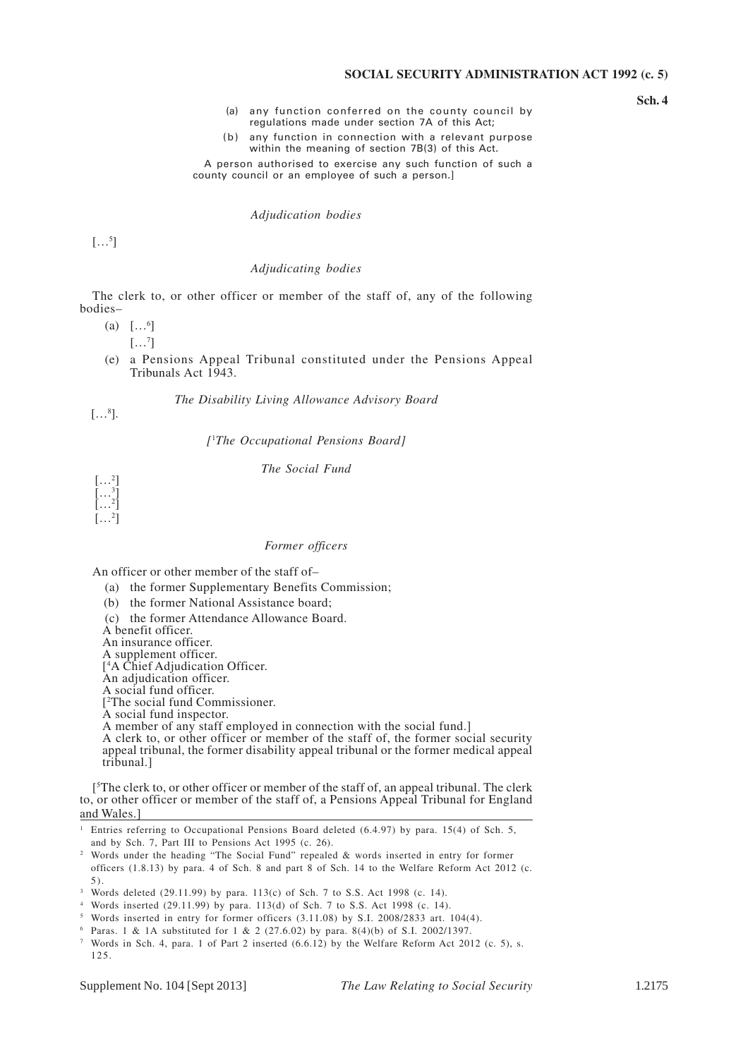**Sch. 4**

- (a) any function conferred on the county council by regulations made under section 7A of this Act;
- (b) any function in connection with a relevant purpose within the meaning of section 7B(3) of this Act.

A person authorised to exercise any such function of such a county council or an employee of such a person.]

## *Adjudication bodies*

 $[\dots^5]$ 

## *Adjudicating bodies*

The clerk to, or other officer or member of the staff of, any of the following bodies–

(a) […6 ]

 $[\dots^7]$ 

(e) a Pensions Appeal Tribunal constituted under the Pensions Appeal Tribunals Act 1943.

*The Disability Living Allowance Advisory Board*

 $[\dots^8]$ .

#### *[*1 *The Occupational Pensions Board]*

*The Social Fund*



### *Former officers*

An officer or other member of the staff of–

(a) the former Supplementary Benefits Commission;

(b) the former National Assistance board;

(c) the former Attendance Allowance Board.

A benefit officer.

An insurance officer.

A supplement officer.

[4 A Chief Adjudication Officer. An adjudication officer.

A social fund officer.

[2 The social fund Commissioner.

A social fund inspector.

A member of any staff employed in connection with the social fund.]

A clerk to, or other officer or member of the staff of, the former social security appeal tribunal, the former disability appeal tribunal or the former medical appeal tribunal.]

[<sup>5</sup>The clerk to, or other officer or member of the staff of, an appeal tribunal. The clerk to, or other officer or member of the staff of, a Pensions Appeal Tribunal for England and Wales.]

- <sup>2</sup> Words under the heading "The Social Fund" repealed & words inserted in entry for former officers (1.8.13) by para. 4 of Sch. 8 and part 8 of Sch. 14 to the Welfare Reform Act 2012 (c. 5).
- <sup>3</sup> Words deleted (29.11.99) by para. 113(c) of Sch. 7 to S.S. Act 1998 (c. 14).

<sup>4</sup> Words inserted (29.11.99) by para. 113(d) of Sch. 7 to S.S. Act 1998 (c. 14).

- <sup>5</sup> Words inserted in entry for former officers (3.11.08) by S.I. 2008/2833 art. 104(4).
- <sup>6</sup> Paras. 1 & 1A substituted for 1 & 2 (27.6.02) by para. 8(4)(b) of S.I. 2002/1397.
- Words in Sch. 4, para. 1 of Part 2 inserted (6.6.12) by the Welfare Reform Act 2012 (c. 5), s. 125.

<sup>&</sup>lt;sup>1</sup> Entries referring to Occupational Pensions Board deleted (6.4.97) by para. 15(4) of Sch. 5, and by Sch. 7, Part III to Pensions Act 1995 (c. 26).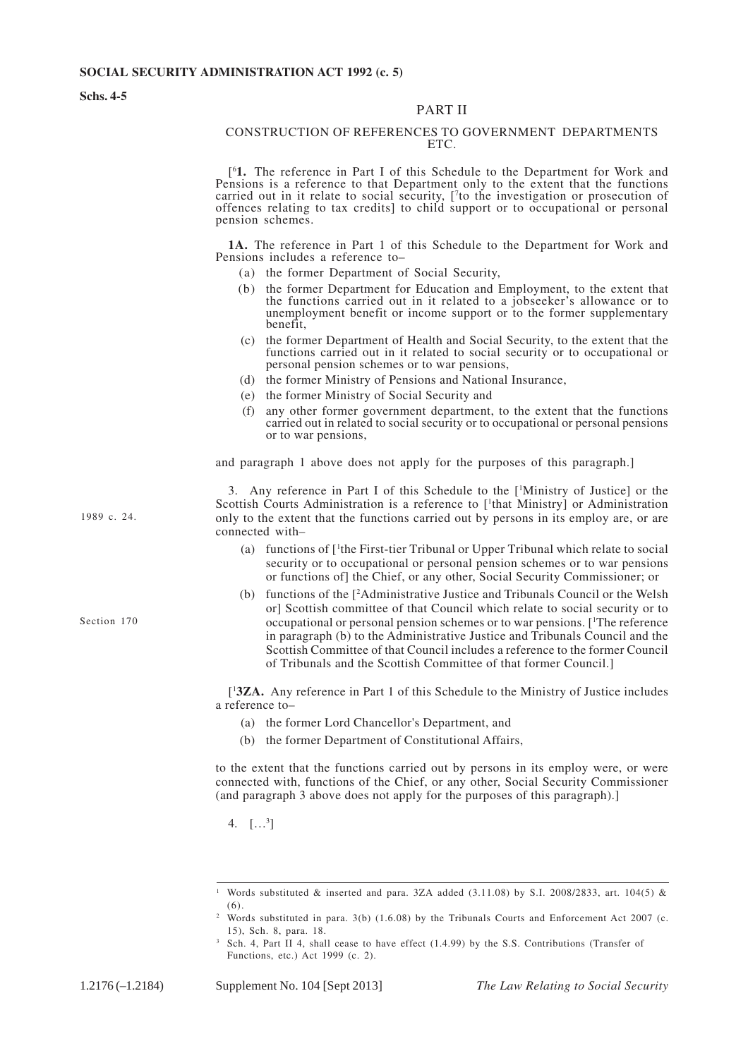**Schs. 4-5**

#### PART II

## CONSTRUCTION OF REFERENCES TO GOVERNMENT DEPARTMENTS ETC.

Section 170 1989 c. 24. [6 **1.** The reference in Part I of this Schedule to the Department for Work and Pensions is a reference to that Department only to the extent that the functions carried out in it relate to social security, [7 to the investigation or prosecution of offences relating to tax credits] to child support or to occupational or personal pension schemes. **1A.** The reference in Part 1 of this Schedule to the Department for Work and Pensions includes a reference to– (a) the former Department of Social Security, (b) the former Department for Education and Employment, to the extent that the functions carried out in it related to a jobseeker's allowance or to unemployment benefit or income support or to the former supplementary benefit, (c) the former Department of Health and Social Security, to the extent that the functions carried out in it related to social security or to occupational or personal pension schemes or to war pensions, (d) the former Ministry of Pensions and National Insurance, (e) the former Ministry of Social Security and (f) any other former government department, to the extent that the functions carried out in related to social security or to occupational or personal pensions or to war pensions, and paragraph 1 above does not apply for the purposes of this paragraph.] 3. Any reference in Part I of this Schedule to the [1 Ministry of Justice] or the Scottish Courts Administration is a reference to [<sup>1</sup>that Ministry] or Administration only to the extent that the functions carried out by persons in its employ are, or are connected with– (a) functions of [<sup>1</sup>the First-tier Tribunal or Upper Tribunal which relate to social security or to occupational or personal pension schemes or to war pensions or functions of] the Chief, or any other, Social Security Commissioner; or (b) functions of the [2 Administrative Justice and Tribunals Council or the Welsh or] Scottish committee of that Council which relate to social security or to occupational or personal pension schemes or to war pensions. [<sup>1</sup>The reference in paragraph (b) to the Administrative Justice and Tribunals Council and the Scottish Committee of that Council includes a reference to the former Council of Tribunals and the Scottish Committee of that former Council.] [<sup>1</sup>3ZA. Any reference in Part 1 of this Schedule to the Ministry of Justice includes a reference to– (a) the former Lord Chancellor's Department, and (b) the former Department of Constitutional Affairs, to the extent that the functions carried out by persons in its employ were, or were connected with, functions of the Chief, or any other, Social Security Commissioner (and paragraph 3 above does not apply for the purposes of this paragraph).] 4. […3 ]

Words substituted & inserted and para. 3ZA added (3.11.08) by S.I. 2008/2833, art. 104(5) & (6).

Words substituted in para. 3(b) (1.6.08) by the Tribunals Courts and Enforcement Act 2007 (c. 15), Sch. 8, para. 18.

<sup>&</sup>lt;sup>3</sup> Sch. 4, Part II 4, shall cease to have effect (1.4.99) by the S.S. Contributions (Transfer of Functions, etc.) Act 1999 (c. 2).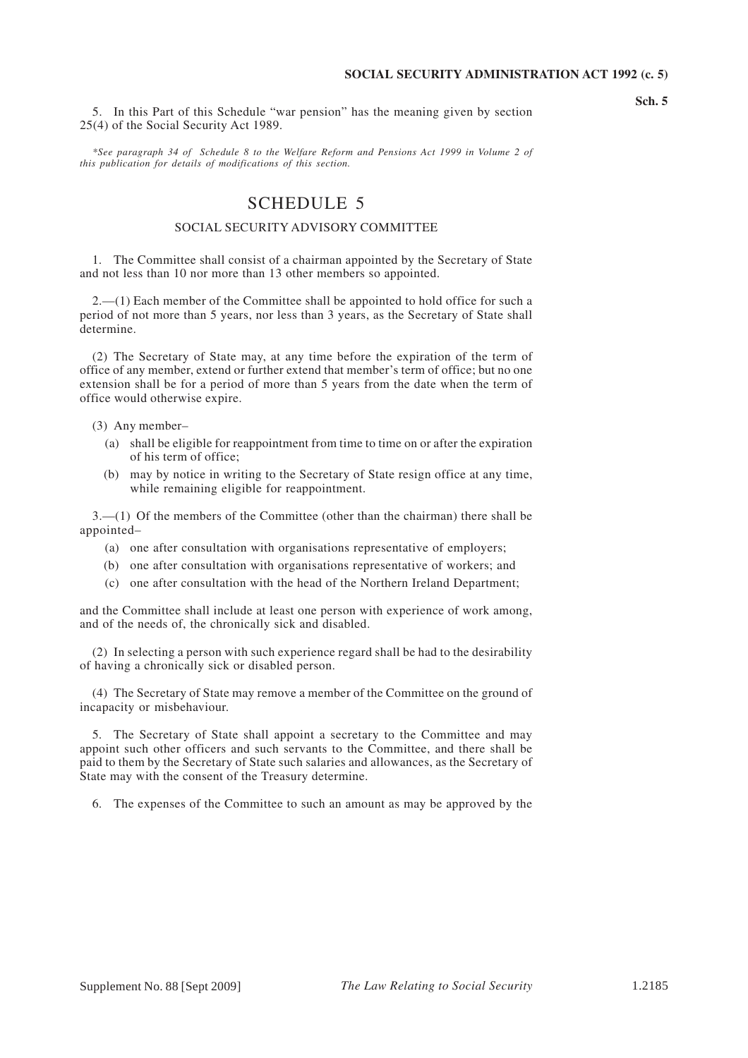5. In this Part of this Schedule "war pension" has the meaning given by section 25(4) of the Social Security Act 1989.

*\*See paragraph 34 of Schedule 8 to the Welfare Reform and Pensions Act 1999 in Volume 2 of this publication for details of modifications of this section.*

# SCHEDULE 5

## SOCIAL SECURITY ADVISORY COMMITTEE

1. The Committee shall consist of a chairman appointed by the Secretary of State and not less than 10 nor more than 13 other members so appointed.

2.—(1) Each member of the Committee shall be appointed to hold office for such a period of not more than 5 years, nor less than 3 years, as the Secretary of State shall determine.

(2) The Secretary of State may, at any time before the expiration of the term of office of any member, extend or further extend that member's term of office; but no one extension shall be for a period of more than 5 years from the date when the term of office would otherwise expire.

(3) Any member–

- (a) shall be eligible for reappointment from time to time on or after the expiration of his term of office;
- (b) may by notice in writing to the Secretary of State resign office at any time, while remaining eligible for reappointment.

3.—(1) Of the members of the Committee (other than the chairman) there shall be appointed–

- (a) one after consultation with organisations representative of employers;
- (b) one after consultation with organisations representative of workers; and
- (c) one after consultation with the head of the Northern Ireland Department;

and the Committee shall include at least one person with experience of work among, and of the needs of, the chronically sick and disabled.

(2) In selecting a person with such experience regard shall be had to the desirability of having a chronically sick or disabled person.

(4) The Secretary of State may remove a member of the Committee on the ground of incapacity or misbehaviour.

5. The Secretary of State shall appoint a secretary to the Committee and may appoint such other officers and such servants to the Committee, and there shall be paid to them by the Secretary of State such salaries and allowances, as the Secretary of State may with the consent of the Treasury determine.

6. The expenses of the Committee to such an amount as may be approved by the

**Sch. 5**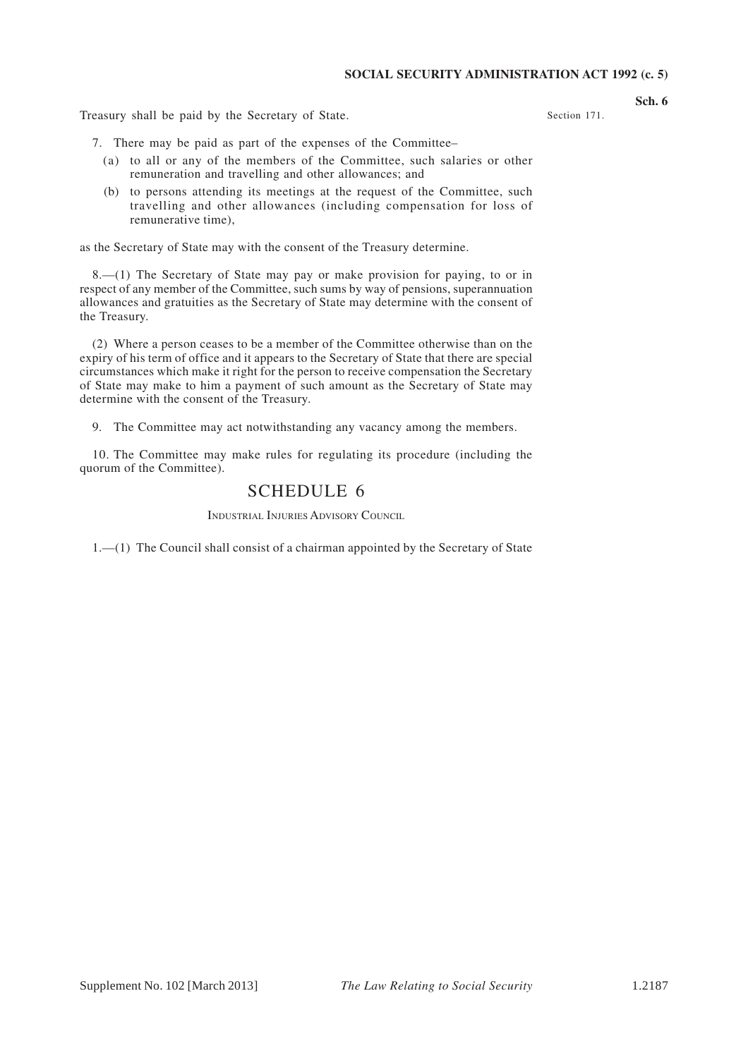Treasury shall be paid by the Secretary of State. Section 171.

- 7. There may be paid as part of the expenses of the Committee–
	- (a) to all or any of the members of the Committee, such salaries or other remuneration and travelling and other allowances; and
	- (b) to persons attending its meetings at the request of the Committee, such travelling and other allowances (including compensation for loss of remunerative time),

as the Secretary of State may with the consent of the Treasury determine.

8.—(1) The Secretary of State may pay or make provision for paying, to or in respect of any member of the Committee, such sums by way of pensions, superannuation allowances and gratuities as the Secretary of State may determine with the consent of the Treasury.

(2) Where a person ceases to be a member of the Committee otherwise than on the expiry of his term of office and it appears to the Secretary of State that there are special circumstances which make it right for the person to receive compensation the Secretary of State may make to him a payment of such amount as the Secretary of State may determine with the consent of the Treasury.

9. The Committee may act notwithstanding any vacancy among the members.

10. The Committee may make rules for regulating its procedure (including the quorum of the Committee).

# SCHEDULE 6

INDUSTRIAL INJURIES ADVISORY COUNCIL

1.—(1) The Council shall consist of a chairman appointed by the Secretary of State

**Sch. 6**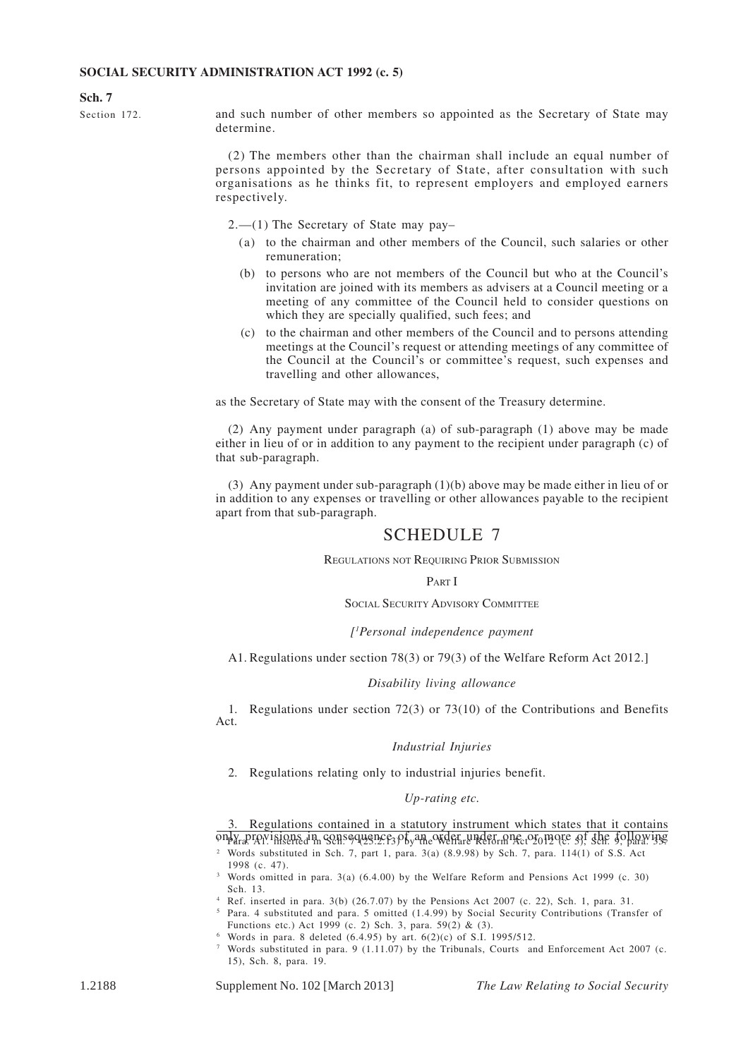## **Sch. 7**

Section 172.

and such number of other members so appointed as the Secretary of State may determine.

(2) The members other than the chairman shall include an equal number of persons appointed by the Secretary of State, after consultation with such organisations as he thinks fit, to represent employers and employed earners respectively.

2.—(1) The Secretary of State may pay–

- (a) to the chairman and other members of the Council, such salaries or other remuneration;
- (b) to persons who are not members of the Council but who at the Council's invitation are joined with its members as advisers at a Council meeting or a meeting of any committee of the Council held to consider questions on which they are specially qualified, such fees; and
- (c) to the chairman and other members of the Council and to persons attending meetings at the Council's request or attending meetings of any committee of the Council at the Council's or committee's request, such expenses and travelling and other allowances,

as the Secretary of State may with the consent of the Treasury determine.

(2) Any payment under paragraph (a) of sub-paragraph (1) above may be made either in lieu of or in addition to any payment to the recipient under paragraph (c) of that sub-paragraph.

(3) Any payment under sub-paragraph (1)(b) above may be made either in lieu of or in addition to any expenses or travelling or other allowances payable to the recipient apart from that sub-paragraph.

## SCHEDULE 7

REGULATIONS NOT REQUIRING PRIOR SUBMISSION

#### PART I

SOCIAL SECURITY ADVISORY COMMITTEE

#### *[1 Personal independence payment*

### A1. Regulations under section 78(3) or 79(3) of the Welfare Reform Act 2012.]

### *Disability living allowance*

1. Regulations under section 72(3) or 73(10) of the Contributions and Benefits Act.

#### *Industrial Injuries*

2. Regulations relating only to industrial injuries benefit.

### *Up-rating etc.*

 $\overline{p}$  provisions in consequence of an order under one or more of the following  $\overline{p}$  are  $\overline{p}$ .  $\overline{p}$  are  $\overline{p}$  is the following 3. Regulations contained in a statutory instrument which states that it contains

- <sup>2</sup> Words substituted in Sch. 7, part 1, para. 3(a)  $(8.9.98)$  by Sch. 7, para. 114(1) of S.S. Act 1998 (c. 47).
- <sup>3</sup> Words omitted in para. 3(a) (6.4.00) by the Welfare Reform and Pensions Act 1999 (c. 30) Sch. 13.
- <sup>4</sup> Ref. inserted in para. 3(b)  $(26.7.07)$  by the Pensions Act 2007 (c. 22), Sch. 1, para. 31.
- <sup>5</sup> Para. 4 substituted and para. 5 omitted (1.4.99) by Social Security Contributions (Transfer of Functions etc.) Act 1999 (c. 2) Sch. 3, para. 59(2) & (3).
- <sup>6</sup> Words in para. 8 deleted  $(6.4.95)$  by art.  $6(2)(c)$  of S.I. 1995/512.
- <sup>7</sup> Words substituted in para. 9 (1.11.07) by the Tribunals, Courts and Enforcement Act 2007 (c. 15), Sch. 8, para. 19.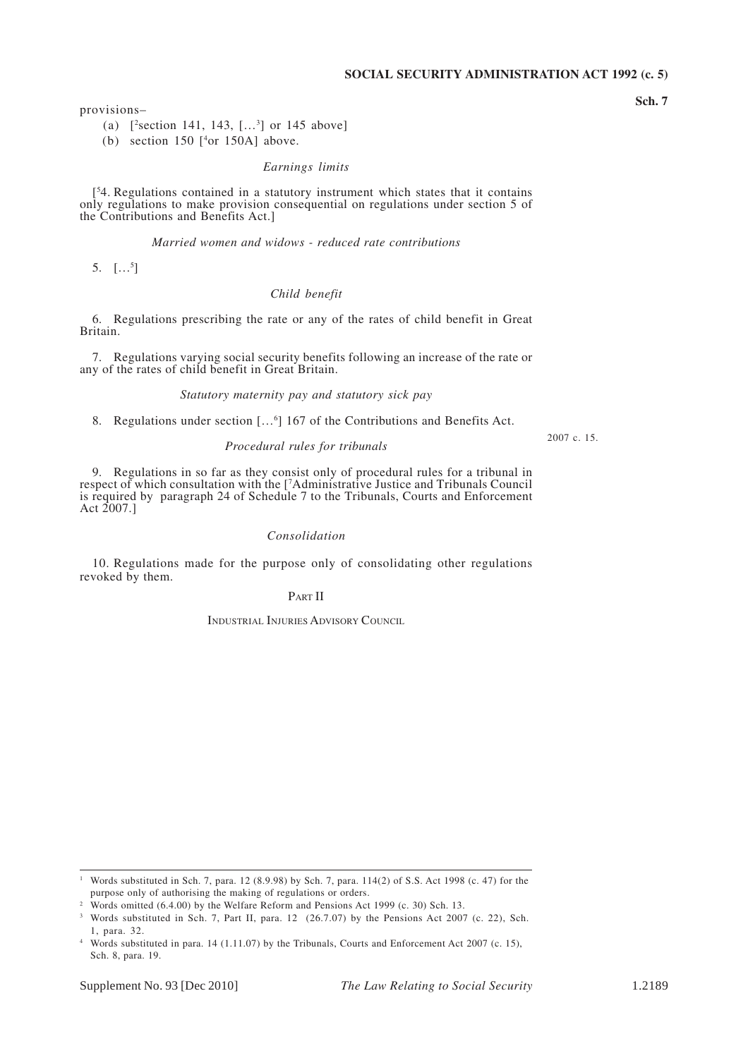2007 c. 15.

provisions–

- (a)  $[{}^{2}$ section 141, 143,  $[...]$  or 145 above]
- (b) section  $150$  [<sup>4</sup>or  $150A$ ] above.

#### *Earnings limits*

[<sup>5</sup>4. Regulations contained in a statutory instrument which states that it contains only regulations to make provision consequential on regulations under section 5 of the Contributions and Benefits Act.]

*Married women and widows - reduced rate contributions*

5.  $[...]$ 

### *Child benefit*

6. Regulations prescribing the rate or any of the rates of child benefit in Great Britain.

7. Regulations varying social security benefits following an increase of the rate or any of the rates of child benefit in Great Britain.

## *Statutory maternity pay and statutory sick pay*

8. Regulations under section […6 ] 167 of the Contributions and Benefits Act.

## *Procedural rules for tribunals*

9. Regulations in so far as they consist only of procedural rules for a tribunal in respect of which consultation with the [7 Administrative Justice and Tribunals Council is required by paragraph 24 of Schedule 7 to the Tribunals, Courts and Enforcement Act 2007.]

#### *Consolidation*

10. Regulations made for the purpose only of consolidating other regulations revoked by them.

## PART II

INDUSTRIAL INJURIES ADVISORY COUNCIL

**Sch. 7**

<sup>&</sup>lt;sup>1</sup> Words substituted in Sch. 7, para. 12 (8.9.98) by Sch. 7, para. 114(2) of S.S. Act 1998 (c. 47) for the purpose only of authorising the making of regulations or orders.

<sup>&</sup>lt;sup>2</sup> Words omitted (6.4.00) by the Welfare Reform and Pensions Act 1999 (c. 30) Sch. 13.

<sup>3</sup> Words substituted in Sch. 7, Part II, para. 12 (26.7.07) by the Pensions Act 2007 (c. 22), Sch. 1, para. 32.

Words substituted in para. 14 (1.11.07) by the Tribunals, Courts and Enforcement Act 2007 (c. 15), Sch. 8, para. 19.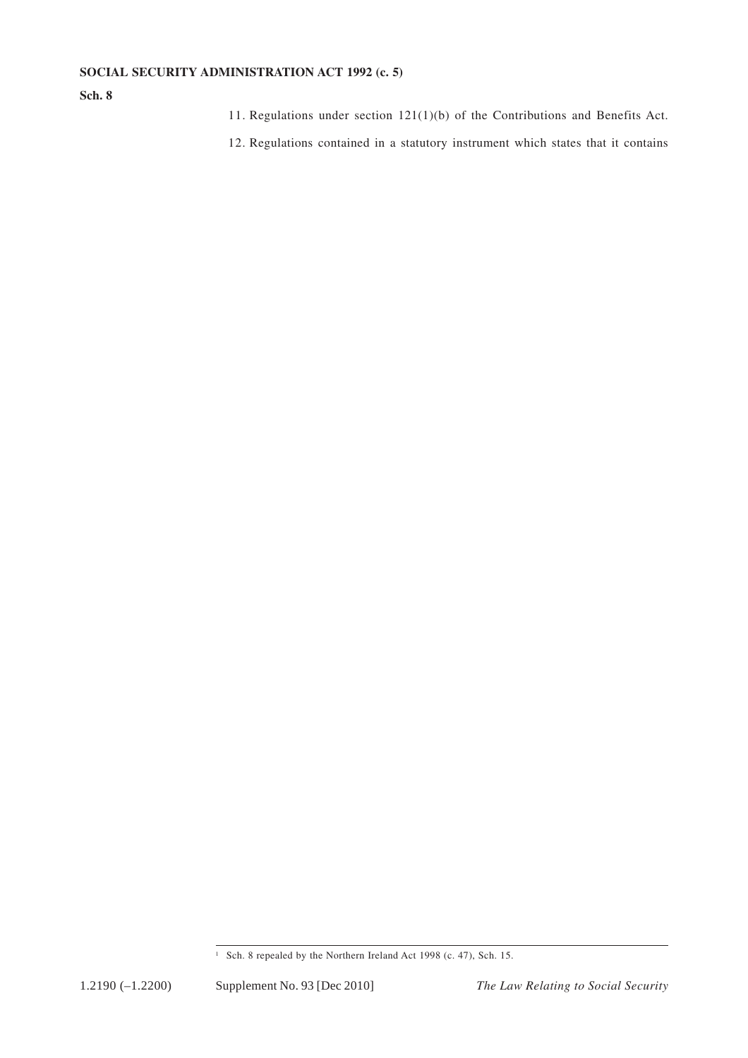**Sch. 8**

- 11. Regulations under section 121(1)(b) of the Contributions and Benefits Act.
- 12. Regulations contained in a statutory instrument which states that it contains

<sup>&</sup>lt;sup>1</sup> Sch. 8 repealed by the Northern Ireland Act 1998 (c. 47), Sch. 15.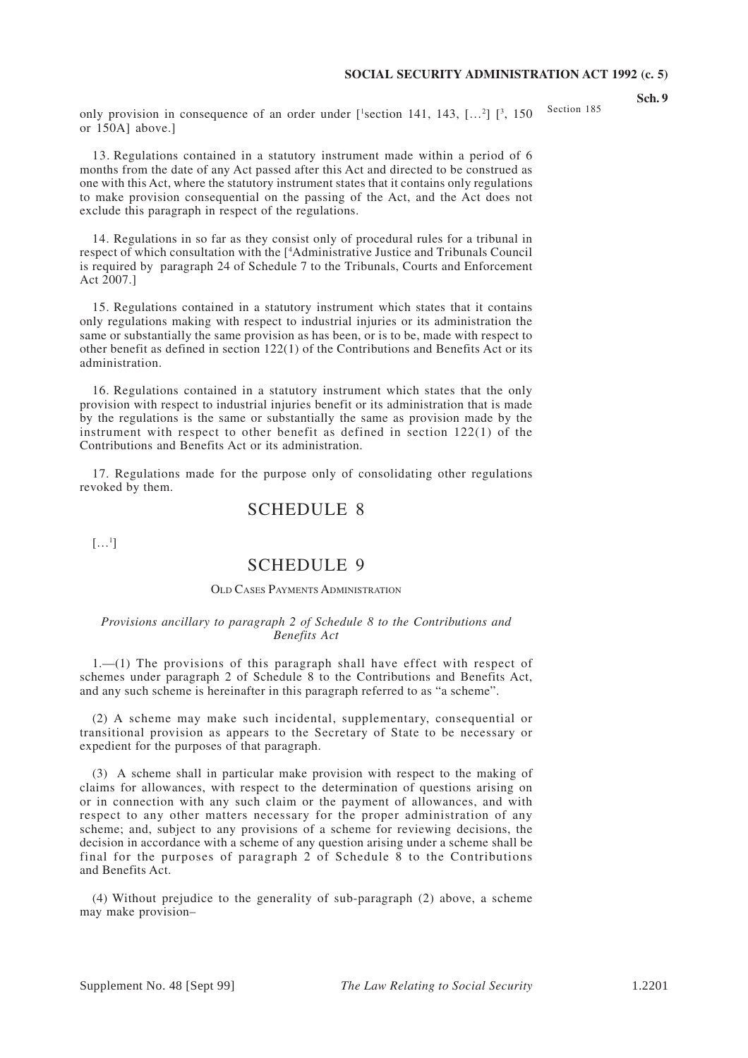only provision in consequence of an order under  $[{}$ <sup>1</sup>section 141, 143,  $[...]$   $[$ <sup>3</sup>, 150  $\frac{$  Section 185 or  $150$ Al above.

**Sch. 9**

13. Regulations contained in a statutory instrument made within a period of 6 months from the date of any Act passed after this Act and directed to be construed as one with this Act, where the statutory instrument states that it contains only regulations to make provision consequential on the passing of the Act, and the Act does not exclude this paragraph in respect of the regulations.

14. Regulations in so far as they consist only of procedural rules for a tribunal in respect of which consultation with the [4 Administrative Justice and Tribunals Council is required by paragraph 24 of Schedule 7 to the Tribunals, Courts and Enforcement Act 2007.]

15. Regulations contained in a statutory instrument which states that it contains only regulations making with respect to industrial injuries or its administration the same or substantially the same provision as has been, or is to be, made with respect to other benefit as defined in section  $122(1)$  of the Contributions and Benefits Act or its administration.

16. Regulations contained in a statutory instrument which states that the only provision with respect to industrial injuries benefit or its administration that is made by the regulations is the same or substantially the same as provision made by the instrument with respect to other benefit as defined in section 122(1) of the Contributions and Benefits Act or its administration.

17. Regulations made for the purpose only of consolidating other regulations revoked by them.

## SCHEDULE 8

 $[\dots^1]$ 

## SCHEDULE 9

## OLD CASES PAYMENTS ADMINISTRATION

### *Provisions ancillary to paragraph 2 of Schedule 8 to the Contributions and Benefits Act*

1.—(1) The provisions of this paragraph shall have effect with respect of schemes under paragraph 2 of Schedule 8 to the Contributions and Benefits Act, and any such scheme is hereinafter in this paragraph referred to as "a scheme".

(2) A scheme may make such incidental, supplementary, consequential or transitional provision as appears to the Secretary of State to be necessary or expedient for the purposes of that paragraph.

(3) A scheme shall in particular make provision with respect to the making of claims for allowances, with respect to the determination of questions arising on or in connection with any such claim or the payment of allowances, and with respect to any other matters necessary for the proper administration of any scheme; and, subject to any provisions of a scheme for reviewing decisions, the decision in accordance with a scheme of any question arising under a scheme shall be final for the purposes of paragraph 2 of Schedule 8 to the Contributions and Benefits Act.

(4) Without prejudice to the generality of sub-paragraph (2) above, a scheme may make provision–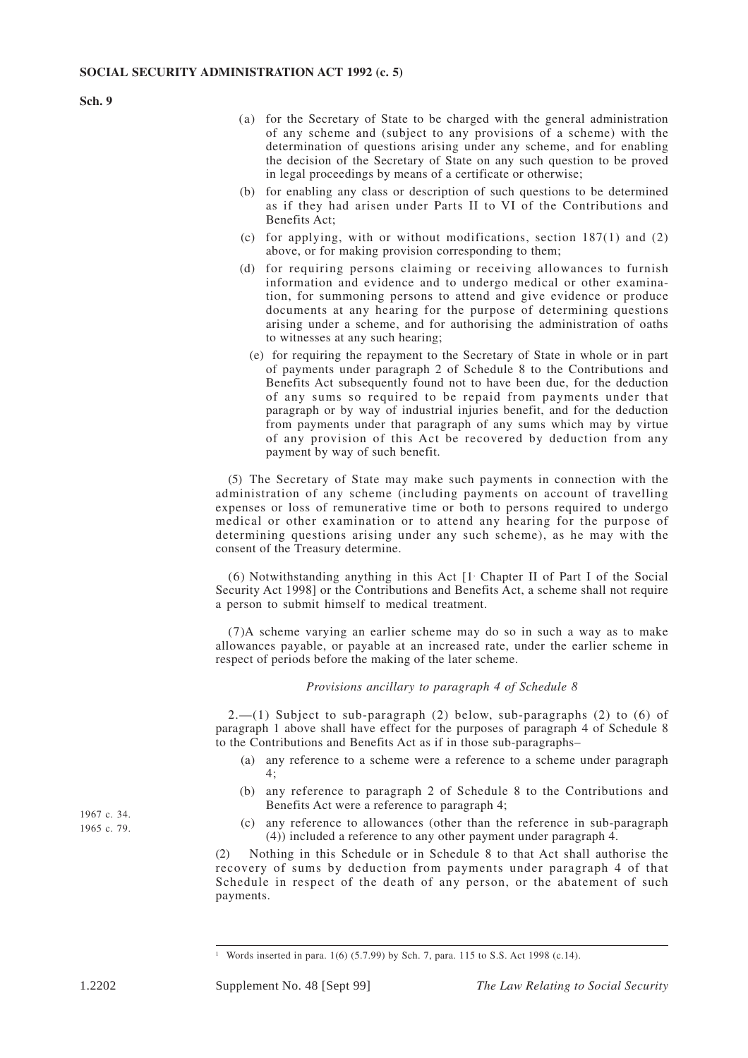- (a) for the Secretary of State to be charged with the general administration of any scheme and (subject to any provisions of a scheme) with the determination of questions arising under any scheme, and for enabling the decision of the Secretary of State on any such question to be proved in legal proceedings by means of a certificate or otherwise;
- (b) for enabling any class or description of such questions to be determined as if they had arisen under Parts II to VI of the Contributions and Benefits Act;
- (c) for applying, with or without modifications, section 187(1) and (2) above, or for making provision corresponding to them;
- (d) for requiring persons claiming or receiving allowances to furnish information and evidence and to undergo medical or other examination, for summoning persons to attend and give evidence or produce documents at any hearing for the purpose of determining questions arising under a scheme, and for authorising the administration of oaths to witnesses at any such hearing;
	- (e) for requiring the repayment to the Secretary of State in whole or in part of payments under paragraph 2 of Schedule 8 to the Contributions and Benefits Act subsequently found not to have been due, for the deduction of any sums so required to be repaid from payments under that paragraph or by way of industrial injuries benefit, and for the deduction from payments under that paragraph of any sums which may by virtue of any provision of this Act be recovered by deduction from any payment by way of such benefit.

(5) The Secretary of State may make such payments in connection with the administration of any scheme (including payments on account of travelling expenses or loss of remunerative time or both to persons required to undergo medical or other examination or to attend any hearing for the purpose of determining questions arising under any such scheme), as he may with the consent of the Treasury determine.

(6) Notwithstanding anything in this Act  $[1 \cdot \text{Chapter II of Part I of the Social}]$ Security Act 1998] or the Contributions and Benefits Act, a scheme shall not require a person to submit himself to medical treatment.

(7)A scheme varying an earlier scheme may do so in such a way as to make allowances payable, or payable at an increased rate, under the earlier scheme in respect of periods before the making of the later scheme.

### *Provisions ancillary to paragraph 4 of Schedule 8*

 $2.-(1)$  Subject to sub-paragraph (2) below, sub-paragraphs (2) to (6) of paragraph 1 above shall have effect for the purposes of paragraph 4 of Schedule 8 to the Contributions and Benefits Act as if in those sub-paragraphs–

- (a) any reference to a scheme were a reference to a scheme under paragraph 4;
- (b) any reference to paragraph 2 of Schedule 8 to the Contributions and Benefits Act were a reference to paragraph 4;
- (c) any reference to allowances (other than the reference in sub-paragraph (4)) included a reference to any other payment under paragraph 4.

(2) Nothing in this Schedule or in Schedule 8 to that Act shall authorise the recovery of sums by deduction from payments under paragraph 4 of that Schedule in respect of the death of any person, or the abatement of such payments.

1967 c. 34. 1965 c. 79.

<sup>&</sup>lt;sup>1</sup> Words inserted in para. 1(6) (5.7.99) by Sch. 7, para. 115 to S.S. Act 1998 (c.14).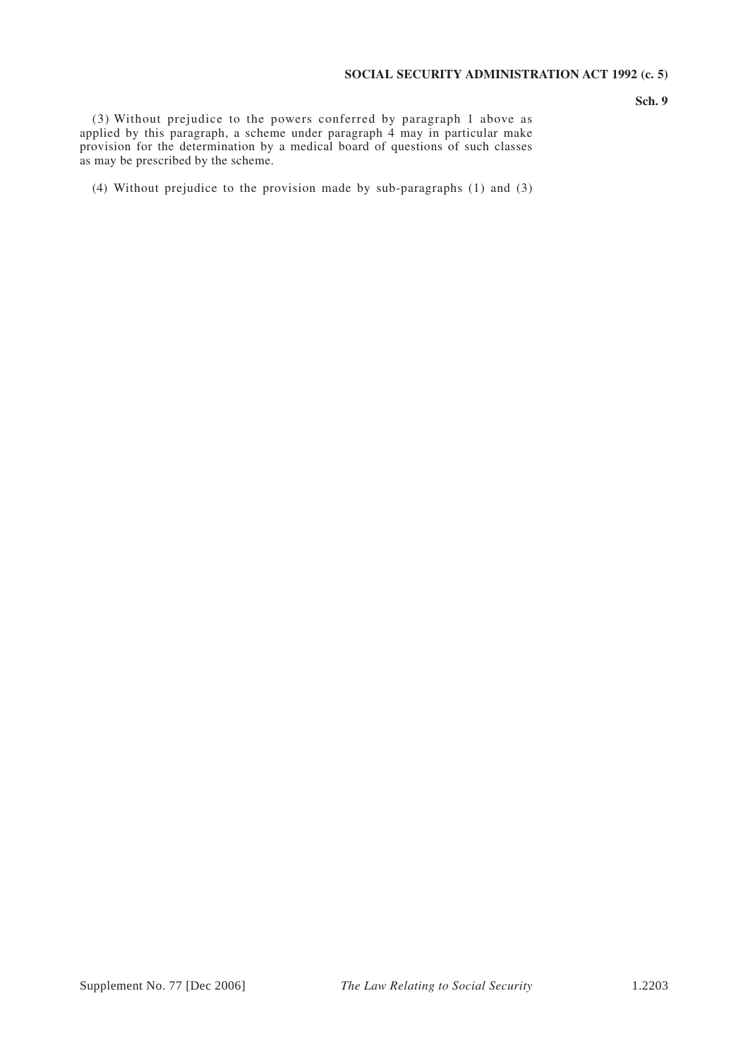**Sch. 9**

(3) Without prejudice to the powers conferred by paragraph 1 above as applied by this paragraph, a scheme under paragraph 4 may in particular make provision for the determination by a medical board of questions of such classes as may be prescribed by the scheme.

(4) Without prejudice to the provision made by sub-paragraphs (1) and (3)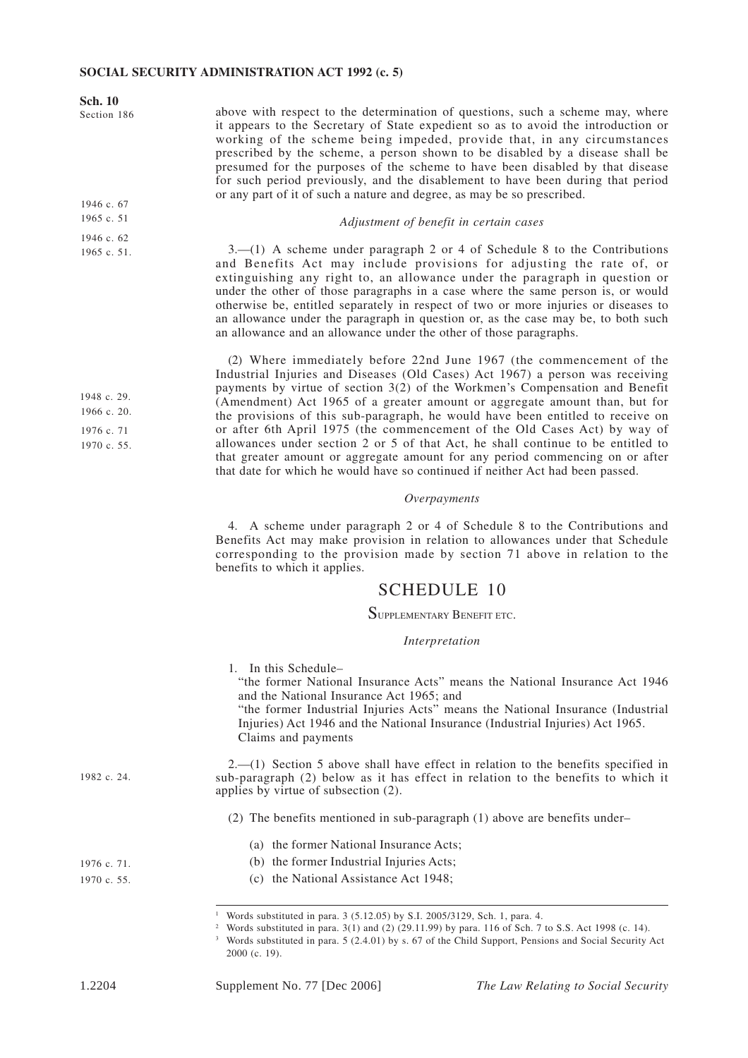### **SOCIAL SECURITY ADMINISTRATION ACT 1992 (c. 5)**

| <b>Sch. 10</b>                                          |                                                                                                                                                                                                                                                                                                                                                                                                                                                                                                                                                                                                                                                                                                                                            |
|---------------------------------------------------------|--------------------------------------------------------------------------------------------------------------------------------------------------------------------------------------------------------------------------------------------------------------------------------------------------------------------------------------------------------------------------------------------------------------------------------------------------------------------------------------------------------------------------------------------------------------------------------------------------------------------------------------------------------------------------------------------------------------------------------------------|
| Section 186                                             | above with respect to the determination of questions, such a scheme may, where<br>it appears to the Secretary of State expedient so as to avoid the introduction or<br>working of the scheme being impeded, provide that, in any circumstances<br>prescribed by the scheme, a person shown to be disabled by a disease shall be<br>presumed for the purposes of the scheme to have been disabled by that disease<br>for such period previously, and the disablement to have been during that period                                                                                                                                                                                                                                        |
|                                                         | or any part of it of such a nature and degree, as may be so prescribed.                                                                                                                                                                                                                                                                                                                                                                                                                                                                                                                                                                                                                                                                    |
| 1946 c. 67                                              |                                                                                                                                                                                                                                                                                                                                                                                                                                                                                                                                                                                                                                                                                                                                            |
| 1965 c. 51                                              | Adjustment of benefit in certain cases                                                                                                                                                                                                                                                                                                                                                                                                                                                                                                                                                                                                                                                                                                     |
| 1946 c. 62                                              |                                                                                                                                                                                                                                                                                                                                                                                                                                                                                                                                                                                                                                                                                                                                            |
| 1965 c. 51.                                             | $3-(1)$ A scheme under paragraph 2 or 4 of Schedule 8 to the Contributions<br>and Benefits Act may include provisions for adjusting the rate of, or<br>extinguishing any right to, an allowance under the paragraph in question or<br>under the other of those paragraphs in a case where the same person is, or would<br>otherwise be, entitled separately in respect of two or more injuries or diseases to<br>an allowance under the paragraph in question or, as the case may be, to both such<br>an allowance and an allowance under the other of those paragraphs.                                                                                                                                                                   |
| 1948 c. 29.<br>1966 c. 20.<br>1976 c. 71<br>1970 c. 55. | (2) Where immediately before 22nd June 1967 (the commencement of the<br>Industrial Injuries and Diseases (Old Cases) Act 1967) a person was receiving<br>payments by virtue of section 3(2) of the Workmen's Compensation and Benefit<br>(Amendment) Act 1965 of a greater amount or aggregate amount than, but for<br>the provisions of this sub-paragraph, he would have been entitled to receive on<br>or after 6th April 1975 (the commencement of the Old Cases Act) by way of<br>allowances under section 2 or 5 of that Act, he shall continue to be entitled to<br>that greater amount or aggregate amount for any period commencing on or after<br>that date for which he would have so continued if neither Act had been passed. |

### *Overpayments*

4. A scheme under paragraph 2 or 4 of Schedule 8 to the Contributions and Benefits Act may make provision in relation to allowances under that Schedule corresponding to the provision made by section 71 above in relation to the benefits to which it applies.

# SCHEDULE 10

SUPPLEMENTARY BENEFIT ETC.

### *Interpretation*

|             | 1. In this Schedule-                                                                                                                                                                                               |
|-------------|--------------------------------------------------------------------------------------------------------------------------------------------------------------------------------------------------------------------|
|             | "the former National Insurance Acts" means the National Insurance Act 1946<br>and the National Insurance Act 1965; and                                                                                             |
|             | "the former Industrial Injuries Acts" means the National Insurance (Industrial<br>Injuries) Act 1946 and the National Insurance (Industrial Injuries) Act 1965.<br>Claims and payments                             |
| 1982 c. 24. | $2.-(1)$ Section 5 above shall have effect in relation to the benefits specified in<br>sub-paragraph (2) below as it has effect in relation to the benefits to which it<br>applies by virtue of subsection $(2)$ . |
|             | (2) The benefits mentioned in sub-paragraph $(1)$ above are benefits under-                                                                                                                                        |
|             | (a) the former National Insurance Acts;                                                                                                                                                                            |
| 1976 c. 71. | (b) the former Industrial Injuries Acts;                                                                                                                                                                           |
| 1970 c. 55. | (c) the National Assistance Act 1948;                                                                                                                                                                              |
|             | Words substituted in para. 3 (5.12.05) by S.I. 2005/3129, Sch. 1, para. 4.                                                                                                                                         |

<sup>2</sup> Words substituted in para. 3(1) and (2) (29.11.99) by para. 116 of Sch. 7 to S.S. Act 1998 (c. 14).

<sup>&</sup>lt;sup>3</sup> Words substituted in para. 5 (2.4.01) by s. 67 of the Child Support, Pensions and Social Security Act 2000 (c. 19).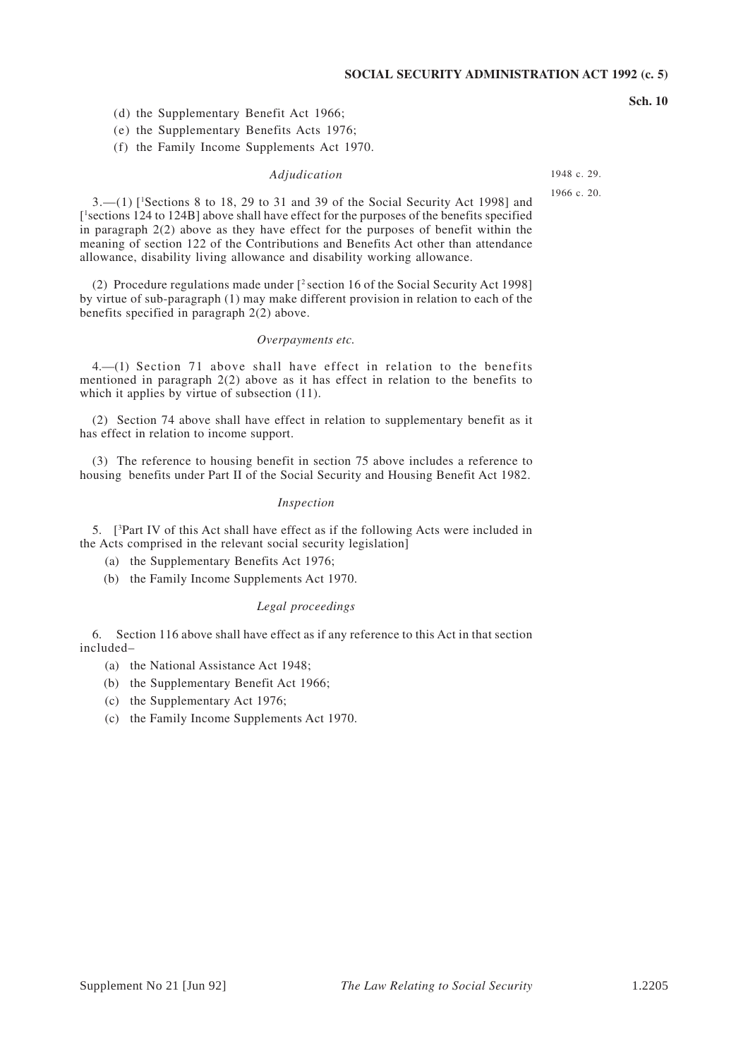**SOCIAL SECURITY ADMINISTRATION ACT 1992 (c. 5)**

(e) the Supplementary Benefits Acts 1976;

(f) the Family Income Supplements Act 1970.

## *Adjudication*

 $3.$   $-(1)$  [<sup>1</sup>Sections 8 to 18, 29 to 31 and 39 of the Social Security Act 1998] and [<sup>1</sup>sections 124 to 124B] above shall have effect for the purposes of the benefits specified in paragraph 2(2) above as they have effect for the purposes of benefit within the meaning of section 122 of the Contributions and Benefits Act other than attendance allowance, disability living allowance and disability working allowance.

(2) Procedure regulations made under  $\lceil \frac{2}{5} \rceil$  section 16 of the Social Security Act 1998] by virtue of sub-paragraph (1) may make different provision in relation to each of the benefits specified in paragraph 2(2) above.

### *Overpayments etc.*

4.—(1) Section 71 above shall have effect in relation to the benefits mentioned in paragraph 2(2) above as it has effect in relation to the benefits to which it applies by virtue of subsection  $(11)$ .

(2) Section 74 above shall have effect in relation to supplementary benefit as it has effect in relation to income support.

(3) The reference to housing benefit in section 75 above includes a reference to housing benefits under Part II of the Social Security and Housing Benefit Act 1982.

## *Inspection*

5.  $[3$ Part IV of this Act shall have effect as if the following Acts were included in the Acts comprised in the relevant social security legislation]

- (a) the Supplementary Benefits Act 1976;
- (b) the Family Income Supplements Act 1970.

#### *Legal proceedings*

6. Section 116 above shall have effect as if any reference to this Act in that section included–

- (a) the National Assistance Act 1948;
- (b) the Supplementary Benefit Act 1966;
- (c) the Supplementary Act 1976;
- (c) the Family Income Supplements Act 1970.

1948 c. 29.

**Sch. 10**

1966 c. 20.